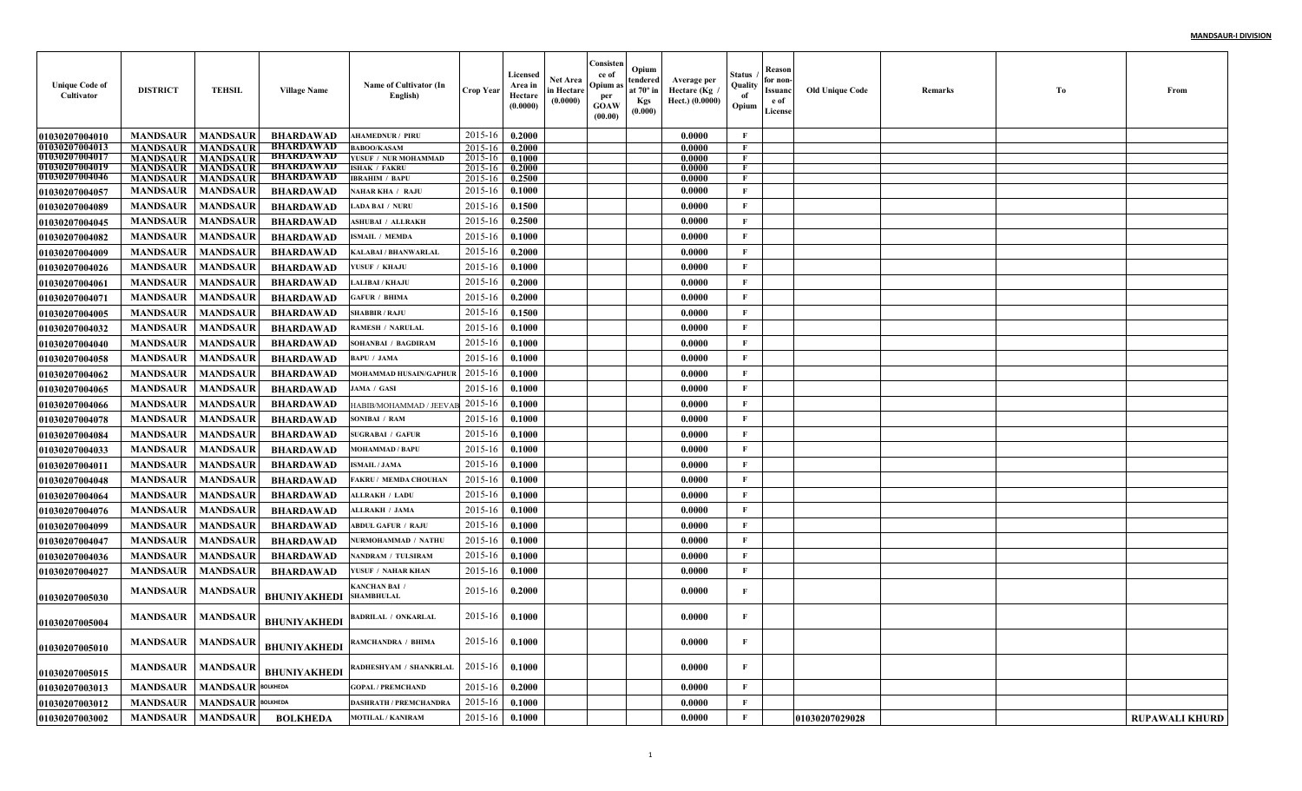| <b>Unique Code of</b><br>Cultivator            | <b>DISTRICT</b>                    | <b>TEHSIL</b>                      | <b>Village Name</b>                  | Name of Cultivator (In<br>English)            | <b>Crop Year</b>   | <b>Licensed</b><br>Area in<br>Hectare<br>(0.0000) | <b>Net Area</b><br>in Hectare<br>(0.0000) | Consisten<br>ce of<br>Opium a<br>per<br>GOAW<br>(00.00) | Opium<br>tendered<br>at $70^\circ$ in<br>Kgs<br>(0.000) | Average per<br>Hectare (Kg<br>Hect.) (0.0000) | Status<br>Quality<br>of<br>Opium | Reason<br>for non-<br>Issuanc<br>e of<br>License | <b>Old Unique Code</b> | Remarks | To | From                  |
|------------------------------------------------|------------------------------------|------------------------------------|--------------------------------------|-----------------------------------------------|--------------------|---------------------------------------------------|-------------------------------------------|---------------------------------------------------------|---------------------------------------------------------|-----------------------------------------------|----------------------------------|--------------------------------------------------|------------------------|---------|----|-----------------------|
| <b>01030207004010</b>                          | <b>MANDSAUR</b>                    | <b>MANDSAUR</b>                    | <b>BHARDAWAD</b>                     | <b>AHAMEDNUR / PIRU</b>                       | 2015-16            | 0.2000                                            |                                           |                                                         |                                                         | 0.0000                                        | $\mathbf F$                      |                                                  |                        |         |    |                       |
| <b>01030207004013</b>                          | <b>MANDSAUR</b>                    | <b>MANDSAUR</b>                    | <b>BHARDAWAD</b>                     | <b>BABOO/KASAM</b>                            | $2015 - 16$        | 0.2000                                            |                                           |                                                         |                                                         | 0.0000                                        | $\mathbf{F}$                     |                                                  |                        |         |    |                       |
| <b>01030207004017</b><br><b>01030207004019</b> | <b>MANDSAUR</b>                    | <b>MANDSAUR</b>                    | <b>BHARDAWAD</b><br><b>BHARDAWAD</b> | YUSUF / NUR MOHAMMAD                          | 2015-16            | 0.1000                                            |                                           |                                                         |                                                         | 0.0000                                        | F<br>$\mathbf{F}$                |                                                  |                        |         |    |                       |
| 01030207004046                                 | <b>MANDSAUR</b><br><b>MANDSAUR</b> | <b>MANDSAUR</b><br><b>MANDSAUR</b> | BHARDAWAD                            | <b>ISHAK / FAKRU</b><br><b>IBRAHIM / BAPU</b> | 2015-16<br>2015-16 | 0.2000<br>0.2500                                  |                                           |                                                         |                                                         | 0.0000<br>0.0000                              | $\mathbf{F}$                     |                                                  |                        |         |    |                       |
| 01030207004057                                 | <b>MANDSAUR</b>                    | <b>MANDSAUR</b>                    | <b>BHARDAWAD</b>                     | <b>NAHAR KHA / RAJU</b>                       | 2015-16            | 0.1000                                            |                                           |                                                         |                                                         | 0.0000                                        | $\mathbf F$                      |                                                  |                        |         |    |                       |
| <b>01030207004089</b>                          | <b>MANDSAUR</b>                    | <b>MANDSAUR</b>                    | <b>BHARDAWAD</b>                     | <b>LADA BAI / NURU</b>                        | 2015-16            | 0.1500                                            |                                           |                                                         |                                                         | 0.0000                                        | $\mathbf{F}$                     |                                                  |                        |         |    |                       |
| 01030207004045                                 | <b>MANDSAUR</b>                    | <b>MANDSAUR</b>                    | <b>BHARDAWAD</b>                     | <b>ASHUBAI / ALLRAKH</b>                      | 2015-16            | 0.2500                                            |                                           |                                                         |                                                         | 0.0000                                        | $\mathbf{F}$                     |                                                  |                        |         |    |                       |
| 01030207004082                                 | <b>MANDSAUR</b>                    | <b>MANDSAUR</b>                    | <b>BHARDAWAD</b>                     | <b>ISMAIL / MEMDA</b>                         | 2015-16            | 0.1000                                            |                                           |                                                         |                                                         | 0.0000                                        | $\mathbf F$                      |                                                  |                        |         |    |                       |
| <b>01030207004009</b>                          | <b>MANDSAUR</b>                    | <b>MANDSAUR</b>                    | <b>BHARDAWAD</b>                     | KALABAI / BHANWARLAI                          | 2015-16            | 0.2000                                            |                                           |                                                         |                                                         | 0.0000                                        | $\mathbf{F}$                     |                                                  |                        |         |    |                       |
| <b>01030207004026</b>                          | <b>MANDSAUR</b>                    | <b>MANDSAUR</b>                    | <b>BHARDAWAD</b>                     | YUSUF / KHAJU                                 | 2015-16            | 0.1000                                            |                                           |                                                         |                                                         | 0.0000                                        | $\mathbf{F}$                     |                                                  |                        |         |    |                       |
| 01030207004061                                 | <b>MANDSAUR</b>                    | <b>MANDSAUR</b>                    | <b>BHARDAWAD</b>                     | <b>ALIBAI / KHAJU</b>                         | 2015-16            | 0.2000                                            |                                           |                                                         |                                                         | 0.0000                                        | $\mathbf{F}$                     |                                                  |                        |         |    |                       |
| 01030207004071                                 | <b>MANDSAUR</b>                    | <b>MANDSAUR</b>                    | <b>BHARDAWAD</b>                     | <b>GAFUR / BHIMA</b>                          | 2015-16            | 0.2000                                            |                                           |                                                         |                                                         | 0.0000                                        | $\mathbf{F}$                     |                                                  |                        |         |    |                       |
| <b>01030207004005</b>                          | <b>MANDSAUR</b>                    | <b>MANDSAUR</b>                    | <b>BHARDAWAD</b>                     | <b>SHABBIR / RAJU</b>                         | 2015-16            | 0.1500                                            |                                           |                                                         |                                                         | 0.0000                                        | $\mathbf F$                      |                                                  |                        |         |    |                       |
| <b>01030207004032</b>                          | <b>MANDSAUR</b>                    | <b>MANDSAUR</b>                    | <b>BHARDAWAD</b>                     | <b>RAMESH / NARULAL</b>                       | 2015-16            | 0.1000                                            |                                           |                                                         |                                                         | 0.0000                                        | $\mathbf{F}$                     |                                                  |                        |         |    |                       |
| 01030207004040                                 | <b>MANDSAUR</b>                    | <b>MANDSAUR</b>                    | <b>BHARDAWAD</b>                     | SOHANBAI / BAGDIRAM                           | 2015-16            | 0.1000                                            |                                           |                                                         |                                                         | 0.0000                                        | $\mathbf{F}$                     |                                                  |                        |         |    |                       |
| <b>01030207004058</b>                          | <b>MANDSAUR</b>                    | <b>MANDSAUR</b>                    | <b>BHARDAWAD</b>                     | <b>BAPU / JAMA</b>                            | 2015-16            | 0.1000                                            |                                           |                                                         |                                                         | 0.0000                                        | $\mathbf{F}$                     |                                                  |                        |         |    |                       |
| 01030207004062                                 | <b>MANDSAUR</b>                    | <b>MANDSAUR</b>                    | <b>BHARDAWAD</b>                     | <b>MOHAMMAD HUSAIN/GAPHUR</b>                 | 2015-16            | 0.1000                                            |                                           |                                                         |                                                         | 0.0000                                        | $\mathbf{F}$                     |                                                  |                        |         |    |                       |
| 01030207004065                                 | <b>MANDSAUR</b>                    | <b>MANDSAUR</b>                    | <b>BHARDAWAD</b>                     | JAMA / GASI                                   | 2015-16            | 0.1000                                            |                                           |                                                         |                                                         | 0.0000                                        | $\mathbf F$                      |                                                  |                        |         |    |                       |
| <b>01030207004066</b>                          | <b>MANDSAUR</b>                    | <b>MANDSAUR</b>                    | <b>BHARDAWAD</b>                     | HABIB/MOHAMMAD / JEEVA                        | 2015-16            | 0.1000                                            |                                           |                                                         |                                                         | 0.0000                                        | $\mathbf{F}$                     |                                                  |                        |         |    |                       |
| 01030207004078                                 | <b>MANDSAUR</b>                    | <b>MANDSAUR</b>                    | <b>BHARDAWAD</b>                     | SONIBAI / RAM                                 | 2015-16            | 0.1000                                            |                                           |                                                         |                                                         | 0.0000                                        | $\mathbf{F}$                     |                                                  |                        |         |    |                       |
| 01030207004084                                 | <b>MANDSAUR</b>                    | <b>MANDSAUR</b>                    | <b>BHARDAWAD</b>                     | <b>SUGRABAI / GAFUR</b>                       | 2015-16            | 0.1000                                            |                                           |                                                         |                                                         | 0.0000                                        | $\mathbf{F}$                     |                                                  |                        |         |    |                       |
| <b>01030207004033</b>                          | <b>MANDSAUR</b>                    | <b>MANDSAUR</b>                    | <b>BHARDAWAD</b>                     | <b>MOHAMMAD / BAPU</b>                        | 2015-16            | 0.1000                                            |                                           |                                                         |                                                         | 0.0000                                        | $\mathbf{F}$                     |                                                  |                        |         |    |                       |
| 01030207004011                                 | <b>MANDSAUR</b>                    | <b>MANDSAUR</b>                    | <b>BHARDAWAD</b>                     | <b>ISMAIL/JAMA</b>                            | 2015-16            | 0.1000                                            |                                           |                                                         |                                                         | 0.0000                                        | $\mathbf F$                      |                                                  |                        |         |    |                       |
| 01030207004048                                 | <b>MANDSAUR</b>                    | <b>MANDSAUR</b>                    | <b>BHARDAWAD</b>                     | <b>FAKRU / MEMDA CHOUHAN</b>                  | 2015-16            | 0.1000                                            |                                           |                                                         |                                                         | 0.0000                                        | $\mathbf{F}$                     |                                                  |                        |         |    |                       |
| 01030207004064                                 | <b>MANDSAUR</b>                    | <b>MANDSAUR</b>                    | <b>BHARDAWAD</b>                     | <b>ALLRAKH / LADU</b>                         | 2015-16            | 0.1000                                            |                                           |                                                         |                                                         | 0.0000                                        | $\mathbf{F}$                     |                                                  |                        |         |    |                       |
| 01030207004076                                 | <b>MANDSAUR</b>                    | <b>MANDSAUR</b>                    | <b>BHARDAWAD</b>                     | <b>ALLRAKH / JAMA</b>                         | 2015-16            | 0.1000                                            |                                           |                                                         |                                                         | 0.0000                                        | $\mathbf F$                      |                                                  |                        |         |    |                       |
| 01030207004099                                 | <b>MANDSAUR</b>                    | <b>MANDSAUR</b>                    | <b>BHARDAWAD</b>                     | <b>ABDUL GAFUR / RAJU</b>                     | 2015-16            | 0.1000                                            |                                           |                                                         |                                                         | 0.0000                                        | $\mathbf F$                      |                                                  |                        |         |    |                       |
| <b>01030207004047</b>                          | <b>MANDSAUR</b>                    | <b>MANDSAUR</b>                    | <b>BHARDAWAD</b>                     | NURMOHAMMAD / NATH                            | 2015-16            | 0.1000                                            |                                           |                                                         |                                                         | 0.0000                                        | $\mathbf{F}$                     |                                                  |                        |         |    |                       |
| 01030207004036                                 | <b>MANDSAUR</b>                    | <b>MANDSAUR</b>                    | <b>BHARDAWAD</b>                     | NANDRAM / TULSIRAM                            | 2015-16            | 0.1000                                            |                                           |                                                         |                                                         | 0.0000                                        | $\mathbf{F}$                     |                                                  |                        |         |    |                       |
| 01030207004027                                 | <b>MANDSAUR</b>                    | <b>MANDSAUR</b>                    | <b>BHARDAWAD</b>                     | YUSUF / NAHAR KHAN                            | 2015-16            | 0.1000                                            |                                           |                                                         |                                                         | 0.0000                                        | $\mathbf{F}$                     |                                                  |                        |         |    |                       |
| <b>01030207005030</b>                          | <b>MANDSAUR</b>                    | <b>MANDSAUR</b>                    | <b>BHUNIYAKHEDI</b>                  | <b>KANCHAN BAI</b><br><b>SHAMBHULAL</b>       | 2015-16            | 0.2000                                            |                                           |                                                         |                                                         | 0.0000                                        | F                                |                                                  |                        |         |    |                       |
| <b>0103020700500</b> 4                         | <b>MANDSAUR</b>                    | <b>MANDSAUR</b>                    | <b>BHUNIYAKHEDI</b>                  | <b>BADRILAL / ONKARLAL</b>                    | 2015-16            | 0.1000                                            |                                           |                                                         |                                                         | 0.0000                                        | $\mathbf{F}$                     |                                                  |                        |         |    |                       |
| <b>01030207005010</b>                          | <b>MANDSAUR</b>                    | <b>MANDSAUR</b>                    | <b>BHUNIYAKHEDI</b>                  | RAMCHANDRA / BHIMA                            | 2015-16            | 0.1000                                            |                                           |                                                         |                                                         | 0.0000                                        | $\mathbf F$                      |                                                  |                        |         |    |                       |
| <b>01030207005015</b>                          | <b>MANDSAUR</b>                    | <b>MANDSAUR</b>                    | <b>BHUNIYAKHEDI</b>                  | RADHESHYAM / SHANKRLAL                        | 2015-16            | 0.1000                                            |                                           |                                                         |                                                         | 0.0000                                        | $\mathbf{F}$                     |                                                  |                        |         |    |                       |
| <b>01030207003013</b>                          | <b>MANDSAUR</b>                    | <b>MANDSAUR BOLKHEDA</b>           |                                      | <b>GOPAL / PREMCHAND</b>                      | 2015-16            | 0.2000                                            |                                           |                                                         |                                                         | 0.0000                                        | $\mathbf F$                      |                                                  |                        |         |    |                       |
| 01030207003012                                 | <b>MANDSAUR</b>                    | <b>MANDSAUR BOLKHEDA</b>           |                                      | <b>DASHRATH / PREMCHANDRA</b>                 | 2015-16            | 0.1000                                            |                                           |                                                         |                                                         | 0.0000                                        | $\mathbf{F}$                     |                                                  |                        |         |    |                       |
| 01030207003002                                 | <b>MANDSAUR</b>                    | <b>MANDSAUR</b>                    | <b>BOLKHEDA</b>                      | <b>MOTILAL / KANIRAM</b>                      | 2015-16            | 0.1000                                            |                                           |                                                         |                                                         | 0.0000                                        | $\mathbf{F}$                     |                                                  | 01030207029028         |         |    | <b>RUPAWALI KHURD</b> |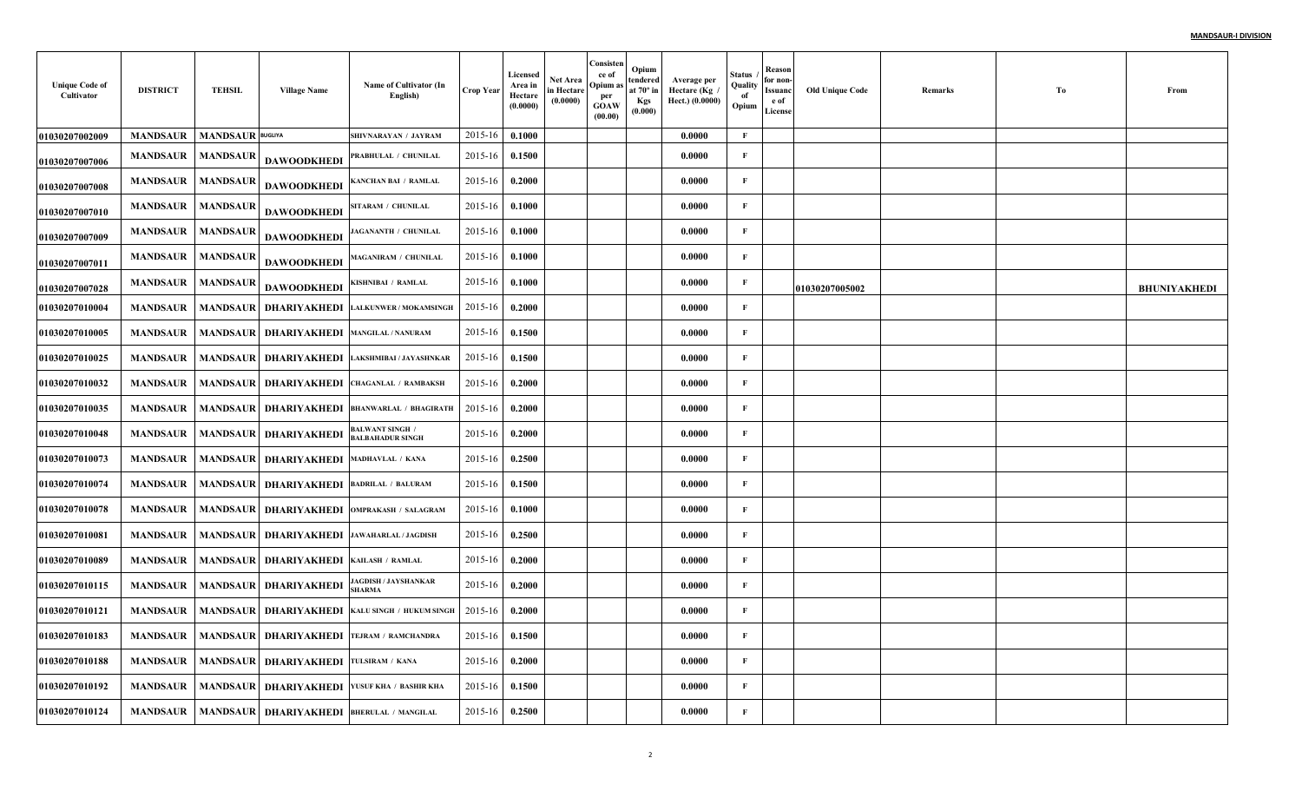| <b>Unique Code of</b><br>Cultivator | <b>DISTRICT</b> | TEHSIL                  | <b>Village Name</b>                           | Name of Cultivator (In<br>English)                | Crop Year | Licensed<br>Area in<br>Hectare<br>(0.0000) | <b>Net Area</b><br>in Hectare<br>(0.0000) | Consisten<br>ce of<br>Opium a<br>per<br>GOAW<br>(00.00) | Opium<br>tendered<br>at 70° in<br>Kgs<br>(0.000) | Average per<br>Hectare (Kg<br>Hect.) (0.0000) | <b>Status</b><br>Quality<br>of<br>Opium | Reason<br>for non-<br>Issuanc<br>e of<br>License | <b>Old Unique Code</b> | Remarks | To | From                |
|-------------------------------------|-----------------|-------------------------|-----------------------------------------------|---------------------------------------------------|-----------|--------------------------------------------|-------------------------------------------|---------------------------------------------------------|--------------------------------------------------|-----------------------------------------------|-----------------------------------------|--------------------------------------------------|------------------------|---------|----|---------------------|
| 01030207002009                      | <b>MANDSAUR</b> | <b>MANDSAUR</b> BUGLIYA |                                               | SHIVNARAYAN / JAYRAM                              | 2015-16   | 0.1000                                     |                                           |                                                         |                                                  | 0.0000                                        | $\mathbf F$                             |                                                  |                        |         |    |                     |
| 01030207007006                      | <b>MANDSAUR</b> | <b>MANDSAUR</b>         | <b>DAWOODKHEDI</b>                            | PRABHULAL / CHUNILAL                              | 2015-16   | 0.1500                                     |                                           |                                                         |                                                  | 0.0000                                        | F                                       |                                                  |                        |         |    |                     |
| 01030207007008                      | <b>MANDSAUR</b> | <b>MANDSAUF</b>         | <b>DAWOODKHEDI</b>                            | KANCHAN BAI / RAMLAL                              | 2015-16   | 0.2000                                     |                                           |                                                         |                                                  | 0.0000                                        | $\mathbf{F}$                            |                                                  |                        |         |    |                     |
| 01030207007010                      | <b>MANDSAUR</b> | <b>MANDSAUR</b>         | <b>DAWOODKHEDI</b>                            | SITARAM / CHUNILAL                                | 2015-16   | 0.1000                                     |                                           |                                                         |                                                  | 0.0000                                        | F                                       |                                                  |                        |         |    |                     |
| 01030207007009                      | <b>MANDSAUR</b> | <b>MANDSAUF</b>         | <b>DAWOODKHEDI</b>                            | <b>JAGANANTH / CHUNILAL</b>                       | 2015-16   | 0.1000                                     |                                           |                                                         |                                                  | 0.0000                                        | $\mathbf{F}$                            |                                                  |                        |         |    |                     |
| 01030207007011                      | <b>MANDSAUR</b> | <b>MANDSAUF</b>         | <b>DAWOODKHEDI</b>                            | MAGANIRAM / CHUNILAL                              | 2015-16   | 0.1000                                     |                                           |                                                         |                                                  | 0.0000                                        | $\mathbf{F}$                            |                                                  |                        |         |    |                     |
| 01030207007028                      | <b>MANDSAUR</b> | <b>MANDSAUF</b>         | <b>DAWOODKHEDI</b>                            | KISHNIBAI / RAMLAL                                | 2015-16   | 0.1000                                     |                                           |                                                         |                                                  | 0.0000                                        | $\mathbf{F}$                            |                                                  | 01030207005002         |         |    | <b>BHUNIYAKHEDI</b> |
| 01030207010004                      | <b>MANDSAUR</b> | <b>MANDSAUR</b>         | DHARIYAKHEDI                                  | <b>LALKUNWER / MOKAMSINGH</b>                     | 2015-16   | 0.2000                                     |                                           |                                                         |                                                  | 0.0000                                        | $\mathbf{F}$                            |                                                  |                        |         |    |                     |
| 01030207010005                      | <b>MANDSAUR</b> |                         | MANDSAUR   DHARIYAKHEDI MANGILAL / NANURAM    |                                                   | 2015-16   | 0.1500                                     |                                           |                                                         |                                                  | 0.0000                                        | $\mathbf F$                             |                                                  |                        |         |    |                     |
| 01030207010025                      | <b>MANDSAUR</b> | <b>MANDSAUR</b>         | <b>DHARIYAKHEDI</b>                           | LAKSHMIBAI / JAYASHNKAR                           | 2015-16   | 0.1500                                     |                                           |                                                         |                                                  | 0.0000                                        | $\mathbf{F}$                            |                                                  |                        |         |    |                     |
| 01030207010032                      | <b>MANDSAUR</b> | <b>MANDSAUR</b>         |                                               | <b>DHARIYAKHEDI CHAGANLAL / RAMBAKSH</b>          | 2015-16   | 0.2000                                     |                                           |                                                         |                                                  | 0.0000                                        | F                                       |                                                  |                        |         |    |                     |
| 01030207010035                      | <b>MANDSAUR</b> | <b>MANDSAUR</b>         | DHARIYAKHEDI                                  | <b>BHANWARLAL / BHAGIRATH</b>                     | 2015-16   | 0.2000                                     |                                           |                                                         |                                                  | 0.0000                                        | $\mathbf F$                             |                                                  |                        |         |    |                     |
| 01030207010048                      | <b>MANDSAUR</b> | <b>MANDSAUR</b>         | <b>DHARIYAKHEDI</b>                           | <b>BALWANT SINGH /</b><br><b>BALBAHADUR SINGH</b> | 2015-16   | 0.2000                                     |                                           |                                                         |                                                  | 0.0000                                        | $\mathbf{F}$                            |                                                  |                        |         |    |                     |
| 01030207010073                      | <b>MANDSAUR</b> |                         | MANDSAUR   DHARIYAKHEDI MADHAVLAL / KANA      |                                                   | 2015-16   | 0.2500                                     |                                           |                                                         |                                                  | 0.0000                                        | $\mathbf F$                             |                                                  |                        |         |    |                     |
| 01030207010074                      | <b>MANDSAUR</b> | <b>MANDSAUR</b>         | DHARIYAKHEDI                                  | <b>BADRILAL / BALURAM</b>                         | 2015-16   | 0.1500                                     |                                           |                                                         |                                                  | 0.0000                                        | $\mathbf{F}$                            |                                                  |                        |         |    |                     |
| 01030207010078                      | <b>MANDSAUR</b> | MANDSAUR                |                                               | DHARIYAKHEDI   OMPRAKASH / SALAGRAM               | 2015-16   | 0.1000                                     |                                           |                                                         |                                                  | 0.0000                                        | $\mathbf{F}$                            |                                                  |                        |         |    |                     |
| 01030207010081                      | <b>MANDSAUR</b> | <b>MANDSAUR</b>         |                                               | DHARIYAKHEDI JAWAHARLAL / JAGDISH                 | 2015-16   | 0.2500                                     |                                           |                                                         |                                                  | 0.0000                                        | $\mathbf F$                             |                                                  |                        |         |    |                     |
| 01030207010089                      | <b>MANDSAUR</b> |                         | MANDSAUR   DHARIYAKHEDI   KAILASH / RAMLAL    |                                                   | 2015-16   | 0.2000                                     |                                           |                                                         |                                                  | 0.0000                                        | $\mathbf{F}$                            |                                                  |                        |         |    |                     |
| 01030207010115                      | <b>MANDSAUR</b> | <b>MANDSAUR</b>         | <b>DHARIYAKHEDI</b>                           | JAGDISH / JAYSHANKAR<br>SHARMA                    | 2015-16   | 0.2000                                     |                                           |                                                         |                                                  | 0.0000                                        | $\mathbf{F}$                            |                                                  |                        |         |    |                     |
| 01030207010121                      | <b>MANDSAUR</b> | <b>MANDSAUR</b>         | <b>DHARIYAKHEDI</b>                           | KALU SINGH / HUKUM SINGH                          | 2015-16   | 0.2000                                     |                                           |                                                         |                                                  | 0.0000                                        | $\mathbf F$                             |                                                  |                        |         |    |                     |
| 01030207010183                      | <b>MANDSAUR</b> |                         |                                               | MANDSAUR   DHARIYAKHEDI TEJRAM / RAMCHANDRA       | 2015-16   | 0.1500                                     |                                           |                                                         |                                                  | 0.0000                                        | $\mathbf F$                             |                                                  |                        |         |    |                     |
| 01030207010188                      | <b>MANDSAUR</b> | <b>MANDSAUR</b>         | <b>DHARIYAKHEDI TULSIRAM / KANA</b>           |                                                   | 2015-16   | 0.2000                                     |                                           |                                                         |                                                  | 0.0000                                        | $\mathbf{F}$                            |                                                  |                        |         |    |                     |
| 01030207010192                      | <b>MANDSAUR</b> | <b>MANDSAUR</b>         |                                               | <b>DHARIYAKHEDI   YUSUF KHA / BASHIR KHA</b>      | 2015-16   | 0.1500                                     |                                           |                                                         |                                                  | 0.0000                                        | $\mathbf F$                             |                                                  |                        |         |    |                     |
| 01030207010124                      | <b>MANDSAUR</b> |                         | MANDSAUR   DHARIYAKHEDI   BHERULAL / MANGILAL |                                                   | 2015-16   | 0.2500                                     |                                           |                                                         |                                                  | 0.0000                                        | $\mathbf F$                             |                                                  |                        |         |    |                     |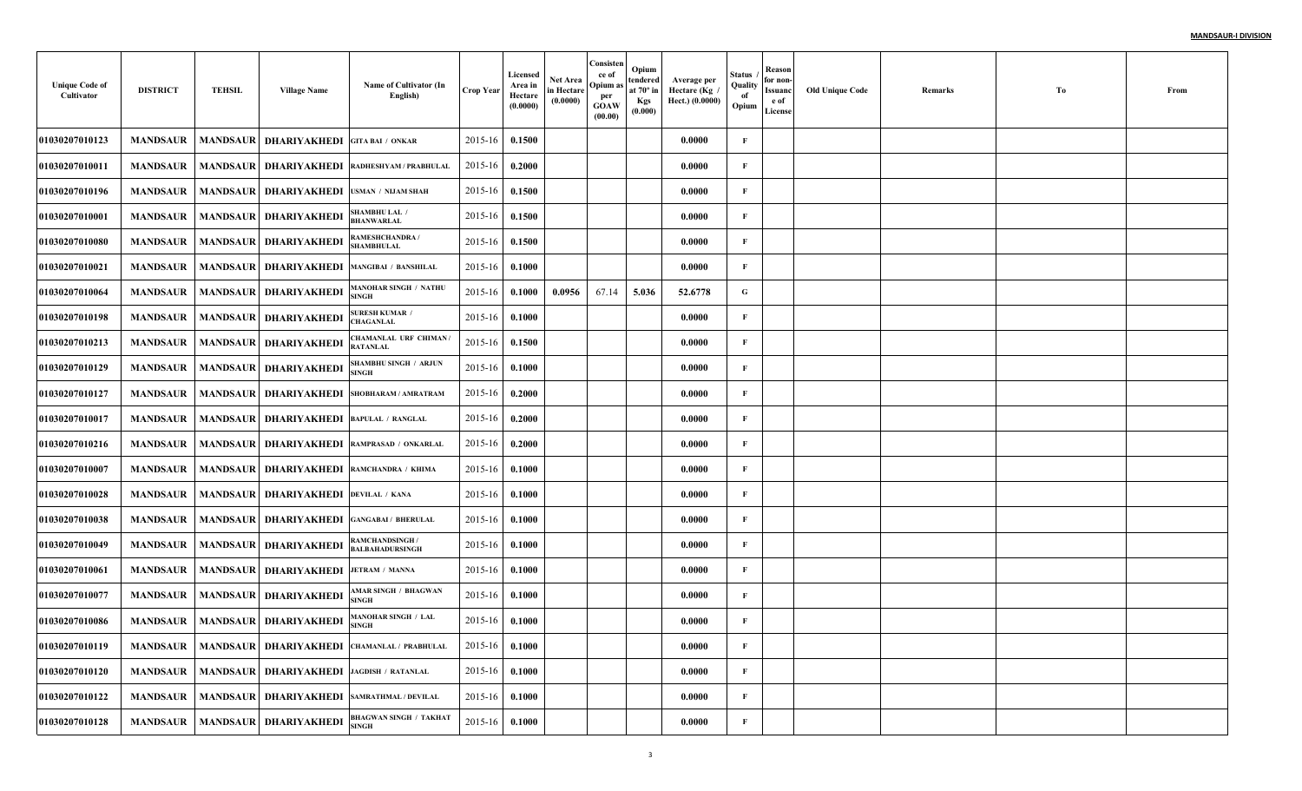| <b>Unique Code of</b><br>Cultivator | <b>DISTRICT</b> | <b>TEHSIL</b>   | <b>Village Name</b>                                   | Name of Cultivator (In<br>English)                        | Crop Year   | Licensed<br>Area in<br>Hectare<br>(0.0000) | <b>Net Area</b><br>in Hectare<br>(0.0000) | Consisten<br>ce of<br>Opium as<br>per<br><b>GOAW</b><br>(00.00) | Opium<br>tendered<br>at 70° in<br>Kgs<br>(0.000) | Average per<br>Hectare (Kg<br>Hect.) (0.0000) | <b>Status</b><br>Quality<br>of<br>Opium | Reason<br>for non-<br><b>Issuanc</b><br>e of<br>License | <b>Old Unique Code</b> | Remarks | To | From |
|-------------------------------------|-----------------|-----------------|-------------------------------------------------------|-----------------------------------------------------------|-------------|--------------------------------------------|-------------------------------------------|-----------------------------------------------------------------|--------------------------------------------------|-----------------------------------------------|-----------------------------------------|---------------------------------------------------------|------------------------|---------|----|------|
| 01030207010123                      | <b>MANDSAUR</b> | <b>MANDSAUR</b> | <b>DHARIYAKHEDI</b>                                   | <b>GITA BAI / ONKAR</b>                                   | 2015-16     | 0.1500                                     |                                           |                                                                 |                                                  | 0.0000                                        | F                                       |                                                         |                        |         |    |      |
| 01030207010011                      | <b>MANDSAUR</b> | <b>MANDSAUR</b> | <b>DHARIYAKHEDI</b>                                   | RADHESHYAM / PRABHULAL                                    | 2015-16     | 0.2000                                     |                                           |                                                                 |                                                  | 0.0000                                        | F                                       |                                                         |                        |         |    |      |
| 01030207010196                      | <b>MANDSAUR</b> | <b>MANDSAUR</b> | DHARIYAKHEDI                                          | <b>USMAN / NIJAM SHAH</b>                                 | 2015-16     | 0.1500                                     |                                           |                                                                 |                                                  | 0.0000                                        | F                                       |                                                         |                        |         |    |      |
| 01030207010001                      | <b>MANDSAUR</b> |                 | <b>MANDSAUR   DHARIYAKHEDI</b>                        | <b>SHAMBHU LAL /</b><br><b>BHANWARLAL</b>                 | 2015-16     | 0.1500                                     |                                           |                                                                 |                                                  | 0.0000                                        | F                                       |                                                         |                        |         |    |      |
| 01030207010080                      | <b>MANDSAUR</b> |                 | MANDSAUR DHARIYAKHEDI                                 | RAMESHCHANDRA /<br>SHAMBHULAL                             | 2015-16     | 0.1500                                     |                                           |                                                                 |                                                  | 0.0000                                        | F                                       |                                                         |                        |         |    |      |
| 01030207010021                      | <b>MANDSAUR</b> | <b>MANDSAUR</b> | DHARIYAKHEDI                                          | <b>MANGIBAI / BANSHILAL</b>                               | 2015-16     | 0.1000                                     |                                           |                                                                 |                                                  | 0.0000                                        | $\mathbf{F}$                            |                                                         |                        |         |    |      |
| 01030207010064                      | MANDSAUR        |                 | <b>MANDSAUR   DHARIYAKHEDI</b>                        | <b>MANOHAR SINGH / NATHU</b><br>SINGH                     | 2015-16     | 0.1000                                     | 0.0956                                    | 67.14                                                           | 5.036                                            | 52.6778                                       | G                                       |                                                         |                        |         |    |      |
| 01030207010198                      | <b>MANDSAUR</b> | <b>MANDSAUR</b> | <b>DHARIYAKHEDI</b>                                   | <b>SURESH KUMAR /</b><br><b>CHAGANLAL</b>                 | 2015-16     | 0.1000                                     |                                           |                                                                 |                                                  | 0.0000                                        | F                                       |                                                         |                        |         |    |      |
| 01030207010213                      | <b>MANDSAUR</b> |                 | <b>MANDSAUR   DHARIYAKHEDI</b>                        | CHAMANLAL URF CHIMAN.<br>RATANLAL                         | 2015-16     | 0.1500                                     |                                           |                                                                 |                                                  | 0.0000                                        | F                                       |                                                         |                        |         |    |      |
| 01030207010129                      | <b>MANDSAUR</b> |                 | <b>MANDSAUR DHARIYAKHEDI</b>                          | <b>SHAMBHU SINGH / ARJUN</b><br>SINGH                     | 2015-16     | 0.1000                                     |                                           |                                                                 |                                                  | 0.0000                                        | F                                       |                                                         |                        |         |    |      |
| 01030207010127                      | <b>MANDSAUR</b> | <b>MANDSAUR</b> | DHARIYAKHEDI                                          | SHOBHARAM / AMRATRAM                                      | 2015-16     | 0.2000                                     |                                           |                                                                 |                                                  | 0.0000                                        |                                         |                                                         |                        |         |    |      |
| 01030207010017                      | <b>MANDSAUR</b> | <b>MANDSAUR</b> | <b>DHARIYAKHEDI BAPULAL / RANGLAL</b>                 |                                                           | 2015-16     | 0.2000                                     |                                           |                                                                 |                                                  | 0.0000                                        | F                                       |                                                         |                        |         |    |      |
| 01030207010216                      | <b>MANDSAUR</b> |                 |                                                       | MANDSAUR   DHARIYAKHEDI   RAMPRASAD / ONKARLAL            | 2015-16     | 0.2000                                     |                                           |                                                                 |                                                  | 0.0000                                        | F                                       |                                                         |                        |         |    |      |
| 01030207010007                      | <b>MANDSAUR</b> | <b>MANDSAUR</b> | <b>DHARIYAKHEDI RAMCHANDRA / KHIMA</b>                |                                                           | 2015-16     | 0.1000                                     |                                           |                                                                 |                                                  | 0.0000                                        | F                                       |                                                         |                        |         |    |      |
| 01030207010028                      | <b>MANDSAUR</b> |                 | MANDSAUR   DHARIYAKHEDI  DEVILAL / KANA               |                                                           | 2015-16     | 0.1000                                     |                                           |                                                                 |                                                  | 0.0000                                        |                                         |                                                         |                        |         |    |      |
| 01030207010038                      | <b>MANDSAUR</b> | <b>MANDSAUR</b> | DHARIYAKHEDI                                          | <b>GANGABAI / BHERULAL</b>                                | 2015-16     | 0.1000                                     |                                           |                                                                 |                                                  | 0.0000                                        | F                                       |                                                         |                        |         |    |      |
| 01030207010049                      | <b>MANDSAUR</b> |                 | <b>MANDSAUR   DHARIYAKHEDI</b>                        | RAMCHANDSINGH /<br>BALBAHADURSINGH                        | 2015-16     | 0.1000                                     |                                           |                                                                 |                                                  | 0.0000                                        | F                                       |                                                         |                        |         |    |      |
| 01030207010061                      | <b>MANDSAUR</b> | <b>MANDSAUR</b> | DHARIYAKHEDI                                          | <b>JETRAM / MANNA</b>                                     | 2015-16     | 0.1000                                     |                                           |                                                                 |                                                  | 0.0000                                        | F                                       |                                                         |                        |         |    |      |
| 01030207010077                      | <b>MANDSAUR</b> | <b>MANDSAUR</b> | <b>DHARIYAKHEDI</b>                                   | <b>MAR SINGH / BHAGWAN</b><br><b>SINGH</b>                | 2015-16     | 0.1000                                     |                                           |                                                                 |                                                  | 0.0000                                        | F                                       |                                                         |                        |         |    |      |
| 01030207010086                      | <b>MANDSAUR</b> | <b>MANDSAUR</b> | <b>DHARIYAKHEDI</b>                                   | <b>MANOHAR SINGH / LAL</b><br><b>SINGH</b>                | $2015 - 16$ | 0.1000                                     |                                           |                                                                 |                                                  | 0.0000                                        | F                                       |                                                         |                        |         |    |      |
| 01030207010119                      |                 |                 |                                                       | MANDSAUR   MANDSAUR   DHARIYAKHEDI CHAMANLAL / PRABHULAL  | $2015 - 16$ | 0.1000                                     |                                           |                                                                 |                                                  | 0.0000                                        | F                                       |                                                         |                        |         |    |      |
| 01030207010120                      |                 |                 | MANDSAUR   MANDSAUR   DHARIYAKHEDI JAGDISH / RATANLAL |                                                           | 2015-16     | 0.1000                                     |                                           |                                                                 |                                                  | 0.0000                                        | $\mathbf{F}$                            |                                                         |                        |         |    |      |
| 01030207010122                      |                 |                 |                                                       | MANDSAUR   MANDSAUR   DHARIYAKHEDI   SAMRATHMAL / DEVILAL | 2015-16     | 0.1000                                     |                                           |                                                                 |                                                  | 0.0000                                        | F                                       |                                                         |                        |         |    |      |
| 01030207010128                      |                 |                 | MANDSAUR MANDSAUR DHARIYAKHEDI                        | <b>BHAGWAN SINGH / TAKHAT</b><br><b>SINGH</b>             | 2015-16     | 0.1000                                     |                                           |                                                                 |                                                  | 0.0000                                        | $\mathbf{F}$                            |                                                         |                        |         |    |      |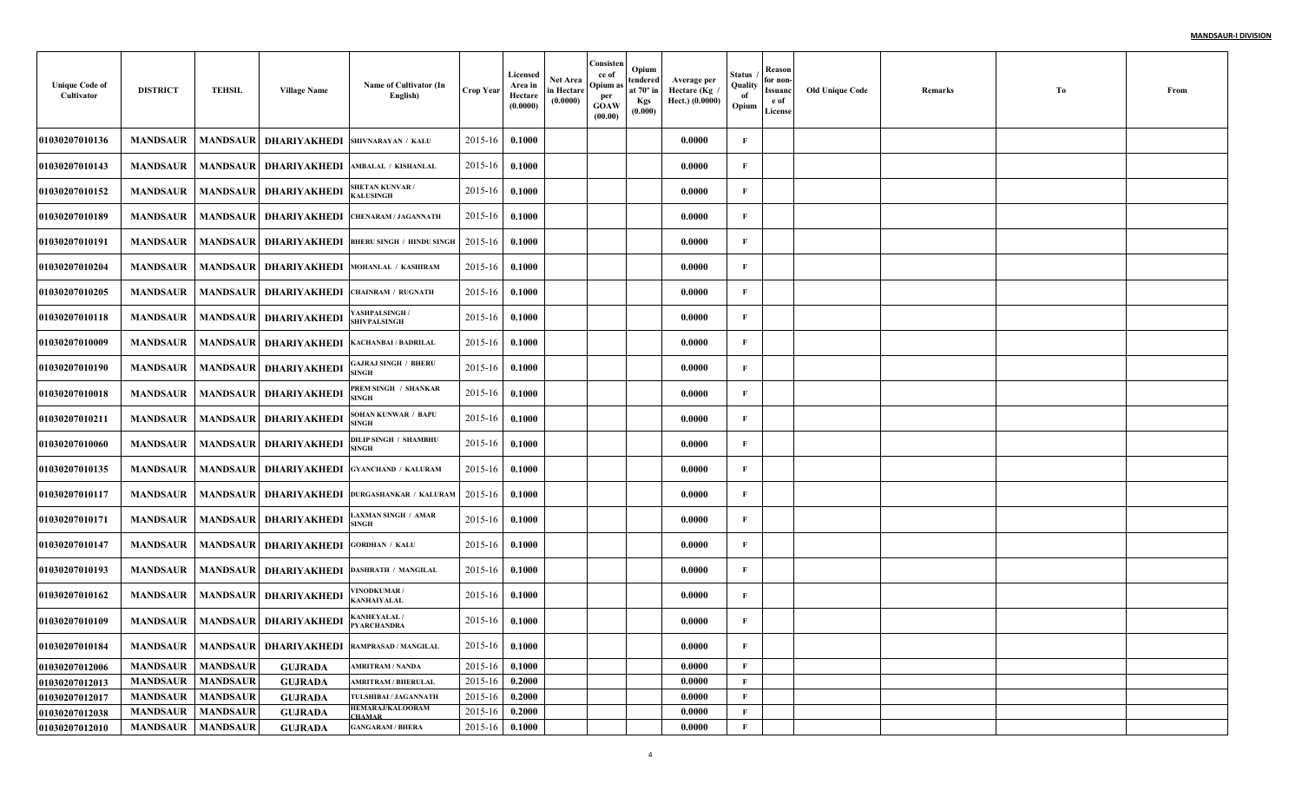| <b>Unique Code of</b><br>Cultivator | <b>DISTRICT</b>   | <b>TEHSIL</b>   | <b>Village Name</b>                    | Name of Cultivator (In<br>English)                        | Crop Year   | Licensed<br>Area in<br>Hectare<br>(0.0000) | <b>Net Area</b><br>in Hectare<br>(0.0000) | Consisten<br>ce of<br>Opium a<br>per<br>GOAW<br>(00.00) | Opium<br>tendered<br>at $70^\circ$ in<br>Kgs<br>(0.000) | Average per<br>Hectare (Kg<br>Hect.) (0.0000) | Status<br>Quality<br>of<br>Opium | Reason<br>for non-<br><b>Issuanc</b><br>e of<br>License | <b>Old Unique Code</b> | Remarks | To | From |
|-------------------------------------|-------------------|-----------------|----------------------------------------|-----------------------------------------------------------|-------------|--------------------------------------------|-------------------------------------------|---------------------------------------------------------|---------------------------------------------------------|-----------------------------------------------|----------------------------------|---------------------------------------------------------|------------------------|---------|----|------|
| 01030207010136                      | <b>MANDSAUR</b>   | <b>MANDSAUR</b> | <b>DHARIYAKHEDI SHIVNARAYAN / KALU</b> |                                                           | 2015-16     | 0.1000                                     |                                           |                                                         |                                                         | 0.0000                                        | $\mathbf{F}$                     |                                                         |                        |         |    |      |
| 01030207010143                      | <b>MANDSAUR</b>   | <b>MANDSAUR</b> | DHARIYAKHEDI AMBALAL / KISHANLAL       |                                                           | 2015-16     | 0.1000                                     |                                           |                                                         |                                                         | 0.0000                                        | F                                |                                                         |                        |         |    |      |
| 01030207010152                      | <b>MANDSAUR</b>   | <b>MANDSAUR</b> | DHARIYAKHEDI                           | <b>SHETAN KUNVAR/</b><br><b>KALUSINGH</b>                 | 2015-16     | 0.1000                                     |                                           |                                                         |                                                         | 0.0000                                        | $\mathbf{F}$                     |                                                         |                        |         |    |      |
| 01030207010189                      | <b>MANDSAUR</b>   |                 |                                        | MANDSAUR DHARIYAKHEDI CHENARAM/JAGANNATH                  | 2015-16     | 0.1000                                     |                                           |                                                         |                                                         | 0.0000                                        | F                                |                                                         |                        |         |    |      |
| 01030207010191                      | <b>MANDSAUR</b>   | <b>MANDSAUR</b> |                                        | <b>DHARIYAKHEDI  BHERU SINGH / HINDU SINGH</b>            | 2015-16     | 0.1000                                     |                                           |                                                         |                                                         | 0.0000                                        | $\mathbf{F}$                     |                                                         |                        |         |    |      |
| 01030207010204                      | <b>MANDSAUR</b>   |                 | MANDSAUR   DHARIYAKHEDI                | MOHANLAL / KASHIRAM                                       | 2015-16     | 0.1000                                     |                                           |                                                         |                                                         | 0.0000                                        | $\mathbf{F}$                     |                                                         |                        |         |    |      |
| 01030207010205                      | <b>MANDSAUR</b>   | <b>MANDSAUR</b> | DHARIYAKHEDI CHAINRAM / RUGNATH        |                                                           | 2015-16     | 0.1000                                     |                                           |                                                         |                                                         | 0.0000                                        | $\mathbf{F}$                     |                                                         |                        |         |    |      |
| 01030207010118                      | <b>MANDSAUR</b>   |                 | MANDSAUR   DHARIYAKHEDI                | YASHPALSINGH/<br><b>SHIVPALSINGH</b>                      | 2015-16     | 0.1000                                     |                                           |                                                         |                                                         | 0.0000                                        | F                                |                                                         |                        |         |    |      |
| 01030207010009                      | <b>MANDSAUR</b>   | <b>MANDSAUR</b> | <b>DHARIYAKHEDI KACHANBAI/BADRILAL</b> |                                                           | 2015-16     | 0.1000                                     |                                           |                                                         |                                                         | 0.0000                                        | $\mathbf{F}$                     |                                                         |                        |         |    |      |
| 01030207010190                      | MANDSAUR          |                 | <b>MANDSAUR   DHARIYAKHEDI</b>         | <b>GAJRAJ SINGH / BHERU</b><br><b>SINGH</b>               | 2015-16     | 0.1000                                     |                                           |                                                         |                                                         | 0.0000                                        | F                                |                                                         |                        |         |    |      |
| 01030207010018                      | MANDSAUR          |                 | MANDSAUR   DHARIYAKHEDI                | PREM SINGH / SHANKAR<br>SINGH                             | 2015-16     | 0.1000                                     |                                           |                                                         |                                                         | 0.0000                                        | $\mathbf{F}$                     |                                                         |                        |         |    |      |
| 01030207010211                      | <b>MANDSAUR</b>   |                 | <b>MANDSAUR DHARIYAKHEDI</b>           | <b>SOHAN KUNWAR / BAPU</b><br><b>SINGH</b>                | 2015-16     | 0.1000                                     |                                           |                                                         |                                                         | 0.0000                                        | $\mathbf{F}$                     |                                                         |                        |         |    |      |
| 01030207010060                      | MANDSAUR          |                 | MANDSAUR   DHARIYAKHEDI                | DILIP SINGH / SHAMBHU<br>SINGH                            | 2015-16     | 0.1000                                     |                                           |                                                         |                                                         | 0.0000                                        | $\mathbf{F}$                     |                                                         |                        |         |    |      |
| 01030207010135                      | <b>MANDSAUR</b>   | <b>MANDSAUR</b> |                                        | <b>DHARIYAKHEDI GYANCHAND / KALURAM</b>                   | 2015-16     | 0.1000                                     |                                           |                                                         |                                                         | 0.0000                                        | F                                |                                                         |                        |         |    |      |
| 01030207010117                      | MANDSAUR          | <b>MANDSAUR</b> |                                        | <b>DHARIYAKHEDI DURGASHANKAR / KALURAM</b>                | 2015-16     | 0.1000                                     |                                           |                                                         |                                                         | 0.0000                                        | $\mathbf{F}$                     |                                                         |                        |         |    |      |
| 01030207010171                      | <b>MANDSAUR</b>   |                 | MANDSAUR   DHARIYAKHEDI                | <b>LAXMAN SINGH / AMAR</b><br><b>SINGH</b>                | 2015-16     | 0.1000                                     |                                           |                                                         |                                                         | 0.0000                                        | $\mathbf{F}$                     |                                                         |                        |         |    |      |
| 01030207010147                      | MANDSAUR          | <b>MANDSAUR</b> | DHARIYAKHEDI                           | <b>GORDHAN / KALU</b>                                     | 2015-16     | 0.1000                                     |                                           |                                                         |                                                         | 0.0000                                        | $\mathbf{F}$                     |                                                         |                        |         |    |      |
| 01030207010193                      | <b>MANDSAUR</b>   | <b>MANDSAUR</b> | DHARIYAKHEDI DASHRATH / MANGILAL       |                                                           | 2015-16     | 0.1000                                     |                                           |                                                         |                                                         | 0.0000                                        | $\mathbf{F}$                     |                                                         |                        |         |    |      |
| 01030207010162                      | MANDSAUR          | <b>MANDSAUR</b> | DHARIYAKHEDI                           | /INODKUMAR/<br>KANHAIYALAL                                | 2015-16     | 0.1000                                     |                                           |                                                         |                                                         | 0.0000                                        | F                                |                                                         |                        |         |    |      |
| 01030207010109                      | <b>MANDSAUR</b>   |                 | MANDSAUR DHARIYAKHEDI                  | <b>KANHEYALAL/</b><br><b>PYARCHANDRA</b>                  | $2015 - 16$ | 0.1000                                     |                                           |                                                         |                                                         | 0.0000                                        | $\mathbf{F}$                     |                                                         |                        |         |    |      |
| 01030207010184                      |                   |                 |                                        | MANDSAUR   MANDSAUR   DHARIYAKHEDI   RAMPRASAD / MANGILAL | $2015 - 16$ | 0.1000                                     |                                           |                                                         |                                                         | 0.0000                                        | $\mathbf{F}$                     |                                                         |                        |         |    |      |
| 01030207012006                      | <b>MANDSAUR</b>   | <b>MANDSAUR</b> | <b>GUJRADA</b>                         | <b>AMRITRAM / NANDA</b>                                   | 2015-16     | 0.1000                                     |                                           |                                                         |                                                         | 0.0000                                        | $\mathbf{F}$                     |                                                         |                        |         |    |      |
| 01030207012013                      | <b>MANDSAUR</b>   | <b>MANDSAUR</b> | <b>GUJRADA</b>                         | <b>AMRITRAM / BHERULAL</b>                                | 2015-16     | 0.2000                                     |                                           |                                                         |                                                         | 0.0000                                        | $\mathbf{F}$                     |                                                         |                        |         |    |      |
| 01030207012017                      | <b>MANDSAUR</b>   | <b>MANDSAUR</b> | <b>GUJRADA</b>                         | TULSHIBAI / JAGANNATH                                     | 2015-16     | 0.2000                                     |                                           |                                                         |                                                         | 0.0000                                        | F                                |                                                         |                        |         |    |      |
| 01030207012038                      | <b>MANDSAUR</b>   | <b>MANDSAUR</b> | <b>GUJRADA</b>                         | HEMARAJ/KALOORAM<br><b>CHAMAR</b>                         | 2015-16     | 0.2000                                     |                                           |                                                         |                                                         | 0.0000                                        | $\mathbf{F}$                     |                                                         |                        |         |    |      |
| 01030207012010                      | MANDSAUR MANDSAUR |                 | <b>GUJRADA</b>                         | <b>GANGARAM / BHERA</b>                                   | 2015-16     | 0.1000                                     |                                           |                                                         |                                                         | 0.0000                                        | $\mathbf{F}$                     |                                                         |                        |         |    |      |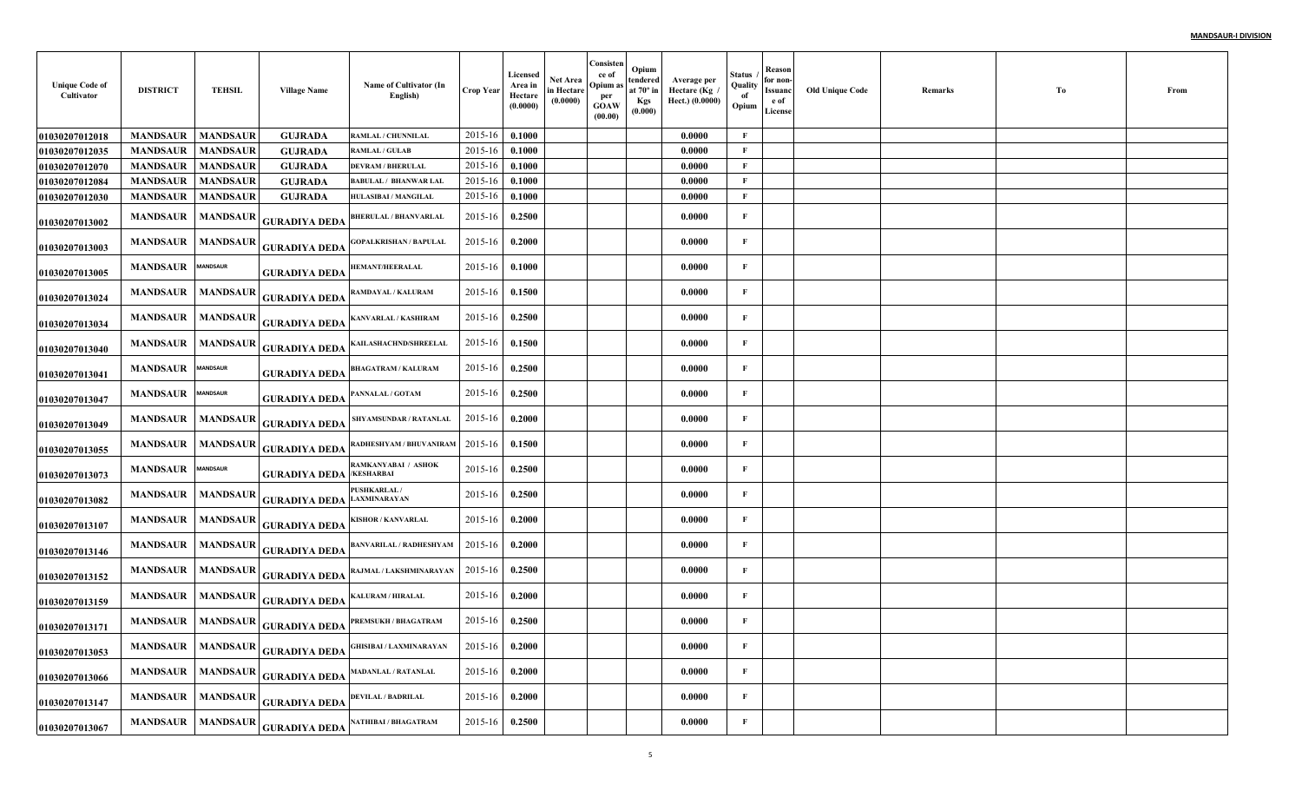| <b>Unique Code of</b><br>Cultivator | <b>DISTRICT</b>          | <b>TEHSIL</b>   | <b>Village Name</b>                                                                                                         | Name of Cultivator (In<br>English)                    | Crop Year   | Licensed<br>Area in<br>Hectare<br>(0.0000) | Net Area<br>in Hectare<br>(0.0000) | Consisten<br>ce of<br>Opium a<br>per<br>GOAW<br>(00.00) | Opium<br>tendered<br>at 70° in<br>Kgs<br>(0.000) | Average per<br>Hectare (Kg /<br>Hect.) (0.0000) | Status<br>Quality<br>of<br>Opium | Reason<br>for non-<br>Issuanc<br>e of<br>License | <b>Old Unique Code</b> | Remarks | Tо | From |
|-------------------------------------|--------------------------|-----------------|-----------------------------------------------------------------------------------------------------------------------------|-------------------------------------------------------|-------------|--------------------------------------------|------------------------------------|---------------------------------------------------------|--------------------------------------------------|-------------------------------------------------|----------------------------------|--------------------------------------------------|------------------------|---------|----|------|
| 01030207012018                      | <b>MANDSAUR</b>          | <b>MANDSAUR</b> | <b>GUJRADA</b>                                                                                                              | RAMLAL / CHUNNILAL                                    | 2015-16     | 0.1000                                     |                                    |                                                         |                                                  | 0.0000                                          | F                                |                                                  |                        |         |    |      |
| 01030207012035                      | <b>MANDSAUR</b>          | <b>MANDSAUR</b> | <b>GUJRADA</b>                                                                                                              | <b>RAMLAL / GULAB</b>                                 | 2015-16     | 0.1000                                     |                                    |                                                         |                                                  | 0.0000                                          | F                                |                                                  |                        |         |    |      |
| 01030207012070                      | <b>MANDSAUR</b>          | <b>MANDSAUR</b> | <b>GUJRADA</b>                                                                                                              | <b>DEVRAM / BHERULAL</b>                              | 2015-16     | 0.1000                                     |                                    |                                                         |                                                  | 0.0000                                          | F                                |                                                  |                        |         |    |      |
| 01030207012084                      | <b>MANDSAUR</b>          | <b>MANDSAUR</b> | <b>GUJRADA</b>                                                                                                              | <b>BABULAL / BHANWAR LAL</b>                          | 2015-16     | 0.1000                                     |                                    |                                                         |                                                  | 0.0000                                          | F                                |                                                  |                        |         |    |      |
| 01030207012030                      | <b>MANDSAUR</b>          | <b>MANDSAUR</b> | <b>GUJRADA</b>                                                                                                              | HULASIBAI / MANGILAL                                  | 2015-16     | 0.1000                                     |                                    |                                                         |                                                  | 0.0000                                          | F                                |                                                  |                        |         |    |      |
| 01030207013002                      |                          |                 | MANDSAUR   MANDSAUR GURADIYA DEDA                                                                                           | <b>BHERULAL / BHANVARLAL</b>                          | 2015-16     | 0.2500                                     |                                    |                                                         |                                                  | 0.0000                                          | F                                |                                                  |                        |         |    |      |
| 01030207013003                      | <b>MANDSAUR</b>          |                 | MANDSAUR GURADIYA DEDA                                                                                                      | <b>GOPALKRISHAN / BAPULAL</b>                         | 2015-16     | 0.2000                                     |                                    |                                                         |                                                  | 0.0000                                          | $\mathbf{F}$                     |                                                  |                        |         |    |      |
| 01030207013005                      | MANDSAUR MANDSAUR        |                 | <b>GURADIYA DEDA</b>                                                                                                        | <b>IEMANT/HEERALAL</b>                                | 2015-16     | 0.1000                                     |                                    |                                                         |                                                  | 0.0000                                          | $\mathbf{F}$                     |                                                  |                        |         |    |      |
| 01030207013024                      |                          |                 | MANDSAUR   MANDSAUR   GURA <u>DIYA DEDA</u>                                                                                 | RAMDAYAL / KALURAM                                    | 2015-16     | 0.1500                                     |                                    |                                                         |                                                  | 0.0000                                          | $\mathbf{F}$                     |                                                  |                        |         |    |      |
| 01030207013034                      |                          |                 | MANDSAUR   MANDSAUR   GURADIYA DEDA                                                                                         | KANVARLAL / KASHIRAM                                  | 2015-16     | 0.2500                                     |                                    |                                                         |                                                  | 0.0000                                          | $\mathbf{F}$                     |                                                  |                        |         |    |      |
| 01030207013040                      | MANDSAUR   MANDSAUR      |                 | <b>GURADIYA DEDA</b>                                                                                                        | KAILASHACHND/SHREELAL                                 | 2015-16     | 0.1500                                     |                                    |                                                         |                                                  | 0.0000                                          | $\mathbf{F}$                     |                                                  |                        |         |    |      |
| 01030207013041                      | <b>MANDSAUR</b> MANDSAUR |                 | <b>GURADIYA DEDA</b>                                                                                                        | <b>BHAGATRAM / KALURAM</b>                            | 2015-16     | 0.2500                                     |                                    |                                                         |                                                  | 0.0000                                          | F                                |                                                  |                        |         |    |      |
| 01030207013047                      | <b>MANDSAUR</b> MANDSAUR |                 | <b>GURADIYA DEDA</b>                                                                                                        | PANNALAL / GOTAM                                      | 2015-16     | 0.2500                                     |                                    |                                                         |                                                  | 0.0000                                          | $\mathbf F$                      |                                                  |                        |         |    |      |
| 01030207013049                      |                          |                 | MANDSAUR   MANDSAUR   GURADIYA DEDA                                                                                         | SHYAMSUNDAR / RATANLAL                                | 2015-16     | 0.2000                                     |                                    |                                                         |                                                  | 0.0000                                          | $\mathbf{F}$                     |                                                  |                        |         |    |      |
| 01030207013055                      |                          |                 | MANDSAUR   MANDSAUR   GURA <u>DIYA DEDA</u>                                                                                 | RADHESHYAM / BHUVANIRAM                               | 2015-16     | 0.1500                                     |                                    |                                                         |                                                  | 0.0000                                          | $\mathbf{F}$                     |                                                  |                        |         |    |      |
| 01030207013073                      | <b>MANDSAUR</b>          | <b>MANDSAUR</b> | <b>GURADIYA DEDA</b>                                                                                                        | RAMKANYABAI / ASHOK<br>/KESHARBAI                     | 2015-16     | 0.2500                                     |                                    |                                                         |                                                  | 0.0000                                          | F                                |                                                  |                        |         |    |      |
| 01030207013082                      |                          |                 | $\begin{array}{c c c c} \textbf{MANDSAUR} & \textbf{MANDSAUR} & \textbf{GURADIYA DEDA} & \textbf{LAXMINARAYAN} \end{array}$ | PUSHKARLAL/                                           | 2015-16     | 0.2500                                     |                                    |                                                         |                                                  | 0.0000                                          | $\mathbf F$                      |                                                  |                        |         |    |      |
| 01030207013107                      |                          |                 | MANDSAUR   MANDSAUR   GURADIYA DEDA                                                                                         | KISHOR / KANVARLAL                                    | 2015-16     | 0.2000                                     |                                    |                                                         |                                                  | 0.0000                                          | $\mathbf{F}$                     |                                                  |                        |         |    |      |
| 01030207013146                      |                          |                 | MANDSAUR   MANDSAUR   GURADIYA DEDA                                                                                         | <b>BANVARILAL / RADHESHYAM</b>                        | 2015-16     | 0.2000                                     |                                    |                                                         |                                                  | 0.0000                                          | $\mathbf F$                      |                                                  |                        |         |    |      |
| 01030207013152                      |                          |                 |                                                                                                                             | MANDSAUR MANDSAUR GURADIYA DEDA RAJMAL/LAKSHMINARAYAN | 2015-16     | 0.2500                                     |                                    |                                                         |                                                  | 0.0000                                          | F                                |                                                  |                        |         |    |      |
| 01030207013159                      |                          |                 | MANDSAUR   MANDSAUR   GURADIYA DEDA                                                                                         | KALURAM / HIRALAL                                     | 2015-16     | 0.2000                                     |                                    |                                                         |                                                  | 0.0000                                          | $\mathbf{F}$                     |                                                  |                        |         |    |      |
| 01030207013171                      |                          |                 |                                                                                                                             | MANDSAUR MANDSAUR GURADIYA DEDA PREMSUKH/BHAGATRAM    | $2015 - 16$ | 0.2500                                     |                                    |                                                         |                                                  | 0.0000                                          | F                                |                                                  |                        |         |    |      |
| 01030207013053                      |                          |                 | MANDSAUR   MANDSAUR   GURADIYA DEDA                                                                                         | <b>GHISIBAI / LAXMINARAYAN</b>                        | 2015-16     | 0.2000                                     |                                    |                                                         |                                                  | 0.0000                                          | F                                |                                                  |                        |         |    |      |
| 01030207013066                      |                          |                 | $\begin{array}{ c c c c }\hline \text{MANDSAUR} & \text{MANDSAUR} & \text{GURADIYA DEDA} \\\hline \end{array}$              | <b>MADANLAL / RATANLAL</b>                            | 2015-16     | 0.2000                                     |                                    |                                                         |                                                  | 0.0000                                          | $\mathbf{F}$                     |                                                  |                        |         |    |      |
| 01030207013147                      |                          |                 | MANDSAUR   MANDSAUR   GURADIYA DEDA                                                                                         | <b>DEVILAL / BADRILAL</b>                             | 2015-16     | 0.2000                                     |                                    |                                                         |                                                  | 0.0000                                          | F                                |                                                  |                        |         |    |      |
| 01030207013067                      |                          |                 | MANDSAUR   MANDSAUR   GURADIYA DEDA                                                                                         | NATHIBAI / BHAGATRAM                                  | 2015-16     | 0.2500                                     |                                    |                                                         |                                                  | 0.0000                                          | $\mathbf{F}$                     |                                                  |                        |         |    |      |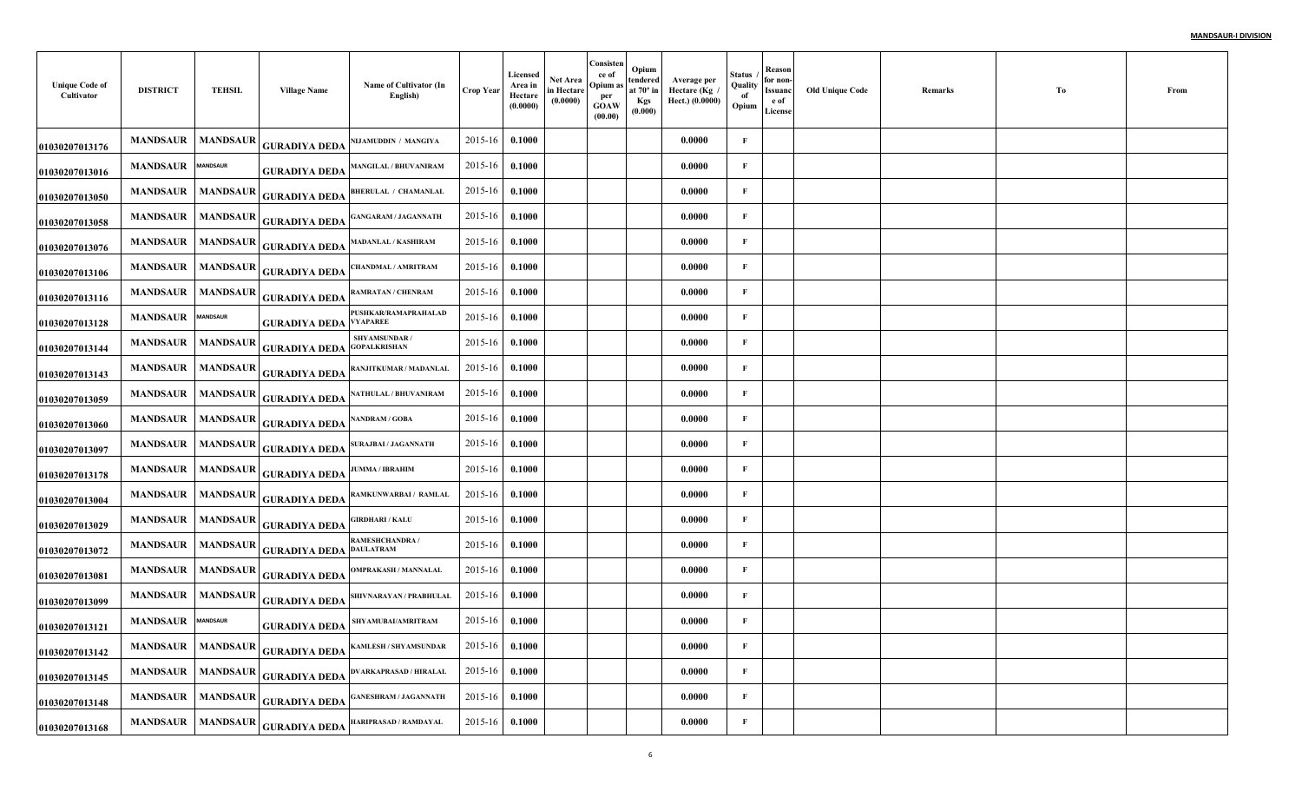| <b>Unique Code of</b><br>Cultivator | <b>DISTRICT</b>   | TEHSIL          | <b>Village Name</b>                                                                                          | Name of Cultivator (In<br>English)   | <b>Crop Year</b> | Licensed<br>Area in<br>Hectare<br>(0.0000) | Net Area<br>in Hectare<br>(0.0000) | Consisten<br>ce of<br>Opium as<br>per<br>GOAW<br>(00.00) | Opium<br>tendered<br>at $70^\circ$ in<br>Kgs<br>(0.000) | Average per<br>Hectare (Kg<br>Hect.) (0.0000) | <b>Status</b><br>Quality<br>of<br>Opium | Reason<br>for non-<br>Issuanc<br>e of<br>License | <b>Old Unique Code</b> | Remarks | To | From |
|-------------------------------------|-------------------|-----------------|--------------------------------------------------------------------------------------------------------------|--------------------------------------|------------------|--------------------------------------------|------------------------------------|----------------------------------------------------------|---------------------------------------------------------|-----------------------------------------------|-----------------------------------------|--------------------------------------------------|------------------------|---------|----|------|
| 01030207013176                      | <b>MANDSAUR</b>   | <b>MANDSAUR</b> | <b>GURADIYA DEDA</b>                                                                                         | NIJAMUDDIN / MANGIYA                 | 2015-16          | 0.1000                                     |                                    |                                                          |                                                         | 0.0000                                        | $\mathbf{F}$                            |                                                  |                        |         |    |      |
| 01030207013016                      | <b>MANDSAUR</b>   | <b>MANDSAUR</b> | <b>GURADIYA DEDA</b>                                                                                         | <b>MANGILAL / BHUVANIRAM</b>         | 2015-16          | 0.1000                                     |                                    |                                                          |                                                         | 0.0000                                        | F                                       |                                                  |                        |         |    |      |
| 01030207013050                      |                   |                 | MANDSAUR   MANDSAUR   GURADIYA DEDA                                                                          | <b>BHERULAL / CHAMANLAL</b>          | 2015-16          | 0.1000                                     |                                    |                                                          |                                                         | 0.0000                                        | $\mathbf{F}$                            |                                                  |                        |         |    |      |
| 01030207013058                      |                   |                 | MANDSAUR   MANDSAUR   GURADIYA DEDA                                                                          | <b>GANGARAM / JAGANNATH</b>          | $2015 - 16$      | 0.1000                                     |                                    |                                                          |                                                         | 0.0000                                        | F                                       |                                                  |                        |         |    |      |
| 01030207013076                      | <b>MANDSAUR</b>   |                 | MANDSAUR GURADIYA DEDA                                                                                       | <b>MADANLAL / KASHIRAM</b>           | 2015-16          | 0.1000                                     |                                    |                                                          |                                                         | 0.0000                                        | $\mathbf{F}$                            |                                                  |                        |         |    |      |
| 01030207013106                      | MANDSAUR MANDSAUR |                 | <b>GURADIYA DEDA</b>                                                                                         | CHANDMAL / AMRITRAM                  | 2015-16          | 0.1000                                     |                                    |                                                          |                                                         | 0.0000                                        | F                                       |                                                  |                        |         |    |      |
| 01030207013116                      |                   |                 | MANDSAUR   MANDSAUR   GURADIYA DEDA                                                                          | RAMRATAN / CHENRAM                   | $2015 - 16$      | 0.1000                                     |                                    |                                                          |                                                         | 0.0000                                        | $\mathbf{F}$                            |                                                  |                        |         |    |      |
| 01030207013128                      | MANDSAUR MANDSAUR |                 | <b>GURADIYA DEDA VYAPAREE</b>                                                                                | PUSHKAR/RAMAPRAHALAD                 | $2015 - 16$      | $\bf{0.1000}$                              |                                    |                                                          |                                                         | 0.0000                                        | $\mathbf{F}$                            |                                                  |                        |         |    |      |
| 01030207013144                      |                   |                 | MANDSAUR   MANDSAUR   GURADIYA DEDA                                                                          | SHYAMSUNDAR /<br><b>GOPALKRISHAN</b> | $2015 - 16$      | 0.1000                                     |                                    |                                                          |                                                         | 0.0000                                        | F                                       |                                                  |                        |         |    |      |
| 01030207013143                      | <b>MANDSAUR</b>   |                 | MANDSAUR GURADIYA DEDA                                                                                       | RANJITKUMAR / MADANLAL               | $2015 - 16$      | 0.1000                                     |                                    |                                                          |                                                         | 0.0000                                        | F                                       |                                                  |                        |         |    |      |
| 01030207013059                      |                   |                 | MANDSAUR   MANDSAUR   GURADIYA DEDA                                                                          | NATHULAL / BHUVANIRAM                | 2015-16          | 0.1000                                     |                                    |                                                          |                                                         | 0.0000                                        | $\mathbf{F}$                            |                                                  |                        |         |    |      |
| 01030207013060                      |                   |                 | $\begin{array}{ c c c }\hline \text{MANDSAUR} & \text{MANDSAUR} & \text{GURADIYA DEDA} \\\hline \end{array}$ | <b>NANDRAM / GOBA</b>                | $2015 - 16$      | 0.1000                                     |                                    |                                                          |                                                         | 0.0000                                        | F                                       |                                                  |                        |         |    |      |
| 01030207013097                      |                   |                 | MANDSAUR MANDSAUR GURADIYA DEDA SURAJBAI/JAGANNATH                                                           |                                      | $2015 - 16$      | 0.1000                                     |                                    |                                                          |                                                         | 0.0000                                        | F                                       |                                                  |                        |         |    |      |
| 01030207013178                      | <b>MANDSAUR</b>   |                 | MANDSAUR GURADIYA DEDA                                                                                       | <b>JUMMA / IBRAHIM</b>               | 2015-16          | 0.1000                                     |                                    |                                                          |                                                         | 0.0000                                        | $\mathbf{F}$                            |                                                  |                        |         |    |      |
| 01030207013004                      |                   |                 | MANDSAUR   MANDSAUR   GURADIYA DEDA                                                                          | RAMKUNWARBAI / RAMLAL                | $2015 - 16$      | 0.1000                                     |                                    |                                                          |                                                         | 0.0000                                        | $\mathbf{F}$                            |                                                  |                        |         |    |      |
| 01030207013029                      |                   |                 | MANDSAUR   MANDSAUR GURADIYA DEDA                                                                            | <b>GIRDHARI / KALU</b>               | 2015-16          | 0.1000                                     |                                    |                                                          |                                                         | 0.0000                                        | $\mathbf{F}$                            |                                                  |                        |         |    |      |
| 01030207013072                      |                   |                 | MANDSAUR   MANDSAUR   GURADIYA DEDA                                                                          | RAMESHCHANDRA /<br><b>DAULATRAM</b>  | $2015 - 16$      | 0.1000                                     |                                    |                                                          |                                                         | 0.0000                                        | $\mathbf{F}$                            |                                                  |                        |         |    |      |
| 01030207013081                      | <b>MANDSAUR</b>   | <b>MANDSAUR</b> | <b>GURADIYA DEDA</b>                                                                                         | <b>OMPRAKASH / MANNALAL</b>          | $2015 - 16$      | 0.1000                                     |                                    |                                                          |                                                         | 0.0000                                        | $\mathbf F$                             |                                                  |                        |         |    |      |
| 01030207013099                      | <b>MANDSAUR</b>   |                 | MANDSAUR GURADIYA DEDA                                                                                       | SHIVNARAYAN / PRABHULAL              | 2015-16          | 0.1000                                     |                                    |                                                          |                                                         | 0.0000                                        | F                                       |                                                  |                        |         |    |      |
| 01030207013121                      | MANDSAUR MANDSAUR |                 | <b>GURADIYA DEDA</b>                                                                                         | SHYAMUBAI/AMRITRAM                   | 2015-16          | 0.1000                                     |                                    |                                                          |                                                         | 0.0000                                        | F                                       |                                                  |                        |         |    |      |
| 01030207013142                      |                   |                 | MANDSAUR   MANDSAUR   GURADIYA DEDA                                                                          | <b>KAMLESH / SHYAMSUNDAR</b>         | 2015-16          | 0.1000                                     |                                    |                                                          |                                                         | 0.0000                                        | $\mathbf{F}$                            |                                                  |                        |         |    |      |
| 01030207013145                      | <b>MANDSAUR</b>   |                 | MANDSAUR GURADIYA DEDA                                                                                       | <b>DVARKAPRASAD / HIRALAL</b>        | $2015 - 16$      | 0.1000                                     |                                    |                                                          |                                                         | 0.0000                                        | $\mathbf{F}$                            |                                                  |                        |         |    |      |
| 01030207013148                      | <b>MANDSAUR</b>   |                 | MANDSAUR GURADIYA DEDA                                                                                       | <b>GANESHRAM / JAGANNATH</b>         | 2015-16          | 0.1000                                     |                                    |                                                          |                                                         | 0.0000                                        | $\mathbf F$                             |                                                  |                        |         |    |      |
| 01030207013168                      |                   |                 | MANDSAUR   MANDSAUR   GURADIYA DEDA                                                                          | HARIPRASAD / RAMDAYAL                | $2015 - 16$      | 0.1000                                     |                                    |                                                          |                                                         | 0.0000                                        | F                                       |                                                  |                        |         |    |      |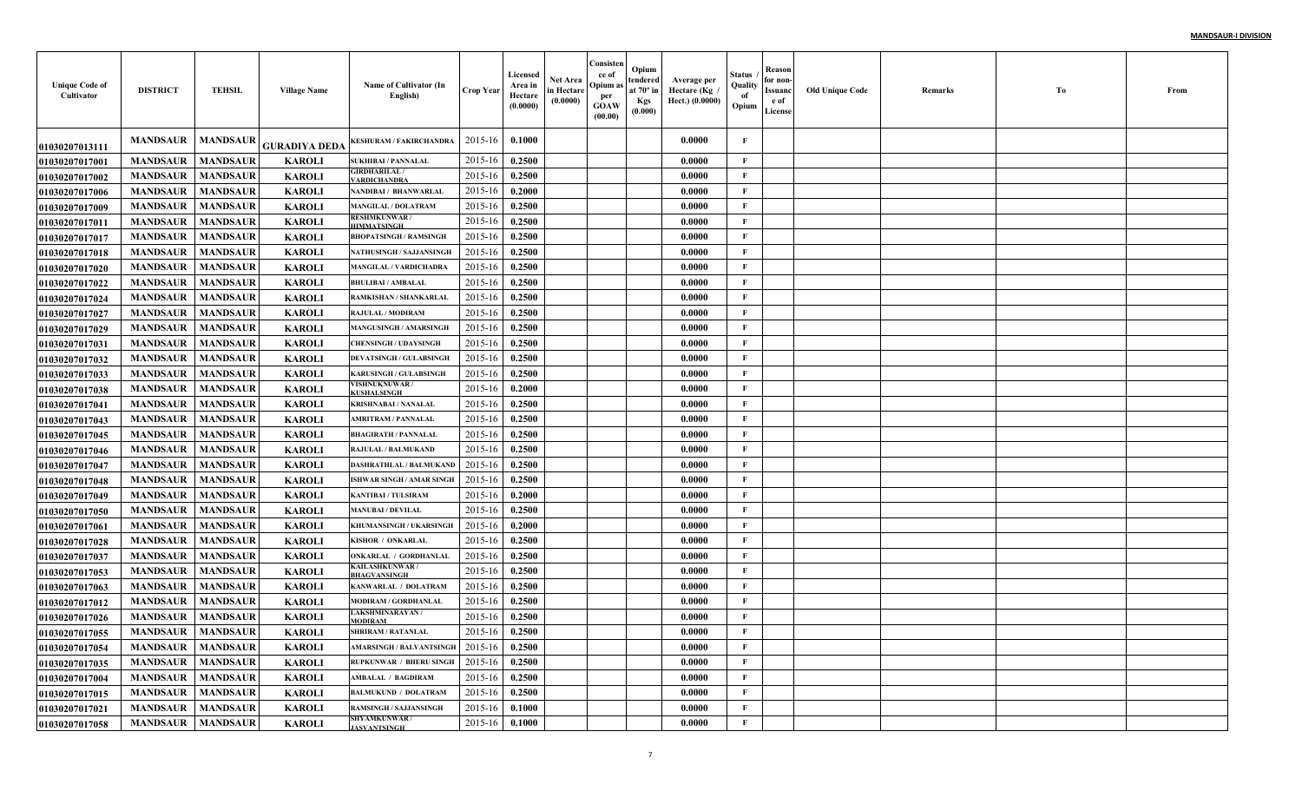| <b>Unique Code of</b><br>Cultivator | <b>DISTRICT</b>            | <b>TEHSIL</b>   | <b>Village Name</b>  | Name of Cultivator (In<br>English)          | <b>Crop Year</b> | Licensed<br>Area in<br>Hectare<br>(0.0000) | <b>Net Area</b><br>in Hectare<br>(0.0000) | Consisten<br>ce of<br>Opium as<br>per<br>GOAW<br>(00.00) | Opium<br>tendered  <br>at $70^\circ$ in<br>Kgs<br>(0.000) | Average per<br>Hectare (Kg<br>Hect.) (0.0000) | Status<br>Quality<br>of<br>Opium | Reason<br>for non-<br><b>Issuanc</b><br>e of<br>License | <b>Old Unique Code</b> | Remarks | Тo | From |
|-------------------------------------|----------------------------|-----------------|----------------------|---------------------------------------------|------------------|--------------------------------------------|-------------------------------------------|----------------------------------------------------------|-----------------------------------------------------------|-----------------------------------------------|----------------------------------|---------------------------------------------------------|------------------------|---------|----|------|
| 01030207013111                      | <b>MANDSAUR</b>            | <b>MANDSAUR</b> | <b>GURADIYA DEDA</b> | <b>KESHURAM / FAKIRCHANDRA</b>              | 2015-16          | 0.1000                                     |                                           |                                                          |                                                           | 0.0000                                        | F                                |                                                         |                        |         |    |      |
| 01030207017001                      | <b>MANDSAUR</b>            | <b>MANDSAUR</b> | <b>KAROLI</b>        | <b>SUKHIBAI / PANNALAL</b>                  | 2015-16          | 0.2500                                     |                                           |                                                          |                                                           | 0.0000                                        | F                                |                                                         |                        |         |    |      |
| <b>01030207017002</b>               | <b>MANDSAUR</b>            | <b>MANDSAUR</b> | <b>KAROLI</b>        | GIRDHARILAL /<br><b>ARDICHANDRA</b>         | 2015-16          | 0.2500                                     |                                           |                                                          |                                                           | 0.0000                                        | F                                |                                                         |                        |         |    |      |
| <b>01030207017006</b>               | <b>MANDSAUR</b>            | <b>MANDSAUR</b> | <b>KAROLI</b>        | NANDIBAI / BHANWARLAI                       | 2015-16          | 0.2000                                     |                                           |                                                          |                                                           | 0.0000                                        | F                                |                                                         |                        |         |    |      |
| <b>01030207017009</b>               | <b>MANDSAUR</b>            | <b>MANDSAUR</b> | <b>KAROLI</b>        | <b>MANGILAL / DOLATRAM</b>                  | 2015-16          | 0.2500                                     |                                           |                                                          |                                                           | 0.0000                                        | F                                |                                                         |                        |         |    |      |
| <b>0103020701701</b> 1              | <b>MANDSAUR</b>            | <b>MANDSAUR</b> | <b>KAROLI</b>        | <b>RESHMKUNWAR/</b><br><b>HIMMATSINGE</b>   | 2015-16          | 0.2500                                     |                                           |                                                          |                                                           | 0.0000                                        | F                                |                                                         |                        |         |    |      |
| <b>01030207017017</b>               | <b>MANDSAUR</b>            | <b>MANDSAUR</b> | <b>KAROLI</b>        | <b>BHOPATSINGH / RAMSINGH</b>               | $2015 - 16$      | 0.2500                                     |                                           |                                                          |                                                           | 0.0000                                        | F                                |                                                         |                        |         |    |      |
| <b>01030207017018</b>               | <b>MANDSAUR</b>            | <b>MANDSAUR</b> | <b>KAROLI</b>        | <b>NATHUSINGH / SAJJANSINGH</b>             | $2015 - 10$      | 0.2500                                     |                                           |                                                          |                                                           | 0.0000                                        | F                                |                                                         |                        |         |    |      |
| <b>01030207017020</b>               | <b>MANDSAUR</b>            | <b>MANDSAUR</b> | <b>KAROLI</b>        | MANGILAL / VARDICHADRA                      | $2015 - 10$      | 0.2500                                     |                                           |                                                          |                                                           | 0.0000                                        | F                                |                                                         |                        |         |    |      |
| <b>01030207017022</b>               | <b>MANDSAUR</b>            | <b>MANDSAUR</b> | <b>KAROLI</b>        | <b>BHULIBAI / AMBALAL</b>                   | $2015 - 1$       | 0.2500                                     |                                           |                                                          |                                                           | 0.0000                                        | F                                |                                                         |                        |         |    |      |
| 01030207017024                      | <b>MANDSAUR</b>            | <b>MANDSAUR</b> | <b>KAROLI</b>        | RAMKISHAN / SHANKARLAI                      | $2015 - 1$       | 0.2500                                     |                                           |                                                          |                                                           | 0.0000                                        | F                                |                                                         |                        |         |    |      |
| <b>01030207017027</b>               | <b>MANDSAUR</b>            | <b>MANDSAUR</b> | <b>KAROLI</b>        | RAJULAL / MODIRAM                           | $2015 - 10$      | 0.2500                                     |                                           |                                                          |                                                           | 0.0000                                        | F                                |                                                         |                        |         |    |      |
| 01030207017029                      | <b>MANDSAUR</b>            | <b>MANDSAUR</b> | <b>KAROLI</b>        | <b>MANGUSINGH / AMARSING</b>                | $2015 - 10$      | 0.2500                                     |                                           |                                                          |                                                           | 0.0000                                        | F                                |                                                         |                        |         |    |      |
| <b>01030207017031</b>               | <b>MANDSAUR</b>            | <b>MANDSAUR</b> | <b>KAROLI</b>        | <b>CHENSINGH / UDAYSINGE</b>                | $2015 - 10$      | 0.2500                                     |                                           |                                                          |                                                           | 0.0000                                        | $\mathbf{F}$                     |                                                         |                        |         |    |      |
| <b>01030207017032</b>               | <b>MANDSAUR</b>            | <b>MANDSAUR</b> | <b>KAROLI</b>        | <b>DEVATSINGH / GULABSINGI</b>              | $2015 - 10$      | 0.2500                                     |                                           |                                                          |                                                           | 0.0000                                        | $\mathbf{F}$                     |                                                         |                        |         |    |      |
| <b>01030207017033</b>               | <b>MANDSAUR</b>            | <b>MANDSAUR</b> | <b>KAROLI</b>        | <b>KARUSINGH / GULABSINGH</b>               | $2015 - 16$      | 0.2500                                     |                                           |                                                          |                                                           | 0.0000                                        | $\mathbf{F}$                     |                                                         |                        |         |    |      |
| 01030207017038                      | <b>MANDSAUR</b>            | <b>MANDSAUR</b> | <b>KAROLI</b>        | <b>VISHNUKNUWAR/</b><br><b>CUSHALSINGH</b>  | $2015 - 16$      | 0.2000                                     |                                           |                                                          |                                                           | 0.0000                                        | F                                |                                                         |                        |         |    |      |
| 01030207017041                      | <b>MANDSAUR</b>            | <b>MANDSAUR</b> | <b>KAROLI</b>        | <b>KRISHNABAI / NANALAL</b>                 | 2015-16          | 0.2500                                     |                                           |                                                          |                                                           | 0.0000                                        | F                                |                                                         |                        |         |    |      |
| <b>01030207017043</b>               | <b>MANDSAUR</b>            | <b>MANDSAUR</b> | <b>KAROLI</b>        | <b>AMRITRAM / PANNALAL</b>                  | 2015-16          | 0.2500                                     |                                           |                                                          |                                                           | 0.0000                                        | $\mathbf{F}$                     |                                                         |                        |         |    |      |
| <b>01030207017045</b>               | <b>MANDSAUR</b>            | <b>MANDSAUR</b> | <b>KAROLI</b>        | <b>BHAGIRATH / PANNALAI</b>                 | $2015 - 16$      | 0.2500                                     |                                           |                                                          |                                                           | 0.0000                                        | F                                |                                                         |                        |         |    |      |
| <b>01030207017046</b>               | <b>MANDSAUR</b>            | <b>MANDSAUR</b> | <b>KAROLI</b>        | RAJULAL / BALMUKAND                         | $2015 - 10$      | 0.2500                                     |                                           |                                                          |                                                           | 0.0000                                        | F                                |                                                         |                        |         |    |      |
| <b>01030207017047</b>               | <b>MANDSAUR</b>            | <b>MANDSAUR</b> | <b>KAROLI</b>        | DASHRATHLAL / BALMUKAND                     | $2015 - 16$      | 0.2500                                     |                                           |                                                          |                                                           | 0.0000                                        | F                                |                                                         |                        |         |    |      |
| <b>01030207017048</b>               | <b>MANDSAUR</b>            | <b>MANDSAUR</b> | <b>KAROLI</b>        | ISHWAR SINGH / AMAR SINGH                   | 2015-16          | 0.2500                                     |                                           |                                                          |                                                           | 0.0000                                        | F                                |                                                         |                        |         |    |      |
| <b>01030207017049</b>               | <b>MANDSAUR</b>            | <b>MANDSAUR</b> | <b>KAROLI</b>        | KANTIBAI / TULSIRAM                         | 2015-16          | 0.2000                                     |                                           |                                                          |                                                           | 0.0000                                        | $\mathbf{F}$                     |                                                         |                        |         |    |      |
| <b>01030207017050</b>               | <b>MANDSAUR</b>            | <b>MANDSAUR</b> | <b>KAROLI</b>        | <b>MANUBAI / DEVILAL</b>                    | 2015-16          | 0.2500                                     |                                           |                                                          |                                                           | 0.0000                                        | F                                |                                                         |                        |         |    |      |
| <b>01030207017061</b>               | <b>MANDSAUR</b>            | <b>MANDSAUR</b> | <b>KAROLI</b>        | KHUMANSINGH / UKARSINGH                     | 2015-16          | 0.2000                                     |                                           |                                                          |                                                           | 0.0000                                        | F                                |                                                         |                        |         |    |      |
| <b>01030207017028</b>               | <b>MANDSAUR</b>            | <b>MANDSAUR</b> | <b>KAROLI</b>        | KISHOR / ONKARLAL                           | 2015-16          | 0.2500                                     |                                           |                                                          |                                                           | 0.0000                                        | F                                |                                                         |                        |         |    |      |
| <b>01030207017037</b>               | <b>MANDSAUR</b>            | <b>MANDSAUR</b> | <b>KAROLI</b>        | ONKARLAL / GORDHANLAL                       | 2015-16          | 0.2500                                     |                                           |                                                          |                                                           | 0.0000                                        | $\mathbf{F}$                     |                                                         |                        |         |    |      |
| 01030207017053                      | <b>MANDSAUR</b>            | <b>MANDSAUR</b> | <b>KAROLI</b>        | <b>KAILASHKUNWAR</b><br><b>BHAGVANSINGH</b> | 2015-16          | 0.2500                                     |                                           |                                                          |                                                           | 0.0000                                        | $\mathbf{F}$                     |                                                         |                        |         |    |      |
| <b>01030207017063</b>               | <b>MANDSAUR</b>            | <b>MANDSAUR</b> | <b>KAROLI</b>        | KANWARLAL / DOLATRAM                        | 2015-16          | 0.2500                                     |                                           |                                                          |                                                           | 0.0000                                        | $\mathbf{F}$                     |                                                         |                        |         |    |      |
| <b>01030207017012</b>               | <b>MANDSAUR</b>            | <b>MANDSAUR</b> | <b>KAROLI</b>        | MODIRAM / GORDHANLAL                        | 2015-16          | 0.2500                                     |                                           |                                                          |                                                           | 0.0000                                        | F                                |                                                         |                        |         |    |      |
| 01030207017026                      | <b>MANDSAUR</b>            | <b>MANDSAUR</b> | <b>KAROLI</b>        | <b>LAKSHMINARAYAN /</b><br><b>MODIRAM</b>   | 2015-16          | 0.2500                                     |                                           |                                                          |                                                           | 0.0000                                        | F                                |                                                         |                        |         |    |      |
| 01030207017055                      | <b>MANDSAUR</b>            | <b>MANDSAUR</b> | <b>KAROLI</b>        | SHRIRAM / RATANLAL                          | 2015-16          | 0.2500                                     |                                           |                                                          |                                                           | 0.0000                                        |                                  |                                                         |                        |         |    |      |
| <b>01030207017054</b>               | MANDSAUR                   | <b>MANDSAUR</b> | <b>KAROLI</b>        | <b>AMARSINGH / BALVANTSINGH</b>             | 2015-16          | 0.2500                                     |                                           |                                                          |                                                           | 0.0000                                        | F                                |                                                         |                        |         |    |      |
| 01030207017035                      | <b>MANDSAUR</b>            | <b>MANDSAUR</b> | <b>KAROLI</b>        | <b>RUPKUNWAR / BHERU SINGH</b>              | 2015-16          | 0.2500                                     |                                           |                                                          |                                                           | 0.0000                                        | F                                |                                                         |                        |         |    |      |
| 01030207017004                      | <b>MANDSAUR</b>            | <b>MANDSAUR</b> | <b>KAROLI</b>        | <b>AMBALAL / BAGDIRAM</b>                   | 2015-16          | 0.2500                                     |                                           |                                                          |                                                           | 0.0000                                        | F                                |                                                         |                        |         |    |      |
| 01030207017015                      | <b>MANDSAUR</b>            | <b>MANDSAUR</b> | <b>KAROLI</b>        | <b>BALMUKUND / DOLATRAM</b>                 | $2015 - 16$      | 0.2500                                     |                                           |                                                          |                                                           | 0.0000                                        | F                                |                                                         |                        |         |    |      |
| <b>01030207017021</b>               | <b>MANDSAUR</b>            | <b>MANDSAUR</b> | <b>KAROLI</b>        | RAMSINGH / SAJJANSINGH                      | 2015-16          | 0.1000                                     |                                           |                                                          |                                                           | 0.0000                                        | F                                |                                                         |                        |         |    |      |
| 01030207017058                      | <b>MANDSAUR   MANDSAUR</b> |                 | <b>KAROLI</b>        | <b>SHYAMKUNWAR /</b><br><b>JASVANTSINGH</b> | $2015 - 16$      | 0.1000                                     |                                           |                                                          |                                                           | 0.0000                                        | F                                |                                                         |                        |         |    |      |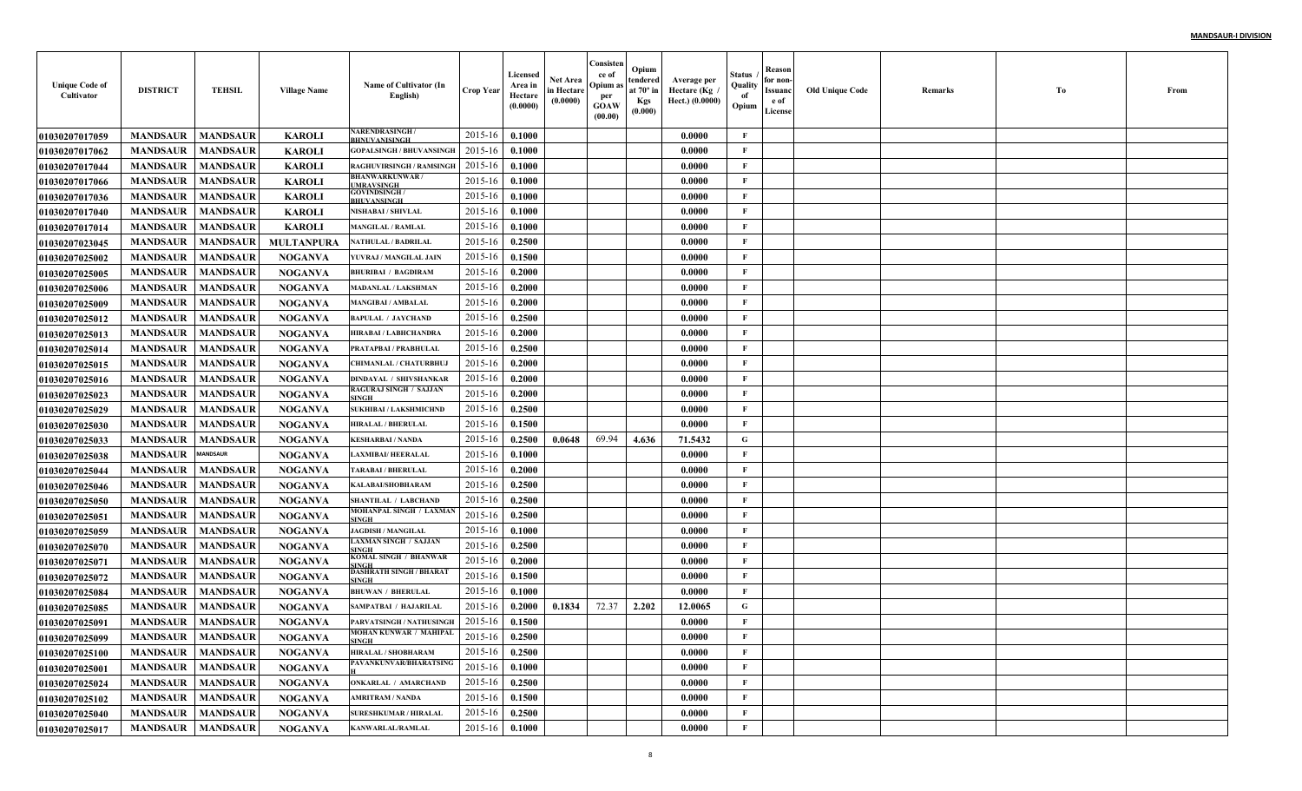| <b>Unique Code of</b><br>Cultivator | <b>DISTRICT</b>            | <b>TEHSIL</b>   | <b>Village Name</b> | Name of Cultivator (In<br>English)         | Crop Year        | Licensed<br>Area in<br>Hectare<br>(0.0000) | Net Area<br>in Hectare<br>(0.0000) | Consisten<br>ce of<br>Opium a<br>per<br><b>GOAW</b><br>(00.00) | Opium<br>tendered<br>at $70^\circ$ in<br><b>Kgs</b><br>(0.000) | Average per<br>Hectare (Kg /<br>Hect.) (0.0000) | Status<br>Quality<br>of<br>Opium | Reason<br>for non-<br>Issuanc<br>e of<br>License | Old Unique Code | Remarks | Tо | From |
|-------------------------------------|----------------------------|-----------------|---------------------|--------------------------------------------|------------------|--------------------------------------------|------------------------------------|----------------------------------------------------------------|----------------------------------------------------------------|-------------------------------------------------|----------------------------------|--------------------------------------------------|-----------------|---------|----|------|
| <b>01030207017059</b>               | <b>MANDSAUR</b>            | <b>MANDSAUR</b> | <b>KAROLI</b>       | <b>NARENDRASINGH/</b><br>BHNUVANISINGH     | 2015-16          | 0.1000                                     |                                    |                                                                |                                                                | 0.0000                                          | F                                |                                                  |                 |         |    |      |
| <b>01030207017062</b>               | <b>MANDSAUR</b>            | <b>MANDSAUR</b> | <b>KAROLI</b>       | <b>GOPALSINGH / BHUVANSINGH</b>            | 2015-16          | 0.1000                                     |                                    |                                                                |                                                                | 0.0000                                          | $\mathbf{F}$                     |                                                  |                 |         |    |      |
| <b>01030207017044</b>               | <b>MANDSAUR</b>            | <b>MANDSAUR</b> | <b>KAROLI</b>       | RAGHUVIRSINGH / RAMSINGH                   | 2015-16          | 0.1000                                     |                                    |                                                                |                                                                | 0.0000                                          | F                                |                                                  |                 |         |    |      |
| <b>01030207017066</b>               | <b>MANDSAUR</b>            | <b>MANDSAUR</b> | <b>KAROLI</b>       | <b>BHANWARKUNWAR/</b><br><b>MRAVSINGH</b>  | 2015-16          | 0.1000                                     |                                    |                                                                |                                                                | 0.0000                                          | F                                |                                                  |                 |         |    |      |
| <b>01030207017036</b>               | <b>MANDSAUR</b>            | <b>MANDSAUR</b> | <b>KAROLI</b>       | <b>GOVINDSINGH /</b><br><b>BHUVANSINGH</b> | 2015-16          | 0.1000                                     |                                    |                                                                |                                                                | 0.0000                                          | $\mathbf{F}$                     |                                                  |                 |         |    |      |
| 01030207017040                      | <b>MANDSAUR</b>            | <b>MANDSAUR</b> | <b>KAROLI</b>       | NISHABAI / SHIVLAL                         | 2015-16          | 0.1000                                     |                                    |                                                                |                                                                | 0.0000                                          | $\mathbf{F}$                     |                                                  |                 |         |    |      |
| 01030207017014                      | <b>MANDSAUR</b>            | <b>MANDSAUR</b> | <b>KAROLI</b>       | <b>MANGILAL / RAMLAL</b>                   | 2015-16          | 0.1000                                     |                                    |                                                                |                                                                | 0.0000                                          | F                                |                                                  |                 |         |    |      |
| <b>01030207023045</b>               | <b>MANDSAUR</b>            | MANDSAUR        | <b>MULTANPURA</b>   | NATHULAL / BADRILAL                        | 2015-16          | 0.2500                                     |                                    |                                                                |                                                                | 0.0000                                          | F                                |                                                  |                 |         |    |      |
| <b>01030207025002</b>               | <b>MANDSAUR</b>            | <b>MANDSAUR</b> | <b>NOGANVA</b>      | YUVRAJ / MANGILAL JAIN                     | 2015-16          | 0.1500                                     |                                    |                                                                |                                                                | 0.0000                                          | F                                |                                                  |                 |         |    |      |
| <b>01030207025005</b>               | <b>MANDSAUR</b>            | MANDSAUR        | <b>NOGANVA</b>      | <b>BHURIBAI / BAGDIRAM</b>                 | 2015-16          | 0.2000                                     |                                    |                                                                |                                                                | 0.0000                                          | F                                |                                                  |                 |         |    |      |
| <b>01030207025006</b>               | <b>MANDSAUR</b>            | <b>MANDSAUR</b> | <b>NOGANVA</b>      | <b>MADANLAL / LAKSHMAN</b>                 | 2015-16          | 0.2000                                     |                                    |                                                                |                                                                | 0.0000                                          | $\mathbf{F}$                     |                                                  |                 |         |    |      |
| <b>01030207025009</b>               | <b>MANDSAUR</b>            | <b>MANDSAUR</b> | <b>NOGANVA</b>      | <b>MANGIBAI / AMBALAL</b>                  | 2015-16          | 0.2000                                     |                                    |                                                                |                                                                | 0.0000                                          | $\mathbf{F}$                     |                                                  |                 |         |    |      |
| <b>01030207025012</b>               | <b>MANDSAUR</b>            | <b>MANDSAUR</b> | <b>NOGANVA</b>      | <b>BAPULAL / JAYCHAND</b>                  | 2015-16          | 0.2500                                     |                                    |                                                                |                                                                | 0.0000                                          | $\mathbf{F}$                     |                                                  |                 |         |    |      |
| <b>01030207025013</b>               | <b>MANDSAUR</b>            | <b>MANDSAUR</b> | <b>NOGANVA</b>      | HIRABAI / LABHCHANDRA                      | 2015-16          | 0.2000                                     |                                    |                                                                |                                                                | 0.0000                                          | $\mathbf{F}$                     |                                                  |                 |         |    |      |
| 01030207025014                      | <b>MANDSAUR</b>            | <b>MANDSAUR</b> | <b>NOGANVA</b>      | PRATAPBAI / PRABHULAI                      | 2015-16          | 0.2500                                     |                                    |                                                                |                                                                | 0.0000                                          | $\mathbf{F}$                     |                                                  |                 |         |    |      |
| <b>01030207025015</b>               | <b>MANDSAUR</b>            | <b>MANDSAUR</b> | <b>NOGANVA</b>      | <b>CHIMANLAL / CHATURBHU.</b>              | 2015-16          | 0.2000                                     |                                    |                                                                |                                                                | 0.0000                                          | $\mathbf{F}$                     |                                                  |                 |         |    |      |
| <b>01030207025016</b>               | <b>MANDSAUR</b>            | <b>MANDSAUR</b> | <b>NOGANVA</b>      | DINDAYAL / SHIVSHANKAR                     | 2015-16          | 0.2000                                     |                                    |                                                                |                                                                | 0.0000                                          | $\mathbf{F}$                     |                                                  |                 |         |    |      |
| <b>01030207025023</b>               | <b>MANDSAUR</b>            | <b>MANDSAUR</b> | <b>NOGANVA</b>      | RAGURAJ SINGH / SAJJAN<br>SINGH            | 2015-16          | 0.2000                                     |                                    |                                                                |                                                                | 0.0000                                          | $\mathbf{F}$                     |                                                  |                 |         |    |      |
| <b>01030207025029</b>               | <b>MANDSAUR</b>            | <b>MANDSAUR</b> | <b>NOGANVA</b>      | <b>SUKHIBAI / LAKSHMICHND</b>              | 2015-16          | 0.2500                                     |                                    |                                                                |                                                                | 0.0000                                          | $\mathbf{F}$                     |                                                  |                 |         |    |      |
| <b>01030207025030</b>               | <b>MANDSAUR</b>            | <b>MANDSAUR</b> | <b>NOGANVA</b>      | <b>HIRALAL / BHERULAL</b>                  | 2015-16          | 0.1500                                     |                                    |                                                                |                                                                | 0.0000                                          | $\mathbf{F}$                     |                                                  |                 |         |    |      |
| <b>01030207025033</b>               | <b>MANDSAUR</b>            | <b>MANDSAUR</b> | <b>NOGANVA</b>      | <b>KESHARBAI / NANDA</b>                   | 2015-16          | 0.2500                                     | 0.0648                             | 69.94                                                          | 4.636                                                          | 71.5432                                         | G                                |                                                  |                 |         |    |      |
| <b>01030207025038</b>               | <b>MANDSAUR</b>            | <b>ANDSAUR</b>  | <b>NOGANVA</b>      | <b>LAXMIBAI/HEERALAL</b>                   | 2015-16          | 0.1000                                     |                                    |                                                                |                                                                | 0.0000                                          | F                                |                                                  |                 |         |    |      |
| <b>01030207025044</b>               | <b>MANDSAUR</b>            | <b>MANDSAUR</b> | <b>NOGANVA</b>      | <b>TARABAI / BHERULAL</b>                  | 2015-16          | 0.2000                                     |                                    |                                                                |                                                                | 0.0000                                          | $\mathbf{F}$                     |                                                  |                 |         |    |      |
| <b>01030207025046</b>               | <b>MANDSAUR</b>            | <b>MANDSAUR</b> | <b>NOGANVA</b>      | KALABAI/SHOBHARAM                          | 2015-16          | 0.2500                                     |                                    |                                                                |                                                                | 0.0000                                          | $\mathbf{F}$                     |                                                  |                 |         |    |      |
| <b>01030207025050</b>               | <b>MANDSAUR</b>            | <b>MANDSAUR</b> | <b>NOGANVA</b>      | <b>SHANTILAL / LABCHAND</b>                | 2015-16          | 0.2500                                     |                                    |                                                                |                                                                | 0.0000                                          | $\mathbf{F}$                     |                                                  |                 |         |    |      |
| <b>01030207025051</b>               | <b>MANDSAUR</b>            | <b>MANDSAUR</b> | <b>NOGANVA</b>      | MOHANPAL SINGH / LAXMAN<br>SINGH           | 2015-16          | 0.2500                                     |                                    |                                                                |                                                                | 0.0000                                          | F                                |                                                  |                 |         |    |      |
| <b>01030207025059</b>               | <b>MANDSAUR</b>            | <b>MANDSAUR</b> | <b>NOGANVA</b>      | <b>JAGDISH / MANGILAL</b>                  | 2015-16          | 0.1000                                     |                                    |                                                                |                                                                | 0.0000                                          | $\mathbf{F}$                     |                                                  |                 |         |    |      |
| <b>01030207025070</b>               | <b>MANDSAUR</b>            | <b>MANDSAUR</b> | <b>NOGANVA</b>      | LAXMAN SINGH / SAJJAN<br><b>INGE</b>       | 2015-16          | 0.2500                                     |                                    |                                                                |                                                                | 0.0000                                          | $\mathbf{F}$                     |                                                  |                 |         |    |      |
| 01030207025071                      | <b>MANDSAUR</b>            | <b>MANDSAUR</b> | <b>NOGANVA</b>      | KOMAL SINGH / BHANWAR<br><b>INGE</b>       | 2015-16          | 0.2000                                     |                                    |                                                                |                                                                | 0.0000                                          | $\mathbf{F}$                     |                                                  |                 |         |    |      |
| <b>01030207025072</b>               | <b>MANDSAUR</b>            | <b>MANDSAUR</b> | <b>NOGANVA</b>      | DASHRATH SINGH / BHARAT<br>SINGH           | 2015-16          | 0.1500                                     |                                    |                                                                |                                                                | 0.0000                                          | $\mathbf{F}$                     |                                                  |                 |         |    |      |
| 01030207025084                      | <b>MANDSAUR</b>            | <b>MANDSAUR</b> | <b>NOGANVA</b>      | <b>BHUWAN / BHERULAL</b>                   | 2015-16          | 0.1000                                     |                                    |                                                                |                                                                | 0.0000                                          | F                                |                                                  |                 |         |    |      |
| <b>01030207025085</b>               | <b>MANDSAUR</b>            | <b>MANDSAUR</b> | <b>NOGANVA</b>      | SAMPATBAI / HAJARILAI                      | 2015-16          | 0.2000                                     | 0.1834                             | 72.37                                                          | 2.202                                                          | 12.0065                                         | G                                |                                                  |                 |         |    |      |
| <b>01030207025091</b>               | <b>MANDSAUR</b>            | <b>MANDSAUR</b> | NOGANVA             | PARVATSINGH / NATHUSINGH                   | 2015-16          | 0.1500                                     |                                    |                                                                |                                                                | 0.0000                                          | F                                |                                                  |                 |         |    |      |
| <b>01030207025099</b>               | <b>MANDSAUR</b>   MANDSAUR |                 | <b>NOGANVA</b>      | MOHAN KUNWAR / MAHIPAL<br><b>SINGH</b>     | $2015-16$ 0.2500 |                                            |                                    |                                                                |                                                                | 0.0000                                          | $\mathbf{F}$                     |                                                  |                 |         |    |      |
| 01030207025100                      | MANDSAUR                   | <b>MANDSAUR</b> | <b>NOGANVA</b>      | HIRALAL / SHOBHARAM                        | 2015-16          | 0.2500                                     |                                    |                                                                |                                                                | 0.0000                                          | F                                |                                                  |                 |         |    |      |
| <b>01030207025001</b>               | <b>MANDSAUR</b>            | <b>MANDSAUR</b> | <b>NOGANVA</b>      | PAVANKUNVAR/BHARATSING                     | 2015-16          | 0.1000                                     |                                    |                                                                |                                                                | 0.0000                                          | F                                |                                                  |                 |         |    |      |
| 01030207025024                      | <b>MANDSAUR</b>            | <b>MANDSAUR</b> | <b>NOGANVA</b>      | <b>ONKARLAL / AMARCHAND</b>                | 2015-16          | 0.2500                                     |                                    |                                                                |                                                                | 0.0000                                          | $\mathbf{F}$                     |                                                  |                 |         |    |      |
| <b>01030207025102</b>               | <b>MANDSAUR</b>            | <b>MANDSAUR</b> | <b>NOGANVA</b>      | <b>AMRITRAM / NANDA</b>                    | 2015-16          | 0.1500                                     |                                    |                                                                |                                                                | 0.0000                                          | $\mathbf{F}$                     |                                                  |                 |         |    |      |
| 01030207025040                      | <b>MANDSAUR</b>            | <b>MANDSAUR</b> | <b>NOGANVA</b>      | <b>SURESHKUMAR / HIRALAL</b>               | 2015-16          | 0.2500                                     |                                    |                                                                |                                                                | 0.0000                                          | F                                |                                                  |                 |         |    |      |
| 01030207025017                      | <b>MANDSAUR</b>            | <b>MANDSAUR</b> | <b>NOGANVA</b>      | KANWARLAL/RAMLAL                           | 2015-16          | 0.1000                                     |                                    |                                                                |                                                                | 0.0000                                          | $\mathbf F$                      |                                                  |                 |         |    |      |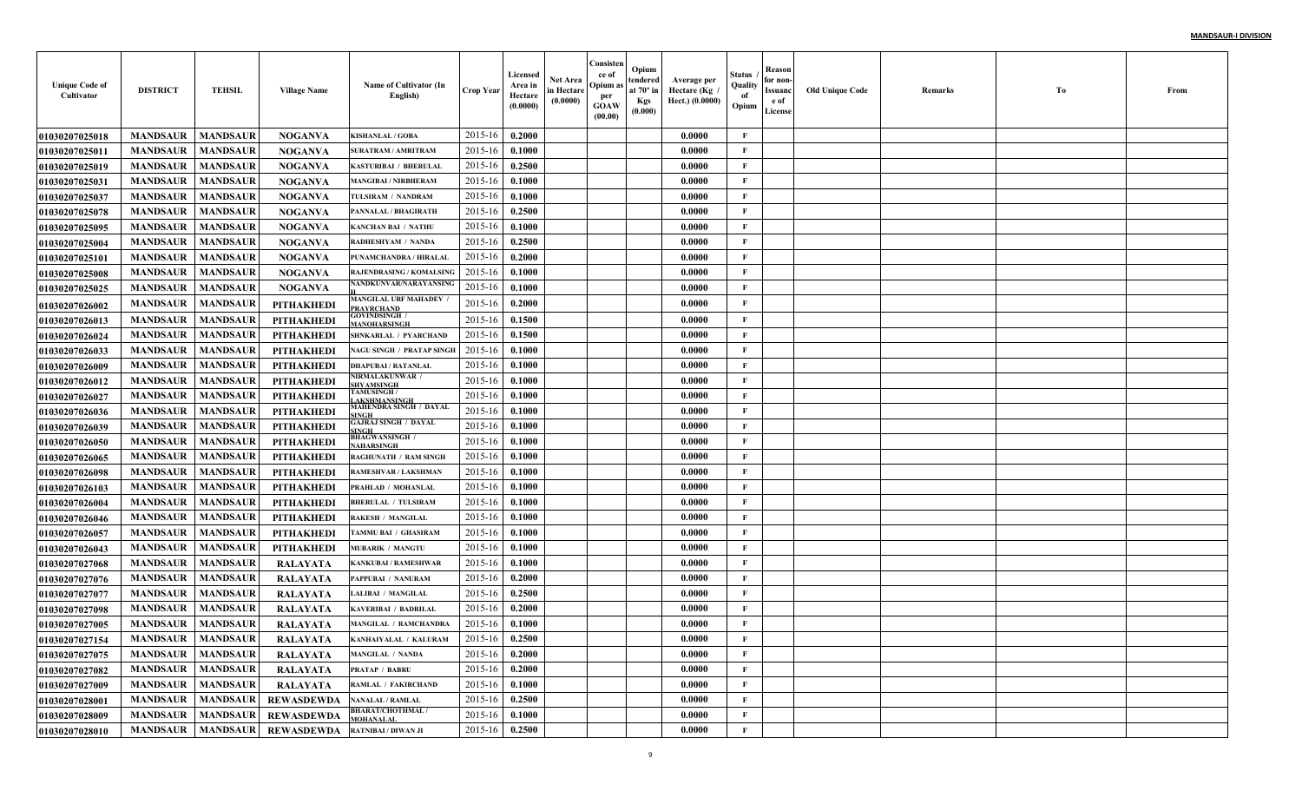| <b>Unique Code of</b><br>Cultivator | <b>DISTRICT</b>            | <b>TEHSIL</b>   | <b>Village Name</b> | Name of Cultivator (In<br>English)          | <b>Crop Year</b> | Licensed<br>Area in<br>Hectare<br>(0.0000) | Net Area<br>in Hectare<br>(0.0000) | Consisten<br>ce of<br>Opium a<br>per<br><b>GOAW</b><br>(00.00) | Opium<br>tendered<br>at $70^\circ$ in<br><b>Kgs</b><br>(0.000) | Average per<br>Hectare (Kg<br>Hect.) (0.0000) | Status<br>Quality<br>of<br>Opium | Reason<br>for non-<br>Issuanc<br>e of<br>License | <b>Old Unique Code</b> | Remarks | Тo | From |
|-------------------------------------|----------------------------|-----------------|---------------------|---------------------------------------------|------------------|--------------------------------------------|------------------------------------|----------------------------------------------------------------|----------------------------------------------------------------|-----------------------------------------------|----------------------------------|--------------------------------------------------|------------------------|---------|----|------|
| <b>01030207025018</b>               | <b>MANDSAUR</b>            | <b>MANDSAUR</b> | <b>NOGANVA</b>      | <b>KISHANLAL / GOBA</b>                     | 2015-16          | 0.2000                                     |                                    |                                                                |                                                                | 0.0000                                        | F                                |                                                  |                        |         |    |      |
| <b>0103020702501</b> 1              | <b>MANDSAUR</b>            | <b>MANDSAUR</b> | <b>NOGANVA</b>      | <b>SURATRAM / AMRITRAM</b>                  | 2015-16          | 0.1000                                     |                                    |                                                                |                                                                | 0.0000                                        | $\mathbf{F}$                     |                                                  |                        |         |    |      |
| <b>01030207025019</b>               | <b>MANDSAUR</b>            | <b>MANDSAUR</b> | <b>NOGANVA</b>      | <b>KASTURIBAI / BHERULAI</b>                | 2015-16          | 0.2500                                     |                                    |                                                                |                                                                | 0.0000                                        | $\mathbf{F}$                     |                                                  |                        |         |    |      |
| 01030207025031                      | <b>MANDSAUR</b>            | <b>MANDSAUR</b> | <b>NOGANVA</b>      | <b>MANGIBAI / NIRBHERAM</b>                 | 2015-16          | 0.1000                                     |                                    |                                                                |                                                                | 0.0000                                        | $\mathbf{F}$                     |                                                  |                        |         |    |      |
| <b>01030207025037</b>               | <b>MANDSAUR</b>            | <b>MANDSAUR</b> | <b>NOGANVA</b>      | TULSIRAM / NANDRAM                          | 2015-16          | 0.1000                                     |                                    |                                                                |                                                                | 0.0000                                        | $\mathbf{F}$                     |                                                  |                        |         |    |      |
| 01030207025078                      | <b>MANDSAUR</b>            | <b>MANDSAUR</b> | <b>NOGANVA</b>      | PANNALAL / BHAGIRATH                        | 2015-16          | 0.2500                                     |                                    |                                                                |                                                                | 0.0000                                        | $\mathbf{F}$                     |                                                  |                        |         |    |      |
| <b>01030207025095</b>               | <b>MANDSAUR</b>            | <b>MANDSAUR</b> | <b>NOGANVA</b>      | <b>KANCHAN BAI / NATHU</b>                  | 2015-16          | 0.1000                                     |                                    |                                                                |                                                                | 0.0000                                        | $\mathbf{F}$                     |                                                  |                        |         |    |      |
| 01030207025004                      | <b>MANDSAUR</b>            | <b>MANDSAUR</b> | <b>NOGANVA</b>      | <b>RADHESHYAM / NANDA</b>                   | 2015-16          | 0.2500                                     |                                    |                                                                |                                                                | 0.0000                                        | F                                |                                                  |                        |         |    |      |
| <b>0103020702510</b> 1              | <b>MANDSAUR</b>            | <b>MANDSAUR</b> | <b>NOGANVA</b>      | PUNAMCHANDRA / HIRALAL                      | 2015-16          | 0.2000                                     |                                    |                                                                |                                                                | 0.0000                                        | $\mathbf{F}$                     |                                                  |                        |         |    |      |
| <b>01030207025008</b>               | <b>MANDSAUR</b>            | <b>MANDSAUR</b> | <b>NOGANVA</b>      | <b>RAJENDRASING / KOMALSING</b>             | 2015-16          | 0.1000                                     |                                    |                                                                |                                                                | 0.0000                                        | $\mathbf{F}$                     |                                                  |                        |         |    |      |
| <b>01030207025025</b>               | <b>MANDSAUR</b>            | <b>MANDSAUR</b> | <b>NOGANVA</b>      | NANDKUNVAR/NARAYANSING                      | 2015-16          | 0.1000                                     |                                    |                                                                |                                                                | 0.0000                                        | $\mathbf{F}$                     |                                                  |                        |         |    |      |
| <b>01030207026002</b>               | <b>MANDSAUR</b>            | <b>MANDSAUR</b> | <b>PITHAKHEDI</b>   | MANGILAL URF MAHADEV<br><b>PRAYRCHAND</b>   | 2015-16          | 0.2000                                     |                                    |                                                                |                                                                | 0.0000                                        | F                                |                                                  |                        |         |    |      |
| 01030207026013                      | <b>MANDSAUR</b>            | <b>MANDSAUR</b> | <b>PITHAKHEDI</b>   | <b>GOVINDSINGH</b> /<br><b>ANOHARSINGH</b>  | 2015-16          | 0.1500                                     |                                    |                                                                |                                                                | 0.0000                                        | $\mathbf{F}$                     |                                                  |                        |         |    |      |
| <b>01030207026024</b>               | <b>MANDSAUR</b>            | <b>MANDSAUR</b> | <b>PITHAKHEDI</b>   | SHNKARLAL / PYARCHAND                       | 2015-16          | 0.1500                                     |                                    |                                                                |                                                                | 0.0000                                        | F                                |                                                  |                        |         |    |      |
| <b>01030207026033</b>               | <b>MANDSAUR</b>            | <b>MANDSAUR</b> | <b>PITHAKHEDI</b>   | NAGU SINGH / PRATAP SINGE                   | 2015-16          | 0.1000                                     |                                    |                                                                |                                                                | 0.0000                                        | $\mathbf{F}$                     |                                                  |                        |         |    |      |
| <b>01030207026009</b>               | <b>MANDSAUR</b>            | <b>MANDSAUR</b> | PITHAKHEDI          | <b>DHAPUBAI / RATANLAL</b>                  | 2015-16          | 0.1000                                     |                                    |                                                                |                                                                | 0.0000                                        | $\mathbf{F}$                     |                                                  |                        |         |    |      |
| <b>01030207026012</b>               | <b>MANDSAUR</b>            | <b>MANDSAUR</b> | PITHAKHEDI          | <b>NIRMALAKUNWAR /</b><br><b>HYAMSINGH</b>  | 2015-16          | 0.1000                                     |                                    |                                                                |                                                                | 0.0000                                        | $\mathbf{F}$                     |                                                  |                        |         |    |      |
| <b>01030207026027</b>               | <b>MANDSAUR</b>            | <b>MANDSAUR</b> | PITHAKHEDI          | <b>TAMUSINGH/</b><br><b>AKSHMANSINGH</b>    | 2015-16          | 0.1000                                     |                                    |                                                                |                                                                | 0.0000                                        | $\mathbf{F}$                     |                                                  |                        |         |    |      |
| <b>01030207026036</b>               | <b>MANDSAUR</b>            | <b>MANDSAUR</b> | <b>PITHAKHEDI</b>   | MAHENDRA SINGH / DAYAL<br><b>INGH</b>       | 2015-16          | 0.1000                                     |                                    |                                                                |                                                                | 0.0000                                        | $\mathbf{F}$                     |                                                  |                        |         |    |      |
| <b>01030207026039</b>               | <b>MANDSAUR</b>            | <b>MANDSAUR</b> | <b>PITHAKHEDI</b>   | <b>GAJRAJ SINGH / DAYAL</b><br><b>INGH</b>  | 2015-16          | 0.1000                                     |                                    |                                                                |                                                                | 0.0000                                        | $\mathbf{F}$                     |                                                  |                        |         |    |      |
| <b>01030207026050</b>               | <b>MANDSAUR</b>            | <b>MANDSAUR</b> | <b>PITHAKHEDI</b>   | <b>BHAGWANSINGH /</b><br>AHARSINGH          | 2015-16          | 0.1000                                     |                                    |                                                                |                                                                | 0.0000                                        | $\mathbf{F}$                     |                                                  |                        |         |    |      |
| <b>01030207026065</b>               | <b>MANDSAUR</b>            | <b>MANDSAUR</b> | <b>PITHAKHEDI</b>   | RAGHUNATH / RAM SINGH                       | 2015-16          | 0.1000                                     |                                    |                                                                |                                                                | 0.0000                                        | $\mathbf{F}$                     |                                                  |                        |         |    |      |
| <b>01030207026098</b>               | <b>MANDSAUR</b>            | <b>MANDSAUR</b> | <b>PITHAKHEDI</b>   | RAMESHVAR / LAKSHMAN                        | 2015-16          | 0.1000                                     |                                    |                                                                |                                                                | 0.0000                                        | $\mathbf{F}$                     |                                                  |                        |         |    |      |
| <b>01030207026103</b>               | <b>MANDSAUR</b>            | <b>MANDSAUR</b> | <b>PITHAKHEDI</b>   | PRAHLAD / MOHANLAL                          | 2015-16          | 0.1000                                     |                                    |                                                                |                                                                | 0.0000                                        | $\mathbf{F}$                     |                                                  |                        |         |    |      |
| <b>01030207026004</b>               | <b>MANDSAUR</b>            | <b>MANDSAUR</b> | <b>PITHAKHEDI</b>   | <b>BHERULAL / TULSIRAM</b>                  | 2015-16          | 0.1000                                     |                                    |                                                                |                                                                | 0.0000                                        | $\mathbf{F}$                     |                                                  |                        |         |    |      |
| <b>01030207026046</b>               | <b>MANDSAUR</b>            | <b>MANDSAUR</b> | <b>PITHAKHEDI</b>   | <b>RAKESH / MANGILAL</b>                    | 2015-16          | 0.1000                                     |                                    |                                                                |                                                                | 0.0000                                        | $\mathbf{F}$                     |                                                  |                        |         |    |      |
| <b>01030207026057</b>               | <b>MANDSAUR</b>            | <b>MANDSAUR</b> | <b>PITHAKHEDI</b>   | TAMMU BAI / GHASIRAM                        | 2015-16          | 0.1000                                     |                                    |                                                                |                                                                | 0.0000                                        | $\mathbf{F}$                     |                                                  |                        |         |    |      |
| <b>01030207026043</b>               | <b>MANDSAUR</b>            | <b>MANDSAUR</b> | <b>PITHAKHEDI</b>   | <b>MUBARIK / MANGTU</b>                     | 2015-16          | 0.1000                                     |                                    |                                                                |                                                                | 0.0000                                        | $\mathbf{F}$                     |                                                  |                        |         |    |      |
| <b>01030207027068</b>               | <b>MANDSAUR</b>            | <b>MANDSAUR</b> | <b>RALAYATA</b>     | <b>KANKUBAI / RAMESHWAR</b>                 | 2015-16          | 0.1000                                     |                                    |                                                                |                                                                | 0.0000                                        | $\mathbf{F}$                     |                                                  |                        |         |    |      |
| <b>01030207027076</b>               | <b>MANDSAUR</b>            | <b>MANDSAUR</b> | <b>RALAYATA</b>     | PAPPUBAI / NANURAM                          | 2015-16          | 0.2000                                     |                                    |                                                                |                                                                | 0.0000                                        | $\mathbf{F}$                     |                                                  |                        |         |    |      |
| <b>01030207027077</b>               | <b>MANDSAUR</b>            | <b>MANDSAUR</b> | <b>RALAYATA</b>     | <b>LALIBAI / MANGILAL</b>                   | 2015-16          | 0.2500                                     |                                    |                                                                |                                                                | 0.0000                                        | $\mathbf{F}$                     |                                                  |                        |         |    |      |
| <b>01030207027098</b>               | <b>MANDSAUR</b>            | <b>MANDSAUR</b> | RALAYATA            | <b>KAVERIBAI / BADRILAI</b>                 | 2015-16          | 0.2000                                     |                                    |                                                                |                                                                | 0.0000                                        | $\mathbf{F}$                     |                                                  |                        |         |    |      |
| 01030207027005                      | <b>MANDSAUR</b>            | <b>MANDSAUR</b> | <b>RALAYATA</b>     | <b>MANGILAL / RAMCHANDRA</b>                | 2015-16          | 0.1000                                     |                                    |                                                                |                                                                | 0.0000                                        | F                                |                                                  |                        |         |    |      |
| 01030207027154                      | <b>MANDSAUR</b>   MANDSAUR |                 | RALAYATA            | KANHAIYALAL / KALURAM                       | $2015-16$ 0.2500 |                                            |                                    |                                                                |                                                                | 0.0000                                        | F                                |                                                  |                        |         |    |      |
| 01030207027075                      | <b>MANDSAUR</b>            | <b>MANDSAUR</b> | <b>RALAYATA</b>     | <b>MANGILAL / NANDA</b>                     | 2015-16          | 0.2000                                     |                                    |                                                                |                                                                | 0.0000                                        | $\mathbf{F}$                     |                                                  |                        |         |    |      |
| 01030207027082                      | <b>MANDSAUR</b>            | <b>MANDSAUR</b> | <b>RALAYATA</b>     | <b>PRATAP / BABRU</b>                       | 2015-16          | 0.2000                                     |                                    |                                                                |                                                                | 0.0000                                        | $\mathbf{F}$                     |                                                  |                        |         |    |      |
| 01030207027009                      | <b>MANDSAUR</b>            | <b>MANDSAUR</b> | <b>RALAYATA</b>     | RAMLAL / FAKIRCHAND                         | 2015-16          | 0.1000                                     |                                    |                                                                |                                                                | 0.0000                                        | $\mathbf{F}$                     |                                                  |                        |         |    |      |
| <b>01030207028001</b>               | <b>MANDSAUR</b>            | <b>MANDSAUR</b> | <b>REWASDEWDA</b>   | <b>NANALAL / RAMLAL</b>                     | 2015-16          | 0.2500                                     |                                    |                                                                |                                                                | 0.0000                                        | $\mathbf{F}$                     |                                                  |                        |         |    |      |
| 01030207028009                      | <b>MANDSAUR</b>            | <b>MANDSAUR</b> | <b>REWASDEWDA</b>   | <b>BHARAT/CHOTHMAL/</b><br><b>MOHANALAL</b> | 2015-16          | 0.1000                                     |                                    |                                                                |                                                                | 0.0000                                        | $\mathbf{F}$                     |                                                  |                        |         |    |      |
| 01030207028010                      | MANDSAUR                   |                 | MANDSAUR REWASDEWDA | <b>RATNIBAI / DIWAN JI</b>                  | 2015-16          | 0.2500                                     |                                    |                                                                |                                                                | 0.0000                                        | $\mathbf{F}$                     |                                                  |                        |         |    |      |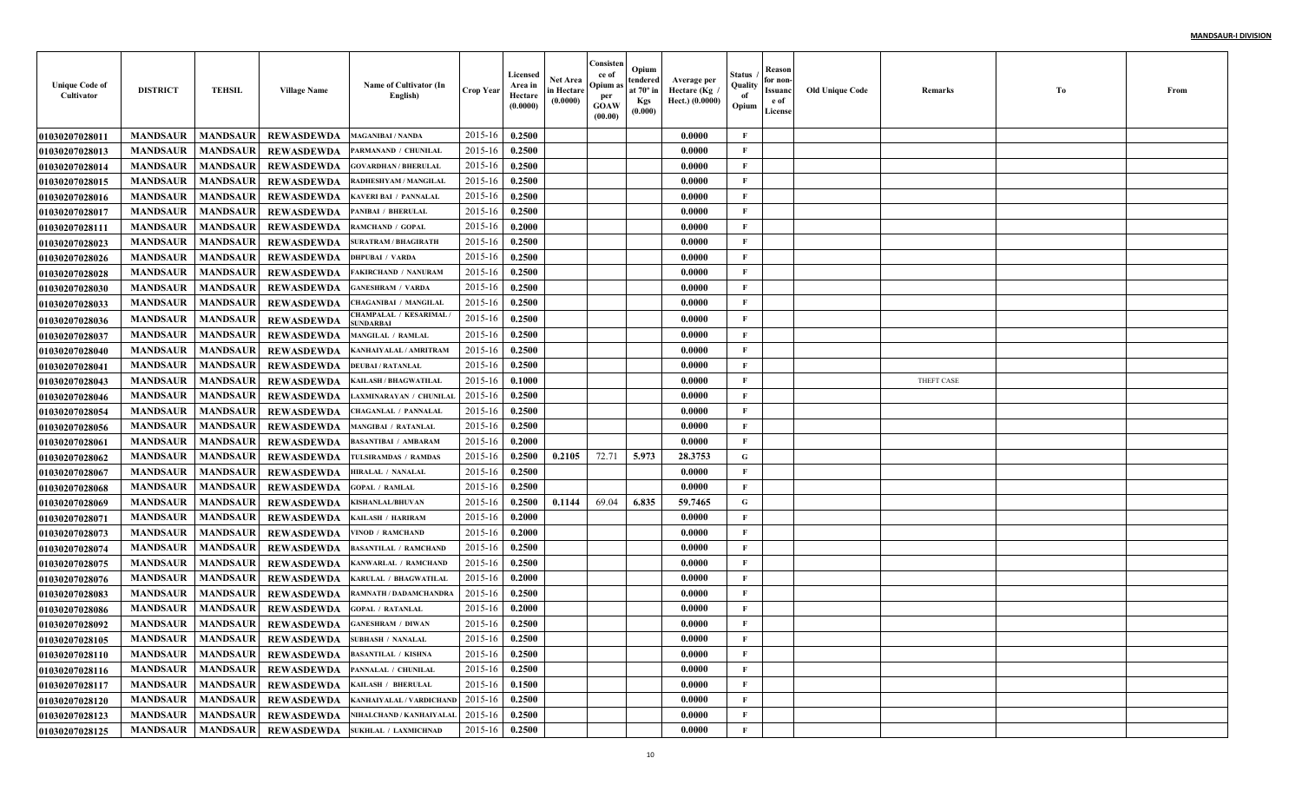| <b>Unique Code of</b><br>Cultivator | <b>DISTRICT</b> | <b>TEHSIL</b>   | <b>Village Name</b>                                  | Name of Cultivator (In<br>English)               | <b>Crop Year</b> | Licensed<br>Area in<br>Hectare<br>(0.0000) | Net Area<br>in Hectare<br>(0.0000) | Consisten<br>ce of<br>Opium a<br>per<br><b>GOAW</b><br>(00.00) | Opium<br>tendered<br>at $70^\circ$ in<br><b>Kgs</b><br>(0.000) | Average per<br>Hectare (Kg<br>Hect.) (0.0000) | Status<br>Quality<br>of<br>Opium | Reason<br>for non-<br>Issuanc<br>e of<br>License | <b>Old Unique Code</b> | Remarks    | Тo | From |
|-------------------------------------|-----------------|-----------------|------------------------------------------------------|--------------------------------------------------|------------------|--------------------------------------------|------------------------------------|----------------------------------------------------------------|----------------------------------------------------------------|-----------------------------------------------|----------------------------------|--------------------------------------------------|------------------------|------------|----|------|
| <b>0103020702801</b>                | <b>MANDSAUR</b> | <b>MANDSAUR</b> | <b>REWASDEWDA</b>                                    | <b>MAGANIBAI / NANDA</b>                         | 2015-16          | 0.2500                                     |                                    |                                                                |                                                                | 0.0000                                        | F                                |                                                  |                        |            |    |      |
| <b>01030207028013</b>               | <b>MANDSAUR</b> | <b>MANDSAUR</b> | <b>REWASDEWDA</b>                                    | PARMANAND / CHUNILAI                             | 2015-16          | 0.2500                                     |                                    |                                                                |                                                                | 0.0000                                        | $\mathbf{F}$                     |                                                  |                        |            |    |      |
| 01030207028014                      | <b>MANDSAUR</b> | <b>MANDSAUR</b> | <b>REWASDEWDA</b>                                    | <b>GOVARDHAN / BHERULAI</b>                      | 2015-16          | 0.2500                                     |                                    |                                                                |                                                                | 0.0000                                        | $\mathbf{F}$                     |                                                  |                        |            |    |      |
| <b>01030207028015</b>               | <b>MANDSAUR</b> | <b>MANDSAUR</b> | <b>REWASDEWDA</b>                                    | RADHESHYAM / MANGILAI                            | 2015-16          | 0.2500                                     |                                    |                                                                |                                                                | 0.0000                                        | $\mathbf{F}$                     |                                                  |                        |            |    |      |
| <b>01030207028016</b>               | <b>MANDSAUR</b> | <b>MANDSAUR</b> | <b>REWASDEWDA</b>                                    | <b>KAVERI BAI / PANNALAI</b>                     | 2015-16          | 0.2500                                     |                                    |                                                                |                                                                | 0.0000                                        | $\mathbf{F}$                     |                                                  |                        |            |    |      |
| <b>01030207028017</b>               | <b>MANDSAUR</b> | <b>MANDSAUR</b> | <b>REWASDEWDA</b>                                    | PANIBAI / BHERULAL                               | 2015-16          | 0.2500                                     |                                    |                                                                |                                                                | 0.0000                                        | $\mathbf{F}$                     |                                                  |                        |            |    |      |
| 01030207028111                      | <b>MANDSAUR</b> | <b>MANDSAUR</b> | <b>REWASDEWDA</b>                                    | RAMCHAND / GOPAL                                 | 2015-16          | 0.2000                                     |                                    |                                                                |                                                                | 0.0000                                        | $\mathbf{F}$                     |                                                  |                        |            |    |      |
| <b>01030207028023</b>               | <b>MANDSAUR</b> | <b>MANDSAUR</b> | <b>REWASDEWDA</b>                                    | <b>SURATRAM / BHAGIRATE</b>                      | 2015-16          | 0.2500                                     |                                    |                                                                |                                                                | 0.0000                                        | F                                |                                                  |                        |            |    |      |
| <b>01030207028026</b>               | <b>MANDSAUR</b> | <b>MANDSAUR</b> | <b>REWASDEWDA</b>                                    | <b>DHPUBAI / VARDA</b>                           | 2015-16          | 0.2500                                     |                                    |                                                                |                                                                | 0.0000                                        | $\mathbf{F}$                     |                                                  |                        |            |    |      |
| <b>01030207028028</b>               | <b>MANDSAUR</b> | <b>MANDSAUR</b> | <b>REWASDEWDA</b>                                    | <b>FAKIRCHAND / NANURAM</b>                      | 2015-16          | 0.2500                                     |                                    |                                                                |                                                                | 0.0000                                        | $\mathbf{F}$                     |                                                  |                        |            |    |      |
| <b>01030207028030</b>               | <b>MANDSAUR</b> | <b>MANDSAUR</b> | <b>REWASDEWDA</b>                                    | <b>GANESHRAM / VARDA</b>                         | 2015-16          | 0.2500                                     |                                    |                                                                |                                                                | 0.0000                                        | $\mathbf{F}$                     |                                                  |                        |            |    |      |
| <b>01030207028033</b>               | <b>MANDSAUR</b> | <b>MANDSAUR</b> | <b>REWASDEWDA</b>                                    | CHAGANIBAI / MANGILAI                            | 2015-16          | 0.2500                                     |                                    |                                                                |                                                                | 0.0000                                        | $\mathbf{F}$                     |                                                  |                        |            |    |      |
| <b>01030207028036</b>               | <b>MANDSAUR</b> | <b>MANDSAUR</b> | <b>REWASDEWDA</b>                                    | <b>CHAMPALAL / KESARIMAL</b><br><b>SUNDARBAI</b> | 2015-16          | 0.2500                                     |                                    |                                                                |                                                                | 0.0000                                        | $\mathbf{F}$                     |                                                  |                        |            |    |      |
| <b>01030207028037</b>               | <b>MANDSAUR</b> | <b>MANDSAUR</b> | <b>REWASDEWDA</b>                                    | <b>MANGILAL / RAMLAL</b>                         | 2015-16          | 0.2500                                     |                                    |                                                                |                                                                | 0.0000                                        | $\mathbf{F}$                     |                                                  |                        |            |    |      |
| 01030207028040                      | <b>MANDSAUR</b> | <b>MANDSAUR</b> | <b>REWASDEWDA</b>                                    | KANHAIYALAL / AMRITRAM                           | 2015-16          | 0.2500                                     |                                    |                                                                |                                                                | 0.0000                                        | $\mathbf{F}$                     |                                                  |                        |            |    |      |
| 01030207028041                      | <b>MANDSAUR</b> | <b>MANDSAUR</b> | <b>REWASDEWDA</b>                                    | <b>DEUBAI / RATANLAL</b>                         | 2015-16          | 0.2500                                     |                                    |                                                                |                                                                | 0.0000                                        | $\mathbf{F}$                     |                                                  |                        |            |    |      |
| <b>01030207028043</b>               | <b>MANDSAUR</b> | <b>MANDSAUR</b> | <b>REWASDEWDA</b>                                    | <b>KAILASH / BHAGWATILAL</b>                     | 2015-16          | 0.1000                                     |                                    |                                                                |                                                                | 0.0000                                        | $\mathbf{F}$                     |                                                  |                        | THEFT CASE |    |      |
| <b>01030207028046</b>               | <b>MANDSAUR</b> | <b>MANDSAUR</b> | <b>REWASDEWDA</b>                                    | LAXMINARAYAN / CHUNILAI                          | 2015-16          | 0.2500                                     |                                    |                                                                |                                                                | 0.0000                                        | $\mathbf{F}$                     |                                                  |                        |            |    |      |
| <b>01030207028054</b>               | <b>MANDSAUR</b> | <b>MANDSAUR</b> | <b>REWASDEWDA</b>                                    | <b>CHAGANLAL / PANNALAI</b>                      | 2015-16          | 0.2500                                     |                                    |                                                                |                                                                | 0.0000                                        | $\mathbf{F}$                     |                                                  |                        |            |    |      |
| <b>01030207028056</b>               | <b>MANDSAUR</b> | <b>MANDSAUR</b> | <b>REWASDEWDA</b>                                    | <b>MANGIBAI / RATANLAL</b>                       | 2015-16          | 0.2500                                     |                                    |                                                                |                                                                | 0.0000                                        | $\mathbf{F}$                     |                                                  |                        |            |    |      |
| <b>01030207028061</b>               | <b>MANDSAUR</b> | <b>MANDSAUR</b> | <b>REWASDEWDA</b>                                    | <b>BASANTIBAI / AMBARAM</b>                      | 2015-16          | 0.2000                                     |                                    |                                                                |                                                                | 0.0000                                        | $\mathbf{F}$                     |                                                  |                        |            |    |      |
| <b>01030207028062</b>               | <b>MANDSAUR</b> | <b>MANDSAUR</b> | <b>REWASDEWDA</b>                                    | TULSIRAMDAS / RAMDAS                             | 2015-16          | 0.2500                                     | 0.2105                             | 72.71                                                          | 5.973                                                          | 28.3753                                       | $\mathbf G$                      |                                                  |                        |            |    |      |
| <b>01030207028067</b>               | <b>MANDSAUR</b> | <b>MANDSAUR</b> | <b>REWASDEWDA</b>                                    | HIRALAL / NANALAL                                | 2015-16          | 0.2500                                     |                                    |                                                                |                                                                | 0.0000                                        | $\mathbf{F}$                     |                                                  |                        |            |    |      |
| <b>01030207028068</b>               | <b>MANDSAUR</b> | <b>MANDSAUR</b> | <b>REWASDEWDA</b>                                    | GOPAL / RAMLAL                                   | 2015-16          | 0.2500                                     |                                    |                                                                |                                                                | 0.0000                                        | $\mathbf{F}$                     |                                                  |                        |            |    |      |
| <b>01030207028069</b>               | <b>MANDSAUR</b> | <b>MANDSAUR</b> | <b>REWASDEWDA</b>                                    | <b>KISHANLAL/BHUVAN</b>                          | 2015-16          | 0.2500                                     | 0.1144                             | 69.04                                                          | 6.835                                                          | 59.7465                                       | G                                |                                                  |                        |            |    |      |
| <b>01030207028071</b>               | <b>MANDSAUR</b> | <b>MANDSAUR</b> | <b>REWASDEWDA</b>                                    | KAILASH / HARIRAM                                | 2015-16          | 0.2000                                     |                                    |                                                                |                                                                | 0.0000                                        | $\mathbf{F}$                     |                                                  |                        |            |    |      |
| <b>01030207028073</b>               | <b>MANDSAUR</b> | <b>MANDSAUR</b> | <b>REWASDEWDA</b>                                    | <b>VINOD / RAMCHAND</b>                          | 2015-16          | 0.2000                                     |                                    |                                                                |                                                                | 0.0000                                        | $\mathbf{F}$                     |                                                  |                        |            |    |      |
| 01030207028074                      | <b>MANDSAUR</b> | <b>MANDSAUR</b> | <b>REWASDEWDA</b>                                    | <b>BASANTILAL / RAMCHAND</b>                     | 2015-16          | 0.2500                                     |                                    |                                                                |                                                                | 0.0000                                        | $\mathbf{F}$                     |                                                  |                        |            |    |      |
| <b>01030207028075</b>               | <b>MANDSAUR</b> | <b>MANDSAUR</b> | <b>REWASDEWDA</b>                                    | KANWARLAL / RAMCHAND                             | 2015-16          | 0.2500                                     |                                    |                                                                |                                                                | 0.0000                                        | $\mathbf{F}$                     |                                                  |                        |            |    |      |
| <b>01030207028076</b>               | <b>MANDSAUR</b> | <b>MANDSAUR</b> | <b>REWASDEWDA</b>                                    | <b>KARULAL / BHAGWATILAI</b>                     | 2015-16          | 0.2000                                     |                                    |                                                                |                                                                | 0.0000                                        | $\mathbf{F}$                     |                                                  |                        |            |    |      |
| <b>01030207028083</b>               | <b>MANDSAUR</b> | <b>MANDSAUR</b> | <b>REWASDEWDA</b>                                    | RAMNATH / DADAMCHANDRA                           | 2015-16          | 0.2500                                     |                                    |                                                                |                                                                | 0.0000                                        | $\mathbf{F}$                     |                                                  |                        |            |    |      |
| <b>01030207028086</b>               | <b>MANDSAUR</b> | <b>MANDSAUR</b> | <b>REWASDEWDA</b>                                    | <b>GOPAL / RATANLAI</b>                          | 2015-16          | 0.2000                                     |                                    |                                                                |                                                                | 0.0000                                        | $\mathbf{F}$                     |                                                  |                        |            |    |      |
| <b>01030207028092</b>               | <b>MANDSAUR</b> | <b>MANDSAUR</b> | <b>REWASDEWDA</b>                                    | <b>GANESHRAM / DIWAN</b>                         | 2015-16          | 0.2500                                     |                                    |                                                                |                                                                | 0.0000                                        | $\mathbf{F}$                     |                                                  |                        |            |    |      |
| 01030207028105                      |                 |                 | MANDSAUR   MANDSAUR   REWASDEWDA   SUBHASH / NANALAL |                                                  | $2015-16$ 0.2500 |                                            |                                    |                                                                |                                                                | 0.0000                                        | F                                |                                                  |                        |            |    |      |
| 01030207028110                      | <b>MANDSAUR</b> | <b>MANDSAUR</b> | REWASDEWDA                                           | <b>BASANTILAL / KISHNA</b>                       | 2015-16          | 0.2500                                     |                                    |                                                                |                                                                | 0.0000                                        | $\mathbf{F}$                     |                                                  |                        |            |    |      |
| 01030207028116                      | <b>MANDSAUR</b> |                 | MANDSAUR REWASDEWDA                                  | PANNALAL / CHUNILAL                              | 2015-16          | 0.2500                                     |                                    |                                                                |                                                                | 0.0000                                        | $\mathbf{F}$                     |                                                  |                        |            |    |      |
| 01030207028117                      | <b>MANDSAUR</b> |                 | MANDSAUR REWASDEWDA                                  | KAILASH / BHERULAL                               | 2015-16          | 0.1500                                     |                                    |                                                                |                                                                | 0.0000                                        | $\mathbf{F}$                     |                                                  |                        |            |    |      |
| 01030207028120                      | <b>MANDSAUR</b> | <b>MANDSAUR</b> | <b>REWASDEWDA</b>                                    | KANHAIYALAL / VARDICHAND                         | 2015-16          | 0.2500                                     |                                    |                                                                |                                                                | 0.0000                                        | $\mathbf{F}$                     |                                                  |                        |            |    |      |
| 01030207028123                      | <b>MANDSAUR</b> | <b>MANDSAUR</b> | <b>REWASDEWDA</b>                                    | NIHALCHAND / KANHAIYALAL                         | 2015-16          | 0.2500                                     |                                    |                                                                |                                                                | 0.0000                                        | $\mathbf{F}$                     |                                                  |                        |            |    |      |
| 01030207028125                      | <b>MANDSAUR</b> |                 |                                                      | MANDSAUR REWASDEWDA SUKHLAL / LAXMICHNAD         | 2015-16          | 0.2500                                     |                                    |                                                                |                                                                | 0.0000                                        | $\mathbf{F}$                     |                                                  |                        |            |    |      |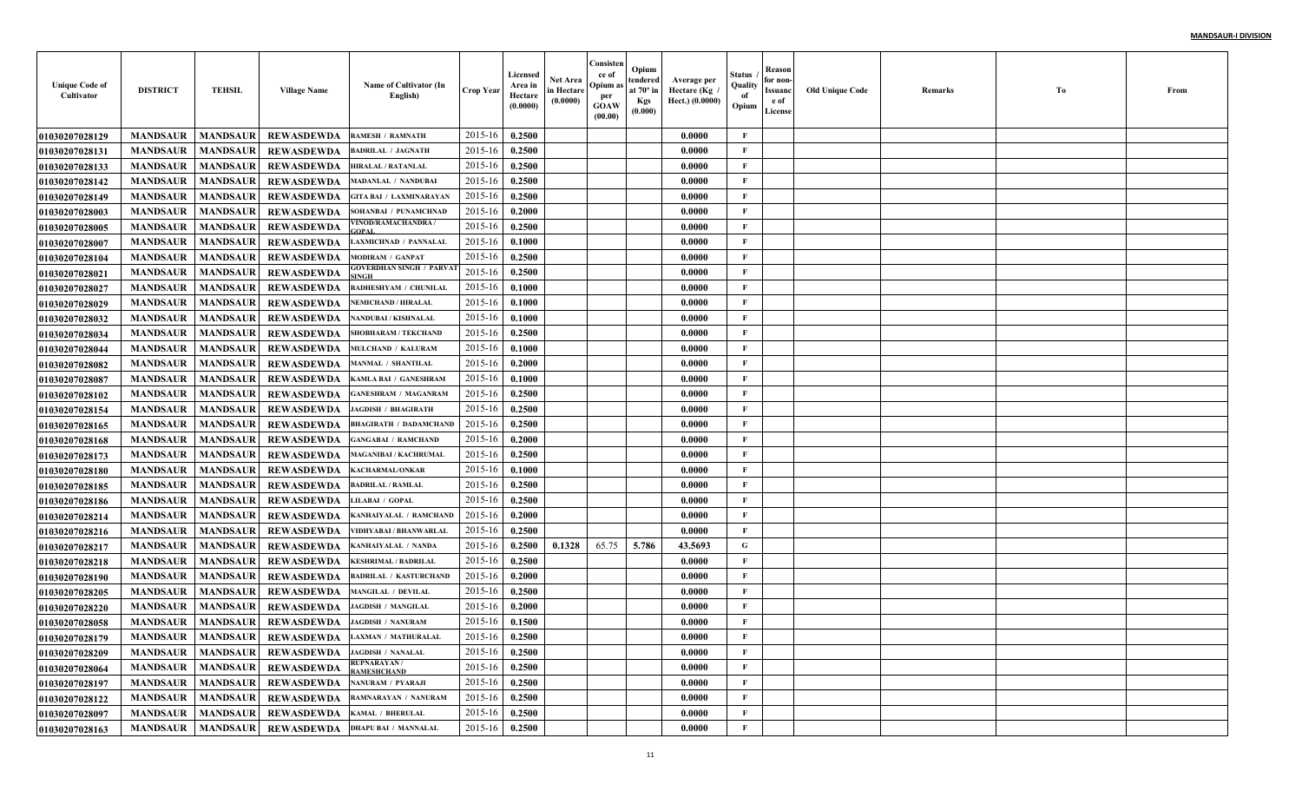| <b>Unique Code of</b><br>Cultivator | <b>DISTRICT</b> | <b>TEHSIL</b>   | <b>Village Name</b>          | Name of Cultivator (In<br>English)                      | <b>Crop Year</b> | Licensed<br>Area in<br>Hectare<br>(0.0000) | Net Area<br>in Hectare<br>(0.0000) | Consisten<br>ce of<br>Opium as<br>per<br><b>GOAW</b><br>(00.00) | Opium<br>tendered<br>at 70° in<br><b>Kgs</b><br>(0.000) | Average per<br>Hectare (Kg)<br>Hect.) (0.0000) | Status<br>Quality<br>of<br>Opium | Reason<br>for non-<br>Issuanc<br>e of<br>License | <b>Old Unique Code</b> | Remarks | Тo | From |
|-------------------------------------|-----------------|-----------------|------------------------------|---------------------------------------------------------|------------------|--------------------------------------------|------------------------------------|-----------------------------------------------------------------|---------------------------------------------------------|------------------------------------------------|----------------------------------|--------------------------------------------------|------------------------|---------|----|------|
| <b>01030207028129</b>               | <b>MANDSAUR</b> | <b>MANDSAUR</b> | <b>REWASDEWDA</b>            | <b>RAMESH / RAMNATH</b>                                 | 2015-16          | 0.2500                                     |                                    |                                                                 |                                                         | 0.0000                                         | $\mathbf{F}$                     |                                                  |                        |         |    |      |
| 01030207028131                      | <b>MANDSAUR</b> | <b>MANDSAUR</b> | <b>REWASDEWDA</b>            | <b>BADRILAL / JAGNATH</b>                               | 2015-16          | 0.2500                                     |                                    |                                                                 |                                                         | 0.0000                                         | F                                |                                                  |                        |         |    |      |
| <b>01030207028133</b>               | <b>MANDSAUR</b> | <b>MANDSAUR</b> | <b>REWASDEWDA</b>            | <b>HIRALAL / RATANLAL</b>                               | 2015-16          | 0.2500                                     |                                    |                                                                 |                                                         | 0.0000                                         | $\mathbf{F}$                     |                                                  |                        |         |    |      |
| <b>01030207028142</b>               | <b>MANDSAUR</b> | <b>MANDSAUR</b> | <b>REWASDEWDA</b>            | <b>MADANLAL / NANDUBAI</b>                              | 2015-16          | 0.2500                                     |                                    |                                                                 |                                                         | 0.0000                                         | $\mathbf{F}$                     |                                                  |                        |         |    |      |
| <b>01030207028149</b>               | <b>MANDSAUR</b> | <b>MANDSAUR</b> | <b>REWASDEWDA</b>            | <b>GITA BAI / LAXMINARAYAN</b>                          | 2015-16          | 0.2500                                     |                                    |                                                                 |                                                         | 0.0000                                         | $\mathbf{F}$                     |                                                  |                        |         |    |      |
| <b>01030207028003</b>               | <b>MANDSAUR</b> | <b>MANDSAUR</b> | <b>REWASDEWDA</b>            | SOHANBAI / PUNAMCHNAD                                   | 2015-16          | 0.2000                                     |                                    |                                                                 |                                                         | 0.0000                                         | F                                |                                                  |                        |         |    |      |
| <b>01030207028005</b>               | <b>MANDSAUR</b> | <b>MANDSAUR</b> | <b>REWASDEWDA</b>            | /INOD/RAMACHANDRA                                       | 2015-16          | 0.2500                                     |                                    |                                                                 |                                                         | 0.0000                                         | F                                |                                                  |                        |         |    |      |
| <b>01030207028007</b>               | <b>MANDSAUR</b> | <b>MANDSAUR</b> | <b>REWASDEWDA</b>            | <b>LAXMICHNAD / PANNALAI</b>                            | 2015-16          | 0.1000                                     |                                    |                                                                 |                                                         | 0.0000                                         | $\mathbf{F}$                     |                                                  |                        |         |    |      |
| <b>0103020702810</b> 4              | <b>MANDSAUR</b> | <b>MANDSAUR</b> | <b>REWASDEWDA</b>            | <b>MODIRAM / GANPAT</b>                                 | 2015-16          | 0.2500                                     |                                    |                                                                 |                                                         | 0.0000                                         | $\mathbf{F}$                     |                                                  |                        |         |    |      |
| <b>01030207028021</b>               | <b>MANDSAUR</b> | <b>MANDSAUR</b> | <b>REWASDEWDA</b>            | GOVERDHAN SINGH / PARVA'                                | 2015-16          | 0.2500                                     |                                    |                                                                 |                                                         | 0.0000                                         | $\mathbf{F}$                     |                                                  |                        |         |    |      |
| <b>01030207028027</b>               | <b>MANDSAUR</b> | <b>MANDSAUR</b> | <b>REWASDEWDA</b>            | RADHESHYAM / CHUNILAL                                   | 2015-16          | 0.1000                                     |                                    |                                                                 |                                                         | 0.0000                                         | $\mathbf{F}$                     |                                                  |                        |         |    |      |
| <b>01030207028029</b>               | <b>MANDSAUR</b> | <b>MANDSAUR</b> | <b>REWASDEWDA</b>            | <b>NEMICHAND / HIRALAL</b>                              | 2015-16          | 0.1000                                     |                                    |                                                                 |                                                         | 0.0000                                         | $\mathbf{F}$                     |                                                  |                        |         |    |      |
| <b>01030207028032</b>               | <b>MANDSAUR</b> | <b>MANDSAUR</b> | <b>REWASDEWDA</b>            | <b>NANDUBAI / KISHNALAI</b>                             | 2015-16          | 0.1000                                     |                                    |                                                                 |                                                         | 0.0000                                         | $\mathbf{F}$                     |                                                  |                        |         |    |      |
| <b>01030207028034</b>               | <b>MANDSAUR</b> | <b>MANDSAUR</b> | <b>REWASDEWDA</b>            | <b>SHOBHARAM / TEKCHAND</b>                             | 2015-16          | 0.2500                                     |                                    |                                                                 |                                                         | 0.0000                                         | $\mathbf{F}$                     |                                                  |                        |         |    |      |
| <b>01030207028044</b>               | <b>MANDSAUR</b> | <b>MANDSAUR</b> | <b>REWASDEWDA</b>            | MULCHAND / KALURAM                                      | 2015-16          | 0.1000                                     |                                    |                                                                 |                                                         | 0.0000                                         | $\mathbf{F}$                     |                                                  |                        |         |    |      |
| <b>01030207028082</b>               | <b>MANDSAUR</b> | <b>MANDSAUR</b> | <b>REWASDEWDA</b>            | <b>MANMAL / SHANTILAL</b>                               | 2015-16          | 0.2000                                     |                                    |                                                                 |                                                         | 0.0000                                         | $\mathbf{F}$                     |                                                  |                        |         |    |      |
| <b>01030207028087</b>               | <b>MANDSAUR</b> | <b>MANDSAUR</b> | <b>REWASDEWDA</b>            | KAMLA BAI / GANESHRAM                                   | 2015-16          | 0.1000                                     |                                    |                                                                 |                                                         | 0.0000                                         | $\mathbf{F}$                     |                                                  |                        |         |    |      |
| <b>01030207028102</b>               | <b>MANDSAUR</b> | <b>MANDSAUR</b> | <b>REWASDEWDA</b>            | <b>GANESHRAM / MAGANRAM</b>                             | 2015-16          | 0.2500                                     |                                    |                                                                 |                                                         | 0.0000                                         | $\mathbf{F}$                     |                                                  |                        |         |    |      |
| <b>01030207028154</b>               | <b>MANDSAUR</b> | <b>MANDSAUR</b> | <b>REWASDEWDA</b>            | <b>JAGDISH / BHAGIRATH</b>                              | 2015-16          | 0.2500                                     |                                    |                                                                 |                                                         | 0.0000                                         | $\mathbf{F}$                     |                                                  |                        |         |    |      |
| <b>01030207028165</b>               | <b>MANDSAUR</b> | <b>MANDSAUR</b> | <b>REWASDEWDA</b>            | <b>BHAGIRATH / DADAMCHAND</b>                           | 2015-16          | 0.2500                                     |                                    |                                                                 |                                                         | 0.0000                                         | $\mathbf{F}$                     |                                                  |                        |         |    |      |
| <b>01030207028168</b>               | <b>MANDSAUR</b> | <b>MANDSAUR</b> | <b>REWASDEWDA</b>            | <b>GANGABAI / RAMCHAND</b>                              | 2015-16          | 0.2000                                     |                                    |                                                                 |                                                         | 0.0000                                         | $\mathbf{F}$                     |                                                  |                        |         |    |      |
| <b>01030207028173</b>               | <b>MANDSAUR</b> | <b>MANDSAUR</b> | <b>REWASDEWDA</b>            | <b>MAGANIBAI / KACHRUMAL</b>                            | 2015-16          | 0.2500                                     |                                    |                                                                 |                                                         | 0.0000                                         | $\mathbf F$                      |                                                  |                        |         |    |      |
| <b>01030207028180</b>               | <b>MANDSAUR</b> | <b>MANDSAUR</b> | <b>REWASDEWDA</b>            | KACHARMAL/ONKAR                                         | 2015-16          | 0.1000                                     |                                    |                                                                 |                                                         | 0.0000                                         | $\mathbf{F}$                     |                                                  |                        |         |    |      |
| <b>01030207028185</b>               | <b>MANDSAUR</b> | <b>MANDSAUR</b> | <b>REWASDEWDA</b>            | <b>BADRILAL / RAMLAL</b>                                | 2015-16          | 0.2500                                     |                                    |                                                                 |                                                         | 0.0000                                         | $\mathbf{F}$                     |                                                  |                        |         |    |      |
| <b>01030207028186</b>               | <b>MANDSAUR</b> | <b>MANDSAUR</b> | <b>REWASDEWDA</b>            | LILABAI / GOPAL                                         | 2015-16          | 0.2500                                     |                                    |                                                                 |                                                         | 0.0000                                         | $\mathbf{F}$                     |                                                  |                        |         |    |      |
| <b>0103020702821</b> 4              | <b>MANDSAUR</b> | <b>MANDSAUR</b> | <b>REWASDEWDA</b>            | KANHAIYALAL / RAMCHAND                                  | 2015-16          | 0.2000                                     |                                    |                                                                 |                                                         | 0.0000                                         | $\mathbf{F}$                     |                                                  |                        |         |    |      |
| <b>01030207028216</b>               | <b>MANDSAUR</b> | <b>MANDSAUR</b> | <b>REWASDEWDA</b>            | /IDHYABAI / BHANWARLAI                                  | 2015-16          | 0.2500                                     |                                    |                                                                 |                                                         | 0.0000                                         | F                                |                                                  |                        |         |    |      |
| <b>01030207028217</b>               | <b>MANDSAUR</b> | <b>MANDSAUR</b> | <b>REWASDEWDA</b>            | KANHAIYALAL / NANDA                                     | 2015-16          | 0.2500                                     | 0.1328                             | 65.75                                                           | 5.786                                                   | 43.5693                                        | G                                |                                                  |                        |         |    |      |
| 01030207028218                      | <b>MANDSAUR</b> | <b>MANDSAUR</b> | <b>REWASDEWDA</b>            | <b>KESHRIMAL / BADRILAI</b>                             | 2015-16          | 0.2500                                     |                                    |                                                                 |                                                         | 0.0000                                         | $\mathbf{F}$                     |                                                  |                        |         |    |      |
| <b>01030207028190</b>               | <b>MANDSAUR</b> | <b>MANDSAUR</b> | <b>REWASDEWDA</b>            | <b>BADRILAL / KASTURCHAND</b>                           | 2015-16          | 0.2000                                     |                                    |                                                                 |                                                         | 0.0000                                         | $\mathbf{F}$                     |                                                  |                        |         |    |      |
| <b>01030207028205</b>               | <b>MANDSAUR</b> | <b>MANDSAUR</b> | <b>REWASDEWDA</b>            | <b>MANGILAL / DEVILAL</b>                               | 2015-16          | 0.2500                                     |                                    |                                                                 |                                                         | 0.0000                                         | F                                |                                                  |                        |         |    |      |
| <b>01030207028220</b>               | <b>MANDSAUR</b> | <b>MANDSAUR</b> | <b>REWASDEWDA</b>            | <b>JAGDISH / MANGILAL</b>                               | 2015-16          | 0.2000                                     |                                    |                                                                 |                                                         | 0.0000                                         | $\mathbf{F}$                     |                                                  |                        |         |    |      |
| <b>01030207028058</b>               | <b>MANDSAUR</b> | <b>MANDSAUR</b> | <b>REWASDEWDA</b>            | <b>JAGDISH / NANURAM</b>                                | 2015-16          | 0.1500                                     |                                    |                                                                 |                                                         | 0.0000                                         | F                                |                                                  |                        |         |    |      |
| <b>01030207028179</b>               |                 |                 |                              | MANDSAUR   MANDSAUR   REWASDEWDA   LAXMAN / MATHURALAL  | 2015-16 0.2500   |                                            |                                    |                                                                 |                                                         | 0.0000                                         | F                                |                                                  |                        |         |    |      |
| 01030207028209                      | <b>MANDSAUR</b> | <b>MANDSAUR</b> | REWASDEWDA JAGDISH / NANALAL |                                                         | 2015-16          | 0.2500                                     |                                    |                                                                 |                                                         | 0.0000                                         | $\mathbf{F}$                     |                                                  |                        |         |    |      |
| <b>01030207028064</b>               | <b>MANDSAUR</b> | <b>MANDSAUR</b> | <b>REWASDEWDA</b>            | <b>RUPNARAYAN/</b><br><b>RAMESHCHAND</b>                | 2015-16          | 0.2500                                     |                                    |                                                                 |                                                         | 0.0000                                         | $\mathbf{F}$                     |                                                  |                        |         |    |      |
| <b>01030207028197</b>               | <b>MANDSAUR</b> | <b>MANDSAUR</b> | <b>REWASDEWDA</b>            | <b>NANURAM / PYARAJI</b>                                | 2015-16          | 0.2500                                     |                                    |                                                                 |                                                         | 0.0000                                         | $\mathbf{F}$                     |                                                  |                        |         |    |      |
| 01030207028122                      | <b>MANDSAUR</b> | <b>MANDSAUR</b> |                              | REWASDEWDA RAMNARAYAN / NANURAM                         | 2015-16          | 0.2500                                     |                                    |                                                                 |                                                         | 0.0000                                         | $\mathbf{F}$                     |                                                  |                        |         |    |      |
| 01030207028097                      | <b>MANDSAUR</b> | <b>MANDSAUR</b> | REWASDEWDA KAMAL / BHERULAL  |                                                         | 2015-16          | 0.2500                                     |                                    |                                                                 |                                                         | 0.0000                                         | $\mathbf{F}$                     |                                                  |                        |         |    |      |
| 01030207028163                      |                 |                 |                              | MANDSAUR   MANDSAUR   REWASDEWDA   DHAPU BAI / MANNALAL | $2015 - 16$      | 0.2500                                     |                                    |                                                                 |                                                         | 0.0000                                         | $\mathbf{F}$                     |                                                  |                        |         |    |      |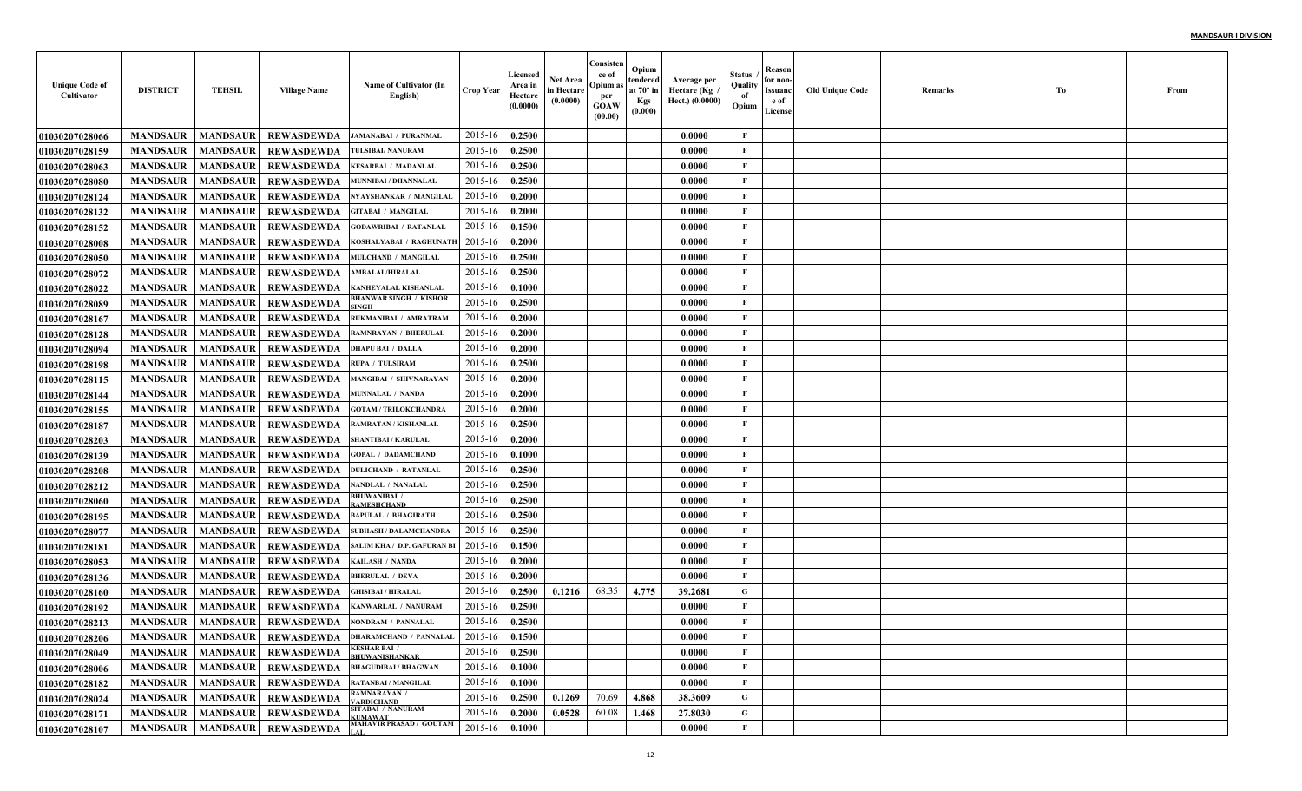| <b>Unique Code of</b><br>Cultivator | <b>DISTRICT</b> | <b>TEHSIL</b>   | <b>Village Name</b> | Name of Cultivator (In<br>English)                                           | <b>Crop Year</b> | Licensed<br>Area in<br>Hectare<br>(0.0000) | Net Area<br>in Hectare<br>(0.0000) | Consisten<br>ce of<br>Opium as<br>per<br><b>GOAW</b><br>(00.00) | Opium<br>tendered<br>at $70^\circ$ in<br><b>Kgs</b><br>(0.000) | Average per<br>Hectare (Kg)<br>Hect.) (0.0000) | Status<br>Quality<br>of<br>Opium | Reason<br>for non-<br>Issuanc<br>e of<br>License | <b>Old Unique Code</b> | Remarks | Тo | From |
|-------------------------------------|-----------------|-----------------|---------------------|------------------------------------------------------------------------------|------------------|--------------------------------------------|------------------------------------|-----------------------------------------------------------------|----------------------------------------------------------------|------------------------------------------------|----------------------------------|--------------------------------------------------|------------------------|---------|----|------|
| <b>01030207028066</b>               | <b>MANDSAUR</b> | <b>MANDSAUR</b> | <b>REWASDEWDA</b>   | <b>JAMANABAI / PURANMAL</b>                                                  | 2015-16          | 0.2500                                     |                                    |                                                                 |                                                                | 0.0000                                         | $\mathbf{F}$                     |                                                  |                        |         |    |      |
| 01030207028159                      | <b>MANDSAUR</b> | <b>MANDSAUR</b> | <b>REWASDEWDA</b>   | TULSIBAI/ NANURAM                                                            | 2015-16          | 0.2500                                     |                                    |                                                                 |                                                                | 0.0000                                         | F                                |                                                  |                        |         |    |      |
| <b>01030207028063</b>               | <b>MANDSAUR</b> | <b>MANDSAUR</b> | <b>REWASDEWDA</b>   | <b>KESARBAI / MADANLAL</b>                                                   | 2015-16          | 0.2500                                     |                                    |                                                                 |                                                                | 0.0000                                         | $\mathbf{F}$                     |                                                  |                        |         |    |      |
| <b>01030207028080</b>               | <b>MANDSAUR</b> | <b>MANDSAUR</b> | <b>REWASDEWDA</b>   | MUNNIBAI / DHANNALAL                                                         | 2015-16          | 0.2500                                     |                                    |                                                                 |                                                                | 0.0000                                         | $\mathbf{F}$                     |                                                  |                        |         |    |      |
| <b>01030207028124</b>               | <b>MANDSAUR</b> | <b>MANDSAUR</b> | <b>REWASDEWDA</b>   | NYAYSHANKAR / MANGILAL                                                       | 2015-16          | 0.2000                                     |                                    |                                                                 |                                                                | 0.0000                                         | $\mathbf{F}$                     |                                                  |                        |         |    |      |
| <b>01030207028132</b>               | <b>MANDSAUR</b> | <b>MANDSAUR</b> | <b>REWASDEWDA</b>   | <b>GITABAI / MANGILAL</b>                                                    | 2015-16          | 0.2000                                     |                                    |                                                                 |                                                                | 0.0000                                         | F                                |                                                  |                        |         |    |      |
| <b>01030207028152</b>               | <b>MANDSAUR</b> | <b>MANDSAUR</b> | <b>REWASDEWDA</b>   | <b>GODAWRIBAI / RATANLAI</b>                                                 | 2015-16          | 0.1500                                     |                                    |                                                                 |                                                                | 0.0000                                         | F                                |                                                  |                        |         |    |      |
| 01030207028008                      | <b>MANDSAUR</b> | <b>MANDSAUR</b> | <b>REWASDEWDA</b>   | KOSHALYABAI / RAGHUNATI                                                      | 2015-16          | 0.2000                                     |                                    |                                                                 |                                                                | 0.0000                                         | $\mathbf{F}$                     |                                                  |                        |         |    |      |
| <b>01030207028050</b>               | <b>MANDSAUR</b> | <b>MANDSAUR</b> | <b>REWASDEWDA</b>   | MULCHAND / MANGILAI                                                          | 2015-16          | 0.2500                                     |                                    |                                                                 |                                                                | 0.0000                                         | $\mathbf{F}$                     |                                                  |                        |         |    |      |
| <b>01030207028072</b>               | <b>MANDSAUR</b> | <b>MANDSAUR</b> | <b>REWASDEWDA</b>   | <b>AMBALAL/HIRALAL</b>                                                       | 2015-16          | 0.2500                                     |                                    |                                                                 |                                                                | 0.0000                                         | $\mathbf{F}$                     |                                                  |                        |         |    |      |
| <b>01030207028022</b>               | <b>MANDSAUR</b> | <b>MANDSAUR</b> | <b>REWASDEWDA</b>   | KANHEYALAL KISHANLAI                                                         | 2015-16          | 0.1000                                     |                                    |                                                                 |                                                                | 0.0000                                         | $\mathbf{F}$                     |                                                  |                        |         |    |      |
| <b>01030207028089</b>               | <b>MANDSAUR</b> | <b>MANDSAUR</b> | <b>REWASDEWDA</b>   | <b>BHANWAR SINGH / KISHOR</b><br>INGH                                        | 2015-16          | 0.2500                                     |                                    |                                                                 |                                                                | 0.0000                                         | $\mathbf{F}$                     |                                                  |                        |         |    |      |
| <b>01030207028167</b>               | <b>MANDSAUR</b> | <b>MANDSAUR</b> | <b>REWASDEWDA</b>   | RUKMANIBAI / AMRATRAM                                                        | 2015-16          | 0.2000                                     |                                    |                                                                 |                                                                | 0.0000                                         | $\mathbf{F}$                     |                                                  |                        |         |    |      |
| <b>01030207028128</b>               | <b>MANDSAUR</b> | <b>MANDSAUR</b> | <b>REWASDEWDA</b>   | <b>RAMNRAYAN / BHERULAL</b>                                                  | 2015-16          | 0.2000                                     |                                    |                                                                 |                                                                | 0.0000                                         | $\mathbf{F}$                     |                                                  |                        |         |    |      |
| <b>01030207028094</b>               | <b>MANDSAUR</b> | <b>MANDSAUR</b> | <b>REWASDEWDA</b>   | <b>DHAPU BAI / DALLA</b>                                                     | 2015-16          | 0.2000                                     |                                    |                                                                 |                                                                | 0.0000                                         | $\mathbf{F}$                     |                                                  |                        |         |    |      |
| <b>01030207028198</b>               | <b>MANDSAUR</b> | <b>MANDSAUR</b> | <b>REWASDEWDA</b>   | <b>RUPA / TULSIRAM</b>                                                       | 2015-16          | 0.2500                                     |                                    |                                                                 |                                                                | 0.0000                                         | $\mathbf{F}$                     |                                                  |                        |         |    |      |
| 01030207028115                      | <b>MANDSAUR</b> | <b>MANDSAUR</b> | <b>REWASDEWDA</b>   | <b>MANGIBAI / SHIVNARAYAN</b>                                                | 2015-16          | 0.2000                                     |                                    |                                                                 |                                                                | 0.0000                                         | $\mathbf{F}$                     |                                                  |                        |         |    |      |
| <b>01030207028144</b>               | <b>MANDSAUR</b> | <b>MANDSAUR</b> | <b>REWASDEWDA</b>   | <b>MUNNALAL / NANDA</b>                                                      | 2015-16          | 0.2000                                     |                                    |                                                                 |                                                                | 0.0000                                         | $\mathbf{F}$                     |                                                  |                        |         |    |      |
| <b>01030207028155</b>               | <b>MANDSAUR</b> | <b>MANDSAUR</b> | <b>REWASDEWDA</b>   | <b>GOTAM / TRILOKCHANDR</b>                                                  | 2015-16          | 0.2000                                     |                                    |                                                                 |                                                                | 0.0000                                         | $\mathbf{F}$                     |                                                  |                        |         |    |      |
| 01030207028187                      | <b>MANDSAUR</b> | <b>MANDSAUR</b> | <b>REWASDEWDA</b>   | <b>RAMRATAN / KISHANLAI</b>                                                  | 2015-16          | 0.2500                                     |                                    |                                                                 |                                                                | 0.0000                                         | $\mathbf{F}$                     |                                                  |                        |         |    |      |
| <b>01030207028203</b>               | <b>MANDSAUR</b> | <b>MANDSAUR</b> | <b>REWASDEWDA</b>   | <b>SHANTIBAI / KARULAL</b>                                                   | 2015-16          | 0.2000                                     |                                    |                                                                 |                                                                | 0.0000                                         | $\mathbf{F}$                     |                                                  |                        |         |    |      |
| <b>01030207028139</b>               | <b>MANDSAUR</b> | <b>MANDSAUR</b> | <b>REWASDEWDA</b>   | <b>GOPAL / DADAMCHAND</b>                                                    | 2015-16          | 0.1000                                     |                                    |                                                                 |                                                                | 0.0000                                         | $\mathbf F$                      |                                                  |                        |         |    |      |
| <b>01030207028208</b>               | <b>MANDSAUR</b> | <b>MANDSAUR</b> | <b>REWASDEWDA</b>   | <b>DULICHAND / RATANLAI</b>                                                  | 2015-16          | 0.2500                                     |                                    |                                                                 |                                                                | 0.0000                                         | $\mathbf{F}$                     |                                                  |                        |         |    |      |
| <b>01030207028212</b>               | <b>MANDSAUR</b> | <b>MANDSAUR</b> | <b>REWASDEWDA</b>   | NANDLAL / NANALAL                                                            | 2015-16          | 0.2500                                     |                                    |                                                                 |                                                                | 0.0000                                         | $\mathbf{F}$                     |                                                  |                        |         |    |      |
| <b>01030207028060</b>               | <b>MANDSAUR</b> | <b>MANDSAUR</b> | <b>REWASDEWDA</b>   | <b>BHUWANIBAI /</b><br><b>AMESHCHAND</b>                                     | 2015-16          | 0.2500                                     |                                    |                                                                 |                                                                | 0.0000                                         | $\mathbf{F}$                     |                                                  |                        |         |    |      |
| <b>01030207028195</b>               | <b>MANDSAUR</b> | <b>MANDSAUR</b> | <b>REWASDEWDA</b>   | <b>BAPULAL / BHAGIRATH</b>                                                   | 2015-16          | 0.2500                                     |                                    |                                                                 |                                                                | 0.0000                                         | $\mathbf{F}$                     |                                                  |                        |         |    |      |
| <b>01030207028077</b>               | <b>MANDSAUR</b> | <b>MANDSAUR</b> | <b>REWASDEWDA</b>   | <b>SUBHASH / DALAMCHANDRA</b>                                                | 2015-16          | 0.2500                                     |                                    |                                                                 |                                                                | 0.0000                                         | $\mathbf{F}$                     |                                                  |                        |         |    |      |
| <b>01030207028181</b>               | <b>MANDSAUR</b> | <b>MANDSAUR</b> | <b>REWASDEWDA</b>   | SALIM KHA / D.P. GAFURAN B                                                   | 2015-16          | 0.1500                                     |                                    |                                                                 |                                                                | 0.0000                                         | $\mathbf{F}$                     |                                                  |                        |         |    |      |
| <b>01030207028053</b>               | <b>MANDSAUR</b> | <b>MANDSAUR</b> | <b>REWASDEWDA</b>   | KAILASH / NANDA                                                              | 2015-16          | 0.2000                                     |                                    |                                                                 |                                                                | 0.0000                                         | $\mathbf{F}$                     |                                                  |                        |         |    |      |
| <b>01030207028136</b>               | <b>MANDSAUR</b> | <b>MANDSAUR</b> | <b>REWASDEWDA</b>   | <b>BHERULAL / DEVA</b>                                                       | 2015-16          | 0.2000                                     |                                    |                                                                 |                                                                | 0.0000                                         | $\mathbf{F}$                     |                                                  |                        |         |    |      |
| <b>01030207028160</b>               | <b>MANDSAUR</b> | <b>MANDSAUR</b> | <b>REWASDEWDA</b>   | <b>GHISIBAI / HIRALAL</b>                                                    | 2015-16          | 0.2500                                     | 0.1216                             | 68.35                                                           | 4.775                                                          | 39.2681                                        | G                                |                                                  |                        |         |    |      |
| <b>01030207028192</b>               | <b>MANDSAUR</b> | <b>MANDSAUR</b> | <b>REWASDEWDA</b>   | KANWARLAL / NANURAM                                                          | 2015-16          | 0.2500                                     |                                    |                                                                 |                                                                | 0.0000                                         | $\mathbf{F}$                     |                                                  |                        |         |    |      |
| 01030207028213                      | <b>MANDSAUR</b> | <b>MANDSAUR</b> | <b>REWASDEWDA</b>   | NONDRAM / PANNALAL                                                           | 2015-16          | 0.2500                                     |                                    |                                                                 |                                                                | 0.0000                                         | $\mathbf{F}$                     |                                                  |                        |         |    |      |
| <b>01030207028206</b>               |                 |                 |                     | MANDSAUR   MANDSAUR   REWASDEWDA   DHARAMCHAND / PANNALAL   2015-16   0.1500 |                  |                                            |                                    |                                                                 |                                                                | 0.0000                                         | F                                |                                                  |                        |         |    |      |
| 01030207028049                      | <b>MANDSAUR</b> | <b>MANDSAUR</b> | <b>REWASDEWDA</b>   | <b>KESHAR BAI /</b><br><b>BHUWANISHANKAR</b>                                 | 2015-16          | 0.2500                                     |                                    |                                                                 |                                                                | 0.0000                                         | $\mathbf{F}$                     |                                                  |                        |         |    |      |
| 01030207028006                      | <b>MANDSAUR</b> | <b>MANDSAUR</b> | <b>REWASDEWDA</b>   | <b>BHAGUDIBAI / BHAGWAN</b>                                                  | 2015-16          | 0.1000                                     |                                    |                                                                 |                                                                | 0.0000                                         | $\mathbf{F}$                     |                                                  |                        |         |    |      |
| 01030207028182                      | <b>MANDSAUR</b> | <b>MANDSAUR</b> | REWASDEWDA          | <b>RATANBAI / MANGILAL</b><br><b>RAMNARAYAN /</b>                            | 2015-16          | 0.1000                                     |                                    |                                                                 |                                                                | 0.0000                                         | $\mathbf{F}$                     |                                                  |                        |         |    |      |
| 01030207028024                      | <b>MANDSAUR</b> | <b>MANDSAUR</b> | <b>REWASDEWDA</b>   | <b>ARDICHAND</b>                                                             | 2015-16          | 0.2500                                     | 0.1269                             | 70.69                                                           | 4.868                                                          | 38.3609                                        | $\mathbf G$                      |                                                  |                        |         |    |      |
| <b>01030207028171</b>               | <b>MANDSAUR</b> | <b>MANDSAUR</b> | <b>REWASDEWDA</b>   | SITABAI / NANURAM<br><b>KUMAWAT</b>                                          | 2015-16          | 0.2000                                     | 0.0528                             | 60.08                                                           | 1.468                                                          | 27.8030                                        | $\mathbf G$                      |                                                  |                        |         |    |      |
| 01030207028107                      | <b>MANDSAUR</b> |                 | MANDSAUR REWASDEWDA | MAHAVIR PRASAD / GOUTAM                                                      | 2015-16          | 0.1000                                     |                                    |                                                                 |                                                                | 0.0000                                         | $\mathbf{F}$                     |                                                  |                        |         |    |      |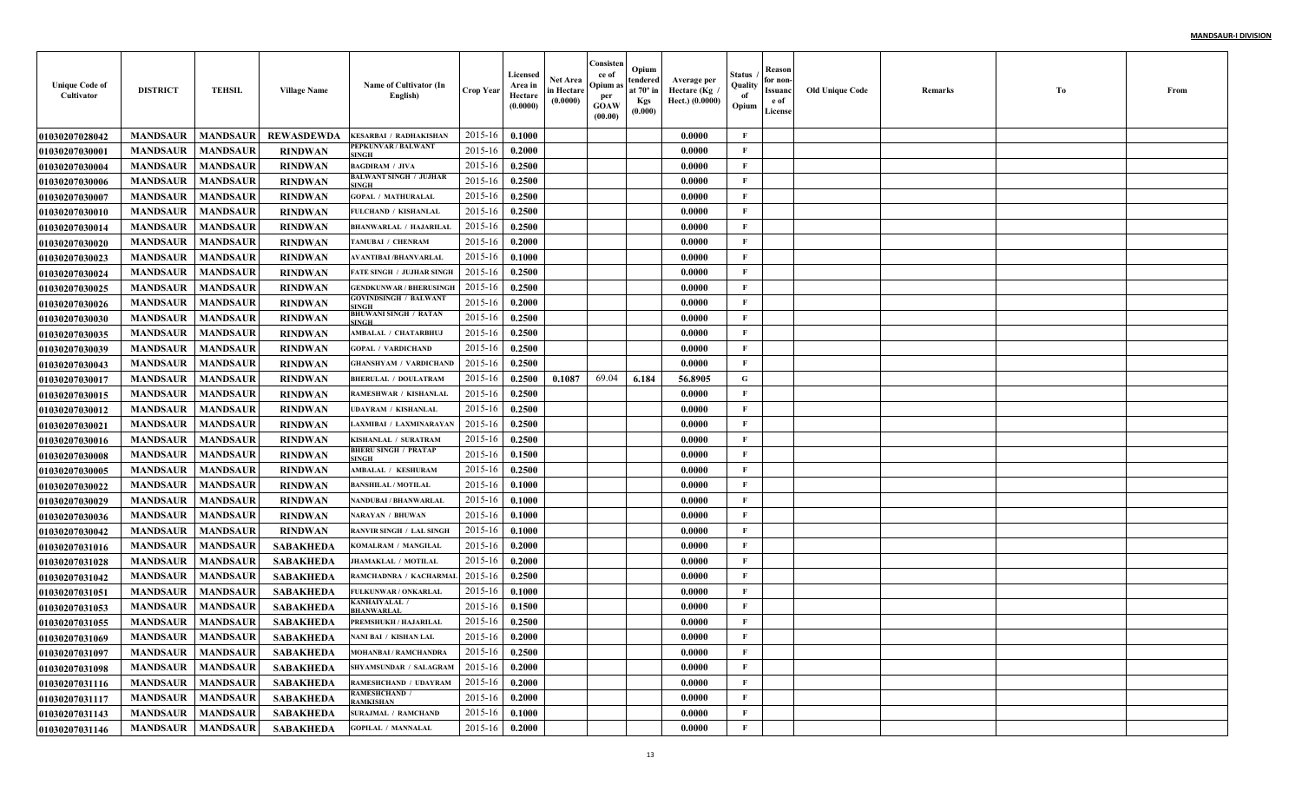| <b>Unique Code of</b><br>Cultivator | <b>DISTRICT</b>            | <b>TEHSIL</b>   | <b>Village Name</b> | Name of Cultivator (In<br>English)          | <b>Crop Year</b> | Licensed<br>Area in<br>Hectare<br>(0.0000) | Net Area<br>in Hectare<br>(0.0000) | Consisten<br>ce of<br>Opium a<br>per<br><b>GOAW</b><br>(00.00) | Opium<br>tendered<br>at $70^\circ$ in<br><b>Kgs</b><br>(0.000) | Average per<br>Hectare (Kg<br>Hect.) (0.0000) | Status<br>Quality<br>of<br>Opium | Reason<br>for non-<br>Issuanc<br>e of<br>License | <b>Old Unique Code</b> | Remarks | Тo | From |
|-------------------------------------|----------------------------|-----------------|---------------------|---------------------------------------------|------------------|--------------------------------------------|------------------------------------|----------------------------------------------------------------|----------------------------------------------------------------|-----------------------------------------------|----------------------------------|--------------------------------------------------|------------------------|---------|----|------|
| <b>01030207028042</b>               | <b>MANDSAUR</b>            | <b>MANDSAUR</b> | <b>REWASDEWDA</b>   | <b>KESARBAI / RADHAKISHAN</b>               | 2015-16          | 0.1000                                     |                                    |                                                                |                                                                | 0.0000                                        | F                                |                                                  |                        |         |    |      |
| <b>01030207030001</b>               | <b>MANDSAUR</b>            | <b>MANDSAUR</b> | <b>RINDWAN</b>      | PEPKUNVAR / BALWANT<br>INGH                 | 2015-16          | 0.2000                                     |                                    |                                                                |                                                                | 0.0000                                        | $\mathbf{F}$                     |                                                  |                        |         |    |      |
| 01030207030004                      | <b>MANDSAUR</b>            | <b>MANDSAUR</b> | <b>RINDWAN</b>      | <b>BAGDIRAM / JIVA</b>                      | 2015-16          | 0.2500                                     |                                    |                                                                |                                                                | 0.0000                                        | $\mathbf{F}$                     |                                                  |                        |         |    |      |
| <b>01030207030006</b>               | <b>MANDSAUR</b>            | <b>MANDSAUR</b> | <b>RINDWAN</b>      | BALWANT SINGH / JUJHAR<br>INGH              | 2015-16          | 0.2500                                     |                                    |                                                                |                                                                | 0.0000                                        | $\mathbf{F}$                     |                                                  |                        |         |    |      |
| <b>01030207030007</b>               | <b>MANDSAUR</b>            | <b>MANDSAUR</b> | <b>RINDWAN</b>      | <b>GOPAL / MATHURALAL</b>                   | 2015-16          | 0.2500                                     |                                    |                                                                |                                                                | 0.0000                                        | $\mathbf{F}$                     |                                                  |                        |         |    |      |
| <b>01030207030010</b>               | <b>MANDSAUR</b>            | <b>MANDSAUR</b> | <b>RINDWAN</b>      | FULCHAND / KISHANLAI                        | 2015-16          | 0.2500                                     |                                    |                                                                |                                                                | 0.0000                                        | $\mathbf{F}$                     |                                                  |                        |         |    |      |
| 01030207030014                      | <b>MANDSAUR</b>            | <b>MANDSAUR</b> | <b>RINDWAN</b>      | <b>BHANWARLAL / HAJARILAL</b>               | 2015-16          | 0.2500                                     |                                    |                                                                |                                                                | 0.0000                                        | $\mathbf{F}$                     |                                                  |                        |         |    |      |
| <b>01030207030020</b>               | <b>MANDSAUR</b>            | <b>MANDSAUR</b> | <b>RINDWAN</b>      | TAMUBAI / CHENRAM                           | 2015-16          | 0.2000                                     |                                    |                                                                |                                                                | 0.0000                                        | F                                |                                                  |                        |         |    |      |
| <b>01030207030023</b>               | <b>MANDSAUR</b>            | <b>MANDSAUR</b> | <b>RINDWAN</b>      | <b>AVANTIBAI/BHANVARLAL</b>                 | 2015-16          | 0.1000                                     |                                    |                                                                |                                                                | 0.0000                                        | $\mathbf{F}$                     |                                                  |                        |         |    |      |
| <b>01030207030024</b>               | <b>MANDSAUR</b>            | <b>MANDSAUR</b> | <b>RINDWAN</b>      | <b>FATE SINGH / JUJHAR SINGH</b>            | 2015-16          | 0.2500                                     |                                    |                                                                |                                                                | 0.0000                                        | $\mathbf{F}$                     |                                                  |                        |         |    |      |
| <b>01030207030025</b>               | <b>MANDSAUR</b>            | <b>MANDSAUR</b> | <b>RINDWAN</b>      | <b>GENDKUNWAR / BHERUSINGH</b>              | 2015-16          | 0.2500                                     |                                    |                                                                |                                                                | 0.0000                                        | $\mathbf{F}$                     |                                                  |                        |         |    |      |
| <b>01030207030026</b>               | <b>MANDSAUR</b>            | <b>MANDSAUR</b> | <b>RINDWAN</b>      | <b>GOVINDSINGH / BALWANT</b><br>SINGH       | 2015-16          | 0.2000                                     |                                    |                                                                |                                                                | 0.0000                                        | $\mathbf{F}$                     |                                                  |                        |         |    |      |
| <b>01030207030030</b>               | <b>MANDSAUR</b>            | <b>MANDSAUR</b> | <b>RINDWAN</b>      | <b>BHUWANI SINGH / RATAN</b><br>SINGH       | 2015-16          | 0.2500                                     |                                    |                                                                |                                                                | 0.0000                                        | $\mathbf{F}$                     |                                                  |                        |         |    |      |
| <b>01030207030035</b>               | <b>MANDSAUR</b>            | <b>MANDSAUR</b> | <b>RINDWAN</b>      | AMBALAL / CHATARBHU,                        | 2015-16          | 0.2500                                     |                                    |                                                                |                                                                | 0.0000                                        | $\mathbf{F}$                     |                                                  |                        |         |    |      |
| <b>01030207030039</b>               | <b>MANDSAUR</b>            | <b>MANDSAUR</b> | <b>RINDWAN</b>      | <b>GOPAL / VARDICHAND</b>                   | 2015-16          | 0.2500                                     |                                    |                                                                |                                                                | 0.0000                                        | $\mathbf{F}$                     |                                                  |                        |         |    |      |
| <b>01030207030043</b>               | <b>MANDSAUR</b>            | <b>MANDSAUR</b> | <b>RINDWAN</b>      | <b>GHANSHYAM / VARDICHAND</b>               | 2015-16          | 0.2500                                     |                                    |                                                                |                                                                | 0.0000                                        | $\mathbf{F}$                     |                                                  |                        |         |    |      |
| <b>01030207030017</b>               | <b>MANDSAUR</b>            | <b>MANDSAUR</b> | <b>RINDWAN</b>      | <b>BHERULAL / DOULATRAM</b>                 | 2015-16          | 0.2500                                     | 0.1087                             | 69.04                                                          | 6.184                                                          | 56.8905                                       | G                                |                                                  |                        |         |    |      |
| <b>01030207030015</b>               | <b>MANDSAUR</b>            | <b>MANDSAUR</b> | <b>RINDWAN</b>      | RAMESHWAR / KISHANLAI                       | 2015-16          | 0.2500                                     |                                    |                                                                |                                                                | 0.0000                                        | $\mathbf{F}$                     |                                                  |                        |         |    |      |
| <b>01030207030012</b>               | <b>MANDSAUR</b>            | <b>MANDSAUR</b> | <b>RINDWAN</b>      | <b>UDAYRAM / KISHANLAL</b>                  | 2015-16          | 0.2500                                     |                                    |                                                                |                                                                | 0.0000                                        | $\mathbf{F}$                     |                                                  |                        |         |    |      |
| 01030207030021                      | <b>MANDSAUR</b>            | <b>MANDSAUR</b> | <b>RINDWAN</b>      | LAXMIBAI / LAXMINARAYAN                     | 2015-16          | 0.2500                                     |                                    |                                                                |                                                                | 0.0000                                        | $\mathbf{F}$                     |                                                  |                        |         |    |      |
| <b>01030207030016</b>               | <b>MANDSAUR</b>            | <b>MANDSAUR</b> | <b>RINDWAN</b>      | KISHANLAL / SURATRAM                        | 2015-16          | 0.2500                                     |                                    |                                                                |                                                                | 0.0000                                        | $\mathbf{F}$                     |                                                  |                        |         |    |      |
| <b>01030207030008</b>               | <b>MANDSAUR</b>            | <b>MANDSAUR</b> | <b>RINDWAN</b>      | <b>BHERU SINGH / PRATAP</b><br><b>SINGH</b> | 2015-16          | 0.1500                                     |                                    |                                                                |                                                                | 0.0000                                        | F                                |                                                  |                        |         |    |      |
| <b>01030207030005</b>               | <b>MANDSAUR</b>            | <b>MANDSAUR</b> | <b>RINDWAN</b>      | AMBALAL / KESHURAM                          | 2015-16          | 0.2500                                     |                                    |                                                                |                                                                | 0.0000                                        | $\mathbf{F}$                     |                                                  |                        |         |    |      |
| <b>01030207030022</b>               | <b>MANDSAUR</b>            | <b>MANDSAUR</b> | <b>RINDWAN</b>      | <b>BANSHILAL / MOTILAL</b>                  | 2015-16          | 0.1000                                     |                                    |                                                                |                                                                | 0.0000                                        | $\mathbf{F}$                     |                                                  |                        |         |    |      |
| <b>01030207030029</b>               | <b>MANDSAUR</b>            | <b>MANDSAUR</b> | <b>RINDWAN</b>      | <b>NANDUBAI / BHANWARLAI</b>                | 2015-16          | 0.1000                                     |                                    |                                                                |                                                                | 0.0000                                        | $\mathbf{F}$                     |                                                  |                        |         |    |      |
| <b>01030207030036</b>               | <b>MANDSAUR</b>            | <b>MANDSAUR</b> | <b>RINDWAN</b>      | <b>NARAYAN / BHUWAN</b>                     | 2015-16          | 0.1000                                     |                                    |                                                                |                                                                | 0.0000                                        | $\mathbf{F}$                     |                                                  |                        |         |    |      |
| <b>01030207030042</b>               | <b>MANDSAUR</b>            | <b>MANDSAUR</b> | <b>RINDWAN</b>      | <b>RANVIR SINGH / LAL SINGH</b>             | 2015-16          | 0.1000                                     |                                    |                                                                |                                                                | 0.0000                                        | $\mathbf F$                      |                                                  |                        |         |    |      |
| 01030207031016                      | <b>MANDSAUR</b>            | <b>MANDSAUR</b> | <b>SABAKHEDA</b>    | KOMALRAM / MANGILAI                         | 2015-16          | 0.2000                                     |                                    |                                                                |                                                                | 0.0000                                        | $\mathbf{F}$                     |                                                  |                        |         |    |      |
| <b>01030207031028</b>               | <b>MANDSAUR</b>            | <b>MANDSAUR</b> | <b>SABAKHEDA</b>    | <b>JHAMAKLAL / MOTILAI</b>                  | 2015-16          | 0.2000                                     |                                    |                                                                |                                                                | 0.0000                                        | $\mathbf{F}$                     |                                                  |                        |         |    |      |
| <b>01030207031042</b>               | <b>MANDSAUR</b>            | <b>MANDSAUR</b> | <b>SABAKHEDA</b>    | RAMCHADNRA / KACHARMA                       | 2015-16          | 0.2500                                     |                                    |                                                                |                                                                | 0.0000                                        | $\mathbf{F}$                     |                                                  |                        |         |    |      |
| <b>01030207031051</b>               | <b>MANDSAUR</b>            | <b>MANDSAUR</b> | <b>SABAKHEDA</b>    | FULKUNWAR / ONKARLAI                        | 2015-16          | 0.1000                                     |                                    |                                                                |                                                                | 0.0000                                        | $\mathbf{F}$                     |                                                  |                        |         |    |      |
| <b>01030207031053</b>               | <b>MANDSAUR</b>            | <b>MANDSAUR</b> | <b>SABAKHEDA</b>    | KANHAIYALAL /<br><b>HANWARLAI</b>           | 2015-16          | 0.1500                                     |                                    |                                                                |                                                                | 0.0000                                        | F                                |                                                  |                        |         |    |      |
| <b>01030207031055</b>               | <b>MANDSAUR</b>            | <b>MANDSAUR</b> | <b>SABAKHEDA</b>    | PREMSHUKH / HAJARILAL                       | 2015-16          | 0.2500                                     |                                    |                                                                |                                                                | 0.0000                                        | $\mathbf{F}$                     |                                                  |                        |         |    |      |
| <b>01030207031069</b>               | <b>MANDSAUR</b>   MANDSAUR |                 | <b>SABAKHEDA</b>    | NANI BAI / KISHAN LAL                       | $2015-16$ 0.2000 |                                            |                                    |                                                                |                                                                | 0.0000                                        | F                                |                                                  |                        |         |    |      |
| 01030207031097                      | <b>MANDSAUR</b>            | <b>MANDSAUR</b> | <b>SABAKHEDA</b>    | <b>MOHANBAI/RAMCHANDRA</b>                  | 2015-16          | 0.2500                                     |                                    |                                                                |                                                                | 0.0000                                        | $\mathbf{F}$                     |                                                  |                        |         |    |      |
| <b>01030207031098</b>               | <b>MANDSAUR</b>            | <b>MANDSAUR</b> | SABAKHEDA           | SHYAMSUNDAR / SALAGRAM                      | 2015-16          | 0.2000                                     |                                    |                                                                |                                                                | 0.0000                                        | $\mathbf{F}$                     |                                                  |                        |         |    |      |
| 01030207031116                      | <b>MANDSAUR</b>            | <b>MANDSAUR</b> | SABAKHEDA           | RAMESHCHAND / UDAYRAM                       | 2015-16          | 0.2000                                     |                                    |                                                                |                                                                | 0.0000                                        | $\mathbf{F}$                     |                                                  |                        |         |    |      |
| <b>01030207031117</b>               | <b>MANDSAUR</b>            | <b>MANDSAUR</b> | <b>SABAKHEDA</b>    | <b>RAMESHCHAND /</b><br>RAMKISHAN           | 2015-16          | 0.2000                                     |                                    |                                                                |                                                                | 0.0000                                        | $\mathbf{F}$                     |                                                  |                        |         |    |      |
| 01030207031143                      | <b>MANDSAUR</b>            | <b>MANDSAUR</b> | <b>SABAKHEDA</b>    | <b>SURAJMAL / RAMCHAND</b>                  | 2015-16          | 0.1000                                     |                                    |                                                                |                                                                | 0.0000                                        | $\mathbf{F}$                     |                                                  |                        |         |    |      |
| 01030207031146                      | <b>MANDSAUR</b>            | <b>MANDSAUR</b> | SABAKHEDA           | <b>GOPILAL / MANNALAL</b>                   | 2015-16          | 0.2000                                     |                                    |                                                                |                                                                | 0.0000                                        | $\mathbf F$                      |                                                  |                        |         |    |      |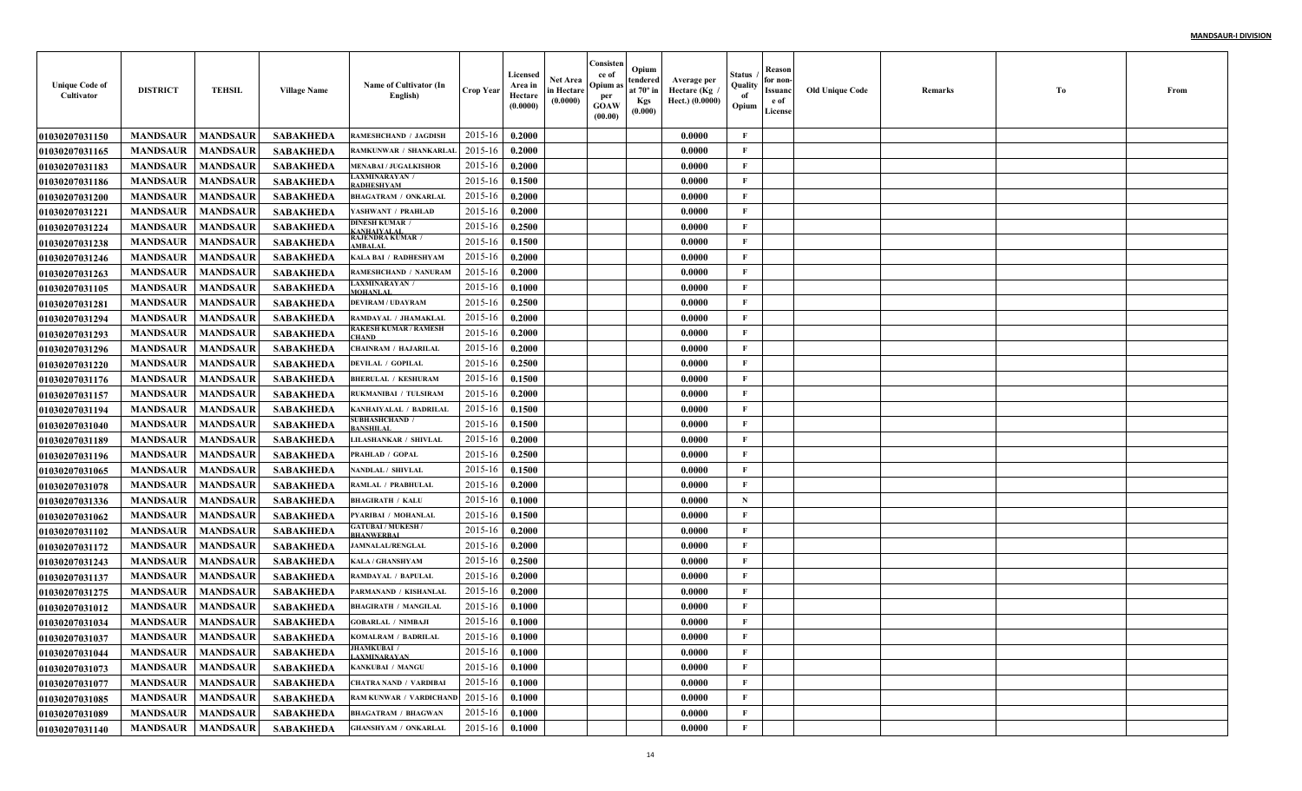| <b>Unique Code of</b><br>Cultivator | <b>DISTRICT</b>            | <b>TEHSIL</b>   | <b>Village Name</b> | Name of Cultivator (In<br>English)             | <b>Crop Year</b> | Licensed<br>Area in<br>Hectare<br>(0.0000) | Net Area<br>in Hectare<br>(0.0000) | Consisten<br>ce of<br>Opium a<br>per<br><b>GOAW</b><br>(00.00) | Opium<br>tendered<br>at $70^\circ$ in<br><b>Kgs</b><br>(0.000) | Average per<br>Hectare (Kg<br>Hect.) (0.0000) | Status<br>Quality<br>of<br>Opium | Reason<br>for non-<br>Issuanc<br>e of<br>License | <b>Old Unique Code</b> | Remarks | Тo | From |
|-------------------------------------|----------------------------|-----------------|---------------------|------------------------------------------------|------------------|--------------------------------------------|------------------------------------|----------------------------------------------------------------|----------------------------------------------------------------|-----------------------------------------------|----------------------------------|--------------------------------------------------|------------------------|---------|----|------|
| <b>01030207031150</b>               | <b>MANDSAUR</b>            | <b>MANDSAUR</b> | <b>SABAKHEDA</b>    | RAMESHCHAND / JAGDISH                          | 2015-16          | 0.2000                                     |                                    |                                                                |                                                                | 0.0000                                        | F                                |                                                  |                        |         |    |      |
| <b>01030207031165</b>               | <b>MANDSAUR</b>            | <b>MANDSAUR</b> | <b>SABAKHEDA</b>    | RAMKUNWAR / SHANKARLAI                         | 2015-16          | 0.2000                                     |                                    |                                                                |                                                                | 0.0000                                        | $\mathbf{F}$                     |                                                  |                        |         |    |      |
| 01030207031183                      | <b>MANDSAUR</b>            | <b>MANDSAUR</b> | <b>SABAKHEDA</b>    | <b>MENABAI / JUGALKISHOR</b>                   | 2015-16          | 0.2000                                     |                                    |                                                                |                                                                | 0.0000                                        | $\mathbf{F}$                     |                                                  |                        |         |    |      |
| <b>01030207031186</b>               | <b>MANDSAUR</b>            | <b>MANDSAUR</b> | <b>SABAKHEDA</b>    | AXMINARAYAN /<br><b>ADHESHYAM</b>              | 2015-16          | 0.1500                                     |                                    |                                                                |                                                                | 0.0000                                        | $\mathbf{F}$                     |                                                  |                        |         |    |      |
| <b>01030207031200</b>               | <b>MANDSAUR</b>            | <b>MANDSAUR</b> | <b>SABAKHEDA</b>    | <b>BHAGATRAM / ONKARLAI</b>                    | 2015-16          | 0.2000                                     |                                    |                                                                |                                                                | 0.0000                                        | $\mathbf{F}$                     |                                                  |                        |         |    |      |
| <b>01030207031221</b>               | <b>MANDSAUR</b>            | <b>MANDSAUR</b> | <b>SABAKHEDA</b>    | <b>ASHWANT / PRAHLAD</b>                       | 2015-16          | 0.2000                                     |                                    |                                                                |                                                                | 0.0000                                        | $\mathbf{F}$                     |                                                  |                        |         |    |      |
| <b>01030207031224</b>               | <b>MANDSAUR</b>            | <b>MANDSAUR</b> | <b>SABAKHEDA</b>    | <b>DINESH KUMAR</b><br><b>ANHAIYALAI</b>       | 2015-16          | 0.2500                                     |                                    |                                                                |                                                                | 0.0000                                        | $\mathbf{F}$                     |                                                  |                        |         |    |      |
| <b>01030207031238</b>               | <b>MANDSAUR</b>            | <b>MANDSAUR</b> | <b>SABAKHEDA</b>    | RAJENDRA KUMAR /<br>MBALA                      | 2015-16          | 0.1500                                     |                                    |                                                                |                                                                | 0.0000                                        | $\mathbf{F}$                     |                                                  |                        |         |    |      |
| 01030207031246                      | <b>MANDSAUR</b>            | <b>MANDSAUR</b> | <b>SABAKHEDA</b>    | KALA BAI / RADHESHYAM                          | 2015-16          | 0.2000                                     |                                    |                                                                |                                                                | 0.0000                                        | $\mathbf{F}$                     |                                                  |                        |         |    |      |
| <b>01030207031263</b>               | <b>MANDSAUR</b>            | <b>MANDSAUR</b> | <b>SABAKHEDA</b>    | RAMESHCHAND / NANURAM                          | 2015-16          | 0.2000                                     |                                    |                                                                |                                                                | 0.0000                                        | $\mathbf{F}$                     |                                                  |                        |         |    |      |
| <b>01030207031105</b>               | <b>MANDSAUR</b>            | <b>MANDSAUR</b> | <b>SABAKHEDA</b>    | <b>LAXMINARAYAN /</b><br>MOHANLAI              | 2015-16          | 0.1000                                     |                                    |                                                                |                                                                | 0.0000                                        | $\mathbf{F}$                     |                                                  |                        |         |    |      |
| <b>01030207031281</b>               | <b>MANDSAUR</b>            | <b>MANDSAUR</b> | <b>SABAKHEDA</b>    | <b>DEVIRAM / UDAYRAM</b>                       | 2015-16          | 0.2500                                     |                                    |                                                                |                                                                | 0.0000                                        | $\mathbf{F}$                     |                                                  |                        |         |    |      |
| <b>01030207031294</b>               | <b>MANDSAUR</b>            | <b>MANDSAUR</b> | <b>SABAKHEDA</b>    | RAMDAYAL / JHAMAKLAI                           | 2015-16          | 0.2000                                     |                                    |                                                                |                                                                | 0.0000                                        | $\mathbf{F}$                     |                                                  |                        |         |    |      |
| <b>01030207031293</b>               | <b>MANDSAUR</b>            | <b>MANDSAUR</b> | <b>SABAKHEDA</b>    | RAKESH KUMAR / RAMESH<br><b>HAND</b>           | 2015-16          | 0.2000                                     |                                    |                                                                |                                                                | 0.0000                                        | $\mathbf{F}$                     |                                                  |                        |         |    |      |
| <b>01030207031296</b>               | <b>MANDSAUR</b>            | <b>MANDSAUR</b> | <b>SABAKHEDA</b>    | <b>CHAINRAM / HAJARILAI</b>                    | 2015-16          | 0.2000                                     |                                    |                                                                |                                                                | 0.0000                                        | $\mathbf{F}$                     |                                                  |                        |         |    |      |
| <b>01030207031220</b>               | <b>MANDSAUR</b>            | <b>MANDSAUR</b> | <b>SABAKHEDA</b>    | <b>DEVILAL / GOPILAL</b>                       | 2015-16          | 0.2500                                     |                                    |                                                                |                                                                | 0.0000                                        | $\mathbf{F}$                     |                                                  |                        |         |    |      |
| 01030207031176                      | <b>MANDSAUR</b>            | <b>MANDSAUR</b> | <b>SABAKHEDA</b>    | <b>BHERULAL / KESHURAM</b>                     | 2015-16          | 0.1500                                     |                                    |                                                                |                                                                | 0.0000                                        | $\mathbf{F}$                     |                                                  |                        |         |    |      |
| <b>01030207031157</b>               | <b>MANDSAUR</b>            | <b>MANDSAUR</b> | <b>SABAKHEDA</b>    | RUKMANIBAI / TULSIRAM                          | 2015-16          | 0.2000                                     |                                    |                                                                |                                                                | 0.0000                                        | $\mathbf{F}$                     |                                                  |                        |         |    |      |
| 01030207031194                      | <b>MANDSAUR</b>            | <b>MANDSAUR</b> | <b>SABAKHEDA</b>    | <b>KANHAIYALAL / BADRILAL</b>                  | 2015-16          | 0.1500                                     |                                    |                                                                |                                                                | 0.0000                                        | $\mathbf{F}$                     |                                                  |                        |         |    |      |
| <b>01030207031040</b>               | <b>MANDSAUR</b>            | <b>MANDSAUR</b> | <b>SABAKHEDA</b>    | <b>SUBHASHCHAND /</b><br><b>ANSHILAI</b>       | 2015-16          | 0.1500                                     |                                    |                                                                |                                                                | 0.0000                                        | $\mathbf{F}$                     |                                                  |                        |         |    |      |
| 01030207031189                      | <b>MANDSAUR</b>            | <b>MANDSAUR</b> | <b>SABAKHEDA</b>    | <b>LILASHANKAR / SHIVLAL</b>                   | 2015-16          | 0.2000                                     |                                    |                                                                |                                                                | 0.0000                                        | $\mathbf{F}$                     |                                                  |                        |         |    |      |
| <b>01030207031196</b>               | <b>MANDSAUR</b>            | <b>MANDSAUR</b> | <b>SABAKHEDA</b>    | PRAHLAD / GOPAL                                | 2015-16          | 0.2500                                     |                                    |                                                                |                                                                | 0.0000                                        | F                                |                                                  |                        |         |    |      |
| <b>01030207031065</b>               | <b>MANDSAUR</b>            | <b>MANDSAUR</b> | <b>SABAKHEDA</b>    | <b>NANDLAL / SHIVLAL</b>                       | 2015-16          | 0.1500                                     |                                    |                                                                |                                                                | 0.0000                                        | $\mathbf{F}$                     |                                                  |                        |         |    |      |
| <b>01030207031078</b>               | <b>MANDSAUR</b>            | <b>MANDSAUR</b> | <b>SABAKHEDA</b>    | RAMLAL / PRABHULAL                             | 2015-16          | 0.2000                                     |                                    |                                                                |                                                                | 0.0000                                        | $\mathbf{F}$                     |                                                  |                        |         |    |      |
| <b>01030207031336</b>               | <b>MANDSAUR</b>            | <b>MANDSAUR</b> | <b>SABAKHEDA</b>    | <b>BHAGIRATH / KALU</b>                        | 2015-16          | 0.1000                                     |                                    |                                                                |                                                                | 0.0000                                        | $\mathbf N$                      |                                                  |                        |         |    |      |
| <b>01030207031062</b>               | <b>MANDSAUR</b>            | <b>MANDSAUR</b> | <b>SABAKHEDA</b>    | PYARIBAI / MOHANLAI                            | 2015-16          | 0.1500                                     |                                    |                                                                |                                                                | 0.0000                                        | $\mathbf{F}$                     |                                                  |                        |         |    |      |
| <b>01030207031102</b>               | <b>MANDSAUR</b>            | <b>MANDSAUR</b> | <b>SABAKHEDA</b>    | <b>GATUBAI / MUKESH /</b><br><b>BHANWERBAL</b> | 2015-16          | 0.2000                                     |                                    |                                                                |                                                                | 0.0000                                        | $\mathbf{F}$                     |                                                  |                        |         |    |      |
| <b>01030207031172</b>               | <b>MANDSAUR</b>            | <b>MANDSAUR</b> | <b>SABAKHEDA</b>    | <b>JAMNALAL/RENGLAL</b>                        | 2015-16          | 0.2000                                     |                                    |                                                                |                                                                | 0.0000                                        | $\mathbf{F}$                     |                                                  |                        |         |    |      |
| <b>01030207031243</b>               | <b>MANDSAUR</b>            | <b>MANDSAUR</b> | <b>SABAKHEDA</b>    | KALA / GHANSHYAM                               | 2015-16          | 0.2500                                     |                                    |                                                                |                                                                | 0.0000                                        | $\mathbf{F}$                     |                                                  |                        |         |    |      |
| 01030207031137                      | <b>MANDSAUR</b>            | <b>MANDSAUR</b> | <b>SABAKHEDA</b>    | RAMDAYAL / BAPULAL                             | 2015-16          | 0.2000                                     |                                    |                                                                |                                                                | 0.0000                                        | $\mathbf{F}$                     |                                                  |                        |         |    |      |
| 01030207031275                      | <b>MANDSAUR</b>            | <b>MANDSAUR</b> | <b>SABAKHEDA</b>    | PARMANAND / KISHANLAI                          | 2015-16          | 0.2000                                     |                                    |                                                                |                                                                | 0.0000                                        | $\mathbf{F}$                     |                                                  |                        |         |    |      |
| <b>01030207031012</b>               | <b>MANDSAUR</b>            | <b>MANDSAUR</b> | <b>SABAKHEDA</b>    | <b>BHAGIRATH / MANGILAI</b>                    | 2015-16          | 0.1000                                     |                                    |                                                                |                                                                | 0.0000                                        | F                                |                                                  |                        |         |    |      |
| <b>01030207031034</b>               | <b>MANDSAUR</b>            | <b>MANDSAUR</b> | <b>SABAKHEDA</b>    | <b>GOBARLAL / NIMBAJI</b>                      | 2015-16          | 0.1000                                     |                                    |                                                                |                                                                | 0.0000                                        | F                                |                                                  |                        |         |    |      |
| <b>01030207031037</b>               | <b>MANDSAUR</b>   MANDSAUR |                 | SABAKHEDA           | <b>KOMALRAM / BADRILAL</b>                     | $2015-16$ 0.1000 |                                            |                                    |                                                                |                                                                | 0.0000                                        | F                                |                                                  |                        |         |    |      |
| 01030207031044                      | <b>MANDSAUR</b>            | <b>MANDSAUR</b> | SABAKHEDA           | <b>JHAMKUBAI</b> /<br>AXMINARAYAN              | $2015 - 16$      | 0.1000                                     |                                    |                                                                |                                                                | 0.0000                                        | $\mathbf{F}$                     |                                                  |                        |         |    |      |
| <b>01030207031073</b>               | <b>MANDSAUR</b>            | <b>MANDSAUR</b> | SABAKHEDA           | KANKUBAI / MANGU                               | 2015-16          | 0.1000                                     |                                    |                                                                |                                                                | 0.0000                                        | $\mathbf{F}$                     |                                                  |                        |         |    |      |
| <b>01030207031077</b>               | <b>MANDSAUR</b>            | <b>MANDSAUR</b> | SABAKHEDA           | <b>CHATRA NAND / VARDIBAI</b>                  | 2015-16          | 0.1000                                     |                                    |                                                                |                                                                | 0.0000                                        | $\mathbf{F}$                     |                                                  |                        |         |    |      |
| <b>01030207031085</b>               | <b>MANDSAUR</b>            | <b>MANDSAUR</b> | <b>SABAKHEDA</b>    | RAM KUNWAR / VARDICHAND                        | 2015-16          | 0.1000                                     |                                    |                                                                |                                                                | 0.0000                                        | $\mathbf{F}$                     |                                                  |                        |         |    |      |
| 01030207031089                      | <b>MANDSAUR</b>            | <b>MANDSAUR</b> | <b>SABAKHEDA</b>    | <b>BHAGATRAM / BHAGWAN</b>                     | 2015-16          | 0.1000                                     |                                    |                                                                |                                                                | 0.0000                                        | $\mathbf{F}$                     |                                                  |                        |         |    |      |
| 01030207031140                      | <b>MANDSAUR</b>            | <b>MANDSAUR</b> | <b>SABAKHEDA</b>    | <b>GHANSHYAM / ONKARLAL</b>                    | 2015-16          | 0.1000                                     |                                    |                                                                |                                                                | 0.0000                                        | $\mathbf F$                      |                                                  |                        |         |    |      |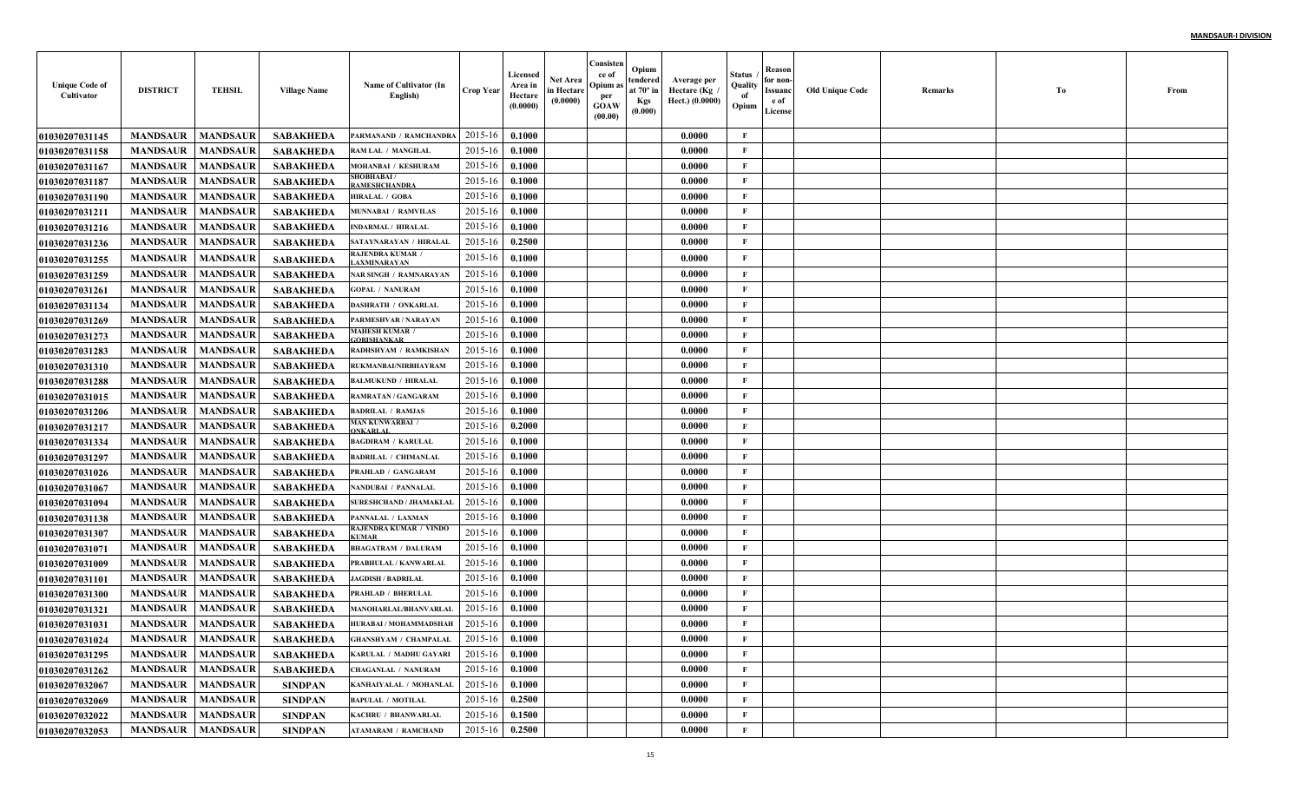| <b>Unique Code of</b><br>Cultivator | <b>DISTRICT</b>            | <b>TEHSIL</b>   | <b>Village Name</b> | Name of Cultivator (In<br>English)          | <b>Crop Year</b> | Licensed<br>Area in<br>Hectare<br>(0.0000) | Net Area<br>in Hectare<br>(0.0000) | Consisten<br>ce of<br>Opium a<br>per<br><b>GOAW</b><br>(00.00) | Opium<br>tendered<br>at $70^\circ$ in<br><b>Kgs</b><br>(0.000) | Average per<br>Hectare (Kg<br>Hect.) (0.0000) | Status<br>Quality<br>of<br>Opium | Reason<br>for non-<br>Issuanc<br>e of<br>License | <b>Old Unique Code</b> | Remarks | Тo | From |
|-------------------------------------|----------------------------|-----------------|---------------------|---------------------------------------------|------------------|--------------------------------------------|------------------------------------|----------------------------------------------------------------|----------------------------------------------------------------|-----------------------------------------------|----------------------------------|--------------------------------------------------|------------------------|---------|----|------|
| <b>01030207031145</b>               | <b>MANDSAUR</b>            | <b>MANDSAUR</b> | <b>SABAKHEDA</b>    | PARMANAND / RAMCHANDRA                      | 2015-16          | 0.1000                                     |                                    |                                                                |                                                                | 0.0000                                        | F                                |                                                  |                        |         |    |      |
| 01030207031158                      | <b>MANDSAUR</b>            | <b>MANDSAUR</b> | <b>SABAKHEDA</b>    | RAM LAL / MANGILAL                          | 2015-16          | 0.1000                                     |                                    |                                                                |                                                                | 0.0000                                        | $\mathbf{F}$                     |                                                  |                        |         |    |      |
| <b>01030207031167</b>               | <b>MANDSAUR</b>            | <b>MANDSAUR</b> | <b>SABAKHEDA</b>    | MOHANBAI / KESHURAM                         | 2015-16          | 0.1000                                     |                                    |                                                                |                                                                | 0.0000                                        | $\mathbf{F}$                     |                                                  |                        |         |    |      |
| <b>01030207031187</b>               | <b>MANDSAUR</b>            | <b>MANDSAUR</b> | <b>SABAKHEDA</b>    | <b>SHOBHABAI /</b><br><b>AMESHCHANDRA</b>   | 2015-16          | 0.1000                                     |                                    |                                                                |                                                                | 0.0000                                        | $\mathbf{F}$                     |                                                  |                        |         |    |      |
| <b>01030207031190</b>               | <b>MANDSAUR</b>            | <b>MANDSAUR</b> | <b>SABAKHEDA</b>    | <b>HIRALAL / GOBA</b>                       | 2015-16          | 0.1000                                     |                                    |                                                                |                                                                | 0.0000                                        | $\mathbf{F}$                     |                                                  |                        |         |    |      |
| 01030207031211                      | <b>MANDSAUR</b>            | <b>MANDSAUR</b> | <b>SABAKHEDA</b>    | <b>MUNNABAI / RAMVILAS</b>                  | 2015-16          | 0.1000                                     |                                    |                                                                |                                                                | 0.0000                                        | $\mathbf{F}$                     |                                                  |                        |         |    |      |
| 01030207031216                      | <b>MANDSAUR</b>            | <b>MANDSAUR</b> | <b>SABAKHEDA</b>    | <b>INDARMAL / HIRALAL</b>                   | 2015-16          | 0.1000                                     |                                    |                                                                |                                                                | 0.0000                                        | $\mathbf{F}$                     |                                                  |                        |         |    |      |
| <b>01030207031236</b>               | <b>MANDSAUR</b>            | <b>MANDSAUR</b> | <b>SABAKHEDA</b>    | SATAYNARAYAN / HIRALAL                      | 2015-16          | 0.2500                                     |                                    |                                                                |                                                                | 0.0000                                        | $\mathbf{F}$                     |                                                  |                        |         |    |      |
| <b>01030207031255</b>               | <b>MANDSAUR</b>            | <b>MANDSAUR</b> | <b>SABAKHEDA</b>    | <b>RAJENDRA KUMAR</b><br><b>AXMINARAYAN</b> | 2015-16          | 0.1000                                     |                                    |                                                                |                                                                | 0.0000                                        | $\mathbf{F}$                     |                                                  |                        |         |    |      |
| <b>01030207031259</b>               | <b>MANDSAUR</b>            | <b>MANDSAUR</b> | <b>SABAKHEDA</b>    | <b>NAR SINGH / RAMNARAYAN</b>               | 2015-16          | 0.1000                                     |                                    |                                                                |                                                                | 0.0000                                        | $\mathbf{F}$                     |                                                  |                        |         |    |      |
| 01030207031261                      | <b>MANDSAUR</b>            | <b>MANDSAUR</b> | <b>SABAKHEDA</b>    | <b>GOPAL / NANURAM</b>                      | 2015-16          | 0.1000                                     |                                    |                                                                |                                                                | 0.0000                                        | $\mathbf{F}$                     |                                                  |                        |         |    |      |
| 01030207031134                      | <b>MANDSAUR</b>            | <b>MANDSAUR</b> | <b>SABAKHEDA</b>    | <b>DASHRATH / ONKARLAI</b>                  | 2015-16          | 0.1000                                     |                                    |                                                                |                                                                | 0.0000                                        | $\mathbf{F}$                     |                                                  |                        |         |    |      |
| <b>01030207031269</b>               | <b>MANDSAUR</b>            | <b>MANDSAUR</b> | <b>SABAKHEDA</b>    | PARMESHVAR / NARAYAN                        | 2015-16          | 0.1000                                     |                                    |                                                                |                                                                | 0.0000                                        | $\mathbf{F}$                     |                                                  |                        |         |    |      |
| <b>01030207031273</b>               | <b>MANDSAUR</b>            | <b>MANDSAUR</b> | <b>SABAKHEDA</b>    | MAHESH KUMAR <i>(</i><br><b>ORISHANKAR</b>  | 2015-16          | 0.1000                                     |                                    |                                                                |                                                                | 0.0000                                        | $\mathbf{F}$                     |                                                  |                        |         |    |      |
| <b>01030207031283</b>               | <b>MANDSAUR</b>            | <b>MANDSAUR</b> | <b>SABAKHEDA</b>    | RADHSHYAM / RAMKISHAN                       | 2015-16          | 0.1000                                     |                                    |                                                                |                                                                | 0.0000                                        | $\mathbf{F}$                     |                                                  |                        |         |    |      |
| <b>01030207031310</b>               | <b>MANDSAUR</b>            | <b>MANDSAUR</b> | <b>SABAKHEDA</b>    | RUKMANBAI/NIRBHAYRAM                        | 2015-16          | 0.1000                                     |                                    |                                                                |                                                                | 0.0000                                        | $\mathbf{F}$                     |                                                  |                        |         |    |      |
| <b>01030207031288</b>               | <b>MANDSAUR</b>            | <b>MANDSAUR</b> | <b>SABAKHEDA</b>    | <b>BALMUKUND / HIRALAL</b>                  | 2015-16          | 0.1000                                     |                                    |                                                                |                                                                | 0.0000                                        | $\mathbf{F}$                     |                                                  |                        |         |    |      |
| <b>01030207031015</b>               | <b>MANDSAUR</b>            | <b>MANDSAUR</b> | <b>SABAKHEDA</b>    | <b>RAMRATAN / GANGARAM</b>                  | 2015-16          | 0.1000                                     |                                    |                                                                |                                                                | 0.0000                                        | $\mathbf{F}$                     |                                                  |                        |         |    |      |
| <b>01030207031206</b>               | <b>MANDSAUR</b>            | <b>MANDSAUR</b> | <b>SABAKHEDA</b>    | <b>BADRILAL / RAMJAS</b>                    | 2015-16          | 0.1000                                     |                                    |                                                                |                                                                | 0.0000                                        | $\mathbf{F}$                     |                                                  |                        |         |    |      |
| <b>01030207031217</b>               | <b>MANDSAUR</b>            | <b>MANDSAUR</b> | <b>SABAKHEDA</b>    | MAN KUNWARBAI /<br><b>NKARLAI</b>           | 2015-16          | 0.2000                                     |                                    |                                                                |                                                                | 0.0000                                        | $\mathbf{F}$                     |                                                  |                        |         |    |      |
| <b>01030207031334</b>               | <b>MANDSAUR</b>            | <b>MANDSAUR</b> | <b>SABAKHEDA</b>    | <b>BAGDIRAM / KARULAL</b>                   | 2015-16          | 0.1000                                     |                                    |                                                                |                                                                | 0.0000                                        | $\mathbf{F}$                     |                                                  |                        |         |    |      |
| <b>01030207031297</b>               | <b>MANDSAUR</b>            | <b>MANDSAUR</b> | <b>SABAKHEDA</b>    | <b>BADRILAL / CHIMANLAI</b>                 | 2015-16          | 0.1000                                     |                                    |                                                                |                                                                | 0.0000                                        | $\mathbf{F}$                     |                                                  |                        |         |    |      |
| <b>01030207031026</b>               | <b>MANDSAUR</b>            | <b>MANDSAUR</b> | <b>SABAKHEDA</b>    | PRAHLAD / GANGARAM                          | 2015-16          | 0.1000                                     |                                    |                                                                |                                                                | 0.0000                                        | $\mathbf{F}$                     |                                                  |                        |         |    |      |
| <b>01030207031067</b>               | <b>MANDSAUR</b>            | <b>MANDSAUR</b> | <b>SABAKHEDA</b>    | NANDUBAI / PANNALAI                         | 2015-16          | 0.1000                                     |                                    |                                                                |                                                                | 0.0000                                        | $\mathbf{F}$                     |                                                  |                        |         |    |      |
| <b>01030207031094</b>               | <b>MANDSAUR</b>            | <b>MANDSAUR</b> | <b>SABAKHEDA</b>    | <b>SURESHCHAND / JHAMAKLAI</b>              | 2015-16          | 0.1000                                     |                                    |                                                                |                                                                | 0.0000                                        | $\mathbf{F}$                     |                                                  |                        |         |    |      |
| <b>01030207031138</b>               | <b>MANDSAUR</b>            | <b>MANDSAUR</b> | <b>SABAKHEDA</b>    | PANNALAL / LAXMAN                           | 2015-16          | 0.1000                                     |                                    |                                                                |                                                                | 0.0000                                        | $\mathbf{F}$                     |                                                  |                        |         |    |      |
| <b>01030207031307</b>               | <b>MANDSAUR</b>            | <b>MANDSAUR</b> | <b>SABAKHEDA</b>    | RAJENDRA KUMAR / VINDO<br>TIMAE             | 2015-16          | 0.1000                                     |                                    |                                                                |                                                                | 0.0000                                        | $\mathbf{F}$                     |                                                  |                        |         |    |      |
| <b>01030207031071</b>               | <b>MANDSAUR</b>            | <b>MANDSAUR</b> | <b>SABAKHEDA</b>    | <b>BHAGATRAM / DALURAM</b>                  | 2015-16          | 0.1000                                     |                                    |                                                                |                                                                | 0.0000                                        | $\mathbf{F}$                     |                                                  |                        |         |    |      |
| <b>01030207031009</b>               | <b>MANDSAUR</b>            | <b>MANDSAUR</b> | <b>SABAKHEDA</b>    | PRABHULAL / KANWARLAI                       | 2015-16          | 0.1000                                     |                                    |                                                                |                                                                | 0.0000                                        | $\mathbf{F}$                     |                                                  |                        |         |    |      |
| <b>01030207031101</b>               | <b>MANDSAUR</b>            | <b>MANDSAUR</b> | <b>SABAKHEDA</b>    | <b>JAGDISH / BADRILAL</b>                   | 2015-16          | 0.1000                                     |                                    |                                                                |                                                                | 0.0000                                        | $\mathbf{F}$                     |                                                  |                        |         |    |      |
| <b>01030207031300</b>               | <b>MANDSAUR</b>            | <b>MANDSAUR</b> | SABAKHEDA           | <b>PRAHLAD / BHERULAL</b>                   | 2015-16          | 0.1000                                     |                                    |                                                                |                                                                | 0.0000                                        | $\mathbf{F}$                     |                                                  |                        |         |    |      |
| <b>01030207031321</b>               | <b>MANDSAUR</b>            | <b>MANDSAUR</b> | <b>SABAKHEDA</b>    | <b>MANOHARLAL/BHANVARLAL</b>                | 2015-16          | 0.1000                                     |                                    |                                                                |                                                                | 0.0000                                        | $\mathbf{F}$                     |                                                  |                        |         |    |      |
| <b>01030207031031</b>               | <b>MANDSAUR</b>            | <b>MANDSAUR</b> | <b>SABAKHEDA</b>    | HURABAI / MOHAMMADSHAH                      | 2015-16          | 0.1000                                     |                                    |                                                                |                                                                | 0.0000                                        | F                                |                                                  |                        |         |    |      |
| <b>01030207031024</b>               | <b>MANDSAUR   MANDSAUR</b> |                 | SABAKHEDA           | <b>GHANSHYAM / CHAMPALAL</b>                | $2015-16$ 0.1000 |                                            |                                    |                                                                |                                                                | 0.0000                                        | F                                |                                                  |                        |         |    |      |
| 01030207031295                      | <b>MANDSAUR</b>            | <b>MANDSAUR</b> | <b>SABAKHEDA</b>    | KARULAL / MADHU GAYARI                      | 2015-16          | 0.1000                                     |                                    |                                                                |                                                                | 0.0000                                        | $\mathbf{F}$                     |                                                  |                        |         |    |      |
| 01030207031262                      | <b>MANDSAUR</b>            | <b>MANDSAUR</b> | <b>SABAKHEDA</b>    | <b>CHAGANLAL / NANURAM</b>                  | 2015-16          | 0.1000                                     |                                    |                                                                |                                                                | 0.0000                                        | $\mathbf{F}$                     |                                                  |                        |         |    |      |
| 01030207032067                      | <b>MANDSAUR</b>            | <b>MANDSAUR</b> | <b>SINDPAN</b>      | KANHAIYALAL / MOHANLAL                      | 2015-16          | 0.1000                                     |                                    |                                                                |                                                                | 0.0000                                        | $\mathbf{F}$                     |                                                  |                        |         |    |      |
| 01030207032069                      | <b>MANDSAUR</b>            | <b>MANDSAUR</b> | <b>SINDPAN</b>      | <b>BAPULAL / MOTILAL</b>                    | 2015-16          | 0.2500                                     |                                    |                                                                |                                                                | 0.0000                                        | $\mathbf{F}$                     |                                                  |                        |         |    |      |
| 01030207032022                      | <b>MANDSAUR</b>            | <b>MANDSAUR</b> | <b>SINDPAN</b>      | KACHRU / BHANWARLAL                         | 2015-16          | 0.1500                                     |                                    |                                                                |                                                                | 0.0000                                        | $\mathbf{F}$                     |                                                  |                        |         |    |      |
| 01030207032053                      | MANDSAUR                   | <b>MANDSAUR</b> | <b>SINDPAN</b>      | <b>ATAMARAM / RAMCHAND</b>                  | 2015-16          | 0.2500                                     |                                    |                                                                |                                                                | 0.0000                                        | $\mathbf{F}$                     |                                                  |                        |         |    |      |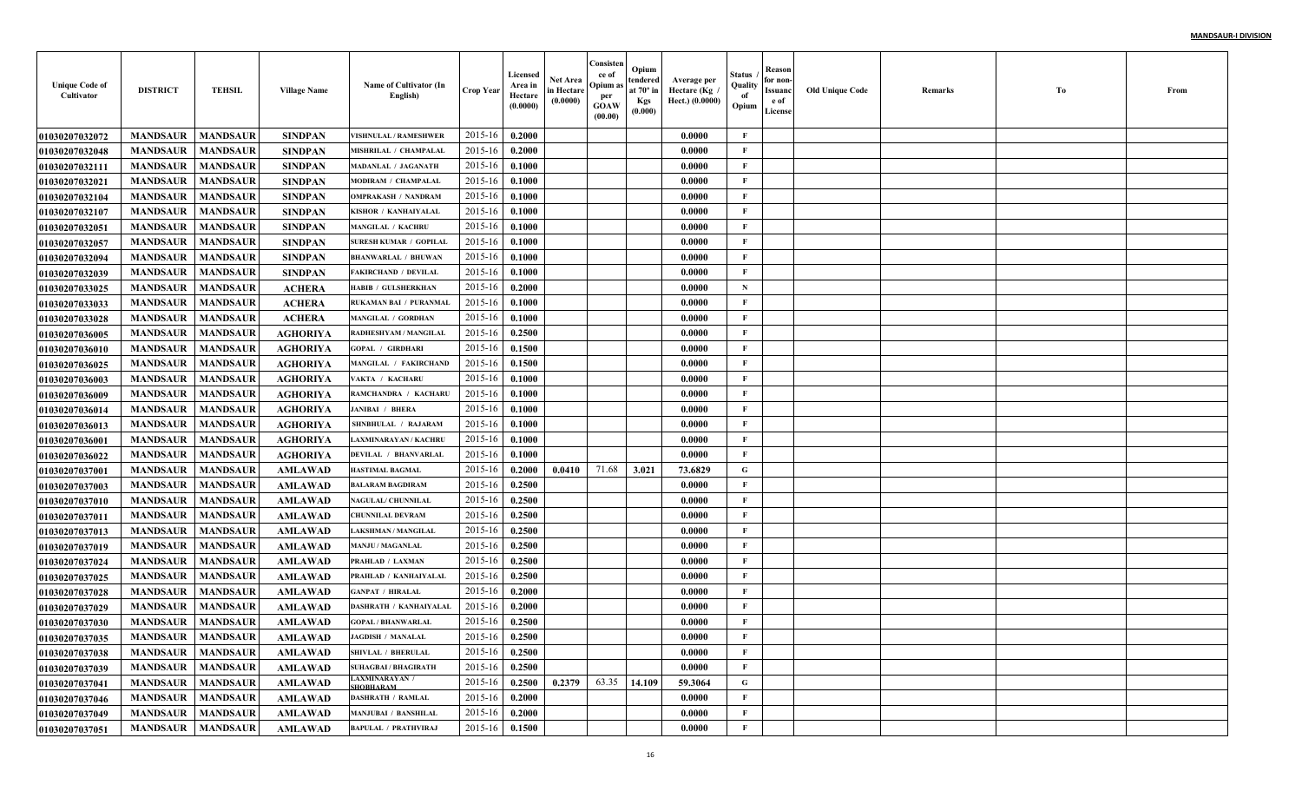| <b>Unique Code of</b><br>Cultivator | <b>DISTRICT</b>            | <b>TEHSIL</b>   | <b>Village Name</b> | Name of Cultivator (In<br>English) | <b>Crop Year</b> | Licensed<br>Area in<br>Hectare<br>(0.0000) | <b>Net Area</b><br>in Hectare<br>(0.0000) | Consisten<br>ce of<br>Opium a<br>per<br><b>GOAW</b><br>(00.00) | Opium<br>tendered<br>at $70^\circ$ in<br><b>Kgs</b><br>(0.000) | Average per<br>Hectare (Kg<br>Hect.) (0.0000) | Status<br>Quality<br>of<br>Opium | Reason<br>for non-<br>Issuanc<br>e of<br>License | <b>Old Unique Code</b> | Remarks | Тo | From |
|-------------------------------------|----------------------------|-----------------|---------------------|------------------------------------|------------------|--------------------------------------------|-------------------------------------------|----------------------------------------------------------------|----------------------------------------------------------------|-----------------------------------------------|----------------------------------|--------------------------------------------------|------------------------|---------|----|------|
| <b>01030207032072</b>               | <b>MANDSAUR</b>            | <b>MANDSAUR</b> | <b>SINDPAN</b>      | <b>VISHNULAL / RAMESHWER</b>       | 2015-16          | 0.2000                                     |                                           |                                                                |                                                                | 0.0000                                        | F                                |                                                  |                        |         |    |      |
| 01030207032048                      | <b>MANDSAUR</b>            | <b>MANDSAUR</b> | <b>SINDPAN</b>      | <b>MISHRILAL / CHAMPALAL</b>       | 2015-16          | 0.2000                                     |                                           |                                                                |                                                                | 0.0000                                        | $\mathbf{F}$                     |                                                  |                        |         |    |      |
| 01030207032111                      | <b>MANDSAUR</b>            | <b>MANDSAUR</b> | <b>SINDPAN</b>      | MADANLAL / JAGANATE                | 2015-16          | 0.1000                                     |                                           |                                                                |                                                                | 0.0000                                        | $\mathbf{F}$                     |                                                  |                        |         |    |      |
| <b>01030207032021</b>               | <b>MANDSAUR</b>            | <b>MANDSAUR</b> | <b>SINDPAN</b>      | MODIRAM / CHAMPALAI                | 2015-16          | 0.1000                                     |                                           |                                                                |                                                                | 0.0000                                        | $\mathbf{F}$                     |                                                  |                        |         |    |      |
| <b>01030207032104</b>               | <b>MANDSAUR</b>            | <b>MANDSAUR</b> | <b>SINDPAN</b>      | <b>OMPRAKASH / NANDRAM</b>         | 2015-16          | 0.1000                                     |                                           |                                                                |                                                                | 0.0000                                        | $\mathbf{F}$                     |                                                  |                        |         |    |      |
| 01030207032107                      | <b>MANDSAUR</b>            | <b>MANDSAUR</b> | <b>SINDPAN</b>      | KISHOR / KANHAIYALAI               | 2015-16          | 0.1000                                     |                                           |                                                                |                                                                | 0.0000                                        | $\mathbf{F}$                     |                                                  |                        |         |    |      |
| 01030207032051                      | <b>MANDSAUR</b>            | <b>MANDSAUR</b> | <b>SINDPAN</b>      | <b>MANGILAL / KACHRU</b>           | 2015-16          | 0.1000                                     |                                           |                                                                |                                                                | 0.0000                                        | $\mathbf{F}$                     |                                                  |                        |         |    |      |
| 01030207032057                      | <b>MANDSAUR</b>            | <b>MANDSAUR</b> | <b>SINDPAN</b>      | <b>SURESH KUMAR / GOPILAI</b>      | 2015-16          | 0.1000                                     |                                           |                                                                |                                                                | 0.0000                                        | $\mathbf{F}$                     |                                                  |                        |         |    |      |
| <b>01030207032094</b>               | <b>MANDSAUR</b>            | <b>MANDSAUR</b> | <b>SINDPAN</b>      | <b>BHANWARLAL / BHUWAN</b>         | 2015-16          | 0.1000                                     |                                           |                                                                |                                                                | 0.0000                                        | $\mathbf{F}$                     |                                                  |                        |         |    |      |
| <b>01030207032039</b>               | <b>MANDSAUR</b>            | <b>MANDSAUR</b> | <b>SINDPAN</b>      | <b>FAKIRCHAND / DEVILAL</b>        | 2015-16          | 0.1000                                     |                                           |                                                                |                                                                | 0.0000                                        | $\mathbf{F}$                     |                                                  |                        |         |    |      |
| <b>01030207033025</b>               | <b>MANDSAUR</b>            | <b>MANDSAUR</b> | <b>ACHERA</b>       | HABIB / GULSHERKHAN                | 2015-16          | 0.2000                                     |                                           |                                                                |                                                                | 0.0000                                        | $\mathbf N$                      |                                                  |                        |         |    |      |
| <b>01030207033033</b>               | <b>MANDSAUR</b>            | <b>MANDSAUR</b> | <b>ACHERA</b>       | RUKAMAN BAI / PURANMAL             | 2015-16          | 0.1000                                     |                                           |                                                                |                                                                | 0.0000                                        | $\mathbf{F}$                     |                                                  |                        |         |    |      |
| <b>01030207033028</b>               | <b>MANDSAUR</b>            | <b>MANDSAUR</b> | <b>ACHERA</b>       | <b>MANGILAL / GORDHAN</b>          | 2015-16          | 0.1000                                     |                                           |                                                                |                                                                | 0.0000                                        | $\mathbf{F}$                     |                                                  |                        |         |    |      |
| <b>01030207036005</b>               | <b>MANDSAUR</b>            | <b>MANDSAUR</b> | <b>AGHORIYA</b>     | RADHESHYAM / MANGILAI              | 2015-16          | 0.2500                                     |                                           |                                                                |                                                                | 0.0000                                        | $\mathbf{F}$                     |                                                  |                        |         |    |      |
| <b>01030207036010</b>               | <b>MANDSAUR</b>            | <b>MANDSAUR</b> | <b>AGHORIYA</b>     | <b>GOPAL / GIRDHARI</b>            | 2015-16          | 0.1500                                     |                                           |                                                                |                                                                | 0.0000                                        | $\mathbf{F}$                     |                                                  |                        |         |    |      |
| <b>01030207036025</b>               | <b>MANDSAUR</b>            | <b>MANDSAUR</b> | <b>AGHORIYA</b>     | MANGILAL / FAKIRCHAND              | 2015-16          | 0.1500                                     |                                           |                                                                |                                                                | 0.0000                                        | $\mathbf{F}$                     |                                                  |                        |         |    |      |
| <b>01030207036003</b>               | <b>MANDSAUR</b>            | <b>MANDSAUR</b> | <b>AGHORIYA</b>     | VAKTA / KACHARU                    | 2015-16          | 0.1000                                     |                                           |                                                                |                                                                | 0.0000                                        | $\mathbf{F}$                     |                                                  |                        |         |    |      |
| <b>01030207036009</b>               | <b>MANDSAUR</b>            | <b>MANDSAUR</b> | <b>AGHORIYA</b>     | RAMCHANDRA / KACHARI               | 2015-16          | 0.1000                                     |                                           |                                                                |                                                                | 0.0000                                        | $\mathbf{F}$                     |                                                  |                        |         |    |      |
| <b>01030207036014</b>               | <b>MANDSAUR</b>            | <b>MANDSAUR</b> | <b>AGHORIYA</b>     | <b>JANIBAI / BHERA</b>             | 2015-16          | 0.1000                                     |                                           |                                                                |                                                                | 0.0000                                        | $\mathbf{F}$                     |                                                  |                        |         |    |      |
| <b>01030207036013</b>               | <b>MANDSAUR</b>            | <b>MANDSAUR</b> | <b>AGHORIYA</b>     | SHNBHULAL / RAJARAM                | 2015-16          | 0.1000                                     |                                           |                                                                |                                                                | 0.0000                                        | $\mathbf{F}$                     |                                                  |                        |         |    |      |
| <b>01030207036001</b>               | <b>MANDSAUR</b>            | <b>MANDSAUR</b> | <b>AGHORIYA</b>     | <b>LAXMINARAYAN / KACHRU</b>       | 2015-16          | 0.1000                                     |                                           |                                                                |                                                                | 0.0000                                        | $\mathbf{F}$                     |                                                  |                        |         |    |      |
| <b>01030207036022</b>               | <b>MANDSAUR</b>            | <b>MANDSAUR</b> | <b>AGHORIYA</b>     | DEVILAL / BHANVARLAI               | 2015-16          | 0.1000                                     |                                           |                                                                |                                                                | 0.0000                                        | F                                |                                                  |                        |         |    |      |
| <b>01030207037001</b>               | <b>MANDSAUR</b>            | <b>MANDSAUR</b> | <b>AMLAWAD</b>      | <b>HASTIMAL BAGMAL</b>             | 2015-16          | 0.2000                                     | 0.0410                                    | 71.68                                                          | 3.021                                                          | 73.6829                                       | G                                |                                                  |                        |         |    |      |
| <b>01030207037003</b>               | <b>MANDSAUR</b>            | <b>MANDSAUR</b> | <b>AMLAWAD</b>      | <b>BALARAM BAGDIRAM</b>            | 2015-16          | 0.2500                                     |                                           |                                                                |                                                                | 0.0000                                        | $\mathbf F$                      |                                                  |                        |         |    |      |
| <b>01030207037010</b>               | <b>MANDSAUR</b>            | <b>MANDSAUR</b> | <b>AMLAWAD</b>      | <b>NAGULAL/ CHUNNILAI</b>          | 2015-16          | 0.2500                                     |                                           |                                                                |                                                                | 0.0000                                        | $\mathbf{F}$                     |                                                  |                        |         |    |      |
| <b>0103020703701</b> 1              | <b>MANDSAUR</b>            | <b>MANDSAUR</b> | <b>AMLAWAD</b>      | <b>CHUNNILAL DEVRAM</b>            | 2015-16          | 0.2500                                     |                                           |                                                                |                                                                | 0.0000                                        | $\mathbf{F}$                     |                                                  |                        |         |    |      |
| <b>01030207037013</b>               | <b>MANDSAUR</b>            | <b>MANDSAUR</b> | <b>AMLAWAD</b>      | <b>LAKSHMAN / MANGILAL</b>         | 2015-16          | 0.2500                                     |                                           |                                                                |                                                                | 0.0000                                        | $\mathbf F$                      |                                                  |                        |         |    |      |
| <b>01030207037019</b>               | <b>MANDSAUR</b>            | <b>MANDSAUR</b> | <b>AMLAWAD</b>      | <b>MANJU / MAGANLAL</b>            | 2015-16          | 0.2500                                     |                                           |                                                                |                                                                | 0.0000                                        | $\mathbf{F}$                     |                                                  |                        |         |    |      |
| <b>01030207037024</b>               | <b>MANDSAUR</b>            | <b>MANDSAUR</b> | <b>AMLAWAD</b>      | PRAHLAD / LAXMAN                   | 2015-16          | 0.2500                                     |                                           |                                                                |                                                                | 0.0000                                        | $\mathbf{F}$                     |                                                  |                        |         |    |      |
| 01030207037025                      | <b>MANDSAUR</b>            | <b>MANDSAUR</b> | <b>AMLAWAD</b>      | PRAHLAD / KANHAIYALAI              | 2015-16          | 0.2500                                     |                                           |                                                                |                                                                | 0.0000                                        | $\mathbf{F}$                     |                                                  |                        |         |    |      |
| <b>01030207037028</b>               | <b>MANDSAUR</b>            | <b>MANDSAUR</b> | <b>AMLAWAD</b>      | <b>GANPAT / HIRALAL</b>            | 2015-16          | 0.2000                                     |                                           |                                                                |                                                                | 0.0000                                        | $\mathbf{F}$                     |                                                  |                        |         |    |      |
| <b>01030207037029</b>               | <b>MANDSAUR</b>            | <b>MANDSAUR</b> | <b>AMLAWAD</b>      | <b>DASHRATH / KANHAIYALAL</b>      | 2015-16          | 0.2000                                     |                                           |                                                                |                                                                | 0.0000                                        | F                                |                                                  |                        |         |    |      |
| <b>01030207037030</b>               | <b>MANDSAUR</b>            | <b>MANDSAUR</b> | <b>AMLAWAD</b>      | <b>GOPAL / BHANWARLAL</b>          | 2015-16          | 0.2500                                     |                                           |                                                                |                                                                | 0.0000                                        | F                                |                                                  |                        |         |    |      |
| 01030207037035                      | <b>MANDSAUR</b>   MANDSAUR |                 | AMLAWAD             | <b>JAGDISH / MANALAL</b>           | $2015-16$ 0.2500 |                                            |                                           |                                                                |                                                                | 0.0000                                        | F                                |                                                  |                        |         |    |      |
| 01030207037038                      | <b>MANDSAUR</b>            | <b>MANDSAUR</b> | AMLAWAD             | SHIVLAL / BHERULAL                 | 2015-16          | 0.2500                                     |                                           |                                                                |                                                                | 0.0000                                        | F                                |                                                  |                        |         |    |      |
| <b>01030207037039</b>               | <b>MANDSAUR</b>            | <b>MANDSAUR</b> | AMLAWAD             | <b>SUHAGBAI / BHAGIRATH</b>        | 2015-16          | 0.2500                                     |                                           |                                                                |                                                                | 0.0000                                        | $\mathbf{F}$                     |                                                  |                        |         |    |      |
| <b>01030207037041</b>               | <b>MANDSAUR</b>            | <b>MANDSAUR</b> | <b>AMLAWAD</b>      | <b>LAXMINARAYAN /</b><br>SHOBHARAM | 2015-16          | 0.2500                                     | 0.2379                                    | 63.35                                                          | 14.109                                                         | 59.3064                                       | $\mathbf G$                      |                                                  |                        |         |    |      |
| 01030207037046                      | <b>MANDSAUR</b>            | <b>MANDSAUR</b> | AMLAWAD             | <b>DASHRATH / RAMLAL</b>           | 2015-16          | 0.2000                                     |                                           |                                                                |                                                                | 0.0000                                        | $\mathbf{F}$                     |                                                  |                        |         |    |      |
| 01030207037049                      | <b>MANDSAUR</b>            | <b>MANDSAUR</b> | <b>AMLAWAD</b>      | <b>MANJUBAI / BANSHILAL</b>        | 2015-16          | 0.2000                                     |                                           |                                                                |                                                                | 0.0000                                        | $\mathbf{F}$                     |                                                  |                        |         |    |      |
| 01030207037051                      | <b>MANDSAUR</b>            | <b>MANDSAUR</b> | AMLAWAD             | <b>BAPULAL / PRATHVIRAJ</b>        | 2015-16          | 0.1500                                     |                                           |                                                                |                                                                | 0.0000                                        | $\mathbf F$                      |                                                  |                        |         |    |      |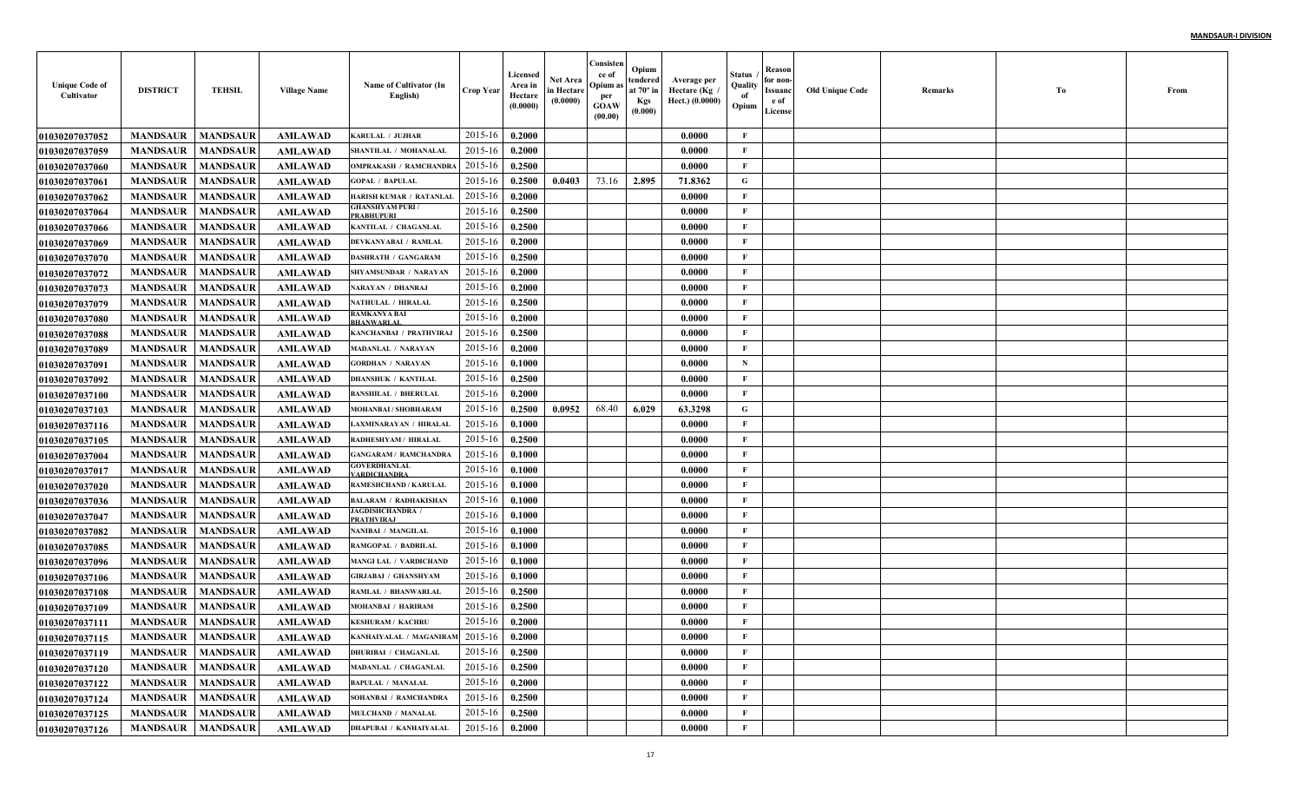| <b>Unique Code of</b><br>Cultivator | <b>DISTRICT</b>            | <b>TEHSIL</b>   | <b>Village Name</b> | Name of Cultivator (In<br>English)           | <b>Crop Year</b> | Licensed<br>Area in<br>Hectare<br>(0.0000) | Net Area<br>in Hectare<br>(0.0000) | Consisten<br>ce of<br>Opium a<br>per<br><b>GOAW</b><br>(00.00) | Opium<br>tendered<br>at $70^\circ$ in<br><b>Kgs</b><br>(0.000) | Average per<br>Hectare (Kg<br>Hect.) (0.0000) | Status<br>Quality<br>of<br>Opium | Reason<br>for non-<br>Issuanc<br>e of<br>License | <b>Old Unique Code</b> | Remarks | Тo | From |
|-------------------------------------|----------------------------|-----------------|---------------------|----------------------------------------------|------------------|--------------------------------------------|------------------------------------|----------------------------------------------------------------|----------------------------------------------------------------|-----------------------------------------------|----------------------------------|--------------------------------------------------|------------------------|---------|----|------|
| <b>01030207037052</b>               | <b>MANDSAUR</b>            | <b>MANDSAUR</b> | <b>AMLAWAD</b>      | <b>KARULAL / JUJHAR</b>                      | 2015-16          | 0.2000                                     |                                    |                                                                |                                                                | 0.0000                                        | F                                |                                                  |                        |         |    |      |
| <b>01030207037059</b>               | <b>MANDSAUR</b>            | <b>MANDSAUR</b> | <b>AMLAWAD</b>      | SHANTILAL / MOHANALAI                        | 2015-16          | 0.2000                                     |                                    |                                                                |                                                                | 0.0000                                        | $\mathbf{F}$                     |                                                  |                        |         |    |      |
| <b>01030207037060</b>               | <b>MANDSAUR</b>            | <b>MANDSAUR</b> | <b>AMLAWAD</b>      | <b>OMPRAKASH / RAMCHANDRA</b>                | 2015-16          | 0.2500                                     |                                    |                                                                |                                                                | 0.0000                                        | F                                |                                                  |                        |         |    |      |
| 01030207037061                      | <b>MANDSAUR</b>            | <b>MANDSAUR</b> | <b>AMLAWAD</b>      | <b>GOPAL / BAPULAL</b>                       | 2015-16          | 0.2500                                     | 0.0403                             | 73.16                                                          | 2.895                                                          | 71.8362                                       | G                                |                                                  |                        |         |    |      |
| <b>01030207037062</b>               | <b>MANDSAUR</b>            | <b>MANDSAUR</b> | <b>AMLAWAD</b>      | <b>HARISH KUMAR / RATANLAL</b>               | 2015-16          | 0.2000                                     |                                    |                                                                |                                                                | 0.0000                                        | $\mathbf{F}$                     |                                                  |                        |         |    |      |
| <b>01030207037064</b>               | <b>MANDSAUR</b>            | <b>MANDSAUR</b> | <b>AMLAWAD</b>      | <b>GHANSHYAM PURI /</b><br><b>PRABHUPURI</b> | 2015-16          | 0.2500                                     |                                    |                                                                |                                                                | 0.0000                                        | $\mathbf{F}$                     |                                                  |                        |         |    |      |
| <b>01030207037066</b>               | <b>MANDSAUR</b>            | <b>MANDSAUR</b> | <b>AMLAWAD</b>      | KANTILAL / CHAGANLAL                         | 2015-16          | 0.2500                                     |                                    |                                                                |                                                                | 0.0000                                        | $\mathbf{F}$                     |                                                  |                        |         |    |      |
| <b>01030207037069</b>               | <b>MANDSAUR</b>            | <b>MANDSAUR</b> | <b>AMLAWAD</b>      | DEVKANYABAI / RAMLAI                         | 2015-16          | 0.2000                                     |                                    |                                                                |                                                                | 0.0000                                        | F                                |                                                  |                        |         |    |      |
| <b>01030207037070</b>               | <b>MANDSAUR</b>            | <b>MANDSAUR</b> | <b>AMLAWAD</b>      | <b>DASHRATH / GANGARAM</b>                   | 2015-16          | 0.2500                                     |                                    |                                                                |                                                                | 0.0000                                        | $\mathbf{F}$                     |                                                  |                        |         |    |      |
| <b>01030207037072</b>               | <b>MANDSAUR</b>            | <b>MANDSAUR</b> | <b>AMLAWAD</b>      | SHYAMSUNDAR / NARAYAN                        | 2015-16          | 0.2000                                     |                                    |                                                                |                                                                | 0.0000                                        | $\mathbf{F}$                     |                                                  |                        |         |    |      |
| <b>01030207037073</b>               | <b>MANDSAUR</b>            | <b>MANDSAUR</b> | <b>AMLAWAD</b>      | NARAYAN / DHANRAJ                            | 2015-16          | 0.2000                                     |                                    |                                                                |                                                                | 0.0000                                        | $\mathbf{F}$                     |                                                  |                        |         |    |      |
| <b>01030207037079</b>               | <b>MANDSAUR</b>            | <b>MANDSAUR</b> | <b>AMLAWAD</b>      | NATHULAL / HIRALAL                           | 2015-16          | 0.2500                                     |                                    |                                                                |                                                                | 0.0000                                        | $\mathbf{F}$                     |                                                  |                        |         |    |      |
| <b>01030207037080</b>               | <b>MANDSAUR</b>            | <b>MANDSAUR</b> | <b>AMLAWAD</b>      | RAMKANYA BAI<br><b>BHANWARLAI</b>            | 2015-16          | 0.2000                                     |                                    |                                                                |                                                                | 0.0000                                        | $\mathbf{F}$                     |                                                  |                        |         |    |      |
| <b>01030207037088</b>               | <b>MANDSAUR</b>            | <b>MANDSAUR</b> | AMLAWAD             | KANCHANBAI / PRATHVIRAJ                      | 2015-16          | 0.2500                                     |                                    |                                                                |                                                                | 0.0000                                        | $\mathbf{F}$                     |                                                  |                        |         |    |      |
| <b>01030207037089</b>               | <b>MANDSAUR</b>            | <b>MANDSAUR</b> | <b>AMLAWAD</b>      | <b>MADANLAL / NARAYAN</b>                    | 2015-16          | 0.2000                                     |                                    |                                                                |                                                                | 0.0000                                        | $\mathbf{F}$                     |                                                  |                        |         |    |      |
| 01030207037091                      | <b>MANDSAUR</b>            | <b>MANDSAUR</b> | <b>AMLAWAD</b>      | <b>GORDHAN / NARAYAN</b>                     | 2015-16          | 0.1000                                     |                                    |                                                                |                                                                | 0.0000                                        | $\mathbf N$                      |                                                  |                        |         |    |      |
| <b>01030207037092</b>               | <b>MANDSAUR</b>            | <b>MANDSAUR</b> | <b>AMLAWAD</b>      | <b>DHANSHUK / KANTILAL</b>                   | 2015-16          | 0.2500                                     |                                    |                                                                |                                                                | 0.0000                                        | $\mathbf{F}$                     |                                                  |                        |         |    |      |
| <b>01030207037100</b>               | <b>MANDSAUR</b>            | <b>MANDSAUR</b> | <b>AMLAWAD</b>      | <b>BANSHILAL / BHERULAI</b>                  | 2015-16          | 0.2000                                     |                                    |                                                                |                                                                | 0.0000                                        | $\mathbf{F}$                     |                                                  |                        |         |    |      |
| <b>01030207037103</b>               | <b>MANDSAUR</b>            | <b>MANDSAUR</b> | <b>AMLAWAD</b>      | MOHANBAI / SHOBHARAM                         | 2015-16          | 0.2500                                     | 0.0952                             | 68.40                                                          | 6.029                                                          | 63.3298                                       | G                                |                                                  |                        |         |    |      |
| <b>01030207037116</b>               | <b>MANDSAUR</b>            | <b>MANDSAUR</b> | <b>AMLAWAD</b>      | <b>LAXMINARAYAN / HIRALAI</b>                | 2015-16          | 0.1000                                     |                                    |                                                                |                                                                | 0.0000                                        | $\mathbf{F}$                     |                                                  |                        |         |    |      |
| <b>01030207037105</b>               | <b>MANDSAUR</b>            | <b>MANDSAUR</b> | <b>AMLAWAD</b>      | RADHESHYAM / HIRALAL                         | 2015-16          | 0.2500                                     |                                    |                                                                |                                                                | 0.0000                                        | $\mathbf{F}$                     |                                                  |                        |         |    |      |
| <b>0103020703700</b> 4              | <b>MANDSAUR</b>            | <b>MANDSAUR</b> | <b>AMLAWAD</b>      | <b>GANGARAM / RAMCHANDRA</b>                 | 2015-16          | 0.1000                                     |                                    |                                                                |                                                                | 0.0000                                        | F                                |                                                  |                        |         |    |      |
| <b>01030207037017</b>               | <b>MANDSAUR</b>            | <b>MANDSAUR</b> | <b>AMLAWAD</b>      | GOVERDHANLAL<br><b>ARDICHANDRA</b>           | 2015-16          | 0.1000                                     |                                    |                                                                |                                                                | 0.0000                                        | $\mathbf{F}$                     |                                                  |                        |         |    |      |
| <b>01030207037020</b>               | <b>MANDSAUR</b>            | <b>MANDSAUR</b> | <b>AMLAWAD</b>      | <b>RAMESHCHAND / KARULAI</b>                 | 2015-16          | 0.1000                                     |                                    |                                                                |                                                                | 0.0000                                        | $\mathbf{F}$                     |                                                  |                        |         |    |      |
| <b>01030207037036</b>               | <b>MANDSAUR</b>            | <b>MANDSAUR</b> | <b>AMLAWAD</b>      | <b>BALARAM / RADHAKISHAN</b>                 | 2015-16          | 0.1000                                     |                                    |                                                                |                                                                | 0.0000                                        | $\mathbf{F}$                     |                                                  |                        |         |    |      |
| <b>01030207037047</b>               | <b>MANDSAUR</b>            | <b>MANDSAUR</b> | <b>AMLAWAD</b>      | <b>JAGDISHCHANDRA</b> /<br><b>PRATHVIRAJ</b> | 2015-16          | 0.1000                                     |                                    |                                                                |                                                                | 0.0000                                        | $\mathbf{F}$                     |                                                  |                        |         |    |      |
| <b>01030207037082</b>               | <b>MANDSAUR</b>            | <b>MANDSAUR</b> | <b>AMLAWAD</b>      | NANIBAI / MANGILAL                           | 2015-16          | 0.1000                                     |                                    |                                                                |                                                                | 0.0000                                        | $\mathbf F$                      |                                                  |                        |         |    |      |
| <b>01030207037085</b>               | <b>MANDSAUR</b>            | <b>MANDSAUR</b> | <b>AMLAWAD</b>      | RAMGOPAL / BADRILAL                          | 2015-16          | 0.1000                                     |                                    |                                                                |                                                                | 0.0000                                        | $\mathbf{F}$                     |                                                  |                        |         |    |      |
| <b>01030207037096</b>               | <b>MANDSAUR</b>            | <b>MANDSAUR</b> | <b>AMLAWAD</b>      | <b>MANGI LAL / VARDICHANI</b>                | 2015-16          | 0.1000                                     |                                    |                                                                |                                                                | 0.0000                                        | $\mathbf{F}$                     |                                                  |                        |         |    |      |
| <b>01030207037106</b>               | <b>MANDSAUR</b>            | <b>MANDSAUR</b> | <b>AMLAWAD</b>      | <b>GIRJABAI / GHANSHYAM</b>                  | 2015-16          | 0.1000                                     |                                    |                                                                |                                                                | 0.0000                                        | $\mathbf{F}$                     |                                                  |                        |         |    |      |
| 01030207037108                      | <b>MANDSAUR</b>            | <b>MANDSAUR</b> | <b>AMLAWAD</b>      | RAMLAL / BHANWARLAI                          | 2015-16          | 0.2500                                     |                                    |                                                                |                                                                | 0.0000                                        | $\mathbf{F}$                     |                                                  |                        |         |    |      |
| <b>01030207037109</b>               | <b>MANDSAUR</b>            | <b>MANDSAUR</b> | <b>AMLAWAD</b>      | MOHANBAI / HARIRAM                           | 2015-16          | 0.2500                                     |                                    |                                                                |                                                                | 0.0000                                        | F                                |                                                  |                        |         |    |      |
| <b>01030207037111</b>               | <b>MANDSAUR</b>            | <b>MANDSAUR</b> | <b>AMLAWAD</b>      | <b>KESHURAM / KACHRU</b>                     | 2015-16          | 0.2000                                     |                                    |                                                                |                                                                | 0.0000                                        | F                                |                                                  |                        |         |    |      |
| 01030207037115                      | <b>MANDSAUR</b>   MANDSAUR |                 | <b>AMLAWAD</b>      | KANHAIYALAL / MAGANIRAM $2015-16$   0.2000   |                  |                                            |                                    |                                                                |                                                                | 0.0000                                        | F                                |                                                  |                        |         |    |      |
| 01030207037119                      | <b>MANDSAUR</b>            | <b>MANDSAUR</b> | AMLAWAD             | <b>DHURIBAI / CHAGANLAL</b>                  | 2015-16          | 0.2500                                     |                                    |                                                                |                                                                | 0.0000                                        | $\mathbf{F}$                     |                                                  |                        |         |    |      |
| <b>01030207037120</b>               | <b>MANDSAUR</b>            | <b>MANDSAUR</b> | AMLAWAD             | MADANLAL / CHAGANLAL                         | 2015-16          | 0.2500                                     |                                    |                                                                |                                                                | 0.0000                                        | $\mathbf{F}$                     |                                                  |                        |         |    |      |
| 01030207037122                      | <b>MANDSAUR</b>            | <b>MANDSAUR</b> | <b>AMLAWAD</b>      | <b>BAPULAL / MANALAL</b>                     | 2015-16          | 0.2000                                     |                                    |                                                                |                                                                | 0.0000                                        | $\mathbf{F}$                     |                                                  |                        |         |    |      |
| 01030207037124                      | <b>MANDSAUR</b>            | <b>MANDSAUR</b> | <b>AMLAWAD</b>      | SOHANBAI / RAMCHANDRA                        | 2015-16          | 0.2500                                     |                                    |                                                                |                                                                | 0.0000                                        | $\mathbf{F}$                     |                                                  |                        |         |    |      |
| 01030207037125                      | <b>MANDSAUR</b>            | <b>MANDSAUR</b> | <b>AMLAWAD</b>      | MULCHAND / MANALAL                           | 2015-16          | 0.2500                                     |                                    |                                                                |                                                                | 0.0000                                        | $\mathbf{F}$                     |                                                  |                        |         |    |      |
| 01030207037126                      | <b>MANDSAUR</b>            | <b>MANDSAUR</b> | AMLAWAD             | <b>DHAPUBAI / KANHAIYALAL</b>                | 2015-16          | 0.2000                                     |                                    |                                                                |                                                                | 0.0000                                        | $\mathbf F$                      |                                                  |                        |         |    |      |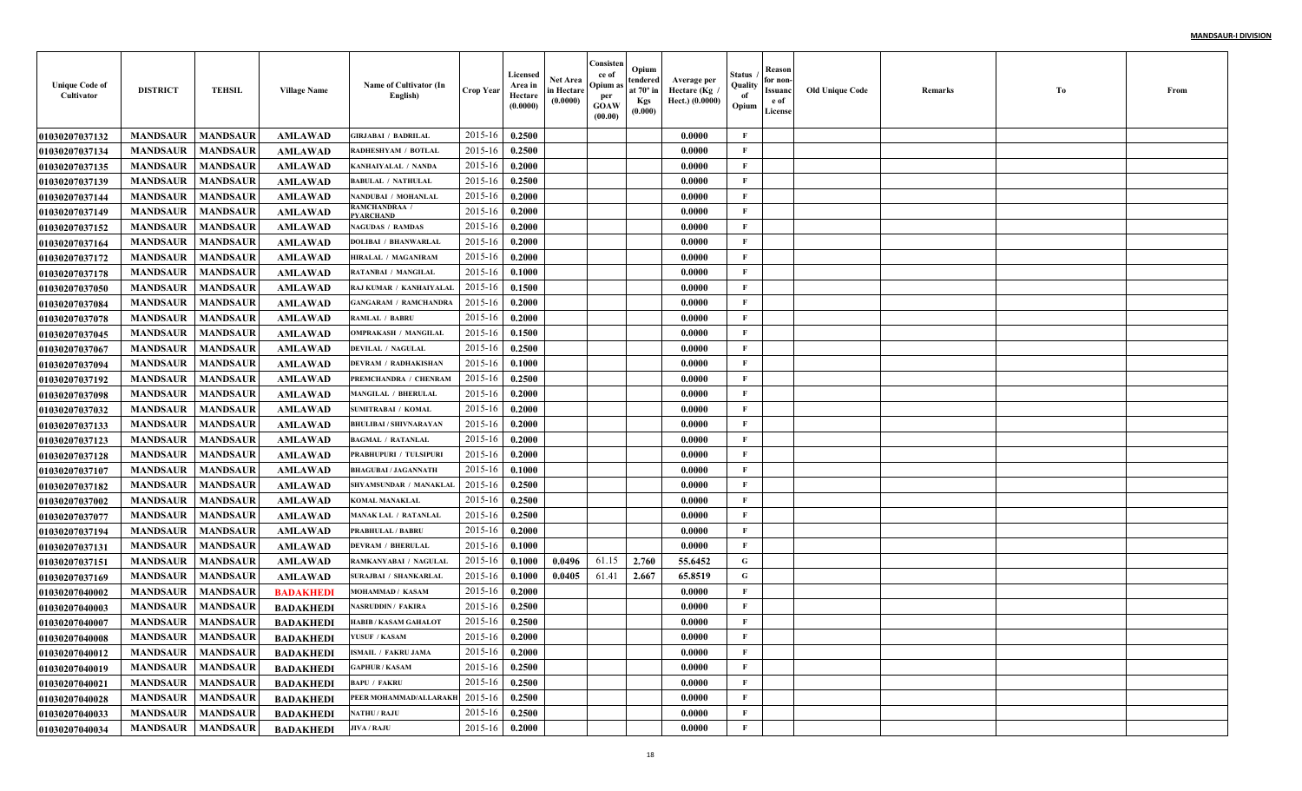| <b>Unique Code of</b><br>Cultivator | <b>DISTRICT</b>            | <b>TEHSIL</b>   | <b>Village Name</b> | Name of Cultivator (In<br>English) | <b>Crop Year</b> | Licensed<br>Area in<br>Hectare<br>(0.0000) | Net Area<br>in Hectare<br>(0.0000) | Consisten<br>ce of<br>Opium a<br>per<br><b>GOAW</b><br>(00.00) | Opium<br>tendered<br>at $70^\circ$ in<br><b>Kgs</b><br>(0.000) | Average per<br>Hectare (Kg<br>Hect.) (0.0000) | Status<br>Quality<br>of<br>Opium | Reason<br>for non-<br>Issuanc<br>e of<br>License | <b>Old Unique Code</b> | Remarks | Тo | From |
|-------------------------------------|----------------------------|-----------------|---------------------|------------------------------------|------------------|--------------------------------------------|------------------------------------|----------------------------------------------------------------|----------------------------------------------------------------|-----------------------------------------------|----------------------------------|--------------------------------------------------|------------------------|---------|----|------|
| <b>01030207037132</b>               | <b>MANDSAUR</b>            | <b>MANDSAUR</b> | <b>AMLAWAD</b>      | GIRJABAI / BADRILAL                | 2015-16          | 0.2500                                     |                                    |                                                                |                                                                | 0.0000                                        | F                                |                                                  |                        |         |    |      |
| 01030207037134                      | <b>MANDSAUR</b>            | <b>MANDSAUR</b> | <b>AMLAWAD</b>      | RADHESHYAM / BOTLAI                | 2015-16          | 0.2500                                     |                                    |                                                                |                                                                | 0.0000                                        | $\mathbf{F}$                     |                                                  |                        |         |    |      |
| <b>01030207037135</b>               | <b>MANDSAUR</b>            | <b>MANDSAUR</b> | <b>AMLAWAD</b>      | KANHAIYALAL / NANDA                | 2015-16          | 0.2000                                     |                                    |                                                                |                                                                | 0.0000                                        | $\mathbf{F}$                     |                                                  |                        |         |    |      |
| 01030207037139                      | <b>MANDSAUR</b>            | <b>MANDSAUR</b> | <b>AMLAWAD</b>      | <b>BABULAL / NATHULAL</b>          | 2015-16          | 0.2500                                     |                                    |                                                                |                                                                | 0.0000                                        | $\mathbf{F}$                     |                                                  |                        |         |    |      |
| 01030207037144                      | <b>MANDSAUR</b>            | <b>MANDSAUR</b> | <b>AMLAWAD</b>      | NANDUBAI / MOHANLAL                | 2015-16          | 0.2000                                     |                                    |                                                                |                                                                | 0.0000                                        | $\mathbf{F}$                     |                                                  |                        |         |    |      |
| 01030207037149                      | <b>MANDSAUR</b>            | <b>MANDSAUR</b> | <b>AMLAWAD</b>      | RAMCHANDRAA /<br><b>PYARCHAND</b>  | 2015-16          | 0.2000                                     |                                    |                                                                |                                                                | 0.0000                                        | $\mathbf{F}$                     |                                                  |                        |         |    |      |
| <b>01030207037152</b>               | <b>MANDSAUR</b>            | <b>MANDSAUR</b> | <b>AMLAWAD</b>      | <b>NAGUDAS / RAMDAS</b>            | 2015-16          | 0.2000                                     |                                    |                                                                |                                                                | 0.0000                                        | $\mathbf{F}$                     |                                                  |                        |         |    |      |
| 01030207037164                      | <b>MANDSAUR</b>            | <b>MANDSAUR</b> | <b>AMLAWAD</b>      | <b>DOLIBAI / BHANWARLAI</b>        | 2015-16          | 0.2000                                     |                                    |                                                                |                                                                | 0.0000                                        | $\mathbf{F}$                     |                                                  |                        |         |    |      |
| <b>01030207037172</b>               | <b>MANDSAUR</b>            | <b>MANDSAUR</b> | <b>AMLAWAD</b>      | HIRALAL / MAGANIRAM                | 2015-16          | 0.2000                                     |                                    |                                                                |                                                                | 0.0000                                        | $\mathbf{F}$                     |                                                  |                        |         |    |      |
| <b>01030207037178</b>               | <b>MANDSAUR</b>            | <b>MANDSAUR</b> | <b>AMLAWAD</b>      | <b>RATANBAI / MANGILAL</b>         | 2015-16          | 0.1000                                     |                                    |                                                                |                                                                | 0.0000                                        | $\mathbf{F}$                     |                                                  |                        |         |    |      |
| <b>01030207037050</b>               | <b>MANDSAUR</b>            | <b>MANDSAUR</b> | <b>AMLAWAD</b>      | RAJ KUMAR / KANHAIYALAL            | 2015-16          | 0.1500                                     |                                    |                                                                |                                                                | 0.0000                                        | $\mathbf{F}$                     |                                                  |                        |         |    |      |
| <b>01030207037084</b>               | <b>MANDSAUR</b>            | <b>MANDSAUR</b> | <b>AMLAWAD</b>      | <b>GANGARAM / RAMCHANDRA</b>       | 2015-16          | 0.2000                                     |                                    |                                                                |                                                                | 0.0000                                        | $\mathbf{F}$                     |                                                  |                        |         |    |      |
| <b>01030207037078</b>               | <b>MANDSAUR</b>            | <b>MANDSAUR</b> | <b>AMLAWAD</b>      | <b>RAMLAL / BABRU</b>              | 2015-16          | 0.2000                                     |                                    |                                                                |                                                                | 0.0000                                        | $\mathbf{F}$                     |                                                  |                        |         |    |      |
| 01030207037045                      | <b>MANDSAUR</b>            | <b>MANDSAUR</b> | <b>AMLAWAD</b>      | <b>OMPRAKASH / MANGILAL</b>        | 2015-16          | 0.1500                                     |                                    |                                                                |                                                                | 0.0000                                        | $\mathbf{F}$                     |                                                  |                        |         |    |      |
| <b>01030207037067</b>               | <b>MANDSAUR</b>            | <b>MANDSAUR</b> | <b>AMLAWAD</b>      | <b>DEVILAL / NAGULAL</b>           | 2015-16          | 0.2500                                     |                                    |                                                                |                                                                | 0.0000                                        | $\mathbf{F}$                     |                                                  |                        |         |    |      |
| <b>01030207037094</b>               | <b>MANDSAUR</b>            | <b>MANDSAUR</b> | <b>AMLAWAD</b>      | <b>DEVRAM / RADHAKISHAN</b>        | 2015-16          | 0.1000                                     |                                    |                                                                |                                                                | 0.0000                                        | $\mathbf{F}$                     |                                                  |                        |         |    |      |
| <b>01030207037192</b>               | <b>MANDSAUR</b>            | <b>MANDSAUR</b> | <b>AMLAWAD</b>      | PREMCHANDRA / CHENRAM              | 2015-16          | 0.2500                                     |                                    |                                                                |                                                                | 0.0000                                        | $\mathbf{F}$                     |                                                  |                        |         |    |      |
| <b>01030207037098</b>               | <b>MANDSAUR</b>            | <b>MANDSAUR</b> | <b>AMLAWAD</b>      | <b>MANGILAL / BHERULAL</b>         | 2015-16          | 0.2000                                     |                                    |                                                                |                                                                | 0.0000                                        | $\mathbf{F}$                     |                                                  |                        |         |    |      |
| <b>01030207037032</b>               | <b>MANDSAUR</b>            | <b>MANDSAUR</b> | <b>AMLAWAD</b>      | <b>SUMITRABAI / KOMAL</b>          | 2015-16          | 0.2000                                     |                                    |                                                                |                                                                | 0.0000                                        | $\mathbf{F}$                     |                                                  |                        |         |    |      |
| 01030207037133                      | <b>MANDSAUR</b>            | <b>MANDSAUR</b> | <b>AMLAWAD</b>      | <b>BHULIBAI / SHIVNARAYAN</b>      | 2015-16          | 0.2000                                     |                                    |                                                                |                                                                | 0.0000                                        | $\mathbf{F}$                     |                                                  |                        |         |    |      |
| <b>01030207037123</b>               | <b>MANDSAUR</b>            | <b>MANDSAUR</b> | <b>AMLAWAD</b>      | <b>BAGMAL / RATANLAL</b>           | 2015-16          | 0.2000                                     |                                    |                                                                |                                                                | 0.0000                                        | $\mathbf{F}$                     |                                                  |                        |         |    |      |
| <b>01030207037128</b>               | <b>MANDSAUR</b>            | <b>MANDSAUR</b> | <b>AMLAWAD</b>      | PRABHUPURI / TULSIPUR              | 2015-16          | 0.2000                                     |                                    |                                                                |                                                                | 0.0000                                        | F                                |                                                  |                        |         |    |      |
| <b>01030207037107</b>               | <b>MANDSAUR</b>            | <b>MANDSAUR</b> | <b>AMLAWAD</b>      | <b>BHAGUBAI / JAGANNATH</b>        | 2015-16          | 0.1000                                     |                                    |                                                                |                                                                | 0.0000                                        | $\mathbf{F}$                     |                                                  |                        |         |    |      |
| <b>01030207037182</b>               | <b>MANDSAUR</b>            | <b>MANDSAUR</b> | <b>AMLAWAD</b>      | SHYAMSUNDAR / MANAKLAI             | 2015-16          | 0.2500                                     |                                    |                                                                |                                                                | 0.0000                                        | $\mathbf{F}$                     |                                                  |                        |         |    |      |
| <b>01030207037002</b>               | <b>MANDSAUR</b>            | <b>MANDSAUR</b> | <b>AMLAWAD</b>      | <b>KOMAL MANAKLAL</b>              | 2015-16          | 0.2500                                     |                                    |                                                                |                                                                | 0.0000                                        | $\mathbf{F}$                     |                                                  |                        |         |    |      |
| <b>01030207037077</b>               | <b>MANDSAUR</b>            | <b>MANDSAUR</b> | <b>AMLAWAD</b>      | <b>MANAK LAL / RATANLAI</b>        | 2015-16          | 0.2500                                     |                                    |                                                                |                                                                | 0.0000                                        | $\mathbf{F}$                     |                                                  |                        |         |    |      |
| <b>01030207037194</b>               | <b>MANDSAUR</b>            | <b>MANDSAUR</b> | <b>AMLAWAD</b>      | <b>PRABHULAL / BABRU</b>           | 2015-16          | 0.2000                                     |                                    |                                                                |                                                                | 0.0000                                        | $\mathbf F$                      |                                                  |                        |         |    |      |
| 01030207037131                      | <b>MANDSAUR</b>            | <b>MANDSAUR</b> | <b>AMLAWAD</b>      | <b>DEVRAM / BHERULAL</b>           | 2015-16          | 0.1000                                     |                                    |                                                                |                                                                | 0.0000                                        | $\mathbf{F}$                     |                                                  |                        |         |    |      |
| 01030207037151                      | <b>MANDSAUR</b>            | <b>MANDSAUR</b> | <b>AMLAWAD</b>      | RAMKANYABAI / NAGULA               | 2015-16          | 0.1000                                     | 0.0496                             | 61.15                                                          | 2.760                                                          | 55.6452                                       | $\mathbf G$                      |                                                  |                        |         |    |      |
| <b>01030207037169</b>               | <b>MANDSAUR</b>            | <b>MANDSAUR</b> | <b>AMLAWAD</b>      | <b>SURAJBAI / SHANKARLAI</b>       | 2015-16          | 0.1000                                     | 0.0405                             | 61.41                                                          | 2.667                                                          | 65.8519                                       | G                                |                                                  |                        |         |    |      |
| <b>01030207040002</b>               | <b>MANDSAUR</b>            | <b>MANDSAUR</b> | <b>BADAKHED</b>     | MOHAMMAD / KASAM                   | 2015-16          | 0.2000                                     |                                    |                                                                |                                                                | 0.0000                                        | $\mathbf{F}$                     |                                                  |                        |         |    |      |
| <b>01030207040003</b>               | <b>MANDSAUR</b>            | <b>MANDSAUR</b> | <b>BADAKHED</b>     | NASRUDDIN / FAKIRA                 | 2015-16          | 0.2500                                     |                                    |                                                                |                                                                | 0.0000                                        | F                                |                                                  |                        |         |    |      |
| <b>01030207040007</b>               | <b>MANDSAUR</b>            | <b>MANDSAUR</b> | <b>BADAKHEDI</b>    | <b>HABIB / KASAM GAHALOT</b>       | 2015-16          | 0.2500                                     |                                    |                                                                |                                                                | 0.0000                                        | F                                |                                                  |                        |         |    |      |
| 01030207040008                      | <b>MANDSAUR   MANDSAUR</b> |                 | BADAKHEDI           | YUSUF / KASAM                      | $2015-16$ 0.2000 |                                            |                                    |                                                                |                                                                | 0.0000                                        | F                                |                                                  |                        |         |    |      |
| 01030207040012                      | <b>MANDSAUR</b>            | <b>MANDSAUR</b> | <b>BADAKHEDI</b>    | <b>ISMAIL / FAKRU JAMA</b>         | 2015-16          | 0.2000                                     |                                    |                                                                |                                                                | 0.0000                                        | F                                |                                                  |                        |         |    |      |
| <b>01030207040019</b>               | <b>MANDSAUR</b>            | <b>MANDSAUR</b> | <b>BADAKHEDI</b>    | <b>GAPHUR / KASAM</b>              | 2015-16          | 0.2500                                     |                                    |                                                                |                                                                | 0.0000                                        | $\mathbf{F}$                     |                                                  |                        |         |    |      |
| <b>01030207040021</b>               | <b>MANDSAUR</b>            | <b>MANDSAUR</b> | <b>BADAKHEDI</b>    | <b>BAPU / FAKRU</b>                | 2015-16          | 0.2500                                     |                                    |                                                                |                                                                | 0.0000                                        | $\mathbf{F}$                     |                                                  |                        |         |    |      |
| 01030207040028                      | <b>MANDSAUR</b>            | <b>MANDSAUR</b> | <b>BADAKHEDI</b>    | PEER MOHAMMAD/ALLARAKH             | 2015-16          | 0.2500                                     |                                    |                                                                |                                                                | 0.0000                                        | $\mathbf{F}$                     |                                                  |                        |         |    |      |
| 01030207040033                      | <b>MANDSAUR</b>            | <b>MANDSAUR</b> | <b>BADAKHEDI</b>    | <b>NATHU / RAJU</b>                | 2015-16          | 0.2500                                     |                                    |                                                                |                                                                | 0.0000                                        | $\mathbf{F}$                     |                                                  |                        |         |    |      |
| 01030207040034                      | <b>MANDSAUR</b>            | <b>MANDSAUR</b> | <b>BADAKHEDI</b>    | <b>JIVA / RAJU</b>                 | 2015-16          | 0.2000                                     |                                    |                                                                |                                                                | 0.0000                                        | $\mathbf{F}$                     |                                                  |                        |         |    |      |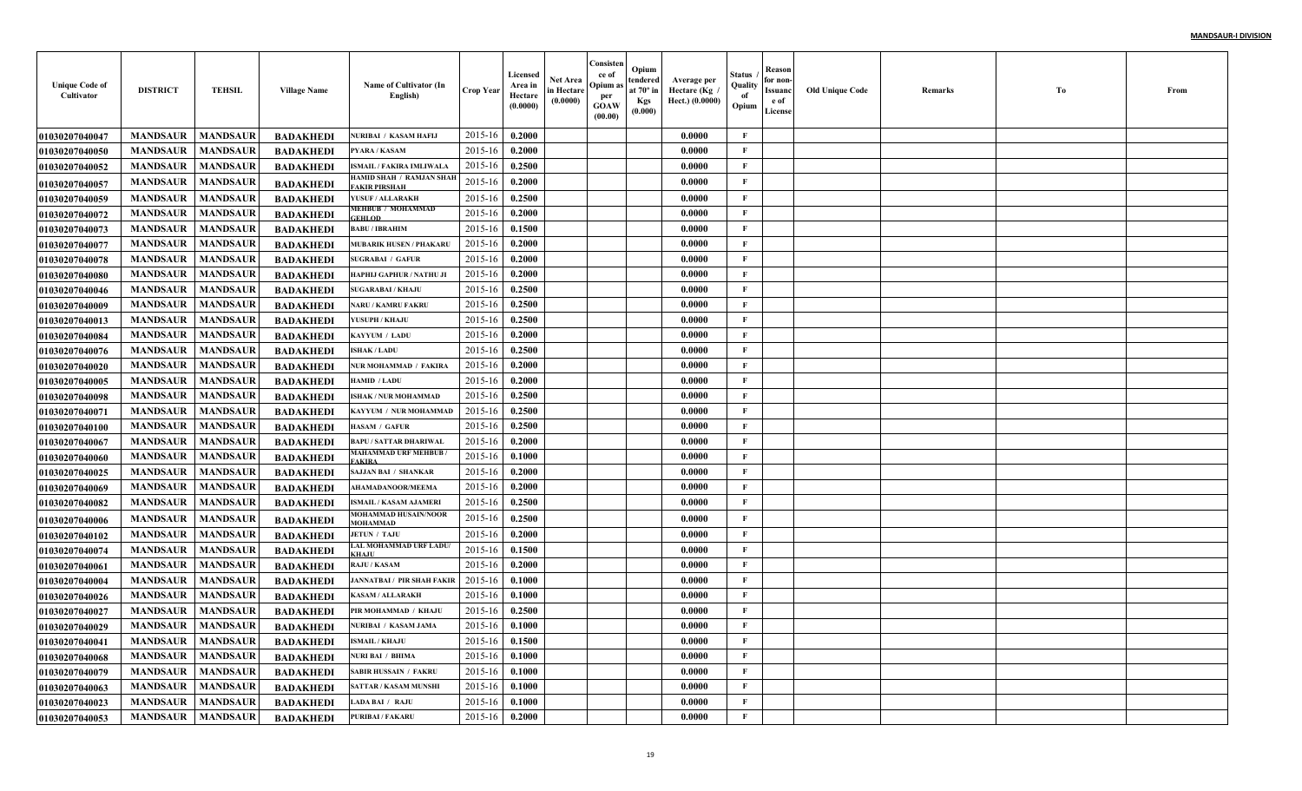| <b>Unique Code of</b><br>Cultivator | <b>DISTRICT</b> | <b>TEHSIL</b>   | <b>Village Name</b> | Name of Cultivator (In<br>English)              | <b>Crop Year</b> | Licensed<br>Area in<br>Hectare<br>(0.0000) | <b>Net Area</b><br>in Hectare<br>(0.0000) | Consisten<br>ce of<br>Opium a:<br>per<br><b>GOAW</b><br>(00.00) | Opium<br>tendered<br>at $70^\circ$ in<br>Kgs<br>(0.000) | Average per<br>Hectare (Kg<br>Hect.) (0.0000) | Status<br>Quality<br>of<br>Opium | Reason<br>for non-<br><b>Issuanc</b><br>e of<br>License | <b>Old Unique Code</b> | Remarks | Тo | From |
|-------------------------------------|-----------------|-----------------|---------------------|-------------------------------------------------|------------------|--------------------------------------------|-------------------------------------------|-----------------------------------------------------------------|---------------------------------------------------------|-----------------------------------------------|----------------------------------|---------------------------------------------------------|------------------------|---------|----|------|
| 01030207040047                      | <b>MANDSAUR</b> | <b>MANDSAUR</b> | <b>BADAKHEDI</b>    | <b>NURIBAI / KASAM HAFIJ</b>                    | 2015-16          | 0.2000                                     |                                           |                                                                 |                                                         | 0.0000                                        | $\mathbf{F}$                     |                                                         |                        |         |    |      |
| <b>01030207040050</b>               | <b>MANDSAUR</b> | <b>MANDSAUR</b> | <b>BADAKHEDI</b>    | <b>PYARA / KASAM</b>                            | $2015 - 16$      | 0.2000                                     |                                           |                                                                 |                                                         | 0.0000                                        | $\mathbf{F}$                     |                                                         |                        |         |    |      |
| <b>01030207040052</b>               | <b>MANDSAUR</b> | <b>MANDSAUR</b> | <b>BADAKHEDI</b>    | ISMAIL / FAKIRA IMLIWALA                        | 2015-16          | 0.2500                                     |                                           |                                                                 |                                                         | 0.0000                                        | $\mathbf F$                      |                                                         |                        |         |    |      |
| <b>01030207040057</b>               | <b>MANDSAUR</b> | <b>MANDSAUR</b> | <b>BADAKHEDI</b>    | HAMID SHAH / RAMJAN SHAF<br><b>AKIR PIRSHAH</b> | 2015-16          | 0.2000                                     |                                           |                                                                 |                                                         | 0.0000                                        | $\mathbf F$                      |                                                         |                        |         |    |      |
| <b>01030207040059</b>               | <b>MANDSAUR</b> | <b>MANDSAUR</b> | <b>BADAKHEDI</b>    | YUSUF / ALLARAKH                                | 2015-16          | 0.2500                                     |                                           |                                                                 |                                                         | 0.0000                                        | $\mathbf{F}$                     |                                                         |                        |         |    |      |
| 01030207040072                      | <b>MANDSAUR</b> | <b>MANDSAUR</b> | <b>BADAKHEDI</b>    | MEHBUB / MOHAMMAD<br><b>EFHLOD</b>              | 2015-16          | 0.2000                                     |                                           |                                                                 |                                                         | 0.0000                                        | $\mathbf F$                      |                                                         |                        |         |    |      |
| <b>01030207040073</b>               | <b>MANDSAUR</b> | <b>MANDSAUR</b> | <b>BADAKHEDI</b>    | <b>BABU / IBRAHIM</b>                           | 2015-16          | 0.1500                                     |                                           |                                                                 |                                                         | 0.0000                                        | $\mathbf F$                      |                                                         |                        |         |    |      |
| 01030207040077                      | <b>MANDSAUR</b> | <b>MANDSAUR</b> | <b>BADAKHEDI</b>    | <b>MUBARIK HUSEN / PHAKARU</b>                  | 2015-16          | 0.2000                                     |                                           |                                                                 |                                                         | 0.0000                                        | $\mathbf{F}$                     |                                                         |                        |         |    |      |
| 01030207040078                      | <b>MANDSAUR</b> | <b>MANDSAUR</b> | <b>BADAKHEDI</b>    | <b>SUGRABAI / GAFUR</b>                         | 2015-16          | 0.2000                                     |                                           |                                                                 |                                                         | 0.0000                                        | $\mathbf{F}$                     |                                                         |                        |         |    |      |
| <b>01030207040080</b>               | <b>MANDSAUR</b> | <b>MANDSAUR</b> | <b>BADAKHEDI</b>    | HAPHIJ GAPHUR / NATHU JI                        | 2015-16          | 0.2000                                     |                                           |                                                                 |                                                         | 0.0000                                        | $\mathbf F$                      |                                                         |                        |         |    |      |
| <b>01030207040046</b>               | <b>MANDSAUR</b> | <b>MANDSAUR</b> | <b>BADAKHEDI</b>    | <b>SUGARABAI / KHAJU</b>                        | 2015-16          | 0.2500                                     |                                           |                                                                 |                                                         | 0.0000                                        | $\mathbf F$                      |                                                         |                        |         |    |      |
| <b>01030207040009</b>               | <b>MANDSAUR</b> | <b>MANDSAUR</b> | <b>BADAKHEDI</b>    | <b>NARU / KAMRU FAKRU</b>                       | 2015-16          | 0.2500                                     |                                           |                                                                 |                                                         | 0.0000                                        | $\mathbf{F}$                     |                                                         |                        |         |    |      |
| 01030207040013                      | <b>MANDSAUR</b> | <b>MANDSAUR</b> | <b>BADAKHEDI</b>    | YUSUPH / KHAJU                                  | 2015-16          | 0.2500                                     |                                           |                                                                 |                                                         | 0.0000                                        | $\mathbf{F}$                     |                                                         |                        |         |    |      |
| 01030207040084                      | <b>MANDSAUR</b> | <b>MANDSAUR</b> | <b>BADAKHEDI</b>    | KAYYUM / LADU                                   | 2015-16          | 0.2000                                     |                                           |                                                                 |                                                         | 0.0000                                        | $\mathbf{F}$                     |                                                         |                        |         |    |      |
| <b>01030207040076</b>               | <b>MANDSAUR</b> | <b>MANDSAUR</b> | <b>BADAKHEDI</b>    | <b>ISHAK / LADU</b>                             | 2015-16          | 0.2500                                     |                                           |                                                                 |                                                         | 0.0000                                        | $\mathbf F$                      |                                                         |                        |         |    |      |
| <b>01030207040020</b>               | <b>MANDSAUR</b> | <b>MANDSAUR</b> | <b>BADAKHEDI</b>    | NUR MOHAMMAD / FAKIRA                           | 2015-16          | 0.2000                                     |                                           |                                                                 |                                                         | 0.0000                                        | $\mathbf F$                      |                                                         |                        |         |    |      |
| <b>01030207040005</b>               | <b>MANDSAUR</b> | <b>MANDSAUR</b> | <b>BADAKHEDI</b>    | <b>HAMID / LADU</b>                             | 2015-16          | 0.2000                                     |                                           |                                                                 |                                                         | 0.0000                                        | $\mathbf F$                      |                                                         |                        |         |    |      |
| 01030207040098                      | <b>MANDSAUR</b> | <b>MANDSAUR</b> | <b>BADAKHEDI</b>    | <b>ISHAK / NUR MOHAMMAD</b>                     | 2015-16          | 0.2500                                     |                                           |                                                                 |                                                         | 0.0000                                        | $\mathbf{F}$                     |                                                         |                        |         |    |      |
| 01030207040071                      | <b>MANDSAUR</b> | <b>MANDSAUR</b> | <b>BADAKHEDI</b>    | KAYYUM / NUR MOHAMMAD                           | 2015-16          | 0.2500                                     |                                           |                                                                 |                                                         | 0.0000                                        | $\mathbf{F}$                     |                                                         |                        |         |    |      |
| <b>01030207040100</b>               | <b>MANDSAUR</b> | <b>MANDSAUR</b> | <b>BADAKHEDI</b>    | <b>HASAM / GAFUR</b>                            | 2015-16          | 0.2500                                     |                                           |                                                                 |                                                         | 0.0000                                        | $\mathbf F$                      |                                                         |                        |         |    |      |
| <b>01030207040067</b>               | <b>MANDSAUR</b> | <b>MANDSAUR</b> | <b>BADAKHEDI</b>    | <b>BAPU / SATTAR DHARIWAL</b>                   | 2015-16          | 0.2000                                     |                                           |                                                                 |                                                         | 0.0000                                        | $\mathbf{F}$                     |                                                         |                        |         |    |      |
| <b>01030207040060</b>               | <b>MANDSAUR</b> | <b>MANDSAUR</b> | <b>BADAKHEDI</b>    | MAHAMMAD URF MEHBUB .<br><b>AKIRA</b>           | 2015-16          | 0.1000                                     |                                           |                                                                 |                                                         | 0.0000                                        | $\mathbf{F}$                     |                                                         |                        |         |    |      |
| 01030207040025                      | <b>MANDSAUR</b> | <b>MANDSAUR</b> | <b>BADAKHEDI</b>    | <b>SAJJAN BAI / SHANKAR</b>                     | 2015-16          | 0.2000                                     |                                           |                                                                 |                                                         | 0.0000                                        | $\mathbf{F}$                     |                                                         |                        |         |    |      |
| 01030207040069                      | <b>MANDSAUR</b> | <b>MANDSAUR</b> | <b>BADAKHEDI</b>    | <b>AHAMADANOOR/MEEMA</b>                        | 2015-16          | 0.2000                                     |                                           |                                                                 |                                                         | 0.0000                                        | $\mathbf{F}$                     |                                                         |                        |         |    |      |
| <b>01030207040082</b>               | <b>MANDSAUR</b> | <b>MANDSAUR</b> | <b>BADAKHEDI</b>    | <b>ISMAIL / KASAM AJAMERI</b>                   | 2015-16          | 0.2500                                     |                                           |                                                                 |                                                         | 0.0000                                        | $\mathbf{F}$                     |                                                         |                        |         |    |      |
| <b>01030207040006</b>               | <b>MANDSAUR</b> | <b>MANDSAUR</b> | <b>BADAKHEDI</b>    | <b>MOHAMMAD HUSAIN/NOOR</b><br><b>MOHAMMAD</b>  | 2015-16          | 0.2500                                     |                                           |                                                                 |                                                         | 0.0000                                        | $\mathbf{F}$                     |                                                         |                        |         |    |      |
| 01030207040102                      | <b>MANDSAUR</b> | <b>MANDSAUR</b> | <b>BADAKHEDI</b>    | <b>JETUN / TAJU</b>                             | 2015-16          | 0.2000                                     |                                           |                                                                 |                                                         | 0.0000                                        | $\mathbf{F}$                     |                                                         |                        |         |    |      |
| 01030207040074                      | <b>MANDSAUR</b> | <b>MANDSAUR</b> | <b>BADAKHED</b>     | <b>LAL MOHAMMAD URF LADU</b>                    | 2015-16          | 0.1500                                     |                                           |                                                                 |                                                         | 0.0000                                        | $\mathbf{F}$                     |                                                         |                        |         |    |      |
| 01030207040061                      | <b>MANDSAUR</b> | <b>MANDSAUR</b> | <b>BADAKHEDI</b>    | <b>RAJU / KASAM</b>                             | 2015-16          | 0.2000                                     |                                           |                                                                 |                                                         | 0.0000                                        | $\mathbf{F}$                     |                                                         |                        |         |    |      |
| <b>01030207040004</b>               | <b>MANDSAUR</b> | <b>MANDSAUR</b> | <b>BADAKHEDI</b>    | <b>JANNATBAI / PIR SHAH FAKIR</b>               | 2015-16          | 0.1000                                     |                                           |                                                                 |                                                         | 0.0000                                        | $\mathbf F$                      |                                                         |                        |         |    |      |
| <b>01030207040026</b>               | <b>MANDSAUR</b> | <b>MANDSAUR</b> | <b>BADAKHEDI</b>    | <b>KASAM / ALLARAKH</b>                         | 2015-16          | 0.1000                                     |                                           |                                                                 |                                                         | 0.0000                                        | $\mathbf{F}$                     |                                                         |                        |         |    |      |
| 01030207040027                      | <b>MANDSAUR</b> | <b>MANDSAUR</b> | <b>BADAKHEDI</b>    | PIR MOHAMMAD / KHAJU                            | 2015-16          | 0.2500                                     |                                           |                                                                 |                                                         | 0.0000                                        | $\mathbf{F}$                     |                                                         |                        |         |    |      |
| <b>01030207040029</b>               | <b>MANDSAUR</b> | <b>MANDSAUR</b> | <b>BADAKHEDI</b>    | NURIBAI / KASAM JAMA                            | 2015-16          | 0.1000                                     |                                           |                                                                 |                                                         | 0.0000                                        | $\mathbf{F}$                     |                                                         |                        |         |    |      |
| 01030207040041                      | <b>MANDSAUR</b> | <b>MANDSAUR</b> | <b>BADAKHEDI</b>    | <b>ISMAIL / KHAJU</b>                           | 2015-16          | 0.1500                                     |                                           |                                                                 |                                                         | 0.0000                                        | $\mathbf F$                      |                                                         |                        |         |    |      |
| <b>01030207040068</b>               | <b>MANDSAUR</b> | <b>MANDSAUR</b> | <b>BADAKHEDI</b>    | NURI BAI / BHIMA                                | 2015-16          | 0.1000                                     |                                           |                                                                 |                                                         | 0.0000                                        | $\mathbf F$                      |                                                         |                        |         |    |      |
| <b>01030207040079</b>               | <b>MANDSAUR</b> | <b>MANDSAUR</b> | <b>BADAKHEDI</b>    | <b>SABIR HUSSAIN / FAKRU</b>                    | 2015-16          | 0.1000                                     |                                           |                                                                 |                                                         | 0.0000                                        | $\mathbf{F}$                     |                                                         |                        |         |    |      |
| 01030207040063                      | <b>MANDSAUR</b> | <b>MANDSAUR</b> | <b>BADAKHEDI</b>    | <b>SATTAR / KASAM MUNSH</b>                     | 2015-16          | 0.1000                                     |                                           |                                                                 |                                                         | 0.0000                                        | $\mathbf{F}$                     |                                                         |                        |         |    |      |
| <b>01030207040023</b>               | <b>MANDSAUR</b> | <b>MANDSAUR</b> | <b>BADAKHEDI</b>    | LADA BAI / RAJU                                 | 2015-16          | 0.1000                                     |                                           |                                                                 |                                                         | 0.0000                                        | $\mathbf{F}$                     |                                                         |                        |         |    |      |
| 01030207040053                      | <b>MANDSAUR</b> | <b>MANDSAUR</b> | <b>BADAKHEDI</b>    | <b>PURIBAI / FAKARU</b>                         | 2015-16          | 0.2000                                     |                                           |                                                                 |                                                         | 0.0000                                        | $\mathbf F$                      |                                                         |                        |         |    |      |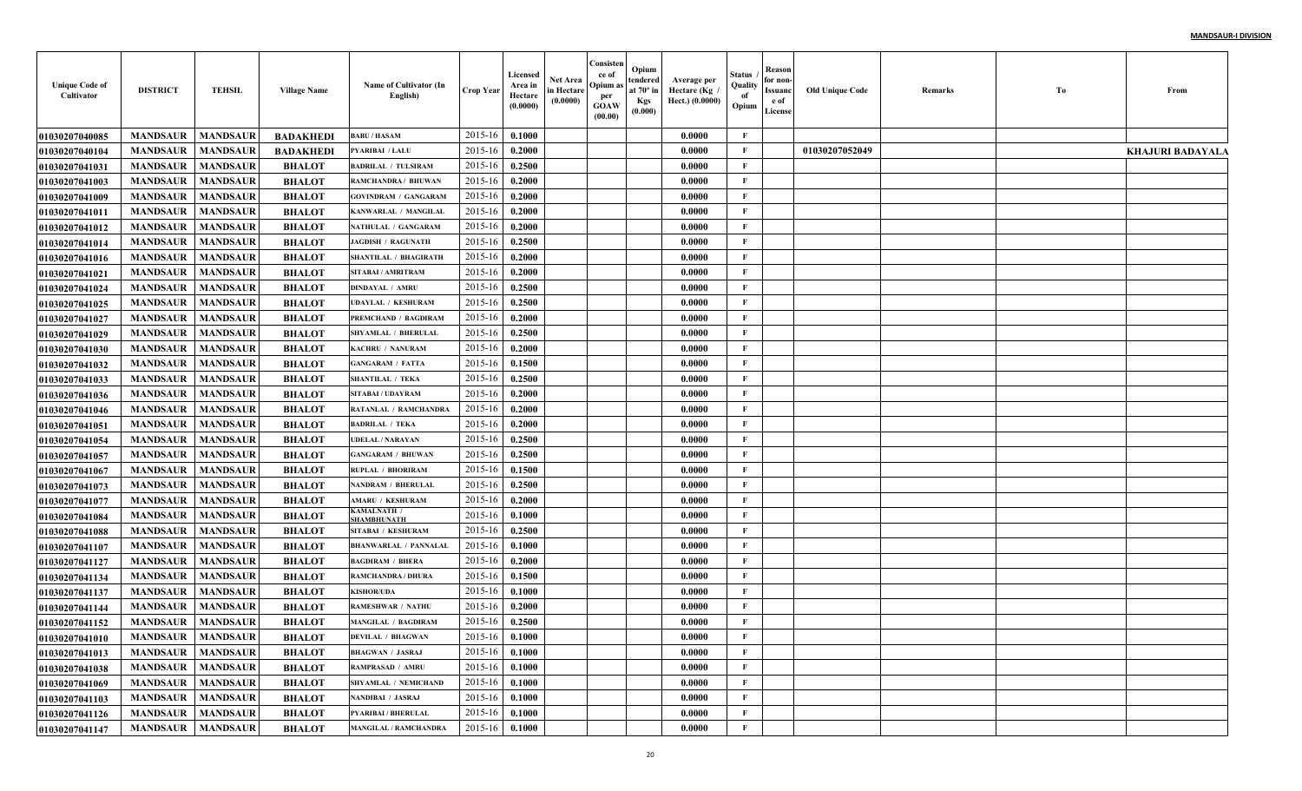| <b>Unique Code of</b><br>Cultivator | <b>DISTRICT</b>            | <b>TEHSIL</b>   | <b>Village Name</b> | Name of Cultivator (In<br>English) | Crop Year        | Licensed<br>Area in<br>Hectare<br>(0.0000) | Net Area<br>in Hectare<br>(0.0000) | Consisten<br>ce of<br>Opium a<br>per<br><b>GOAW</b><br>(00.00) | Opium<br>tendered<br>at $70^\circ$ in<br><b>Kgs</b><br>(0.000) | Average per<br>Hectare ( $Kg$<br>Hect.) (0.0000) | Status<br>Quality<br>of<br>Opium | Reason<br>for non-<br>Issuanc<br>e of<br>License | <b>Old Unique Code</b> | <b>Remarks</b> | Tо | From                    |
|-------------------------------------|----------------------------|-----------------|---------------------|------------------------------------|------------------|--------------------------------------------|------------------------------------|----------------------------------------------------------------|----------------------------------------------------------------|--------------------------------------------------|----------------------------------|--------------------------------------------------|------------------------|----------------|----|-------------------------|
| <b>01030207040085</b>               | <b>MANDSAUR</b>            | <b>MANDSAUR</b> | <b>BADAKHEDI</b>    | <b>BABU / HASAM</b>                | 2015-16          | 0.1000                                     |                                    |                                                                |                                                                | 0.0000                                           | F                                |                                                  |                        |                |    |                         |
| <b>0103020704010</b> 4              | <b>MANDSAUR</b>            | <b>MANDSAUR</b> | <b>BADAKHEDI</b>    | PYARIBAI / LALU                    | 2015-16          | 0.2000                                     |                                    |                                                                |                                                                | 0.0000                                           | $\mathbf{F}$                     |                                                  | 01030207052049         |                |    | <b>KHAJURI BADAYALA</b> |
| 01030207041031                      | <b>MANDSAUR</b>            | <b>MANDSAUR</b> | <b>BHALOT</b>       | <b>BADRILAL / TULSIRAM</b>         | 2015-16          | 0.2500                                     |                                    |                                                                |                                                                | 0.0000                                           | $\mathbf{F}$                     |                                                  |                        |                |    |                         |
| <b>01030207041003</b>               | <b>MANDSAUR</b>            | <b>MANDSAUR</b> | <b>BHALOT</b>       | RAMCHANDRA / BHUWAN                | 2015-16          | 0.2000                                     |                                    |                                                                |                                                                | 0.0000                                           | $\mathbf{F}$                     |                                                  |                        |                |    |                         |
| 01030207041009                      | <b>MANDSAUR</b>            | <b>MANDSAUR</b> | <b>BHALOT</b>       | <b>GOVINDRAM / GANGARAM</b>        | 2015-16          | 0.2000                                     |                                    |                                                                |                                                                | 0.0000                                           | $\mathbf{F}$                     |                                                  |                        |                |    |                         |
| 01030207041011                      | <b>MANDSAUR</b>            | <b>MANDSAUR</b> | <b>BHALOT</b>       | KANWARLAL / MANGILAI               | 2015-16          | 0.2000                                     |                                    |                                                                |                                                                | 0.0000                                           | $\mathbf{F}$                     |                                                  |                        |                |    |                         |
| 01030207041012                      | <b>MANDSAUR</b>            | <b>MANDSAUR</b> | <b>BHALOT</b>       | NATHULAL / GANGARAM                | 2015-16          | 0.2000                                     |                                    |                                                                |                                                                | 0.0000                                           | $\mathbf{F}$                     |                                                  |                        |                |    |                         |
| 01030207041014                      | <b>MANDSAUR</b>            | <b>MANDSAUR</b> | <b>BHALOT</b>       | <b>JAGDISH / RAGUNATH</b>          | 2015-16          | 0.2500                                     |                                    |                                                                |                                                                | 0.0000                                           | $\mathbf{F}$                     |                                                  |                        |                |    |                         |
| <b>01030207041016</b>               | <b>MANDSAUR</b>            | <b>MANDSAUR</b> | <b>BHALOT</b>       | <b>SHANTILAL / BHAGIRATH</b>       | 2015-16          | 0.2000                                     |                                    |                                                                |                                                                | 0.0000                                           | $\mathbf{F}$                     |                                                  |                        |                |    |                         |
| 01030207041021                      | <b>MANDSAUR</b>            | <b>MANDSAUR</b> | <b>BHALOT</b>       | SITABAI / AMRITRAM                 | 2015-16          | 0.2000                                     |                                    |                                                                |                                                                | 0.0000                                           | $\mathbf{F}$                     |                                                  |                        |                |    |                         |
| <b>01030207041024</b>               | <b>MANDSAUR</b>            | <b>MANDSAUR</b> | <b>BHALOT</b>       | <b>DINDAYAL / AMRU</b>             | 2015-16          | 0.2500                                     |                                    |                                                                |                                                                | 0.0000                                           | F                                |                                                  |                        |                |    |                         |
| <b>01030207041025</b>               | <b>MANDSAUR</b>            | <b>MANDSAUR</b> | <b>BHALOT</b>       | <b>JDAYLAL / KESHURAM</b>          | 2015-16          | 0.2500                                     |                                    |                                                                |                                                                | 0.0000                                           | F                                |                                                  |                        |                |    |                         |
| <b>01030207041027</b>               | <b>MANDSAUR</b>            | <b>MANDSAUR</b> | <b>BHALOT</b>       | PREMCHAND / BAGDIRAM               | 2015-16          | 0.2000                                     |                                    |                                                                |                                                                | 0.0000                                           | F                                |                                                  |                        |                |    |                         |
| <b>01030207041029</b>               | <b>MANDSAUR</b>            | <b>MANDSAUR</b> | <b>BHALOT</b>       | SHYAMLAL / BHERULAI                | 2015-16          | 0.2500                                     |                                    |                                                                |                                                                | 0.0000                                           | $\mathbf{F}$                     |                                                  |                        |                |    |                         |
| <b>01030207041030</b>               | <b>MANDSAUR</b>            | <b>MANDSAUR</b> | <b>BHALOT</b>       | <b>KACHRU / NANURAM</b>            | 2015-16          | 0.2000                                     |                                    |                                                                |                                                                | 0.0000                                           | $\mathbf{F}$                     |                                                  |                        |                |    |                         |
| <b>01030207041032</b>               | <b>MANDSAUR</b>            | <b>MANDSAUR</b> | <b>BHALOT</b>       | <b>GANGARAM / FATTA</b>            | 2015-16          | 0.1500                                     |                                    |                                                                |                                                                | 0.0000                                           | $\mathbf{F}$                     |                                                  |                        |                |    |                         |
| <b>01030207041033</b>               | <b>MANDSAUR</b>            | <b>MANDSAUR</b> | <b>BHALOT</b>       | <b>SHANTILAL / TEKA</b>            | 2015-16          | 0.2500                                     |                                    |                                                                |                                                                | 0.0000                                           | F                                |                                                  |                        |                |    |                         |
| <b>01030207041036</b>               | <b>MANDSAUR</b>            | <b>MANDSAUR</b> | <b>BHALOT</b>       | SITABAI / UDAYRAM                  | 2015-16          | 0.2000                                     |                                    |                                                                |                                                                | 0.0000                                           | $\mathbf{F}$                     |                                                  |                        |                |    |                         |
| 01030207041046                      | <b>MANDSAUR</b>            | <b>MANDSAUR</b> | <b>BHALOT</b>       | RATANLAL / RAMCHANDRA              | 2015-16          | 0.2000                                     |                                    |                                                                |                                                                | 0.0000                                           | $\mathbf{F}$                     |                                                  |                        |                |    |                         |
| 01030207041051                      | <b>MANDSAUR</b>            | <b>MANDSAUR</b> | <b>BHALOT</b>       | <b>BADRILAL / TEKA</b>             | 2015-16          | 0.2000                                     |                                    |                                                                |                                                                | 0.0000                                           | $\mathbf{F}$                     |                                                  |                        |                |    |                         |
| 01030207041054                      | <b>MANDSAUR</b>            | <b>MANDSAUR</b> | <b>BHALOT</b>       | UDELAL / NARAYAN                   | 2015-16          | 0.2500                                     |                                    |                                                                |                                                                | 0.0000                                           | $\mathbf{F}$                     |                                                  |                        |                |    |                         |
| <b>01030207041057</b>               | <b>MANDSAUR</b>            | <b>MANDSAUR</b> | <b>BHALOT</b>       | <b>GANGARAM / BHUWAN</b>           | 2015-16          | 0.2500                                     |                                    |                                                                |                                                                | 0.0000                                           | F                                |                                                  |                        |                |    |                         |
| <b>01030207041067</b>               | <b>MANDSAUR</b>            | <b>MANDSAUR</b> | <b>BHALOT</b>       | RUPLAL / BHORIRAM                  | 2015-16          | 0.1500                                     |                                    |                                                                |                                                                | 0.0000                                           | F                                |                                                  |                        |                |    |                         |
| <b>01030207041073</b>               | <b>MANDSAUR</b>            | <b>MANDSAUR</b> | <b>BHALOT</b>       | <b>NANDRAM / BHERULAL</b>          | 2015-16          | 0.2500                                     |                                    |                                                                |                                                                | 0.0000                                           | $\mathbf{F}$                     |                                                  |                        |                |    |                         |
| <b>01030207041077</b>               | <b>MANDSAUR</b>            | <b>MANDSAUR</b> | <b>BHALOT</b>       | <b>AMARU / KESHURAM</b>            | 2015-16          | 0.2000                                     |                                    |                                                                |                                                                | 0.0000                                           | F                                |                                                  |                        |                |    |                         |
| 01030207041084                      | <b>MANDSAUR</b>            | <b>MANDSAUR</b> | <b>BHALOT</b>       | KAMALNATH /<br><b>HAMBHUNATH</b>   | 2015-16          | 0.1000                                     |                                    |                                                                |                                                                | 0.0000                                           | F                                |                                                  |                        |                |    |                         |
| <b>01030207041088</b>               | <b>MANDSAUR</b>            | <b>MANDSAUR</b> | <b>BHALOT</b>       | SITABAI / KESHURAM                 | 2015-16          | 0.2500                                     |                                    |                                                                |                                                                | 0.0000                                           | $\mathbf{F}$                     |                                                  |                        |                |    |                         |
| 01030207041107                      | <b>MANDSAUR</b>            | <b>MANDSAUR</b> | <b>BHALOT</b>       | <b>BHANWARLAL / PANNALAI</b>       | 2015-16          | 0.1000                                     |                                    |                                                                |                                                                | 0.0000                                           | $\mathbf{F}$                     |                                                  |                        |                |    |                         |
| <b>01030207041127</b>               | <b>MANDSAUR</b>            | <b>MANDSAUR</b> | <b>BHALOT</b>       | <b>BAGDIRAM / BHERA</b>            | 2015-16          | 0.2000                                     |                                    |                                                                |                                                                | 0.0000                                           | F                                |                                                  |                        |                |    |                         |
| 01030207041134                      | <b>MANDSAUR</b>            | <b>MANDSAUR</b> | <b>BHALOT</b>       | RAMCHANDRA / DHURA                 | 2015-16          | 0.1500                                     |                                    |                                                                |                                                                | 0.0000                                           | $\mathbf{F}$                     |                                                  |                        |                |    |                         |
| 01030207041137                      | <b>MANDSAUR</b>            | <b>MANDSAUR</b> | <b>BHALOT</b>       | <b>KISHOR/UDA</b>                  | 2015-16          | 0.1000                                     |                                    |                                                                |                                                                | 0.0000                                           | $\mathbf{F}$                     |                                                  |                        |                |    |                         |
| 01030207041144                      | <b>MANDSAUR</b>            | <b>MANDSAUR</b> | <b>BHALOT</b>       | <b>RAMESHWAR / NATHU</b>           | 2015-16          | 0.2000                                     |                                    |                                                                |                                                                | 0.0000                                           | $\mathbf{F}$                     |                                                  |                        |                |    |                         |
| 01030207041152                      | <b>MANDSAUR</b>            | <b>MANDSAUR</b> | <b>BHALOT</b>       | MANGILAL / BAGDIRAM                | 2015-16          | 0.2500                                     |                                    |                                                                |                                                                | 0.0000                                           | $\mathbf{F}$                     |                                                  |                        |                |    |                         |
| 01030207041010                      | <b>MANDSAUR</b>   MANDSAUR |                 | <b>BHALOT</b>       | <b>DEVILAL / BHAGWAN</b>           | $2015-16$ 0.1000 |                                            |                                    |                                                                |                                                                | 0.0000                                           | F                                |                                                  |                        |                |    |                         |
| 01030207041013                      | MANDSAUR                   | <b>MANDSAUR</b> | <b>BHALOT</b>       | <b>BHAGWAN / JASRAJ</b>            | $2015 - 16$      | 0.1000                                     |                                    |                                                                |                                                                | 0.0000                                           | $\mathbf{F}$                     |                                                  |                        |                |    |                         |
| 01030207041038                      | <b>MANDSAUR</b>            | <b>MANDSAUR</b> | <b>BHALOT</b>       | RAMPRASAD / AMRU                   | 2015-16          | 0.1000                                     |                                    |                                                                |                                                                | 0.0000                                           | $\mathbf{F}$                     |                                                  |                        |                |    |                         |
| 01030207041069                      | <b>MANDSAUR</b>            | <b>MANDSAUR</b> | <b>BHALOT</b>       | <b>SHYAMLAL / NEMICHAND</b>        | 2015-16          | 0.1000                                     |                                    |                                                                |                                                                | 0.0000                                           | $\mathbf{F}$                     |                                                  |                        |                |    |                         |
| 01030207041103                      | <b>MANDSAUR</b>            | <b>MANDSAUR</b> | <b>BHALOT</b>       | NANDIBAI / JASRAJ                  | 2015-16          | 0.1000                                     |                                    |                                                                |                                                                | 0.0000                                           | $\mathbf{F}$                     |                                                  |                        |                |    |                         |
| 01030207041126                      | <b>MANDSAUR</b>            | <b>MANDSAUR</b> | <b>BHALOT</b>       | PYARIBAI / BHERULAL                | 2015-16          | 0.1000                                     |                                    |                                                                |                                                                | 0.0000                                           | $\mathbf{F}$                     |                                                  |                        |                |    |                         |
| 01030207041147                      | MANDSAUR MANDSAUR          |                 | <b>BHALOT</b>       | MANGILAL / RAMCHANDRA              | $2015 - 16$      | 0.1000                                     |                                    |                                                                |                                                                | 0.0000                                           | $\mathbf{F}$                     |                                                  |                        |                |    |                         |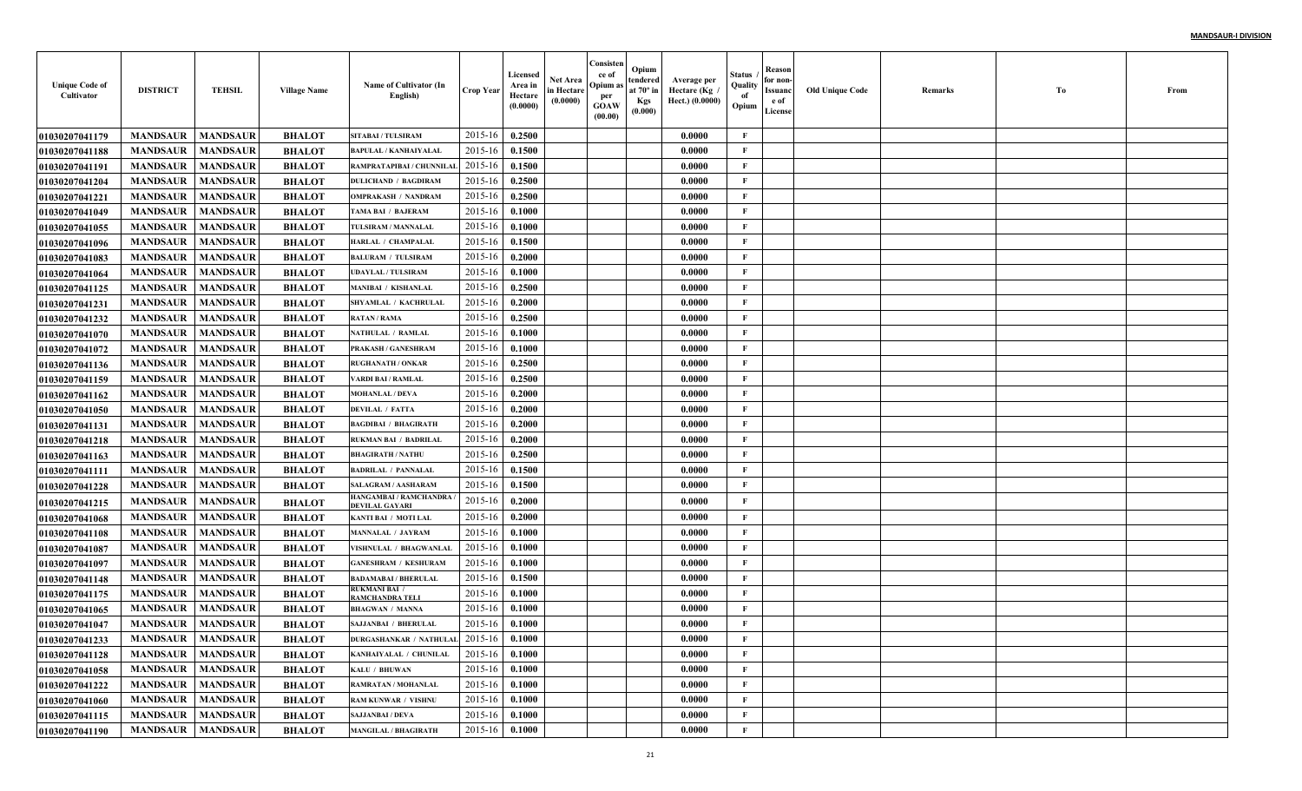| <b>Unique Code of</b><br>Cultivator | <b>DISTRICT</b>            | <b>TEHSIL</b>   | <b>Village Name</b> | Name of Cultivator (In<br>English)       | <b>Crop Year</b> | Licensed<br>Area in<br>Hectare<br>(0.0000) | <b>Net Area</b><br>in Hectare<br>(0.0000) | Consisten<br>ce of<br>Opium a<br>per<br><b>GOAW</b><br>(00.00) | Opium<br>tendered<br>at $70^\circ$ in<br><b>Kgs</b><br>(0.000) | Average per<br>Hectare (Kg<br>Hect.) (0.0000) | Status<br>Quality<br>of<br>Opium | Reason<br>for non-<br>Issuanc<br>e of<br>License | <b>Old Unique Code</b> | Remarks | Тo | From |
|-------------------------------------|----------------------------|-----------------|---------------------|------------------------------------------|------------------|--------------------------------------------|-------------------------------------------|----------------------------------------------------------------|----------------------------------------------------------------|-----------------------------------------------|----------------------------------|--------------------------------------------------|------------------------|---------|----|------|
| <b>01030207041179</b>               | <b>MANDSAUR</b>            | <b>MANDSAUR</b> | <b>BHALOT</b>       | <b>SITABAI/TULSIRAM</b>                  | 2015-16          | 0.2500                                     |                                           |                                                                |                                                                | 0.0000                                        | F                                |                                                  |                        |         |    |      |
| 01030207041188                      | <b>MANDSAUR</b>            | <b>MANDSAUR</b> | <b>BHALOT</b>       | <b>BAPULAL / KANHAIYALAI</b>             | 2015-16          | 0.1500                                     |                                           |                                                                |                                                                | 0.0000                                        | $\mathbf{F}$                     |                                                  |                        |         |    |      |
| 01030207041191                      | <b>MANDSAUR</b>            | <b>MANDSAUR</b> | <b>BHALOT</b>       | RAMPRATAPIBAI / CHUNNILA                 | 2015-16          | 0.1500                                     |                                           |                                                                |                                                                | 0.0000                                        | $\mathbf{F}$                     |                                                  |                        |         |    |      |
| <b>01030207041204</b>               | <b>MANDSAUR</b>            | <b>MANDSAUR</b> | <b>BHALOT</b>       | <b>DULICHAND / BAGDIRAM</b>              | 2015-16          | 0.2500                                     |                                           |                                                                |                                                                | 0.0000                                        | $\mathbf{F}$                     |                                                  |                        |         |    |      |
| 01030207041221                      | <b>MANDSAUR</b>            | <b>MANDSAUR</b> | <b>BHALOT</b>       | <b>OMPRAKASH / NANDRAM</b>               | 2015-16          | 0.2500                                     |                                           |                                                                |                                                                | 0.0000                                        | $\mathbf{F}$                     |                                                  |                        |         |    |      |
| 01030207041049                      | <b>MANDSAUR</b>            | <b>MANDSAUR</b> | <b>BHALOT</b>       | TAMA BAI / BAJERAM                       | 2015-16          | 0.1000                                     |                                           |                                                                |                                                                | 0.0000                                        | $\mathbf{F}$                     |                                                  |                        |         |    |      |
| <b>01030207041055</b>               | <b>MANDSAUR</b>            | <b>MANDSAUR</b> | <b>BHALOT</b>       | TULSIRAM / MANNALAL                      | 2015-16          | 0.1000                                     |                                           |                                                                |                                                                | 0.0000                                        | $\mathbf{F}$                     |                                                  |                        |         |    |      |
| 01030207041096                      | <b>MANDSAUR</b>            | <b>MANDSAUR</b> | <b>BHALOT</b>       | HARLAL / CHAMPALAL                       | 2015-16          | 0.1500                                     |                                           |                                                                |                                                                | 0.0000                                        | $\mathbf{F}$                     |                                                  |                        |         |    |      |
| <b>01030207041083</b>               | <b>MANDSAUR</b>            | <b>MANDSAUR</b> | <b>BHALOT</b>       | <b>BALURAM / TULSIRAM</b>                | 2015-16          | 0.2000                                     |                                           |                                                                |                                                                | 0.0000                                        | $\mathbf{F}$                     |                                                  |                        |         |    |      |
| 01030207041064                      | <b>MANDSAUR</b>            | <b>MANDSAUR</b> | <b>BHALOT</b>       | <b>UDAYLAL / TULSIRAM</b>                | 2015-16          | 0.1000                                     |                                           |                                                                |                                                                | 0.0000                                        | $\mathbf{F}$                     |                                                  |                        |         |    |      |
| <b>01030207041125</b>               | <b>MANDSAUR</b>            | <b>MANDSAUR</b> | <b>BHALOT</b>       | <b>MANIBAI / KISHANLAL</b>               | 2015-16          | 0.2500                                     |                                           |                                                                |                                                                | 0.0000                                        | $\mathbf{F}$                     |                                                  |                        |         |    |      |
| <b>01030207041231</b>               | <b>MANDSAUR</b>            | <b>MANDSAUR</b> | <b>BHALOT</b>       | SHYAMLAL / KACHRULAL                     | 2015-16          | 0.2000                                     |                                           |                                                                |                                                                | 0.0000                                        | $\mathbf{F}$                     |                                                  |                        |         |    |      |
| <b>01030207041232</b>               | <b>MANDSAUR</b>            | <b>MANDSAUR</b> | <b>BHALOT</b>       | <b>RATAN / RAMA</b>                      | 2015-16          | 0.2500                                     |                                           |                                                                |                                                                | 0.0000                                        | $\mathbf{F}$                     |                                                  |                        |         |    |      |
| <b>01030207041070</b>               | <b>MANDSAUR</b>            | <b>MANDSAUR</b> | <b>BHALOT</b>       | NATHULAL / RAMLAL                        | 2015-16          | 0.1000                                     |                                           |                                                                |                                                                | 0.0000                                        | $\mathbf{F}$                     |                                                  |                        |         |    |      |
| 01030207041072                      | <b>MANDSAUR</b>            | <b>MANDSAUR</b> | <b>BHALOT</b>       | PRAKASH / GANESHRAM                      | 2015-16          | 0.1000                                     |                                           |                                                                |                                                                | 0.0000                                        | $\mathbf{F}$                     |                                                  |                        |         |    |      |
| <b>01030207041136</b>               | <b>MANDSAUR</b>            | <b>MANDSAUR</b> | <b>BHALOT</b>       | <b>RUGHANATH / ONKAR</b>                 | 2015-16          | 0.2500                                     |                                           |                                                                |                                                                | 0.0000                                        | $\mathbf{F}$                     |                                                  |                        |         |    |      |
| 01030207041159                      | <b>MANDSAUR</b>            | <b>MANDSAUR</b> | <b>BHALOT</b>       | <b>VARDI BAI / RAMLAL</b>                | 2015-16          | 0.2500                                     |                                           |                                                                |                                                                | 0.0000                                        | $\mathbf{F}$                     |                                                  |                        |         |    |      |
| 01030207041162                      | <b>MANDSAUR</b>            | <b>MANDSAUR</b> | <b>BHALOT</b>       | <b>MOHANLAL / DEVA</b>                   | 2015-16          | 0.2000                                     |                                           |                                                                |                                                                | 0.0000                                        | $\mathbf{F}$                     |                                                  |                        |         |    |      |
| <b>01030207041050</b>               | <b>MANDSAUR</b>            | <b>MANDSAUR</b> | <b>BHALOT</b>       | <b>DEVILAL / FATTA</b>                   | 2015-16          | 0.2000                                     |                                           |                                                                |                                                                | 0.0000                                        | $\mathbf{F}$                     |                                                  |                        |         |    |      |
| <b>01030207041131</b>               | <b>MANDSAUR</b>            | <b>MANDSAUR</b> | <b>BHALOT</b>       | <b>BAGDIBAI / BHAGIRATH</b>              | 2015-16          | 0.2000                                     |                                           |                                                                |                                                                | 0.0000                                        | $\mathbf{F}$                     |                                                  |                        |         |    |      |
| <b>01030207041218</b>               | <b>MANDSAUR</b>            | <b>MANDSAUR</b> | <b>BHALOT</b>       | <b>RUKMAN BAI / BADRILAI</b>             | 2015-16          | 0.2000                                     |                                           |                                                                |                                                                | 0.0000                                        | $\mathbf{F}$                     |                                                  |                        |         |    |      |
| <b>01030207041163</b>               | <b>MANDSAUR</b>            | <b>MANDSAUR</b> | <b>BHALOT</b>       | <b>BHAGIRATH / NATHU</b>                 | 2015-16          | 0.2500                                     |                                           |                                                                |                                                                | 0.0000                                        | F                                |                                                  |                        |         |    |      |
| <b>01030207041111</b>               | <b>MANDSAUR</b>            | <b>MANDSAUR</b> | <b>BHALOT</b>       | <b>BADRILAL / PANNALAL</b>               | 2015-16          | 0.1500                                     |                                           |                                                                |                                                                | 0.0000                                        | $\mathbf{F}$                     |                                                  |                        |         |    |      |
| <b>01030207041228</b>               | <b>MANDSAUR</b>            | <b>MANDSAUR</b> | <b>BHALOT</b>       | <b>SALAGRAM / AASHARAM</b>               | 2015-16          | 0.1500                                     |                                           |                                                                |                                                                | 0.0000                                        | $\mathbf{F}$                     |                                                  |                        |         |    |      |
| <b>01030207041215</b>               | <b>MANDSAUR</b>            | <b>MANDSAUR</b> | <b>BHALOT</b>       | HANGAMBAI / RAMCHANDRA<br>DEVILAL GAYARI | 2015-16          | 0.2000                                     |                                           |                                                                |                                                                | 0.0000                                        | $\mathbf{F}$                     |                                                  |                        |         |    |      |
| <b>01030207041068</b>               | <b>MANDSAUR</b>            | <b>MANDSAUR</b> | <b>BHALOT</b>       | KANTI BAI / MOTI LAL                     | 2015-16          | 0.2000                                     |                                           |                                                                |                                                                | 0.0000                                        | $\mathbf{F}$                     |                                                  |                        |         |    |      |
| <b>01030207041108</b>               | <b>MANDSAUR</b>            | <b>MANDSAUR</b> | <b>BHALOT</b>       | <b>MANNALAL / JAYRAM</b>                 | 2015-16          | 0.1000                                     |                                           |                                                                |                                                                | 0.0000                                        | $\mathbf{F}$                     |                                                  |                        |         |    |      |
| <b>01030207041087</b>               | <b>MANDSAUR</b>            | <b>MANDSAUR</b> | <b>BHALOT</b>       | VISHNULAL / BHAGWANLAL                   | 2015-16          | 0.1000                                     |                                           |                                                                |                                                                | 0.0000                                        | $\mathbf{F}$                     |                                                  |                        |         |    |      |
| <b>01030207041097</b>               | <b>MANDSAUR</b>            | <b>MANDSAUR</b> | <b>BHALOT</b>       | <b>GANESHRAM / KESHURAM</b>              | 2015-16          | 0.1000                                     |                                           |                                                                |                                                                | 0.0000                                        | $\mathbf{F}$                     |                                                  |                        |         |    |      |
| <b>01030207041148</b>               | <b>MANDSAUR</b>            | <b>MANDSAUR</b> | <b>BHALOT</b>       | <b>BADAMABAI / BHERULAL</b>              | 2015-16          | 0.1500                                     |                                           |                                                                |                                                                | 0.0000                                        | $\mathbf{F}$                     |                                                  |                        |         |    |      |
| <b>01030207041175</b>               | <b>MANDSAUR</b>            | <b>MANDSAUR</b> | <b>BHALOT</b>       | <b>RUKMANI BAI /</b><br>RAMCHANDRA TELI  | 2015-16          | 0.1000                                     |                                           |                                                                |                                                                | 0.0000                                        | $\mathbf{F}$                     |                                                  |                        |         |    |      |
| <b>01030207041065</b>               | <b>MANDSAUR</b>            | <b>MANDSAUR</b> | <b>BHALOT</b>       | <b>BHAGWAN / MANNA</b>                   | 2015-16          | 0.1000                                     |                                           |                                                                |                                                                | 0.0000                                        | $\mathbf{F}$                     |                                                  |                        |         |    |      |
| 01030207041047                      | <b>MANDSAUR</b>            | <b>MANDSAUR</b> | <b>BHALOT</b>       | <b>SAJJANBAI / BHERULAL</b>              | 2015-16          | 0.1000                                     |                                           |                                                                |                                                                | 0.0000                                        | F                                |                                                  |                        |         |    |      |
| 01030207041233                      | <b>MANDSAUR   MANDSAUR</b> |                 | <b>BHALOT</b>       | DURGASHANKAR / NATHULAL $2015-16$ 0.1000 |                  |                                            |                                           |                                                                |                                                                | 0.0000                                        | F                                |                                                  |                        |         |    |      |
| 01030207041128                      | <b>MANDSAUR</b>            | <b>MANDSAUR</b> | <b>BHALOT</b>       | KANHAIYALAL / CHUNILAL                   | 2015-16          | 0.1000                                     |                                           |                                                                |                                                                | 0.0000                                        | $\mathbf{F}$                     |                                                  |                        |         |    |      |
| 01030207041058                      | <b>MANDSAUR</b>            | <b>MANDSAUR</b> | <b>BHALOT</b>       | KALU / BHUWAN                            | 2015-16          | 0.1000                                     |                                           |                                                                |                                                                | 0.0000                                        | $\mathbf{F}$                     |                                                  |                        |         |    |      |
| 01030207041222                      | <b>MANDSAUR</b>            | <b>MANDSAUR</b> | <b>BHALOT</b>       | RAMRATAN / MOHANLAL                      | 2015-16          | 0.1000                                     |                                           |                                                                |                                                                | 0.0000                                        | $\mathbf{F}$                     |                                                  |                        |         |    |      |
| 01030207041060                      | <b>MANDSAUR</b>            | <b>MANDSAUR</b> | <b>BHALOT</b>       | <b>RAM KUNWAR / VISHNU</b>               | 2015-16          | 0.1000                                     |                                           |                                                                |                                                                | 0.0000                                        | $\mathbf{F}$                     |                                                  |                        |         |    |      |
| 01030207041115                      | <b>MANDSAUR</b>            | <b>MANDSAUR</b> | <b>BHALOT</b>       | <b>SAJJANBAI / DEVA</b>                  | 2015-16          | 0.1000                                     |                                           |                                                                |                                                                | 0.0000                                        | $\mathbf{F}$                     |                                                  |                        |         |    |      |
| 01030207041190                      | MANDSAUR                   | <b>MANDSAUR</b> | <b>BHALOT</b>       | <b>MANGILAL / BHAGIRATH</b>              | 2015-16          | 0.1000                                     |                                           |                                                                |                                                                | 0.0000                                        | $\mathbf{F}$                     |                                                  |                        |         |    |      |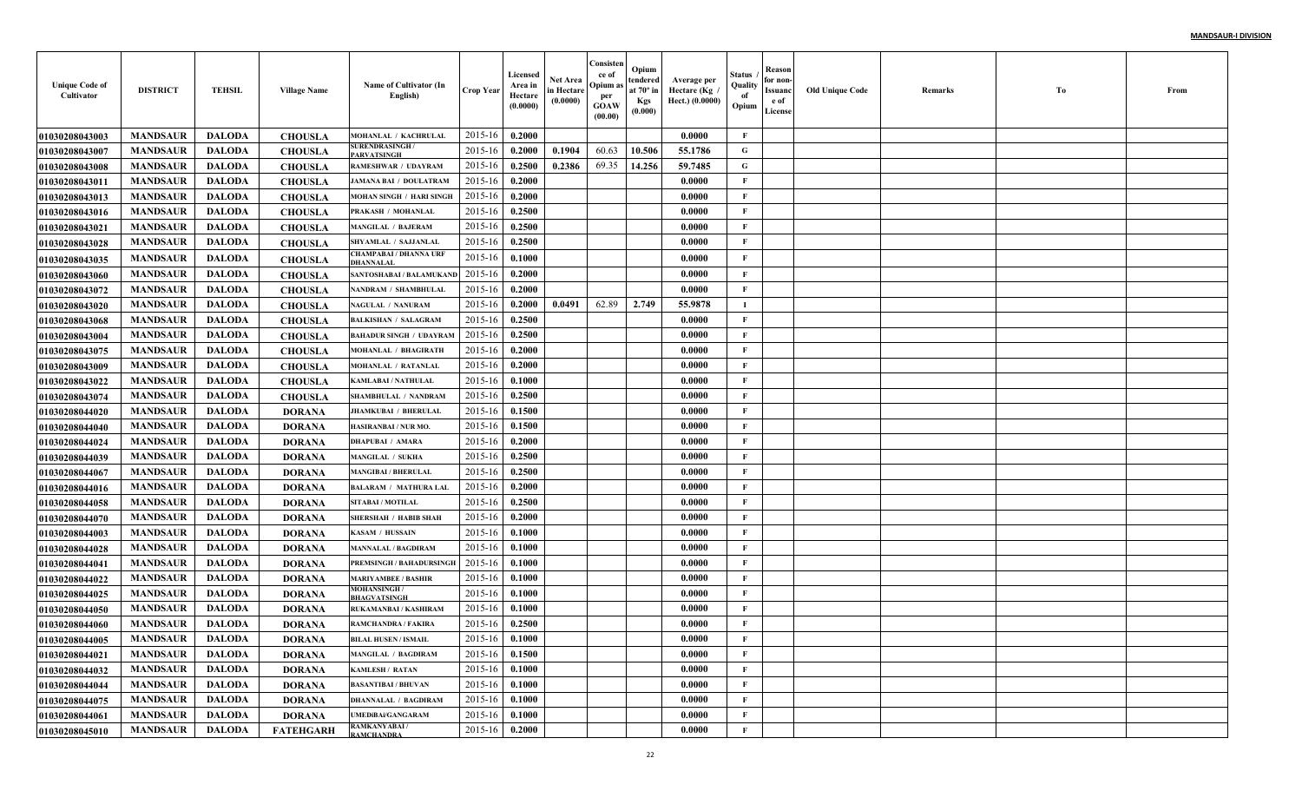| <b>Unique Code of</b><br>Cultivator | <b>DISTRICT</b>                    | <b>TEHSIL</b>                  | <b>Village Name</b> | Name of Cultivator (In<br>English)                   | <b>Crop Year</b>   | Licensed<br>Area in<br>Hectare<br>(0.0000) | Net Area<br>in Hectare<br>(0.0000) | Consisten<br>ce of<br>Opium a<br>per<br><b>GOAW</b><br>(00.00) | Opium<br>tendered<br>at $70^\circ$ in<br><b>Kgs</b><br>(0.000) | Average per<br>Hectare (Kg<br>Hect.) (0.0000) | Status<br>Quality<br>of<br>Opium | Reason<br>for non-<br>Issuanc<br>e of<br>License | <b>Old Unique Code</b> | Remarks | Тo | From |
|-------------------------------------|------------------------------------|--------------------------------|---------------------|------------------------------------------------------|--------------------|--------------------------------------------|------------------------------------|----------------------------------------------------------------|----------------------------------------------------------------|-----------------------------------------------|----------------------------------|--------------------------------------------------|------------------------|---------|----|------|
| 01030208043003                      | <b>MANDSAUR</b>                    | <b>DALODA</b>                  | <b>CHOUSLA</b>      | MOHANLAL / KACHRULAL                                 | 2015-16            | 0.2000                                     |                                    |                                                                |                                                                | 0.0000                                        | F                                |                                                  |                        |         |    |      |
| <b>01030208043007</b>               | <b>MANDSAUR</b>                    | <b>DALODA</b>                  | <b>CHOUSLA</b>      | <b>SURENDRASINGH/</b><br>PARVATSINGH                 | 2015-16            | 0.2000                                     | 0.1904                             | 60.63                                                          | 10.506                                                         | 55.1786                                       | G                                |                                                  |                        |         |    |      |
| <b>01030208043008</b>               | <b>MANDSAUR</b>                    | <b>DALODA</b>                  | <b>CHOUSLA</b>      | <b>RAMESHWAR / UDAYRAM</b>                           | 2015-16            | 0.2500                                     | 0.2386                             | 69.35                                                          | 14.256                                                         | 59.7485                                       | G                                |                                                  |                        |         |    |      |
| 01030208043011                      | <b>MANDSAUR</b>                    | <b>DALODA</b>                  | <b>CHOUSLA</b>      | <b>JAMANA BAI / DOULATRAM</b>                        | 2015-16            | 0.2000                                     |                                    |                                                                |                                                                | 0.0000                                        | $\mathbf{F}$                     |                                                  |                        |         |    |      |
| 01030208043013                      | <b>MANDSAUR</b>                    | <b>DALODA</b>                  | <b>CHOUSLA</b>      | <b>MOHAN SINGH / HARI SINGH</b>                      | 2015-16            | 0.2000                                     |                                    |                                                                |                                                                | 0.0000                                        | $\mathbf{F}$                     |                                                  |                        |         |    |      |
| 01030208043016                      | <b>MANDSAUR</b>                    | <b>DALODA</b>                  | <b>CHOUSLA</b>      | PRAKASH / MOHANLAI                                   | 2015-16            | 0.2500                                     |                                    |                                                                |                                                                | 0.0000                                        | $\mathbf{F}$                     |                                                  |                        |         |    |      |
| 01030208043021                      | <b>MANDSAUR</b>                    | <b>DALODA</b>                  | <b>CHOUSLA</b>      | <b>MANGILAL / BAJERAM</b>                            | 2015-16            | 0.2500                                     |                                    |                                                                |                                                                | 0.0000                                        | $\mathbf{F}$                     |                                                  |                        |         |    |      |
| 01030208043028                      | <b>MANDSAUR</b>                    | <b>DALODA</b>                  | <b>CHOUSLA</b>      | SHYAMLAL / SAJJANLAI                                 | 2015-16            | 0.2500                                     |                                    |                                                                |                                                                | 0.0000                                        | $\mathbf{F}$                     |                                                  |                        |         |    |      |
| 01030208043035                      | <b>MANDSAUR</b>                    | <b>DALODA</b>                  | <b>CHOUSLA</b>      | <b>CHAMPABAI / DHANNA URF</b><br>DHANNALAL           | 2015-16            | 0.1000                                     |                                    |                                                                |                                                                | 0.0000                                        | $\mathbf{F}$                     |                                                  |                        |         |    |      |
| <b>01030208043060</b>               | <b>MANDSAUR</b>                    | <b>DALODA</b>                  | <b>CHOUSLA</b>      | SANTOSHABAI / BALAMUKANI                             | 2015-16            | 0.2000                                     |                                    |                                                                |                                                                | 0.0000                                        | $\mathbf{F}$                     |                                                  |                        |         |    |      |
| 01030208043072                      | <b>MANDSAUR</b>                    | <b>DALODA</b>                  | <b>CHOUSLA</b>      | NANDRAM / SHAMBHULAI                                 | 2015-16            | 0.2000                                     |                                    |                                                                |                                                                | 0.0000                                        | $\mathbf{F}$                     |                                                  |                        |         |    |      |
| <b>01030208043020</b>               | <b>MANDSAUR</b>                    | <b>DALODA</b>                  | <b>CHOUSLA</b>      | <b>NAGULAL / NANURAM</b>                             | 2015-16            | 0.2000                                     | 0.0491                             | 62.89                                                          | 2.749                                                          | 55.9878                                       | и.                               |                                                  |                        |         |    |      |
| 01030208043068                      | <b>MANDSAUR</b>                    | <b>DALODA</b>                  | <b>CHOUSLA</b>      | <b>BALKISHAN / SALAGRAM</b>                          | 2015-16            | 0.2500                                     |                                    |                                                                |                                                                | 0.0000                                        | $\mathbf{F}$                     |                                                  |                        |         |    |      |
| 01030208043004                      | <b>MANDSAUR</b>                    | <b>DALODA</b>                  | <b>CHOUSLA</b>      | <b>BAHADUR SINGH / UDAYRAM</b>                       | 2015-16            | 0.2500                                     |                                    |                                                                |                                                                | 0.0000                                        | $\mathbf{F}$                     |                                                  |                        |         |    |      |
| 01030208043075                      | <b>MANDSAUR</b>                    | <b>DALODA</b>                  | <b>CHOUSLA</b>      | <b>MOHANLAL / BHAGIRATH</b>                          | 2015-16            | 0.2000                                     |                                    |                                                                |                                                                | 0.0000                                        | $\mathbf{F}$                     |                                                  |                        |         |    |      |
| 01030208043009                      | <b>MANDSAUR</b>                    | <b>DALODA</b>                  | <b>CHOUSLA</b>      | MOHANLAL / RATANLAI                                  | 2015-16            | 0.2000                                     |                                    |                                                                |                                                                | 0.0000                                        | $\mathbf{F}$                     |                                                  |                        |         |    |      |
| <b>01030208043022</b>               | <b>MANDSAUR</b>                    | <b>DALODA</b>                  | <b>CHOUSLA</b>      | <b>KAMLABAI / NATHULAL</b>                           | 2015-16            | 0.1000                                     |                                    |                                                                |                                                                | 0.0000                                        | $\mathbf{F}$                     |                                                  |                        |         |    |      |
| <b>01030208043074</b>               | <b>MANDSAUR</b>                    | <b>DALODA</b>                  | <b>CHOUSLA</b>      | <b>SHAMBHULAL / NANDRAM</b>                          | 2015-16            | 0.2500                                     |                                    |                                                                |                                                                | 0.0000                                        | $\mathbf{F}$                     |                                                  |                        |         |    |      |
| <b>01030208044020</b>               | <b>MANDSAUR</b>                    | <b>DALODA</b>                  | <b>DORANA</b>       | <b>JHAMKUBAI / BHERULAI</b>                          | 2015-16            | 0.1500                                     |                                    |                                                                |                                                                | 0.0000                                        | $\mathbf{F}$                     |                                                  |                        |         |    |      |
| 01030208044040                      | <b>MANDSAUR</b>                    | <b>DALODA</b>                  | <b>DORANA</b>       | HASIRANBAI / NUR MO.                                 | 2015-16            | 0.1500                                     |                                    |                                                                |                                                                | 0.0000                                        | $\mathbf{F}$                     |                                                  |                        |         |    |      |
| <b>01030208044024</b>               | <b>MANDSAUR</b>                    | <b>DALODA</b>                  | <b>DORANA</b>       | <b>DHAPUBAI / AMARA</b>                              | 2015-16            | 0.2000                                     |                                    |                                                                |                                                                | 0.0000                                        | $\mathbf{F}$                     |                                                  |                        |         |    |      |
| 01030208044039                      | <b>MANDSAUR</b>                    | <b>DALODA</b>                  | <b>DORANA</b>       | <b>MANGILAL / SUKHA</b>                              | 2015-16            | 0.2500                                     |                                    |                                                                |                                                                | 0.0000                                        | $\mathbf{F}$                     |                                                  |                        |         |    |      |
| 01030208044067                      | <b>MANDSAUR</b>                    | <b>DALODA</b>                  | <b>DORANA</b>       | <b>MANGIBAI / BHERULAI</b>                           | 2015-16            | 0.2500                                     |                                    |                                                                |                                                                | 0.0000                                        | $\mathbf{F}$                     |                                                  |                        |         |    |      |
| 01030208044016                      | <b>MANDSAUR</b>                    | <b>DALODA</b>                  | <b>DORANA</b>       | <b>BALARAM / MATHURA LAL</b>                         | 2015-16            | 0.2000                                     |                                    |                                                                |                                                                | 0.0000                                        | $\mathbf{F}$                     |                                                  |                        |         |    |      |
| 01030208044058                      | <b>MANDSAUR</b>                    | <b>DALODA</b>                  | <b>DORANA</b>       | SITABAI / MOTILAL                                    | 2015-16            | 0.2500                                     |                                    |                                                                |                                                                | 0.0000                                        | $\mathbf{F}$                     |                                                  |                        |         |    |      |
| 01030208044070                      | <b>MANDSAUR</b>                    | <b>DALODA</b>                  | <b>DORANA</b>       | <b>SHERSHAH / HABIB SHAH</b>                         | 2015-16            | 0.2000                                     |                                    |                                                                |                                                                | 0.0000                                        | $\mathbf{F}$                     |                                                  |                        |         |    |      |
| 01030208044003                      | <b>MANDSAUR</b>                    | <b>DALODA</b>                  | <b>DORANA</b>       | KASAM / HUSSAIN                                      | 2015-16            | 0.1000                                     |                                    |                                                                |                                                                | 0.0000                                        | $\mathbf{F}$                     |                                                  |                        |         |    |      |
| 01030208044028                      | <b>MANDSAUR</b>                    | <b>DALODA</b>                  | <b>DORANA</b>       | <b>MANNALAL / BAGDIRAM</b>                           | 2015-16            | 0.1000                                     |                                    |                                                                |                                                                | 0.0000                                        | $\mathbf{F}$                     |                                                  |                        |         |    |      |
| 01030208044041                      | <b>MANDSAUR</b>                    | <b>DALODA</b>                  | <b>DORANA</b>       | <b>PREMSINGH / BAHADURSINGE</b>                      | 2015-16            | 0.1000                                     |                                    |                                                                |                                                                | 0.0000                                        | $\mathbf{F}$                     |                                                  |                        |         |    |      |
| <b>01030208044022</b>               | <b>MANDSAUR</b>                    | <b>DALODA</b>                  | <b>DORANA</b>       | <b>MARIYAMBEE / BASHIR</b><br><b>MOHANSINGH/</b>     | 2015-16            | 0.1000                                     |                                    |                                                                |                                                                | 0.0000                                        | $\mathbf{F}$                     |                                                  |                        |         |    |      |
| <b>01030208044025</b>               | <b>MANDSAUR</b>                    | <b>DALODA</b>                  | <b>DORANA</b>       | <b>BHAGVATSINGH</b>                                  | 2015-16            | 0.1000                                     |                                    |                                                                |                                                                | 0.0000                                        | $\mathbf{F}$                     |                                                  |                        |         |    |      |
| <b>01030208044050</b>               | <b>MANDSAUR</b>                    | <b>DALODA</b>                  | <b>DORANA</b>       | RUKAMANBAI / KASHIRAM                                | 2015-16            | 0.1000                                     |                                    |                                                                |                                                                | 0.0000                                        | $\mathbf{F}$<br>F                |                                                  |                        |         |    |      |
| 01030208044060                      | <b>MANDSAUR</b>                    | <b>DALODA</b>                  | <b>DORANA</b>       | <b>RAMCHANDRA / FAKIRA</b>                           | 2015-16            | 0.2500                                     |                                    |                                                                |                                                                | 0.0000                                        |                                  |                                                  |                        |         |    |      |
| 01030208044005                      | <b>MANDSAUR</b>                    | DALODA                         | <b>DORANA</b>       | <b>BILAL HUSEN / ISMAIL</b>                          | $2015-16$ 0.1000   |                                            |                                    |                                                                |                                                                | 0.0000                                        | F                                |                                                  |                        |         |    |      |
| 01030208044021                      | <b>MANDSAUR</b><br><b>MANDSAUR</b> | <b>DALODA</b>                  | <b>DORANA</b>       | <b>MANGILAL / BAGDIRAM</b>                           | 2015-16<br>2015-16 | 0.1500                                     |                                    |                                                                |                                                                | 0.0000                                        | $\mathbf{F}$<br>$\mathbf{F}$     |                                                  |                        |         |    |      |
| 01030208044032                      | <b>MANDSAUR</b>                    | <b>DALODA</b><br><b>DALODA</b> | <b>DORANA</b>       | <b>KAMLESH / RATAN</b><br><b>BASANTIBAI / BHUVAN</b> | 2015-16            | 0.1000<br>0.1000                           |                                    |                                                                |                                                                | 0.0000<br>0.0000                              | $\mathbf{F}$                     |                                                  |                        |         |    |      |
| 01030208044044                      | <b>MANDSAUR</b>                    | <b>DALODA</b>                  | <b>DORANA</b>       | <b>DHANNALAL / BAGDIRAM</b>                          | 2015-16            | 0.1000                                     |                                    |                                                                |                                                                | 0.0000                                        | $\mathbf{F}$                     |                                                  |                        |         |    |      |
| 01030208044075                      | <b>MANDSAUR</b>                    |                                | <b>DORANA</b>       | <b>UMEDIBAi/GANGARAM</b>                             | 2015-16            | 0.1000                                     |                                    |                                                                |                                                                | 0.0000                                        | $\mathbf{F}$                     |                                                  |                        |         |    |      |
| 01030208044061                      |                                    | <b>DALODA</b>                  | <b>DORANA</b>       | RAMKANYABAI/                                         |                    |                                            |                                    |                                                                |                                                                |                                               | $\mathbf{F}$                     |                                                  |                        |         |    |      |
| 01030208045010                      | <b>MANDSAUR</b>                    | <b>DALODA</b>                  | <b>FATEHGARH</b>    | <b>RAMCHANDRA</b>                                    | 2015-16            | 0.2000                                     |                                    |                                                                |                                                                | 0.0000                                        |                                  |                                                  |                        |         |    |      |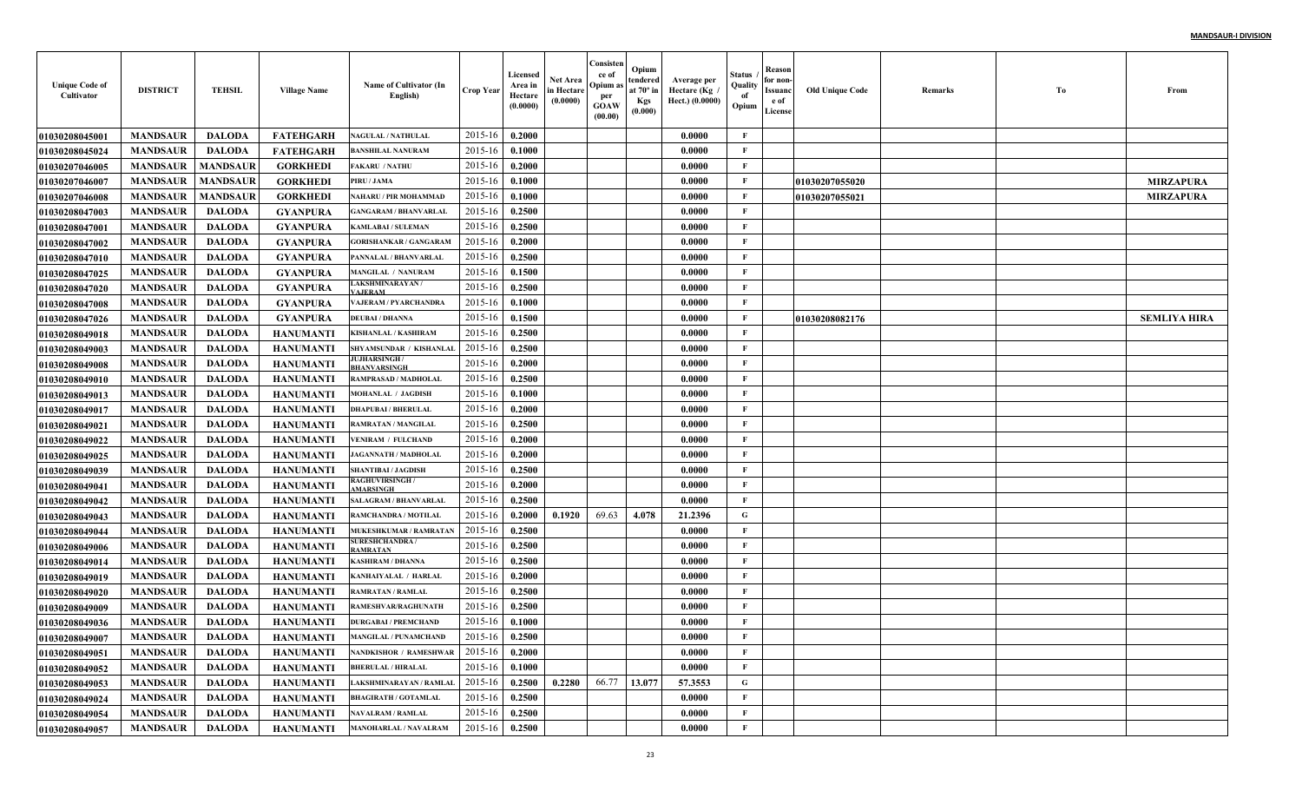| <b>Unique Code of</b><br>Cultivator | <b>DISTRICT</b> | <b>TEHSIL</b>   | <b>Village Name</b> | Name of Cultivator (In<br>English)       | Crop Year      | Licensed<br>Area in<br>Hectare<br>(0.0000) | <b>Net Area</b><br>in Hectare<br>(0.0000) | Consister<br>ce of<br>Opium a<br>per<br>GOAW<br>(00.00) | Opium<br>tendered<br>at 70° ir<br><b>Kgs</b><br>(0.000) | Average per<br>Hectare (Kg<br>Hect.) (0.0000) | Status<br>Quality<br>of<br>Opium | Reason<br>for non<br><b>Issuanc</b><br>e of<br>License | <b>Old Unique Code</b> | Remarks | To | From                |
|-------------------------------------|-----------------|-----------------|---------------------|------------------------------------------|----------------|--------------------------------------------|-------------------------------------------|---------------------------------------------------------|---------------------------------------------------------|-----------------------------------------------|----------------------------------|--------------------------------------------------------|------------------------|---------|----|---------------------|
| 01030208045001                      | <b>MANDSAUR</b> | <b>DALODA</b>   | <b>FATEHGARH</b>    | <b>NAGULAL / NATHULAL</b>                | 2015-16        | 0.2000                                     |                                           |                                                         |                                                         | 0.0000                                        | F                                |                                                        |                        |         |    |                     |
| 01030208045024                      | <b>MANDSAUR</b> | <b>DALODA</b>   | <b>FATEHGARH</b>    | <b>BANSHILAL NANURAM</b>                 | 2015-16        | 0.1000                                     |                                           |                                                         |                                                         | 0.0000                                        | F                                |                                                        |                        |         |    |                     |
| <b>01030207046005</b>               | <b>MANDSAUR</b> | <b>MANDSAUR</b> | <b>GORKHEDI</b>     | <b>AKARU / NATHU</b>                     | 2015-16        | 0.2000                                     |                                           |                                                         |                                                         | 0.0000                                        | $\mathbf{F}$                     |                                                        |                        |         |    |                     |
| 01030207046007                      | <b>MANDSAUR</b> | <b>MANDSAUR</b> | <b>GORKHEDI</b>     | PIRU / JAMA                              | 2015-16        | 0.1000                                     |                                           |                                                         |                                                         | 0.0000                                        | F                                |                                                        | 01030207055020         |         |    | <b>MIRZAPURA</b>    |
| <b>01030207046008</b>               | <b>MANDSAUR</b> | <b>MANDSAUR</b> | <b>GORKHED</b>      | NAHARU / PIR MOHAMMAD                    | $2015 - 16$    | 0.1000                                     |                                           |                                                         |                                                         | 0.0000                                        | $\mathbf{F}$                     |                                                        | 01030207055021         |         |    | <b>MIRZAPURA</b>    |
| 01030208047003                      | <b>MANDSAUR</b> | <b>DALODA</b>   | <b>GYANPURA</b>     | <b>GANGARAM / BHANVARLAI</b>             | 2015-16        | 0.2500                                     |                                           |                                                         |                                                         | 0.0000                                        | $\mathbf{F}$                     |                                                        |                        |         |    |                     |
| 01030208047001                      | <b>MANDSAUR</b> | <b>DALODA</b>   | <b>GYANPURA</b>     | <b>KAMLABAI / SULEMAN</b>                | 2015-16        | 0.2500                                     |                                           |                                                         |                                                         | 0.0000                                        | F                                |                                                        |                        |         |    |                     |
| 01030208047002                      | <b>MANDSAUR</b> | <b>DALODA</b>   | <b>GYANPURA</b>     | <b>GORISHANKAR / GANGARAM</b>            | 2015-16        | 0.2000                                     |                                           |                                                         |                                                         | 0.0000                                        | $\mathbf{F}$                     |                                                        |                        |         |    |                     |
| <b>01030208047010</b>               | <b>MANDSAUR</b> | <b>DALODA</b>   | <b>GYANPURA</b>     | PANNALAL / BHANVARLAI                    | 2015-16        | 0.2500                                     |                                           |                                                         |                                                         | 0.0000                                        | $\mathbf{F}$                     |                                                        |                        |         |    |                     |
| <b>01030208047025</b>               | <b>MANDSAUR</b> | <b>DALODA</b>   | <b>GYANPURA</b>     | <b>MANGILAL / NANURAM</b>                | 2015-16        | 0.1500                                     |                                           |                                                         |                                                         | 0.0000                                        | $\mathbf{F}$                     |                                                        |                        |         |    |                     |
| <b>01030208047020</b>               | <b>MANDSAUR</b> | <b>DALODA</b>   | <b>GYANPURA</b>     | <b>LAKSHMINARAYAN/</b><br><b>AJERAM</b>  | 2015-16        | 0.2500                                     |                                           |                                                         |                                                         | 0.0000                                        | F                                |                                                        |                        |         |    |                     |
| <b>01030208047008</b>               | <b>MANDSAUR</b> | <b>DALODA</b>   | <b>GYANPURA</b>     | <b>VAJERAM / PYARCHANDRA</b>             | 2015-16        | 0.1000                                     |                                           |                                                         |                                                         | 0.0000                                        | $\mathbf{F}$                     |                                                        |                        |         |    |                     |
| <b>01030208047026</b>               | <b>MANDSAUR</b> | <b>DALODA</b>   | <b>GYANPURA</b>     | <b>DEUBAI / DHANNA</b>                   | 2015-16        | 0.1500                                     |                                           |                                                         |                                                         | 0.0000                                        | $\mathbf{F}$                     |                                                        | 01030208082176         |         |    | <b>SEMLIYA HIRA</b> |
| 01030208049018                      | <b>MANDSAUR</b> | <b>DALODA</b>   | <b>HANUMANTI</b>    | <b>KISHANLAL / KASHIRAM</b>              | 2015-16        | 0.2500                                     |                                           |                                                         |                                                         | 0.0000                                        | $\mathbf{F}$                     |                                                        |                        |         |    |                     |
| <b>01030208049003</b>               | <b>MANDSAUR</b> | <b>DALODA</b>   | <b>HANUMANTI</b>    | SHYAMSUNDAR / KISHANLAI                  | 2015-16        | 0.2500                                     |                                           |                                                         |                                                         | 0.0000                                        | F                                |                                                        |                        |         |    |                     |
| 01030208049008                      | <b>MANDSAUR</b> | <b>DALODA</b>   | <b>HANUMANTI</b>    | JUJHARSINGH /<br>BHANVARSINGH            | 2015-16        | 0.2000                                     |                                           |                                                         |                                                         | 0.0000                                        | $\mathbf{F}$                     |                                                        |                        |         |    |                     |
| 01030208049010                      | <b>MANDSAUR</b> | <b>DALODA</b>   | <b>HANUMANTI</b>    | RAMPRASAD / MADHOLAL                     | 2015-16        | 0.2500                                     |                                           |                                                         |                                                         | 0.0000                                        | $\mathbf{F}$                     |                                                        |                        |         |    |                     |
| 01030208049013                      | <b>MANDSAUR</b> | <b>DALODA</b>   | <b>HANUMANTI</b>    | <b>MOHANLAL / JAGDISH</b>                | 2015-16        | 0.1000                                     |                                           |                                                         |                                                         | 0.0000                                        | F                                |                                                        |                        |         |    |                     |
| <b>01030208049017</b>               | <b>MANDSAUR</b> | <b>DALODA</b>   | <b>HANUMANTI</b>    | <b>DHAPUBAI / BHERULAL</b>               | 2015-16        | 0.2000                                     |                                           |                                                         |                                                         | 0.0000                                        | F                                |                                                        |                        |         |    |                     |
| <b>01030208049021</b>               | <b>MANDSAUR</b> | <b>DALODA</b>   | <b>HANUMANTI</b>    | RAMRATAN / MANGILAL                      | 2015-16        | 0.2500                                     |                                           |                                                         |                                                         | 0.0000                                        | $\mathbf{F}$                     |                                                        |                        |         |    |                     |
| 01030208049022                      | <b>MANDSAUR</b> | <b>DALODA</b>   | <b>HANUMANTI</b>    | <b>VENIRAM / FULCHAND</b>                | 2015-16        | 0.2000                                     |                                           |                                                         |                                                         | 0.0000                                        | F                                |                                                        |                        |         |    |                     |
| <b>01030208049025</b>               | <b>MANDSAUR</b> | <b>DALODA</b>   | <b>HANUMANTI</b>    | <b>JAGANNATH / MADHOLAI</b>              | 2015-16        | 0.2000                                     |                                           |                                                         |                                                         | 0.0000                                        | $\mathbf{F}$                     |                                                        |                        |         |    |                     |
| 01030208049039                      | <b>MANDSAUR</b> | <b>DALODA</b>   | <b>HANUMANTI</b>    | <b>SHANTIBAI / JAGDISH</b>               | 2015-16        | 0.2500                                     |                                           |                                                         |                                                         | 0.0000                                        | $\mathbf{F}$                     |                                                        |                        |         |    |                     |
| 01030208049041                      | <b>MANDSAUR</b> | <b>DALODA</b>   | <b>HANUMANTI</b>    | <b>RAGHUVIRSINGH /</b><br>MARSINGH       | 2015-16        | 0.2000                                     |                                           |                                                         |                                                         | 0.0000                                        | $\mathbf{F}$                     |                                                        |                        |         |    |                     |
| <b>01030208049042</b>               | <b>MANDSAUR</b> | <b>DALODA</b>   | <b>HANUMANTI</b>    | <b>SALAGRAM / BHANVARLAL</b>             | $2015 - 16$    | 0.2500                                     |                                           |                                                         |                                                         | 0.0000                                        | F                                |                                                        |                        |         |    |                     |
| 01030208049043                      | <b>MANDSAUR</b> | <b>DALODA</b>   | <b>HANUMANTI</b>    | RAMCHANDRA / MOTILAI                     | $2015 - 16$    | 0.2000                                     | 0.1920                                    | 69.63                                                   | 4.078                                                   | 21.2396                                       | G                                |                                                        |                        |         |    |                     |
| 01030208049044                      | <b>MANDSAUR</b> | <b>DALODA</b>   | <b>HANUMANTI</b>    | MUKESHKUMAR / RAMRATAN                   | 2015-16        | 0.2500                                     |                                           |                                                         |                                                         | 0.0000                                        | $\mathbf{F}$                     |                                                        |                        |         |    |                     |
| 01030208049006                      | <b>MANDSAUR</b> | <b>DALODA</b>   | <b>HANUMANTI</b>    | <b>SURESHCHANDRA /</b><br><b>AMRATAN</b> | 2015-16        | 0.2500                                     |                                           |                                                         |                                                         | 0.0000                                        | $\mathbf{F}$                     |                                                        |                        |         |    |                     |
| 01030208049014                      | <b>MANDSAUR</b> | <b>DALODA</b>   | <b>HANUMANTI</b>    | KASHIRAM / DHANNA                        | $2015 - 16$    | 0.2500                                     |                                           |                                                         |                                                         | 0.0000                                        | $\mathbf{F}$                     |                                                        |                        |         |    |                     |
| 01030208049019                      | <b>MANDSAUR</b> | <b>DALODA</b>   | <b>HANUMANTI</b>    | KANHAIYALAL / HARLAL                     | $2015 - 16$    | 0.2000                                     |                                           |                                                         |                                                         | 0.0000                                        | $\mathbf{F}$                     |                                                        |                        |         |    |                     |
| <b>01030208049020</b>               | <b>MANDSAUR</b> | <b>DALODA</b>   | <b>HANUMANTI</b>    | <b>RAMRATAN / RAMLAL</b>                 | 2015-16        | 0.2500                                     |                                           |                                                         |                                                         | 0.0000                                        | F                                |                                                        |                        |         |    |                     |
| 01030208049009                      | <b>MANDSAUR</b> | <b>DALODA</b>   | <b>HANUMANTI</b>    | RAMESHVAR/RAGHUNATE                      | 2015-16        | 0.2500                                     |                                           |                                                         |                                                         | 0.0000                                        | F                                |                                                        |                        |         |    |                     |
| <b>01030208049036</b>               | <b>MANDSAUR</b> | <b>DALODA</b>   | <b>HANUMANTI</b>    | <b>DURGABAI / PREMCHAND</b>              | 2015-16        | 0.1000                                     |                                           |                                                         |                                                         | 0.0000                                        | F                                |                                                        |                        |         |    |                     |
| <b>01030208049007</b>               | <b>MANDSAUR</b> | DALODA          | HANUMANTI           | <b>MANGILAL / PUNAMCHAND</b>             | 2015-16 0.2500 |                                            |                                           |                                                         |                                                         | 0.0000                                        | -F                               |                                                        |                        |         |    |                     |
| 01030208049051                      | <b>MANDSAUR</b> | <b>DALODA</b>   | <b>HANUMANTI</b>    | <b>NANDKISHOR / RAMESHWAR</b>            | 2015-16        | 0.2000                                     |                                           |                                                         |                                                         | 0.0000                                        | $\mathbf{F}$                     |                                                        |                        |         |    |                     |
| <b>01030208049052</b>               | <b>MANDSAUR</b> | <b>DALODA</b>   | HANUMANTI           | <b>BHERULAL / HIRALAL</b>                | 2015-16        | 0.1000                                     |                                           |                                                         |                                                         | 0.0000                                        | F                                |                                                        |                        |         |    |                     |
| 01030208049053                      | <b>MANDSAUR</b> | <b>DALODA</b>   | <b>HANUMANTI</b>    | LAKSHMINARAYAN / RAMLAL                  | 2015-16        | 0.2500                                     | 0.2280                                    | 66.77                                                   | 13.077                                                  | 57.3553                                       | $\mathbf G$                      |                                                        |                        |         |    |                     |
| 01030208049024                      | <b>MANDSAUR</b> | <b>DALODA</b>   | <b>HANUMANTI</b>    | <b>BHAGIRATH / GOTAMLAL</b>              | 2015-16        | 0.2500                                     |                                           |                                                         |                                                         | 0.0000                                        | $\mathbf{F}$                     |                                                        |                        |         |    |                     |
| 01030208049054                      | <b>MANDSAUR</b> | <b>DALODA</b>   | <b>HANUMANTI</b>    | <b>NAVALRAM / RAMLAL</b>                 | 2015-16        | 0.2500                                     |                                           |                                                         |                                                         | 0.0000                                        | $\mathbf{F}$                     |                                                        |                        |         |    |                     |
| 01030208049057                      | <b>MANDSAUR</b> | <b>DALODA</b>   | HANUMANTI           | <b>MANOHARLAL / NAVALRAM</b>             | 2015-16        | 0.2500                                     |                                           |                                                         |                                                         | 0.0000                                        | $\mathbf{F}$                     |                                                        |                        |         |    |                     |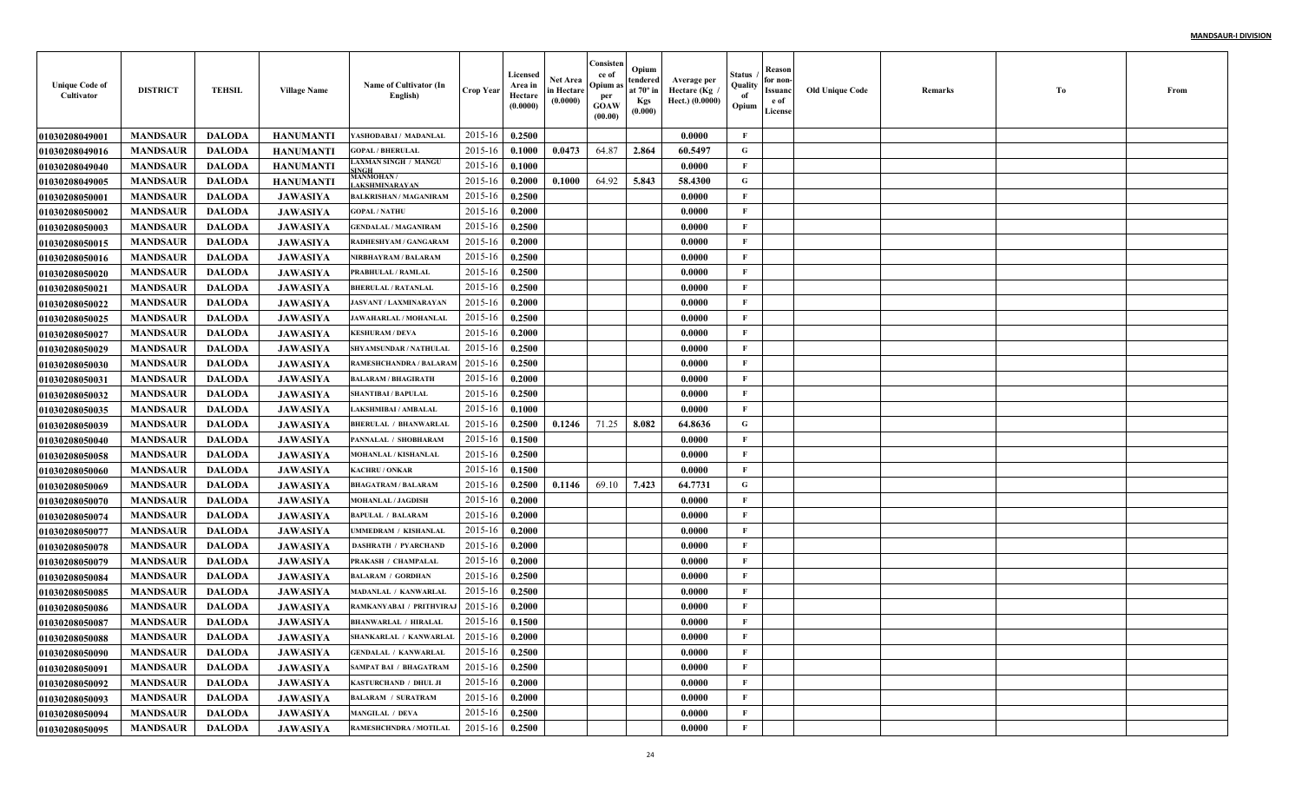| <b>Unique Code of</b><br>Cultivator | <b>DISTRICT</b> | <b>TEHSIL</b> | <b>Village Name</b> | Name of Cultivator (In<br>English)        | Crop Year | Licensed<br>Area in<br>Hectare<br>(0.0000) | Net Area<br>in Hectare<br>(0.0000) | Consisten<br>ce of<br>Opium a<br>per<br><b>GOAW</b><br>(00.00) | Opium<br>tendered<br>at $70^\circ$ in<br><b>Kgs</b><br>(0.000) | Average per<br>Hectare (Kg<br>Hect.) (0.0000) | Status<br>Quality<br>of<br>Opium | Reason<br>for non-<br>Issuanc<br>e of<br>License | <b>Old Unique Code</b> | Remarks | Тo | From |
|-------------------------------------|-----------------|---------------|---------------------|-------------------------------------------|-----------|--------------------------------------------|------------------------------------|----------------------------------------------------------------|----------------------------------------------------------------|-----------------------------------------------|----------------------------------|--------------------------------------------------|------------------------|---------|----|------|
| <b>01030208049001</b>               | <b>MANDSAUR</b> | <b>DALODA</b> | <b>HANUMANTI</b>    | YASHODABAI / MADANLAL                     | 2015-16   | 0.2500                                     |                                    |                                                                |                                                                | 0.0000                                        | F                                |                                                  |                        |         |    |      |
| 01030208049016                      | <b>MANDSAUR</b> | <b>DALODA</b> | <b>HANUMANTI</b>    | <b>GOPAL / BHERULAL</b>                   | 2015-16   | 0.1000                                     | 0.0473                             | 64.87                                                          | 2.864                                                          | 60.5497                                       | G                                |                                                  |                        |         |    |      |
| 01030208049040                      | <b>MANDSAUR</b> | <b>DALODA</b> | <b>HANUMANTI</b>    | LAXMAN SINGH / MANGU<br>INGE              | 2015-16   | 0.1000                                     |                                    |                                                                |                                                                | 0.0000                                        | $\mathbf{F}$                     |                                                  |                        |         |    |      |
| 01030208049005                      | <b>MANDSAUR</b> | <b>DALODA</b> | <b>HANUMANTI</b>    | MANMOHAN /<br><b>AKSHMINARAYAN</b>        | 2015-16   | 0.2000                                     | 0.1000                             | 64.92                                                          | 5.843                                                          | 58.4300                                       | G                                |                                                  |                        |         |    |      |
| 01030208050001                      | <b>MANDSAUR</b> | <b>DALODA</b> | <b>JAWASIYA</b>     | <b>BALKRISHAN / MAGANIRAM</b>             | 2015-16   | 0.2500                                     |                                    |                                                                |                                                                | 0.0000                                        | $\mathbf{F}$                     |                                                  |                        |         |    |      |
| <b>01030208050002</b>               | <b>MANDSAUR</b> | <b>DALODA</b> | <b>JAWASIYA</b>     | <b>GOPAL/NATHU</b>                        | 2015-16   | 0.2000                                     |                                    |                                                                |                                                                | 0.0000                                        | $\mathbf{F}$                     |                                                  |                        |         |    |      |
| <b>01030208050003</b>               | <b>MANDSAUR</b> | <b>DALODA</b> | <b>JAWASIYA</b>     | <b>GENDALAL / MAGANIRAM</b>               | 2015-16   | 0.2500                                     |                                    |                                                                |                                                                | 0.0000                                        | $\mathbf{F}$                     |                                                  |                        |         |    |      |
| <b>01030208050015</b>               | <b>MANDSAUR</b> | <b>DALODA</b> | <b>JAWASIYA</b>     | <b>RADHESHYAM / GANGARAM</b>              | 2015-16   | 0.2000                                     |                                    |                                                                |                                                                | 0.0000                                        | $\mathbf{F}$                     |                                                  |                        |         |    |      |
| <b>01030208050016</b>               | <b>MANDSAUR</b> | <b>DALODA</b> | <b>JAWASIYA</b>     | NIRBHAYRAM / BALARAM                      | 2015-16   | 0.2500                                     |                                    |                                                                |                                                                | 0.0000                                        | $\mathbf{F}$                     |                                                  |                        |         |    |      |
| <b>01030208050020</b>               | <b>MANDSAUR</b> | <b>DALODA</b> | <b>JAWASIYA</b>     | PRABHULAL / RAMLAL                        | 2015-16   | 0.2500                                     |                                    |                                                                |                                                                | 0.0000                                        | $\mathbf{F}$                     |                                                  |                        |         |    |      |
| <b>01030208050021</b>               | <b>MANDSAUR</b> | <b>DALODA</b> | <b>JAWASIYA</b>     | <b>BHERULAL / RATANLAL</b>                | 2015-16   | 0.2500                                     |                                    |                                                                |                                                                | 0.0000                                        | $\mathbf{F}$                     |                                                  |                        |         |    |      |
| <b>01030208050022</b>               | <b>MANDSAUR</b> | <b>DALODA</b> | <b>JAWASIYA</b>     | JASVANT / LAXMINARAYAN                    | 2015-16   | 0.2000                                     |                                    |                                                                |                                                                | 0.0000                                        | $\mathbf{F}$                     |                                                  |                        |         |    |      |
| <b>01030208050025</b>               | <b>MANDSAUR</b> | <b>DALODA</b> | <b>JAWASIYA</b>     | <b>JAWAHARLAL / MOHANLAL</b>              | 2015-16   | 0.2500                                     |                                    |                                                                |                                                                | 0.0000                                        | $\mathbf{F}$                     |                                                  |                        |         |    |      |
| <b>01030208050027</b>               | <b>MANDSAUR</b> | <b>DALODA</b> | <b>JAWASIYA</b>     | <b>KESHURAM / DEVA</b>                    | 2015-16   | 0.2000                                     |                                    |                                                                |                                                                | 0.0000                                        | $\mathbf{F}$                     |                                                  |                        |         |    |      |
| <b>01030208050029</b>               | <b>MANDSAUR</b> | <b>DALODA</b> | <b>JAWASIYA</b>     | <b>SHYAMSUNDAR / NATHULAL</b>             | 2015-16   | 0.2500                                     |                                    |                                                                |                                                                | 0.0000                                        | $\mathbf{F}$                     |                                                  |                        |         |    |      |
| <b>01030208050030</b>               | <b>MANDSAUR</b> | <b>DALODA</b> | <b>JAWASIYA</b>     | RAMESHCHANDRA / BALARAM                   | 2015-16   | 0.2500                                     |                                    |                                                                |                                                                | 0.0000                                        | $\mathbf{F}$                     |                                                  |                        |         |    |      |
| <b>01030208050031</b>               | <b>MANDSAUR</b> | <b>DALODA</b> | <b>JAWASIYA</b>     | <b>BALARAM / BHAGIRATH</b>                | 2015-16   | 0.2000                                     |                                    |                                                                |                                                                | 0.0000                                        | $\mathbf{F}$                     |                                                  |                        |         |    |      |
| <b>01030208050032</b>               | <b>MANDSAUR</b> | <b>DALODA</b> | <b>JAWASIYA</b>     | <b>SHANTIBAI / BAPULAL</b>                | 2015-16   | 0.2500                                     |                                    |                                                                |                                                                | 0.0000                                        | $\mathbf{F}$                     |                                                  |                        |         |    |      |
| <b>01030208050035</b>               | <b>MANDSAUR</b> | <b>DALODA</b> | <b>JAWASIYA</b>     | <b>LAKSHMIBAI / AMBALAL</b>               | 2015-16   | 0.1000                                     |                                    |                                                                |                                                                | 0.0000                                        | $\mathbf{F}$                     |                                                  |                        |         |    |      |
| <b>01030208050039</b>               | <b>MANDSAUR</b> | <b>DALODA</b> | <b>JAWASIYA</b>     | <b>BHERULAL / BHANWARLAL</b>              | 2015-16   | 0.2500                                     | 0.1246                             | 71.25                                                          | 8.082                                                          | 64.8636                                       | G                                |                                                  |                        |         |    |      |
| 01030208050040                      | <b>MANDSAUR</b> | <b>DALODA</b> | <b>JAWASIYA</b>     | PANNALAL / SHOBHARAM                      | 2015-16   | 0.1500                                     |                                    |                                                                |                                                                | 0.0000                                        | $\mathbf{F}$                     |                                                  |                        |         |    |      |
| <b>01030208050058</b>               | <b>MANDSAUR</b> | <b>DALODA</b> | <b>JAWASIYA</b>     | MOHANLAL / KISHANLAL                      | 2015-16   | 0.2500                                     |                                    |                                                                |                                                                | 0.0000                                        | F                                |                                                  |                        |         |    |      |
| <b>01030208050060</b>               | <b>MANDSAUR</b> | <b>DALODA</b> | <b>JAWASIYA</b>     | <b>KACHRU / ONKAR</b>                     | 2015-16   | 0.1500                                     |                                    |                                                                |                                                                | 0.0000                                        | $\mathbf{F}$                     |                                                  |                        |         |    |      |
| <b>01030208050069</b>               | <b>MANDSAUR</b> | <b>DALODA</b> | <b>JAWASIYA</b>     | <b>BHAGATRAM / BALARAM</b>                | 2015-16   | 0.2500                                     | 0.1146                             | 69.10                                                          | 7.423                                                          | 64.7731                                       | G                                |                                                  |                        |         |    |      |
| <b>01030208050070</b>               | <b>MANDSAUR</b> | <b>DALODA</b> | <b>JAWASIYA</b>     | MOHANLAL / JAGDISH                        | 2015-16   | 0.2000                                     |                                    |                                                                |                                                                | 0.0000                                        | $\mathbf{F}$                     |                                                  |                        |         |    |      |
| <b>01030208050074</b>               | <b>MANDSAUR</b> | <b>DALODA</b> | <b>JAWASIYA</b>     | <b>BAPULAL / BALARAM</b>                  | 2015-16   | 0.2000                                     |                                    |                                                                |                                                                | 0.0000                                        | $\mathbf{F}$                     |                                                  |                        |         |    |      |
| <b>01030208050077</b>               | <b>MANDSAUR</b> | <b>DALODA</b> | <b>JAWASIYA</b>     | UMMEDRAM / KISHANLAI                      | 2015-16   | 0.2000                                     |                                    |                                                                |                                                                | 0.0000                                        | $\mathbf F$                      |                                                  |                        |         |    |      |
| <b>01030208050078</b>               | <b>MANDSAUR</b> | <b>DALODA</b> | <b>JAWASIYA</b>     | <b>DASHRATH / PYARCHANI</b>               | 2015-16   | 0.2000                                     |                                    |                                                                |                                                                | 0.0000                                        | $\mathbf{F}$                     |                                                  |                        |         |    |      |
| 01030208050079                      | <b>MANDSAUR</b> | <b>DALODA</b> | <b>JAWASIYA</b>     | PRAKASH / CHAMPALAI                       | 2015-16   | 0.2000                                     |                                    |                                                                |                                                                | 0.0000                                        | $\mathbf{F}$                     |                                                  |                        |         |    |      |
| <b>0103020805008</b> 4              | <b>MANDSAUR</b> | <b>DALODA</b> | <b>JAWASIYA</b>     | <b>BALARAM / GORDHAN</b>                  | 2015-16   | 0.2500                                     |                                    |                                                                |                                                                | 0.0000                                        | $\mathbf{F}$                     |                                                  |                        |         |    |      |
| <b>01030208050085</b>               | <b>MANDSAUR</b> | <b>DALODA</b> | <b>JAWASIYA</b>     | MADANLAL / KANWARLA                       | 2015-16   | 0.2500                                     |                                    |                                                                |                                                                | 0.0000                                        | $\mathbf{F}$                     |                                                  |                        |         |    |      |
| <b>01030208050086</b>               | <b>MANDSAUR</b> | <b>DALODA</b> | <b>JAWASIYA</b>     | RAMKANYABAI / PRITHVIRA                   | 2015-16   | 0.2000                                     |                                    |                                                                |                                                                | 0.0000                                        | F                                |                                                  |                        |         |    |      |
| <b>01030208050087</b>               | <b>MANDSAUR</b> | <b>DALODA</b> | <b>JAWASIYA</b>     | <b>BHANWARLAL / HIRALAI</b>               | 2015-16   | 0.1500                                     |                                    |                                                                |                                                                | 0.0000                                        | F                                |                                                  |                        |         |    |      |
| 01030208050088                      | <b>MANDSAUR</b> | DALODA        | <b>JAWASIYA</b>     | SHANKARLAL / KANWARLAL   2015-16   0.2000 |           |                                            |                                    |                                                                |                                                                | 0.0000                                        | F                                |                                                  |                        |         |    |      |
| 01030208050090                      | <b>MANDSAUR</b> | DALODA        | <b>JAWASIYA</b>     | <b>GENDALAL / KANWARLAL</b>               | 2015-16   | 0.2500                                     |                                    |                                                                |                                                                | 0.0000                                        | F                                |                                                  |                        |         |    |      |
| <b>01030208050091</b>               | <b>MANDSAUR</b> | DALODA        | <b>JAWASIYA</b>     | <b>SAMPAT BAI / BHAGATRAM</b>             | 2015-16   | 0.2500                                     |                                    |                                                                |                                                                | 0.0000                                        | $\mathbf{F}$                     |                                                  |                        |         |    |      |
| <b>01030208050092</b>               | <b>MANDSAUR</b> | <b>DALODA</b> | <b>JAWASIYA</b>     | KASTURCHAND / DHUL JI                     | 2015-16   | 0.2000                                     |                                    |                                                                |                                                                | 0.0000                                        | $\mathbf{F}$                     |                                                  |                        |         |    |      |
| 01030208050093                      | <b>MANDSAUR</b> | <b>DALODA</b> | <b>JAWASIYA</b>     | <b>BALARAM / SURATRAM</b>                 | 2015-16   | 0.2000                                     |                                    |                                                                |                                                                | 0.0000                                        | $\mathbf{F}$                     |                                                  |                        |         |    |      |
| <b>01030208050094</b>               | <b>MANDSAUR</b> | <b>DALODA</b> | <b>JAWASIYA</b>     | <b>MANGILAL / DEVA</b>                    | 2015-16   | 0.2500                                     |                                    |                                                                |                                                                | 0.0000                                        | $\mathbf{F}$                     |                                                  |                        |         |    |      |
| 01030208050095                      | <b>MANDSAUR</b> | <b>DALODA</b> | <b>JAWASIYA</b>     | RAMESHCHNDRA / MOTILAL                    | 2015-16   | 0.2500                                     |                                    |                                                                |                                                                | 0.0000                                        | $\mathbf F$                      |                                                  |                        |         |    |      |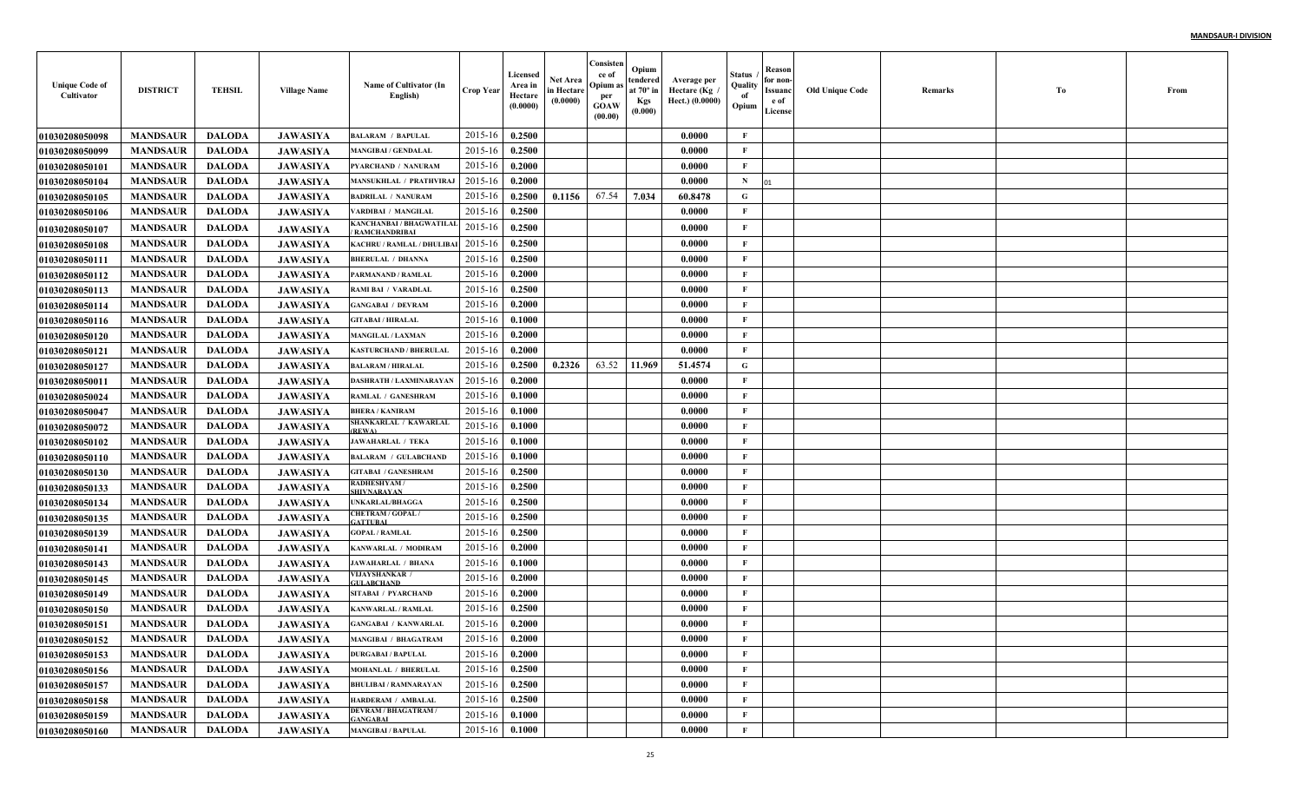| <b>Unique Code of</b><br>Cultivator | <b>DISTRICT</b> | <b>TEHSIL</b> | <b>Village Name</b> | Name of Cultivator (In<br>English)                 | <b>Crop Year</b> | Licensed<br>Area in<br>Hectare<br>(0.0000) | Net Area<br>in Hectare<br>(0.0000) | Consisten<br>ce of<br>Opium a<br>per<br><b>GOAW</b><br>(00.00) | Opium<br>tendered<br>at $70^\circ$ in<br><b>Kgs</b><br>(0.000) | Average per<br>Hectare (Kg<br>Hect.) (0.0000) | Status<br>Quality<br>of<br>Opium | Reason<br>for non-<br>Issuanc<br>e of<br>License | <b>Old Unique Code</b> | Remarks | Тo | From |
|-------------------------------------|-----------------|---------------|---------------------|----------------------------------------------------|------------------|--------------------------------------------|------------------------------------|----------------------------------------------------------------|----------------------------------------------------------------|-----------------------------------------------|----------------------------------|--------------------------------------------------|------------------------|---------|----|------|
| <b>01030208050098</b>               | <b>MANDSAUR</b> | <b>DALODA</b> | <b>JAWASIYA</b>     | <b>BALARAM / BAPULAL</b>                           | 2015-16          | 0.2500                                     |                                    |                                                                |                                                                | 0.0000                                        | F                                |                                                  |                        |         |    |      |
| <b>01030208050099</b>               | <b>MANDSAUR</b> | <b>DALODA</b> | <b>JAWASIYA</b>     | <b>MANGIBAI / GENDALAL</b>                         | 2015-16          | 0.2500                                     |                                    |                                                                |                                                                | 0.0000                                        | $\mathbf{F}$                     |                                                  |                        |         |    |      |
| <b>0103020805010</b>                | <b>MANDSAUR</b> | <b>DALODA</b> | <b>JAWASIYA</b>     | <b>PYARCHAND / NANURAM</b>                         | 2015-16          | 0.2000                                     |                                    |                                                                |                                                                | 0.0000                                        | $\mathbf{F}$                     |                                                  |                        |         |    |      |
| 01030208050104                      | <b>MANDSAUR</b> | <b>DALODA</b> | <b>JAWASIYA</b>     | <b>MANSUKHLAL / PRATHVIRA,</b>                     | 2015-16          | 0.2000                                     |                                    |                                                                |                                                                | 0.0000                                        | $\mathbf N$                      |                                                  |                        |         |    |      |
| <b>01030208050105</b>               | <b>MANDSAUR</b> | <b>DALODA</b> | <b>JAWASIYA</b>     | <b>BADRILAL / NANURAM</b>                          | 2015-16          | 0.2500                                     | 0.1156                             | 67.54                                                          | 7.034                                                          | 60.8478                                       | G                                |                                                  |                        |         |    |      |
| <b>01030208050106</b>               | <b>MANDSAUR</b> | <b>DALODA</b> | <b>JAWASIYA</b>     | <b>/ARDIBAI / MANGILAL</b>                         | 2015-16          | 0.2500                                     |                                    |                                                                |                                                                | 0.0000                                        | $\mathbf{F}$                     |                                                  |                        |         |    |      |
| <b>01030208050107</b>               | <b>MANDSAUR</b> | <b>DALODA</b> | <b>JAWASIYA</b>     | KANCHANBAI / BHAGWATILAI<br><b>RAMCHANDRIBAI</b>   | 2015-16          | 0.2500                                     |                                    |                                                                |                                                                | 0.0000                                        | $\mathbf{F}$                     |                                                  |                        |         |    |      |
| <b>01030208050108</b>               | <b>MANDSAUR</b> | <b>DALODA</b> | <b>JAWASIYA</b>     | KACHRU / RAMLAL / DHULIBA                          | 2015-16          | 0.2500                                     |                                    |                                                                |                                                                | 0.0000                                        | $\mathbf{F}$                     |                                                  |                        |         |    |      |
| 01030208050111                      | <b>MANDSAUR</b> | <b>DALODA</b> | <b>JAWASIYA</b>     | <b>BHERULAL / DHANNA</b>                           | 2015-16          | 0.2500                                     |                                    |                                                                |                                                                | 0.0000                                        | $\mathbf{F}$                     |                                                  |                        |         |    |      |
| <b>01030208050112</b>               | <b>MANDSAUR</b> | <b>DALODA</b> | <b>JAWASIYA</b>     | PARMANAND / RAMLAL                                 | 2015-16          | 0.2000                                     |                                    |                                                                |                                                                | 0.0000                                        | F                                |                                                  |                        |         |    |      |
| 01030208050113                      | <b>MANDSAUR</b> | <b>DALODA</b> | <b>JAWASIYA</b>     | <b>RAMI BAI / VARADLAI</b>                         | 2015-16          | 0.2500                                     |                                    |                                                                |                                                                | 0.0000                                        | $\mathbf{F}$                     |                                                  |                        |         |    |      |
| 01030208050114                      | <b>MANDSAUR</b> | <b>DALODA</b> | <b>JAWASIYA</b>     | <b>GANGABAI / DEVRAM</b>                           | 2015-16          | 0.2000                                     |                                    |                                                                |                                                                | 0.0000                                        | $\mathbf{F}$                     |                                                  |                        |         |    |      |
| <b>01030208050116</b>               | <b>MANDSAUR</b> | <b>DALODA</b> | <b>JAWASIYA</b>     | <b>GITABAI / HIRALAL</b>                           | 2015-16          | 0.1000                                     |                                    |                                                                |                                                                | 0.0000                                        | $\mathbf{F}$                     |                                                  |                        |         |    |      |
| <b>01030208050120</b>               | <b>MANDSAUR</b> | <b>DALODA</b> | <b>JAWASIYA</b>     | <b>MANGILAL / LAXMAN</b>                           | 2015-16          | 0.2000                                     |                                    |                                                                |                                                                | 0.0000                                        | F                                |                                                  |                        |         |    |      |
| 01030208050121                      | <b>MANDSAUR</b> | <b>DALODA</b> | <b>JAWASIYA</b>     | <b>KASTURCHAND / BHERULAL</b>                      | 2015-16          | 0.2000                                     |                                    |                                                                |                                                                | 0.0000                                        | $\mathbf{F}$                     |                                                  |                        |         |    |      |
| <b>01030208050127</b>               | <b>MANDSAUR</b> | <b>DALODA</b> | <b>JAWASIYA</b>     | <b>BALARAM / HIRALAL</b>                           | 2015-16          | 0.2500                                     | 0.2326                             | 63.52                                                          | 11.969                                                         | 51.4574                                       | $\mathbf G$                      |                                                  |                        |         |    |      |
| <b>0103020805001</b> 1              | <b>MANDSAUR</b> | <b>DALODA</b> | <b>JAWASIYA</b>     | <b>DASHRATH / LAXMINARAYAN</b>                     | 2015-16          | 0.2000                                     |                                    |                                                                |                                                                | 0.0000                                        | $\mathbf{F}$                     |                                                  |                        |         |    |      |
| <b>01030208050024</b>               | <b>MANDSAUR</b> | <b>DALODA</b> | <b>JAWASIYA</b>     | <b>RAMLAL / GANESHRAM</b>                          | 2015-16          | 0.1000                                     |                                    |                                                                |                                                                | 0.0000                                        | $\mathbf{F}$                     |                                                  |                        |         |    |      |
| <b>01030208050047</b>               | <b>MANDSAUR</b> | <b>DALODA</b> | <b>JAWASIYA</b>     | <b>BHERA / KANIRAM</b>                             | 2015-16          | 0.1000                                     |                                    |                                                                |                                                                | 0.0000                                        | $\mathbf{F}$                     |                                                  |                        |         |    |      |
| <b>01030208050072</b>               | <b>MANDSAUR</b> | <b>DALODA</b> | <b>JAWASIYA</b>     | SHANKARLAL / KAWARLAL<br><b>REWA</b>               | 2015-16          | 0.1000                                     |                                    |                                                                |                                                                | 0.0000                                        | $\mathbf{F}$                     |                                                  |                        |         |    |      |
| <b>01030208050102</b>               | <b>MANDSAUR</b> | <b>DALODA</b> | <b>JAWASIYA</b>     | <b>JAWAHARLAL / TEKA</b>                           | 2015-16          | 0.1000                                     |                                    |                                                                |                                                                | 0.0000                                        | $\mathbf{F}$                     |                                                  |                        |         |    |      |
| <b>01030208050110</b>               | <b>MANDSAUR</b> | <b>DALODA</b> | <b>JAWASIYA</b>     | <b>BALARAM / GULABCHAND</b>                        | 2015-16          | 0.1000                                     |                                    |                                                                |                                                                | 0.0000                                        | $\mathbf{F}$                     |                                                  |                        |         |    |      |
| <b>01030208050130</b>               | <b>MANDSAUR</b> | <b>DALODA</b> | <b>JAWASIYA</b>     | <b>GITABAI / GANESHRAM</b>                         | 2015-16          | 0.2500                                     |                                    |                                                                |                                                                | 0.0000                                        | $\mathbf{F}$                     |                                                  |                        |         |    |      |
| <b>01030208050133</b>               | <b>MANDSAUR</b> | <b>DALODA</b> | <b>JAWASIYA</b>     | <b>RADHESHYAM/</b><br><b>SHIVNARAYAN</b>           | 2015-16          | 0.2500                                     |                                    |                                                                |                                                                | 0.0000                                        | $\mathbf{F}$                     |                                                  |                        |         |    |      |
| <b>01030208050134</b>               | <b>MANDSAUR</b> | <b>DALODA</b> | <b>JAWASIYA</b>     | <b>UNKARLAL/BHAGGA</b>                             | 2015-16          | 0.2500                                     |                                    |                                                                |                                                                | 0.0000                                        | $\mathbf{F}$                     |                                                  |                        |         |    |      |
| <b>01030208050135</b>               | <b>MANDSAUR</b> | <b>DALODA</b> | <b>JAWASIYA</b>     | CHETRAM / GOPAL /<br><b>ATTUBAL</b>                | 2015-16          | 0.2500                                     |                                    |                                                                |                                                                | 0.0000                                        | $\mathbf{F}$                     |                                                  |                        |         |    |      |
| <b>01030208050139</b>               | <b>MANDSAUR</b> | <b>DALODA</b> | <b>JAWASIYA</b>     | <b>GOPAL / RAMLAL</b>                              | 2015-16          | 0.2500                                     |                                    |                                                                |                                                                | 0.0000                                        | $\mathbf{F}$                     |                                                  |                        |         |    |      |
| <b>01030208050141</b>               | <b>MANDSAUR</b> | <b>DALODA</b> | <b>JAWASIYA</b>     | KANWARLAL / MODIRAM                                | 2015-16          | 0.2000                                     |                                    |                                                                |                                                                | 0.0000                                        | $\mathbf{F}$                     |                                                  |                        |         |    |      |
| <b>01030208050143</b>               | <b>MANDSAUR</b> | <b>DALODA</b> | <b>JAWASIYA</b>     | <b>JAWAHARLAL / BHANA</b><br><b>VIJAYSHANKAR /</b> | 2015-16          | 0.1000                                     |                                    |                                                                |                                                                | 0.0000                                        | $\mathbf{F}$                     |                                                  |                        |         |    |      |
| <b>01030208050145</b>               | <b>MANDSAUR</b> | <b>DALODA</b> | <b>JAWASIYA</b>     | <b>GULABCHAND</b>                                  | 2015-16          | 0.2000                                     |                                    |                                                                |                                                                | 0.0000                                        | $\mathbf{F}$                     |                                                  |                        |         |    |      |
| 01030208050149                      | <b>MANDSAUR</b> | <b>DALODA</b> | <b>JAWASIYA</b>     | SITABAI / PYARCHAND                                | 2015-16          | 0.2000                                     |                                    |                                                                |                                                                | 0.0000                                        | $\mathbf{F}$                     |                                                  |                        |         |    |      |
| <b>01030208050150</b>               | <b>MANDSAUR</b> | <b>DALODA</b> | JAWASIYA            | <b>KANWARLAL / RAMLAL</b>                          | 2015-16          | 0.2500                                     |                                    |                                                                |                                                                | 0.0000                                        | $\mathbf{F}$                     |                                                  |                        |         |    |      |
| <b>01030208050151</b>               | <b>MANDSAUR</b> | <b>DALODA</b> | <b>JAWASIYA</b>     | <b>GANGABAI / KANWARLAI</b>                        | 2015-16          | 0.2000                                     |                                    |                                                                |                                                                | 0.0000                                        | F                                |                                                  |                        |         |    |      |
| <b>01030208050152</b>               | <b>MANDSAUR</b> | DALODA        | <b>JAWASIYA</b>     | <b>MANGIBAI / BHAGATRAM</b>                        | $2015-16$ 0.2000 |                                            |                                    |                                                                |                                                                | 0.0000                                        | F                                |                                                  |                        |         |    |      |
| 01030208050153                      | <b>MANDSAUR</b> | <b>DALODA</b> | <b>JAWASIYA</b>     | <b>DURGABAI / BAPULAL</b>                          | 2015-16          | 0.2000                                     |                                    |                                                                |                                                                | 0.0000                                        | $\mathbf{F}$                     |                                                  |                        |         |    |      |
| 01030208050156                      | <b>MANDSAUR</b> | <b>DALODA</b> | <b>JAWASIYA</b>     | <b>MOHANLAL / BHERULAL</b>                         | 2015-16          | 0.2500                                     |                                    |                                                                |                                                                | 0.0000                                        | $\mathbf{F}$                     |                                                  |                        |         |    |      |
| 01030208050157                      | <b>MANDSAUR</b> | <b>DALODA</b> | <b>JAWASIYA</b>     | <b>BHULIBAI / RAMNARAYAN</b>                       | 2015-16          | 0.2500                                     |                                    |                                                                |                                                                | 0.0000                                        | $\mathbf{F}$                     |                                                  |                        |         |    |      |
| 01030208050158                      | <b>MANDSAUR</b> | <b>DALODA</b> | <b>JAWASIYA</b>     | HARDERAM / AMBALAL<br><b>DEVRAM / BHAGATRAM /</b>  | 2015-16          | 0.2500                                     |                                    |                                                                |                                                                | 0.0000                                        | $\mathbf{F}$                     |                                                  |                        |         |    |      |
| 01030208050159                      | <b>MANDSAUR</b> | <b>DALODA</b> | <b>JAWASIYA</b>     | <b>GANGABAI</b>                                    | 2015-16          | 0.1000                                     |                                    |                                                                |                                                                | 0.0000                                        | $\mathbf{F}$                     |                                                  |                        |         |    |      |
| 01030208050160                      | <b>MANDSAUR</b> | <b>DALODA</b> | <b>JAWASIYA</b>     | <b>MANGIBAI / BAPULAL</b>                          | 2015-16          | 0.1000                                     |                                    |                                                                |                                                                | 0.0000                                        | $\mathbf{F}$                     |                                                  |                        |         |    |      |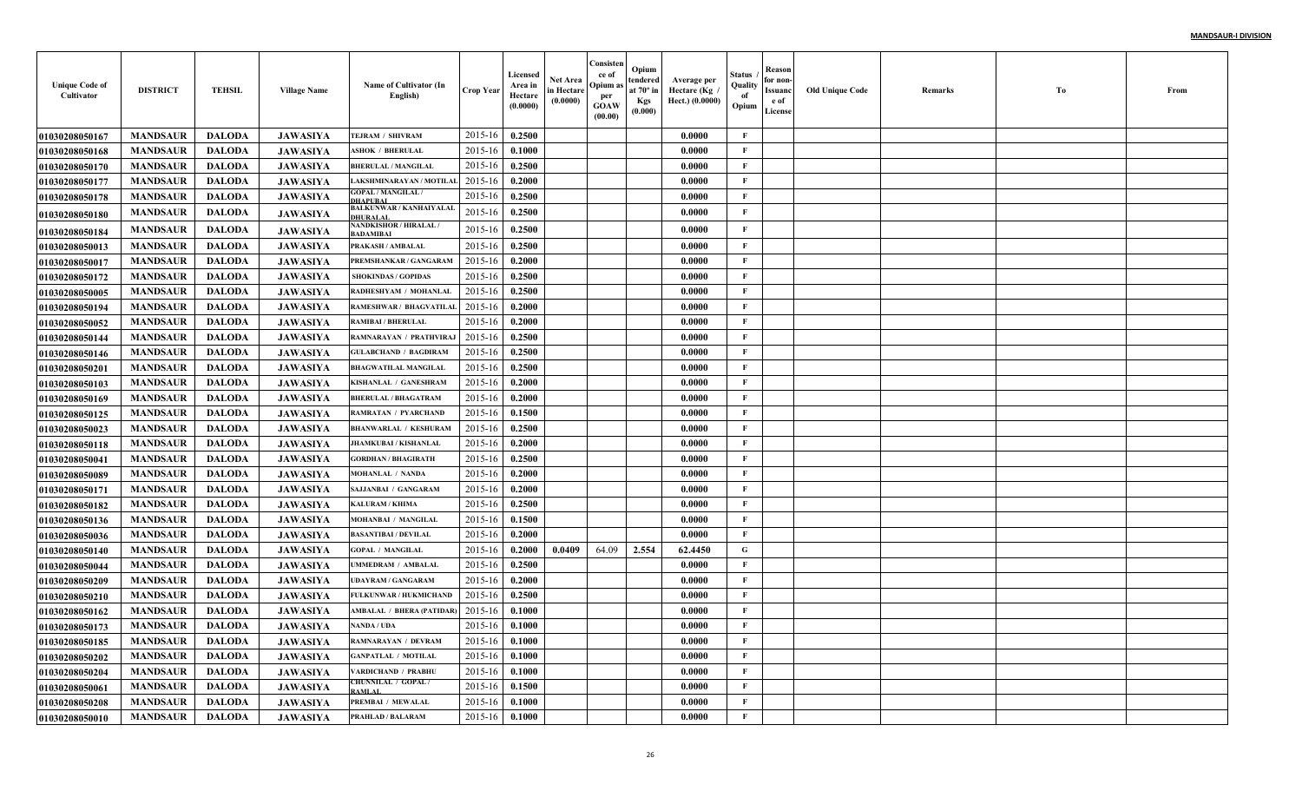| <b>Unique Code of</b><br>Cultivator | <b>DISTRICT</b> | <b>TEHSIL</b> | <b>Village Name</b> | Name of Cultivator (In<br>English)                | Crop Year | Licensed<br>Area in<br>Hectare<br>(0.0000) | <b>Net Area</b><br>in Hectare<br>(0.0000) | Consisten<br>ce of<br>Opium a<br>per<br>GOAW<br>(00.00) | Opium<br>endered<br>at 70° in<br><b>Kgs</b><br>(0.000) | Average per<br>Hectare (Kg<br>Hect.) (0.0000) | Status<br>Quality<br>-of<br>Opium | Reason<br>for non<br>Issuanc<br>e of<br>License | Old Unique Code | Remarks | Tо | From |
|-------------------------------------|-----------------|---------------|---------------------|---------------------------------------------------|-----------|--------------------------------------------|-------------------------------------------|---------------------------------------------------------|--------------------------------------------------------|-----------------------------------------------|-----------------------------------|-------------------------------------------------|-----------------|---------|----|------|
| <b>01030208050167</b>               | <b>MANDSAUR</b> | <b>DALODA</b> | <b>JAWASIYA</b>     | TEJRAM / SHIVRAM                                  | 2015-16   | 0.2500                                     |                                           |                                                         |                                                        | 0.0000                                        | $\mathbf{F}$                      |                                                 |                 |         |    |      |
| <b>01030208050168</b>               | <b>MANDSAUR</b> | <b>DALODA</b> | <b>JAWASIYA</b>     | <b>ASHOK / BHERULAL</b>                           | 2015-16   | 0.1000                                     |                                           |                                                         |                                                        | 0.0000                                        | $\mathbf{F}$                      |                                                 |                 |         |    |      |
| <b>01030208050170</b>               | <b>MANDSAUR</b> | <b>DALODA</b> | <b>JAWASIYA</b>     | <b>BHERULAL / MANGILAL</b>                        | 2015-16   | 0.2500                                     |                                           |                                                         |                                                        | 0.0000                                        | $\mathbf{F}$                      |                                                 |                 |         |    |      |
| <b>01030208050177</b>               | <b>MANDSAUR</b> | <b>DALODA</b> | <b>JAWASIYA</b>     | LAKSHMINARAYAN / MOTILAL                          | 2015-16   | 0.2000                                     |                                           |                                                         |                                                        | 0.0000                                        | $\mathbf{F}$                      |                                                 |                 |         |    |      |
| <b>01030208050178</b>               | <b>MANDSAUR</b> | <b>DALODA</b> | <b>JAWASIYA</b>     | <b>GOPAL / MANGILAL /</b><br><b>DHAPUBAI</b>      | 2015-16   | 0.2500                                     |                                           |                                                         |                                                        | 0.0000                                        | $\mathbf{F}$                      |                                                 |                 |         |    |      |
| <b>01030208050180</b>               | <b>MANDSAUR</b> | <b>DALODA</b> | <b>JAWASIYA</b>     | <b>BALKUNWAR / KANHAIYALAL</b><br><b>DHURALAI</b> | 2015-16   | 0.2500                                     |                                           |                                                         |                                                        | 0.0000                                        | $\mathbf{F}$                      |                                                 |                 |         |    |      |
| <b>01030208050184</b>               | <b>MANDSAUR</b> | <b>DALODA</b> | <b>JAWASIYA</b>     | <b>NANDKISHOR / HIRALAL /</b><br>BADAMIBAI        | 2015-16   | 0.2500                                     |                                           |                                                         |                                                        | 0.0000                                        | $\mathbf{F}$                      |                                                 |                 |         |    |      |
| <b>01030208050013</b>               | <b>MANDSAUR</b> | <b>DALODA</b> | <b>JAWASIYA</b>     | <b>PRAKASH / AMBALAL</b>                          | 2015-16   | 0.2500                                     |                                           |                                                         |                                                        | 0.0000                                        | $\mathbf{F}$                      |                                                 |                 |         |    |      |
| <b>01030208050017</b>               | <b>MANDSAUR</b> | <b>DALODA</b> | <b>JAWASIYA</b>     | PREMSHANKAR / GANGARAM                            | 2015-16   | 0.2000                                     |                                           |                                                         |                                                        | 0.0000                                        | $\mathbf{F}$                      |                                                 |                 |         |    |      |
| <b>01030208050172</b>               | <b>MANDSAUR</b> | <b>DALODA</b> | <b>JAWASIYA</b>     | <b>SHOKINDAS / GOPIDAS</b>                        | 2015-16   | 0.2500                                     |                                           |                                                         |                                                        | 0.0000                                        | $\mathbf{F}$                      |                                                 |                 |         |    |      |
| <b>01030208050005</b>               | <b>MANDSAUR</b> | <b>DALODA</b> | <b>JAWASIYA</b>     | RADHESHYAM / MOHANLAL                             | 2015-16   | 0.2500                                     |                                           |                                                         |                                                        | 0.0000                                        | $\mathbf{F}$                      |                                                 |                 |         |    |      |
| 01030208050194                      | <b>MANDSAUR</b> | <b>DALODA</b> | <b>JAWASIYA</b>     | RAMESHWAR / BHAGVATILAI                           | 2015-16   | 0.2000                                     |                                           |                                                         |                                                        | 0.0000                                        | $\mathbf{F}$                      |                                                 |                 |         |    |      |
| 01030208050052                      | <b>MANDSAUR</b> | <b>DALODA</b> | <b>JAWASIYA</b>     | RAMIBAI / BHERULAL                                | 2015-16   | 0.2000                                     |                                           |                                                         |                                                        | 0.0000                                        | $\mathbf{F}$                      |                                                 |                 |         |    |      |
| 01030208050144                      | <b>MANDSAUR</b> | <b>DALODA</b> | <b>JAWASIYA</b>     | RAMNARAYAN / PRATHVIRAJ                           | 2015-16   | 0.2500                                     |                                           |                                                         |                                                        | 0.0000                                        | $\mathbf{F}$                      |                                                 |                 |         |    |      |
| <b>01030208050146</b>               | <b>MANDSAUR</b> | <b>DALODA</b> | <b>JAWASIYA</b>     | <b>GULABCHAND / BAGDIRAM</b>                      | 2015-16   | 0.2500                                     |                                           |                                                         |                                                        | 0.0000                                        | $\mathbf{F}$                      |                                                 |                 |         |    |      |
| 01030208050201                      | <b>MANDSAUR</b> | <b>DALODA</b> | <b>JAWASIYA</b>     | <b>BHAGWATILAL MANGILAL</b>                       | 2015-16   | 0.2500                                     |                                           |                                                         |                                                        | 0.0000                                        | $\mathbf{F}$                      |                                                 |                 |         |    |      |
| <b>01030208050103</b>               | <b>MANDSAUR</b> | <b>DALODA</b> | <b>JAWASIYA</b>     | KISHANLAL / GANESHRAM                             | 2015-16   | 0.2000                                     |                                           |                                                         |                                                        | 0.0000                                        | $\mathbf{F}$                      |                                                 |                 |         |    |      |
| 01030208050169                      | <b>MANDSAUR</b> | <b>DALODA</b> | <b>JAWASIYA</b>     | <b>BHERULAL / BHAGATRAM</b>                       | 2015-16   | 0.2000                                     |                                           |                                                         |                                                        | 0.0000                                        | $\mathbf F$                       |                                                 |                 |         |    |      |
| 01030208050125                      | <b>MANDSAUR</b> | <b>DALODA</b> | <b>JAWASIYA</b>     | <b>RAMRATAN / PYARCHAND</b>                       | 2015-16   | 0.1500                                     |                                           |                                                         |                                                        | 0.0000                                        | $\mathbf{F}$                      |                                                 |                 |         |    |      |
| <b>01030208050023</b>               | <b>MANDSAUR</b> | <b>DALODA</b> | <b>JAWASIYA</b>     | <b>BHANWARLAL / KESHURAM</b>                      | 2015-16   | 0.2500                                     |                                           |                                                         |                                                        | 0.0000                                        | $\mathbf F$                       |                                                 |                 |         |    |      |
| <b>01030208050118</b>               | <b>MANDSAUR</b> | <b>DALODA</b> | <b>JAWASIYA</b>     | <b>JHAMKUBAI / KISHANLAL</b>                      | 2015-16   | 0.2000                                     |                                           |                                                         |                                                        | 0.0000                                        | $\mathbf{F}$                      |                                                 |                 |         |    |      |
| 01030208050041                      | <b>MANDSAUR</b> | <b>DALODA</b> | <b>JAWASIYA</b>     | <b>GORDHAN / BHAGIRATH</b>                        | 2015-16   | 0.2500                                     |                                           |                                                         |                                                        | 0.0000                                        | $\mathbf{F}$                      |                                                 |                 |         |    |      |
| <b>01030208050089</b>               | <b>MANDSAUR</b> | <b>DALODA</b> | <b>JAWASIYA</b>     | MOHANLAL / NANDA                                  | 2015-16   | 0.2000                                     |                                           |                                                         |                                                        | 0.0000                                        | $\mathbf{F}$                      |                                                 |                 |         |    |      |
| 01030208050171                      | <b>MANDSAUR</b> | <b>DALODA</b> | <b>JAWASIYA</b>     | SAJJANBAI / GANGARAM                              | 2015-16   | 0.2000                                     |                                           |                                                         |                                                        | 0.0000                                        | $\mathbf{F}$                      |                                                 |                 |         |    |      |
| <b>01030208050182</b>               | <b>MANDSAUR</b> | <b>DALODA</b> | <b>JAWASIYA</b>     | <b>KALURAM / KHIMA</b>                            | 2015-16   | 0.2500                                     |                                           |                                                         |                                                        | 0.0000                                        | $\mathbf{F}$                      |                                                 |                 |         |    |      |
| <b>01030208050136</b>               | <b>MANDSAUR</b> | <b>DALODA</b> | <b>JAWASIYA</b>     | MOHANBAI / MANGILAL                               | 2015-16   | 0.1500                                     |                                           |                                                         |                                                        | 0.0000                                        | $\mathbf{F}$                      |                                                 |                 |         |    |      |
| 01030208050036                      | <b>MANDSAUR</b> | <b>DALODA</b> | <b>JAWASIYA</b>     | <b>BASANTIBAI / DEVILAL</b>                       | 2015-16   | 0.2000                                     |                                           |                                                         |                                                        | 0.0000                                        | $\mathbf{F}$                      |                                                 |                 |         |    |      |
| <b>01030208050140</b>               | <b>MANDSAUR</b> | <b>DALODA</b> | <b>JAWASIYA</b>     | <b>GOPAL / MANGILAL</b>                           | 2015-16   | 0.2000                                     | 0.0409                                    | 64.09                                                   | 2.554                                                  | 62.4450                                       | G                                 |                                                 |                 |         |    |      |
| 01030208050044                      | <b>MANDSAUR</b> | <b>DALODA</b> | <b>JAWASIYA</b>     | UMMEDRAM / AMBALAI                                | 2015-16   | 0.2500                                     |                                           |                                                         |                                                        | 0.0000                                        | $\mathbf{F}$                      |                                                 |                 |         |    |      |
| <b>01030208050209</b>               | <b>MANDSAUR</b> | <b>DALODA</b> | <b>JAWASIYA</b>     | <b>UDAYRAM / GANGARAM</b>                         | 2015-16   | 0.2000                                     |                                           |                                                         |                                                        | 0.0000                                        | $\mathbf{F}$                      |                                                 |                 |         |    |      |
| <b>01030208050210</b>               | <b>MANDSAUR</b> | <b>DALODA</b> | <b>JAWASIYA</b>     | FULKUNWAR / HUKMICHAND                            | 2015-16   | 0.2500                                     |                                           |                                                         |                                                        | 0.0000                                        | $\mathbf{F}$                      |                                                 |                 |         |    |      |
| 01030208050162                      | <b>MANDSAUR</b> | <b>DALODA</b> | <b>JAWASIYA</b>     | AMBALAL / BHERA (PATIDAR)                         | 2015-16   | 0.1000                                     |                                           |                                                         |                                                        | 0.0000                                        | $\mathbf{F}$                      |                                                 |                 |         |    |      |
| 01030208050173                      | <b>MANDSAUR</b> | <b>DALODA</b> | <b>JAWASIYA</b>     | NANDA / UDA                                       | 2015-16   | 0.1000                                     |                                           |                                                         |                                                        | 0.0000                                        | $\mathbf{F}$                      |                                                 |                 |         |    |      |
| 01030208050185                      | <b>MANDSAUR</b> | <b>DALODA</b> | <b>JAWASIYA</b>     | <b>RAMNARAYAN / DEVRAM</b>                        | 2015-16   | 0.1000                                     |                                           |                                                         |                                                        | 0.0000                                        | $\mathbf{F}$                      |                                                 |                 |         |    |      |
| <b>01030208050202</b>               | <b>MANDSAUR</b> | <b>DALODA</b> | <b>JAWASIYA</b>     | <b>GANPATLAL / MOTILAL</b>                        | 2015-16   | 0.1000                                     |                                           |                                                         |                                                        | 0.0000                                        | $\mathbf{F}$                      |                                                 |                 |         |    |      |
| <b>01030208050204</b>               | <b>MANDSAUR</b> | <b>DALODA</b> | <b>JAWASIYA</b>     | VARDICHAND / PRABHU                               | 2015-16   | 0.1000                                     |                                           |                                                         |                                                        | 0.0000                                        | $\mathbf{F}$                      |                                                 |                 |         |    |      |
| 01030208050061                      | <b>MANDSAUR</b> | <b>DALODA</b> | <b>JAWASIYA</b>     | <b>CHUNNILAL / GOPAL/</b><br>AMI AI               | 2015-16   | 0.1500                                     |                                           |                                                         |                                                        | 0.0000                                        | $\mathbf{F}$                      |                                                 |                 |         |    |      |
| <b>01030208050208</b>               | <b>MANDSAUR</b> | <b>DALODA</b> | <b>JAWASIYA</b>     | PREMBAI / MEWALAL                                 | 2015-16   | 0.1000                                     |                                           |                                                         |                                                        | 0.0000                                        | $\mathbf{F}$                      |                                                 |                 |         |    |      |
| 01030208050010                      | <b>MANDSAUR</b> | <b>DALODA</b> | <b>JAWASIYA</b>     | <b>PRAHLAD / BALARAM</b>                          | 2015-16   | 0.1000                                     |                                           |                                                         |                                                        | 0.0000                                        | $\mathbf F$                       |                                                 |                 |         |    |      |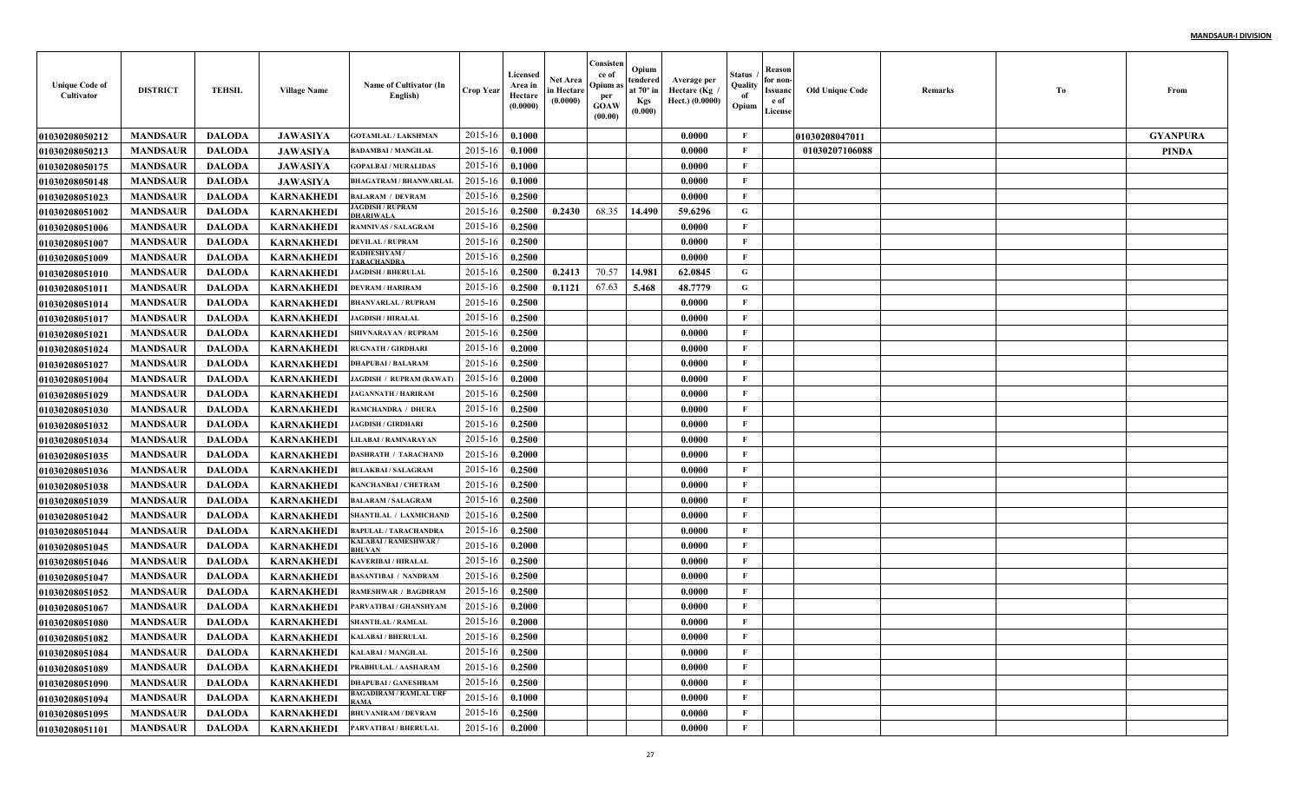| <b>Unique Code of</b><br>Cultivator | <b>DISTRICT</b> | <b>TEHSIL</b> | <b>Village Name</b> | Name of Cultivator (In<br>English)      | Crop Year        | Licensed<br>Area in<br>Hectare<br>(0.0000) | Net Area<br>in Hectare<br>(0.0000) | Consisten<br>ce of<br>Opium a<br>per<br><b>GOAW</b><br>(00.00) | Opium<br>tendered<br>at $70^\circ$ in<br><b>Kgs</b><br>(0.000) | Average per<br>Hectare (Kg<br>Hect.) (0.0000) | Status<br>Quality<br>of<br>Opium | Reason<br>for non-<br>Issuanc<br>e of<br>License | <b>Old Unique Code</b> | Remarks | Тo | From            |
|-------------------------------------|-----------------|---------------|---------------------|-----------------------------------------|------------------|--------------------------------------------|------------------------------------|----------------------------------------------------------------|----------------------------------------------------------------|-----------------------------------------------|----------------------------------|--------------------------------------------------|------------------------|---------|----|-----------------|
| <b>01030208050212</b>               | <b>MANDSAUR</b> | <b>DALODA</b> | <b>JAWASIYA</b>     | <b>GOTAMLAL / LAKSHMAN</b>              | 2015-16          | 0.1000                                     |                                    |                                                                |                                                                | 0.0000                                        | F                                |                                                  | 01030208047011         |         |    | <b>GYANPURA</b> |
| <b>01030208050213</b>               | <b>MANDSAUR</b> | <b>DALODA</b> | <b>JAWASIYA</b>     | <b>BADAMBAI / MANGILAL</b>              | 2015-16          | 0.1000                                     |                                    |                                                                |                                                                | 0.0000                                        | $\mathbf{F}$                     |                                                  | 01030207106088         |         |    | <b>PINDA</b>    |
| 01030208050175                      | <b>MANDSAUR</b> | <b>DALODA</b> | <b>JAWASIYA</b>     | <b>GOPALBAI / MURALIDAS</b>             | 2015-16          | 0.1000                                     |                                    |                                                                |                                                                | 0.0000                                        | $\mathbf{F}$                     |                                                  |                        |         |    |                 |
| 01030208050148                      | <b>MANDSAUR</b> | <b>DALODA</b> | <b>JAWASIYA</b>     | <b>BHAGATRAM / BHANWARLAI</b>           | 2015-16          | 0.1000                                     |                                    |                                                                |                                                                | 0.0000                                        | $\mathbf{F}$                     |                                                  |                        |         |    |                 |
| <b>01030208051023</b>               | <b>MANDSAUR</b> | <b>DALODA</b> | <b>KARNAKHEDI</b>   | <b>BALARAM / DEVRAM</b>                 | 2015-16          | 0.2500                                     |                                    |                                                                |                                                                | 0.0000                                        | $\mathbf{F}$                     |                                                  |                        |         |    |                 |
| <b>01030208051002</b>               | <b>MANDSAUR</b> | <b>DALODA</b> | <b>KARNAKHEDI</b>   | <b>AGDISH / RUPRAM</b><br>HARIWALA      | 2015-16          | 0.2500                                     | 0.2430                             | 68.35                                                          | 14.490                                                         | 59.6296                                       | G                                |                                                  |                        |         |    |                 |
| <b>01030208051006</b>               | <b>MANDSAUR</b> | <b>DALODA</b> | <b>KARNAKHEDI</b>   | <b>RAMNIVAS / SALAGRAM</b>              | 2015-16          | 0.2500                                     |                                    |                                                                |                                                                | 0.0000                                        | $\mathbf{F}$                     |                                                  |                        |         |    |                 |
| <b>01030208051007</b>               | <b>MANDSAUR</b> | <b>DALODA</b> | <b>KARNAKHEDI</b>   | <b>DEVILAL / RUPRAM</b>                 | 2015-16          | 0.2500                                     |                                    |                                                                |                                                                | 0.0000                                        | $\mathbf{F}$                     |                                                  |                        |         |    |                 |
| <b>01030208051009</b>               | <b>MANDSAUR</b> | <b>DALODA</b> | KARNAKHEDI          | <b>RADHESHYAM/</b><br><b>ARACHANDRA</b> | 2015-16          | 0.2500                                     |                                    |                                                                |                                                                | 0.0000                                        | $\mathbf{F}$                     |                                                  |                        |         |    |                 |
| <b>01030208051010</b>               | <b>MANDSAUR</b> | <b>DALODA</b> | KARNAKHEDI          | <b>JAGDISH / BHERULAL</b>               | 2015-16          | 0.2500                                     | 0.2413                             | 70.57                                                          | 14.981                                                         | 62.0845                                       | G                                |                                                  |                        |         |    |                 |
| <b>01030208051011</b>               | <b>MANDSAUR</b> | <b>DALODA</b> | KARNAKHEDI          | DEVRAM / HARIRAM                        | 2015-16          | 0.2500                                     | 0.1121                             | 67.63                                                          | 5.468                                                          | 48.7779                                       | G                                |                                                  |                        |         |    |                 |
| <b>0103020805101</b> 4              | <b>MANDSAUR</b> | <b>DALODA</b> | <b>KARNAKHEDI</b>   | <b>BHANVARLAL / RUPRAM</b>              | 2015-16          | 0.2500                                     |                                    |                                                                |                                                                | 0.0000                                        | $\mathbf{F}$                     |                                                  |                        |         |    |                 |
| <b>01030208051017</b>               | <b>MANDSAUR</b> | <b>DALODA</b> | <b>KARNAKHEDI</b>   | <b>JAGDISH / HIRALAL</b>                | 2015-16          | 0.2500                                     |                                    |                                                                |                                                                | 0.0000                                        | $\mathbf{F}$                     |                                                  |                        |         |    |                 |
| <b>01030208051021</b>               | <b>MANDSAUR</b> | <b>DALODA</b> | <b>KARNAKHEDI</b>   | <b>SHIVNARAYAN / RUPRAM</b>             | 2015-16          | 0.2500                                     |                                    |                                                                |                                                                | 0.0000                                        | $\mathbf{F}$                     |                                                  |                        |         |    |                 |
| <b>01030208051024</b>               | <b>MANDSAUR</b> | <b>DALODA</b> | <b>KARNAKHEDI</b>   | <b>RUGNATH / GIRDHARI</b>               | 2015-16          | 0.2000                                     |                                    |                                                                |                                                                | 0.0000                                        | $\mathbf{F}$                     |                                                  |                        |         |    |                 |
| <b>01030208051027</b>               | <b>MANDSAUR</b> | <b>DALODA</b> | <b>KARNAKHEDI</b>   | <b>DHAPUBAI / BALARAM</b>               | 2015-16          | 0.2500                                     |                                    |                                                                |                                                                | 0.0000                                        | $\mathbf{F}$                     |                                                  |                        |         |    |                 |
| <b>01030208051004</b>               | <b>MANDSAUR</b> | <b>DALODA</b> | <b>KARNAKHEDI</b>   | <b>JAGDISH / RUPRAM (RAWAT)</b>         | 2015-16          | 0.2000                                     |                                    |                                                                |                                                                | 0.0000                                        | $\mathbf{F}$                     |                                                  |                        |         |    |                 |
| <b>01030208051029</b>               | <b>MANDSAUR</b> | <b>DALODA</b> | <b>KARNAKHEDI</b>   | <b>JAGANNATH / HARIRAM</b>              | 2015-16          | 0.2500                                     |                                    |                                                                |                                                                | 0.0000                                        | $\mathbf{F}$                     |                                                  |                        |         |    |                 |
| <b>01030208051030</b>               | <b>MANDSAUR</b> | <b>DALODA</b> | <b>KARNAKHEDI</b>   | <b>RAMCHANDRA / DHURA</b>               | 2015-16          | 0.2500                                     |                                    |                                                                |                                                                | 0.0000                                        | $\mathbf{F}$                     |                                                  |                        |         |    |                 |
| <b>01030208051032</b>               | <b>MANDSAUR</b> | <b>DALODA</b> | <b>KARNAKHEDI</b>   | <b>JAGDISH / GIRDHARI</b>               | 2015-16          | 0.2500                                     |                                    |                                                                |                                                                | 0.0000                                        | $\mathbf{F}$                     |                                                  |                        |         |    |                 |
| 01030208051034                      | <b>MANDSAUR</b> | <b>DALODA</b> | <b>KARNAKHEDI</b>   | LILABAI / RAMNARAYAN                    | 2015-16          | 0.2500                                     |                                    |                                                                |                                                                | 0.0000                                        | $\mathbf{F}$                     |                                                  |                        |         |    |                 |
| <b>01030208051035</b>               | <b>MANDSAUR</b> | <b>DALODA</b> | <b>KARNAKHEDI</b>   | <b>DASHRATH / TARACHAND</b>             | 2015-16          | 0.2000                                     |                                    |                                                                |                                                                | 0.0000                                        | F                                |                                                  |                        |         |    |                 |
| <b>01030208051036</b>               | <b>MANDSAUR</b> | <b>DALODA</b> | <b>KARNAKHEDI</b>   | <b>BULAKBAI / SALAGRAM</b>              | 2015-16          | 0.2500                                     |                                    |                                                                |                                                                | 0.0000                                        | $\mathbf{F}$                     |                                                  |                        |         |    |                 |
| <b>01030208051038</b>               | <b>MANDSAUR</b> | <b>DALODA</b> | KARNAKHEDI          | <b>KANCHANBAI / CHETRAM</b>             | 2015-16          | 0.2500                                     |                                    |                                                                |                                                                | 0.0000                                        | $\mathbf{F}$                     |                                                  |                        |         |    |                 |
| <b>01030208051039</b>               | <b>MANDSAUR</b> | <b>DALODA</b> | <b>KARNAKHEDI</b>   | <b>BALARAM / SALAGRAM</b>               | 2015-16          | 0.2500                                     |                                    |                                                                |                                                                | 0.0000                                        | $\mathbf{F}$                     |                                                  |                        |         |    |                 |
| <b>01030208051042</b>               | <b>MANDSAUR</b> | <b>DALODA</b> | <b>KARNAKHEDI</b>   | SHANTILAL / LAXMICHAND                  | 2015-16          | 0.2500                                     |                                    |                                                                |                                                                | 0.0000                                        | $\mathbf{F}$                     |                                                  |                        |         |    |                 |
| <b>01030208051044</b>               | <b>MANDSAUR</b> | <b>DALODA</b> | <b>KARNAKHEDI</b>   | BAPULAL / TARACHANDRA                   | 2015-16          | 0.2500                                     |                                    |                                                                |                                                                | 0.0000                                        | $\mathbf F$                      |                                                  |                        |         |    |                 |
| 01030208051045                      | <b>MANDSAUR</b> | <b>DALODA</b> | <b>KARNAKHEDI</b>   | , XALABAI / RAMESHWAR<br>HUVAN          | 2015-16          | 0.2000                                     |                                    |                                                                |                                                                | 0.0000                                        | $\mathbf{F}$                     |                                                  |                        |         |    |                 |
| 01030208051046                      | <b>MANDSAUR</b> | <b>DALODA</b> | <b>KARNAKHEDI</b>   | KAVERIBAI / HIRALAL                     | 2015-16          | 0.2500                                     |                                    |                                                                |                                                                | 0.0000                                        | $\mathbf{F}$                     |                                                  |                        |         |    |                 |
| <b>01030208051047</b>               | <b>MANDSAUR</b> | <b>DALODA</b> | <b>KARNAKHEDI</b>   | <b>BASANTIBAI / NANDRAM</b>             | 2015-16          | 0.2500                                     |                                    |                                                                |                                                                | 0.0000                                        | $\mathbf{F}$                     |                                                  |                        |         |    |                 |
| <b>01030208051052</b>               | <b>MANDSAUR</b> | <b>DALODA</b> | <b>KARNAKHEDI</b>   | <b>RAMESHWAR / BAGDIRAM</b>             | 2015-16          | 0.2500                                     |                                    |                                                                |                                                                | 0.0000                                        | $\mathbf{F}$                     |                                                  |                        |         |    |                 |
| <b>01030208051067</b>               | <b>MANDSAUR</b> | <b>DALODA</b> | <b>KARNAKHEDI</b>   | PARVATIBAI / GHANSHYAM                  | 2015-16          | 0.2000                                     |                                    |                                                                |                                                                | 0.0000                                        | F                                |                                                  |                        |         |    |                 |
| 01030208051080                      | <b>MANDSAUR</b> | <b>DALODA</b> | <b>KARNAKHEDI</b>   | <b>SHANTILAL / RAMLAL</b>               | 2015-16          | 0.2000                                     |                                    |                                                                |                                                                | 0.0000                                        | F                                |                                                  |                        |         |    |                 |
| 01030208051082                      | <b>MANDSAUR</b> | DALODA        | KARNAKHEDI          | <b>KALABAI / BHERULAL</b>               | $2015-16$ 0.2500 |                                            |                                    |                                                                |                                                                | 0.0000                                        | F                                |                                                  |                        |         |    |                 |
| <b>01030208051084</b>               | <b>MANDSAUR</b> | <b>DALODA</b> | <b>KARNAKHEDI</b>   | <b>KALABAI/MANGILAL</b>                 | 2015-16          | 0.2500                                     |                                    |                                                                |                                                                | 0.0000                                        | $\mathbf{F}$                     |                                                  |                        |         |    |                 |
| 01030208051089                      | <b>MANDSAUR</b> | <b>DALODA</b> | <b>KARNAKHEDI</b>   | PRABHULAL / AASHARAM                    | 2015-16          | 0.2500                                     |                                    |                                                                |                                                                | 0.0000                                        | $\mathbf{F}$                     |                                                  |                        |         |    |                 |
| <b>01030208051090</b>               | <b>MANDSAUR</b> | <b>DALODA</b> | KARNAKHEDI          | <b>DHAPUBAI / GANESHRAM</b>             | 2015-16          | 0.2500                                     |                                    |                                                                |                                                                | 0.0000                                        | $\mathbf{F}$                     |                                                  |                        |         |    |                 |
| 01030208051094                      | <b>MANDSAUR</b> | <b>DALODA</b> | <b>KARNAKHEDI</b>   | <b>BAGADIRAM / RAMLAL URF</b><br>RAMA   | 2015-16          | 0.1000                                     |                                    |                                                                |                                                                | 0.0000                                        | $\mathbf{F}$                     |                                                  |                        |         |    |                 |
| 01030208051095                      | <b>MANDSAUR</b> | <b>DALODA</b> | <b>KARNAKHEDI</b>   | <b>BHUVANIRAM / DEVRAM</b>              | 2015-16          | 0.2500                                     |                                    |                                                                |                                                                | 0.0000                                        | $\mathbf{F}$                     |                                                  |                        |         |    |                 |
| 01030208051101                      | <b>MANDSAUR</b> | <b>DALODA</b> | <b>KARNAKHEDI</b>   | PARVATIBAI / BHERULAL                   | 2015-16          | 0.2000                                     |                                    |                                                                |                                                                | 0.0000                                        | $\mathbf F$                      |                                                  |                        |         |    |                 |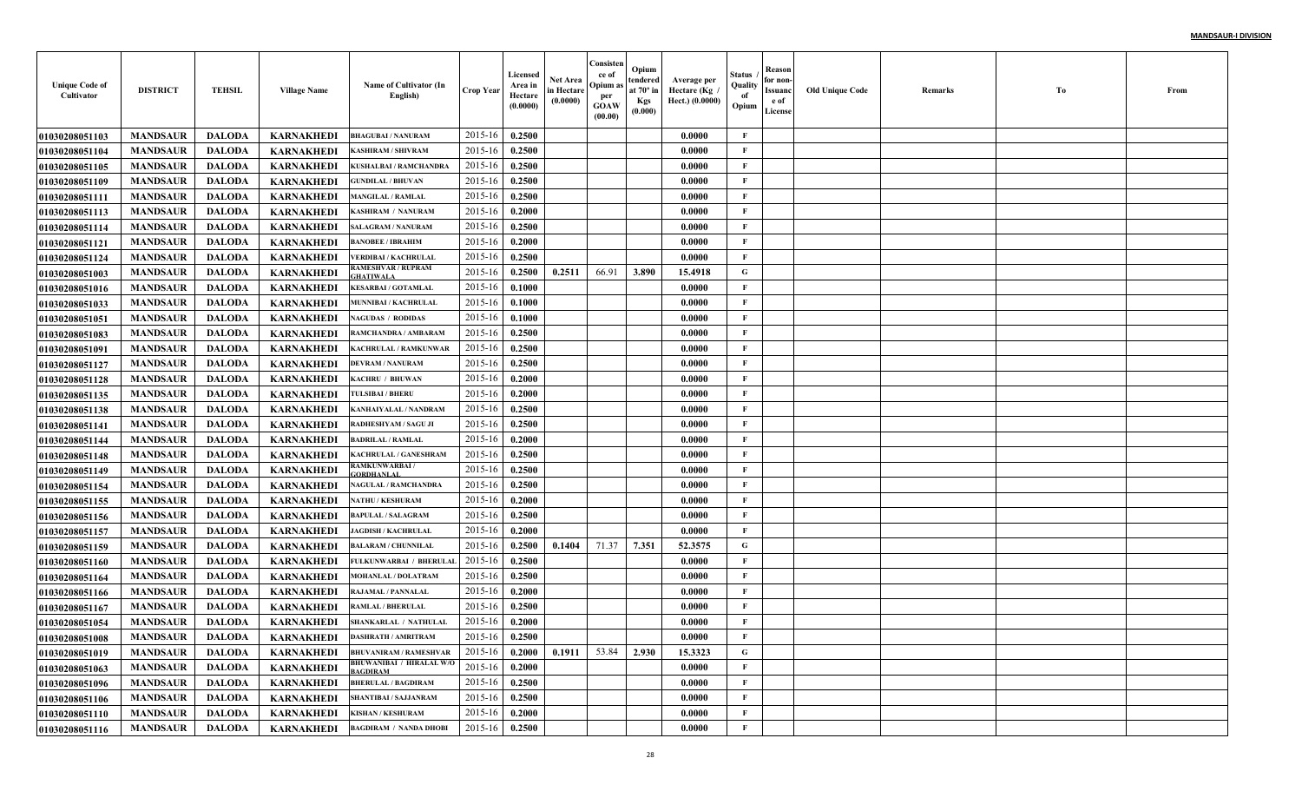| <b>Unique Code of</b><br>Cultivator | <b>DISTRICT</b> | <b>TEHSIL</b> | <b>Village Name</b> | Name of Cultivator (In<br>English)          | <b>Crop Year</b> | Licensed<br>Area in<br>Hectare<br>(0.0000) | Net Area<br>in Hectare<br>(0.0000) | Consisten<br>ce of<br>Opium a<br>per<br><b>GOAW</b><br>(00.00) | Opium<br>tendered<br>at $70^\circ$ in<br><b>Kgs</b><br>(0.000) | Average per<br>Hectare (Kg<br>Hect.) (0.0000) | Status<br>Quality<br>of<br>Opium | Reason<br>for non-<br>Issuanc<br>e of<br>License | <b>Old Unique Code</b> | Remarks | Тo | From |
|-------------------------------------|-----------------|---------------|---------------------|---------------------------------------------|------------------|--------------------------------------------|------------------------------------|----------------------------------------------------------------|----------------------------------------------------------------|-----------------------------------------------|----------------------------------|--------------------------------------------------|------------------------|---------|----|------|
| <b>01030208051103</b>               | <b>MANDSAUR</b> | <b>DALODA</b> | <b>KARNAKHEDI</b>   | <b>BHAGUBAI / NANURAM</b>                   | 2015-16          | 0.2500                                     |                                    |                                                                |                                                                | 0.0000                                        | F                                |                                                  |                        |         |    |      |
| <b>0103020805110</b> 4              | <b>MANDSAUR</b> | <b>DALODA</b> | <b>KARNAKHEDI</b>   | KASHIRAM / SHIVRAM                          | 2015-16          | 0.2500                                     |                                    |                                                                |                                                                | 0.0000                                        | $\mathbf{F}$                     |                                                  |                        |         |    |      |
| 01030208051105                      | <b>MANDSAUR</b> | <b>DALODA</b> | <b>KARNAKHEDI</b>   | KUSHALBAI / RAMCHANDRA                      | 2015-16          | 0.2500                                     |                                    |                                                                |                                                                | 0.0000                                        | $\mathbf{F}$                     |                                                  |                        |         |    |      |
| 01030208051109                      | <b>MANDSAUR</b> | <b>DALODA</b> | <b>KARNAKHEDI</b>   | <b>GUNDILAL / BHUVAN</b>                    | 2015-16          | 0.2500                                     |                                    |                                                                |                                                                | 0.0000                                        | $\mathbf{F}$                     |                                                  |                        |         |    |      |
| <b>0103020805111</b> 1              | <b>MANDSAUR</b> | <b>DALODA</b> | <b>KARNAKHEDI</b>   | <b>MANGILAL / RAMLAL</b>                    | 2015-16          | 0.2500                                     |                                    |                                                                |                                                                | 0.0000                                        | $\mathbf{F}$                     |                                                  |                        |         |    |      |
| <b>01030208051113</b>               | <b>MANDSAUR</b> | <b>DALODA</b> | <b>KARNAKHEDI</b>   | <b>KASHIRAM / NANURAM</b>                   | 2015-16          | 0.2000                                     |                                    |                                                                |                                                                | 0.0000                                        | $\mathbf{F}$                     |                                                  |                        |         |    |      |
| 01030208051114                      | <b>MANDSAUR</b> | <b>DALODA</b> | <b>KARNAKHEDI</b>   | <b>SALAGRAM / NANURAM</b>                   | 2015-16          | 0.2500                                     |                                    |                                                                |                                                                | 0.0000                                        | $\mathbf{F}$                     |                                                  |                        |         |    |      |
| <b>01030208051121</b>               | <b>MANDSAUR</b> | <b>DALODA</b> | <b>KARNAKHEDI</b>   | <b>BANOBEE / IBRAHIM</b>                    | 2015-16          | 0.2000                                     |                                    |                                                                |                                                                | 0.0000                                        | $\mathbf{F}$                     |                                                  |                        |         |    |      |
| <b>01030208051124</b>               | <b>MANDSAUR</b> | <b>DALODA</b> | KARNAKHEDI          | <b>/ERDIBAI / KACHRULAI</b>                 | 2015-16          | 0.2500                                     |                                    |                                                                |                                                                | 0.0000                                        | $\mathbf{F}$                     |                                                  |                        |         |    |      |
| <b>01030208051003</b>               | <b>MANDSAUR</b> | <b>DALODA</b> | KARNAKHEDI          | RAMESHVAR / RUPRAM<br>HATIWAL.              | 2015-16          | 0.2500                                     | 0.2511                             | 66.91                                                          | 3.890                                                          | 15.4918                                       | G                                |                                                  |                        |         |    |      |
| <b>01030208051016</b>               | <b>MANDSAUR</b> | <b>DALODA</b> | KARNAKHEDI          | <b>KESARBAI / GOTAMLAL</b>                  | 2015-16          | 0.1000                                     |                                    |                                                                |                                                                | 0.0000                                        | $\mathbf{F}$                     |                                                  |                        |         |    |      |
| 01030208051033                      | <b>MANDSAUR</b> | <b>DALODA</b> | <b>KARNAKHEDI</b>   | <b>MUNNIBAI / KACHRULAI</b>                 | 2015-16          | 0.1000                                     |                                    |                                                                |                                                                | 0.0000                                        | $\mathbf{F}$                     |                                                  |                        |         |    |      |
| 01030208051051                      | <b>MANDSAUR</b> | <b>DALODA</b> | <b>KARNAKHEDI</b>   | <b>NAGUDAS / RODIDAS</b>                    | 2015-16          | 0.1000                                     |                                    |                                                                |                                                                | 0.0000                                        | $\mathbf{F}$                     |                                                  |                        |         |    |      |
| 01030208051083                      | <b>MANDSAUR</b> | <b>DALODA</b> | <b>KARNAKHEDI</b>   | RAMCHANDRA / AMBARAM                        | 2015-16          | 0.2500                                     |                                    |                                                                |                                                                | 0.0000                                        | $\mathbf{F}$                     |                                                  |                        |         |    |      |
| <b>01030208051091</b>               | <b>MANDSAUR</b> | <b>DALODA</b> | <b>KARNAKHEDI</b>   | KACHRULAL / RAMKUNWAR                       | 2015-16          | 0.2500                                     |                                    |                                                                |                                                                | 0.0000                                        | $\mathbf{F}$                     |                                                  |                        |         |    |      |
| <b>01030208051127</b>               | <b>MANDSAUR</b> | <b>DALODA</b> | <b>KARNAKHEDI</b>   | <b>DEVRAM / NANURAM</b>                     | 2015-16          | 0.2500                                     |                                    |                                                                |                                                                | 0.0000                                        | $\mathbf{F}$                     |                                                  |                        |         |    |      |
| <b>01030208051128</b>               | <b>MANDSAUR</b> | <b>DALODA</b> | <b>KARNAKHEDI</b>   | KACHRU / BHUWAN                             | 2015-16          | 0.2000                                     |                                    |                                                                |                                                                | 0.0000                                        | $\mathbf{F}$                     |                                                  |                        |         |    |      |
| <b>01030208051135</b>               | <b>MANDSAUR</b> | <b>DALODA</b> | <b>KARNAKHEDI</b>   | <b>TULSIBAI / BHERU</b>                     | 2015-16          | 0.2000                                     |                                    |                                                                |                                                                | 0.0000                                        | $\mathbf{F}$                     |                                                  |                        |         |    |      |
| 01030208051138                      | <b>MANDSAUR</b> | <b>DALODA</b> | <b>KARNAKHEDI</b>   | KANHAIYALAL / NANDRAM                       | 2015-16          | 0.2500                                     |                                    |                                                                |                                                                | 0.0000                                        | $\mathbf{F}$                     |                                                  |                        |         |    |      |
| <b>01030208051141</b>               | <b>MANDSAUR</b> | <b>DALODA</b> | <b>KARNAKHEDI</b>   | RADHESHYAM / SAGU JI                        | 2015-16          | 0.2500                                     |                                    |                                                                |                                                                | 0.0000                                        | $\mathbf{F}$                     |                                                  |                        |         |    |      |
| <b>01030208051144</b>               | <b>MANDSAUR</b> | <b>DALODA</b> | <b>KARNAKHEDI</b>   | <b>BADRILAL / RAMLAL</b>                    | 2015-16          | 0.2000                                     |                                    |                                                                |                                                                | 0.0000                                        | $\mathbf{F}$                     |                                                  |                        |         |    |      |
| <b>01030208051148</b>               | <b>MANDSAUR</b> | <b>DALODA</b> | <b>KARNAKHEDI</b>   | KACHRULAL / GANESHRAM                       | 2015-16          | 0.2500                                     |                                    |                                                                |                                                                | 0.0000                                        | F                                |                                                  |                        |         |    |      |
| <b>01030208051149</b>               | <b>MANDSAUR</b> | <b>DALODA</b> | <b>KARNAKHEDI</b>   | RAMKUNWARBAI /<br><b>ORDHANLAL</b>          | 2015-16          | 0.2500                                     |                                    |                                                                |                                                                | 0.0000                                        | $\mathbf{F}$                     |                                                  |                        |         |    |      |
| <b>01030208051154</b>               | <b>MANDSAUR</b> | <b>DALODA</b> | KARNAKHEDI          | <b>NAGULAL / RAMCHANDRA</b>                 | 2015-16          | 0.2500                                     |                                    |                                                                |                                                                | 0.0000                                        | $\mathbf{F}$                     |                                                  |                        |         |    |      |
| <b>01030208051155</b>               | <b>MANDSAUR</b> | <b>DALODA</b> | <b>KARNAKHEDI</b>   | <b>ATHU / KESHURAM</b>                      | 2015-16          | 0.2000                                     |                                    |                                                                |                                                                | 0.0000                                        | $\mathbf{F}$                     |                                                  |                        |         |    |      |
| <b>01030208051156</b>               | <b>MANDSAUR</b> | <b>DALODA</b> | <b>KARNAKHEDI</b>   | BAPULAL / SALAGRAM                          | 2015-16          | 0.2500                                     |                                    |                                                                |                                                                | 0.0000                                        | $\mathbf{F}$                     |                                                  |                        |         |    |      |
| <b>01030208051157</b>               | <b>MANDSAUR</b> | <b>DALODA</b> | <b>KARNAKHEDI</b>   | <b>JAGDISH / KACHRULAL</b>                  | 2015-16          | 0.2000                                     |                                    |                                                                |                                                                | 0.0000                                        | $\mathbf{F}$                     |                                                  |                        |         |    |      |
| 01030208051159                      | <b>MANDSAUR</b> | <b>DALODA</b> | <b>KARNAKHEDI</b>   | <b>BALARAM / CHUNNILAL</b>                  | 2015-16          | 0.2500                                     | 0.1404                             | 71.37                                                          | 7.351                                                          | 52.3575                                       | G                                |                                                  |                        |         |    |      |
| 01030208051160                      | <b>MANDSAUR</b> | <b>DALODA</b> | <b>KARNAKHEDI</b>   | FULKUNWARBAI / BHERULA                      | 2015-16          | 0.2500                                     |                                    |                                                                |                                                                | 0.0000                                        | $\mathbf{F}$                     |                                                  |                        |         |    |      |
| <b>01030208051164</b>               | <b>MANDSAUR</b> | <b>DALODA</b> | <b>KARNAKHEDI</b>   | <b>MOHANLAL / DOLATRAM</b>                  | 2015-16          | 0.2500                                     |                                    |                                                                |                                                                | 0.0000                                        | $\mathbf{F}$                     |                                                  |                        |         |    |      |
| <b>01030208051166</b>               | <b>MANDSAUR</b> | <b>DALODA</b> | <b>KARNAKHEDI</b>   | RAJAMAL / PANNALAL                          | 2015-16          | 0.2000                                     |                                    |                                                                |                                                                | 0.0000                                        | $\mathbf{F}$                     |                                                  |                        |         |    |      |
| <b>01030208051167</b>               | <b>MANDSAUR</b> | <b>DALODA</b> | <b>KARNAKHEDI</b>   | <b>RAMLAL / BHERULAL</b>                    | 2015-16          | 0.2500                                     |                                    |                                                                |                                                                | 0.0000                                        | F                                |                                                  |                        |         |    |      |
| <b>01030208051054</b>               | <b>MANDSAUR</b> | <b>DALODA</b> | <b>KARNAKHEDI</b>   | SHANKARLAL / NATHULAI                       | 2015-16          | 0.2000                                     |                                    |                                                                |                                                                | 0.0000                                        | F                                |                                                  |                        |         |    |      |
| 01030208051008                      | <b>MANDSAUR</b> | DALODA        | <b>KARNAKHEDI</b>   | <b>DASHRATH / AMRITRAM</b>                  | $2015-16$ 0.2500 |                                            |                                    |                                                                |                                                                | 0.0000                                        | F                                |                                                  |                        |         |    |      |
| 01030208051019                      | <b>MANDSAUR</b> | <b>DALODA</b> | <b>KARNAKHEDI</b>   | <b>BHUVANIRAM / RAMESHVAR</b>               | 2015-16          | 0.2000                                     | 0.1911                             | 53.84                                                          | 2.930                                                          | 15.3323                                       | $\mathbf G$                      |                                                  |                        |         |    |      |
| <b>01030208051063</b>               | <b>MANDSAUR</b> | <b>DALODA</b> | <b>KARNAKHEDI</b>   | BHUWANIBAI / HIRALAL W/O<br><b>BAGDIRAM</b> | 2015-16          | 0.2000                                     |                                    |                                                                |                                                                | 0.0000                                        | F                                |                                                  |                        |         |    |      |
| 01030208051096                      | <b>MANDSAUR</b> | <b>DALODA</b> | <b>KARNAKHEDI</b>   | <b>BHERULAL / BAGDIRAM</b>                  | 2015-16          | 0.2500                                     |                                    |                                                                |                                                                | 0.0000                                        | $\mathbf{F}$                     |                                                  |                        |         |    |      |
| 01030208051106                      | <b>MANDSAUR</b> | <b>DALODA</b> | <b>KARNAKHEDI</b>   | <b>SHANTIBAI / SAJJANRAM</b>                | 2015-16          | 0.2500                                     |                                    |                                                                |                                                                | 0.0000                                        | $\mathbf{F}$                     |                                                  |                        |         |    |      |
| 01030208051110                      | <b>MANDSAUR</b> | <b>DALODA</b> | <b>KARNAKHEDI</b>   | <b>KISHAN / KESHURAM</b>                    | 2015-16          | 0.2000                                     |                                    |                                                                |                                                                | 0.0000                                        | $\mathbf{F}$                     |                                                  |                        |         |    |      |
| 01030208051116                      | <b>MANDSAUR</b> | <b>DALODA</b> | <b>KARNAKHEDI</b>   | <b>BAGDIRAM / NANDA DHOBI</b>               | 2015-16          | 0.2500                                     |                                    |                                                                |                                                                | 0.0000                                        | $\mathbf F$                      |                                                  |                        |         |    |      |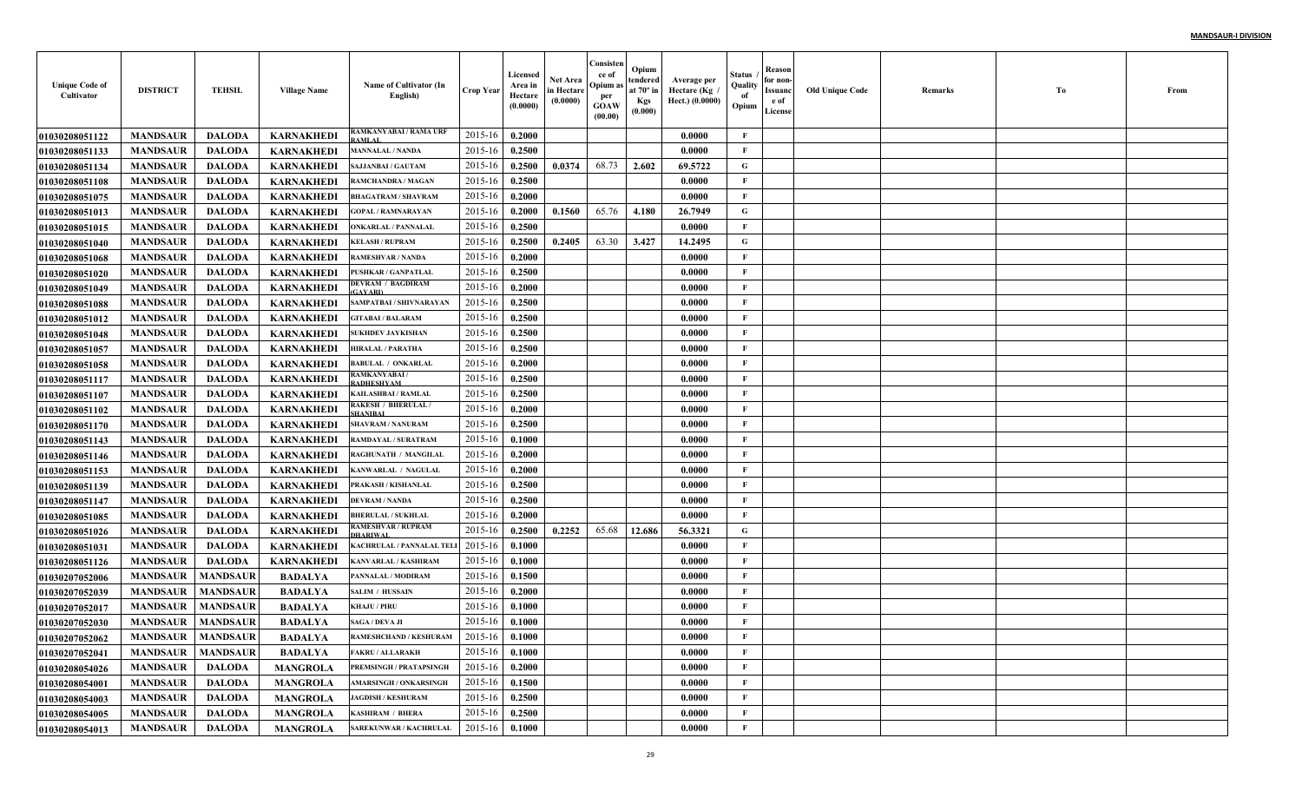| <b>Unique Code of</b><br>Cultivator | <b>DISTRICT</b>     | <b>TEHSIL</b>   | <b>Village Name</b> | Name of Cultivator (In<br>English)         | <b>Crop Year</b> | Licensed<br>Area in<br>Hectare<br>(0.0000) | Net Area<br>in Hectare<br>(0.0000) | Consisten<br>ce of<br>Opium as<br>per<br><b>GOAW</b><br>(00.00) | Opium<br>tendered<br>at $70^\circ$ in<br><b>Kgs</b><br>(0.000) | Average per<br>Hectare (Kg)<br>Hect.) (0.0000) | Status<br>Quality<br>of<br>Opium | Reason<br>for non-<br>Issuanc<br>e of<br>License | <b>Old Unique Code</b> | Remarks | Тo | From |
|-------------------------------------|---------------------|-----------------|---------------------|--------------------------------------------|------------------|--------------------------------------------|------------------------------------|-----------------------------------------------------------------|----------------------------------------------------------------|------------------------------------------------|----------------------------------|--------------------------------------------------|------------------------|---------|----|------|
| <b>01030208051122</b>               | <b>MANDSAUR</b>     | <b>DALODA</b>   | <b>KARNAKHEDI</b>   | RAMKANYABAI / RAMA URI<br><b>AMLAL</b>     | 2015-16          | 0.2000                                     |                                    |                                                                 |                                                                | 0.0000                                         | $\mathbf{F}$                     |                                                  |                        |         |    |      |
| 01030208051133                      | <b>MANDSAUR</b>     | <b>DALODA</b>   | KARNAKHEDI          | <b>MANNALAL / NANDA</b>                    | 2015-16          | 0.2500                                     |                                    |                                                                 |                                                                | 0.0000                                         | F                                |                                                  |                        |         |    |      |
| 01030208051134                      | <b>MANDSAUR</b>     | <b>DALODA</b>   | <b>KARNAKHEDI</b>   | <b>SAJJANBAI / GAUTAM</b>                  | 2015-16          | 0.2500                                     | 0.0374                             | 68.73                                                           | 2.602                                                          | 69.5722                                        | G                                |                                                  |                        |         |    |      |
| <b>01030208051108</b>               | <b>MANDSAUR</b>     | <b>DALODA</b>   | <b>KARNAKHEDI</b>   | RAMCHANDRA / MAGAN                         | 2015-16          | 0.2500                                     |                                    |                                                                 |                                                                | 0.0000                                         | F                                |                                                  |                        |         |    |      |
| 01030208051075                      | <b>MANDSAUR</b>     | <b>DALODA</b>   | <b>KARNAKHEDI</b>   | <b>BHAGATRAM / SHAVRAM</b>                 | 2015-16          | 0.2000                                     |                                    |                                                                 |                                                                | 0.0000                                         | $\mathbf{F}$                     |                                                  |                        |         |    |      |
| 01030208051013                      | <b>MANDSAUR</b>     | <b>DALODA</b>   | <b>KARNAKHEDI</b>   | <b>GOPAL / RAMNARAYAN</b>                  | 2015-16          | 0.2000                                     | 0.1560                             | 65.76                                                           | 4.180                                                          | 26,7949                                        | G                                |                                                  |                        |         |    |      |
| <b>01030208051015</b>               | <b>MANDSAUR</b>     | <b>DALODA</b>   | <b>KARNAKHEDI</b>   | <b>ONKARLAL / PANNALAL</b>                 | 2015-16          | 0.2500                                     |                                    |                                                                 |                                                                | 0.0000                                         | F                                |                                                  |                        |         |    |      |
| <b>01030208051040</b>               | <b>MANDSAUR</b>     | <b>DALODA</b>   | KARNAKHEDI          | <b>KELASH / RUPRAM</b>                     | 2015-16          | 0.2500                                     | 0.2405                             | 63.30                                                           | 3.427                                                          | 14.2495                                        | $\mathbf G$                      |                                                  |                        |         |    |      |
| <b>01030208051068</b>               | <b>MANDSAUR</b>     | <b>DALODA</b>   | KARNAKHEDI          | <b>RAMESHVAR / NANDA</b>                   | 2015-16          | 0.2000                                     |                                    |                                                                 |                                                                | 0.0000                                         | $\mathbf{F}$                     |                                                  |                        |         |    |      |
| <b>01030208051020</b>               | <b>MANDSAUR</b>     | <b>DALODA</b>   | <b>KARNAKHEDI</b>   | PUSHKAR / GANPATLAL                        | 2015-16          | 0.2500                                     |                                    |                                                                 |                                                                | 0.0000                                         | $\mathbf{F}$                     |                                                  |                        |         |    |      |
| 01030208051049                      | <b>MANDSAUR</b>     | <b>DALODA</b>   | KARNAKHEDI          | DEVRAM / BAGDIRAM<br><b>GAYARD</b>         | 2015-16          | 0.2000                                     |                                    |                                                                 |                                                                | 0.0000                                         | $\mathbf{F}$                     |                                                  |                        |         |    |      |
| 01030208051088                      | <b>MANDSAUR</b>     | <b>DALODA</b>   | <b>KARNAKHEDI</b>   | SAMPATBAI / SHIVNARAYAN                    | 2015-16          | 0.2500                                     |                                    |                                                                 |                                                                | 0.0000                                         | $\mathbf{F}$                     |                                                  |                        |         |    |      |
| <b>01030208051012</b>               | <b>MANDSAUR</b>     | <b>DALODA</b>   | <b>KARNAKHEDI</b>   | <b>GITABAI / BALARAM</b>                   | 2015-16          | 0.2500                                     |                                    |                                                                 |                                                                | 0.0000                                         | $\mathbf{F}$                     |                                                  |                        |         |    |      |
| 01030208051048                      | <b>MANDSAUR</b>     | <b>DALODA</b>   | <b>KARNAKHEDI</b>   | SUKHDEV JAYKISHAN                          | 2015-16          | 0.2500                                     |                                    |                                                                 |                                                                | 0.0000                                         | $\mathbf{F}$                     |                                                  |                        |         |    |      |
| <b>01030208051057</b>               | <b>MANDSAUR</b>     | <b>DALODA</b>   | <b>KARNAKHEDI</b>   | HIRALAL / PARATHA                          | 2015-16          | 0.2500                                     |                                    |                                                                 |                                                                | 0.0000                                         | $\mathbf{F}$                     |                                                  |                        |         |    |      |
| <b>01030208051058</b>               | <b>MANDSAUR</b>     | <b>DALODA</b>   | <b>KARNAKHEDI</b>   | <b>BABULAL / ONKARLAL</b>                  | 2015-16          | 0.2000                                     |                                    |                                                                 |                                                                | 0.0000                                         | $\mathbf{F}$                     |                                                  |                        |         |    |      |
| <b>01030208051117</b>               | <b>MANDSAUR</b>     | <b>DALODA</b>   | <b>KARNAKHEDI</b>   | AMKANYABAI /<br>RADHESHYAM                 | 2015-16          | 0.2500                                     |                                    |                                                                 |                                                                | 0.0000                                         | $\mathbf{F}$                     |                                                  |                        |         |    |      |
| <b>01030208051107</b>               | <b>MANDSAUR</b>     | <b>DALODA</b>   | <b>KARNAKHEDI</b>   | <b>KAILASHBAI / RAMLAL</b>                 | 2015-16          | 0.2500                                     |                                    |                                                                 |                                                                | 0.0000                                         | $\mathbf{F}$                     |                                                  |                        |         |    |      |
| <b>01030208051102</b>               | <b>MANDSAUR</b>     | <b>DALODA</b>   | <b>KARNAKHEDI</b>   | <b>RAKESH / BHERULAL/</b><br><b>HANIRA</b> | 2015-16          | 0.2000                                     |                                    |                                                                 |                                                                | 0.0000                                         | $\mathbf{F}$                     |                                                  |                        |         |    |      |
| <b>01030208051170</b>               | <b>MANDSAUR</b>     | <b>DALODA</b>   | <b>KARNAKHEDI</b>   | <b>SHAVRAM / NANURAM</b>                   | 2015-16          | 0.2500                                     |                                    |                                                                 |                                                                | 0.0000                                         | $\mathbf{F}$                     |                                                  |                        |         |    |      |
| <b>01030208051143</b>               | <b>MANDSAUR</b>     | <b>DALODA</b>   | <b>KARNAKHEDI</b>   | RAMDAYAL / SURATRAM                        | 2015-16          | 0.1000                                     |                                    |                                                                 |                                                                | 0.0000                                         | $\mathbf{F}$                     |                                                  |                        |         |    |      |
| <b>01030208051146</b>               | <b>MANDSAUR</b>     | <b>DALODA</b>   | KARNAKHEDI          | RAGHUNATH / MANGILAI                       | 2015-16          | 0.2000                                     |                                    |                                                                 |                                                                | 0.0000                                         | $\mathbf F$                      |                                                  |                        |         |    |      |
| <b>01030208051153</b>               | <b>MANDSAUR</b>     | <b>DALODA</b>   | KARNAKHEDI          | KANWARLAL / NAGULAI                        | 2015-16          | 0.2000                                     |                                    |                                                                 |                                                                | 0.0000                                         | $\mathbf{F}$                     |                                                  |                        |         |    |      |
| <b>01030208051139</b>               | <b>MANDSAUR</b>     | <b>DALODA</b>   | <b>KARNAKHEDI</b>   | PRAKASH / KISHANLAL                        | 2015-16          | 0.2500                                     |                                    |                                                                 |                                                                | 0.0000                                         | $\mathbf{F}$                     |                                                  |                        |         |    |      |
| <b>01030208051147</b>               | <b>MANDSAUR</b>     | <b>DALODA</b>   | <b>KARNAKHEDI</b>   | DEVRAM / NANDA                             | 2015-16          | 0.2500                                     |                                    |                                                                 |                                                                | 0.0000                                         | $\mathbf{F}$                     |                                                  |                        |         |    |      |
| <b>01030208051085</b>               | <b>MANDSAUR</b>     | <b>DALODA</b>   | <b>KARNAKHEDI</b>   | <b>BHERULAL / SUKHLAL</b>                  | 2015-16          | 0.2000                                     |                                    |                                                                 |                                                                | 0.0000                                         | $\mathbf{F}$                     |                                                  |                        |         |    |      |
| 01030208051026                      | <b>MANDSAUR</b>     | <b>DALODA</b>   | <b>KARNAKHEDI</b>   | <b>RAMESHVAR / RUPRAM</b><br>HARIWAL       | 2015-16          | 0.2500                                     | 0.2252                             | 65.68                                                           | 12.686                                                         | 56.3321                                        | G                                |                                                  |                        |         |    |      |
| <b>01030208051031</b>               | <b>MANDSAUR</b>     | <b>DALODA</b>   | <b>KARNAKHEDI</b>   | KACHRULAL / PANNALAL TEI                   | 2015-16          | 0.1000                                     |                                    |                                                                 |                                                                | 0.0000                                         | $\mathbf{F}$                     |                                                  |                        |         |    |      |
| <b>01030208051126</b>               | <b>MANDSAUR</b>     | <b>DALODA</b>   | <b>KARNAKHEDI</b>   | KANVARLAL / KASHIRAM                       | 2015-16          | 0.1000                                     |                                    |                                                                 |                                                                | 0.0000                                         | $\mathbf{F}$                     |                                                  |                        |         |    |      |
| 01030207052006                      | <b>MANDSAUR</b>     | <b>MANDSAUR</b> | <b>BADALYA</b>      | PANNALAL / MODIRAM                         | 2015-16          | 0.1500                                     |                                    |                                                                 |                                                                | 0.0000                                         | $\mathbf{F}$                     |                                                  |                        |         |    |      |
| <b>01030207052039</b>               | <b>MANDSAUR</b>     | <b>MANDSAUR</b> | <b>BADALYA</b>      | <b>SALIM / HUSSAIN</b>                     | 2015-16          | 0.2000                                     |                                    |                                                                 |                                                                | 0.0000                                         | F                                |                                                  |                        |         |    |      |
| <b>01030207052017</b>               | <b>MANDSAUR</b>     | <b>MANDSAUR</b> | <b>BADALYA</b>      | <b>KHAJU / PIRU</b>                        | 2015-16          | 0.1000                                     |                                    |                                                                 |                                                                | 0.0000                                         | F                                |                                                  |                        |         |    |      |
| <b>01030207052030</b>               | <b>MANDSAUR</b>     | <b>MANDSAUR</b> | <b>BADALYA</b>      | SAGA / DEVA JI                             | 2015-16          | 0.1000                                     |                                    |                                                                 |                                                                | 0.0000                                         | F                                |                                                  |                        |         |    |      |
| <b>01030207052062</b>               | MANDSAUR   MANDSAUR |                 | <b>BADALYA</b>      | <b>RAMESHCHAND / KESHURAM</b>              | 2015-16 0.1000   |                                            |                                    |                                                                 |                                                                | 0.0000                                         | F                                |                                                  |                        |         |    |      |
| 01030207052041                      | <b>MANDSAUR</b>     | <b>MANDSAUR</b> | <b>BADALYA</b>      | <b>FAKRU / ALLARAKH</b>                    | 2015-16          | 0.1000                                     |                                    |                                                                 |                                                                | 0.0000                                         | $\mathbf{F}$                     |                                                  |                        |         |    |      |
| <b>01030208054026</b>               | <b>MANDSAUR</b>     | <b>DALODA</b>   | <b>MANGROLA</b>     | PREMSINGH / PRATAPSINGH                    | 2015-16          | 0.2000                                     |                                    |                                                                 |                                                                | 0.0000                                         | $\mathbf{F}$                     |                                                  |                        |         |    |      |
| <b>01030208054001</b>               | <b>MANDSAUR</b>     | <b>DALODA</b>   | <b>MANGROLA</b>     | <b>AMARSINGH / ONKARSINGH</b>              | 2015-16          | 0.1500                                     |                                    |                                                                 |                                                                | 0.0000                                         | $\mathbf{F}$                     |                                                  |                        |         |    |      |
| 01030208054003                      | <b>MANDSAUR</b>     | <b>DALODA</b>   | <b>MANGROLA</b>     | <b>JAGDISH / KESHURAM</b>                  | 2015-16          | 0.2500                                     |                                    |                                                                 |                                                                | 0.0000                                         | $\mathbf{F}$                     |                                                  |                        |         |    |      |
| 01030208054005                      | <b>MANDSAUR</b>     | <b>DALODA</b>   | <b>MANGROLA</b>     | <b>KASHIRAM / BHERA</b>                    | 2015-16          | 0.2500                                     |                                    |                                                                 |                                                                | 0.0000                                         | $\mathbf{F}$                     |                                                  |                        |         |    |      |
| 01030208054013                      | <b>MANDSAUR</b>     | <b>DALODA</b>   | <b>MANGROLA</b>     | SAREKUNWAR / KACHRULAL                     | $2015 - 16$      | 0.1000                                     |                                    |                                                                 |                                                                | 0.0000                                         | $\mathbf{F}$                     |                                                  |                        |         |    |      |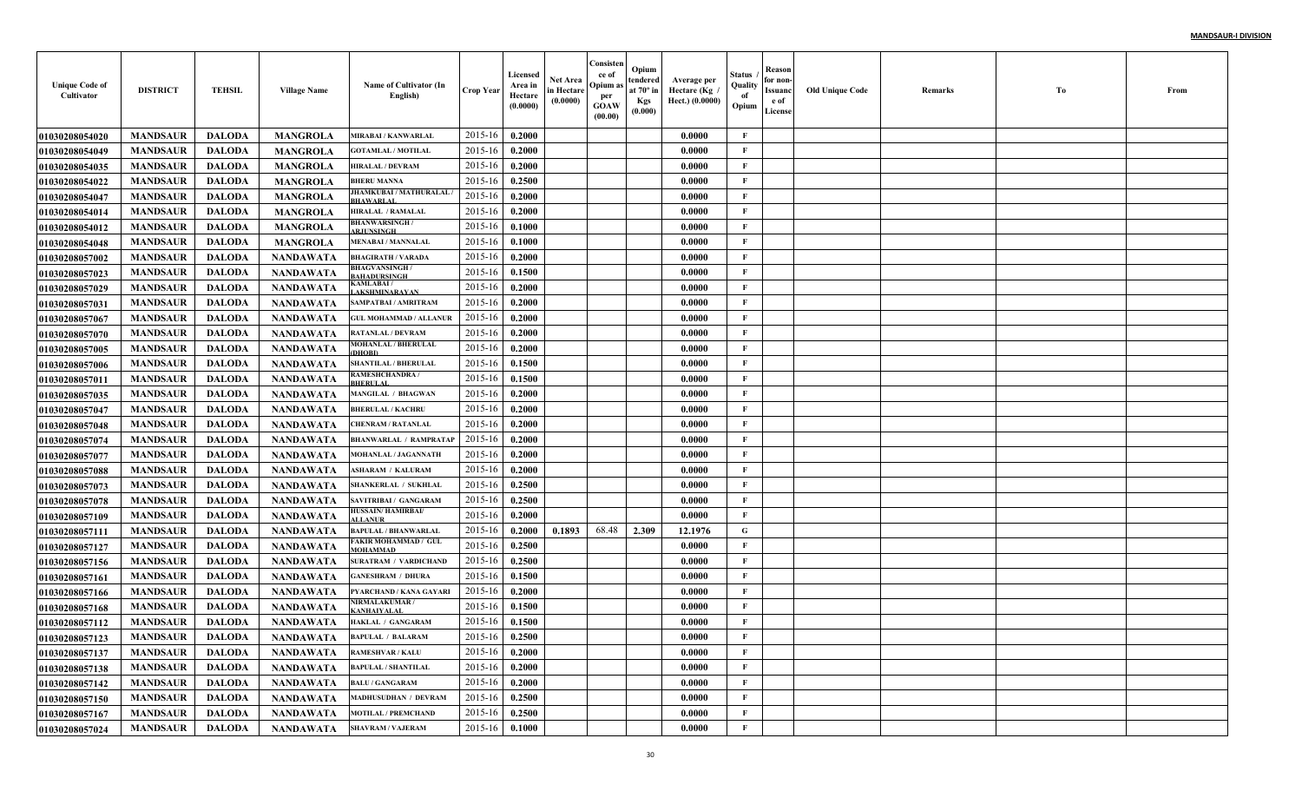| <b>Unique Code of</b><br>Cultivator | <b>DISTRICT</b> | <b>TEHSIL</b> | <b>Village Name</b> | Name of Cultivator (In<br>English)         | <b>Crop Year</b> | Licensed<br>Area in<br>Hectare<br>(0.0000) | Net Area<br>in Hectare<br>(0.0000) | Consisten<br>ce of<br>Opium a<br>per<br><b>GOAW</b><br>(00.00) | Opium<br>tendered<br>at $70^\circ$ in<br><b>Kgs</b><br>(0.000) | Average per<br>Hectare (Kg<br>Hect.) (0.0000) | Status<br>Quality<br>of<br>Opium | Reason<br>for non-<br>Issuanc<br>e of<br>License | <b>Old Unique Code</b> | Remarks | Тo | From |
|-------------------------------------|-----------------|---------------|---------------------|--------------------------------------------|------------------|--------------------------------------------|------------------------------------|----------------------------------------------------------------|----------------------------------------------------------------|-----------------------------------------------|----------------------------------|--------------------------------------------------|------------------------|---------|----|------|
| <b>01030208054020</b>               | <b>MANDSAUR</b> | <b>DALODA</b> | <b>MANGROLA</b>     | <b>MIRABAI / KANWARLAL</b>                 | 2015-16          | 0.2000                                     |                                    |                                                                |                                                                | 0.0000                                        | F                                |                                                  |                        |         |    |      |
| 01030208054049                      | <b>MANDSAUR</b> | <b>DALODA</b> | <b>MANGROLA</b>     | <b>GOTAMLAL / MOTILAL</b>                  | 2015-16          | 0.2000                                     |                                    |                                                                |                                                                | 0.0000                                        | $\mathbf{F}$                     |                                                  |                        |         |    |      |
| 01030208054035                      | <b>MANDSAUR</b> | <b>DALODA</b> | <b>MANGROLA</b>     | <b>HIRALAL / DEVRAM</b>                    | 2015-16          | 0.2000                                     |                                    |                                                                |                                                                | 0.0000                                        | $\mathbf{F}$                     |                                                  |                        |         |    |      |
| <b>01030208054022</b>               | <b>MANDSAUR</b> | <b>DALODA</b> | <b>MANGROLA</b>     | <b>BHERU MANNA</b>                         | 2015-16          | 0.2500                                     |                                    |                                                                |                                                                | 0.0000                                        | $\mathbf{F}$                     |                                                  |                        |         |    |      |
| 01030208054047                      | <b>MANDSAUR</b> | <b>DALODA</b> | <b>MANGROLA</b>     | JHAMKUBAI / MATHURALAL<br><b>BHAWARLAL</b> | 2015-16          | 0.2000                                     |                                    |                                                                |                                                                | 0.0000                                        | $\mathbf{F}$                     |                                                  |                        |         |    |      |
| <b>0103020805401</b> 4              | <b>MANDSAUR</b> | <b>DALODA</b> | <b>MANGROLA</b>     | <b>HIRALAL / RAMALAL</b>                   | 2015-16          | 0.2000                                     |                                    |                                                                |                                                                | 0.0000                                        | $\mathbf{F}$                     |                                                  |                        |         |    |      |
| <b>01030208054012</b>               | <b>MANDSAUR</b> | <b>DALODA</b> | <b>MANGROLA</b>     | <b>BHANWARSINGH/</b><br><b>RJHNSINGH</b>   | 2015-16          | 0.1000                                     |                                    |                                                                |                                                                | 0.0000                                        | $\mathbf{F}$                     |                                                  |                        |         |    |      |
| 01030208054048                      | <b>MANDSAUR</b> | <b>DALODA</b> | <b>MANGROLA</b>     | <b>MENABAI / MANNALAL</b>                  | 2015-16          | 0.1000                                     |                                    |                                                                |                                                                | 0.0000                                        | $\mathbf{F}$                     |                                                  |                        |         |    |      |
| <b>01030208057002</b>               | <b>MANDSAUR</b> | <b>DALODA</b> | <b>NANDAWATA</b>    | <b>BHAGIRATH / VARADA</b>                  | 2015-16          | 0.2000                                     |                                    |                                                                |                                                                | 0.0000                                        | $\mathbf{F}$                     |                                                  |                        |         |    |      |
| <b>01030208057023</b>               | <b>MANDSAUR</b> | <b>DALODA</b> | NANDAWATA           | <b>BHAGVANSINGH</b><br><b>AHADURSINGH</b>  | 2015-16          | 0.1500                                     |                                    |                                                                |                                                                | 0.0000                                        | $\mathbf{F}$                     |                                                  |                        |         |    |      |
| <b>01030208057029</b>               | <b>MANDSAUR</b> | <b>DALODA</b> | <b>NANDAWATA</b>    | KAMLABAI /<br>AKSHMINARAYAN                | 2015-16          | 0.2000                                     |                                    |                                                                |                                                                | 0.0000                                        | $\mathbf{F}$                     |                                                  |                        |         |    |      |
| <b>01030208057031</b>               | <b>MANDSAUR</b> | <b>DALODA</b> | <b>NANDAWATA</b>    | SAMPATBAI / AMRITRAM                       | 2015-16          | 0.2000                                     |                                    |                                                                |                                                                | 0.0000                                        | $\mathbf{F}$                     |                                                  |                        |         |    |      |
| <b>01030208057067</b>               | <b>MANDSAUR</b> | <b>DALODA</b> | <b>NANDAWATA</b>    | <b>GUL MOHAMMAD / ALLANUR</b>              | 2015-16          | 0.2000                                     |                                    |                                                                |                                                                | 0.0000                                        | $\mathbf{F}$                     |                                                  |                        |         |    |      |
| <b>01030208057070</b>               | <b>MANDSAUR</b> | <b>DALODA</b> | <b>NANDAWATA</b>    | <b>RATANLAL / DEVRAM</b>                   | 2015-16          | 0.2000                                     |                                    |                                                                |                                                                | 0.0000                                        | $\mathbf{F}$                     |                                                  |                        |         |    |      |
| <b>01030208057005</b>               | <b>MANDSAUR</b> | <b>DALODA</b> | <b>NANDAWATA</b>    | <b>MOHANLAL / BHERULAL</b><br>DHOBI        | 2015-16          | 0.2000                                     |                                    |                                                                |                                                                | 0.0000                                        | $\mathbf{F}$                     |                                                  |                        |         |    |      |
| <b>01030208057006</b>               | <b>MANDSAUR</b> | <b>DALODA</b> | <b>NANDAWATA</b>    | <b>SHANTILAL / BHERULAL</b>                | 2015-16          | 0.1500                                     |                                    |                                                                |                                                                | 0.0000                                        | $\mathbf{F}$                     |                                                  |                        |         |    |      |
| <b>01030208057011</b>               | <b>MANDSAUR</b> | <b>DALODA</b> | NANDAWATA           | <b>AMESHCHANDRA/</b><br><b>BHERULAL</b>    | 2015-16          | 0.1500                                     |                                    |                                                                |                                                                | 0.0000                                        | $\mathbf{F}$                     |                                                  |                        |         |    |      |
| <b>01030208057035</b>               | <b>MANDSAUR</b> | <b>DALODA</b> | <b>NANDAWATA</b>    | <b>MANGILAL / BHAGWAN</b>                  | 2015-16          | 0.2000                                     |                                    |                                                                |                                                                | 0.0000                                        | $\mathbf{F}$                     |                                                  |                        |         |    |      |
| <b>01030208057047</b>               | <b>MANDSAUR</b> | <b>DALODA</b> | <b>NANDAWATA</b>    | <b>BHERULAL / KACHRU</b>                   | 2015-16          | 0.2000                                     |                                    |                                                                |                                                                | 0.0000                                        | $\mathbf{F}$                     |                                                  |                        |         |    |      |
| 01030208057048                      | <b>MANDSAUR</b> | <b>DALODA</b> | <b>NANDAWATA</b>    | <b>CHENRAM / RATANLAL</b>                  | 2015-16          | 0.2000                                     |                                    |                                                                |                                                                | 0.0000                                        | $\mathbf{F}$                     |                                                  |                        |         |    |      |
| 01030208057074                      | <b>MANDSAUR</b> | <b>DALODA</b> | <b>NANDAWATA</b>    | <b>BHANWARLAL / RAMPRATAI</b>              | 2015-16          | 0.2000                                     |                                    |                                                                |                                                                | 0.0000                                        | $\mathbf{F}$                     |                                                  |                        |         |    |      |
| <b>01030208057077</b>               | <b>MANDSAUR</b> | <b>DALODA</b> | <b>NANDAWATA</b>    | MOHANLAL / JAGANNATH                       | 2015-16          | 0.2000                                     |                                    |                                                                |                                                                | 0.0000                                        | F                                |                                                  |                        |         |    |      |
| <b>01030208057088</b>               | <b>MANDSAUR</b> | <b>DALODA</b> | NANDAWATA           | <b>ASHARAM / KALURAM</b>                   | 2015-16          | 0.2000                                     |                                    |                                                                |                                                                | 0.0000                                        | $\mathbf{F}$                     |                                                  |                        |         |    |      |
| <b>01030208057073</b>               | <b>MANDSAUR</b> | <b>DALODA</b> | <b>NANDAWATA</b>    | <b>SHANKERLAL / SUKHLAI</b>                | 2015-16          | 0.2500                                     |                                    |                                                                |                                                                | 0.0000                                        | $\mathbf{F}$                     |                                                  |                        |         |    |      |
| <b>01030208057078</b>               | <b>MANDSAUR</b> | <b>DALODA</b> | <b>NANDAWATA</b>    | SAVITRIBAI / GANGARAM                      | 2015-16          | 0.2500                                     |                                    |                                                                |                                                                | 0.0000                                        | $\mathbf{F}$                     |                                                  |                        |         |    |      |
| <b>01030208057109</b>               | <b>MANDSAUR</b> | <b>DALODA</b> | <b>NANDAWATA</b>    | <b>IUSSAIN/ HAMIRBAI/</b><br><b>LLANUR</b> | 2015-16          | 0.2000                                     |                                    |                                                                |                                                                | 0.0000                                        | $\mathbf{F}$                     |                                                  |                        |         |    |      |
| 0103020805711                       | <b>MANDSAUR</b> | <b>DALODA</b> | <b>NANDAWATA</b>    | <b>BAPULAL / BHANWARLAL</b>                | 2015-16          | 0.2000                                     | 0.1893                             | 68.48                                                          | 2.309                                                          | 12.1976                                       | G                                |                                                  |                        |         |    |      |
| <b>01030208057127</b>               | <b>MANDSAUR</b> | <b>DALODA</b> | <b>NANDAWATA</b>    | FAKIR MOHAMMAD / GUL<br>MOHAMMAD           | 2015-16          | 0.2500                                     |                                    |                                                                |                                                                | 0.0000                                        | $\mathbf{F}$                     |                                                  |                        |         |    |      |
| 01030208057156                      | <b>MANDSAUR</b> | <b>DALODA</b> | <b>NANDAWATA</b>    | SURATRAM / VARDICHAND                      | 2015-16          | 0.2500                                     |                                    |                                                                |                                                                | 0.0000                                        | $\mathbf{F}$                     |                                                  |                        |         |    |      |
| 01030208057161                      | <b>MANDSAUR</b> | <b>DALODA</b> | <b>NANDAWATA</b>    | <b>GANESHRAM / DHURA</b>                   | 2015-16          | 0.1500                                     |                                    |                                                                |                                                                | 0.0000                                        | $\mathbf{F}$                     |                                                  |                        |         |    |      |
| <b>01030208057166</b>               | <b>MANDSAUR</b> | <b>DALODA</b> | <b>NANDAWATA</b>    | PYARCHAND / KANA GAYARI                    | 2015-16          | 0.2000                                     |                                    |                                                                |                                                                | 0.0000                                        | $\mathbf{F}$                     |                                                  |                        |         |    |      |
| <b>01030208057168</b>               | <b>MANDSAUR</b> | <b>DALODA</b> | <b>NANDAWATA</b>    | <b>VIRMALAKUMAR/</b><br><b>ANHAIYALA</b>   | 2015-16          | 0.1500                                     |                                    |                                                                |                                                                | 0.0000                                        | F                                |                                                  |                        |         |    |      |
| <b>01030208057112</b>               | <b>MANDSAUR</b> | <b>DALODA</b> | <b>NANDAWATA</b>    | HAKLAL / GANGARAM                          | 2015-16          | 0.1500                                     |                                    |                                                                |                                                                | 0.0000                                        | F                                |                                                  |                        |         |    |      |
| 01030208057123                      | <b>MANDSAUR</b> | DALODA        | NANDAWATA           | <b>BAPULAL / BALARAM</b>                   | $2015-16$ 0.2500 |                                            |                                    |                                                                |                                                                | 0.0000                                        | F                                |                                                  |                        |         |    |      |
| 01030208057137                      | <b>MANDSAUR</b> | DALODA        | NANDAWATA           | <b>RAMESHVAR / KALU</b>                    | 2015-16          | 0.2000                                     |                                    |                                                                |                                                                | 0.0000                                        | $\mathbf{F}$                     |                                                  |                        |         |    |      |
| 01030208057138                      | <b>MANDSAUR</b> | <b>DALODA</b> | NANDAWATA           | <b>BAPULAL / SHANTILAL</b>                 | 2015-16          | 0.2000                                     |                                    |                                                                |                                                                | 0.0000                                        | $\mathbf{F}$                     |                                                  |                        |         |    |      |
| <b>01030208057142</b>               | <b>MANDSAUR</b> | <b>DALODA</b> | NANDAWATA           | <b>BALU / GANGARAM</b>                     | 2015-16          | 0.2000                                     |                                    |                                                                |                                                                | 0.0000                                        | $\mathbf{F}$                     |                                                  |                        |         |    |      |
| 01030208057150                      | <b>MANDSAUR</b> | <b>DALODA</b> | <b>NANDAWATA</b>    | <b>MADHUSUDHAN / DEVRAM</b>                | 2015-16          | 0.2500                                     |                                    |                                                                |                                                                | 0.0000                                        | $\mathbf{F}$                     |                                                  |                        |         |    |      |
| 01030208057167                      | <b>MANDSAUR</b> | <b>DALODA</b> | <b>NANDAWATA</b>    | <b>MOTILAL / PREMCHAND</b>                 | 2015-16          | 0.2500                                     |                                    |                                                                |                                                                | 0.0000                                        | $\mathbf{F}$                     |                                                  |                        |         |    |      |
| 01030208057024                      | <b>MANDSAUR</b> | <b>DALODA</b> | NANDAWATA           | <b>SHAVRAM / VAJERAM</b>                   | 2015-16          | 0.1000                                     |                                    |                                                                |                                                                | 0.0000                                        | $\mathbf F$                      |                                                  |                        |         |    |      |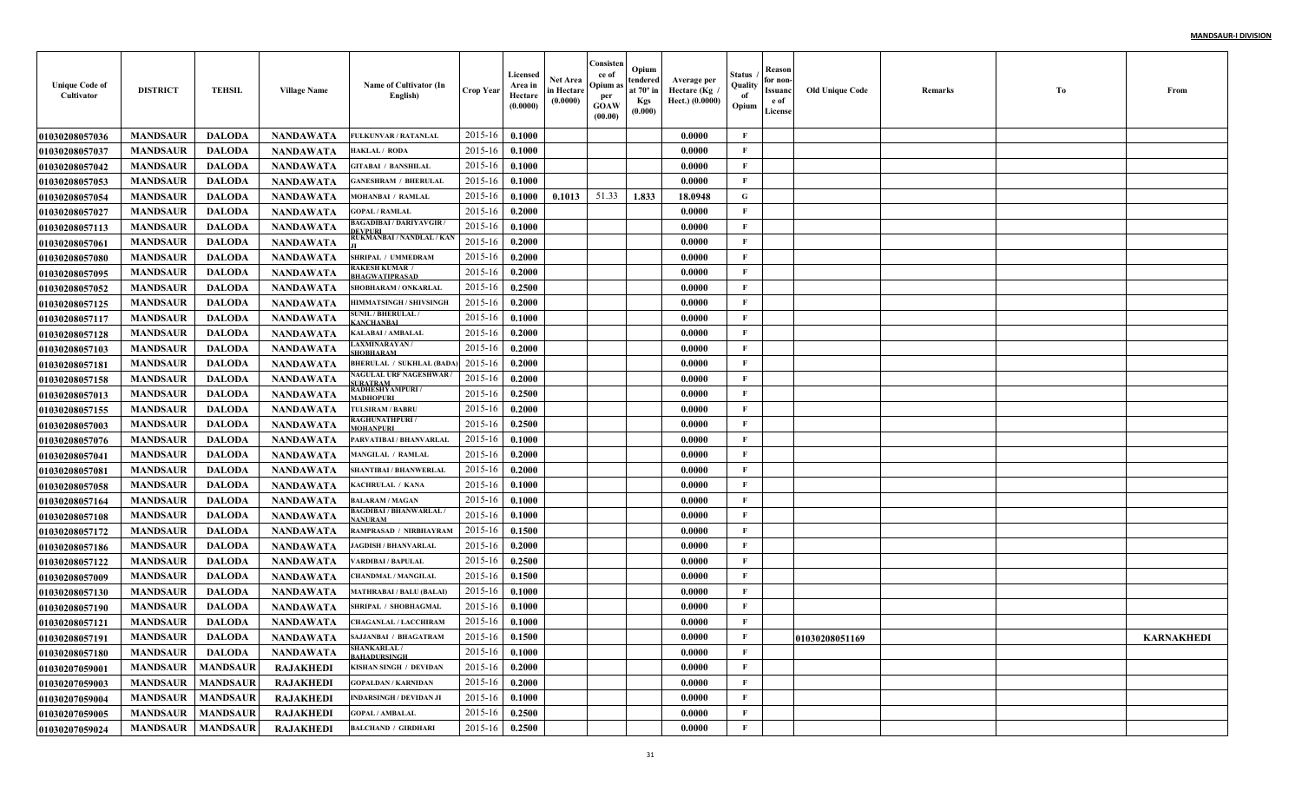| <b>Unique Code of</b><br>Cultivator | <b>DISTRICT</b> | <b>TEHSIL</b>   | <b>Village Name</b> | Name of Cultivator (In<br>English)              | <b>Crop Year</b> | Licensed<br>Area in<br>Hectare<br>(0.0000) | Net Area<br>in Hectare<br>(0.0000) | Consisten<br>ce of<br>Opium as<br>per<br><b>GOAW</b><br>(00.00) | Opium<br>tendered<br>at $70^\circ$ in<br><b>Kgs</b><br>(0.000) | Average per<br>Hectare (Kg)<br>Hect.) (0.0000) | Status<br>Quality<br>of<br>Opium | Reason<br>for non-<br>Issuanc<br>e of<br>License | <b>Old Unique Code</b> | Remarks | Тo | From              |
|-------------------------------------|-----------------|-----------------|---------------------|-------------------------------------------------|------------------|--------------------------------------------|------------------------------------|-----------------------------------------------------------------|----------------------------------------------------------------|------------------------------------------------|----------------------------------|--------------------------------------------------|------------------------|---------|----|-------------------|
| <b>01030208057036</b>               | <b>MANDSAUR</b> | <b>DALODA</b>   | <b>NANDAWATA</b>    | <b>FULKUNVAR / RATANLAL</b>                     | 2015-16          | 0.1000                                     |                                    |                                                                 |                                                                | 0.0000                                         | $\mathbf{F}$                     |                                                  |                        |         |    |                   |
| 01030208057037                      | <b>MANDSAUR</b> | <b>DALODA</b>   | <b>NANDAWATA</b>    | <b>IAKLAL/ RODA</b>                             | 2015-16          | 0.1000                                     |                                    |                                                                 |                                                                | 0.0000                                         | F                                |                                                  |                        |         |    |                   |
| <b>01030208057042</b>               | <b>MANDSAUR</b> | <b>DALODA</b>   | <b>NANDAWATA</b>    | <b>GITABAI / BANSHILAL</b>                      | 2015-16          | 0.1000                                     |                                    |                                                                 |                                                                | 0.0000                                         | $\mathbf{F}$                     |                                                  |                        |         |    |                   |
| <b>01030208057053</b>               | <b>MANDSAUR</b> | <b>DALODA</b>   | <b>NANDAWATA</b>    | <b>GANESHRAM / BHERULAI</b>                     | 2015-16          | 0.1000                                     |                                    |                                                                 |                                                                | 0.0000                                         | F                                |                                                  |                        |         |    |                   |
| <b>01030208057054</b>               | <b>MANDSAUR</b> | <b>DALODA</b>   | <b>NANDAWATA</b>    | MOHANBAI / RAMLAL                               | 2015-16          | 0.1000                                     | 0.1013                             | 51.33                                                           | 1.833                                                          | 18.0948                                        | G                                |                                                  |                        |         |    |                   |
| <b>01030208057027</b>               | <b>MANDSAUR</b> | <b>DALODA</b>   | <b>NANDAWATA</b>    | <b>GOPAL / RAMLAL</b>                           | 2015-16          | 0.2000                                     |                                    |                                                                 |                                                                | 0.0000                                         | F                                |                                                  |                        |         |    |                   |
| <b>01030208057113</b>               | <b>MANDSAUR</b> | <b>DALODA</b>   | NANDAWATA           | BAGADIBAI / DARIYAVGIR /<br>EVPURI              | 2015-16          | 0.1000                                     |                                    |                                                                 |                                                                | 0.0000                                         | F                                |                                                  |                        |         |    |                   |
| <b>01030208057061</b>               | <b>MANDSAUR</b> | <b>DALODA</b>   | <b>NANDAWATA</b>    | RUKMANBAI / NANDLAL / KAN                       | 2015-16          | 0.2000                                     |                                    |                                                                 |                                                                | 0.0000                                         | $\mathbf{F}$                     |                                                  |                        |         |    |                   |
| <b>01030208057080</b>               | <b>MANDSAUR</b> | <b>DALODA</b>   | NANDAWATA           | SHRIPAL / UMMEDRAM                              | 2015-16          | 0.2000                                     |                                    |                                                                 |                                                                | 0.0000                                         | $\mathbf{F}$                     |                                                  |                        |         |    |                   |
| <b>01030208057095</b>               | <b>MANDSAUR</b> | <b>DALODA</b>   | NANDAWATA           | <b>RAKESH KUMAR /</b><br><b>BHAGWATIPRASAD</b>  | 2015-16          | 0.2000                                     |                                    |                                                                 |                                                                | 0.0000                                         | $\mathbf{F}$                     |                                                  |                        |         |    |                   |
| <b>01030208057052</b>               | <b>MANDSAUR</b> | <b>DALODA</b>   | <b>NANDAWATA</b>    | <b>SHOBHARAM / ONKARLAI</b>                     | 2015-16          | 0.2500                                     |                                    |                                                                 |                                                                | 0.0000                                         | $\mathbf{F}$                     |                                                  |                        |         |    |                   |
| <b>01030208057125</b>               | <b>MANDSAUR</b> | <b>DALODA</b>   | <b>NANDAWATA</b>    | <b>HIMMATSINGH / SHIVSINGH</b>                  | 2015-16          | 0.2000                                     |                                    |                                                                 |                                                                | 0.0000                                         | $\mathbf{F}$                     |                                                  |                        |         |    |                   |
| <b>01030208057117</b>               | <b>MANDSAUR</b> | <b>DALODA</b>   | <b>NANDAWATA</b>    | <b>SUNIL / BHERULAL /</b><br><b>ANCHANBAL</b>   | 2015-16          | 0.1000                                     |                                    |                                                                 |                                                                | 0.0000                                         | $\mathbf{F}$                     |                                                  |                        |         |    |                   |
| <b>01030208057128</b>               | <b>MANDSAUR</b> | <b>DALODA</b>   | <b>NANDAWATA</b>    | <b>KALABAI/AMBALAL</b>                          | 2015-16          | 0.2000                                     |                                    |                                                                 |                                                                | 0.0000                                         | $\mathbf{F}$                     |                                                  |                        |         |    |                   |
| <b>01030208057103</b>               | <b>MANDSAUR</b> | <b>DALODA</b>   | <b>NANDAWATA</b>    | <b>AXMINARAYAN /</b><br><b>HOBHARAM</b>         | 2015-16          | 0.2000                                     |                                    |                                                                 |                                                                | 0.0000                                         | $\mathbf{F}$                     |                                                  |                        |         |    |                   |
| 01030208057181                      | <b>MANDSAUR</b> | <b>DALODA</b>   | <b>NANDAWATA</b>    | <b>BHERULAL / SUKHLAL (BADA</b>                 | 2015-16          | 0.2000                                     |                                    |                                                                 |                                                                | 0.0000                                         | $\mathbf{F}$                     |                                                  |                        |         |    |                   |
| <b>01030208057158</b>               | <b>MANDSAUR</b> | <b>DALODA</b>   | <b>NANDAWATA</b>    | <b>NAGULAL URF NAGESHWAR/</b><br><b>URATRAM</b> | 2015-16          | 0.2000                                     |                                    |                                                                 |                                                                | 0.0000                                         | $\mathbf{F}$                     |                                                  |                        |         |    |                   |
| <b>01030208057013</b>               | <b>MANDSAUR</b> | <b>DALODA</b>   | <b>NANDAWATA</b>    | RADHESHYAMPURI /<br><b>ADHOPURI</b>             | 2015-16          | 0.2500                                     |                                    |                                                                 |                                                                | 0.0000                                         | $\mathbf{F}$                     |                                                  |                        |         |    |                   |
| <b>01030208057155</b>               | <b>MANDSAUR</b> | <b>DALODA</b>   | <b>NANDAWATA</b>    | <b>TULSIRAM / BABRU</b>                         | 2015-16          | 0.2000                                     |                                    |                                                                 |                                                                | 0.0000                                         | $\mathbf{F}$                     |                                                  |                        |         |    |                   |
| <b>01030208057003</b>               | <b>MANDSAUR</b> | <b>DALODA</b>   | <b>NANDAWATA</b>    | <b>RAGHUNATHPURI /</b><br>MOHANPURI             | 2015-16          | 0.2500                                     |                                    |                                                                 |                                                                | 0.0000                                         | $\mathbf{F}$                     |                                                  |                        |         |    |                   |
| <b>01030208057076</b>               | <b>MANDSAUR</b> | <b>DALODA</b>   | <b>NANDAWATA</b>    | PARVATIBAI / BHANVARLAL                         | 2015-16          | 0.1000                                     |                                    |                                                                 |                                                                | 0.0000                                         | $\mathbf{F}$                     |                                                  |                        |         |    |                   |
| <b>01030208057041</b>               | <b>MANDSAUR</b> | <b>DALODA</b>   | <b>NANDAWATA</b>    | <b>MANGILAL / RAMLAL</b>                        | 2015-16          | 0.2000                                     |                                    |                                                                 |                                                                | 0.0000                                         | $\mathbf{F}$                     |                                                  |                        |         |    |                   |
| <b>01030208057081</b>               | <b>MANDSAUR</b> | <b>DALODA</b>   | <b>NANDAWATA</b>    | SHANTIBAI / BHANWERLAI                          | 2015-16          | 0.2000                                     |                                    |                                                                 |                                                                | 0.0000                                         | $\mathbf{F}$                     |                                                  |                        |         |    |                   |
| <b>01030208057058</b>               | <b>MANDSAUR</b> | <b>DALODA</b>   | <b>NANDAWATA</b>    | KACHRULAL / KANA                                | 2015-16          | 0.1000                                     |                                    |                                                                 |                                                                | 0.0000                                         | $\mathbf{F}$                     |                                                  |                        |         |    |                   |
| <b>01030208057164</b>               | <b>MANDSAUR</b> | <b>DALODA</b>   | <b>NANDAWATA</b>    | <b>BALARAM / MAGAN</b>                          | 2015-16          | 0.1000                                     |                                    |                                                                 |                                                                | 0.0000                                         | $\mathbf{F}$                     |                                                  |                        |         |    |                   |
| <b>01030208057108</b>               | <b>MANDSAUR</b> | <b>DALODA</b>   | <b>NANDAWATA</b>    | <b>BAGDIBAI / BHANWARLAL</b><br><b>ANURAM</b>   | 2015-16          | 0.1000                                     |                                    |                                                                 |                                                                | 0.0000                                         | $\mathbf{F}$                     |                                                  |                        |         |    |                   |
| <b>01030208057172</b>               | <b>MANDSAUR</b> | <b>DALODA</b>   | <b>NANDAWATA</b>    | RAMPRASAD / NIRBHAYRAM                          | 2015-16          | 0.1500                                     |                                    |                                                                 |                                                                | 0.0000                                         | F                                |                                                  |                        |         |    |                   |
| <b>01030208057186</b>               | <b>MANDSAUR</b> | <b>DALODA</b>   | <b>NANDAWATA</b>    | JAGDISH / BHANVARLAI                            | 2015-16          | 0.2000                                     |                                    |                                                                 |                                                                | 0.0000                                         | $\mathbf{F}$                     |                                                  |                        |         |    |                   |
| <b>01030208057122</b>               | <b>MANDSAUR</b> | <b>DALODA</b>   | <b>NANDAWATA</b>    | <b>/ARDIBAI/BAPULAL</b>                         | 2015-16          | 0.2500                                     |                                    |                                                                 |                                                                | 0.0000                                         | $\mathbf{F}$                     |                                                  |                        |         |    |                   |
| <b>01030208057009</b>               | <b>MANDSAUR</b> | <b>DALODA</b>   | <b>NANDAWATA</b>    | <b>CHANDMAL / MANGILAI</b>                      | 2015-16          | 0.1500                                     |                                    |                                                                 |                                                                | 0.0000                                         | $\mathbf{F}$                     |                                                  |                        |         |    |                   |
| <b>01030208057130</b>               | <b>MANDSAUR</b> | <b>DALODA</b>   | <b>NANDAWATA</b>    | <b>MATHRABAI / BALU (BALAI)</b>                 | 2015-16          | 0.1000                                     |                                    |                                                                 |                                                                | 0.0000                                         | F                                |                                                  |                        |         |    |                   |
| <b>0103020805719(</b>               | <b>MANDSAUR</b> | <b>DALODA</b>   | <b>NANDAWATA</b>    | SHRIPAL / SHOBHAGMAI                            | 2015-16          | 0.1000                                     |                                    |                                                                 |                                                                | 0.0000                                         | F                                |                                                  |                        |         |    |                   |
| <b>0103020805712</b> 1              | <b>MANDSAUR</b> | <b>DALODA</b>   | <b>NANDAWATA</b>    | <b>HAGANLAL / LACCHIRAM</b>                     | 2015-16          | 0.1000                                     |                                    |                                                                 |                                                                | 0.0000                                         | F                                |                                                  |                        |         |    |                   |
| <b>01030208057191</b>               | <b>MANDSAUR</b> | DALODA          | NANDAWATA           | <b>SAJJANBAI / BHAGATRAM</b>                    | 2015-16 0.1500   |                                            |                                    |                                                                 |                                                                | 0.0000                                         | F                                |                                                  | 01030208051169         |         |    | <b>KARNAKHEDI</b> |
| 01030208057180                      | <b>MANDSAUR</b> | <b>DALODA</b>   | NANDAWATA           | <b>SHANKARLAL/</b><br><b>BAHADURSINGH</b>       | 2015-16          | 0.1000                                     |                                    |                                                                 |                                                                | 0.0000                                         | $\mathbf{F}$                     |                                                  |                        |         |    |                   |
| <b>01030207059001</b>               | <b>MANDSAUR</b> | <b>MANDSAUR</b> | <b>RAJAKHEDI</b>    | KISHAN SINGH / DEVIDAN                          | 2015-16          | 0.2000                                     |                                    |                                                                 |                                                                | 0.0000                                         | $\mathbf{F}$                     |                                                  |                        |         |    |                   |
| 01030207059003                      | <b>MANDSAUR</b> | <b>MANDSAUR</b> | <b>RAJAKHEDI</b>    | <b>GOPALDAN / KARNIDAN</b>                      | 2015-16          | 0.2000                                     |                                    |                                                                 |                                                                | 0.0000                                         | $\mathbf{F}$                     |                                                  |                        |         |    |                   |
| 01030207059004                      | <b>MANDSAUR</b> | <b>MANDSAUR</b> | <b>RAJAKHEDI</b>    | <b>INDARSINGH / DEVIDAN JI</b>                  | 2015-16          | 0.1000                                     |                                    |                                                                 |                                                                | 0.0000                                         | $\mathbf{F}$                     |                                                  |                        |         |    |                   |
| 01030207059005                      | <b>MANDSAUR</b> | <b>MANDSAUR</b> | <b>RAJAKHEDI</b>    | <b>GOPAL / AMBALAL</b>                          | 2015-16          | 0.2500                                     |                                    |                                                                 |                                                                | 0.0000                                         | $\mathbf{F}$                     |                                                  |                        |         |    |                   |
| 01030207059024                      | <b>MANDSAUR</b> | <b>MANDSAUR</b> | <b>RAJAKHEDI</b>    | <b>BALCHAND / GIRDHARI</b>                      | 2015-16          | 0.2500                                     |                                    |                                                                 |                                                                | 0.0000                                         | $\mathbf{F}$                     |                                                  |                        |         |    |                   |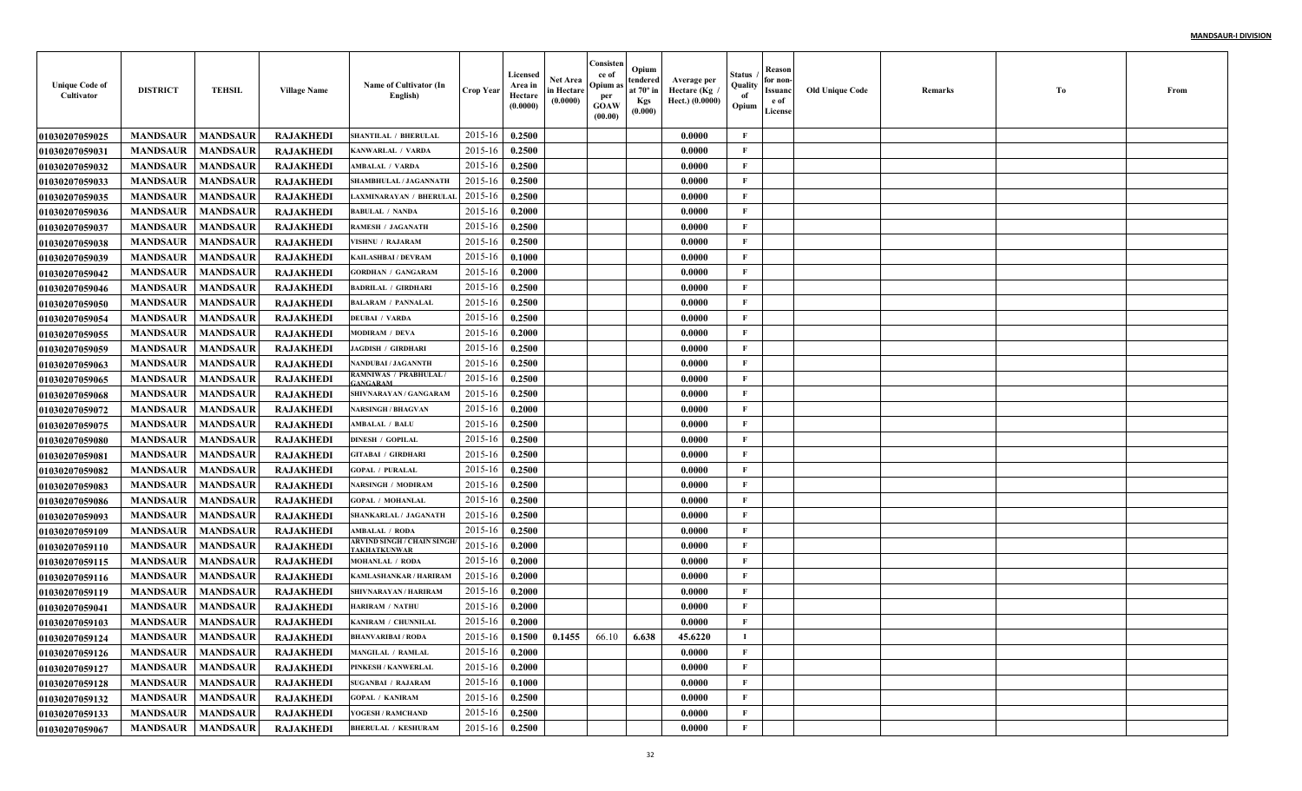| <b>Unique Code of</b><br>Cultivator | <b>DISTRICT</b>            | <b>TEHSIL</b>   | <b>Village Name</b> | Name of Cultivator (In<br>English)               | <b>Crop Year</b> | Licensed<br>Area in<br>Hectare<br>(0.0000) | Net Area<br>in Hectare<br>(0.0000)  | Consisten<br>ce of<br>Opium a<br>per<br><b>GOAW</b><br>(00.00) | Opium<br>tendered<br>at $70^\circ$ in<br><b>Kgs</b><br>(0.000) | Average per<br>Hectare (Kg<br>Hect.) (0.0000) | Status<br>Quality<br>of<br>Opium | Reason<br>for non-<br>Issuanc<br>e of<br>License | <b>Old Unique Code</b> | Remarks | Тo | From |
|-------------------------------------|----------------------------|-----------------|---------------------|--------------------------------------------------|------------------|--------------------------------------------|-------------------------------------|----------------------------------------------------------------|----------------------------------------------------------------|-----------------------------------------------|----------------------------------|--------------------------------------------------|------------------------|---------|----|------|
| <b>01030207059025</b>               | <b>MANDSAUR</b>            | <b>MANDSAUR</b> | <b>RAJAKHEDI</b>    | <b>SHANTILAL / BHERULAI</b>                      | 2015-16          | 0.2500                                     |                                     |                                                                |                                                                | 0.0000                                        | F                                |                                                  |                        |         |    |      |
| <b>01030207059031</b>               | <b>MANDSAUR</b>            | <b>MANDSAUR</b> | <b>RAJAKHEDI</b>    | KANWARLAL / VARDA                                | 2015-16          | 0.2500                                     |                                     |                                                                |                                                                | 0.0000                                        | $\mathbf{F}$                     |                                                  |                        |         |    |      |
| <b>01030207059032</b>               | <b>MANDSAUR</b>            | <b>MANDSAUR</b> | <b>RAJAKHEDI</b>    | <b>MBALAL / VARDA</b>                            | 2015-16          | 0.2500                                     |                                     |                                                                |                                                                | 0.0000                                        | $\mathbf{F}$                     |                                                  |                        |         |    |      |
| <b>01030207059033</b>               | <b>MANDSAUR</b>            | <b>MANDSAUR</b> | <b>RAJAKHEDI</b>    | SHAMBHULAL / JAGANNATH                           | 2015-16          | 0.2500                                     |                                     |                                                                |                                                                | 0.0000                                        | $\mathbf{F}$                     |                                                  |                        |         |    |      |
| <b>01030207059035</b>               | <b>MANDSAUR</b>            | <b>MANDSAUR</b> | <b>RAJAKHEDI</b>    | <b>LAXMINARAYAN / BHERULAI</b>                   | 2015-16          | 0.2500                                     |                                     |                                                                |                                                                | 0.0000                                        | $\mathbf{F}$                     |                                                  |                        |         |    |      |
| 01030207059036                      | <b>MANDSAUR</b>            | <b>MANDSAUR</b> | <b>RAJAKHEDI</b>    | <b>BABULAL / NANDA</b>                           | 2015-16          | 0.2000                                     |                                     |                                                                |                                                                | 0.0000                                        | $\mathbf{F}$                     |                                                  |                        |         |    |      |
| <b>01030207059037</b>               | <b>MANDSAUR</b>            | <b>MANDSAUR</b> | <b>RAJAKHEDI</b>    | RAMESH / JAGANATH                                | 2015-16          | 0.2500                                     |                                     |                                                                |                                                                | 0.0000                                        | $\mathbf{F}$                     |                                                  |                        |         |    |      |
| <b>01030207059038</b>               | <b>MANDSAUR</b>            | <b>MANDSAUR</b> | <b>RAJAKHEDI</b>    | <b>VISHNU / RAJARAM</b>                          | 2015-16          | 0.2500                                     |                                     |                                                                |                                                                | 0.0000                                        | $\mathbf{F}$                     |                                                  |                        |         |    |      |
| <b>01030207059039</b>               | <b>MANDSAUR</b>            | <b>MANDSAUR</b> | <b>RAJAKHED</b>     | KAILASHBAI / DEVRAM                              | 2015-16          | 0.1000                                     |                                     |                                                                |                                                                | 0.0000                                        | $\mathbf{F}$                     |                                                  |                        |         |    |      |
| <b>01030207059042</b>               | <b>MANDSAUR</b>            | <b>MANDSAUR</b> | <b>RAJAKHEDI</b>    | <b>GORDHAN / GANGARAM</b>                        | 2015-16          | 0.2000                                     |                                     |                                                                |                                                                | 0.0000                                        | $\mathbf{F}$                     |                                                  |                        |         |    |      |
| <b>01030207059046</b>               | <b>MANDSAUR</b>            | <b>MANDSAUR</b> | <b>RAJAKHEDI</b>    | <b>BADRILAL / GIRDHARI</b>                       | 2015-16          | 0.2500                                     |                                     |                                                                |                                                                | 0.0000                                        | $\mathbf{F}$                     |                                                  |                        |         |    |      |
| <b>01030207059050</b>               | <b>MANDSAUR</b>            | <b>MANDSAUR</b> | <b>RAJAKHEDI</b>    | <b>BALARAM / PANNALAL</b>                        | 2015-16          | 0.2500                                     |                                     |                                                                |                                                                | 0.0000                                        | $\mathbf{F}$                     |                                                  |                        |         |    |      |
| <b>01030207059054</b>               | <b>MANDSAUR</b>            | <b>MANDSAUR</b> | <b>RAJAKHEDI</b>    | <b>DEUBAI / VARDA</b>                            | 2015-16          | 0.2500                                     |                                     |                                                                |                                                                | 0.0000                                        | $\mathbf{F}$                     |                                                  |                        |         |    |      |
| <b>01030207059055</b>               | <b>MANDSAUR</b>            | <b>MANDSAUR</b> | <b>RAJAKHEDI</b>    | <b>MODIRAM / DEVA</b>                            | 2015-16          | 0.2000                                     |                                     |                                                                |                                                                | 0.0000                                        | $\mathbf{F}$                     |                                                  |                        |         |    |      |
| <b>01030207059059</b>               | <b>MANDSAUR</b>            | <b>MANDSAUR</b> | <b>RAJAKHEDI</b>    | <b>JAGDISH / GIRDHARI</b>                        | 2015-16          | 0.2500                                     |                                     |                                                                |                                                                | 0.0000                                        | $\mathbf{F}$                     |                                                  |                        |         |    |      |
| <b>01030207059063</b>               | <b>MANDSAUR</b>            | <b>MANDSAUR</b> | <b>RAJAKHEDI</b>    | NANDUBAI / JAGANNTH                              | 2015-16          | 0.2500                                     |                                     |                                                                |                                                                | 0.0000                                        | $\mathbf{F}$                     |                                                  |                        |         |    |      |
| <b>01030207059065</b>               | <b>MANDSAUR</b>            | <b>MANDSAUR</b> | <b>RAJAKHEDI</b>    | RAMNIWAS / PRABHULAL /<br><b>ANGARAM</b>         | 2015-16          | 0.2500                                     |                                     |                                                                |                                                                | 0.0000                                        | $\mathbf{F}$                     |                                                  |                        |         |    |      |
| <b>01030207059068</b>               | <b>MANDSAUR</b>            | <b>MANDSAUR</b> | <b>RAJAKHEDI</b>    | SHIVNARAYAN / GANGARAM                           | 2015-16          | 0.2500                                     |                                     |                                                                |                                                                | 0.0000                                        | $\mathbf{F}$                     |                                                  |                        |         |    |      |
| <b>01030207059072</b>               | <b>MANDSAUR</b>            | <b>MANDSAUR</b> | <b>RAJAKHEDI</b>    | <b>NARSINGH / BHAGVAN</b>                        | 2015-16          | 0.2000                                     |                                     |                                                                |                                                                | 0.0000                                        | $\mathbf{F}$                     |                                                  |                        |         |    |      |
| 01030207059075                      | <b>MANDSAUR</b>            | <b>MANDSAUR</b> | <b>RAJAKHEDI</b>    | <b>AMBALAL / BALU</b>                            | 2015-16          | 0.2500                                     |                                     |                                                                |                                                                | 0.0000                                        | $\mathbf{F}$                     |                                                  |                        |         |    |      |
| 01030207059080                      | <b>MANDSAUR</b>            | <b>MANDSAUR</b> | <b>RAJAKHEDI</b>    | <b>DINESH / GOPILAL</b>                          | 2015-16          | 0.2500                                     |                                     |                                                                |                                                                | 0.0000                                        | $\mathbf{F}$                     |                                                  |                        |         |    |      |
| <b>01030207059081</b>               | <b>MANDSAUR</b>            | <b>MANDSAUR</b> | <b>RAJAKHEDI</b>    | <b>GITABAI / GIRDHARI</b>                        | $2015 - 16$      | 0.2500                                     |                                     |                                                                |                                                                | 0.0000                                        | F                                |                                                  |                        |         |    |      |
| <b>01030207059082</b>               | <b>MANDSAUR</b>            | <b>MANDSAUR</b> | <b>RAJAKHEDI</b>    | <b>GOPAL / PURALAL</b>                           | 2015-16          | 0.2500                                     |                                     |                                                                |                                                                | 0.0000                                        | $\mathbf{F}$                     |                                                  |                        |         |    |      |
| <b>01030207059083</b>               | <b>MANDSAUR</b>            | <b>MANDSAUR</b> | <b>RAJAKHEDI</b>    | NARSINGH / MODIRAM                               | 2015-16          | 0.2500                                     |                                     |                                                                |                                                                | 0.0000                                        | $\mathbf{F}$                     |                                                  |                        |         |    |      |
| <b>01030207059086</b>               | <b>MANDSAUR</b>            | <b>MANDSAUR</b> | <b>RAJAKHEDI</b>    | <b>GOPAL / MOHANLAL</b>                          | 2015-16          | 0.2500                                     |                                     |                                                                |                                                                | 0.0000                                        | $\mathbf{F}$                     |                                                  |                        |         |    |      |
| <b>01030207059093</b>               | <b>MANDSAUR</b>            | <b>MANDSAUR</b> | <b>RAJAKHEDI</b>    | SHANKARLAL / JAGANATH                            | 2015-16          | 0.2500                                     |                                     |                                                                |                                                                | 0.0000                                        | $\mathbf{F}$                     |                                                  |                        |         |    |      |
| <b>01030207059109</b>               | <b>MANDSAUR</b>            | <b>MANDSAUR</b> | <b>RAJAKHEDI</b>    | <b>AMBALAL / RODA</b>                            | 2015-16          | 0.2500                                     |                                     |                                                                |                                                                | 0.0000                                        | $\mathbf F$                      |                                                  |                        |         |    |      |
| <b>01030207059110</b>               | <b>MANDSAUR</b>            | <b>MANDSAUR</b> | <b>RAJAKHEDI</b>    | ARVIND SINGH / CHAIN SINGH<br><b>AKHATKUNWAR</b> | 2015-16          | 0.2000                                     |                                     |                                                                |                                                                | 0.0000                                        | $\mathbf{F}$                     |                                                  |                        |         |    |      |
| 01030207059115                      | <b>MANDSAUR</b>            | <b>MANDSAUR</b> | <b>RAJAKHEDI</b>    | <b>MOHANLAL / RODA</b>                           | 2015-16          | 0.2000                                     |                                     |                                                                |                                                                | 0.0000                                        | $\mathbf{F}$                     |                                                  |                        |         |    |      |
| <b>01030207059116</b>               | <b>MANDSAUR</b>            | <b>MANDSAUR</b> | <b>RAJAKHEDI</b>    | KAMLASHANKAR / HARIRAM                           | 2015-16          | 0.2000                                     |                                     |                                                                |                                                                | 0.0000                                        | $\mathbf{F}$                     |                                                  |                        |         |    |      |
| 01030207059119                      | <b>MANDSAUR</b>            | <b>MANDSAUR</b> | <b>RAJAKHEDI</b>    | SHIVNARAYAN / HARIRAM                            | 2015-16          | 0.2000                                     |                                     |                                                                |                                                                | 0.0000                                        | $\mathbf{F}$                     |                                                  |                        |         |    |      |
| <b>01030207059041</b>               | <b>MANDSAUR</b>            | <b>MANDSAUR</b> | <b>RAJAKHED</b>     | <b>HARIRAM / NATHU</b>                           | 2015-16          | 0.2000                                     |                                     |                                                                |                                                                | 0.0000                                        | F                                |                                                  |                        |         |    |      |
| <b>01030207059103</b>               | <b>MANDSAUR</b>            | <b>MANDSAUR</b> | <b>RAJAKHEDI</b>    | KANIRAM / CHUNNILAL                              | 2015-16          | 0.2000                                     |                                     |                                                                |                                                                | 0.0000                                        | F                                |                                                  |                        |         |    |      |
| <b>01030207059124</b>               | <b>MANDSAUR</b>   MANDSAUR |                 | <b>RAJAKHEDI</b>    | <b>BHANVARIBAI / RODA</b>                        |                  |                                            | $2015-16$ 0.1500 0.1455 66.10 6.638 |                                                                |                                                                | 45.6220                                       | $\bf{I}$                         |                                                  |                        |         |    |      |
| 01030207059126                      | <b>MANDSAUR</b>            | <b>MANDSAUR</b> | <b>RAJAKHEDI</b>    | <b>MANGILAL / RAMLAL</b>                         | 2015-16          | 0.2000                                     |                                     |                                                                |                                                                | 0.0000                                        | $\mathbf{F}$                     |                                                  |                        |         |    |      |
| <b>01030207059127</b>               | <b>MANDSAUR</b>            | <b>MANDSAUR</b> | <b>RAJAKHEDI</b>    | PINKESH / KANWERLAL                              | 2015-16          | 0.2000                                     |                                     |                                                                |                                                                | 0.0000                                        | $\mathbf{F}$                     |                                                  |                        |         |    |      |
| 01030207059128                      | <b>MANDSAUR</b>            | <b>MANDSAUR</b> | <b>RAJAKHEDI</b>    | <b>SUGANBAI / RAJARAM</b>                        | 2015-16          | 0.1000                                     |                                     |                                                                |                                                                | 0.0000                                        | $\mathbf{F}$                     |                                                  |                        |         |    |      |
| <b>01030207059132</b>               | <b>MANDSAUR</b>            | <b>MANDSAUR</b> | <b>RAJAKHEDI</b>    | <b>GOPAL / KANIRAM</b>                           | 2015-16          | 0.2500                                     |                                     |                                                                |                                                                | 0.0000                                        | $\mathbf{F}$                     |                                                  |                        |         |    |      |
| 01030207059133                      | <b>MANDSAUR</b>            | <b>MANDSAUR</b> | <b>RAJAKHEDI</b>    | YOGESH / RAMCHAND                                | 2015-16          | 0.2500                                     |                                     |                                                                |                                                                | 0.0000                                        | $\mathbf{F}$                     |                                                  |                        |         |    |      |
| 01030207059067                      | <b>MANDSAUR</b>            | <b>MANDSAUR</b> | <b>RAJAKHEDI</b>    | <b>BHERULAL / KESHURAM</b>                       | 2015-16          | 0.2500                                     |                                     |                                                                |                                                                | 0.0000                                        | $\mathbf F$                      |                                                  |                        |         |    |      |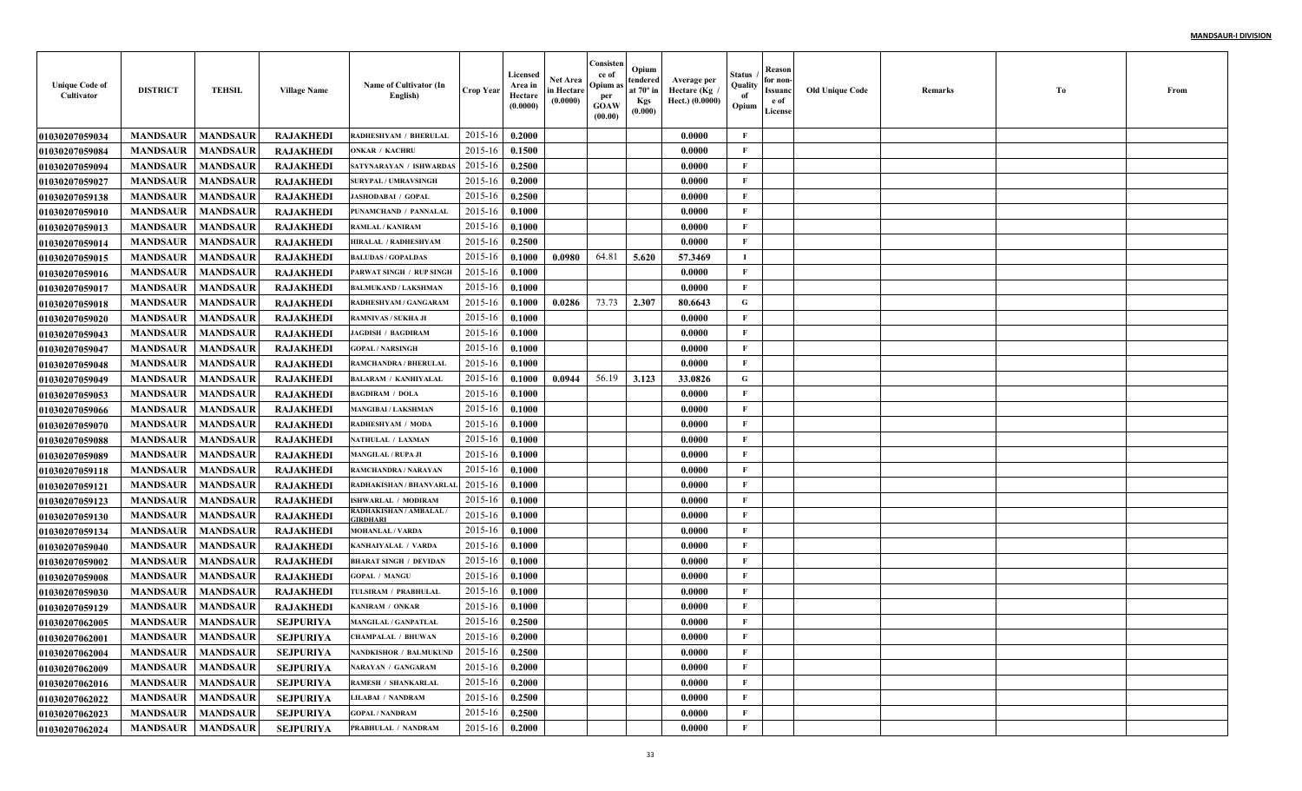| <b>Unique Code of</b><br>Cultivator | <b>DISTRICT</b>            | <b>TEHSIL</b>   | <b>Village Name</b> | Name of Cultivator (In<br>English)        | Crop Year        | Licensed<br>Area in<br>Hectare<br>(0.0000) | Net Area<br>in Hectare<br>(0.0000) | Consisten<br>ce of<br>Opium a<br>per<br><b>GOAW</b><br>(00.00) | Opium<br>tendered<br>at $70^\circ$ in<br><b>Kgs</b><br>(0.000) | Average per<br>Hectare (Kg<br>Hect.) (0.0000) | Status<br>Quality<br>of<br>Opium | Reason<br>for non-<br>Issuanc<br>e of<br>License | <b>Old Unique Code</b> | Remarks | Тo | From |
|-------------------------------------|----------------------------|-----------------|---------------------|-------------------------------------------|------------------|--------------------------------------------|------------------------------------|----------------------------------------------------------------|----------------------------------------------------------------|-----------------------------------------------|----------------------------------|--------------------------------------------------|------------------------|---------|----|------|
| <b>01030207059034</b>               | <b>MANDSAUR</b>            | <b>MANDSAUR</b> | <b>RAJAKHEDI</b>    | RADHESHYAM / BHERULAL                     | 2015-16          | 0.2000                                     |                                    |                                                                |                                                                | 0.0000                                        | F                                |                                                  |                        |         |    |      |
| <b>0103020705908</b> 4              | <b>MANDSAUR</b>            | <b>MANDSAUR</b> | <b>RAJAKHEDI</b>    | <b>ONKAR / KACHRU</b>                     | 2015-16          | 0.1500                                     |                                    |                                                                |                                                                | 0.0000                                        | $\mathbf{F}$                     |                                                  |                        |         |    |      |
| 01030207059094                      | <b>MANDSAUR</b>            | <b>MANDSAUR</b> | <b>RAJAKHEDI</b>    | SATYNARAYAN / ISHWARDAS                   | 2015-16          | 0.2500                                     |                                    |                                                                |                                                                | 0.0000                                        | $\mathbf{F}$                     |                                                  |                        |         |    |      |
| <b>01030207059027</b>               | <b>MANDSAUR</b>            | <b>MANDSAUR</b> | <b>RAJAKHEDI</b>    | <b>SURYPAL / UMRAVSINGH</b>               | 2015-16          | 0.2000                                     |                                    |                                                                |                                                                | 0.0000                                        | $\mathbf{F}$                     |                                                  |                        |         |    |      |
| 01030207059138                      | <b>MANDSAUR</b>            | <b>MANDSAUR</b> | <b>RAJAKHEDI</b>    | <b>JASHODABAI / GOPAL</b>                 | 2015-16          | 0.2500                                     |                                    |                                                                |                                                                | 0.0000                                        | $\mathbf{F}$                     |                                                  |                        |         |    |      |
| <b>01030207059010</b>               | <b>MANDSAUR</b>            | <b>MANDSAUR</b> | <b>RAJAKHEDI</b>    | PUNAMCHAND / PANNALAI                     | 2015-16          | 0.1000                                     |                                    |                                                                |                                                                | 0.0000                                        | $\mathbf{F}$                     |                                                  |                        |         |    |      |
| <b>01030207059013</b>               | <b>MANDSAUR</b>            | <b>MANDSAUR</b> | <b>RAJAKHED</b>     | RAMLAL / KANIRAM                          | 2015-16          | 0.1000                                     |                                    |                                                                |                                                                | 0.0000                                        | $\mathbf{F}$                     |                                                  |                        |         |    |      |
| 01030207059014                      | <b>MANDSAUR</b>            | <b>MANDSAUR</b> | <b>RAJAKHEDI</b>    | <b>HIRALAL / RADHESHYAM</b>               | 2015-16          | 0.2500                                     |                                    |                                                                |                                                                | 0.0000                                        | F                                |                                                  |                        |         |    |      |
| <b>01030207059015</b>               | <b>MANDSAUR</b>            | <b>MANDSAUR</b> | <b>RAJAKHED</b>     | <b>BALUDAS / GOPALDAS</b>                 | 2015-16          | 0.1000                                     | 0.0980                             | 64.81                                                          | 5.620                                                          | 57.3469                                       | Т.                               |                                                  |                        |         |    |      |
| <b>01030207059016</b>               | <b>MANDSAUR</b>            | <b>MANDSAUR</b> | <b>RAJAKHEDI</b>    | PARWAT SINGH / RUP SINGH                  | 2015-16          | 0.1000                                     |                                    |                                                                |                                                                | 0.0000                                        | $\mathbf{F}$                     |                                                  |                        |         |    |      |
| <b>01030207059017</b>               | <b>MANDSAUR</b>            | <b>MANDSAUR</b> | <b>RAJAKHEDI</b>    | <b>BALMUKAND / LAKSHMAN</b>               | 2015-16          | 0.1000                                     |                                    |                                                                |                                                                | 0.0000                                        | $\mathbf{F}$                     |                                                  |                        |         |    |      |
| <b>01030207059018</b>               | <b>MANDSAUR</b>            | <b>MANDSAUR</b> | <b>RAJAKHEDI</b>    | RADHESHYAM / GANGARAM                     | 2015-16          | 0.1000                                     | 0.0286                             | 73.73                                                          | 2.307                                                          | 80.6643                                       | G                                |                                                  |                        |         |    |      |
| <b>01030207059020</b>               | <b>MANDSAUR</b>            | <b>MANDSAUR</b> | <b>RAJAKHEDI</b>    | <b>RAMNIVAS / SUKHA JI</b>                | 2015-16          | 0.1000                                     |                                    |                                                                |                                                                | 0.0000                                        | $\mathbf{F}$                     |                                                  |                        |         |    |      |
| <b>01030207059043</b>               | <b>MANDSAUR</b>            | <b>MANDSAUR</b> | <b>RAJAKHEDI</b>    | <b>JAGDISH / BAGDIRAM</b>                 | 2015-16          | 0.1000                                     |                                    |                                                                |                                                                | 0.0000                                        | $\mathbf{F}$                     |                                                  |                        |         |    |      |
| <b>01030207059047</b>               | <b>MANDSAUR</b>            | <b>MANDSAUR</b> | <b>RAJAKHEDI</b>    | <b>GOPAL / NARSINGH</b>                   | 2015-16          | 0.1000                                     |                                    |                                                                |                                                                | 0.0000                                        | $\mathbf{F}$                     |                                                  |                        |         |    |      |
| <b>01030207059048</b>               | <b>MANDSAUR</b>            | <b>MANDSAUR</b> | <b>RAJAKHEDI</b>    | <b>RAMCHANDRA / BHERULAI</b>              | 2015-16          | 0.1000                                     |                                    |                                                                |                                                                | 0.0000                                        | $\mathbf{F}$                     |                                                  |                        |         |    |      |
| <b>01030207059049</b>               | <b>MANDSAUR</b>            | <b>MANDSAUR</b> | <b>RAJAKHEDI</b>    | <b>BALARAM / KANHIYALAI</b>               | 2015-16          | 0.1000                                     | 0.0944                             | 56.19                                                          | 3.123                                                          | 33.0826                                       | G                                |                                                  |                        |         |    |      |
| <b>01030207059053</b>               | <b>MANDSAUR</b>            | <b>MANDSAUR</b> | <b>RAJAKHEDI</b>    | <b>BAGDIRAM / DOLA</b>                    | 2015-16          | 0.1000                                     |                                    |                                                                |                                                                | 0.0000                                        | $\mathbf{F}$                     |                                                  |                        |         |    |      |
| <b>01030207059066</b>               | <b>MANDSAUR</b>            | <b>MANDSAUR</b> | <b>RAJAKHEDI</b>    | <b>MANGIBAI / LAKSHMAN</b>                | 2015-16          | 0.1000                                     |                                    |                                                                |                                                                | 0.0000                                        | $\mathbf{F}$                     |                                                  |                        |         |    |      |
| <b>01030207059070</b>               | <b>MANDSAUR</b>            | <b>MANDSAUR</b> | <b>RAJAKHEDI</b>    | RADHESHYAM / MODA                         | 2015-16          | 0.1000                                     |                                    |                                                                |                                                                | 0.0000                                        | $\mathbf{F}$                     |                                                  |                        |         |    |      |
| <b>01030207059088</b>               | <b>MANDSAUR</b>            | <b>MANDSAUR</b> | <b>RAJAKHEDI</b>    | <b>NATHULAL / LAXMAN</b>                  | 2015-16          | 0.1000                                     |                                    |                                                                |                                                                | 0.0000                                        | $\mathbf{F}$                     |                                                  |                        |         |    |      |
| <b>01030207059089</b>               | <b>MANDSAUR</b>            | <b>MANDSAUR</b> | <b>RAJAKHEDI</b>    | <b>MANGILAL / RUPA JI</b>                 | 2015-16          | 0.1000                                     |                                    |                                                                |                                                                | 0.0000                                        | F                                |                                                  |                        |         |    |      |
| <b>01030207059118</b>               | <b>MANDSAUR</b>            | <b>MANDSAUR</b> | <b>RAJAKHEDI</b>    | RAMCHANDRA / NARAYAN                      | 2015-16          | 0.1000                                     |                                    |                                                                |                                                                | 0.0000                                        | $\mathbf{F}$                     |                                                  |                        |         |    |      |
| <b>01030207059121</b>               | <b>MANDSAUR</b>            | <b>MANDSAUR</b> | <b>RAJAKHEDI</b>    | RADHAKISHAN / BHANVARLA                   | 2015-16          | 0.1000                                     |                                    |                                                                |                                                                | 0.0000                                        | $\mathbf{F}$                     |                                                  |                        |         |    |      |
| <b>01030207059123</b>               | <b>MANDSAUR</b>            | <b>MANDSAUR</b> | <b>RAJAKHEDI</b>    | <b>ISHWARLAL / MODIRAM</b>                | 2015-16          | 0.1000                                     |                                    |                                                                |                                                                | 0.0000                                        | $\mathbf{F}$                     |                                                  |                        |         |    |      |
| <b>01030207059130</b>               | <b>MANDSAUR</b>            | <b>MANDSAUR</b> | <b>RAJAKHEDI</b>    | RADHAKISHAN / AMBALAL /<br><b>IRDHARI</b> | 2015-16          | 0.1000                                     |                                    |                                                                |                                                                | 0.0000                                        | $\mathbf{F}$                     |                                                  |                        |         |    |      |
| <b>01030207059134</b>               | <b>MANDSAUR</b>            | <b>MANDSAUR</b> | <b>RAJAKHEDI</b>    | <b>MOHANLAL / VARDA</b>                   | 2015-16          | 0.1000                                     |                                    |                                                                |                                                                | 0.0000                                        | $\mathbf F$                      |                                                  |                        |         |    |      |
| <b>01030207059040</b>               | <b>MANDSAUR</b>            | <b>MANDSAUR</b> | <b>RAJAKHEDI</b>    | KANHAIYALAL / VARDA                       | 2015-16          | 0.1000                                     |                                    |                                                                |                                                                | 0.0000                                        | $\mathbf{F}$                     |                                                  |                        |         |    |      |
| <b>01030207059002</b>               | <b>MANDSAUR</b>            | <b>MANDSAUR</b> | <b>RAJAKHEDI</b>    | <b>BHARAT SINGH / DEVIDAN</b>             | 2015-16          | 0.1000                                     |                                    |                                                                |                                                                | 0.0000                                        | $\mathbf{F}$                     |                                                  |                        |         |    |      |
| <b>01030207059008</b>               | <b>MANDSAUR</b>            | <b>MANDSAUR</b> | <b>RAJAKHEDI</b>    | <b>GOPAL / MANGU</b>                      | 2015-16          | 0.1000                                     |                                    |                                                                |                                                                | 0.0000                                        | $\mathbf{F}$                     |                                                  |                        |         |    |      |
| <b>01030207059030</b>               | <b>MANDSAUR</b>            | <b>MANDSAUR</b> | <b>RAJAKHEDI</b>    | <b><i>TULSIRAM / PRABHULAI</i></b>        | 2015-16          | 0.1000                                     |                                    |                                                                |                                                                | 0.0000                                        | $\mathbf{F}$                     |                                                  |                        |         |    |      |
| <b>01030207059129</b>               | <b>MANDSAUR</b>            | <b>MANDSAUR</b> | <b>RAJAKHED</b>     | KANIRAM / ONKAR                           | 2015-16          | 0.1000                                     |                                    |                                                                |                                                                | 0.0000                                        | F                                |                                                  |                        |         |    |      |
| <b>01030207062005</b>               | <b>MANDSAUR</b>            | <b>MANDSAUR</b> | <b>SEJPURIYA</b>    | <b>MANGILAL / GANPATLAL</b>               | 2015-16          | 0.2500                                     |                                    |                                                                |                                                                | 0.0000                                        | F                                |                                                  |                        |         |    |      |
| <b>01030207062001</b>               | <b>MANDSAUR</b>   MANDSAUR |                 | <b>SEJPURIYA</b>    | <b>CHAMPALAL / BHUWAN</b>                 | $2015-16$ 0.2000 |                                            |                                    |                                                                |                                                                | 0.0000                                        | F                                |                                                  |                        |         |    |      |
| <b>01030207062004</b>               | <b>MANDSAUR</b>            | <b>MANDSAUR</b> | <b>SEJPURIYA</b>    | <b>NANDKISHOR / BALMUKUND</b>             | 2015-16          | 0.2500                                     |                                    |                                                                |                                                                | 0.0000                                        | $\mathbf{F}$                     |                                                  |                        |         |    |      |
| <b>01030207062009</b>               | <b>MANDSAUR</b>            | <b>MANDSAUR</b> | SEJPURIYA           | <b>NARAYAN / GANGARAM</b>                 | 2015-16          | 0.2000                                     |                                    |                                                                |                                                                | 0.0000                                        | $\mathbf{F}$                     |                                                  |                        |         |    |      |
| <b>01030207062016</b>               | <b>MANDSAUR</b>            | <b>MANDSAUR</b> | SEJPURIYA           | <b>RAMESH / SHANKARLAL</b>                | 2015-16          | 0.2000                                     |                                    |                                                                |                                                                | 0.0000                                        | $\mathbf{F}$                     |                                                  |                        |         |    |      |
| 01030207062022                      | <b>MANDSAUR</b>            | <b>MANDSAUR</b> | <b>SEJPURIYA</b>    | <b>LILABAI / NANDRAM</b>                  | 2015-16          | 0.2500                                     |                                    |                                                                |                                                                | 0.0000                                        | $\mathbf{F}$                     |                                                  |                        |         |    |      |
| 01030207062023                      | <b>MANDSAUR</b>            | <b>MANDSAUR</b> | <b>SEJPURIYA</b>    | <b>GOPAL / NANDRAM</b>                    | 2015-16          | 0.2500                                     |                                    |                                                                |                                                                | 0.0000                                        | $\mathbf{F}$                     |                                                  |                        |         |    |      |
| 01030207062024                      | <b>MANDSAUR</b>            | <b>MANDSAUR</b> | <b>SEJPURIYA</b>    | PRABHULAL / NANDRAM                       | 2015-16          | 0.2000                                     |                                    |                                                                |                                                                | 0.0000                                        | $\mathbf F$                      |                                                  |                        |         |    |      |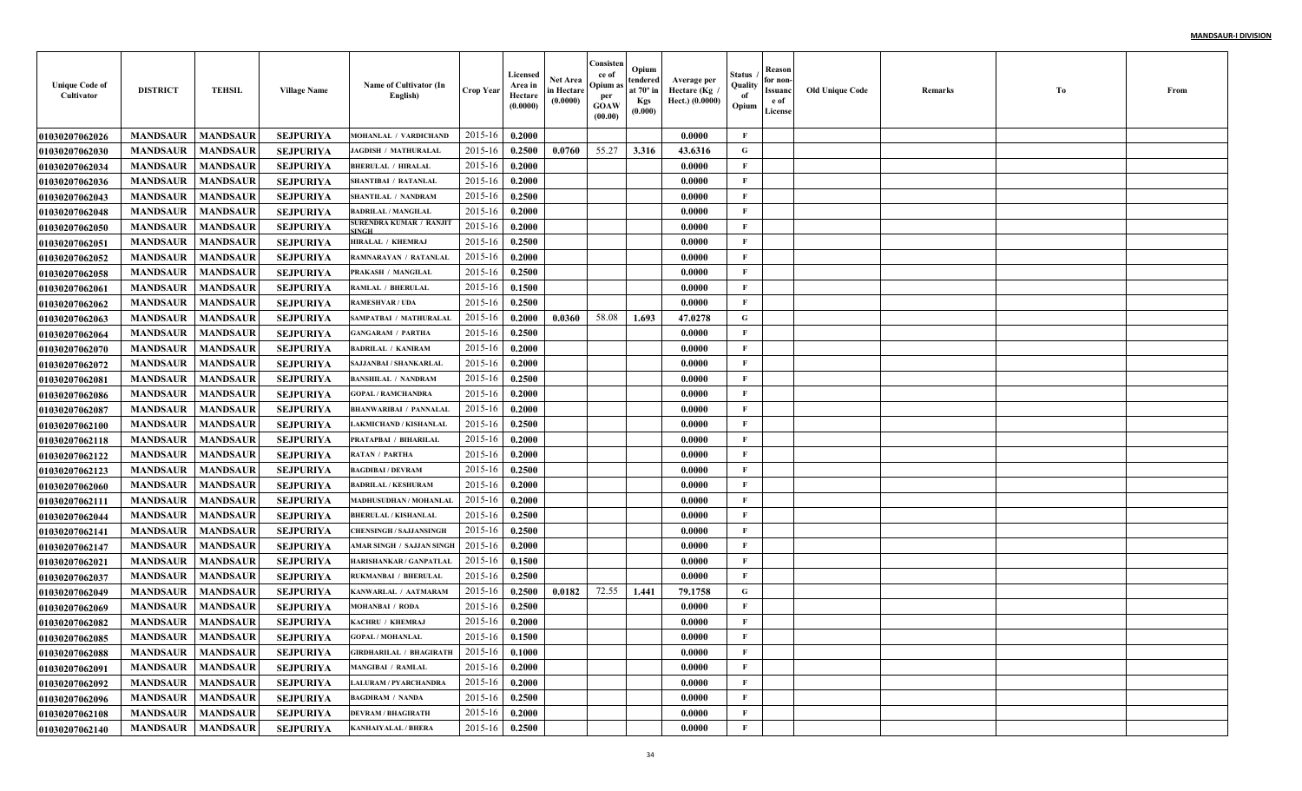| <b>Unique Code of</b><br>Cultivator | <b>DISTRICT</b>            | <b>TEHSIL</b>   | <b>Village Name</b> | Name of Cultivator (In<br>English) | <b>Crop Year</b> | Licensed<br>Area in<br>Hectare<br>(0.0000) | <b>Net Area</b><br>in Hectare<br>(0.0000) | Consisten<br>ce of<br>Opium a<br>per<br><b>GOAW</b><br>(00.00) | Opium<br>tendered<br>at $70^\circ$ in<br><b>Kgs</b><br>(0.000) | Average per<br>Hectare (Kg<br>Hect.) (0.0000) | Status<br>Quality<br>of<br>Opium | Reason<br>for non-<br>Issuanc<br>e of<br>License | <b>Old Unique Code</b> | Remarks | Тo | From |
|-------------------------------------|----------------------------|-----------------|---------------------|------------------------------------|------------------|--------------------------------------------|-------------------------------------------|----------------------------------------------------------------|----------------------------------------------------------------|-----------------------------------------------|----------------------------------|--------------------------------------------------|------------------------|---------|----|------|
| 01030207062026                      | <b>MANDSAUR</b>            | <b>MANDSAUR</b> | <b>SEJPURIYA</b>    | MOHANLAL / VARDICHAND              | 2015-16          | 0.2000                                     |                                           |                                                                |                                                                | 0.0000                                        | F                                |                                                  |                        |         |    |      |
| <b>01030207062030</b>               | <b>MANDSAUR</b>            | <b>MANDSAUR</b> | <b>SEJPURIYA</b>    | <b>JAGDISH / MATHURALAL</b>        | 2015-16          | 0.2500                                     | 0.0760                                    | 55.27                                                          | 3.316                                                          | 43.6316                                       | G                                |                                                  |                        |         |    |      |
| <b>01030207062034</b>               | <b>MANDSAUR</b>            | <b>MANDSAUR</b> | <b>SEJPURIYA</b>    | <b>BHERULAL / HIRALAL</b>          | 2015-16          | 0.2000                                     |                                           |                                                                |                                                                | 0.0000                                        | $\mathbf{F}$                     |                                                  |                        |         |    |      |
| <b>01030207062036</b>               | <b>MANDSAUR</b>            | <b>MANDSAUR</b> | <b>SEJPURIYA</b>    | <b>SHANTIBAI / RATANLAL</b>        | 2015-16          | 0.2000                                     |                                           |                                                                |                                                                | 0.0000                                        | $\mathbf{F}$                     |                                                  |                        |         |    |      |
| <b>01030207062043</b>               | <b>MANDSAUR</b>            | <b>MANDSAUR</b> | <b>SEJPURIYA</b>    | SHANTILAL / NANDRAM                | 2015-16          | 0.2500                                     |                                           |                                                                |                                                                | 0.0000                                        | $\mathbf{F}$                     |                                                  |                        |         |    |      |
| 01030207062048                      | <b>MANDSAUR</b>            | <b>MANDSAUR</b> | <b>SEJPURIYA</b>    | <b>BADRILAL / MANGILAL</b>         | 2015-16          | 0.2000                                     |                                           |                                                                |                                                                | 0.0000                                        | $\mathbf{F}$                     |                                                  |                        |         |    |      |
| 01030207062050                      | <b>MANDSAUR</b>            | <b>MANDSAUR</b> | <b>SEJPURIYA</b>    | SURENDRA KUMAR / RANJIT            | 2015-16          | 0.2000                                     |                                           |                                                                |                                                                | 0.0000                                        | $\mathbf{F}$                     |                                                  |                        |         |    |      |
| 01030207062051                      | <b>MANDSAUR</b>            | <b>MANDSAUR</b> | <b>SEJPURIYA</b>    | HIRALAL / KHEMRAJ                  | 2015-16          | 0.2500                                     |                                           |                                                                |                                                                | 0.0000                                        | F                                |                                                  |                        |         |    |      |
| <b>01030207062052</b>               | <b>MANDSAUR</b>            | <b>MANDSAUR</b> | <b>SEJPURIYA</b>    | RAMNARAYAN / RATANLAL              | 2015-16          | 0.2000                                     |                                           |                                                                |                                                                | 0.0000                                        | $\mathbf{F}$                     |                                                  |                        |         |    |      |
| <b>01030207062058</b>               | <b>MANDSAUR</b>            | <b>MANDSAUR</b> | <b>SEJPURIYA</b>    | PRAKASH / MANGILAL                 | 2015-16          | 0.2500                                     |                                           |                                                                |                                                                | 0.0000                                        | $\mathbf{F}$                     |                                                  |                        |         |    |      |
| <b>01030207062061</b>               | <b>MANDSAUR</b>            | <b>MANDSAUR</b> | <b>SEJPURIYA</b>    | <b>RAMLAL / BHERULAL</b>           | 2015-16          | 0.1500                                     |                                           |                                                                |                                                                | 0.0000                                        | $\mathbf{F}$                     |                                                  |                        |         |    |      |
| <b>01030207062062</b>               | <b>MANDSAUR</b>            | <b>MANDSAUR</b> | <b>SEJPURIYA</b>    | <b>RAMESHVAR / UDA</b>             | 2015-16          | 0.2500                                     |                                           |                                                                |                                                                | 0.0000                                        | $\mathbf{F}$                     |                                                  |                        |         |    |      |
| <b>01030207062063</b>               | <b>MANDSAUR</b>            | <b>MANDSAUR</b> | <b>SEJPURIYA</b>    | SAMPATBAI / MATHURALAL             | 2015-16          | 0.2000                                     | 0.0360                                    | 58.08                                                          | 1.693                                                          | 47.0278                                       | G                                |                                                  |                        |         |    |      |
| <b>01030207062064</b>               | <b>MANDSAUR</b>            | <b>MANDSAUR</b> | <b>SEJPURIYA</b>    | <b>GANGARAM / PARTHA</b>           | 2015-16          | 0.2500                                     |                                           |                                                                |                                                                | 0.0000                                        | $\mathbf{F}$                     |                                                  |                        |         |    |      |
| <b>01030207062070</b>               | <b>MANDSAUR</b>            | <b>MANDSAUR</b> | <b>SEJPURIYA</b>    | <b>BADRILAL / KANIRAM</b>          | 2015-16          | 0.2000                                     |                                           |                                                                |                                                                | 0.0000                                        | $\mathbf{F}$                     |                                                  |                        |         |    |      |
| <b>01030207062072</b>               | <b>MANDSAUR</b>            | <b>MANDSAUR</b> | <b>SEJPURIYA</b>    | <b>SAJJANBAI / SHANKARLAI</b>      | 2015-16          | 0.2000                                     |                                           |                                                                |                                                                | 0.0000                                        | $\mathbf{F}$                     |                                                  |                        |         |    |      |
| <b>01030207062081</b>               | <b>MANDSAUR</b>            | <b>MANDSAUR</b> | <b>SEJPURIYA</b>    | <b>BANSHILAL / NANDRAM</b>         | 2015-16          | 0.2500                                     |                                           |                                                                |                                                                | 0.0000                                        | $\mathbf{F}$                     |                                                  |                        |         |    |      |
| <b>01030207062086</b>               | <b>MANDSAUR</b>            | <b>MANDSAUR</b> | <b>SEJPURIYA</b>    | <b>GOPAL / RAMCHANDRA</b>          | 2015-16          | 0.2000                                     |                                           |                                                                |                                                                | 0.0000                                        | $\mathbf{F}$                     |                                                  |                        |         |    |      |
| <b>01030207062087</b>               | <b>MANDSAUR</b>            | <b>MANDSAUR</b> | <b>SEJPURIYA</b>    | <b>BHANWARIBAI / PANNALAI</b>      | 2015-16          | 0.2000                                     |                                           |                                                                |                                                                | 0.0000                                        | $\mathbf{F}$                     |                                                  |                        |         |    |      |
| <b>01030207062100</b>               | <b>MANDSAUR</b>            | <b>MANDSAUR</b> | <b>SEJPURIYA</b>    | <b>LAKMICHAND / KISHANLAI</b>      | 2015-16          | 0.2500                                     |                                           |                                                                |                                                                | 0.0000                                        | $\mathbf{F}$                     |                                                  |                        |         |    |      |
| <b>01030207062118</b>               | <b>MANDSAUR</b>            | <b>MANDSAUR</b> | <b>SEJPURIYA</b>    | PRATAPBAI / BIHARILAL              | 2015-16          | 0.2000                                     |                                           |                                                                |                                                                | 0.0000                                        | $\mathbf{F}$                     |                                                  |                        |         |    |      |
| <b>01030207062122</b>               | <b>MANDSAUR</b>            | <b>MANDSAUR</b> | <b>SEJPURIYA</b>    | <b>RATAN / PARTHA</b>              | $2015 - 16$      | 0.2000                                     |                                           |                                                                |                                                                | 0.0000                                        | F                                |                                                  |                        |         |    |      |
| <b>01030207062123</b>               | <b>MANDSAUR</b>            | <b>MANDSAUR</b> | <b>SEJPURIYA</b>    | <b>BAGDIBAI / DEVRAM</b>           | 2015-16          | 0.2500                                     |                                           |                                                                |                                                                | 0.0000                                        | $\mathbf{F}$                     |                                                  |                        |         |    |      |
| <b>01030207062060</b>               | <b>MANDSAUR</b>            | <b>MANDSAUR</b> | <b>SEJPURIYA</b>    | <b>BADRILAL / KESHURAM</b>         | 2015-16          | 0.2000                                     |                                           |                                                                |                                                                | 0.0000                                        | $\mathbf{F}$                     |                                                  |                        |         |    |      |
| <b>01030207062111</b>               | <b>MANDSAUR</b>            | <b>MANDSAUR</b> | <b>SEJPURIYA</b>    | MADHUSUDHAN / MOHANLAI             | 2015-16          | 0.2000                                     |                                           |                                                                |                                                                | 0.0000                                        | $\mathbf{F}$                     |                                                  |                        |         |    |      |
| <b>01030207062044</b>               | <b>MANDSAUR</b>            | <b>MANDSAUR</b> | <b>SEJPURIYA</b>    | <b>BHERULAL / KISHANLAL</b>        | 2015-16          | 0.2500                                     |                                           |                                                                |                                                                | 0.0000                                        | $\mathbf{F}$                     |                                                  |                        |         |    |      |
| <b>01030207062141</b>               | <b>MANDSAUR</b>            | <b>MANDSAUR</b> | <b>SEJPURIYA</b>    | <b>CHENSINGH / SAJJANSINGI</b>     | 2015-16          | 0.2500                                     |                                           |                                                                |                                                                | 0.0000                                        | $\mathbf F$                      |                                                  |                        |         |    |      |
| 01030207062147                      | <b>MANDSAUR</b>            | <b>MANDSAUR</b> | <b>SEJPURIYA</b>    | AMAR SINGH / SAJJAN SINGE          | 2015-16          | 0.2000                                     |                                           |                                                                |                                                                | 0.0000                                        | $\mathbf{F}$                     |                                                  |                        |         |    |      |
| 01030207062021                      | <b>MANDSAUR</b>            | <b>MANDSAUR</b> | <b>SEJPURIYA</b>    | HARISHANKAR / GANPATLAI            | 2015-16          | 0.1500                                     |                                           |                                                                |                                                                | 0.0000                                        | $\mathbf{F}$                     |                                                  |                        |         |    |      |
| <b>01030207062037</b>               | <b>MANDSAUR</b>            | <b>MANDSAUR</b> | <b>SEJPURIYA</b>    | <b>RUKMANBAI / BHERULAI</b>        | 2015-16          | 0.2500                                     |                                           |                                                                |                                                                | 0.0000                                        | $\mathbf{F}$                     |                                                  |                        |         |    |      |
| <b>01030207062049</b>               | <b>MANDSAUR</b>            | <b>MANDSAUR</b> | <b>SEJPURIYA</b>    | KANWARLAL / AATMARAM               | 2015-16          | 0.2500                                     | 0.0182                                    | 72.55                                                          | 1.441                                                          | 79.1758                                       | G                                |                                                  |                        |         |    |      |
| <b>01030207062069</b>               | <b>MANDSAUR</b>            | <b>MANDSAUR</b> | <b>SEJPURIYA</b>    | <b>MOHANBAI / RODA</b>             | 2015-16          | 0.2500                                     |                                           |                                                                |                                                                | 0.0000                                        | F                                |                                                  |                        |         |    |      |
| <b>01030207062082</b>               | <b>MANDSAUR</b>            | <b>MANDSAUR</b> | <b>SEJPURIYA</b>    | KACHRU / KHEMRAJ                   | 2015-16          | 0.2000                                     |                                           |                                                                |                                                                | 0.0000                                        | F                                |                                                  |                        |         |    |      |
| 01030207062085                      | <b>MANDSAUR</b>   MANDSAUR |                 | <b>SEJPURIYA</b>    | <b>GOPAL / MOHANLAL</b>            | $2015-16$ 0.1500 |                                            |                                           |                                                                |                                                                | 0.0000                                        | F                                |                                                  |                        |         |    |      |
| 01030207062088                      | <b>MANDSAUR</b>            | <b>MANDSAUR</b> | <b>SEJPURIYA</b>    | <b>GIRDHARILAL / BHAGIRATH</b>     | 2015-16          | 0.1000                                     |                                           |                                                                |                                                                | 0.0000                                        | $\mathbf{F}$                     |                                                  |                        |         |    |      |
| <b>01030207062091</b>               | <b>MANDSAUR</b>            | <b>MANDSAUR</b> | SEJPURIYA           | <b>MANGIBAI / RAMLAL</b>           | 2015-16          | 0.2000                                     |                                           |                                                                |                                                                | 0.0000                                        | $\mathbf{F}$                     |                                                  |                        |         |    |      |
| <b>01030207062092</b>               | <b>MANDSAUR</b>            | <b>MANDSAUR</b> | SEJPURIYA           | <b>LALURAM / PYARCHANDRA</b>       | 2015-16          | 0.2000                                     |                                           |                                                                |                                                                | 0.0000                                        | $\mathbf{F}$                     |                                                  |                        |         |    |      |
| 01030207062096                      | <b>MANDSAUR</b>            | <b>MANDSAUR</b> | <b>SEJPURIYA</b>    | <b>BAGDIRAM / NANDA</b>            | 2015-16          | 0.2500                                     |                                           |                                                                |                                                                | 0.0000                                        | $\mathbf{F}$                     |                                                  |                        |         |    |      |
| 01030207062108                      | <b>MANDSAUR</b>            | <b>MANDSAUR</b> | <b>SEJPURIYA</b>    | <b>DEVRAM / BHAGIRATH</b>          | 2015-16          | 0.2000                                     |                                           |                                                                |                                                                | 0.0000                                        | $\mathbf{F}$                     |                                                  |                        |         |    |      |
| 01030207062140                      | <b>MANDSAUR</b>            | <b>MANDSAUR</b> | SEJPURIYA           | <b>KANHAIYALAL / BHERA</b>         | 2015-16          | 0.2500                                     |                                           |                                                                |                                                                | 0.0000                                        | $\mathbf F$                      |                                                  |                        |         |    |      |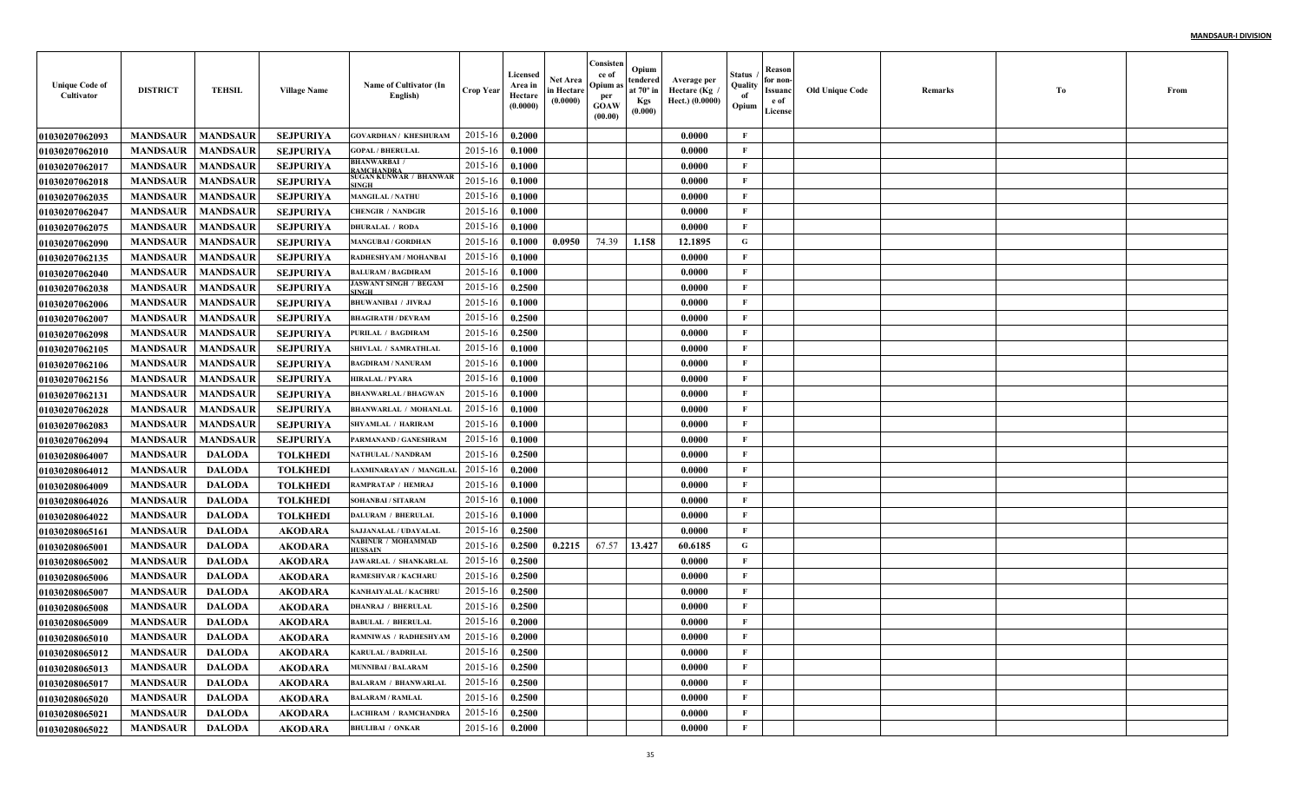| <b>Unique Code of</b><br>Cultivator | <b>DISTRICT</b> | <b>TEHSIL</b>   | <b>Village Name</b> | Name of Cultivator (In<br>English)          | <b>Crop Year</b> | Licensed<br>Area in<br>Hectare<br>(0.0000) | Net Area<br>in Hectare<br>(0.0000) | Consisten<br>ce of<br>Opium a<br>per<br><b>GOAW</b><br>(00.00) | Opium<br>tendered<br>at $70^\circ$ in<br><b>Kgs</b><br>(0.000) | Average per<br>Hectare (Kg<br>Hect.) (0.0000) | Status<br>Quality<br>of<br>Opium | Reason<br>for non-<br>Issuanc<br>e of<br>License | <b>Old Unique Code</b> | Remarks | Тo | From |
|-------------------------------------|-----------------|-----------------|---------------------|---------------------------------------------|------------------|--------------------------------------------|------------------------------------|----------------------------------------------------------------|----------------------------------------------------------------|-----------------------------------------------|----------------------------------|--------------------------------------------------|------------------------|---------|----|------|
| <b>01030207062093</b>               | <b>MANDSAUR</b> | <b>MANDSAUR</b> | <b>SEJPURIYA</b>    | <b>GOVARDHAN / KHESHURAM</b>                | 2015-16          | 0.2000                                     |                                    |                                                                |                                                                | 0.0000                                        | F                                |                                                  |                        |         |    |      |
| <b>01030207062010</b>               | <b>MANDSAUR</b> | <b>MANDSAUR</b> | <b>SEJPURIYA</b>    | <b>GOPAL / BHERULAL</b>                     | 2015-16          | 0.1000                                     |                                    |                                                                |                                                                | 0.0000                                        | $\mathbf{F}$                     |                                                  |                        |         |    |      |
| <b>01030207062017</b>               | <b>MANDSAUR</b> | <b>MANDSAUR</b> | <b>SEJPURIYA</b>    | <b>BHANWARBAI /</b><br><b>AMCHANDRA</b>     | 2015-16          | 0.1000                                     |                                    |                                                                |                                                                | 0.0000                                        | $\mathbf{F}$                     |                                                  |                        |         |    |      |
| 01030207062018                      | <b>MANDSAUR</b> | <b>MANDSAUR</b> | <b>SEJPURIYA</b>    | SUGAN KUNWAR / BHANWAR<br><b>INGH</b>       | 2015-16          | 0.1000                                     |                                    |                                                                |                                                                | 0.0000                                        | $\mathbf{F}$                     |                                                  |                        |         |    |      |
| <b>01030207062035</b>               | <b>MANDSAUR</b> | <b>MANDSAUR</b> | <b>SEJPURIYA</b>    | <b>MANGILAL / NATHU</b>                     | 2015-16          | 0.1000                                     |                                    |                                                                |                                                                | 0.0000                                        | $\mathbf{F}$                     |                                                  |                        |         |    |      |
| <b>01030207062047</b>               | <b>MANDSAUR</b> | <b>MANDSAUR</b> | <b>SEJPURIYA</b>    | <b>CHENGIR / NANDGIR</b>                    | 2015-16          | 0.1000                                     |                                    |                                                                |                                                                | 0.0000                                        | $\mathbf{F}$                     |                                                  |                        |         |    |      |
| <b>01030207062075</b>               | <b>MANDSAUR</b> | <b>MANDSAUR</b> | <b>SEJPURIYA</b>    | <b>DHURALAL / RODA</b>                      | 2015-16          | 0.1000                                     |                                    |                                                                |                                                                | 0.0000                                        | F                                |                                                  |                        |         |    |      |
| <b>01030207062090</b>               | <b>MANDSAUR</b> | <b>MANDSAUR</b> | <b>SEJPURIYA</b>    | <b>MANGUBAI / GORDHAN</b>                   | 2015-16          | 0.1000                                     | 0.0950                             | 74.39                                                          | 1.158                                                          | 12.1895                                       | G                                |                                                  |                        |         |    |      |
| <b>01030207062135</b>               | <b>MANDSAUR</b> | <b>MANDSAUR</b> | <b>SEJPURIYA</b>    | RADHESHYAM / MOHANBAI                       | 2015-16          | 0.1000                                     |                                    |                                                                |                                                                | 0.0000                                        | F                                |                                                  |                        |         |    |      |
| <b>01030207062040</b>               | <b>MANDSAUR</b> | <b>MANDSAUR</b> | <b>SEJPURIYA</b>    | <b>BALURAM / BAGDIRAM</b>                   | 2015-16          | 0.1000                                     |                                    |                                                                |                                                                | 0.0000                                        | $\mathbf{F}$                     |                                                  |                        |         |    |      |
| <b>01030207062038</b>               | <b>MANDSAUR</b> | <b>MANDSAUR</b> | <b>SEJPURIYA</b>    | <b>JASWANT SINGH / BEGAM</b><br>SINGH       | 2015-16          | 0.2500                                     |                                    |                                                                |                                                                | 0.0000                                        | $\mathbf{F}$                     |                                                  |                        |         |    |      |
| <b>01030207062006</b>               | <b>MANDSAUR</b> | <b>MANDSAUR</b> | <b>SEJPURIYA</b>    | <b>BHUWANIBAI / JIVRAJ</b>                  | 2015-16          | 0.1000                                     |                                    |                                                                |                                                                | 0.0000                                        | $\mathbf{F}$                     |                                                  |                        |         |    |      |
| <b>01030207062007</b>               | <b>MANDSAUR</b> | <b>MANDSAUR</b> | <b>SEJPURIYA</b>    | <b>BHAGIRATH / DEVRAM</b>                   | 2015-16          | 0.2500                                     |                                    |                                                                |                                                                | 0.0000                                        | $\mathbf{F}$                     |                                                  |                        |         |    |      |
| <b>01030207062098</b>               | <b>MANDSAUR</b> | <b>MANDSAUR</b> | <b>SEJPURIYA</b>    | <b>PURILAL / BAGDIRAM</b>                   | 2015-16          | 0.2500                                     |                                    |                                                                |                                                                | 0.0000                                        | $\mathbf{F}$                     |                                                  |                        |         |    |      |
| <b>01030207062105</b>               | <b>MANDSAUR</b> | <b>MANDSAUR</b> | <b>SEJPURIYA</b>    | SHIVLAL / SAMRATHLAI                        | 2015-16          | 0.1000                                     |                                    |                                                                |                                                                | 0.0000                                        | $\mathbf{F}$                     |                                                  |                        |         |    |      |
| <b>01030207062106</b>               | <b>MANDSAUR</b> | <b>MANDSAUR</b> | <b>SEJPURIYA</b>    | <b>BAGDIRAM / NANURAM</b>                   | 2015-16          | 0.1000                                     |                                    |                                                                |                                                                | 0.0000                                        | $\mathbf{F}$                     |                                                  |                        |         |    |      |
| <b>01030207062156</b>               | <b>MANDSAUR</b> | <b>MANDSAUR</b> | <b>SEJPURIYA</b>    | <b>HIRALAL / PYARA</b>                      | 2015-16          | 0.1000                                     |                                    |                                                                |                                                                | 0.0000                                        | $\mathbf{F}$                     |                                                  |                        |         |    |      |
| <b>01030207062131</b>               | <b>MANDSAUR</b> | <b>MANDSAUR</b> | <b>SEJPURIYA</b>    | <b>BHANWARLAL / BHAGWAN</b>                 | 2015-16          | 0.1000                                     |                                    |                                                                |                                                                | 0.0000                                        | $\mathbf{F}$                     |                                                  |                        |         |    |      |
| <b>01030207062028</b>               | <b>MANDSAUR</b> | <b>MANDSAUR</b> | <b>SEJPURIYA</b>    | <b>BHANWARLAL / MOHANLAL</b>                | 2015-16          | 0.1000                                     |                                    |                                                                |                                                                | 0.0000                                        | $\mathbf{F}$                     |                                                  |                        |         |    |      |
| <b>01030207062083</b>               | <b>MANDSAUR</b> | <b>MANDSAUR</b> | <b>SEJPURIYA</b>    | <b>SHYAMLAL / HARIRAM</b>                   | 2015-16          | 0.1000                                     |                                    |                                                                |                                                                | 0.0000                                        | $\mathbf{F}$                     |                                                  |                        |         |    |      |
| 01030207062094                      | <b>MANDSAUR</b> | <b>MANDSAUR</b> | <b>SEJPURIYA</b>    | PARMANAND / GANESHRAM                       | 2015-16          | 0.1000                                     |                                    |                                                                |                                                                | 0.0000                                        | $\mathbf{F}$                     |                                                  |                        |         |    |      |
| <b>01030208064007</b>               | <b>MANDSAUR</b> | <b>DALODA</b>   | <b>TOLKHEDI</b>     | <b>NATHULAL / NANDRAM</b>                   | 2015-16          | 0.2500                                     |                                    |                                                                |                                                                | 0.0000                                        | F                                |                                                  |                        |         |    |      |
| <b>01030208064012</b>               | <b>MANDSAUR</b> | <b>DALODA</b>   | <b>TOLKHEDI</b>     | LAXMINARAYAN / MANGILAI                     | 2015-16          | 0.2000                                     |                                    |                                                                |                                                                | 0.0000                                        | $\mathbf{F}$                     |                                                  |                        |         |    |      |
| <b>01030208064009</b>               | <b>MANDSAUR</b> | <b>DALODA</b>   | <b>TOLKHED</b>      | RAMPRATAP / HEMRAJ                          | 2015-16          | 0.1000                                     |                                    |                                                                |                                                                | 0.0000                                        | $\mathbf{F}$                     |                                                  |                        |         |    |      |
| <b>01030208064026</b>               | <b>MANDSAUR</b> | <b>DALODA</b>   | <b>TOLKHED</b>      | <b>SOHANBAI / SITARAM</b>                   | 2015-16          | 0.1000                                     |                                    |                                                                |                                                                | 0.0000                                        | $\mathbf{F}$                     |                                                  |                        |         |    |      |
| <b>01030208064022</b>               | <b>MANDSAUR</b> | <b>DALODA</b>   | <b>TOLKHEDI</b>     | <b>DALURAM / BHERULAL</b>                   | 2015-16          | 0.1000                                     |                                    |                                                                |                                                                | 0.0000                                        | $\mathbf{F}$                     |                                                  |                        |         |    |      |
| <b>01030208065161</b>               | <b>MANDSAUR</b> | <b>DALODA</b>   | <b>AKODARA</b>      | SAJJANALAL / UDAYALAI                       | 2015-16          | 0.2500                                     |                                    |                                                                |                                                                | 0.0000                                        | $\mathbf{F}$                     |                                                  |                        |         |    |      |
| 01030208065001                      | <b>MANDSAUR</b> | <b>DALODA</b>   | <b>AKODARA</b>      | <b>NABINUR / MOHAMMAD</b><br><b>IUSSAIN</b> | 2015-16          | 0.2500                                     | 0.2215                             | 67.57                                                          | 13.427                                                         | 60.6185                                       | G                                |                                                  |                        |         |    |      |
| <b>01030208065002</b>               | <b>MANDSAUR</b> | <b>DALODA</b>   | <b>AKODARA</b>      | <b>JAWARLAL / SHANKARLA</b>                 | 2015-16          | 0.2500                                     |                                    |                                                                |                                                                | 0.0000                                        | $\mathbf{F}$                     |                                                  |                        |         |    |      |
| <b>01030208065006</b>               | <b>MANDSAUR</b> | <b>DALODA</b>   | <b>AKODARA</b>      | RAMESHVAR / KACHARL                         | 2015-16          | 0.2500                                     |                                    |                                                                |                                                                | 0.0000                                        | $\mathbf{F}$                     |                                                  |                        |         |    |      |
| <b>01030208065007</b>               | <b>MANDSAUR</b> | <b>DALODA</b>   | <b>AKODARA</b>      | KANHAIYALAL / KACHRI                        | 2015-16          | 0.2500                                     |                                    |                                                                |                                                                | 0.0000                                        | $\mathbf{F}$                     |                                                  |                        |         |    |      |
| <b>01030208065008</b>               | <b>MANDSAUR</b> | <b>DALODA</b>   | <b>AKODARA</b>      | <b>DHANRAJ / BHERULAL</b>                   | 2015-16          | 0.2500                                     |                                    |                                                                |                                                                | 0.0000                                        | F                                |                                                  |                        |         |    |      |
| <b>01030208065009</b>               | <b>MANDSAUR</b> | <b>DALODA</b>   | AKODARA             | <b>BABULAL / BHERULAL</b>                   | 2015-16          | 0.2000                                     |                                    |                                                                |                                                                | 0.0000                                        | F                                |                                                  |                        |         |    |      |
| 01030208065010                      | <b>MANDSAUR</b> | DALODA          | AKODARA             | <b>RAMNIWAS / RADHESHYAM</b>                | 2015-16 0.2000   |                                            |                                    |                                                                |                                                                | 0.0000                                        | F                                |                                                  |                        |         |    |      |
| 01030208065012                      | <b>MANDSAUR</b> | DALODA          | <b>AKODARA</b>      | <b>KARULAL / BADRILAL</b>                   | 2015-16          | 0.2500                                     |                                    |                                                                |                                                                | 0.0000                                        | F                                |                                                  |                        |         |    |      |
| <b>01030208065013</b>               | <b>MANDSAUR</b> | DALODA          | AKODARA             | <b>MUNNIBAI / BALARAM</b>                   | 2015-16          | 0.2500                                     |                                    |                                                                |                                                                | 0.0000                                        | $\mathbf{F}$                     |                                                  |                        |         |    |      |
| <b>01030208065017</b>               | <b>MANDSAUR</b> | <b>DALODA</b>   | <b>AKODARA</b>      | <b>BALARAM / BHANWARLAL</b>                 | 2015-16          | 0.2500                                     |                                    |                                                                |                                                                | 0.0000                                        | $\mathbf{F}$                     |                                                  |                        |         |    |      |
| <b>01030208065020</b>               | <b>MANDSAUR</b> | <b>DALODA</b>   | <b>AKODARA</b>      | <b>BALARAM / RAMLAL</b>                     | 2015-16          | 0.2500                                     |                                    |                                                                |                                                                | 0.0000                                        | $\mathbf{F}$                     |                                                  |                        |         |    |      |
| <b>01030208065021</b>               | <b>MANDSAUR</b> | <b>DALODA</b>   | <b>AKODARA</b>      | <b>LACHIRAM / RAMCHANDRA</b>                | 2015-16          | 0.2500                                     |                                    |                                                                |                                                                | 0.0000                                        | $\mathbf{F}$                     |                                                  |                        |         |    |      |
| 01030208065022                      | <b>MANDSAUR</b> | <b>DALODA</b>   | <b>AKODARA</b>      | <b>BHULIBAI / ONKAR</b>                     | 2015-16          | 0.2000                                     |                                    |                                                                |                                                                | 0.0000                                        | $\mathbf F$                      |                                                  |                        |         |    |      |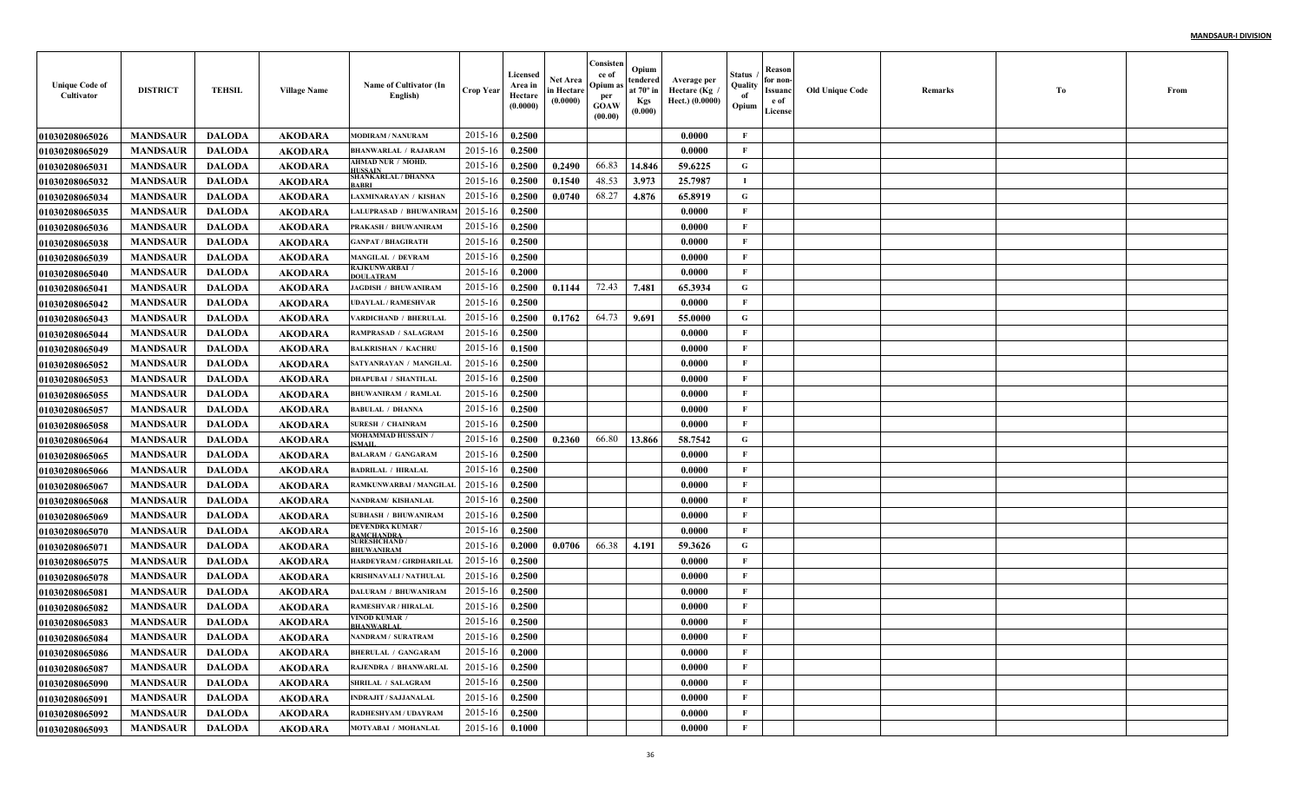| <b>Unique Code of</b><br>Cultivator | <b>DISTRICT</b> | <b>TEHSIL</b> | <b>Village Name</b> | Name of Cultivator (In<br>English)        | <b>Crop Year</b> | Licensed<br>Area in<br>Hectare<br>(0.0000) | Net Area<br>in Hectare<br>(0.0000) | Consisten<br>ce of<br>Opium as<br>per<br><b>GOAW</b><br>(00.00) | Opium<br>tendered<br>at $70^\circ$ in<br><b>Kgs</b><br>(0.000) | Average per<br>Hectare (Kg)<br>Hect.) (0.0000) | Status<br>Quality<br>of<br>Opium | Reason<br>for non-<br>Issuanc<br>e of<br>License | <b>Old Unique Code</b> | Remarks | Тo | From |
|-------------------------------------|-----------------|---------------|---------------------|-------------------------------------------|------------------|--------------------------------------------|------------------------------------|-----------------------------------------------------------------|----------------------------------------------------------------|------------------------------------------------|----------------------------------|--------------------------------------------------|------------------------|---------|----|------|
| <b>01030208065026</b>               | <b>MANDSAUR</b> | <b>DALODA</b> | <b>AKODARA</b>      | <b>MODIRAM / NANURAM</b>                  | 2015-16          | 0.2500                                     |                                    |                                                                 |                                                                | 0.0000                                         | $\mathbf{F}$                     |                                                  |                        |         |    |      |
| <b>01030208065029</b>               | <b>MANDSAUR</b> | <b>DALODA</b> | <b>AKODARA</b>      | <b>BHANWARLAL / RAJARAM</b>               | 2015-16          | 0.2500                                     |                                    |                                                                 |                                                                | 0.0000                                         | F                                |                                                  |                        |         |    |      |
| 01030208065031                      | <b>MANDSAUR</b> | <b>DALODA</b> | <b>AKODARA</b>      | AHMAD NUR / MOHD.<br>IUSSAIN              | 2015-16          | 0.2500                                     | 0.2490                             | 66.83                                                           | 14.846                                                         | 59.6225                                        | G                                |                                                  |                        |         |    |      |
| <b>01030208065032</b>               | <b>MANDSAUR</b> | <b>DALODA</b> | <b>AKODARA</b>      | <b>SHANKARLAL / DHANNA</b><br><b>ABRI</b> | 2015-16          | 0.2500                                     | 0.1540                             | 48.53                                                           | 3.973                                                          | 25.7987                                        | и.                               |                                                  |                        |         |    |      |
| 01030208065034                      | <b>MANDSAUR</b> | <b>DALODA</b> | <b>AKODARA</b>      | LAXMINARAYAN / KISHAN                     | 2015-16          | 0.2500                                     | 0.0740                             | 68.27                                                           | 4.876                                                          | 65.8919                                        | G                                |                                                  |                        |         |    |      |
| <b>01030208065035</b>               | <b>MANDSAUR</b> | <b>DALODA</b> | <b>AKODARA</b>      | <b>LALUPRASAD / BHUWANIRA!</b>            | 2015-16          | 0.2500                                     |                                    |                                                                 |                                                                | 0.0000                                         | F                                |                                                  |                        |         |    |      |
| <b>01030208065036</b>               | <b>MANDSAUR</b> | <b>DALODA</b> | <b>AKODARA</b>      | PRAKASH / BHUWANIRAM                      | 2015-16          | 0.2500                                     |                                    |                                                                 |                                                                | 0.0000                                         | F                                |                                                  |                        |         |    |      |
| <b>01030208065038</b>               | <b>MANDSAUR</b> | <b>DALODA</b> | <b>AKODARA</b>      | <b>GANPAT / BHAGIRATH</b>                 | 2015-16          | 0.2500                                     |                                    |                                                                 |                                                                | 0.0000                                         | $\mathbf{F}$                     |                                                  |                        |         |    |      |
| <b>01030208065039</b>               | <b>MANDSAUR</b> | <b>DALODA</b> | <b>AKODARA</b>      | <b>MANGILAL / DEVRAM</b>                  | 2015-16          | 0.2500                                     |                                    |                                                                 |                                                                | 0.0000                                         | $\mathbf{F}$                     |                                                  |                        |         |    |      |
| <b>01030208065040</b>               | <b>MANDSAUR</b> | <b>DALODA</b> | <b>AKODARA</b>      | <b>RAJKUNWARBAI /</b><br><b>DOULATRAM</b> | 2015-16          | 0.2000                                     |                                    |                                                                 |                                                                | 0.0000                                         | $\mathbf{F}$                     |                                                  |                        |         |    |      |
| <b>01030208065041</b>               | <b>MANDSAUR</b> | <b>DALODA</b> | <b>AKODARA</b>      | <b>JAGDISH / BHUWANIRAM</b>               | 2015-16          | 0.2500                                     | 0.1144                             | 72.43                                                           | 7.481                                                          | 65.3934                                        | G                                |                                                  |                        |         |    |      |
| <b>01030208065042</b>               | <b>MANDSAUR</b> | <b>DALODA</b> | <b>AKODARA</b>      | <b>UDAYLAL / RAMESHVAR</b>                | 2015-16          | 0.2500                                     |                                    |                                                                 |                                                                | 0.0000                                         | $\mathbf{F}$                     |                                                  |                        |         |    |      |
| <b>01030208065043</b>               | <b>MANDSAUR</b> | <b>DALODA</b> | <b>AKODARA</b>      | VARDICHAND / BHERULAI                     | 2015-16          | 0.2500                                     | 0.1762                             | 64.73                                                           | 9.691                                                          | 55.0000                                        | G                                |                                                  |                        |         |    |      |
| <b>01030208065044</b>               | <b>MANDSAUR</b> | <b>DALODA</b> | <b>AKODARA</b>      | <b>RAMPRASAD / SALAGRAM</b>               | 2015-16          | 0.2500                                     |                                    |                                                                 |                                                                | 0.0000                                         | $\mathbf{F}$                     |                                                  |                        |         |    |      |
| <b>01030208065049</b>               | <b>MANDSAUR</b> | <b>DALODA</b> | <b>AKODARA</b>      | <b>BALKRISHAN / KACHRI</b>                | 2015-16          | 0.1500                                     |                                    |                                                                 |                                                                | 0.0000                                         | $\mathbf{F}$                     |                                                  |                        |         |    |      |
| <b>01030208065052</b>               | <b>MANDSAUR</b> | <b>DALODA</b> | <b>AKODARA</b>      | SATYANRAYAN / MANGILAI                    | 2015-16          | 0.2500                                     |                                    |                                                                 |                                                                | 0.0000                                         | $\mathbf{F}$                     |                                                  |                        |         |    |      |
| <b>01030208065053</b>               | <b>MANDSAUR</b> | <b>DALODA</b> | <b>AKODARA</b>      | <b>DHAPUBAI / SHANTILAL</b>               | 2015-16          | 0.2500                                     |                                    |                                                                 |                                                                | 0.0000                                         | $\mathbf{F}$                     |                                                  |                        |         |    |      |
| <b>01030208065055</b>               | <b>MANDSAUR</b> | <b>DALODA</b> | <b>AKODARA</b>      | <b>BHUWANIRAM / RAMLAL</b>                | 2015-16          | 0.2500                                     |                                    |                                                                 |                                                                | 0.0000                                         | $\mathbf{F}$                     |                                                  |                        |         |    |      |
| <b>01030208065057</b>               | <b>MANDSAUR</b> | <b>DALODA</b> | <b>AKODARA</b>      | <b>BABULAL / DHANNA</b>                   | 2015-16          | 0.2500                                     |                                    |                                                                 |                                                                | 0.0000                                         | $\mathbf{F}$                     |                                                  |                        |         |    |      |
| <b>01030208065058</b>               | <b>MANDSAUR</b> | <b>DALODA</b> | <b>AKODARA</b>      | <b>SURESH / CHAINRAM</b>                  | 2015-16          | 0.2500                                     |                                    |                                                                 |                                                                | 0.0000                                         | $\mathbf{F}$                     |                                                  |                        |         |    |      |
| <b>0103020806506</b> 4              | <b>MANDSAUR</b> | <b>DALODA</b> | <b>AKODARA</b>      | MOHAMMAD HUSSAIN<br>SMAIL                 | 2015-16          | 0.2500                                     | 0.2360                             | 66.80                                                           | 13.866                                                         | 58.7542                                        | G                                |                                                  |                        |         |    |      |
| <b>01030208065065</b>               | <b>MANDSAUR</b> | <b>DALODA</b> | AKODARA             | <b>BALARAM / GANGARAM</b>                 | 2015-16          | 0.2500                                     |                                    |                                                                 |                                                                | 0.0000                                         | $\mathbf F$                      |                                                  |                        |         |    |      |
| <b>01030208065066</b>               | <b>MANDSAUR</b> | <b>DALODA</b> | <b>AKODARA</b>      | <b>BADRILAL / HIRALAL</b>                 | 2015-16          | 0.2500                                     |                                    |                                                                 |                                                                | 0.0000                                         | $\mathbf{F}$                     |                                                  |                        |         |    |      |
| <b>01030208065067</b>               | <b>MANDSAUR</b> | <b>DALODA</b> | <b>AKODARA</b>      | RAMKUNWARBAI / MANGILAI                   | 2015-16          | 0.2500                                     |                                    |                                                                 |                                                                | 0.0000                                         | $\mathbf{F}$                     |                                                  |                        |         |    |      |
| <b>01030208065068</b>               | <b>MANDSAUR</b> | <b>DALODA</b> | <b>AKODARA</b>      | NANDRAM/KISHANLAL                         | 2015-16          | 0.2500                                     |                                    |                                                                 |                                                                | 0.0000                                         | $\mathbf{F}$                     |                                                  |                        |         |    |      |
| <b>01030208065069</b>               | <b>MANDSAUR</b> | <b>DALODA</b> | <b>AKODARA</b>      | <b>SUBHASH / BHUWANIRAM</b>               | 2015-16          | 0.2500                                     |                                    |                                                                 |                                                                | 0.0000                                         | $\mathbf{F}$                     |                                                  |                        |         |    |      |
| <b>01030208065070</b>               | <b>MANDSAUR</b> | <b>DALODA</b> | <b>AKODARA</b>      | DEVENDRA KUMAR/<br><b>AMCHANDRA</b>       | 2015-16          | 0.2500                                     |                                    |                                                                 |                                                                | 0.0000                                         | F                                |                                                  |                        |         |    |      |
| <b>01030208065071</b>               | <b>MANDSAUR</b> | <b>DALODA</b> | <b>AKODARA</b>      | <b>SURESHCHAND /</b><br><b>BHUWANIRAM</b> | 2015-16          | 0.2000                                     | 0.0706                             | 66.38                                                           | 4.191                                                          | 59.3626                                        | G                                |                                                  |                        |         |    |      |
| <b>01030208065075</b>               | <b>MANDSAUR</b> | <b>DALODA</b> | <b>AKODARA</b>      | HARDEYRAM / GIRDHARILAL                   | 2015-16          | 0.2500                                     |                                    |                                                                 |                                                                | 0.0000                                         | $\mathbf{F}$                     |                                                  |                        |         |    |      |
| <b>01030208065078</b>               | <b>MANDSAUR</b> | <b>DALODA</b> | <b>AKODARA</b>      | KRISHNAVALI / NATHULAL                    | 2015-16          | 0.2500                                     |                                    |                                                                 |                                                                | 0.0000                                         | $\mathbf{F}$                     |                                                  |                        |         |    |      |
| <b>01030208065081</b>               | <b>MANDSAUR</b> | <b>DALODA</b> | <b>AKODARA</b>      | <b>DALURAM / BHUWANIRAM</b>               | 2015-16          | 0.2500                                     |                                    |                                                                 |                                                                | 0.0000                                         | F                                |                                                  |                        |         |    |      |
| <b>01030208065082</b>               | <b>MANDSAUR</b> | <b>DALODA</b> | <b>AKODARA</b>      | <b>RAMESHVAR / HIRALAL</b>                | 2015-16          | 0.2500                                     |                                    |                                                                 |                                                                | 0.0000                                         | $\mathbf{F}$                     |                                                  |                        |         |    |      |
| <b>01030208065083</b>               | <b>MANDSAUR</b> | <b>DALODA</b> | <b>AKODARA</b>      | VINOD KUMAR<br>BHANWARLAL                 | 2015-16          | 0.2500                                     |                                    |                                                                 |                                                                | 0.0000                                         | $\mathbf{F}$                     |                                                  |                        |         |    |      |
| <b>01030208065084</b>               | <b>MANDSAUR</b> | DALODA        | AKODARA             | <b>NANDRAM / SURATRAM</b>                 | 2015-16 0.2500   |                                            |                                    |                                                                 |                                                                | 0.0000                                         | F                                |                                                  |                        |         |    |      |
| <b>01030208065086</b>               | <b>MANDSAUR</b> | <b>DALODA</b> | AKODARA             | <b>BHERULAL / GANGARAM</b>                | 2015-16          | 0.2000                                     |                                    |                                                                 |                                                                | 0.0000                                         | $\mathbf{F}$                     |                                                  |                        |         |    |      |
| 01030208065087                      | <b>MANDSAUR</b> | <b>DALODA</b> | <b>AKODARA</b>      | RAJENDRA / BHANWARLAL                     | 2015-16          | 0.2500                                     |                                    |                                                                 |                                                                | 0.0000                                         | $\mathbf{F}$                     |                                                  |                        |         |    |      |
| <b>01030208065090</b>               | <b>MANDSAUR</b> | <b>DALODA</b> | <b>AKODARA</b>      | <b>SHRILAL / SALAGRAM</b>                 | 2015-16          | 0.2500                                     |                                    |                                                                 |                                                                | 0.0000                                         | $\mathbf{F}$                     |                                                  |                        |         |    |      |
| <b>01030208065091</b>               | <b>MANDSAUR</b> | <b>DALODA</b> | <b>AKODARA</b>      | <b>INDRAJIT / SAJJANALAL</b>              | 2015-16          | 0.2500                                     |                                    |                                                                 |                                                                | 0.0000                                         | $\mathbf{F}$                     |                                                  |                        |         |    |      |
| 01030208065092                      | <b>MANDSAUR</b> | <b>DALODA</b> | <b>AKODARA</b>      | RADHESHYAM / UDAYRAM                      | 2015-16          | 0.2500                                     |                                    |                                                                 |                                                                | 0.0000                                         | $\mathbf{F}$                     |                                                  |                        |         |    |      |
| 01030208065093                      | <b>MANDSAUR</b> | <b>DALODA</b> | <b>AKODARA</b>      | MOTYABAI / MOHANLAL                       | $2015 - 16$      | 0.1000                                     |                                    |                                                                 |                                                                | 0.0000                                         | $\mathbf{F}$                     |                                                  |                        |         |    |      |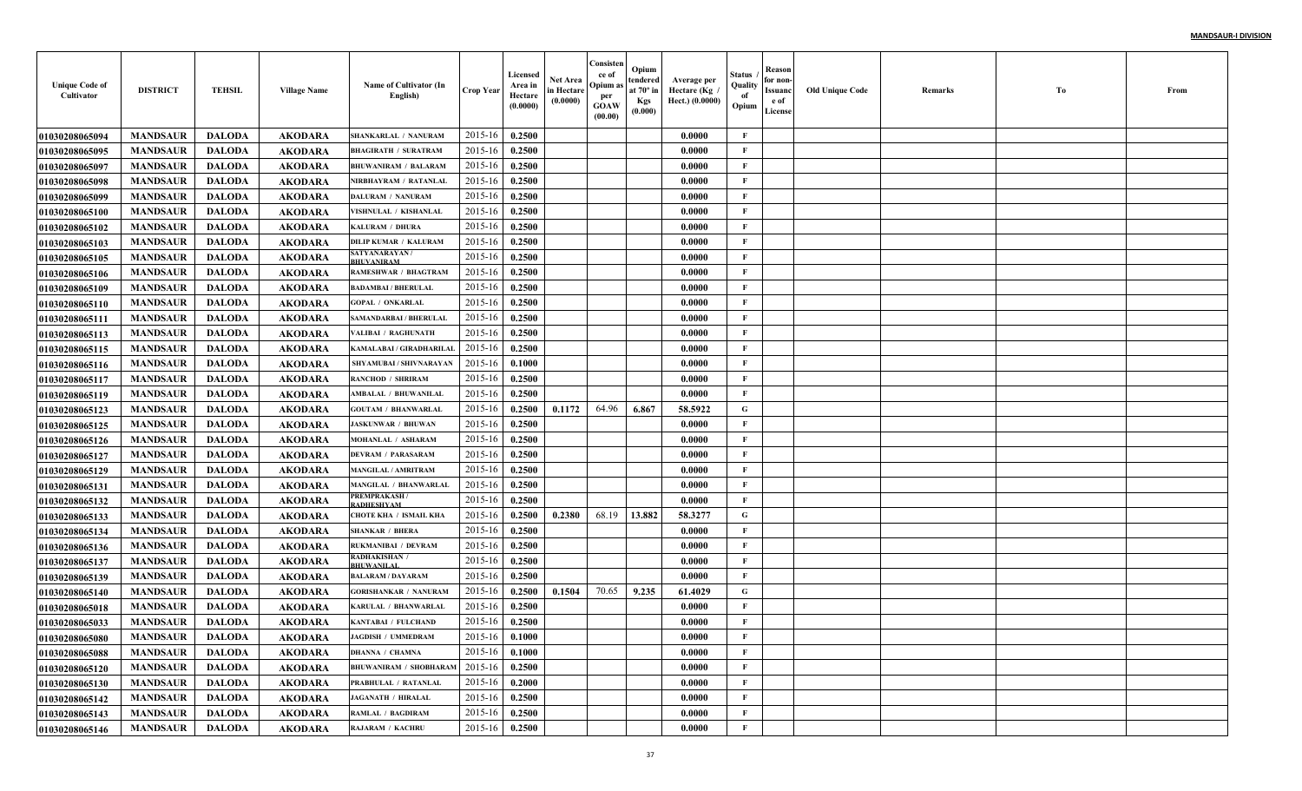| <b>Unique Code of</b><br>Cultivator | <b>DISTRICT</b> | <b>TEHSIL</b> | <b>Village Name</b> | Name of Cultivator (In<br>English) | Crop Year        | Licensed<br>Area in<br>Hectare<br>(0.0000) | Net Area<br>in Hectare<br>(0.0000) | Consister<br>ce of<br>Opium a<br>per<br><b>GOAW</b><br>(00.00) | Opium<br>tendered<br>at 70° in<br><b>Kgs</b><br>(0.000) | Average per<br>Hectare (Kg /<br>Hect.) (0.0000) | Status<br>Quality<br>of<br>Opium | Reason<br>for non-<br>Issuanc<br>e of<br>License | Old Unique Code | Remarks | Tо | From |
|-------------------------------------|-----------------|---------------|---------------------|------------------------------------|------------------|--------------------------------------------|------------------------------------|----------------------------------------------------------------|---------------------------------------------------------|-------------------------------------------------|----------------------------------|--------------------------------------------------|-----------------|---------|----|------|
| <b>01030208065094</b>               | <b>MANDSAUR</b> | <b>DALODA</b> | <b>AKODARA</b>      | <b>SHANKARLAL / NANURAM</b>        | 2015-16          | 0.2500                                     |                                    |                                                                |                                                         | 0.0000                                          | F                                |                                                  |                 |         |    |      |
| <b>01030208065095</b>               | <b>MANDSAUR</b> | <b>DALODA</b> | <b>AKODARA</b>      | <b>BHAGIRATH / SURATRAM</b>        | 2015-16          | 0.2500                                     |                                    |                                                                |                                                         | 0.0000                                          | $\mathbf{F}$                     |                                                  |                 |         |    |      |
| <b>01030208065097</b>               | <b>MANDSAUR</b> | <b>DALODA</b> | <b>AKODARA</b>      | <b>BHUWANIRAM / BALARAM</b>        | 2015-16          | 0.2500                                     |                                    |                                                                |                                                         | 0.0000                                          | F                                |                                                  |                 |         |    |      |
| <b>01030208065098</b>               | <b>MANDSAUR</b> | <b>DALODA</b> | <b>AKODARA</b>      | NIRBHAYRAM / RATANLAI              | 2015-16          | 0.2500                                     |                                    |                                                                |                                                         | 0.0000                                          | F                                |                                                  |                 |         |    |      |
| <b>01030208065099</b>               | <b>MANDSAUR</b> | <b>DALODA</b> | <b>AKODARA</b>      | DALURAM / NANURAM                  | 2015-16          | 0.2500                                     |                                    |                                                                |                                                         | 0.0000                                          | $\mathbf{F}$                     |                                                  |                 |         |    |      |
| <b>01030208065100</b>               | <b>MANDSAUR</b> | <b>DALODA</b> | <b>AKODARA</b>      | VISHNULAL / KISHANLAI              | 2015-16          | 0.2500                                     |                                    |                                                                |                                                         | 0.0000                                          | $\mathbf{F}$                     |                                                  |                 |         |    |      |
| <b>01030208065102</b>               | <b>MANDSAUR</b> | <b>DALODA</b> | <b>AKODARA</b>      | KALURAM / DHURA                    | 2015-16          | 0.2500                                     |                                    |                                                                |                                                         | 0.0000                                          | F                                |                                                  |                 |         |    |      |
| <b>01030208065103</b>               | <b>MANDSAUR</b> | <b>DALODA</b> | <b>AKODARA</b>      | <b>DILIP KUMAR / KALURAM</b>       | 2015-16          | 0.2500                                     |                                    |                                                                |                                                         | 0.0000                                          | F                                |                                                  |                 |         |    |      |
| <b>01030208065105</b>               | <b>MANDSAUR</b> | <b>DALODA</b> | AKODARA             | <b>SATYANARAYAN/</b><br>BHUVANIRAM | 2015-16          | 0.2500                                     |                                    |                                                                |                                                         | 0.0000                                          | F                                |                                                  |                 |         |    |      |
| <b>01030208065106</b>               | <b>MANDSAUR</b> | <b>DALODA</b> | AKODARA             | RAMESHWAR / BHAGTRAM               | 2015-16          | 0.2500                                     |                                    |                                                                |                                                         | 0.0000                                          | F                                |                                                  |                 |         |    |      |
| <b>01030208065109</b>               | <b>MANDSAUR</b> | <b>DALODA</b> | AKODARA             | <b>BADAMBAI / BHERULAL</b>         | 2015-16          | 0.2500                                     |                                    |                                                                |                                                         | 0.0000                                          | $\mathbf{F}$                     |                                                  |                 |         |    |      |
| <b>01030208065110</b>               | <b>MANDSAUR</b> | <b>DALODA</b> | <b>AKODARA</b>      | <b>GOPAL / ONKARLAL</b>            | 2015-16          | 0.2500                                     |                                    |                                                                |                                                         | 0.0000                                          | F                                |                                                  |                 |         |    |      |
| <b>0103020806511</b> 1              | <b>MANDSAUR</b> | <b>DALODA</b> | <b>AKODARA</b>      | SAMANDARBAI / BHERULAI             | 2015-16          | 0.2500                                     |                                    |                                                                |                                                         | 0.0000                                          | $\mathbf{F}$                     |                                                  |                 |         |    |      |
| <b>01030208065113</b>               | <b>MANDSAUR</b> | <b>DALODA</b> | <b>AKODARA</b>      | VALIBAI / RAGHUNATH                | 2015-16          | 0.2500                                     |                                    |                                                                |                                                         | 0.0000                                          | $\mathbf{F}$                     |                                                  |                 |         |    |      |
| <b>01030208065115</b>               | <b>MANDSAUR</b> | <b>DALODA</b> | <b>AKODARA</b>      | KAMALABAI / GIRADHARILAI           | 2015-16          | 0.2500                                     |                                    |                                                                |                                                         | 0.0000                                          | $\mathbf{F}$                     |                                                  |                 |         |    |      |
| <b>01030208065116</b>               | <b>MANDSAUR</b> | <b>DALODA</b> | <b>AKODARA</b>      | SHYAMUBAI / SHIVNARAYAN            | 2015-16          | 0.1000                                     |                                    |                                                                |                                                         | 0.0000                                          | $\mathbf{F}$                     |                                                  |                 |         |    |      |
| <b>01030208065117</b>               | <b>MANDSAUR</b> | <b>DALODA</b> | <b>AKODARA</b>      | <b>RANCHOD / SHRIRAM</b>           | 2015-16          | 0.2500                                     |                                    |                                                                |                                                         | 0.0000                                          | $\mathbf{F}$                     |                                                  |                 |         |    |      |
| <b>01030208065119</b>               | <b>MANDSAUR</b> | <b>DALODA</b> | <b>AKODARA</b>      | AMBALAL / BHUWANILAI               | 2015-16          | 0.2500                                     |                                    |                                                                |                                                         | 0.0000                                          | $\mathbf{F}$                     |                                                  |                 |         |    |      |
| <b>01030208065123</b>               | <b>MANDSAUR</b> | <b>DALODA</b> | <b>AKODARA</b>      | <b>GOUTAM / BHANWARLAI</b>         | 2015-16          | 0.2500                                     | 0.1172                             | 64.96                                                          | 6.867                                                   | 58.5922                                         | G                                |                                                  |                 |         |    |      |
| 01030208065125                      | <b>MANDSAUR</b> | <b>DALODA</b> | <b>AKODARA</b>      | <b>JASKUNWAR / BHUWAN</b>          | 2015-16          | 0.2500                                     |                                    |                                                                |                                                         | 0.0000                                          | $\mathbf{F}$                     |                                                  |                 |         |    |      |
| 01030208065126                      | <b>MANDSAUR</b> | <b>DALODA</b> | AKODARA             | MOHANLAL / ASHARAM                 | 2015-16          | 0.2500                                     |                                    |                                                                |                                                         | 0.0000                                          | $\mathbf{F}$                     |                                                  |                 |         |    |      |
| <b>01030208065127</b>               | <b>MANDSAUR</b> | <b>DALODA</b> | AKODARA             | <b>DEVRAM / PARASARAM</b>          | 2015-16          | 0.2500                                     |                                    |                                                                |                                                         | 0.0000                                          | F                                |                                                  |                 |         |    |      |
| <b>01030208065129</b>               | <b>MANDSAUR</b> | <b>DALODA</b> | AKODARA             | <b>MANGILAL / AMRITRAM</b>         | 2015-16          | 0.2500                                     |                                    |                                                                |                                                         | 0.0000                                          | F                                |                                                  |                 |         |    |      |
| <b>01030208065131</b>               | <b>MANDSAUR</b> | <b>DALODA</b> | <b>AKODARA</b>      | MANGILAL / BHANWARLAL              | 2015-16          | 0.2500                                     |                                    |                                                                |                                                         | 0.0000                                          | $\mathbf{F}$                     |                                                  |                 |         |    |      |
| 01030208065132                      | <b>MANDSAUR</b> | <b>DALODA</b> | <b>AKODARA</b>      | PREMPRAKASH /<br>RADHESHYAM        | 2015-16          | 0.2500                                     |                                    |                                                                |                                                         | 0.0000                                          | $\mathbf{F}$                     |                                                  |                 |         |    |      |
| <b>01030208065133</b>               | <b>MANDSAUR</b> | <b>DALODA</b> | <b>AKODARA</b>      | CHOTE KHA / ISMAIL KHA             | 2015-16          | 0.2500                                     | 0.2380                             | 68.19                                                          | 13.882                                                  | 58.3277                                         | G                                |                                                  |                 |         |    |      |
| <b>01030208065134</b>               | <b>MANDSAUR</b> | <b>DALODA</b> | <b>AKODARA</b>      | <b>SHANKAR / BHERA</b>             | 2015-16          | 0.2500                                     |                                    |                                                                |                                                         | 0.0000                                          | $\mathbf{F}$                     |                                                  |                 |         |    |      |
| 01030208065136                      | <b>MANDSAUR</b> | <b>DALODA</b> | <b>AKODARA</b>      | RUKMANIBAI / DEVRAM                | 2015-16          | 0.2500                                     |                                    |                                                                |                                                         | 0.0000                                          | $\mathbf{F}$                     |                                                  |                 |         |    |      |
| <b>01030208065137</b>               | <b>MANDSAUR</b> | <b>DALODA</b> | <b>AKODARA</b>      | RADHAKISHAN /<br><b>BHUWANILAL</b> | 2015-16          | 0.2500                                     |                                    |                                                                |                                                         | 0.0000                                          | F                                |                                                  |                 |         |    |      |
| 01030208065139                      | <b>MANDSAUR</b> | <b>DALODA</b> | <b>AKODARA</b>      | <b>BALARAM / DAYARAM</b>           | 2015-16          | 0.2500                                     |                                    |                                                                |                                                         | 0.0000                                          | $\mathbf{F}$                     |                                                  |                 |         |    |      |
| <b>01030208065140</b>               | <b>MANDSAUR</b> | <b>DALODA</b> | <b>AKODARA</b>      | <b>GORISHANKAR / NANURAM</b>       | 2015-16          | 0.2500                                     | 0.1504                             | 70.65                                                          | 9.235                                                   | 61.4029                                         | G                                |                                                  |                 |         |    |      |
| <b>01030208065018</b>               | <b>MANDSAUR</b> | <b>DALODA</b> | AKODARA             | KARULAL / BHANWARLAL               | 2015-16          | 0.2500                                     |                                    |                                                                |                                                         | 0.0000                                          | F                                |                                                  |                 |         |    |      |
| <b>01030208065033</b>               | <b>MANDSAUR</b> | <b>DALODA</b> | AKODARA             | KANTABAI / FULCHAND                | 2015-16          | 0.2500                                     |                                    |                                                                |                                                         | 0.0000                                          | $\mathbf{F}$                     |                                                  |                 |         |    |      |
| 01030208065080                      | <b>MANDSAUR</b> | DALODA        | AKODARA             | <b>JAGDISH / UMMEDRAM</b>          | $2015-16$ 0.1000 |                                            |                                    |                                                                |                                                         | 0.0000                                          | $\mathbf{F}$                     |                                                  |                 |         |    |      |
| 01030208065088                      | <b>MANDSAUR</b> | <b>DALODA</b> | <b>AKODARA</b>      | <b>DHANNA / CHAMNA</b>             | 2015-16          | 0.1000                                     |                                    |                                                                |                                                         | 0.0000                                          | $\mathbf{F}$                     |                                                  |                 |         |    |      |
| <b>01030208065120</b>               | <b>MANDSAUR</b> | <b>DALODA</b> | AKODARA             | BHUWANIRAM / SHOBHARAM 2015-16     |                  | 0.2500                                     |                                    |                                                                |                                                         | 0.0000                                          | F                                |                                                  |                 |         |    |      |
| <b>01030208065130</b>               | <b>MANDSAUR</b> | <b>DALODA</b> | <b>AKODARA</b>      | PRABHULAL / RATANLAL               | 2015-16          | 0.2000                                     |                                    |                                                                |                                                         | 0.0000                                          | $\mathbf{F}$                     |                                                  |                 |         |    |      |
| 01030208065142                      | <b>MANDSAUR</b> | <b>DALODA</b> | <b>AKODARA</b>      | <b>JAGANATH / HIRALAL</b>          | 2015-16          | 0.2500                                     |                                    |                                                                |                                                         | 0.0000                                          | $\mathbf{F}$                     |                                                  |                 |         |    |      |
| 01030208065143                      | <b>MANDSAUR</b> | <b>DALODA</b> | <b>AKODARA</b>      | <b>RAMLAL / BAGDIRAM</b>           | 2015-16          | 0.2500                                     |                                    |                                                                |                                                         | 0.0000                                          | F                                |                                                  |                 |         |    |      |
| 01030208065146                      | <b>MANDSAUR</b> | <b>DALODA</b> | <b>AKODARA</b>      | RAJARAM / KACHRU                   | 2015-16          | 0.2500                                     |                                    |                                                                |                                                         | 0.0000                                          | $\mathbf F$                      |                                                  |                 |         |    |      |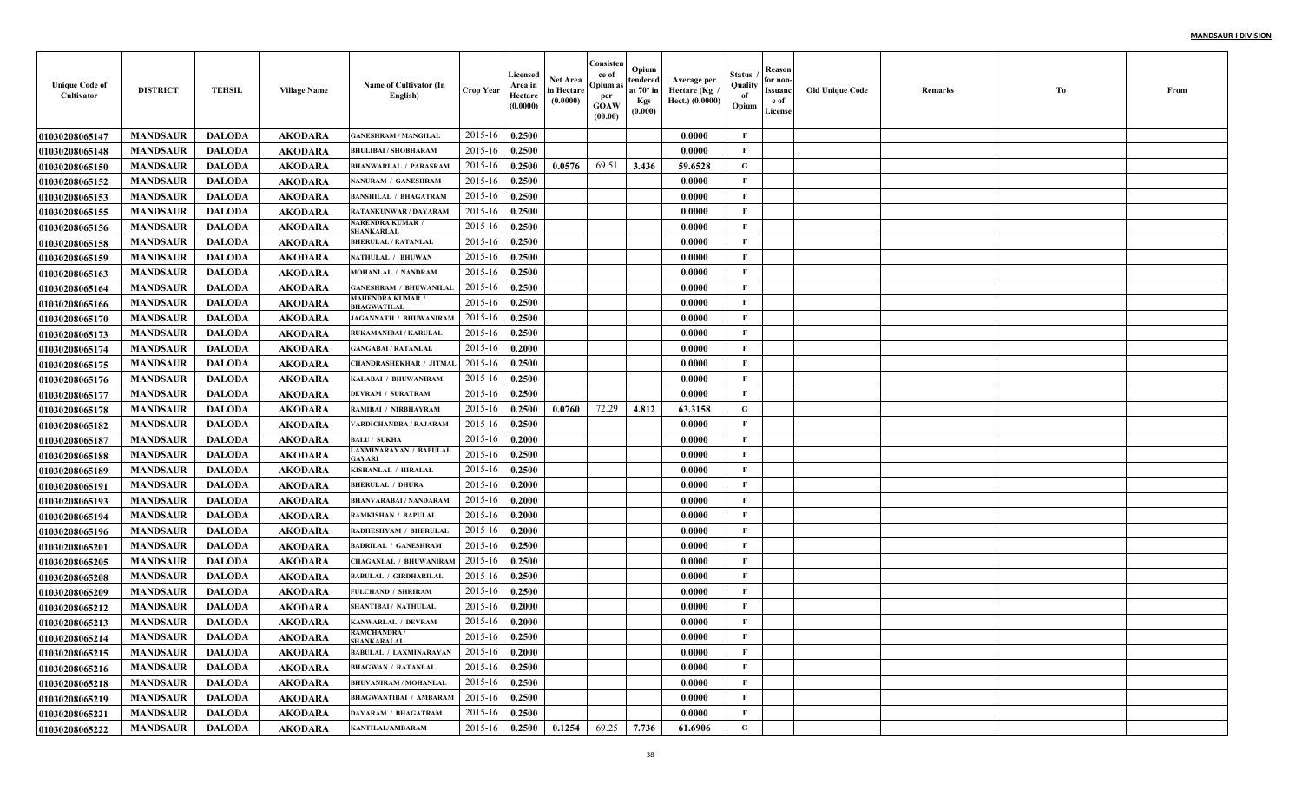| <b>Unique Code of</b><br>Cultivator | <b>DISTRICT</b> | <b>TEHSIL</b> | <b>Village Name</b> | Name of Cultivator (In<br>English)      | <b>Crop Year</b> | Licensed<br>Area in<br>Hectare<br>(0.0000) | Net Area<br>in Hectare<br>(0.0000) | Consisten<br>ce of<br>Opium a<br>per<br><b>GOAW</b><br>(00.00) | Opium<br>tendered<br>at $70^\circ$ in<br><b>Kgs</b><br>(0.000) | Average per<br>Hectare (Kg<br>Hect.) (0.0000) | Status<br>Quality<br>of<br>Opium | Reason<br>for non-<br>Issuanc<br>e of<br>License | <b>Old Unique Code</b> | Remarks | Тo | From |
|-------------------------------------|-----------------|---------------|---------------------|-----------------------------------------|------------------|--------------------------------------------|------------------------------------|----------------------------------------------------------------|----------------------------------------------------------------|-----------------------------------------------|----------------------------------|--------------------------------------------------|------------------------|---------|----|------|
| <b>01030208065147</b>               | <b>MANDSAUR</b> | <b>DALODA</b> | <b>AKODARA</b>      | <b>GANESHRAM / MANGILAL</b>             | 2015-16          | 0.2500                                     |                                    |                                                                |                                                                | 0.0000                                        | F                                |                                                  |                        |         |    |      |
| 01030208065148                      | <b>MANDSAUR</b> | <b>DALODA</b> | <b>AKODARA</b>      | <b>BHULIBAI / SHOBHARAM</b>             | 2015-16          | 0.2500                                     |                                    |                                                                |                                                                | 0.0000                                        | $\mathbf{F}$                     |                                                  |                        |         |    |      |
| <b>01030208065150</b>               | <b>MANDSAUR</b> | <b>DALODA</b> | <b>AKODARA</b>      | <b>BHANWARLAL / PARASRAM</b>            | 2015-16          | 0.2500                                     | 0.0576                             | 69.51                                                          | 3.436                                                          | 59.6528                                       | G                                |                                                  |                        |         |    |      |
| 01030208065152                      | <b>MANDSAUR</b> | <b>DALODA</b> | <b>AKODARA</b>      | NANURAM / GANESHRAM                     | 2015-16          | 0.2500                                     |                                    |                                                                |                                                                | 0.0000                                        | $\mathbf{F}$                     |                                                  |                        |         |    |      |
| 01030208065153                      | <b>MANDSAUR</b> | <b>DALODA</b> | <b>AKODARA</b>      | <b>BANSHILAL / BHAGATRAM</b>            | 2015-16          | 0.2500                                     |                                    |                                                                |                                                                | 0.0000                                        | $\mathbf{F}$                     |                                                  |                        |         |    |      |
| 01030208065155                      | <b>MANDSAUR</b> | <b>DALODA</b> | <b>AKODARA</b>      | <b>RATANKUNWAR / DAYARAM</b>            | 2015-16          | 0.2500                                     |                                    |                                                                |                                                                | 0.0000                                        | $\mathbf{F}$                     |                                                  |                        |         |    |      |
| 01030208065156                      | <b>MANDSAUR</b> | <b>DALODA</b> | <b>AKODARA</b>      | NARENDRA KUMAR /<br><b>HANKARLAI</b>    | 2015-16          | 0.2500                                     |                                    |                                                                |                                                                | 0.0000                                        | $\mathbf{F}$                     |                                                  |                        |         |    |      |
| 01030208065158                      | <b>MANDSAUR</b> | <b>DALODA</b> | <b>AKODARA</b>      | <b>BHERULAL / RATANLAL</b>              | 2015-16          | 0.2500                                     |                                    |                                                                |                                                                | 0.0000                                        | F                                |                                                  |                        |         |    |      |
| <b>01030208065159</b>               | <b>MANDSAUR</b> | <b>DALODA</b> | <b>AKODARA</b>      | <b>NATHULAL / BHUWAN</b>                | 2015-16          | 0.2500                                     |                                    |                                                                |                                                                | 0.0000                                        | $\mathbf{F}$                     |                                                  |                        |         |    |      |
| <b>01030208065163</b>               | <b>MANDSAUR</b> | <b>DALODA</b> | <b>AKODARA</b>      | MOHANLAL / NANDRAM                      | 2015-16          | 0.2500                                     |                                    |                                                                |                                                                | 0.0000                                        | $\mathbf{F}$                     |                                                  |                        |         |    |      |
| <b>01030208065164</b>               | <b>MANDSAUR</b> | <b>DALODA</b> | <b>AKODARA</b>      | <b>GANESHRAM / BHUWANILAL</b>           | 2015-16          | 0.2500                                     |                                    |                                                                |                                                                | 0.0000                                        | $\mathbf{F}$                     |                                                  |                        |         |    |      |
| <b>01030208065166</b>               | <b>MANDSAUR</b> | <b>DALODA</b> | <b>AKODARA</b>      | <b>MAHENDRA KUMAR</b> /<br>BHAGWATILAL  | 2015-16          | 0.2500                                     |                                    |                                                                |                                                                | 0.0000                                        | $\mathbf{F}$                     |                                                  |                        |         |    |      |
| <b>01030208065170</b>               | <b>MANDSAUR</b> | <b>DALODA</b> | <b>AKODARA</b>      | <b>JAGANNATH / BHUWANIRAM</b>           | 2015-16          | 0.2500                                     |                                    |                                                                |                                                                | 0.0000                                        | $\mathbf{F}$                     |                                                  |                        |         |    |      |
| <b>01030208065173</b>               | <b>MANDSAUR</b> | <b>DALODA</b> | <b>AKODARA</b>      | <b>RUKAMANIBAI / KARULAI</b>            | 2015-16          | 0.2500                                     |                                    |                                                                |                                                                | 0.0000                                        | $\mathbf{F}$                     |                                                  |                        |         |    |      |
| <b>01030208065174</b>               | <b>MANDSAUR</b> | <b>DALODA</b> | <b>AKODARA</b>      | <b>GANGABAI / RATANLAL</b>              | 2015-16          | 0.2000                                     |                                    |                                                                |                                                                | 0.0000                                        | $\mathbf{F}$                     |                                                  |                        |         |    |      |
| 01030208065175                      | <b>MANDSAUR</b> | <b>DALODA</b> | <b>AKODARA</b>      | <b>CHANDRASHEKHAR / JITMAL</b>          | 2015-16          | 0.2500                                     |                                    |                                                                |                                                                | 0.0000                                        | $\mathbf{F}$                     |                                                  |                        |         |    |      |
| <b>01030208065176</b>               | <b>MANDSAUR</b> | <b>DALODA</b> | <b>AKODARA</b>      | KALABAI / BHUWANIRAM                    | 2015-16          | 0.2500                                     |                                    |                                                                |                                                                | 0.0000                                        | $\mathbf{F}$                     |                                                  |                        |         |    |      |
| <b>01030208065177</b>               | <b>MANDSAUR</b> | <b>DALODA</b> | <b>AKODARA</b>      | <b>DEVRAM / SURATRAM</b>                | 2015-16          | 0.2500                                     |                                    |                                                                |                                                                | 0.0000                                        | $\mathbf{F}$                     |                                                  |                        |         |    |      |
| <b>01030208065178</b>               | <b>MANDSAUR</b> | <b>DALODA</b> | <b>AKODARA</b>      | RAMIBAI / NIRBHAYRAM                    | 2015-16          | 0.2500                                     | 0.0760                             | 72.29                                                          | 4.812                                                          | 63.3158                                       | G                                |                                                  |                        |         |    |      |
| <b>01030208065182</b>               | <b>MANDSAUR</b> | <b>DALODA</b> | <b>AKODARA</b>      | VARDICHANDRA / RAJARAM                  | 2015-16          | 0.2500                                     |                                    |                                                                |                                                                | 0.0000                                        | $\mathbf{F}$                     |                                                  |                        |         |    |      |
| <b>01030208065187</b>               | <b>MANDSAUR</b> | <b>DALODA</b> | <b>AKODARA</b>      | <b>BALU/ SUKHA</b>                      | 2015-16          | 0.2000                                     |                                    |                                                                |                                                                | 0.0000                                        | $\mathbf{F}$                     |                                                  |                        |         |    |      |
| <b>01030208065188</b>               | <b>MANDSAUR</b> | <b>DALODA</b> | <b>AKODARA</b>      | LAXMINARAYAN / BAPULAL<br>AYARI         | 2015-16          | 0.2500                                     |                                    |                                                                |                                                                | 0.0000                                        | F                                |                                                  |                        |         |    |      |
| <b>01030208065189</b>               | <b>MANDSAUR</b> | <b>DALODA</b> | <b>AKODARA</b>      | KISHANLAL / HIRALAL                     | 2015-16          | 0.2500                                     |                                    |                                                                |                                                                | 0.0000                                        | $\mathbf{F}$                     |                                                  |                        |         |    |      |
| <b>01030208065191</b>               | <b>MANDSAUR</b> | <b>DALODA</b> | <b>AKODARA</b>      | <b>BHERULAL / DHURA</b>                 | 2015-16          | 0.2000                                     |                                    |                                                                |                                                                | 0.0000                                        | $\mathbf{F}$                     |                                                  |                        |         |    |      |
| <b>01030208065193</b>               | <b>MANDSAUR</b> | <b>DALODA</b> | <b>AKODARA</b>      | <b>BHANVARABAI / NANDARAM</b>           | 2015-16          | 0.2000                                     |                                    |                                                                |                                                                | 0.0000                                        | $\mathbf{F}$                     |                                                  |                        |         |    |      |
| <b>01030208065194</b>               | <b>MANDSAUR</b> | <b>DALODA</b> | <b>AKODARA</b>      | <b>RAMKISHAN / BAPULAI</b>              | 2015-16          | 0.2000                                     |                                    |                                                                |                                                                | 0.0000                                        | $\mathbf{F}$                     |                                                  |                        |         |    |      |
| <b>01030208065196</b>               | <b>MANDSAUR</b> | <b>DALODA</b> | <b>AKODARA</b>      | <b>RADHESHYAM / BHERULAL</b>            | 2015-16          | 0.2000                                     |                                    |                                                                |                                                                | 0.0000                                        | $\mathbf F$                      |                                                  |                        |         |    |      |
| 01030208065201                      | <b>MANDSAUR</b> | <b>DALODA</b> | <b>AKODARA</b>      | <b>BADRILAL / GANESHRAM</b>             | 2015-16          | 0.2500                                     |                                    |                                                                |                                                                | 0.0000                                        | $\mathbf{F}$                     |                                                  |                        |         |    |      |
| <b>01030208065205</b>               | <b>MANDSAUR</b> | <b>DALODA</b> | <b>AKODARA</b>      | <b>CHAGANLAL / BHUWANIRAM</b>           | 2015-16          | 0.2500                                     |                                    |                                                                |                                                                | 0.0000                                        | $\mathbf{F}$                     |                                                  |                        |         |    |      |
| <b>01030208065208</b>               | <b>MANDSAUR</b> | <b>DALODA</b> | <b>AKODARA</b>      | <b>BABULAL / GIRDHARILAI</b>            | 2015-16          | 0.2500                                     |                                    |                                                                |                                                                | 0.0000                                        | $\mathbf{F}$                     |                                                  |                        |         |    |      |
| <b>01030208065209</b>               | <b>MANDSAUR</b> | <b>DALODA</b> | <b>AKODARA</b>      | <b>FULCHAND / SHRIRAM</b>               | 2015-16          | 0.2500                                     |                                    |                                                                |                                                                | 0.0000                                        | $\mathbf{F}$                     |                                                  |                        |         |    |      |
| <b>01030208065212</b>               | <b>MANDSAUR</b> | <b>DALODA</b> | AKODARA             | <b>SHANTIBAI / NATHULAL</b>             | 2015-16          | 0.2000                                     |                                    |                                                                |                                                                | 0.0000                                        | F                                |                                                  |                        |         |    |      |
| <b>01030208065213</b>               | <b>MANDSAUR</b> | <b>DALODA</b> | AKODARA             | KANWARLAL / DEVRAM                      | 2015-16          | 0.2000                                     |                                    |                                                                |                                                                | 0.0000                                        | F                                |                                                  |                        |         |    |      |
| 01030208065214                      | <b>MANDSAUR</b> | DALODA        | AKODARA             | <b>RAMCHANDRA</b><br><b>SHANKARALAL</b> | $2015-16$ 0.2500 |                                            |                                    |                                                                |                                                                | 0.0000                                        | F                                |                                                  |                        |         |    |      |
| 01030208065215                      | <b>MANDSAUR</b> | DALODA        | <b>AKODARA</b>      | <b>BABULAL / LAXMINARAYAN</b>           | 2015-16          | 0.2000                                     |                                    |                                                                |                                                                | 0.0000                                        | F                                |                                                  |                        |         |    |      |
| 01030208065216                      | <b>MANDSAUR</b> | DALODA        | AKODARA             | <b>BHAGWAN / RATANLAL</b>               | 2015-16          | 0.2500                                     |                                    |                                                                |                                                                | 0.0000                                        | $\mathbf{F}$                     |                                                  |                        |         |    |      |
| <b>01030208065218</b>               | <b>MANDSAUR</b> | <b>DALODA</b> | <b>AKODARA</b>      | <b>BHUVANIRAM / MOHANLAL</b>            | 2015-16          | 0.2500                                     |                                    |                                                                |                                                                | 0.0000                                        | $\mathbf{F}$                     |                                                  |                        |         |    |      |
| 01030208065219                      | <b>MANDSAUR</b> | <b>DALODA</b> | <b>AKODARA</b>      | <b>BHAGWANTIBAI / AMBARAM</b>           | 2015-16          | 0.2500                                     |                                    |                                                                |                                                                | 0.0000                                        | $\mathbf{F}$                     |                                                  |                        |         |    |      |
| 01030208065221                      | <b>MANDSAUR</b> | <b>DALODA</b> | <b>AKODARA</b>      | DAYARAM / BHAGATRAM                     | 2015-16          | 0.2500                                     |                                    |                                                                |                                                                | 0.0000                                        | $\mathbf{F}$                     |                                                  |                        |         |    |      |
| 01030208065222                      | <b>MANDSAUR</b> | <b>DALODA</b> | <b>AKODARA</b>      | <b>KANTILAL/AMBARAM</b>                 | 2015-16          | 0.2500                                     | 0.1254                             | 69.25                                                          | 7.736                                                          | 61.6906                                       | $\mathbf G$                      |                                                  |                        |         |    |      |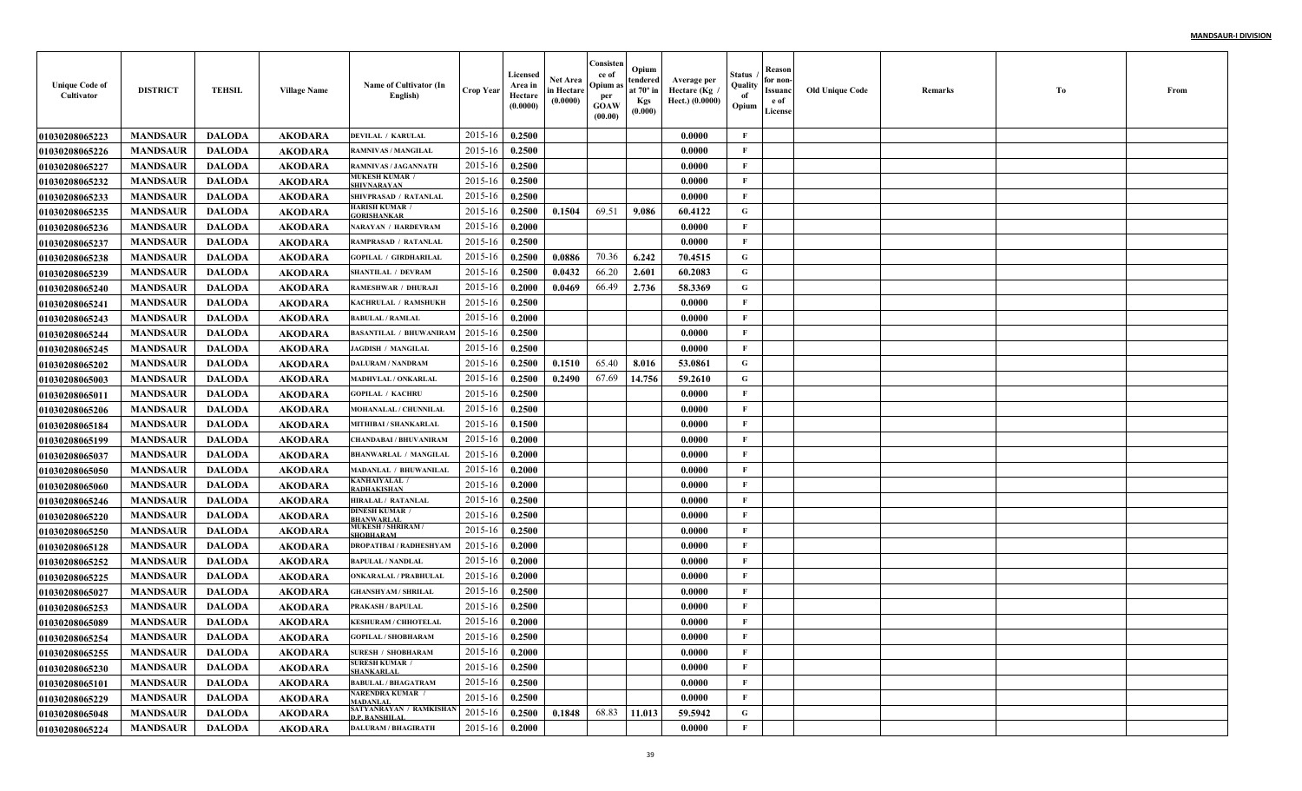| <b>Unique Code of</b><br>Cultivator | <b>DISTRICT</b> | <b>TEHSIL</b> | <b>Village Name</b> | Name of Cultivator (In<br>English)                    | <b>Crop Year</b> | Licensed<br>Area in<br>Hectare<br>(0.0000) | Net Area<br>in Hectare<br>(0.0000) | Consisten<br>ce of<br>Opium a<br>per<br><b>GOAW</b><br>(00.00) | Opium<br>tendered<br>at $70^\circ$ in<br><b>Kgs</b><br>(0.000) | Average per<br>Hectare (Kg<br>Hect.) (0.0000) | Status<br>Quality<br>of<br>Opium | Reason<br>for non-<br>Issuanc<br>e of<br>License | <b>Old Unique Code</b> | Remarks | Тo | From |
|-------------------------------------|-----------------|---------------|---------------------|-------------------------------------------------------|------------------|--------------------------------------------|------------------------------------|----------------------------------------------------------------|----------------------------------------------------------------|-----------------------------------------------|----------------------------------|--------------------------------------------------|------------------------|---------|----|------|
| <b>01030208065223</b>               | <b>MANDSAUR</b> | <b>DALODA</b> | <b>AKODARA</b>      | <b>DEVILAL / KARULAL</b>                              | 2015-16          | 0.2500                                     |                                    |                                                                |                                                                | 0.0000                                        | F                                |                                                  |                        |         |    |      |
| <b>01030208065226</b>               | <b>MANDSAUR</b> | <b>DALODA</b> | <b>AKODARA</b>      | <b>RAMNIVAS / MANGILAL</b>                            | 2015-16          | 0.2500                                     |                                    |                                                                |                                                                | 0.0000                                        | $\mathbf{F}$                     |                                                  |                        |         |    |      |
| <b>01030208065227</b>               | <b>MANDSAUR</b> | <b>DALODA</b> | <b>AKODARA</b>      | <b>RAMNIVAS / JAGANNATH</b>                           | 2015-16          | 0.2500                                     |                                    |                                                                |                                                                | 0.0000                                        | $\mathbf{F}$                     |                                                  |                        |         |    |      |
| <b>01030208065232</b>               | <b>MANDSAUR</b> | <b>DALODA</b> | <b>AKODARA</b>      | MUKESH KUMAR /<br><b>SHIVNARAYAN</b>                  | 2015-16          | 0.2500                                     |                                    |                                                                |                                                                | 0.0000                                        | $\mathbf{F}$                     |                                                  |                        |         |    |      |
| 01030208065233                      | <b>MANDSAUR</b> | <b>DALODA</b> | <b>AKODARA</b>      | SHIVPRASAD / RATANLAL                                 | 2015-16          | 0.2500                                     |                                    |                                                                |                                                                | 0.0000                                        | $\mathbf{F}$                     |                                                  |                        |         |    |      |
| <b>01030208065235</b>               | <b>MANDSAUR</b> | <b>DALODA</b> | <b>AKODARA</b>      | <b>HARISH KUMAR /</b><br><b>ORISHANKAR</b>            | 2015-16          | 0.2500                                     | 0.1504                             | 69.51                                                          | 9.086                                                          | 60.4122                                       | G                                |                                                  |                        |         |    |      |
| <b>01030208065236</b>               | <b>MANDSAUR</b> | <b>DALODA</b> | <b>AKODARA</b>      | <b>NARAYAN / HARDEVRAM</b>                            | 2015-16          | 0.2000                                     |                                    |                                                                |                                                                | 0.0000                                        | F                                |                                                  |                        |         |    |      |
| <b>01030208065237</b>               | <b>MANDSAUR</b> | <b>DALODA</b> | <b>AKODARA</b>      | RAMPRASAD / RATANLAI                                  | 2015-16          | 0.2500                                     |                                    |                                                                |                                                                | 0.0000                                        | F                                |                                                  |                        |         |    |      |
| <b>01030208065238</b>               | <b>MANDSAUR</b> | <b>DALODA</b> | <b>AKODARA</b>      | <b>GOPILAL / GIRDHARILAI</b>                          | 2015-16          | 0.2500                                     | 0.0886                             | 70.36                                                          | 6.242                                                          | 70.4515                                       | $\mathbf G$                      |                                                  |                        |         |    |      |
| <b>01030208065239</b>               | <b>MANDSAUR</b> | <b>DALODA</b> | <b>AKODARA</b>      | <b>SHANTILAL / DEVRAM</b>                             | 2015-16          | 0.2500                                     | 0.0432                             | 66.20                                                          | 2.601                                                          | 60.2083                                       | G                                |                                                  |                        |         |    |      |
| <b>01030208065240</b>               | <b>MANDSAUR</b> | <b>DALODA</b> | <b>AKODARA</b>      | <b>RAMESHWAR / DHURAJI</b>                            | 2015-16          | 0.2000                                     | 0.0469                             | 66.49                                                          | 2.736                                                          | 58.3369                                       | G                                |                                                  |                        |         |    |      |
| <b>01030208065241</b>               | <b>MANDSAUR</b> | <b>DALODA</b> | <b>AKODARA</b>      | KACHRULAL / RAMSHUKH                                  | 2015-16          | 0.2500                                     |                                    |                                                                |                                                                | 0.0000                                        | $\mathbf{F}$                     |                                                  |                        |         |    |      |
| <b>01030208065243</b>               | <b>MANDSAUR</b> | <b>DALODA</b> | <b>AKODARA</b>      | <b>BABULAL / RAMLAL</b>                               | 2015-16          | 0.2000                                     |                                    |                                                                |                                                                | 0.0000                                        | $\mathbf{F}$                     |                                                  |                        |         |    |      |
| <b>01030208065244</b>               | <b>MANDSAUR</b> | <b>DALODA</b> | <b>AKODARA</b>      | <b>BASANTILAL / BHUWANIRAM</b>                        | 2015-16          | 0.2500                                     |                                    |                                                                |                                                                | 0.0000                                        | $\mathbf{F}$                     |                                                  |                        |         |    |      |
| <b>01030208065245</b>               | <b>MANDSAUR</b> | <b>DALODA</b> | <b>AKODARA</b>      | <b>JAGDISH / MANGILAL</b>                             | 2015-16          | 0.2500                                     |                                    |                                                                |                                                                | 0.0000                                        | $\mathbf{F}$                     |                                                  |                        |         |    |      |
| <b>01030208065202</b>               | <b>MANDSAUR</b> | <b>DALODA</b> | <b>AKODARA</b>      | <b>DALURAM / NANDRAM</b>                              | 2015-16          | 0.2500                                     | 0.1510                             | 65.40                                                          | 8.016                                                          | 53.0861                                       | G                                |                                                  |                        |         |    |      |
| <b>01030208065003</b>               | <b>MANDSAUR</b> | <b>DALODA</b> | <b>AKODARA</b>      | <b>MADHVLAL / ONKARLAL</b>                            | 2015-16          | 0.2500                                     | 0.2490                             | 67.69                                                          | 14.756                                                         | 59.2610                                       | G                                |                                                  |                        |         |    |      |
| <b>01030208065011</b>               | <b>MANDSAUR</b> | <b>DALODA</b> | <b>AKODARA</b>      | <b>GOPILAL / KACHRU</b>                               | 2015-16          | 0.2500                                     |                                    |                                                                |                                                                | 0.0000                                        | $\mathbf{F}$                     |                                                  |                        |         |    |      |
| <b>01030208065206</b>               | <b>MANDSAUR</b> | <b>DALODA</b> | <b>AKODARA</b>      | <b>MOHANALAL / CHUNNILAI</b>                          | 2015-16          | 0.2500                                     |                                    |                                                                |                                                                | 0.0000                                        | $\mathbf{F}$                     |                                                  |                        |         |    |      |
| <b>01030208065184</b>               | <b>MANDSAUR</b> | <b>DALODA</b> | <b>AKODARA</b>      | <b>MITHIBAI / SHANKARLAL</b>                          | 2015-16          | 0.1500                                     |                                    |                                                                |                                                                | 0.0000                                        | $\mathbf{F}$                     |                                                  |                        |         |    |      |
| <b>01030208065199</b>               | <b>MANDSAUR</b> | <b>DALODA</b> | <b>AKODARA</b>      | <b>CHANDABAI / BHUVANIRAM</b>                         | 2015-16          | 0.2000                                     |                                    |                                                                |                                                                | 0.0000                                        | $\mathbf{F}$                     |                                                  |                        |         |    |      |
| <b>01030208065037</b>               | <b>MANDSAUR</b> | <b>DALODA</b> | <b>AKODARA</b>      | <b>BHANWARLAL / MANGILAL</b>                          | 2015-16          | 0.2000                                     |                                    |                                                                |                                                                | 0.0000                                        | F                                |                                                  |                        |         |    |      |
| <b>01030208065050</b>               | <b>MANDSAUR</b> | <b>DALODA</b> | <b>AKODARA</b>      | <b>MADANLAL / BHUWANILAL</b>                          | 2015-16          | 0.2000                                     |                                    |                                                                |                                                                | 0.0000                                        | $\mathbf{F}$                     |                                                  |                        |         |    |      |
| <b>01030208065060</b>               | <b>MANDSAUR</b> | <b>DALODA</b> | <b>AKODARA</b>      | <b>KANHAIYALAL /</b><br>RADHAKISHAN                   | 2015-16          | 0.2000                                     |                                    |                                                                |                                                                | 0.0000                                        | $\mathbf{F}$                     |                                                  |                        |         |    |      |
| <b>01030208065246</b>               | <b>MANDSAUR</b> | <b>DALODA</b> | <b>AKODARA</b>      | HIRALAL / RATANLAL                                    | 2015-16          | 0.2500                                     |                                    |                                                                |                                                                | 0.0000                                        | $\mathbf{F}$                     |                                                  |                        |         |    |      |
| <b>01030208065220</b>               | <b>MANDSAUR</b> | <b>DALODA</b> | <b>AKODARA</b>      | DINESH KUMAR /<br><b>HANWARLAI</b>                    | 2015-16          | 0.2500                                     |                                    |                                                                |                                                                | 0.0000                                        | $\mathbf{F}$                     |                                                  |                        |         |    |      |
| <b>01030208065250</b>               | <b>MANDSAUR</b> | <b>DALODA</b> | <b>AKODARA</b>      | <b>MUKESH / SHRIRAM /</b><br><b>SHOBHARAM</b>         | 2015-16          | 0.2500                                     |                                    |                                                                |                                                                | 0.0000                                        | $\mathbf{F}$                     |                                                  |                        |         |    |      |
| <b>01030208065128</b>               | <b>MANDSAUR</b> | <b>DALODA</b> | <b>AKODARA</b>      | <b>DROPATIBAI / RADHESHYAM</b>                        | 2015-16          | 0.2000                                     |                                    |                                                                |                                                                | 0.0000                                        | $\mathbf{F}$                     |                                                  |                        |         |    |      |
| <b>01030208065252</b>               | <b>MANDSAUR</b> | <b>DALODA</b> | <b>AKODARA</b>      | <b>BAPULAL / NANDLAL</b>                              | 2015-16          | 0.2000                                     |                                    |                                                                |                                                                | 0.0000                                        | $\mathbf{F}$                     |                                                  |                        |         |    |      |
| <b>01030208065225</b>               | <b>MANDSAUR</b> | <b>DALODA</b> | <b>AKODARA</b>      | <b>ONKARALAL / PRABHULAI</b>                          | 2015-16          | 0.2000                                     |                                    |                                                                |                                                                | 0.0000                                        | $\mathbf{F}$                     |                                                  |                        |         |    |      |
| <b>01030208065027</b>               | <b>MANDSAUR</b> | <b>DALODA</b> | <b>AKODARA</b>      | <b>GHANSHYAM / SHRILAI</b>                            | 2015-16          | 0.2500                                     |                                    |                                                                |                                                                | 0.0000                                        | $\mathbf{F}$                     |                                                  |                        |         |    |      |
| <b>01030208065253</b>               | <b>MANDSAUR</b> | <b>DALODA</b> | AKODARA             | <b>PRAKASH / BAPULAL</b>                              | 2015-16          | 0.2500                                     |                                    |                                                                |                                                                | 0.0000                                        | F                                |                                                  |                        |         |    |      |
| 01030208065089                      | <b>MANDSAUR</b> | <b>DALODA</b> | AKODARA             | <b>KESHURAM / CHHOTELAL</b>                           | 2015-16          | 0.2000                                     |                                    |                                                                |                                                                | 0.0000                                        | F                                |                                                  |                        |         |    |      |
| 01030208065254                      | MANDSAUR        | DALODA        | AKODARA             | <b>GOPILAL / SHOBHARAM</b>                            | $2015-16$ 0.2500 |                                            |                                    |                                                                |                                                                | 0.0000                                        | F                                |                                                  |                        |         |    |      |
| 01030208065255                      | <b>MANDSAUR</b> | <b>DALODA</b> | <b>AKODARA</b>      | <b>SURESH / SHOBHARAM</b><br><b>SURESH KUMAR /</b>    | 2015-16          | 0.2000                                     |                                    |                                                                |                                                                | 0.0000                                        | F                                |                                                  |                        |         |    |      |
| 01030208065230                      | <b>MANDSAUR</b> | <b>DALODA</b> | <b>AKODARA</b>      | <b>SHANKARLAL</b>                                     | 2015-16          | 0.2500                                     |                                    |                                                                |                                                                | 0.0000                                        | $\mathbf{F}$                     |                                                  |                        |         |    |      |
| <b>01030208065101</b>               | <b>MANDSAUR</b> | <b>DALODA</b> | <b>AKODARA</b>      | <b>BABULAL / BHAGATRAM</b><br><b>NARENDRA KUMAR /</b> | 2015-16          | 0.2500                                     |                                    |                                                                |                                                                | 0.0000                                        | $\mathbf{F}$                     |                                                  |                        |         |    |      |
| <b>01030208065229</b>               | <b>MANDSAUR</b> | <b>DALODA</b> | <b>AKODARA</b>      | <b>MADANLAL</b><br>SATYANRAYAN / RAMKISHAN            | 2015-16          | 0.2500                                     |                                    |                                                                |                                                                | 0.0000                                        | $\mathbf{F}$                     |                                                  |                        |         |    |      |
| 01030208065048                      | <b>MANDSAUR</b> | <b>DALODA</b> | <b>AKODARA</b>      | <b>D.P. BANSHILAL</b>                                 | 2015-16          | 0.2500                                     | 0.1848                             | 68.83                                                          | 11.013                                                         | 59.5942                                       | $\mathbf G$                      |                                                  |                        |         |    |      |
| 01030208065224                      | <b>MANDSAUR</b> | <b>DALODA</b> | <b>AKODARA</b>      | <b>DALURAM / BHAGIRATH</b>                            | 2015-16          | 0.2000                                     |                                    |                                                                |                                                                | 0.0000                                        | $\mathbf F$                      |                                                  |                        |         |    |      |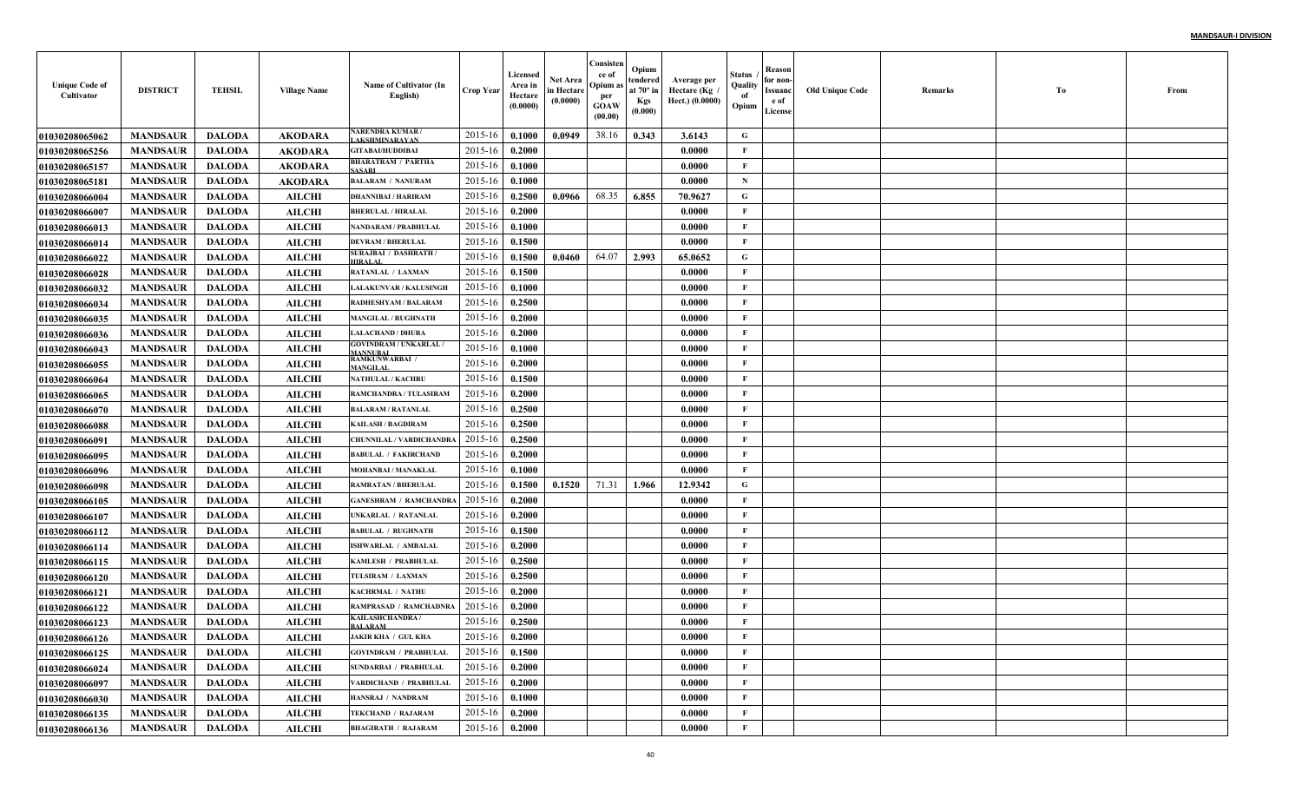| <b>Unique Code of</b><br>Cultivator | <b>DISTRICT</b> | <b>TEHSIL</b> | <b>Village Name</b> | Name of Cultivator (In<br>English)        | Crop Year        | Licensed<br>Area in<br>Hectare<br>(0.0000) | Net Area<br>in Hectare<br>(0.0000) | Consisten<br>ce of<br>Opium a<br>per<br><b>GOAW</b><br>(00.00) | Opium<br>tendered<br>at $70^\circ$ in<br><b>Kgs</b><br>(0.000) | Average per<br>Hectare (Kg<br>Hect.) (0.0000) | Status<br>Quality<br>of<br>Opium | Reason<br>for non-<br>Issuanc<br>e of<br>License | <b>Old Unique Code</b> | Remarks | Тo | From |
|-------------------------------------|-----------------|---------------|---------------------|-------------------------------------------|------------------|--------------------------------------------|------------------------------------|----------------------------------------------------------------|----------------------------------------------------------------|-----------------------------------------------|----------------------------------|--------------------------------------------------|------------------------|---------|----|------|
| <b>01030208065062</b>               | <b>MANDSAUR</b> | <b>DALODA</b> | <b>AKODARA</b>      | NARENDRA KUMAR/<br><b>AKSHMINARAYAN</b>   | 2015-16          | 0.1000                                     | 0.0949                             | 38.16                                                          | 0.343                                                          | 3.6143                                        | G                                |                                                  |                        |         |    |      |
| <b>01030208065256</b>               | <b>MANDSAUR</b> | <b>DALODA</b> | <b>AKODARA</b>      | <b>GITABAI/HUDDIBAI</b>                   | 2015-16          | 0.2000                                     |                                    |                                                                |                                                                | 0.0000                                        | $\mathbf{F}$                     |                                                  |                        |         |    |      |
| 01030208065157                      | <b>MANDSAUR</b> | <b>DALODA</b> | <b>AKODARA</b>      | <b>BHARATRAM / PARTHA</b><br>ASARI        | 2015-16          | 0.1000                                     |                                    |                                                                |                                                                | 0.0000                                        | $\mathbf{F}$                     |                                                  |                        |         |    |      |
| 01030208065181                      | <b>MANDSAUR</b> | <b>DALODA</b> | <b>AKODARA</b>      | <b>BALARAM / NANURAM</b>                  | 2015-16          | 0.1000                                     |                                    |                                                                |                                                                | 0.0000                                        | $\mathbf N$                      |                                                  |                        |         |    |      |
| <b>0103020806600</b> 4              | <b>MANDSAUR</b> | <b>DALODA</b> | <b>AILCHI</b>       | <b>DHANNIBAI / HARIRAM</b>                | 2015-16          | 0.2500                                     | 0.0966                             | 68.35                                                          | 6.855                                                          | 70.9627                                       | G                                |                                                  |                        |         |    |      |
| <b>01030208066007</b>               | <b>MANDSAUR</b> | <b>DALODA</b> | <b>AILCHI</b>       | <b>BHERULAL / HIRALAL</b>                 | 2015-16          | 0.2000                                     |                                    |                                                                |                                                                | 0.0000                                        | $\mathbf{F}$                     |                                                  |                        |         |    |      |
| <b>01030208066013</b>               | <b>MANDSAUR</b> | <b>DALODA</b> | <b>AILCHI</b>       | <b>NANDARAM / PRABHULAI</b>               | 2015-16          | 0.1000                                     |                                    |                                                                |                                                                | 0.0000                                        | $\mathbf{F}$                     |                                                  |                        |         |    |      |
| 01030208066014                      | <b>MANDSAUR</b> | <b>DALODA</b> | <b>AILCHI</b>       | <b>DEVRAM / BHERULAL</b>                  | 2015-16          | 0.1500                                     |                                    |                                                                |                                                                | 0.0000                                        | F                                |                                                  |                        |         |    |      |
| <b>01030208066022</b>               | <b>MANDSAUR</b> | <b>DALODA</b> | <b>AILCHI</b>       | <b>SURAJBAI / DASHRATH</b><br>HIRALAI     | 2015-16          | 0.1500                                     | 0.0460                             | 64.07                                                          | 2.993                                                          | 65.0652                                       | $\mathbf G$                      |                                                  |                        |         |    |      |
| <b>01030208066028</b>               | <b>MANDSAUR</b> | <b>DALODA</b> | <b>AILCHI</b>       | RATANLAL / LAXMAN                         | 2015-16          | 0.1500                                     |                                    |                                                                |                                                                | 0.0000                                        | $\mathbf{F}$                     |                                                  |                        |         |    |      |
| <b>01030208066032</b>               | <b>MANDSAUR</b> | <b>DALODA</b> | <b>AILCHI</b>       | <b>LALAKUNVAR / KALUSINGH</b>             | 2015-16          | 0.1000                                     |                                    |                                                                |                                                                | 0.0000                                        | $\mathbf{F}$                     |                                                  |                        |         |    |      |
| <b>01030208066034</b>               | <b>MANDSAUR</b> | <b>DALODA</b> | <b>AILCHI</b>       | RADHESHYAM / BALARAM                      | 2015-16          | 0.2500                                     |                                    |                                                                |                                                                | 0.0000                                        | $\mathbf{F}$                     |                                                  |                        |         |    |      |
| <b>01030208066035</b>               | <b>MANDSAUR</b> | <b>DALODA</b> | <b>AILCHI</b>       | <b>MANGILAL / RUGHNATH</b>                | 2015-16          | 0.2000                                     |                                    |                                                                |                                                                | 0.0000                                        | $\mathbf{F}$                     |                                                  |                        |         |    |      |
| <b>01030208066036</b>               | <b>MANDSAUR</b> | <b>DALODA</b> | <b>AILCHI</b>       | <b>LALACHAND / DHURA</b>                  | 2015-16          | 0.2000                                     |                                    |                                                                |                                                                | 0.0000                                        | $\mathbf{F}$                     |                                                  |                        |         |    |      |
| <b>01030208066043</b>               | <b>MANDSAUR</b> | <b>DALODA</b> | <b>AILCHI</b>       | <b>GOVINDRAM / UNKARLAL /</b><br>MANNUBAI | 2015-16          | 0.1000                                     |                                    |                                                                |                                                                | 0.0000                                        | $\mathbf{F}$                     |                                                  |                        |         |    |      |
| <b>01030208066055</b>               | <b>MANDSAUR</b> | <b>DALODA</b> | <b>AILCHI</b>       | <b>RAMKUNWARBAI /</b><br>MANGILAL         | 2015-16          | 0.2000                                     |                                    |                                                                |                                                                | 0.0000                                        | $\mathbf{F}$                     |                                                  |                        |         |    |      |
| <b>01030208066064</b>               | <b>MANDSAUR</b> | <b>DALODA</b> | <b>AILCHI</b>       | <b>NATHULAL / KACHRU</b>                  | 2015-16          | 0.1500                                     |                                    |                                                                |                                                                | 0.0000                                        | $\mathbf{F}$                     |                                                  |                        |         |    |      |
| 01030208066065                      | <b>MANDSAUR</b> | <b>DALODA</b> | <b>AILCHI</b>       | RAMCHANDRA / TULASIRAM                    | 2015-16          | 0.2000                                     |                                    |                                                                |                                                                | 0.0000                                        | $\mathbf{F}$                     |                                                  |                        |         |    |      |
| <b>01030208066070</b>               | <b>MANDSAUR</b> | <b>DALODA</b> | <b>AILCHI</b>       | <b>BALARAM / RATANLAI</b>                 | 2015-16          | 0.2500                                     |                                    |                                                                |                                                                | 0.0000                                        | $\mathbf{F}$                     |                                                  |                        |         |    |      |
| <b>01030208066088</b>               | <b>MANDSAUR</b> | <b>DALODA</b> | <b>AILCHI</b>       | <b>KAILASH / BAGDIRAM</b>                 | 2015-16          | 0.2500                                     |                                    |                                                                |                                                                | 0.0000                                        | $\mathbf{F}$                     |                                                  |                        |         |    |      |
| <b>01030208066091</b>               | <b>MANDSAUR</b> | <b>DALODA</b> | <b>AILCHI</b>       | CHUNNILAL / VARDICHANDR/                  | 2015-16          | 0.2500                                     |                                    |                                                                |                                                                | 0.0000                                        | $\mathbf{F}$                     |                                                  |                        |         |    |      |
| <b>01030208066095</b>               | <b>MANDSAUR</b> | <b>DALODA</b> | <b>AILCHI</b>       | <b>BABULAL / FAKIRCHAND</b>               | 2015-16          | 0.2000                                     |                                    |                                                                |                                                                | 0.0000                                        | F                                |                                                  |                        |         |    |      |
| <b>01030208066096</b>               | <b>MANDSAUR</b> | <b>DALODA</b> | <b>AILCHI</b>       | <b>MOHANBAI / MANAKLAL</b>                | 2015-16          | 0.1000                                     |                                    |                                                                |                                                                | 0.0000                                        | $\mathbf{F}$                     |                                                  |                        |         |    |      |
| <b>01030208066098</b>               | <b>MANDSAUR</b> | <b>DALODA</b> | <b>AILCHI</b>       | <b>RAMRATAN / BHERULAI</b>                | 2015-16          | 0.1500                                     | 0.1520                             | 71.31                                                          | 1.966                                                          | 12.9342                                       | G                                |                                                  |                        |         |    |      |
| <b>01030208066105</b>               | <b>MANDSAUR</b> | <b>DALODA</b> | <b>AILCHI</b>       | <b>GANESHRAM / RAMCHANDRA</b>             | 2015-16          | 0.2000                                     |                                    |                                                                |                                                                | 0.0000                                        | $\mathbf{F}$                     |                                                  |                        |         |    |      |
| <b>01030208066107</b>               | <b>MANDSAUR</b> | <b>DALODA</b> | <b>AILCHI</b>       | UNKARLAL / RATANLAI                       | 2015-16          | 0.2000                                     |                                    |                                                                |                                                                | 0.0000                                        | $\mathbf{F}$                     |                                                  |                        |         |    |      |
| <b>01030208066112</b>               | <b>MANDSAUR</b> | <b>DALODA</b> | <b>AILCHI</b>       | <b>BABULAL / RUGHNATH</b>                 | 2015-16          | 0.1500                                     |                                    |                                                                |                                                                | 0.0000                                        | $\mathbf F$                      |                                                  |                        |         |    |      |
| 01030208066114                      | <b>MANDSAUR</b> | <b>DALODA</b> | <b>AILCHI</b>       | <b>ISHWARLAL / AMBALAI</b>                | 2015-16          | 0.2000                                     |                                    |                                                                |                                                                | 0.0000                                        | $\mathbf{F}$                     |                                                  |                        |         |    |      |
| 01030208066115                      | <b>MANDSAUR</b> | <b>DALODA</b> | <b>AILCHI</b>       | KAMLESH / PRABHULAI                       | 2015-16          | 0.2500                                     |                                    |                                                                |                                                                | 0.0000                                        | $\mathbf{F}$                     |                                                  |                        |         |    |      |
| <b>01030208066120</b>               | <b>MANDSAUR</b> | <b>DALODA</b> | <b>AILCHI</b>       | TULSIRAM / LAXMAN                         | 2015-16          | 0.2500                                     |                                    |                                                                |                                                                | 0.0000                                        | $\mathbf{F}$                     |                                                  |                        |         |    |      |
| <b>01030208066121</b>               | <b>MANDSAUR</b> | <b>DALODA</b> | <b>AILCHI</b>       | KACHRMAL / NATHU                          | 2015-16          | 0.2000                                     |                                    |                                                                |                                                                | 0.0000                                        | $\mathbf{F}$                     |                                                  |                        |         |    |      |
| <b>01030208066122</b>               | <b>MANDSAUR</b> | <b>DALODA</b> | <b>AILCHI</b>       | RAMPRASAD / RAMCHADNRA<br>KAILASHCHANDRA/ | 2015-16          | 0.2000                                     |                                    |                                                                |                                                                | 0.0000                                        | F                                |                                                  |                        |         |    |      |
| <b>01030208066123</b>               | <b>MANDSAUR</b> | <b>DALODA</b> | <b>AILCHI</b>       | <b>BALARAM</b>                            | 2015-16          | 0.2500                                     |                                    |                                                                |                                                                | 0.0000                                        | F                                |                                                  |                        |         |    |      |
| 01030208066126                      | <b>MANDSAUR</b> | DALODA        | <b>AILCHI</b>       | <b>JAKIR KHA / GUL KHA</b>                | $2015-16$ 0.2000 |                                            |                                    |                                                                |                                                                | 0.0000                                        | F                                |                                                  |                        |         |    |      |
| 01030208066125                      | <b>MANDSAUR</b> | DALODA        | <b>AILCHI</b>       | <b>GOVINDRAM / PRABHULAL</b>              | 2015-16          | 0.1500                                     |                                    |                                                                |                                                                | 0.0000                                        | $\mathbf{F}$                     |                                                  |                        |         |    |      |
| <b>01030208066024</b>               | <b>MANDSAUR</b> | <b>DALODA</b> | <b>AILCHI</b>       | <b>SUNDARBAI / PRABHULAL</b>              | 2015-16          | 0.2000                                     |                                    |                                                                |                                                                | 0.0000                                        | $\mathbf{F}$                     |                                                  |                        |         |    |      |
| 01030208066097                      | <b>MANDSAUR</b> | <b>DALODA</b> | <b>AILCHI</b>       | VARDICHAND / PRABHULAL                    | 2015-16          | 0.2000                                     |                                    |                                                                |                                                                | 0.0000                                        | $\mathbf{F}$                     |                                                  |                        |         |    |      |
| 01030208066030                      | <b>MANDSAUR</b> | <b>DALODA</b> | <b>AILCHI</b>       | HANSRAJ / NANDRAM                         | 2015-16          | 0.1000                                     |                                    |                                                                |                                                                | 0.0000                                        | $\mathbf{F}$                     |                                                  |                        |         |    |      |
| 01030208066135                      | <b>MANDSAUR</b> | <b>DALODA</b> | <b>AILCHI</b>       | <b>TEKCHAND / RAJARAM</b>                 | 2015-16          | 0.2000                                     |                                    |                                                                |                                                                | 0.0000                                        | $\mathbf{F}$                     |                                                  |                        |         |    |      |
| 01030208066136                      | <b>MANDSAUR</b> | <b>DALODA</b> | <b>AILCHI</b>       | <b>BHAGIRATH / RAJARAM</b>                | 2015-16          | 0.2000                                     |                                    |                                                                |                                                                | 0.0000                                        | $\mathbf F$                      |                                                  |                        |         |    |      |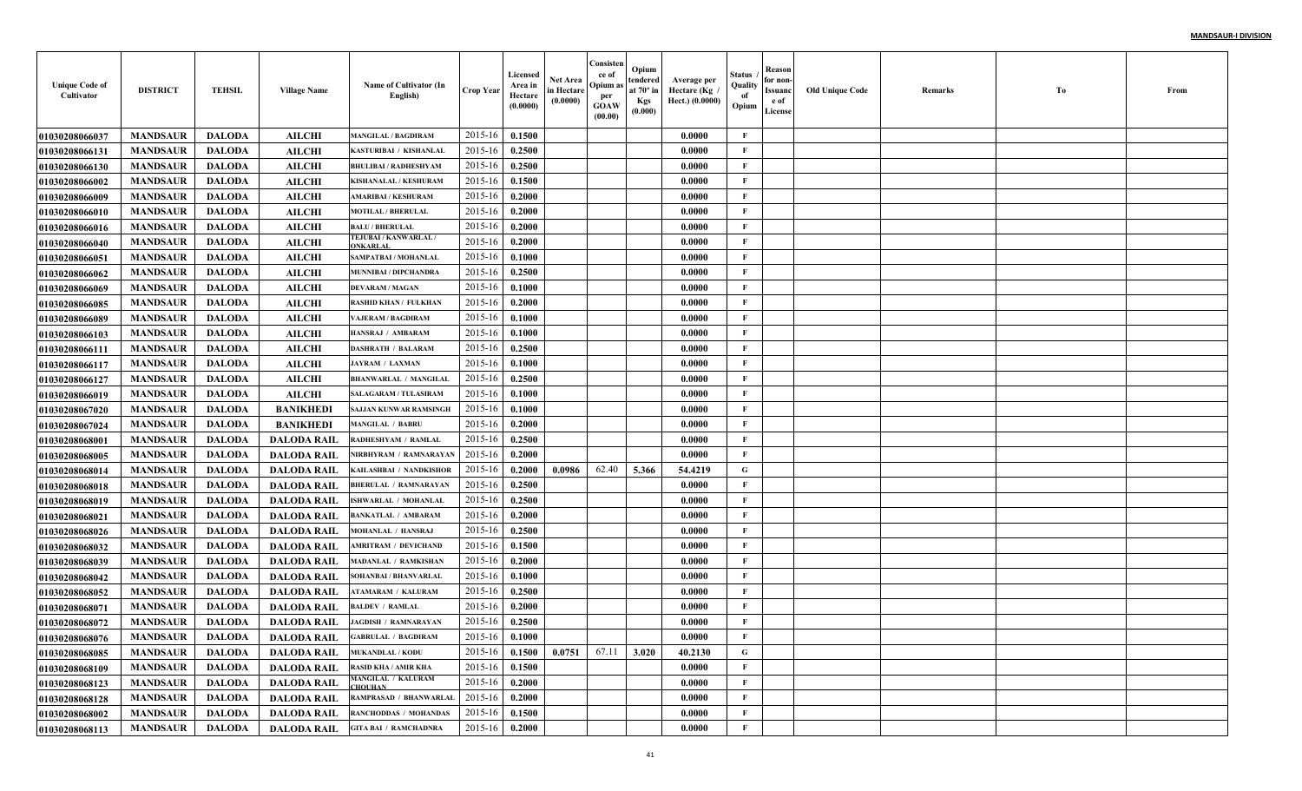| <b>Unique Code of</b><br>Cultivator | <b>DISTRICT</b> | <b>TEHSIL</b> | <b>Village Name</b> | Name of Cultivator (In<br>English)                       | <b>Crop Year</b> | Licensed<br>Area in<br>Hectare<br>(0.0000) | Net Area<br>in Hectare<br>(0.0000) | Consisten<br>ce of<br>Opium a<br>per<br><b>GOAW</b><br>(00.00) | Opium<br>tendered<br>at $70^\circ$ in<br><b>Kgs</b><br>(0.000) | Average per<br>Hectare (Kg<br>Hect.) (0.0000) | Status<br>Quality<br>of<br>Opium | Reason<br>for non-<br>Issuanc<br>e of<br>License | <b>Old Unique Code</b> | Remarks | Тo | From |
|-------------------------------------|-----------------|---------------|---------------------|----------------------------------------------------------|------------------|--------------------------------------------|------------------------------------|----------------------------------------------------------------|----------------------------------------------------------------|-----------------------------------------------|----------------------------------|--------------------------------------------------|------------------------|---------|----|------|
| <b>01030208066037</b>               | <b>MANDSAUR</b> | <b>DALODA</b> | <b>AILCHI</b>       | <b>MANGILAL / BAGDIRAM</b>                               | 2015-16          | 0.1500                                     |                                    |                                                                |                                                                | 0.0000                                        | F                                |                                                  |                        |         |    |      |
| <b>01030208066131</b>               | <b>MANDSAUR</b> | <b>DALODA</b> | <b>AILCHI</b>       | <b>KASTURIBAI / KISHANLAI</b>                            | 2015-16          | 0.2500                                     |                                    |                                                                |                                                                | 0.0000                                        | $\mathbf{F}$                     |                                                  |                        |         |    |      |
| <b>01030208066130</b>               | <b>MANDSAUR</b> | <b>DALODA</b> | <b>AILCHI</b>       | <b>BHULIBAI / RADHESHYAM</b>                             | 2015-16          | 0.2500                                     |                                    |                                                                |                                                                | 0.0000                                        | $\mathbf{F}$                     |                                                  |                        |         |    |      |
| <b>01030208066002</b>               | <b>MANDSAUR</b> | <b>DALODA</b> | <b>AILCHI</b>       | KISHANALAL / KESHURAM                                    | 2015-16          | 0.1500                                     |                                    |                                                                |                                                                | 0.0000                                        | $\mathbf{F}$                     |                                                  |                        |         |    |      |
| <b>01030208066009</b>               | <b>MANDSAUR</b> | <b>DALODA</b> | <b>AILCHI</b>       | <b>AMARIBAI / KESHURAM</b>                               | 2015-16          | 0.2000                                     |                                    |                                                                |                                                                | 0.0000                                        | $\mathbf{F}$                     |                                                  |                        |         |    |      |
| <b>01030208066010</b>               | <b>MANDSAUR</b> | <b>DALODA</b> | <b>AILCHI</b>       | <b>MOTILAL / BHERULAL</b>                                | 2015-16          | 0.2000                                     |                                    |                                                                |                                                                | 0.0000                                        | $\mathbf{F}$                     |                                                  |                        |         |    |      |
| <b>01030208066016</b>               | <b>MANDSAUR</b> | <b>DALODA</b> | <b>AILCHI</b>       | <b>BALU / BHERULAL</b>                                   | 2015-16          | 0.2000                                     |                                    |                                                                |                                                                | 0.0000                                        | $\mathbf{F}$                     |                                                  |                        |         |    |      |
| <b>01030208066040</b>               | <b>MANDSAUR</b> | <b>DALODA</b> | <b>AILCHI</b>       | TEJUBAI / KANWARLAL,<br>ONKARLAL                         | 2015-16          | 0.2000                                     |                                    |                                                                |                                                                | 0.0000                                        | $\mathbf{F}$                     |                                                  |                        |         |    |      |
| <b>01030208066051</b>               | <b>MANDSAUR</b> | <b>DALODA</b> | <b>AILCHI</b>       | <b>SAMPATBAI / MOHANLAI</b>                              | 2015-16          | 0.1000                                     |                                    |                                                                |                                                                | 0.0000                                        | $\mathbf{F}$                     |                                                  |                        |         |    |      |
| <b>01030208066062</b>               | <b>MANDSAUR</b> | <b>DALODA</b> | <b>AILCHI</b>       | MUNNIBAI / DIPCHANDRA                                    | 2015-16          | 0.2500                                     |                                    |                                                                |                                                                | 0.0000                                        | $\mathbf{F}$                     |                                                  |                        |         |    |      |
| <b>01030208066069</b>               | <b>MANDSAUR</b> | <b>DALODA</b> | <b>AILCHI</b>       | <b>DEVARAM / MAGAN</b>                                   | 2015-16          | 0.1000                                     |                                    |                                                                |                                                                | 0.0000                                        | $\mathbf{F}$                     |                                                  |                        |         |    |      |
| <b>01030208066085</b>               | <b>MANDSAUR</b> | <b>DALODA</b> | <b>AILCHI</b>       | <b>RASHID KHAN / FULKHAN</b>                             | 2015-16          | 0.2000                                     |                                    |                                                                |                                                                | 0.0000                                        | $\mathbf{F}$                     |                                                  |                        |         |    |      |
| <b>01030208066089</b>               | <b>MANDSAUR</b> | <b>DALODA</b> | <b>AILCHI</b>       | <b>VAJERAM / BAGDIRAM</b>                                | 2015-16          | 0.1000                                     |                                    |                                                                |                                                                | 0.0000                                        | $\mathbf{F}$                     |                                                  |                        |         |    |      |
| <b>01030208066103</b>               | <b>MANDSAUR</b> | <b>DALODA</b> | <b>AILCHI</b>       | HANSRAJ / AMBARAM                                        | 2015-16          | 0.1000                                     |                                    |                                                                |                                                                | 0.0000                                        | $\mathbf{F}$                     |                                                  |                        |         |    |      |
| 01030208066111                      | <b>MANDSAUR</b> | <b>DALODA</b> | <b>AILCHI</b>       | <b>DASHRATH / BALARAM</b>                                | 2015-16          | 0.2500                                     |                                    |                                                                |                                                                | 0.0000                                        | $\mathbf{F}$                     |                                                  |                        |         |    |      |
| <b>01030208066117</b>               | <b>MANDSAUR</b> | <b>DALODA</b> | <b>AILCHI</b>       | <b>JAYRAM / LAXMAN</b>                                   | 2015-16          | 0.1000                                     |                                    |                                                                |                                                                | 0.0000                                        | $\mathbf{F}$                     |                                                  |                        |         |    |      |
| 01030208066127                      | <b>MANDSAUR</b> | <b>DALODA</b> | <b>AILCHI</b>       | <b>BHANWARLAL / MANGILAL</b>                             | 2015-16          | 0.2500                                     |                                    |                                                                |                                                                | 0.0000                                        | $\mathbf{F}$                     |                                                  |                        |         |    |      |
| <b>01030208066019</b>               | <b>MANDSAUR</b> | <b>DALODA</b> | <b>AILCHI</b>       | <b>SALAGARAM / TULASIRAM</b>                             | 2015-16          | 0.1000                                     |                                    |                                                                |                                                                | 0.0000                                        | $\mathbf{F}$                     |                                                  |                        |         |    |      |
| <b>01030208067020</b>               | <b>MANDSAUR</b> | <b>DALODA</b> | <b>BANIKHEDI</b>    | <b>SAJJAN KUNWAR RAMSINGH</b>                            | 2015-16          | 0.1000                                     |                                    |                                                                |                                                                | 0.0000                                        | $\mathbf{F}$                     |                                                  |                        |         |    |      |
| <b>01030208067024</b>               | <b>MANDSAUR</b> | <b>DALODA</b> | <b>BANIKHEDI</b>    | <b>MANGILAL / BABRU</b>                                  | 2015-16          | 0.2000                                     |                                    |                                                                |                                                                | 0.0000                                        | $\mathbf{F}$                     |                                                  |                        |         |    |      |
| <b>0103020806800</b> 1              | <b>MANDSAUR</b> | <b>DALODA</b> | <b>DALODA RAIL</b>  | RADHESHYAM / RAMLAI                                      | 2015-16          | 0.2500                                     |                                    |                                                                |                                                                | $\bm{0.0000}$                                 | $\mathbf{F}$                     |                                                  |                        |         |    |      |
| <b>01030208068005</b>               | <b>MANDSAUR</b> | <b>DALODA</b> | <b>DALODA RAIL</b>  | NIRBHYRAM / RAMNARAYAN                                   | 2015-16          | 0.2000                                     |                                    |                                                                |                                                                | 0.0000                                        | F                                |                                                  |                        |         |    |      |
| <b>0103020806801</b> 4              | <b>MANDSAUR</b> | <b>DALODA</b> | <b>DALODA RAIL</b>  | KAILASHBAI / NANDKISHOR                                  | 2015-16          | 0.2000                                     | 0.0986                             | 62.40                                                          | 5.366                                                          | 54.4219                                       | G                                |                                                  |                        |         |    |      |
| 01030208068018                      | <b>MANDSAUR</b> | <b>DALODA</b> | <b>DALODA RAIL</b>  | <b>BHERULAL / RAMNARAYAN</b>                             | 2015-16          | 0.2500                                     |                                    |                                                                |                                                                | 0.0000                                        | $\mathbf{F}$                     |                                                  |                        |         |    |      |
| <b>01030208068019</b>               | <b>MANDSAUR</b> | <b>DALODA</b> | <b>DALODA RAIL</b>  | SHWARLAL / MOHANLAI                                      | 2015-16          | 0.2500                                     |                                    |                                                                |                                                                | 0.0000                                        | $\mathbf{F}$                     |                                                  |                        |         |    |      |
| <b>01030208068021</b>               | <b>MANDSAUR</b> | <b>DALODA</b> | <b>DALODA RAIL</b>  | <b>BANKATLAL / AMBARAM</b>                               | 2015-16          | 0.2000                                     |                                    |                                                                |                                                                | 0.0000                                        | $\mathbf{F}$                     |                                                  |                        |         |    |      |
| <b>01030208068026</b>               | <b>MANDSAUR</b> | <b>DALODA</b> | <b>DALODA RAIL</b>  | <b>MOHANLAL / HANSRAJ</b>                                | 2015-16          | 0.2500                                     |                                    |                                                                |                                                                | 0.0000                                        | $\mathbf F$                      |                                                  |                        |         |    |      |
| <b>01030208068032</b>               | <b>MANDSAUR</b> | <b>DALODA</b> | <b>DALODA RAIL</b>  | <b>MRITRAM / DEVICHAND</b>                               | 2015-16          | 0.1500                                     |                                    |                                                                |                                                                | 0.0000                                        | $\mathbf{F}$                     |                                                  |                        |         |    |      |
| 01030208068039                      | <b>MANDSAUR</b> | <b>DALODA</b> | <b>DALODA RAIL</b>  | MADANLAL / RAMKISHAN                                     | 2015-16          | 0.2000                                     |                                    |                                                                |                                                                | 0.0000                                        | $\mathbf{F}$                     |                                                  |                        |         |    |      |
| 01030208068042                      | <b>MANDSAUR</b> | <b>DALODA</b> | <b>DALODA RAIL</b>  | SOHANBAI / BHANVARLAI                                    | 2015-16          | 0.1000                                     |                                    |                                                                |                                                                | 0.0000                                        | $\mathbf{F}$                     |                                                  |                        |         |    |      |
| <b>01030208068052</b>               | <b>MANDSAUR</b> | <b>DALODA</b> | <b>DALODA RAIL</b>  | <b>ATAMARAM / KALURAM</b>                                | 2015-16          | 0.2500                                     |                                    |                                                                |                                                                | 0.0000                                        | $\mathbf{F}$                     |                                                  |                        |         |    |      |
| <b>01030208068071</b>               | <b>MANDSAUR</b> | <b>DALODA</b> | <b>DALODA RAIL</b>  | <b>BALDEV / RAMLAL</b>                                   | 2015-16          | 0.2000                                     |                                    |                                                                |                                                                | 0.0000                                        | F                                |                                                  |                        |         |    |      |
| <b>01030208068072</b>               | <b>MANDSAUR</b> | <b>DALODA</b> | <b>DALODA RAIL</b>  | <b>JAGDISH / RAMNARAYAN</b>                              | 2015-16          | 0.2500                                     |                                    |                                                                |                                                                | 0.0000                                        | F                                |                                                  |                        |         |    |      |
| 01030208068076                      | <b>MANDSAUR</b> | DALODA        | DALODA RAIL         | <b>GABRULAL / BAGDIRAM</b>                               | $2015-16$ 0.1000 |                                            |                                    |                                                                |                                                                | 0.0000                                        | F                                |                                                  |                        |         |    |      |
| 01030208068085                      | <b>MANDSAUR</b> | DALODA        | DALODA RAIL         | <b>MUKANDLAL / KODU</b>                                  | 2015-16          | 0.1500                                     | 0.0751                             | 67.11                                                          | 3.020                                                          | 40.2130                                       | $\mathbf G$                      |                                                  |                        |         |    |      |
| 01030208068109                      | <b>MANDSAUR</b> | <b>DALODA</b> | DALODA RAIL         | <b>RASID KHA / AMIR KHA</b><br><b>MANGILAL / KALURAM</b> | 2015-16          | 0.1500                                     |                                    |                                                                |                                                                | 0.0000                                        | F                                |                                                  |                        |         |    |      |
| <b>01030208068123</b>               | <b>MANDSAUR</b> | <b>DALODA</b> | <b>DALODA RAIL</b>  | <b>CHOUHAN</b>                                           | 2015-16          | 0.2000                                     |                                    |                                                                |                                                                | 0.0000                                        | $\mathbf{F}$                     |                                                  |                        |         |    |      |
| 01030208068128                      | <b>MANDSAUR</b> | <b>DALODA</b> | <b>DALODA RAIL</b>  | RAMPRASAD / BHANWARLAL                                   | 2015-16          | 0.2000                                     |                                    |                                                                |                                                                | 0.0000                                        | $\mathbf{F}$                     |                                                  |                        |         |    |      |
| <b>01030208068002</b>               | <b>MANDSAUR</b> | <b>DALODA</b> | <b>DALODA RAIL</b>  | <b>RANCHODDAS / MOHANDAS</b>                             | 2015-16          | 0.1500                                     |                                    |                                                                |                                                                | 0.0000                                        | $\mathbf{F}$                     |                                                  |                        |         |    |      |
| 01030208068113                      | <b>MANDSAUR</b> | <b>DALODA</b> | <b>DALODA RAIL</b>  | <b>GITA BAI / RAMCHADNRA</b>                             | 2015-16          | 0.2000                                     |                                    |                                                                |                                                                | 0.0000                                        | $\mathbf F$                      |                                                  |                        |         |    |      |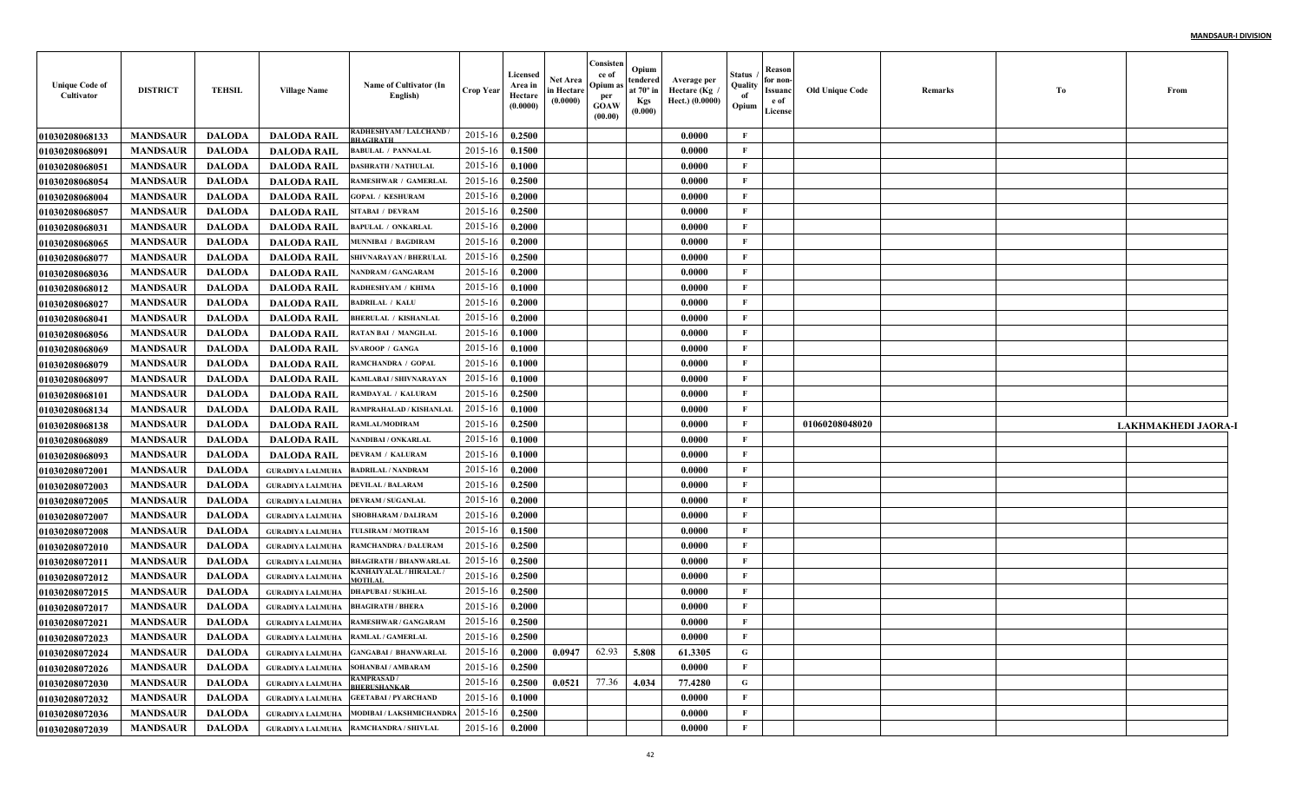| <b>Unique Code of</b><br>Cultivator | <b>DISTRICT</b> | <b>TEHSIL</b> | <b>Village Name</b>                       | Name of Cultivator (In<br>English)           | <b>Crop Year</b> | Licensed<br>Area in<br>Hectare<br>(0.0000) | <b>Net Area</b><br>in Hectare<br>(0.0000) | Consister<br>ce of<br>Opium a:<br>per<br><b>GOAW</b><br>(00.00) | Opium<br>tendered<br>at 70° in<br><b>Kgs</b><br>(0.000) | Average per<br>Hectare (Kg<br>Hect.) (0.0000) | Status<br>Quality<br>of<br>Opium | Reason<br>for non<br><b>Issuanc</b><br>e of<br>License | <b>Old Unique Code</b> | Remarks | Tо | From                |
|-------------------------------------|-----------------|---------------|-------------------------------------------|----------------------------------------------|------------------|--------------------------------------------|-------------------------------------------|-----------------------------------------------------------------|---------------------------------------------------------|-----------------------------------------------|----------------------------------|--------------------------------------------------------|------------------------|---------|----|---------------------|
| 01030208068133                      | <b>MANDSAUR</b> | <b>DALODA</b> | <b>DALODA RAIL</b>                        | RADHESHYAM / LALCHAND /<br><b>BHAGIRATH</b>  | 2015-16          | 0.2500                                     |                                           |                                                                 |                                                         | 0.0000                                        | F                                |                                                        |                        |         |    |                     |
| 01030208068091                      | <b>MANDSAUR</b> | <b>DALODA</b> | <b>DALODA RAIL</b>                        | <b>BABULAL / PANNALAL</b>                    | 2015-16          | 0.1500                                     |                                           |                                                                 |                                                         | 0.0000                                        | F                                |                                                        |                        |         |    |                     |
| 01030208068051                      | <b>MANDSAUR</b> | <b>DALODA</b> | <b>DALODA RAIL</b>                        | <b>DASHRATH / NATHULAL</b>                   | 2015-16          | 0.1000                                     |                                           |                                                                 |                                                         | 0.0000                                        | F                                |                                                        |                        |         |    |                     |
| 01030208068054                      | <b>MANDSAUR</b> | <b>DALODA</b> | <b>DALODA RAIL</b>                        | RAMESHWAR / GAMERLAI                         | 2015-16          | 0.2500                                     |                                           |                                                                 |                                                         | 0.0000                                        | F                                |                                                        |                        |         |    |                     |
| 01030208068004                      | <b>MANDSAUR</b> | <b>DALODA</b> | <b>DALODA RAIL</b>                        | <b>GOPAL / KESHURAM</b>                      | 2015-16          | 0.2000                                     |                                           |                                                                 |                                                         | 0.0000                                        | F                                |                                                        |                        |         |    |                     |
| 01030208068057                      | <b>MANDSAUR</b> | <b>DALODA</b> | <b>DALODA RAIL</b>                        | <b>SITABAI / DEVRAM</b>                      | 2015-16          | 0.2500                                     |                                           |                                                                 |                                                         | 0.0000                                        | F                                |                                                        |                        |         |    |                     |
| 0103020806803                       | <b>MANDSAUR</b> | <b>DALODA</b> | <b>DALODA RAIL</b>                        | <b>BAPULAL / ONKARLAL</b>                    | 2015-16          | 0.2000                                     |                                           |                                                                 |                                                         | 0.0000                                        | $\mathbf{F}$                     |                                                        |                        |         |    |                     |
| <b>01030208068065</b>               | <b>MANDSAUR</b> | <b>DALODA</b> | <b>DALODA RAIL</b>                        | <b>MUNNIBAI / BAGDIRAM</b>                   | 2015-16          | 0.2000                                     |                                           |                                                                 |                                                         | 0.0000                                        | F                                |                                                        |                        |         |    |                     |
| <b>01030208068077</b>               | <b>MANDSAUR</b> | <b>DALODA</b> | <b>DALODA RAIL</b>                        | SHIVNARAYAN / BHERULAI                       | 2015-16          | 0.2500                                     |                                           |                                                                 |                                                         | 0.0000                                        | F                                |                                                        |                        |         |    |                     |
| 01030208068036                      | <b>MANDSAUR</b> | <b>DALODA</b> | <b>DALODA RAIL</b>                        | NANDRAM / GANGARAM                           | 2015-16          | 0.2000                                     |                                           |                                                                 |                                                         | 0.0000                                        | F                                |                                                        |                        |         |    |                     |
| <b>01030208068012</b>               | <b>MANDSAUR</b> | <b>DALODA</b> | <b>DALODA RAIL</b>                        | RADHESHYAM / KHIMA                           | 2015-16          | 0.1000                                     |                                           |                                                                 |                                                         | 0.0000                                        | F                                |                                                        |                        |         |    |                     |
| <b>01030208068027</b>               | <b>MANDSAUR</b> | <b>DALODA</b> | <b>DALODA RAIL</b>                        | <b>BADRILAL / KALU</b>                       | 2015-16          | 0.2000                                     |                                           |                                                                 |                                                         | 0.0000                                        | F                                |                                                        |                        |         |    |                     |
| 0103020806804                       | <b>MANDSAUR</b> | <b>DALODA</b> | <b>DALODA RAIL</b>                        | <b>BHERULAL / KISHANLAL</b>                  | 2015-16          | 0.2000                                     |                                           |                                                                 |                                                         | 0.0000                                        | F                                |                                                        |                        |         |    |                     |
| <b>01030208068056</b>               | <b>MANDSAUR</b> | <b>DALODA</b> | <b>DALODA RAIL</b>                        | <b>RATAN BAI / MANGILAL</b>                  | 2015-16          | 0.1000                                     |                                           |                                                                 |                                                         | 0.0000                                        | F                                |                                                        |                        |         |    |                     |
| <b>01030208068069</b>               | <b>MANDSAUR</b> | <b>DALODA</b> | <b>DALODA RAIL</b>                        | <b>SVAROOP / GANGA</b>                       | 2015-16          | 0.1000                                     |                                           |                                                                 |                                                         | 0.0000                                        | F                                |                                                        |                        |         |    |                     |
| <b>01030208068079</b>               | <b>MANDSAUR</b> | <b>DALODA</b> | <b>DALODA RAIL</b>                        | RAMCHANDRA / GOPAL                           | 2015-16          | 0.1000                                     |                                           |                                                                 |                                                         | 0.0000                                        | F                                |                                                        |                        |         |    |                     |
| <b>01030208068097</b>               | <b>MANDSAUR</b> | <b>DALODA</b> | <b>DALODA RAIL</b>                        | KAMLABAI / SHIVNARAYAN                       | 2015-16          | 0.1000                                     |                                           |                                                                 |                                                         | 0.0000                                        | F                                |                                                        |                        |         |    |                     |
| <b>0103020806810</b> 1              | <b>MANDSAUR</b> | <b>DALODA</b> | <b>DALODA RAIL</b>                        | RAMDAYAL / KALURAM                           | 2015-16          | 0.2500                                     |                                           |                                                                 |                                                         | 0.0000                                        | $\mathbf{F}$                     |                                                        |                        |         |    |                     |
| 01030208068134                      | <b>MANDSAUR</b> | <b>DALODA</b> | <b>DALODA RAIL</b>                        | RAMPRAHALAD / KISHANLAI                      | 2015-16          | 0.1000                                     |                                           |                                                                 |                                                         | $\bm{0.0000}$                                 | $\mathbf{F}$                     |                                                        |                        |         |    |                     |
| 01030208068138                      | <b>MANDSAUR</b> | <b>DALODA</b> | <b>DALODA RAIL</b>                        | RAMLAL/MODIRAM                               | 2015-16          | 0.2500                                     |                                           |                                                                 |                                                         | 0.0000                                        | $\mathbf{F}$                     |                                                        | 01060208048020         |         |    | LAKHMAKHEDI JAORA-1 |
| <b>01030208068089</b>               | <b>MANDSAUR</b> | <b>DALODA</b> | <b>DALODA RAIL</b>                        | NANDIBAI / ONKARLAL                          | 2015-16          | 0.1000                                     |                                           |                                                                 |                                                         | 0.0000                                        | $\mathbf{F}$                     |                                                        |                        |         |    |                     |
| <b>01030208068093</b>               | <b>MANDSAUR</b> | <b>DALODA</b> | <b>DALODA RAIL</b>                        | <b>DEVRAM / KALURAM</b>                      | 2015-16          | 0.1000                                     |                                           |                                                                 |                                                         | 0.0000                                        | F                                |                                                        |                        |         |    |                     |
| 01030208072001                      | <b>MANDSAUR</b> | <b>DALODA</b> | <b>GURADIYA LALMUHA</b>                   | <b>BADRILAL / NANDRAM</b>                    | 2015-16          | 0.2000                                     |                                           |                                                                 |                                                         | 0.0000                                        | F                                |                                                        |                        |         |    |                     |
| <b>01030208072003</b>               | <b>MANDSAUR</b> | <b>DALODA</b> | <b>GURADIYA LALMUHA</b>                   | <b>DEVILAL / BALARAM</b>                     | 2015-16          | 0.2500                                     |                                           |                                                                 |                                                         | 0.0000                                        | F                                |                                                        |                        |         |    |                     |
| <b>01030208072005</b>               | <b>MANDSAUR</b> | <b>DALODA</b> | <b>GURADIYA LALMUHA</b>                   | <b>DEVRAM / SUGANLAL</b>                     | 2015-16          | 0.2000                                     |                                           |                                                                 |                                                         | 0.0000                                        | F                                |                                                        |                        |         |    |                     |
| <b>01030208072007</b>               | <b>MANDSAUR</b> | <b>DALODA</b> | <b>GURADIYA LALMUHA</b>                   | SHOBHARAM / DALIRAM                          | 2015-16          | 0.2000                                     |                                           |                                                                 |                                                         | $\bm{0.0000}$                                 | F                                |                                                        |                        |         |    |                     |
| <b>01030208072008</b>               | <b>MANDSAUR</b> | <b>DALODA</b> | <b>GURADIYA LALMUHA</b>                   | TULSIRAM / MOTIRAM                           | 2015-16          | 0.1500                                     |                                           |                                                                 |                                                         | 0.0000                                        | F                                |                                                        |                        |         |    |                     |
| <b>01030208072010</b>               | <b>MANDSAUR</b> | <b>DALODA</b> | <b>GURADIYA LALMUHA</b>                   | <b>RAMCHANDRA / DALURAM</b>                  | 2015-16          | 0.2500                                     |                                           |                                                                 |                                                         | 0.0000                                        | F                                |                                                        |                        |         |    |                     |
| 01030208072011                      | <b>MANDSAUR</b> | <b>DALODA</b> | <b>GURADIYA LALMUHA</b>                   | <b>BHAGIRATH / BHANWARLAI</b>                | 2015-16          | 0.2500                                     |                                           |                                                                 |                                                         | 0.0000                                        | F                                |                                                        |                        |         |    |                     |
| <b>01030208072012</b>               | <b>MANDSAUR</b> | <b>DALODA</b> | <b>GURADIYA LALMUHA</b>                   | KANHAIYALAL / HIRALAL .                      | 2015-16          | 0.2500                                     |                                           |                                                                 |                                                         | 0.0000                                        | F                                |                                                        |                        |         |    |                     |
| <b>01030208072015</b>               | <b>MANDSAUR</b> | <b>DALODA</b> | <b>GURADIYA LALMUHA</b>                   | <b>DHAPUBAI / SUKHLAL</b>                    | 2015-16          | 0.2500                                     |                                           |                                                                 |                                                         | 0.0000                                        | F                                |                                                        |                        |         |    |                     |
| <b>0103020807201′</b>               | <b>MANDSAUR</b> | <b>DALODA</b> | <b>GURADIYA LALMUHA</b>                   | <b>BHAGIRATH / BHERA</b>                     | $2015 - 16$      | 0.2000                                     |                                           |                                                                 |                                                         | 0.0000                                        | F                                |                                                        |                        |         |    |                     |
| 01030208072021                      | <b>MANDSAUR</b> | <b>DALODA</b> | <b>GURADIYA LALMUHA</b>                   | RAMESHWAR / GANGARAM                         | 2015-16          | 0.2500                                     |                                           |                                                                 |                                                         | 0.0000                                        | F                                |                                                        |                        |         |    |                     |
| 01030208072023                      | MANDSAUR        | DALODA        | <b>GURADIYA LALMUHA RAMLAL / GAMERLAL</b> |                                              | $2015-16$ 0.2500 |                                            |                                           |                                                                 |                                                         | 0.0000                                        | F                                |                                                        |                        |         |    |                     |
| <b>01030208072024</b>               | MANDSAUR        | DALODA        |                                           | GURADIYA LALMUHA GANGABAI / BHANWARLAL       | $2015 - 16$      | 0.2000                                     | 0.0947                                    | 62.93                                                           | 5.808                                                   | 61.3305                                       | G                                |                                                        |                        |         |    |                     |
| <b>01030208072026</b>               | <b>MANDSAUR</b> | <b>DALODA</b> | <b>GURADIYA LALMUHA</b>                   | <b>SOHANBAI / AMBARAM</b>                    | $2015 - 16$      | 0.2500                                     |                                           |                                                                 |                                                         | 0.0000                                        | F                                |                                                        |                        |         |    |                     |
| <b>01030208072030</b>               | <b>MANDSAUR</b> | <b>DALODA</b> | <b>GURADIYA LALMUHA</b>                   | <b>RAMPRASAD/</b><br><b>BHERUSHANKAR</b>     | $2015 - 16$      | 0.2500                                     | 0.0521                                    | 77.36                                                           | 4.034                                                   | 77.4280                                       | G                                |                                                        |                        |         |    |                     |
| <b>01030208072032</b>               | <b>MANDSAUR</b> | <b>DALODA</b> |                                           | <b>GURADIYA LALMUHA GEETABAI / PYARCHAND</b> | $2015 - 16$      | 0.1000                                     |                                           |                                                                 |                                                         | 0.0000                                        | F                                |                                                        |                        |         |    |                     |
| 01030208072036                      | <b>MANDSAUR</b> | <b>DALODA</b> |                                           | GURADIYA LALMUHA   MODIBAI / LAKSHMICHANDRA  | $2015 - 16$      | 0.2500                                     |                                           |                                                                 |                                                         | 0.0000                                        | F                                |                                                        |                        |         |    |                     |
| 01030208072039                      | <b>MANDSAUR</b> | <b>DALODA</b> |                                           | GURADIYA LALMUHA RAMCHANDRA / SHIVLAL        | $2015 - 16$      | 0.2000                                     |                                           |                                                                 |                                                         | 0.0000                                        | F                                |                                                        |                        |         |    |                     |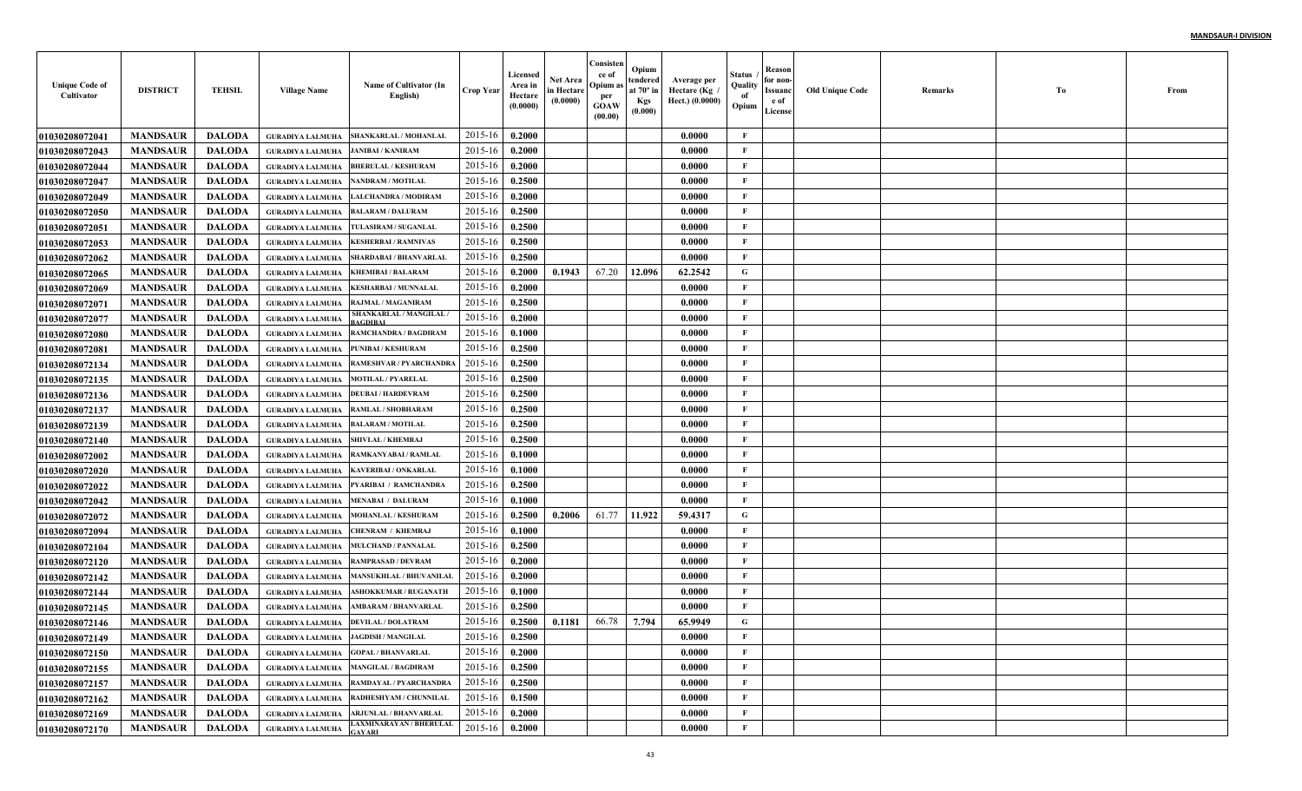| <b>Unique Code of</b><br>Cultivator | <b>DISTRICT</b> | <b>TEHSIL</b> | <b>Village Name</b>                 | Name of Cultivator (In<br>English)          | <b>Crop Year</b> | Licensed<br>Area in<br>Hectare<br>(0.0000) | Net Area<br>in Hectare<br>(0.0000) | Consisten<br>ce of<br>Opium a<br>per<br><b>GOAW</b><br>(00.00) | Opium<br>tendered<br>at $70^\circ$ in<br><b>Kgs</b><br>(0.000) | Average per<br>Hectare (Kg /<br>Hect.) (0.0000) | Status<br>Quality<br>of<br>Opium | Reason<br>for non-<br>Issuanc<br>e of<br>License | <b>Old Unique Code</b> | Remarks | Тo | From |
|-------------------------------------|-----------------|---------------|-------------------------------------|---------------------------------------------|------------------|--------------------------------------------|------------------------------------|----------------------------------------------------------------|----------------------------------------------------------------|-------------------------------------------------|----------------------------------|--------------------------------------------------|------------------------|---------|----|------|
| <b>01030208072041</b>               | <b>MANDSAUR</b> | <b>DALODA</b> | <b>GURADIYA LALMUHA</b>             | SHANKARLAL / MOHANLAI                       | 2015-16          | 0.2000                                     |                                    |                                                                |                                                                | 0.0000                                          | F                                |                                                  |                        |         |    |      |
| <b>01030208072043</b>               | <b>MANDSAUR</b> | <b>DALODA</b> | <b>GURADIYA LALMUHA</b>             | <b>JANIBAI / KANIRAM</b>                    | 2015-16          | 0.2000                                     |                                    |                                                                |                                                                | 0.0000                                          | $\mathbf{F}$                     |                                                  |                        |         |    |      |
| 01030208072044                      | <b>MANDSAUR</b> | <b>DALODA</b> | <b>GURADIYA LALMUHA</b>             | <b>BHERULAL / KESHURAM</b>                  | 2015-16          | 0.2000                                     |                                    |                                                                |                                                                | 0.0000                                          | F                                |                                                  |                        |         |    |      |
| <b>01030208072047</b>               | <b>MANDSAUR</b> | <b>DALODA</b> | <b>GURADIYA LALMUHA</b>             | <b>NANDRAM / MOTILAL</b>                    | 2015-16          | 0.2500                                     |                                    |                                                                |                                                                | 0.0000                                          | $\mathbf{F}$                     |                                                  |                        |         |    |      |
| <b>01030208072049</b>               | <b>MANDSAUR</b> | <b>DALODA</b> | <b>GURADIYA LALMUHA</b>             | <b>LALCHANDRA / MODIRAM</b>                 | 2015-16          | 0.2000                                     |                                    |                                                                |                                                                | 0.0000                                          | $\mathbf{F}$                     |                                                  |                        |         |    |      |
| <b>01030208072050</b>               | <b>MANDSAUR</b> | <b>DALODA</b> | <b>GURADIYA LALMUHA</b>             | <b>BALARAM / DALURAM</b>                    | 2015-16          | 0.2500                                     |                                    |                                                                |                                                                | 0.0000                                          | $\mathbf{F}$                     |                                                  |                        |         |    |      |
| 01030208072051                      | <b>MANDSAUR</b> | <b>DALODA</b> | <b>GURADIYA LALMUHA</b>             | TULASIRAM / SUGANLAL                        | 2015-16          | 0.2500                                     |                                    |                                                                |                                                                | 0.0000                                          | $\mathbf{F}$                     |                                                  |                        |         |    |      |
| <b>01030208072053</b>               | <b>MANDSAUR</b> | <b>DALODA</b> | <b>GURADIYA LALMUHA</b>             | <b>KESHERBAI / RAMNIVAS</b>                 | 2015-16          | 0.2500                                     |                                    |                                                                |                                                                | 0.0000                                          | F                                |                                                  |                        |         |    |      |
| <b>01030208072062</b>               | <b>MANDSAUR</b> | <b>DALODA</b> | <b>GURADIYA LALMUHA</b>             | <b>SHARDABAI / BHANVARLAI</b>               | 2015-16          | 0.2500                                     |                                    |                                                                |                                                                | 0.0000                                          | F                                |                                                  |                        |         |    |      |
| <b>01030208072065</b>               | <b>MANDSAUR</b> | <b>DALODA</b> | <b>GURADIYA LALMUHA</b>             | <b>KHEMIBAI / BALARAM</b>                   | 2015-16          | 0.2000                                     | 0.1943                             | 67.20                                                          | 12.096                                                         | 62.2542                                         | G                                |                                                  |                        |         |    |      |
| <b>01030208072069</b>               | <b>MANDSAUR</b> | <b>DALODA</b> | <b>GURADIYA LALMUHA</b>             | <b>KESHARBAI / MUNNALAI</b>                 | 2015-16          | 0.2000                                     |                                    |                                                                |                                                                | 0.0000                                          | $\mathbf{F}$                     |                                                  |                        |         |    |      |
| <b>01030208072071</b>               | <b>MANDSAUR</b> | <b>DALODA</b> | <b>GURADIYA LALMUHA</b>             | <b>RAJMAL / MAGANIRAM</b>                   | 2015-16          | 0.2500                                     |                                    |                                                                |                                                                | 0.0000                                          | $\mathbf{F}$                     |                                                  |                        |         |    |      |
| <b>01030208072077</b>               | <b>MANDSAUR</b> | <b>DALODA</b> | <b>GURADIYA LALMUHA</b>             | SHANKARLAL / MANGILAL                       | 2015-16          | 0.2000                                     |                                    |                                                                |                                                                | 0.0000                                          | $\mathbf{F}$                     |                                                  |                        |         |    |      |
| <b>01030208072080</b>               | <b>MANDSAUR</b> | <b>DALODA</b> | <b>GURADIYA LALMUHA</b>             | <b>RAMCHANDRA / BAGDIRAM</b>                | 2015-16          | 0.1000                                     |                                    |                                                                |                                                                | 0.0000                                          | $\mathbf{F}$                     |                                                  |                        |         |    |      |
| <b>01030208072081</b>               | <b>MANDSAUR</b> | <b>DALODA</b> | <b>GURADIYA LALMUHA</b>             | <b>PUNIBAI / KESHURAM</b>                   | 2015-16          | 0.2500                                     |                                    |                                                                |                                                                | 0.0000                                          | $\mathbf{F}$                     |                                                  |                        |         |    |      |
| <b>01030208072134</b>               | <b>MANDSAUR</b> | <b>DALODA</b> | <b>GURADIYA LALMUHA</b>             | <b>RAMESHVAR / PYARCHANDRA</b>              | 2015-16          | 0.2500                                     |                                    |                                                                |                                                                | 0.0000                                          | $\mathbf{F}$                     |                                                  |                        |         |    |      |
| <b>01030208072135</b>               | <b>MANDSAUR</b> | <b>DALODA</b> | <b>GURADIYA LALMUHA</b>             | <b>MOTILAL / PYARELAL</b>                   | 2015-16          | 0.2500                                     |                                    |                                                                |                                                                | 0.0000                                          | $\mathbf{F}$                     |                                                  |                        |         |    |      |
| <b>01030208072136</b>               | <b>MANDSAUR</b> | <b>DALODA</b> | <b>GURADIYA LALMUHA</b>             | <b>DEUBAI / HARDEVRAM</b>                   | 2015-16          | 0.2500                                     |                                    |                                                                |                                                                | 0.0000                                          | $\mathbf{F}$                     |                                                  |                        |         |    |      |
| <b>01030208072137</b>               | <b>MANDSAUR</b> | <b>DALODA</b> | <b>GURADIYA LALMUHA</b>             | <b>RAMLAL / SHOBHARAM</b>                   | 2015-16          | 0.2500                                     |                                    |                                                                |                                                                | 0.0000                                          | $\mathbf{F}$                     |                                                  |                        |         |    |      |
| <b>01030208072139</b>               | <b>MANDSAUR</b> | <b>DALODA</b> | <b>GURADIYA LALMUHA</b>             | <b>BALARAM / MOTILAL</b>                    | 2015-16          | 0.2500                                     |                                    |                                                                |                                                                | 0.0000                                          | $\mathbf{F}$                     |                                                  |                        |         |    |      |
| <b>01030208072140</b>               | <b>MANDSAUR</b> | <b>DALODA</b> | <b>GURADIYA LALMUHA</b>             | <b>SHIVLAL / KHEMRAJ</b>                    | 2015-16          | 0.2500                                     |                                    |                                                                |                                                                | 0.0000                                          | $\mathbf{F}$                     |                                                  |                        |         |    |      |
| <b>01030208072002</b>               | <b>MANDSAUR</b> | <b>DALODA</b> | <b>GURADIYA LALMUHA</b>             | <b>RAMKANYABAI / RAMLAI</b>                 | 2015-16          | 0.1000                                     |                                    |                                                                |                                                                | 0.0000                                          | F                                |                                                  |                        |         |    |      |
| <b>01030208072020</b>               | <b>MANDSAUR</b> | <b>DALODA</b> | <b>GURADIYA LALMUHA</b>             | <b>KAVERIBAI / ONKARLAL</b>                 | 2015-16          | 0.1000                                     |                                    |                                                                |                                                                | 0.0000                                          | $\mathbf{F}$                     |                                                  |                        |         |    |      |
| <b>01030208072022</b>               | <b>MANDSAUR</b> | <b>DALODA</b> | <b>GURADIYA LALMUHA</b>             | PYARIBAI / RAMCHANDRA                       | 2015-16          | 0.2500                                     |                                    |                                                                |                                                                | 0.0000                                          | $\mathbf{F}$                     |                                                  |                        |         |    |      |
| <b>01030208072042</b>               | <b>MANDSAUR</b> | <b>DALODA</b> | <b>GURADIYA LALMUHA</b>             | <b>MENABAI / DALURAM</b>                    | 2015-16          | 0.1000                                     |                                    |                                                                |                                                                | 0.0000                                          | $\mathbf{F}$                     |                                                  |                        |         |    |      |
| <b>01030208072072</b>               | <b>MANDSAUR</b> | <b>DALODA</b> | <b>GURADIYA LALMUHA</b>             | MOHANLAL / KESHURAM                         | 2015-16          | 0.2500                                     | 0.2006                             | 61.77                                                          | 11.922                                                         | 59.4317                                         | G                                |                                                  |                        |         |    |      |
| <b>01030208072094</b>               | <b>MANDSAUR</b> | <b>DALODA</b> | <b>GURADIYA LALMUHA</b>             | CHENRAM / KHEMRAJ                           | 2015-16          | 0.1000                                     |                                    |                                                                |                                                                | 0.0000                                          | $\mathbf F$                      |                                                  |                        |         |    |      |
| <b>01030208072104</b>               | <b>MANDSAUR</b> | <b>DALODA</b> | <b>GURADIYA LALMUHA</b>             | <b>MULCHAND / PANNALAI</b>                  | 2015-16          | 0.2500                                     |                                    |                                                                |                                                                | 0.0000                                          | $\mathbf{F}$                     |                                                  |                        |         |    |      |
| <b>01030208072120</b>               | <b>MANDSAUR</b> | <b>DALODA</b> | <b>GURADIYA LALMUHA</b>             | <b>RAMPRASAD / DEVRAM</b>                   | 2015-16          | 0.2000                                     |                                    |                                                                |                                                                | 0.0000                                          | $\mathbf{F}$                     |                                                  |                        |         |    |      |
| <b>01030208072142</b>               | <b>MANDSAUR</b> | <b>DALODA</b> | <b>GURADIYA LALMUHA</b>             | <b>MANSUKHLAL / BHUVANILAL</b>              | 2015-16          | 0.2000                                     |                                    |                                                                |                                                                | 0.0000                                          | $\mathbf{F}$                     |                                                  |                        |         |    |      |
| <b>01030208072144</b>               | <b>MANDSAUR</b> | <b>DALODA</b> | <b>GURADIYA LALMUHA</b>             | <b>ASHOKKUMAR / RUGANATH</b>                | 2015-16          | 0.1000                                     |                                    |                                                                |                                                                | 0.0000                                          | $\mathbf{F}$                     |                                                  |                        |         |    |      |
| <b>01030208072145</b>               | <b>MANDSAUR</b> | <b>DALODA</b> | <b>GURADIYA LALMUHA</b>             | <b>AMBARAM / BHANVARLAI</b>                 | 2015-16          | 0.2500                                     |                                    |                                                                |                                                                | 0.0000                                          | F                                |                                                  |                        |         |    |      |
| <b>01030208072146</b>               | <b>MANDSAUR</b> | <b>DALODA</b> | <b>GURADIYA LALMUHA</b>             | <b>DEVILAL / DOLATRAM</b>                   | 2015-16          | 0.2500                                     | 0.1181                             | 66.78                                                          | 7.794                                                          | 65.9949                                         | G                                |                                                  |                        |         |    |      |
| <b>01030208072149</b>               | <b>MANDSAUR</b> | DALODA        | GURADIYA LALMUHA JAGDISH / MANGILAL |                                             | $2015-16$ 0.2500 |                                            |                                    |                                                                |                                                                | 0.0000                                          | F                                |                                                  |                        |         |    |      |
| 01030208072150                      | <b>MANDSAUR</b> | <b>DALODA</b> |                                     | <b>GURADIYA LALMUHA GOPAL / BHANVARLAL</b>  | 2015-16          | 0.2000                                     |                                    |                                                                |                                                                | 0.0000                                          | $\mathbf{F}$                     |                                                  |                        |         |    |      |
| <b>01030208072155</b>               | <b>MANDSAUR</b> | <b>DALODA</b> |                                     | <b>GURADIYA LALMUHA MANGILAL / BAGDIRAM</b> | 2015-16          | 0.2500                                     |                                    |                                                                |                                                                | 0.0000                                          | $\mathbf{F}$                     |                                                  |                        |         |    |      |
| <b>01030208072157</b>               | <b>MANDSAUR</b> | <b>DALODA</b> |                                     | GURADIYA LALMUHA   RAMDAYAL / PYARCHANDRA   | 2015-16          | 0.2500                                     |                                    |                                                                |                                                                | 0.0000                                          | $\mathbf{F}$                     |                                                  |                        |         |    |      |
| <b>01030208072162</b>               | <b>MANDSAUR</b> | <b>DALODA</b> |                                     | GURADIYA LALMUHA   RADHESHYAM / CHUNNILAL   | 2015-16          | 0.1500                                     |                                    |                                                                |                                                                | 0.0000                                          | $\mathbf{F}$                     |                                                  |                        |         |    |      |
| <b>01030208072169</b>               | <b>MANDSAUR</b> | <b>DALODA</b> |                                     | GURADIYA LALMUHA   ARJUNLAL / BHANVARLAL    | 2015-16          | 0.2000                                     |                                    |                                                                |                                                                | 0.0000                                          | $\mathbf{F}$                     |                                                  |                        |         |    |      |
| 01030208072170                      | <b>MANDSAUR</b> | <b>DALODA</b> | <b>GURADIYA LALMUHA</b>             | <b>LAXMINARAYAN / BHERULAL</b>              | 2015-16          | 0.2000                                     |                                    |                                                                |                                                                | 0.0000                                          | $\mathbf{F}$                     |                                                  |                        |         |    |      |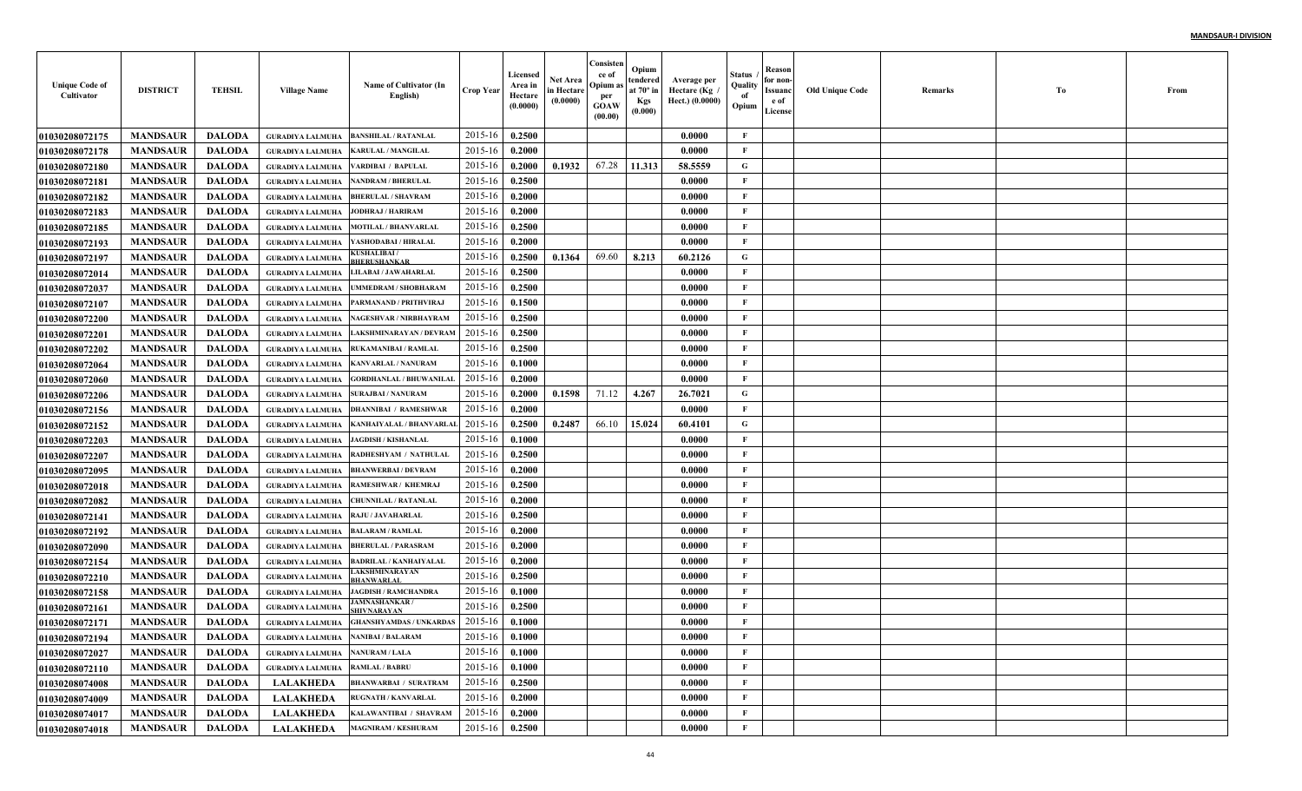| <b>Unique Code of</b><br>Cultivator | <b>DISTRICT</b> | <b>TEHSIL</b> | <b>Village Name</b>                    | Name of Cultivator (In<br>English)        | <b>Crop Year</b> | Licensed<br>Area in<br>Hectare<br>(0.0000) | Net Area<br>in Hectare<br>(0.0000) | Consisten<br>ce of<br>Opium a<br>per<br><b>GOAW</b><br>(00.00) | Opium<br>tendered<br>at $70^\circ$ in<br><b>Kgs</b><br>(0.000) | Average per<br>Hectare (Kg<br>Hect.) (0.0000) | Status<br>Quality<br>of<br>Opium | Reason<br>for non-<br>Issuanc<br>e of<br>License | <b>Old Unique Code</b> | Remarks | Тo | From |
|-------------------------------------|-----------------|---------------|----------------------------------------|-------------------------------------------|------------------|--------------------------------------------|------------------------------------|----------------------------------------------------------------|----------------------------------------------------------------|-----------------------------------------------|----------------------------------|--------------------------------------------------|------------------------|---------|----|------|
| <b>01030208072175</b>               | <b>MANDSAUR</b> | <b>DALODA</b> | <b>GURADIYA LALMUHA</b>                | <b>BANSHILAL / RATANLAL</b>               | 2015-16          | 0.2500                                     |                                    |                                                                |                                                                | 0.0000                                        | F                                |                                                  |                        |         |    |      |
| <b>01030208072178</b>               | <b>MANDSAUR</b> | <b>DALODA</b> | <b>GURADIYA LALMUHA</b>                | <b>KARULAL / MANGILAL</b>                 | 2015-16          | 0.2000                                     |                                    |                                                                |                                                                | 0.0000                                        | $\mathbf{F}$                     |                                                  |                        |         |    |      |
| <b>01030208072180</b>               | <b>MANDSAUR</b> | <b>DALODA</b> | <b>GURADIYA LALMUHA</b>                | VARDIBAI / BAPULAL                        | 2015-16          | 0.2000                                     | 0.1932                             | 67.28                                                          | 11.313                                                         | 58.5559                                       | G                                |                                                  |                        |         |    |      |
| 01030208072181                      | <b>MANDSAUR</b> | <b>DALODA</b> | <b>GURADIYA LALMUHA</b>                | <b>NANDRAM / BHERULAL</b>                 | 2015-16          | 0.2500                                     |                                    |                                                                |                                                                | 0.0000                                        | $\mathbf{F}$                     |                                                  |                        |         |    |      |
| <b>01030208072182</b>               | <b>MANDSAUR</b> | <b>DALODA</b> | <b>GURADIYA LALMUHA</b>                | <b>BHERULAL / SHAVRAM</b>                 | 2015-16          | 0.2000                                     |                                    |                                                                |                                                                | 0.0000                                        | $\mathbf{F}$                     |                                                  |                        |         |    |      |
| <b>01030208072183</b>               | <b>MANDSAUR</b> | <b>DALODA</b> | <b>GURADIYA LALMUHA</b>                | JODHRAJ / HARIRAM                         | 2015-16          | 0.2000                                     |                                    |                                                                |                                                                | 0.0000                                        | $\mathbf{F}$                     |                                                  |                        |         |    |      |
| 01030208072185                      | <b>MANDSAUR</b> | <b>DALODA</b> | <b>GURADIYA LALMUHA</b>                | <b>MOTILAL / BHANVARLAI</b>               | 2015-16          | 0.2500                                     |                                    |                                                                |                                                                | 0.0000                                        | $\mathbf{F}$                     |                                                  |                        |         |    |      |
| <b>01030208072193</b>               | <b>MANDSAUR</b> | <b>DALODA</b> | <b>GURADIYA LALMUHA</b>                | YASHODABAI / HIRALAL                      | 2015-16          | 0.2000                                     |                                    |                                                                |                                                                | 0.0000                                        | F                                |                                                  |                        |         |    |      |
| <b>01030208072197</b>               | <b>MANDSAUR</b> | <b>DALODA</b> | <b>GURADIYA LALMUHA</b>                | <b>{USHALIBAI /</b><br><b>HERUSHANKAE</b> | 2015-16          | 0.2500                                     | 0.1364                             | 69.60                                                          | 8.213                                                          | 60.2126                                       | $\mathbf G$                      |                                                  |                        |         |    |      |
| <b>0103020807201</b> 4              | <b>MANDSAUR</b> | <b>DALODA</b> | <b>GURADIYA LALMUHA</b>                | LILABAI / JAWAHARLAL                      | 2015-16          | 0.2500                                     |                                    |                                                                |                                                                | 0.0000                                        | $\mathbf{F}$                     |                                                  |                        |         |    |      |
| <b>01030208072037</b>               | <b>MANDSAUR</b> | <b>DALODA</b> | <b>GURADIYA LALMUHA</b>                | UMMEDRAM / SHOBHARAM                      | 2015-16          | 0.2500                                     |                                    |                                                                |                                                                | 0.0000                                        | $\mathbf{F}$                     |                                                  |                        |         |    |      |
| <b>01030208072107</b>               | <b>MANDSAUR</b> | <b>DALODA</b> | <b>GURADIYA LALMUHA</b>                | PARMANAND / PRITHVIRAJ                    | 2015-16          | 0.1500                                     |                                    |                                                                |                                                                | 0.0000                                        | $\mathbf{F}$                     |                                                  |                        |         |    |      |
| <b>01030208072200</b>               | <b>MANDSAUR</b> | <b>DALODA</b> | <b>GURADIYA LALMUHA</b>                | NAGESHVAR / NIRBHAYRAM                    | 2015-16          | 0.2500                                     |                                    |                                                                |                                                                | 0.0000                                        | $\mathbf{F}$                     |                                                  |                        |         |    |      |
| <b>01030208072201</b>               | <b>MANDSAUR</b> | <b>DALODA</b> | <b>GURADIYA LALMUHA</b>                | LAKSHMINARAYAN / DEVRAM                   | 2015-16          | 0.2500                                     |                                    |                                                                |                                                                | 0.0000                                        | $\mathbf{F}$                     |                                                  |                        |         |    |      |
| <b>01030208072202</b>               | <b>MANDSAUR</b> | <b>DALODA</b> | <b>GURADIYA LALMUHA</b>                | <b>RUKAMANIBAI / RAMLAI</b>               | 2015-16          | 0.2500                                     |                                    |                                                                |                                                                | 0.0000                                        | $\mathbf{F}$                     |                                                  |                        |         |    |      |
| <b>01030208072064</b>               | <b>MANDSAUR</b> | <b>DALODA</b> | <b>GURADIYA LALMUHA</b>                | <b>KANVARLAL / NANURAM</b>                | 2015-16          | 0.1000                                     |                                    |                                                                |                                                                | 0.0000                                        | $\mathbf{F}$                     |                                                  |                        |         |    |      |
| <b>01030208072060</b>               | <b>MANDSAUR</b> | <b>DALODA</b> | <b>GURADIYA LALMUHA</b>                | <b>GORDHANLAL / BHUWANILAI</b>            | 2015-16          | 0.2000                                     |                                    |                                                                |                                                                | 0.0000                                        | $\mathbf{F}$                     |                                                  |                        |         |    |      |
| <b>01030208072206</b>               | <b>MANDSAUR</b> | <b>DALODA</b> | <b>GURADIYA LALMUHA</b>                | <b>SURAJBAI / NANURAM</b>                 | 2015-16          | 0.2000                                     | 0.1598                             | 71.12                                                          | 4.267                                                          | 26.7021                                       | G                                |                                                  |                        |         |    |      |
| <b>01030208072156</b>               | <b>MANDSAUR</b> | <b>DALODA</b> | <b>GURADIYA LALMUHA</b>                | <b>DHANNIBAI / RAMESHWAR</b>              | 2015-16          | 0.2000                                     |                                    |                                                                |                                                                | 0.0000                                        | $\mathbf{F}$                     |                                                  |                        |         |    |      |
| <b>01030208072152</b>               | <b>MANDSAUR</b> | <b>DALODA</b> | <b>GURADIYA LALMUHA</b>                | <b>KANHAIYALAL / BHANVARLAI</b>           | 2015-16          | 0.2500                                     | 0.2487                             | 66.10                                                          | 15.024                                                         | 60.4101                                       | G                                |                                                  |                        |         |    |      |
| 01030208072203                      | <b>MANDSAUR</b> | <b>DALODA</b> | <b>GURADIYA LALMUHA</b>                | <b>JAGDISH / KISHANLAL</b>                | 2015-16          | 0.1000                                     |                                    |                                                                |                                                                | 0.0000                                        | $\mathbf{F}$                     |                                                  |                        |         |    |      |
| <b>01030208072207</b>               | <b>MANDSAUR</b> | <b>DALODA</b> | <b>GURADIYA LALMUHA</b>                | RADHESHYAM / NATHULAL                     | 2015-16          | 0.2500                                     |                                    |                                                                |                                                                | 0.0000                                        | F                                |                                                  |                        |         |    |      |
| <b>01030208072095</b>               | <b>MANDSAUR</b> | <b>DALODA</b> | <b>GURADIYA LALMUHA</b>                | <b>BHANWERBAI / DEVRAM</b>                | 2015-16          | 0.2000                                     |                                    |                                                                |                                                                | 0.0000                                        | $\mathbf{F}$                     |                                                  |                        |         |    |      |
| <b>01030208072018</b>               | <b>MANDSAUR</b> | <b>DALODA</b> | <b>GURADIYA LALMUHA</b>                | RAMESHWAR / KHEMRA.                       | 2015-16          | 0.2500                                     |                                    |                                                                |                                                                | 0.0000                                        | $\mathbf{F}$                     |                                                  |                        |         |    |      |
| <b>01030208072082</b>               | <b>MANDSAUR</b> | <b>DALODA</b> | <b>GURADIYA LALMUHA</b>                | <b>CHUNNILAL / RATANLAL</b>               | 2015-16          | 0.2000                                     |                                    |                                                                |                                                                | 0.0000                                        | $\mathbf{F}$                     |                                                  |                        |         |    |      |
| <b>01030208072141</b>               | <b>MANDSAUR</b> | <b>DALODA</b> | <b>GURADIYA LALMUHA</b>                | <b>RAJU / JAVAHARLAL</b>                  | 2015-16          | 0.2500                                     |                                    |                                                                |                                                                | 0.0000                                        | $\mathbf{F}$                     |                                                  |                        |         |    |      |
| <b>01030208072192</b>               | <b>MANDSAUR</b> | <b>DALODA</b> | <b>GURADIYA LALMUHA</b>                | <b>BALARAM / RAMLAL</b>                   | 2015-16          | 0.2000                                     |                                    |                                                                |                                                                | 0.0000                                        | $\mathbf{F}$                     |                                                  |                        |         |    |      |
| <b>01030208072090</b>               | <b>MANDSAUR</b> | <b>DALODA</b> | <b>GURADIYA LALMUHA</b>                | <b>BHERULAL / PARASRAM</b>                | 2015-16          | 0.2000                                     |                                    |                                                                |                                                                | 0.0000                                        | $\mathbf{F}$                     |                                                  |                        |         |    |      |
| <b>01030208072154</b>               | <b>MANDSAUR</b> | <b>DALODA</b> | <b>GURADIYA LALMUHA</b>                | <b>BADRILAL / KANHAIYALAI</b>             | 2015-16          | 0.2000                                     |                                    |                                                                |                                                                | 0.0000                                        | $\mathbf{F}$                     |                                                  |                        |         |    |      |
| <b>01030208072210</b>               | <b>MANDSAUR</b> | <b>DALODA</b> | <b>GURADIYA LALMUHA</b>                | AKSHMINARAYAN<br>HANWARLAL                | 2015-16          | 0.2500                                     |                                    |                                                                |                                                                | 0.0000                                        | $\mathbf{F}$                     |                                                  |                        |         |    |      |
| <b>01030208072158</b>               | <b>MANDSAUR</b> | <b>DALODA</b> | <b>GURADIYA LALMUHA</b>                | <b>JAGDISH / RAMCHANDRA</b>               | 2015-16          | 0.1000                                     |                                    |                                                                |                                                                | 0.0000                                        | $\mathbf{F}$                     |                                                  |                        |         |    |      |
| <b>01030208072161</b>               | <b>MANDSAUR</b> | <b>DALODA</b> | <b>GURADIYA LALMUHA</b>                | <b>JAMNASHANKAR/</b><br><b>HIVNARAYAN</b> | 2015-16          | 0.2500                                     |                                    |                                                                |                                                                | 0.0000                                        | F                                |                                                  |                        |         |    |      |
| <b>01030208072171</b>               | <b>MANDSAUR</b> | <b>DALODA</b> | <b>GURADIYA LALMUHA</b>                | <b>GHANSHYAMDAS / UNKARDAS</b>            | 2015-16          | 0.1000                                     |                                    |                                                                |                                                                | 0.0000                                        | F                                |                                                  |                        |         |    |      |
| 01030208072194                      | <b>MANDSAUR</b> | DALODA        | GURADIYA LALMUHA NANIBAI / BALARAM     |                                           | $2015-16$ 0.1000 |                                            |                                    |                                                                |                                                                | 0.0000                                        | F                                |                                                  |                        |         |    |      |
| 01030208072027                      | <b>MANDSAUR</b> | <b>DALODA</b> | GURADIYA LALMUHA NANURAM / LALA        |                                           | 2015-16          | 0.1000                                     |                                    |                                                                |                                                                | 0.0000                                        | $\mathbf{F}$                     |                                                  |                        |         |    |      |
| <b>01030208072110</b>               | <b>MANDSAUR</b> | <b>DALODA</b> | <b>GURADIYA LALMUHA RAMLAL / BABRU</b> |                                           | 2015-16          | 0.1000                                     |                                    |                                                                |                                                                | 0.0000                                        | $\mathbf{F}$                     |                                                  |                        |         |    |      |
| 01030208074008                      | <b>MANDSAUR</b> | <b>DALODA</b> | <b>LALAKHEDA</b>                       | <b>BHANWARBAI / SURATRAM</b>              | 2015-16          | 0.2500                                     |                                    |                                                                |                                                                | 0.0000                                        | $\mathbf{F}$                     |                                                  |                        |         |    |      |
| <b>01030208074009</b>               | <b>MANDSAUR</b> | <b>DALODA</b> | <b>LALAKHEDA</b>                       | <b>RUGNATH / KANVARLAL</b>                | 2015-16          | 0.2000                                     |                                    |                                                                |                                                                | 0.0000                                        | $\mathbf{F}$                     |                                                  |                        |         |    |      |
| <b>01030208074017</b>               | <b>MANDSAUR</b> | <b>DALODA</b> | <b>LALAKHEDA</b>                       | KALAWANTIBAI / SHAVRAM                    | 2015-16          | 0.2000                                     |                                    |                                                                |                                                                | 0.0000                                        | $\mathbf{F}$                     |                                                  |                        |         |    |      |
| 01030208074018                      | <b>MANDSAUR</b> | <b>DALODA</b> | <b>LALAKHEDA</b>                       | <b>MAGNIRAM / KESHURAM</b>                | 2015-16          | 0.2500                                     |                                    |                                                                |                                                                | 0.0000                                        | $\mathbf{F}$                     |                                                  |                        |         |    |      |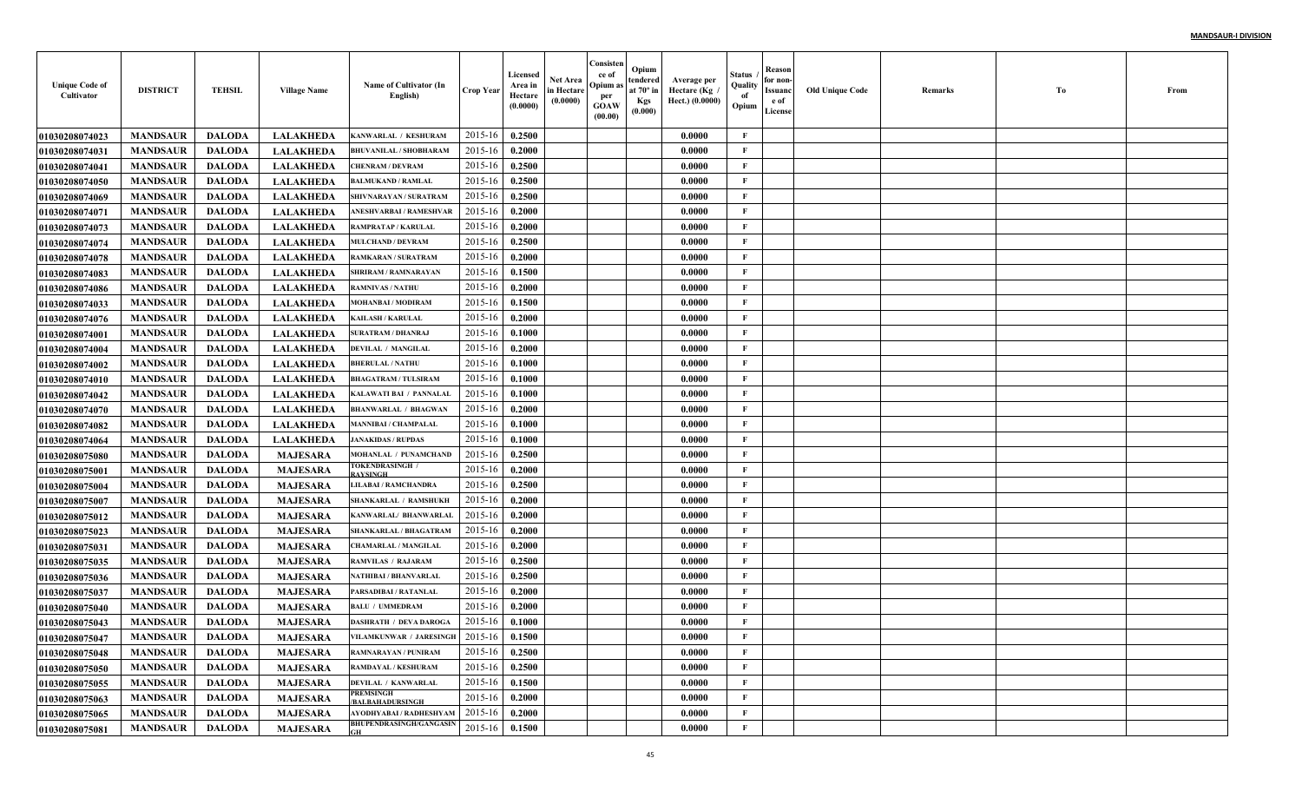| <b>Unique Code of</b><br>Cultivator | <b>DISTRICT</b> | <b>TEHSIL</b> | <b>Village Name</b> | Name of Cultivator (In<br>English)        | <b>Crop Year</b> | Licensed<br>Area in<br>Hectare<br>(0.0000) | Net Area<br>in Hectare<br>(0.0000) | Consisten<br>ce of<br>Opium as<br>per<br><b>GOAW</b><br>(00.00) | Opium<br>tendered<br>at $70^\circ$ in<br><b>Kgs</b><br>(0.000) | Average per<br>Hectare (Kg)<br>Hect.) (0.0000) | Status<br>Quality<br>of<br>Opium | Reason<br>for non-<br>Issuanc<br>e of<br>License | <b>Old Unique Code</b> | Remarks | Тo | From |
|-------------------------------------|-----------------|---------------|---------------------|-------------------------------------------|------------------|--------------------------------------------|------------------------------------|-----------------------------------------------------------------|----------------------------------------------------------------|------------------------------------------------|----------------------------------|--------------------------------------------------|------------------------|---------|----|------|
| <b>01030208074023</b>               | <b>MANDSAUR</b> | <b>DALODA</b> | <b>LALAKHEDA</b>    | KANWARLAL / KESHURAM                      | 2015-16          | 0.2500                                     |                                    |                                                                 |                                                                | 0.0000                                         | $\mathbf{F}$                     |                                                  |                        |         |    |      |
| 01030208074031                      | <b>MANDSAUR</b> | <b>DALODA</b> | <b>LALAKHEDA</b>    | <b>BHUVANILAL / SHOBHARAM</b>             | 2015-16          | 0.2000                                     |                                    |                                                                 |                                                                | 0.0000                                         | F                                |                                                  |                        |         |    |      |
| 01030208074041                      | <b>MANDSAUR</b> | <b>DALODA</b> | <b>LALAKHEDA</b>    | <b>CHENRAM / DEVRAM</b>                   | 2015-16          | 0.2500                                     |                                    |                                                                 |                                                                | 0.0000                                         | $\mathbf{F}$                     |                                                  |                        |         |    |      |
| <b>01030208074050</b>               | <b>MANDSAUR</b> | <b>DALODA</b> | <b>LALAKHEDA</b>    | <b>BALMUKAND / RAMLAL</b>                 | 2015-16          | 0.2500                                     |                                    |                                                                 |                                                                | 0.0000                                         | $\mathbf{F}$                     |                                                  |                        |         |    |      |
| <b>01030208074069</b>               | <b>MANDSAUR</b> | <b>DALODA</b> | <b>LALAKHEDA</b>    | SHIVNARAYAN / SURATRAM                    | 2015-16          | 0.2500                                     |                                    |                                                                 |                                                                | 0.0000                                         | $\mathbf{F}$                     |                                                  |                        |         |    |      |
| 01030208074071                      | <b>MANDSAUR</b> | <b>DALODA</b> | <b>LALAKHEDA</b>    | ANESHVARBAI / RAMESHVAR                   | 2015-16          | 0.2000                                     |                                    |                                                                 |                                                                | 0.0000                                         | F                                |                                                  |                        |         |    |      |
| <b>01030208074073</b>               | <b>MANDSAUR</b> | <b>DALODA</b> | <b>LALAKHEDA</b>    | RAMPRATAP / KARULAL                       | 2015-16          | 0.2000                                     |                                    |                                                                 |                                                                | 0.0000                                         | F                                |                                                  |                        |         |    |      |
| <b>0103020807407</b> 4              | <b>MANDSAUR</b> | <b>DALODA</b> | <b>LALAKHEDA</b>    | <b>MULCHAND / DEVRAM</b>                  | 2015-16          | 0.2500                                     |                                    |                                                                 |                                                                | 0.0000                                         | $\mathbf{F}$                     |                                                  |                        |         |    |      |
| <b>01030208074078</b>               | <b>MANDSAUR</b> | <b>DALODA</b> | <b>LALAKHEDA</b>    | RAMKARAN / SURATRAM                       | 2015-16          | 0.2000                                     |                                    |                                                                 |                                                                | 0.0000                                         | $\mathbf{F}$                     |                                                  |                        |         |    |      |
| <b>01030208074083</b>               | <b>MANDSAUR</b> | <b>DALODA</b> | <b>LALAKHEDA</b>    | SHRIRAM / RAMNARAYAN                      | 2015-16          | 0.1500                                     |                                    |                                                                 |                                                                | 0.0000                                         | $\mathbf{F}$                     |                                                  |                        |         |    |      |
| <b>01030208074086</b>               | <b>MANDSAUR</b> | <b>DALODA</b> | <b>LALAKHEDA</b>    | <b>RAMNIVAS / NATHU</b>                   | 2015-16          | 0.2000                                     |                                    |                                                                 |                                                                | 0.0000                                         | $\mathbf{F}$                     |                                                  |                        |         |    |      |
| <b>01030208074033</b>               | <b>MANDSAUR</b> | <b>DALODA</b> | <b>LALAKHEDA</b>    | <b>MOHANBAI/MODIRAM</b>                   | 2015-16          | 0.1500                                     |                                    |                                                                 |                                                                | 0.0000                                         | $\mathbf{F}$                     |                                                  |                        |         |    |      |
| <b>01030208074076</b>               | <b>MANDSAUR</b> | <b>DALODA</b> | <b>LALAKHEDA</b>    | <b>KAILASH / KARULAL</b>                  | 2015-16          | 0.2000                                     |                                    |                                                                 |                                                                | 0.0000                                         | $\mathbf{F}$                     |                                                  |                        |         |    |      |
| <b>01030208074001</b>               | <b>MANDSAUR</b> | <b>DALODA</b> | <b>LALAKHEDA</b>    | <b>SURATRAM / DHANRAJ</b>                 | 2015-16          | 0.1000                                     |                                    |                                                                 |                                                                | 0.0000                                         | $\mathbf{F}$                     |                                                  |                        |         |    |      |
| <b>01030208074004</b>               | <b>MANDSAUR</b> | <b>DALODA</b> | <b>LALAKHEDA</b>    | <b>DEVILAL / MANGILAL</b>                 | 2015-16          | 0.2000                                     |                                    |                                                                 |                                                                | 0.0000                                         | $\mathbf{F}$                     |                                                  |                        |         |    |      |
| <b>01030208074002</b>               | <b>MANDSAUR</b> | <b>DALODA</b> | <b>LALAKHEDA</b>    | <b>BHERULAL / NATHU</b>                   | 2015-16          | 0.1000                                     |                                    |                                                                 |                                                                | 0.0000                                         | $\mathbf{F}$                     |                                                  |                        |         |    |      |
| <b>01030208074010</b>               | <b>MANDSAUR</b> | <b>DALODA</b> | <b>LALAKHEDA</b>    | <b>BHAGATRAM / TULSIRAM</b>               | 2015-16          | 0.1000                                     |                                    |                                                                 |                                                                | 0.0000                                         | $\mathbf{F}$                     |                                                  |                        |         |    |      |
| <b>01030208074042</b>               | <b>MANDSAUR</b> | <b>DALODA</b> | <b>LALAKHEDA</b>    | KALAWATI BAI / PANNALAI                   | 2015-16          | 0.1000                                     |                                    |                                                                 |                                                                | 0.0000                                         | $\mathbf{F}$                     |                                                  |                        |         |    |      |
| <b>01030208074070</b>               | <b>MANDSAUR</b> | <b>DALODA</b> | <b>LALAKHEDA</b>    | <b>BHANWARLAL / BHAGWAN</b>               | 2015-16          | 0.2000                                     |                                    |                                                                 |                                                                | 0.0000                                         | $\mathbf{F}$                     |                                                  |                        |         |    |      |
| 01030208074082                      | <b>MANDSAUR</b> | <b>DALODA</b> | <b>LALAKHEDA</b>    | <b>MANNIBAI / CHAMPALAL</b>               | 2015-16          | 0.1000                                     |                                    |                                                                 |                                                                | 0.0000                                         | $\mathbf{F}$                     |                                                  |                        |         |    |      |
| <b>01030208074064</b>               | <b>MANDSAUR</b> | <b>DALODA</b> | <b>LALAKHEDA</b>    | <b>JANAKIDAS / RUPDAS</b>                 | 2015-16          | 0.1000                                     |                                    |                                                                 |                                                                | 0.0000                                         | $\mathbf{F}$                     |                                                  |                        |         |    |      |
| 01030208075080                      | <b>MANDSAUR</b> | <b>DALODA</b> | <b>MAJESARA</b>     | MOHANLAL / PUNAMCHAND                     | 2015-16          | 0.2500                                     |                                    |                                                                 |                                                                | 0.0000                                         | $\mathbf F$                      |                                                  |                        |         |    |      |
| <b>01030208075001</b>               | <b>MANDSAUR</b> | <b>DALODA</b> | <b>MAJESARA</b>     | <b>FOKENDRASINGH /</b><br><b>RAYSINGH</b> | 2015-16          | 0.2000                                     |                                    |                                                                 |                                                                | 0.0000                                         | $\mathbf{F}$                     |                                                  |                        |         |    |      |
| <b>01030208075004</b>               | <b>MANDSAUR</b> | <b>DALODA</b> | <b>MAJESARA</b>     | LILABAI / RAMCHANDRA                      | 2015-16          | 0.2500                                     |                                    |                                                                 |                                                                | 0.0000                                         | $\mathbf{F}$                     |                                                  |                        |         |    |      |
| <b>01030208075007</b>               | <b>MANDSAUR</b> | <b>DALODA</b> | <b>MAJESARA</b>     | SHANKARLAL / RAMSHUKH                     | 2015-16          | 0.2000                                     |                                    |                                                                 |                                                                | 0.0000                                         | $\mathbf{F}$                     |                                                  |                        |         |    |      |
| <b>01030208075012</b>               | <b>MANDSAUR</b> | <b>DALODA</b> | <b>MAJESARA</b>     | KANWARLAL/ BHANWARLAI                     | 2015-16          | 0.2000                                     |                                    |                                                                 |                                                                | 0.0000                                         | $\mathbf{F}$                     |                                                  |                        |         |    |      |
| <b>01030208075023</b>               | <b>MANDSAUR</b> | <b>DALODA</b> | <b>MAJESARA</b>     | SHANKARLAL / BHAGATRAM                    | 2015-16          | 0.2000                                     |                                    |                                                                 |                                                                | 0.0000                                         | F                                |                                                  |                        |         |    |      |
| <b>01030208075031</b>               | <b>MANDSAUR</b> | <b>DALODA</b> | <b>MAJESARA</b>     | <b>CHAMARLAL / MANGILAI</b>               | 2015-16          | 0.2000                                     |                                    |                                                                 |                                                                | 0.0000                                         | $\mathbf{F}$                     |                                                  |                        |         |    |      |
| 01030208075035                      | <b>MANDSAUR</b> | <b>DALODA</b> | <b>MAJESARA</b>     | <b>RAMVILAS / RAJARAM</b>                 | 2015-16          | 0.2500                                     |                                    |                                                                 |                                                                | 0.0000                                         | $\mathbf{F}$                     |                                                  |                        |         |    |      |
| <b>01030208075036</b>               | <b>MANDSAUR</b> | <b>DALODA</b> | <b>MAJESARA</b>     | NATHIBAI / BHANVARLAI                     | 2015-16          | 0.2500                                     |                                    |                                                                 |                                                                | 0.0000                                         | $\mathbf{F}$                     |                                                  |                        |         |    |      |
| <b>01030208075037</b>               | <b>MANDSAUR</b> | <b>DALODA</b> | <b>MAJESARA</b>     | PARSADIBAI / RATANLAI                     | 2015-16          | 0.2000                                     |                                    |                                                                 |                                                                | 0.0000                                         | F                                |                                                  |                        |         |    |      |
| 01030208075040                      | <b>MANDSAUR</b> | <b>DALODA</b> | <b>MAJESARA</b>     | <b>BALU / UMMEDRAM</b>                    | 2015-16          | 0.2000                                     |                                    |                                                                 |                                                                | 0.0000                                         | F                                |                                                  |                        |         |    |      |
| 01030208075043                      | <b>MANDSAUR</b> | <b>DALODA</b> | <b>MAJESARA</b>     | <b>DASHRATH / DEVA DAROGA</b>             | 2015-16          | 0.1000                                     |                                    |                                                                 |                                                                | 0.0000                                         | F                                |                                                  |                        |         |    |      |
| <b>01030208075047</b>               | <b>MANDSAUR</b> | DALODA        | <b>MAJESARA</b>     | VILAMKUNWAR / JARESINGH 2015-16 0.1500    |                  |                                            |                                    |                                                                 |                                                                | 0.0000                                         | F                                |                                                  |                        |         |    |      |
| 01030208075048                      | <b>MANDSAUR</b> | DALODA        | <b>MAJESARA</b>     | <b>RAMNARAYAN / PUNIRAM</b>               | 2015-16          | 0.2500                                     |                                    |                                                                 |                                                                | 0.0000                                         | $\mathbf{F}$                     |                                                  |                        |         |    |      |
| 01030208075050                      | <b>MANDSAUR</b> | <b>DALODA</b> | <b>MAJESARA</b>     | RAMDAYAL / KESHURAM                       | 2015-16          | 0.2500                                     |                                    |                                                                 |                                                                | 0.0000                                         | $\mathbf{F}$                     |                                                  |                        |         |    |      |
| <b>01030208075055</b>               | <b>MANDSAUR</b> | <b>DALODA</b> | <b>MAJESARA</b>     | <b>DEVILAL / KANWARLAL</b>                | 2015-16          | 0.1500                                     |                                    |                                                                 |                                                                | 0.0000                                         | $\mathbf{F}$                     |                                                  |                        |         |    |      |
| 01030208075063                      | <b>MANDSAUR</b> | <b>DALODA</b> | <b>MAJESARA</b>     | <b>PREMSINGH</b><br>/BALBAHADURSINGH      | 2015-16          | 0.2000                                     |                                    |                                                                 |                                                                | 0.0000                                         | $\mathbf{F}$                     |                                                  |                        |         |    |      |
| 01030208075065                      | <b>MANDSAUR</b> | <b>DALODA</b> | <b>MAJESARA</b>     | AYODHYABAI / RADHESHYAM                   | 2015-16          | 0.2000                                     |                                    |                                                                 |                                                                | 0.0000                                         | $\mathbf{F}$                     |                                                  |                        |         |    |      |
| 01030208075081                      | <b>MANDSAUR</b> | <b>DALODA</b> | <b>MAJESARA</b>     | <b>BHUPENDRASINGH/GANGASIN</b>            | 2015-16          | 0.1500                                     |                                    |                                                                 |                                                                | 0.0000                                         | $\mathbf{F}$                     |                                                  |                        |         |    |      |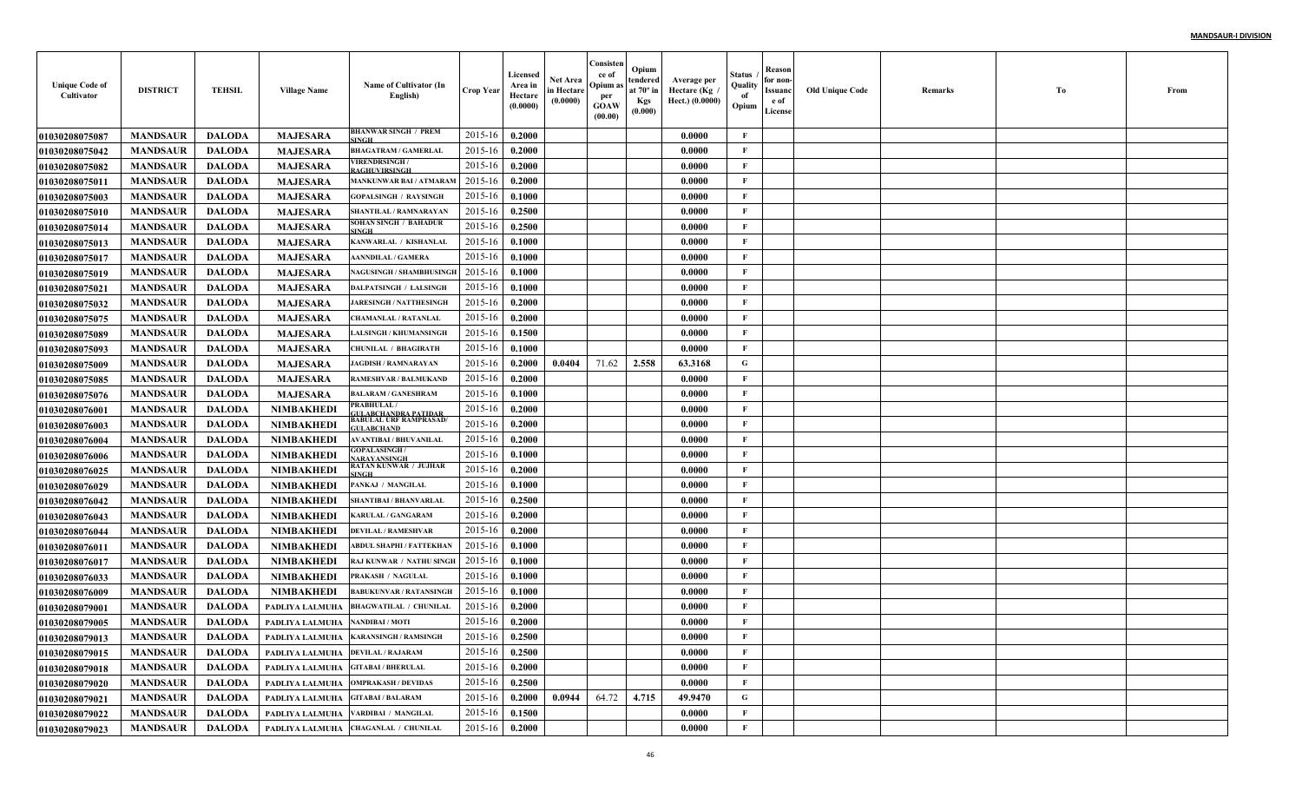| <b>Unique Code of</b><br>Cultivator | <b>DISTRICT</b> | <b>TEHSIL</b> | <b>Village Name</b>                 | Name of Cultivator (In<br>English)                                  | <b>Crop Year</b> | Licensed<br>Area in<br>Hectare<br>(0.0000) | Net Area<br>in Hectare<br>(0.0000) | Consisten<br>ce of<br>Opium as<br>per<br><b>GOAW</b><br>(00.00) | Opium<br>tendered<br>at $70^\circ$ in<br><b>Kgs</b><br>(0.000) | Average per<br>Hectare (Kg)<br>Hect.) (0.0000) | Status<br>Quality<br>of<br>Opium | Reason<br>for non-<br>Issuanc<br>e of<br>License | <b>Old Unique Code</b> | Remarks | Тo | From |
|-------------------------------------|-----------------|---------------|-------------------------------------|---------------------------------------------------------------------|------------------|--------------------------------------------|------------------------------------|-----------------------------------------------------------------|----------------------------------------------------------------|------------------------------------------------|----------------------------------|--------------------------------------------------|------------------------|---------|----|------|
| <b>01030208075087</b>               | <b>MANDSAUR</b> | <b>DALODA</b> | <b>MAJESARA</b>                     | BHANWAR SINGH / PREM<br>INGH                                        | 2015-16          | 0.2000                                     |                                    |                                                                 |                                                                | 0.0000                                         | $\mathbf{F}$                     |                                                  |                        |         |    |      |
| <b>01030208075042</b>               | <b>MANDSAUR</b> | <b>DALODA</b> | <b>MAJESARA</b>                     | <b>BHAGATRAM / GAMERLAI</b>                                         | 2015-16          | 0.2000                                     |                                    |                                                                 |                                                                | 0.0000                                         | F                                |                                                  |                        |         |    |      |
| <b>01030208075082</b>               | <b>MANDSAUR</b> | <b>DALODA</b> | <b>MAJESARA</b>                     | <b>VIRENDRSINGH /</b><br><b>AGHUVIRSINGH</b>                        | 2015-16          | 0.2000                                     |                                    |                                                                 |                                                                | 0.0000                                         | $\mathbf{F}$                     |                                                  |                        |         |    |      |
| <b>0103020807501</b> 1              | <b>MANDSAUR</b> | <b>DALODA</b> | <b>MAJESARA</b>                     | MANKUNWAR BAI / ATMARAM                                             | 2015-16          | 0.2000                                     |                                    |                                                                 |                                                                | 0.0000                                         | $\mathbf{F}$                     |                                                  |                        |         |    |      |
| <b>01030208075003</b>               | <b>MANDSAUR</b> | <b>DALODA</b> | <b>MAJESARA</b>                     | <b>GOPALSINGH / RAYSINGI</b>                                        | 2015-16          | 0.1000                                     |                                    |                                                                 |                                                                | 0.0000                                         | $\mathbf{F}$                     |                                                  |                        |         |    |      |
| <b>01030208075010</b>               | <b>MANDSAUR</b> | <b>DALODA</b> | <b>MAJESARA</b>                     | SHANTILAL / RAMNARAYAN                                              | 2015-16          | 0.2500                                     |                                    |                                                                 |                                                                | 0.0000                                         | F                                |                                                  |                        |         |    |      |
| 01030208075014                      | <b>MANDSAUR</b> | <b>DALODA</b> | <b>MAJESARA</b>                     | SOHAN SINGH / BAHADUR<br><b>INGH</b>                                | 2015-16          | 0.2500                                     |                                    |                                                                 |                                                                | 0.0000                                         | F                                |                                                  |                        |         |    |      |
| <b>01030208075013</b>               | <b>MANDSAUR</b> | <b>DALODA</b> | <b>MAJESARA</b>                     | KANWARLAL / KISHANLAI                                               | 2015-16          | 0.1000                                     |                                    |                                                                 |                                                                | 0.0000                                         | $\mathbf{F}$                     |                                                  |                        |         |    |      |
| <b>01030208075017</b>               | <b>MANDSAUR</b> | <b>DALODA</b> | <b>MAJESARA</b>                     | <b>AANNDILAL / GAMERA</b>                                           | 2015-16          | 0.1000                                     |                                    |                                                                 |                                                                | 0.0000                                         | $\mathbf{F}$                     |                                                  |                        |         |    |      |
| <b>01030208075019</b>               | <b>MANDSAUR</b> | <b>DALODA</b> | <b>MAJESARA</b>                     | <b>NAGUSINGH / SHAMBHUSINGE</b>                                     | 2015-16          | 0.1000                                     |                                    |                                                                 |                                                                | 0.0000                                         | $\mathbf{F}$                     |                                                  |                        |         |    |      |
| <b>01030208075021</b>               | <b>MANDSAUR</b> | <b>DALODA</b> | <b>MAJESARA</b>                     | <b>DALPATSINGH / LALSINGH</b>                                       | 2015-16          | 0.1000                                     |                                    |                                                                 |                                                                | 0.0000                                         | $\mathbf{F}$                     |                                                  |                        |         |    |      |
| <b>01030208075032</b>               | <b>MANDSAUR</b> | <b>DALODA</b> | <b>MAJESARA</b>                     | <b>JARESINGH / NATTHESINGH</b>                                      | 2015-16          | 0.2000                                     |                                    |                                                                 |                                                                | 0.0000                                         | $\mathbf{F}$                     |                                                  |                        |         |    |      |
| <b>01030208075075</b>               | <b>MANDSAUR</b> | <b>DALODA</b> | <b>MAJESARA</b>                     | <b>CHAMANLAL / RATANLAI</b>                                         | 2015-16          | 0.2000                                     |                                    |                                                                 |                                                                | 0.0000                                         | $\mathbf{F}$                     |                                                  |                        |         |    |      |
| <b>01030208075089</b>               | <b>MANDSAUR</b> | <b>DALODA</b> | <b>MAJESARA</b>                     | <b>LALSINGH / KHUMANSINGH</b>                                       | 2015-16          | 0.1500                                     |                                    |                                                                 |                                                                | 0.0000                                         | $\mathbf{F}$                     |                                                  |                        |         |    |      |
| <b>01030208075093</b>               | <b>MANDSAUR</b> | <b>DALODA</b> | <b>MAJESARA</b>                     | <b>CHUNILAL / BHAGIRATH</b>                                         | 2015-16          | 0.1000                                     |                                    |                                                                 |                                                                | 0.0000                                         | $\mathbf{F}$                     |                                                  |                        |         |    |      |
| <b>01030208075009</b>               | <b>MANDSAUR</b> | <b>DALODA</b> | <b>MAJESARA</b>                     | <b>JAGDISH / RAMNARAYAN</b>                                         | 2015-16          | 0.2000                                     | 0.0404                             | 71.62                                                           | 2.558                                                          | 63.3168                                        | G                                |                                                  |                        |         |    |      |
| <b>01030208075085</b>               | <b>MANDSAUR</b> | <b>DALODA</b> | <b>MAJESARA</b>                     | <b>RAMESHVAR / BALMUKAND</b>                                        | 2015-16          | 0.2000                                     |                                    |                                                                 |                                                                | 0.0000                                         | $\mathbf{F}$                     |                                                  |                        |         |    |      |
| <b>01030208075076</b>               | <b>MANDSAUR</b> | <b>DALODA</b> | <b>MAJESARA</b>                     | <b>BALARAM / GANESHRAM</b>                                          | 2015-16          | 0.1000                                     |                                    |                                                                 |                                                                | 0.0000                                         | $\mathbf{F}$                     |                                                  |                        |         |    |      |
| <b>0103020807600</b> 1              | <b>MANDSAUR</b> | <b>DALODA</b> | <b>NIMBAKHEDI</b>                   | <b>RABHULAL</b>                                                     | 2015-16          | 0.2000                                     |                                    |                                                                 |                                                                | 0.0000                                         | $\mathbf{F}$                     |                                                  |                        |         |    |      |
| <b>01030208076003</b>               | <b>MANDSAUR</b> | <b>DALODA</b> | <b>NIMBAKHEDI</b>                   | GULABCHANDRA PATIDAR<br>BABULAL URF RAMPRASAD/<br><b>IILABCHAND</b> | 2015-16          | 0.2000                                     |                                    |                                                                 |                                                                | 0.0000                                         | $\mathbf{F}$                     |                                                  |                        |         |    |      |
| <b>0103020807600</b> 4              | <b>MANDSAUR</b> | <b>DALODA</b> | NIMBAKHEDI                          | AVANTIBAI / BHUVANILAL                                              | 2015-16          | 0.2000                                     |                                    |                                                                 |                                                                | 0.0000                                         | $\mathbf{F}$                     |                                                  |                        |         |    |      |
| <b>01030208076006</b>               | <b>MANDSAUR</b> | <b>DALODA</b> | NIMBAKHEDI                          | <b>GOPALASINGH/</b>                                                 | 2015-16          | 0.1000                                     |                                    |                                                                 |                                                                | 0.0000                                         | $\mathbf{F}$                     |                                                  |                        |         |    |      |
| <b>01030208076025</b>               | <b>MANDSAUR</b> | <b>DALODA</b> | NIMBAKHEDI                          | NARAYANSINGH<br>RATAN KUNWAR / JUJHAR<br><b>SINGH</b>               | 2015-16          | 0.2000                                     |                                    |                                                                 |                                                                | 0.0000                                         | $\mathbf{F}$                     |                                                  |                        |         |    |      |
| <b>01030208076029</b>               | <b>MANDSAUR</b> | <b>DALODA</b> | <b>NIMBAKHEDI</b>                   | PANKAJ / MANGILAL                                                   | 2015-16          | 0.1000                                     |                                    |                                                                 |                                                                | 0.0000                                         | $\mathbf{F}$                     |                                                  |                        |         |    |      |
| <b>01030208076042</b>               | <b>MANDSAUR</b> | <b>DALODA</b> | <b>NIMBAKHEDI</b>                   | SHANTIBAI / BHANVARLAI                                              | 2015-16          | 0.2500                                     |                                    |                                                                 |                                                                | 0.0000                                         | $\mathbf{F}$                     |                                                  |                        |         |    |      |
| <b>01030208076043</b>               | <b>MANDSAUR</b> | <b>DALODA</b> | <b>NIMBAKHEDI</b>                   | <b>KARULAL / GANGARAM</b>                                           | 2015-16          | 0.2000                                     |                                    |                                                                 |                                                                | 0.0000                                         | $\mathbf{F}$                     |                                                  |                        |         |    |      |
| 01030208076044                      | <b>MANDSAUR</b> | <b>DALODA</b> | <b>NIMBAKHEDI</b>                   | <b>DEVILAL / RAMESHVAR</b>                                          | 2015-16          | 0.2000                                     |                                    |                                                                 |                                                                | 0.0000                                         | F                                |                                                  |                        |         |    |      |
| <b>0103020807601</b> 1              | <b>MANDSAUR</b> | <b>DALODA</b> | <b>NIMBAKHEDI</b>                   | ABDUL SHAPHI / FATTEKHAN                                            | 2015-16          | 0.1000                                     |                                    |                                                                 |                                                                | 0.0000                                         | $\mathbf{F}$                     |                                                  |                        |         |    |      |
| <b>01030208076017</b>               | <b>MANDSAUR</b> | <b>DALODA</b> | <b>NIMBAKHEDI</b>                   | RAJ KUNWAR / NATHU SINGI                                            | 2015-16          | 0.1000                                     |                                    |                                                                 |                                                                | 0.0000                                         | $\mathbf{F}$                     |                                                  |                        |         |    |      |
| <b>01030208076033</b>               | <b>MANDSAUR</b> | <b>DALODA</b> | <b>NIMBAKHEDI</b>                   | PRAKASH / NAGULAI                                                   | 2015-16          | 0.1000                                     |                                    |                                                                 |                                                                | 0.0000                                         | $\mathbf{F}$                     |                                                  |                        |         |    |      |
| <b>01030208076009</b>               | <b>MANDSAUR</b> | <b>DALODA</b> | <b>NIMBAKHEDI</b>                   | <b>BABUKUNVAR / RATANSINGH</b>                                      | 2015-16          | 0.1000                                     |                                    |                                                                 |                                                                | 0.0000                                         | F                                |                                                  |                        |         |    |      |
| 01030208079001                      | <b>MANDSAUR</b> | <b>DALODA</b> | PADLIYA LALMUHA                     | <b>BHAGWATILAL / CHUNILAL</b>                                       | 2015-16          | 0.2000                                     |                                    |                                                                 |                                                                | 0.0000                                         | F                                |                                                  |                        |         |    |      |
| <b>01030208079005</b>               | <b>MANDSAUR</b> | <b>DALODA</b> | PADLIYA LALMUHA                     | <b>NANDIBAI / MOTI</b>                                              | 2015-16          | 0.2000                                     |                                    |                                                                 |                                                                | 0.0000                                         | F                                |                                                  |                        |         |    |      |
| <b>01030208079013</b>               | <b>MANDSAUR</b> | DALODA        |                                     | PADLIYA LALMUHA   KARANSINGH / RAMSINGH                             | 2015-16 0.2500   |                                            |                                    |                                                                 |                                                                | 0.0000                                         | F                                |                                                  |                        |         |    |      |
| <b>01030208079015</b>               | <b>MANDSAUR</b> | <b>DALODA</b> | PADLIYA LALMUHA   DEVILAL / RAJARAM |                                                                     | 2015-16          | 0.2500                                     |                                    |                                                                 |                                                                | 0.0000                                         | $\mathbf{F}$                     |                                                  |                        |         |    |      |
| 01030208079018                      | <b>MANDSAUR</b> | <b>DALODA</b> | PADLIYA LALMUHA GITABAI / BHERULAL  |                                                                     | 2015-16          | 0.2000                                     |                                    |                                                                 |                                                                | 0.0000                                         | $\mathbf{F}$                     |                                                  |                        |         |    |      |
| <b>01030208079020</b>               | <b>MANDSAUR</b> | <b>DALODA</b> |                                     | PADLIYA LALMUHA OMPRAKASH / DEVIDAS                                 | $2015 - 16$      | 0.2500                                     |                                    |                                                                 |                                                                | 0.0000                                         | $\mathbf{F}$                     |                                                  |                        |         |    |      |
| <b>01030208079021</b>               | <b>MANDSAUR</b> | <b>DALODA</b> | PADLIYA LALMUHA GITABAI / BALARAM   |                                                                     | 2015-16          | 0.2000                                     | 0.0944                             | 64.72                                                           | 4.715                                                          | 49.9470                                        | $\mathbf G$                      |                                                  |                        |         |    |      |
| 01030208079022                      | <b>MANDSAUR</b> | <b>DALODA</b> |                                     | PADLIYA LALMUHA VARDIBAI / MANGILAL                                 | 2015-16          | 0.1500                                     |                                    |                                                                 |                                                                | 0.0000                                         | $\mathbf{F}$                     |                                                  |                        |         |    |      |
| <b>01030208079023</b>               | <b>MANDSAUR</b> | <b>DALODA</b> |                                     | PADLIYA LALMUHA CHAGANLAL / CHUNILAL                                | $2015 - 16$      | 0.2000                                     |                                    |                                                                 |                                                                | 0.0000                                         | $\mathbf{F}$                     |                                                  |                        |         |    |      |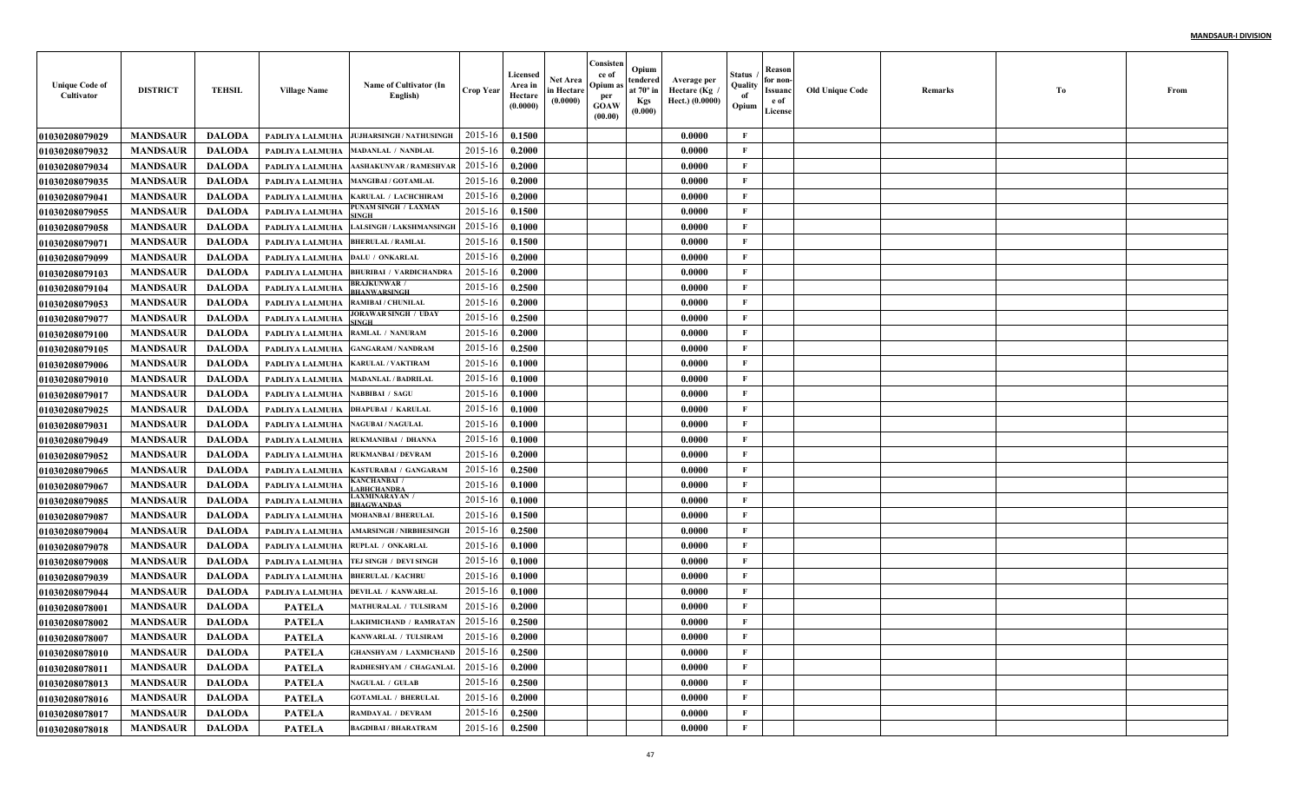| <b>Unique Code of</b><br>Cultivator | <b>DISTRICT</b> | <b>TEHSIL</b> | <b>Village Name</b>    | Name of Cultivator (In<br>English)  | <b>Crop Year</b> | Licensed<br>Area in<br>Hectare<br>(0.0000) | Net Area<br>in Hectare<br>(0.0000) | Consisten<br>ce of<br>Opium a<br>per<br><b>GOAW</b><br>(00.00) | Opium<br>tendered<br>at $70^\circ$ in<br><b>Kgs</b><br>(0.000) | Average per<br>Hectare (Kg<br>Hect.) (0.0000) | Status<br>Quality<br>of<br>Opium | Reason<br>for non-<br>Issuanc<br>e of<br>License | <b>Old Unique Code</b> | Remarks | Тo | From |
|-------------------------------------|-----------------|---------------|------------------------|-------------------------------------|------------------|--------------------------------------------|------------------------------------|----------------------------------------------------------------|----------------------------------------------------------------|-----------------------------------------------|----------------------------------|--------------------------------------------------|------------------------|---------|----|------|
| <b>01030208079029</b>               | <b>MANDSAUR</b> | <b>DALODA</b> | PADLIYA LALMUHA        | JUJHARSINGH / NATHUSINGH            | 2015-16          | 0.1500                                     |                                    |                                                                |                                                                | 0.0000                                        | F                                |                                                  |                        |         |    |      |
| <b>01030208079032</b>               | <b>MANDSAUR</b> | <b>DALODA</b> | PADLIYA LALMUHA        | <b>MADANLAL / NANDLAL</b>           | 2015-16          | 0.2000                                     |                                    |                                                                |                                                                | 0.0000                                        | $\mathbf{F}$                     |                                                  |                        |         |    |      |
| 01030208079034                      | <b>MANDSAUR</b> | <b>DALODA</b> | PADLIYA LALMUHA        | <b>AASHAKUNVAR / RAMESHVAF</b>      | 2015-16          | 0.2000                                     |                                    |                                                                |                                                                | 0.0000                                        | $\mathbf{F}$                     |                                                  |                        |         |    |      |
| <b>01030208079035</b>               | <b>MANDSAUR</b> | <b>DALODA</b> | PADLIYA LALMUHA        | <b>MANGIBAI / GOTAMLAL</b>          | 2015-16          | 0.2000                                     |                                    |                                                                |                                                                | 0.0000                                        | $\mathbf{F}$                     |                                                  |                        |         |    |      |
| 01030208079041                      | <b>MANDSAUR</b> | <b>DALODA</b> | PADLIYA LALMUHA        | <b>KARULAL / LACHCHIRAM</b>         | 2015-16          | 0.2000                                     |                                    |                                                                |                                                                | 0.0000                                        | $\mathbf{F}$                     |                                                  |                        |         |    |      |
| <b>01030208079055</b>               | <b>MANDSAUR</b> | <b>DALODA</b> | PADLIYA LALMUHA        | PUNAM SINGH / LAXMAN                | 2015-16          | 0.1500                                     |                                    |                                                                |                                                                | 0.0000                                        | $\mathbf{F}$                     |                                                  |                        |         |    |      |
| <b>01030208079058</b>               | <b>MANDSAUR</b> | <b>DALODA</b> | PADLIYA LALMUHA        | <b>LALSINGH / LAKSHMANSINGH</b>     | 2015-16          | 0.1000                                     |                                    |                                                                |                                                                | 0.0000                                        | $\mathbf{F}$                     |                                                  |                        |         |    |      |
| 01030208079071                      | <b>MANDSAUR</b> | <b>DALODA</b> | PADLIYA LALMUHA        | <b>BHERULAL / RAMLAL</b>            | 2015-16          | 0.1500                                     |                                    |                                                                |                                                                | 0.0000                                        | F                                |                                                  |                        |         |    |      |
| <b>01030208079099</b>               | <b>MANDSAUR</b> | <b>DALODA</b> | PADLIYA LALMUHA        | <b>DALU / ONKARLAL</b>              | 2015-16          | 0.2000                                     |                                    |                                                                |                                                                | 0.0000                                        | $\mathbf{F}$                     |                                                  |                        |         |    |      |
| 01030208079103                      | <b>MANDSAUR</b> | <b>DALODA</b> | PADLIYA LALMUHA        | <b>BHURIBAI / VARDICHANDRA</b>      | 2015-16          | 0.2000                                     |                                    |                                                                |                                                                | 0.0000                                        | $\mathbf{F}$                     |                                                  |                        |         |    |      |
| <b>0103020807910</b> 4              | <b>MANDSAUR</b> | <b>DALODA</b> | PADLIYA LALMUHA        | <b>BRAJKUNWAR</b> /<br>BHANWARSINGH | 2015-16          | 0.2500                                     |                                    |                                                                |                                                                | 0.0000                                        | $\mathbf{F}$                     |                                                  |                        |         |    |      |
| <b>01030208079053</b>               | <b>MANDSAUR</b> | <b>DALODA</b> | PADLIYA LALMUHA        | <b>RAMIBAI / CHUNILAL</b>           | 2015-16          | 0.2000                                     |                                    |                                                                |                                                                | 0.0000                                        | $\mathbf{F}$                     |                                                  |                        |         |    |      |
| <b>01030208079077</b>               | <b>MANDSAUR</b> | <b>DALODA</b> | PADLIYA LALMUHA        | JORAWAR SINGH / UDAY                | 2015-16          | 0.2500                                     |                                    |                                                                |                                                                | 0.0000                                        | $\mathbf{F}$                     |                                                  |                        |         |    |      |
| 01030208079100                      | <b>MANDSAUR</b> | <b>DALODA</b> | PADLIYA LALMUHA        | RAMLAL / NANURAM                    | 2015-16          | 0.2000                                     |                                    |                                                                |                                                                | 0.0000                                        | $\mathbf{F}$                     |                                                  |                        |         |    |      |
| <b>01030208079105</b>               | <b>MANDSAUR</b> | <b>DALODA</b> | PADLIYA LALMUHA        | <b>GANGARAM / NANDRAM</b>           | 2015-16          | 0.2500                                     |                                    |                                                                |                                                                | 0.0000                                        | $\mathbf{F}$                     |                                                  |                        |         |    |      |
| <b>01030208079006</b>               | <b>MANDSAUR</b> | <b>DALODA</b> | PADLIYA LALMUHA        | <b>KARULAL / VAKTIRAM</b>           | 2015-16          | 0.1000                                     |                                    |                                                                |                                                                | 0.0000                                        | $\mathbf{F}$                     |                                                  |                        |         |    |      |
| <b>01030208079010</b>               | <b>MANDSAUR</b> | <b>DALODA</b> | PADLIYA LALMUHA        | <b>MADANLAL / BADRILAL</b>          | 2015-16          | 0.1000                                     |                                    |                                                                |                                                                | 0.0000                                        | $\mathbf{F}$                     |                                                  |                        |         |    |      |
| <b>01030208079017</b>               | <b>MANDSAUR</b> | <b>DALODA</b> | PADLIYA LALMUHA        | <b>NABBIBAI / SAGU</b>              | 2015-16          | 0.1000                                     |                                    |                                                                |                                                                | 0.0000                                        | $\mathbf{F}$                     |                                                  |                        |         |    |      |
| <b>01030208079025</b>               | <b>MANDSAUR</b> | <b>DALODA</b> | PADLIYA LALMUHA        | <b>DHAPUBAI / KARULAI</b>           | 2015-16          | 0.1000                                     |                                    |                                                                |                                                                | 0.0000                                        | $\mathbf{F}$                     |                                                  |                        |         |    |      |
| 01030208079031                      | <b>MANDSAUR</b> | <b>DALODA</b> | PADLIYA LALMUHA        | <b>NAGUBAI / NAGULAL</b>            | 2015-16          | 0.1000                                     |                                    |                                                                |                                                                | 0.0000                                        | $\mathbf{F}$                     |                                                  |                        |         |    |      |
| <b>01030208079049</b>               | <b>MANDSAUR</b> | <b>DALODA</b> | PADLIYA LALMUHA        | RUKMANIBAI / DHANNA                 | 2015-16          | 0.1000                                     |                                    |                                                                |                                                                | 0.0000                                        | $\mathbf{F}$                     |                                                  |                        |         |    |      |
| <b>01030208079052</b>               | <b>MANDSAUR</b> | <b>DALODA</b> | PADLIYA LALMUHA        | <b>RUKMANBAI / DEVRAM</b>           | 2015-16          | 0.2000                                     |                                    |                                                                |                                                                | 0.0000                                        | F                                |                                                  |                        |         |    |      |
| 01030208079065                      | <b>MANDSAUR</b> | <b>DALODA</b> | PADLIYA LALMUHA        | KASTURABAI / GANGARAM               | 2015-16          | 0.2500                                     |                                    |                                                                |                                                                | 0.0000                                        | $\mathbf{F}$                     |                                                  |                        |         |    |      |
| <b>01030208079067</b>               | <b>MANDSAUR</b> | <b>DALODA</b> | PADLIYA LALMUHA        | KANCHANBAI /<br>ABHCHANDRA          | 2015-16          | 0.1000                                     |                                    |                                                                |                                                                | 0.0000                                        | $\mathbf{F}$                     |                                                  |                        |         |    |      |
| <b>01030208079085</b>               | <b>MANDSAUR</b> | <b>DALODA</b> | PADLIYA LALMUHA        | LAXMINARAYAN /<br>BHAGWANDAS        | 2015-16          | 0.1000                                     |                                    |                                                                |                                                                | 0.0000                                        | $\mathbf{F}$                     |                                                  |                        |         |    |      |
| <b>01030208079087</b>               | <b>MANDSAUR</b> | <b>DALODA</b> | PADLIYA LALMUHA        | <b>MOHANBAI / BHERULAL</b>          | 2015-16          | 0.1500                                     |                                    |                                                                |                                                                | 0.0000                                        | $\mathbf{F}$                     |                                                  |                        |         |    |      |
| <b>0103020807900</b> 4              | <b>MANDSAUR</b> | <b>DALODA</b> | PADLIYA LALMUHA        | <b>AMARSINGH / NIRBHESINGE</b>      | 2015-16          | 0.2500                                     |                                    |                                                                |                                                                | 0.0000                                        | $\mathbf{F}$                     |                                                  |                        |         |    |      |
| <b>01030208079078</b>               | <b>MANDSAUR</b> | <b>DALODA</b> | PADLIYA LALMUHA        | RUPLAL / ONKARLAL                   | 2015-16          | 0.1000                                     |                                    |                                                                |                                                                | 0.0000                                        | $\mathbf{F}$                     |                                                  |                        |         |    |      |
| <b>01030208079008</b>               | <b>MANDSAUR</b> | <b>DALODA</b> | PADLIYA LALMUHA        | TEJ SINGH / DEVI SINGE              | 2015-16          | 0.1000                                     |                                    |                                                                |                                                                | 0.0000                                        | $\mathbf{F}$                     |                                                  |                        |         |    |      |
| <b>01030208079039</b>               | <b>MANDSAUR</b> | <b>DALODA</b> | PADLIYA LALMUHA        | <b>BHERULAL / KACHRU</b>            | 2015-16          | 0.1000                                     |                                    |                                                                |                                                                | 0.0000                                        | $\mathbf{F}$                     |                                                  |                        |         |    |      |
| <b>01030208079044</b>               | <b>MANDSAUR</b> | <b>DALODA</b> | <b>PADLIYA LALMUHA</b> | <b>DEVILAL / KANWARLAI</b>          | 2015-16          | 0.1000                                     |                                    |                                                                |                                                                | 0.0000                                        | $\mathbf{F}$                     |                                                  |                        |         |    |      |
| <b>0103020807800</b> 1              | <b>MANDSAUR</b> | <b>DALODA</b> | PATELA                 | MATHURALAL / TULSIRAM               | 2015-16          | 0.2000                                     |                                    |                                                                |                                                                | 0.0000                                        | F                                |                                                  |                        |         |    |      |
| <b>01030208078002</b>               | <b>MANDSAUR</b> | <b>DALODA</b> | <b>PATELA</b>          | <b>LAKHMICHAND / RAMRATAN</b>       | 2015-16          | 0.2500                                     |                                    |                                                                |                                                                | 0.0000                                        | F                                |                                                  |                        |         |    |      |
| <b>01030208078007</b>               | <b>MANDSAUR</b> | DALODA        | PATELA                 | KANWARLAL / TULSIRAM                | $2015-16$ 0.2000 |                                            |                                    |                                                                |                                                                | 0.0000                                        | F                                |                                                  |                        |         |    |      |
| 01030208078010                      | <b>MANDSAUR</b> | DALODA        | <b>PATELA</b>          | GHANSHYAM / LAXMICHAND   2015-16    |                  | 0.2500                                     |                                    |                                                                |                                                                | 0.0000                                        | $\mathbf{F}$                     |                                                  |                        |         |    |      |
| <b>01030208078011</b>               | <b>MANDSAUR</b> | DALODA        | <b>PATELA</b>          | RADHESHYAM / CHAGANLAL              | 2015-16          | 0.2000                                     |                                    |                                                                |                                                                | 0.0000                                        | $\mathbf{F}$                     |                                                  |                        |         |    |      |
| <b>01030208078013</b>               | <b>MANDSAUR</b> | <b>DALODA</b> | <b>PATELA</b>          | <b>NAGULAL / GULAB</b>              | 2015-16          | 0.2500                                     |                                    |                                                                |                                                                | 0.0000                                        | $\mathbf{F}$                     |                                                  |                        |         |    |      |
| <b>01030208078016</b>               | <b>MANDSAUR</b> | <b>DALODA</b> | <b>PATELA</b>          | <b>GOTAMLAL / BHERULAL</b>          | 2015-16          | 0.2000                                     |                                    |                                                                |                                                                | 0.0000                                        | $\mathbf{F}$                     |                                                  |                        |         |    |      |
| <b>01030208078017</b>               | <b>MANDSAUR</b> | <b>DALODA</b> | <b>PATELA</b>          | RAMDAYAL / DEVRAM                   | 2015-16          | 0.2500                                     |                                    |                                                                |                                                                | 0.0000                                        | $\mathbf{F}$                     |                                                  |                        |         |    |      |
| 01030208078018                      | <b>MANDSAUR</b> | <b>DALODA</b> | <b>PATELA</b>          | <b>BAGDIBAI / BHARATRAM</b>         | 2015-16          | 0.2500                                     |                                    |                                                                |                                                                | 0.0000                                        | $\mathbf F$                      |                                                  |                        |         |    |      |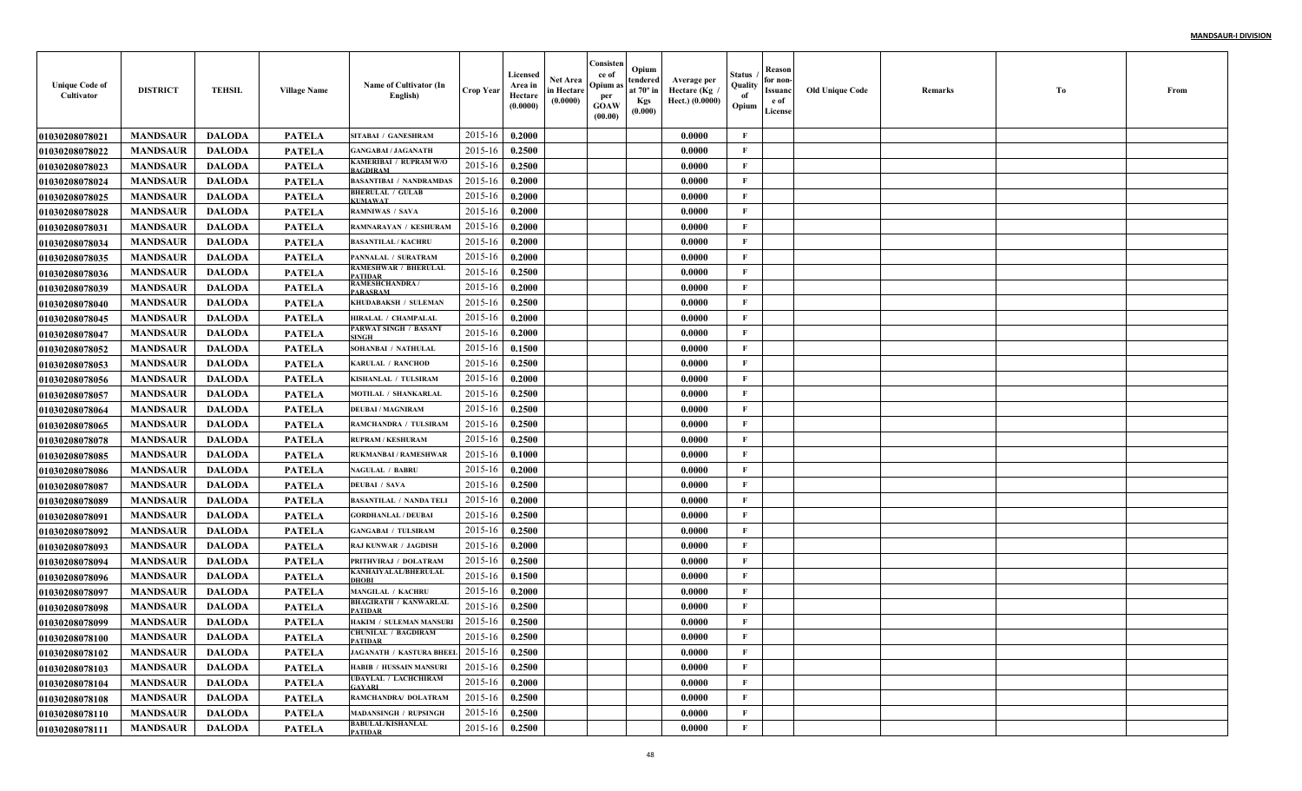| <b>Unique Code of</b><br>Cultivator | <b>DISTRICT</b> | <b>TEHSIL</b> | <b>Village Name</b> | Name of Cultivator (In<br>English)             | <b>Crop Year</b> | Licensed<br>Area in<br>Hectare<br>(0.0000) | Net Area<br>in Hectare<br>(0.0000) | Consisten<br>ce of<br>Opium a<br>per<br><b>GOAW</b><br>(00.00) | Opium<br>tendered<br>at $70^\circ$ in<br><b>Kgs</b><br>(0.000) | Average per<br>Hectare (Kg /<br>Hect.) (0.0000) | Status<br>Quality<br>of<br>Opium | Reason<br>for non-<br>Issuanc<br>e of<br>License | <b>Old Unique Code</b> | Remarks | Тo | From |
|-------------------------------------|-----------------|---------------|---------------------|------------------------------------------------|------------------|--------------------------------------------|------------------------------------|----------------------------------------------------------------|----------------------------------------------------------------|-------------------------------------------------|----------------------------------|--------------------------------------------------|------------------------|---------|----|------|
| <b>01030208078021</b>               | <b>MANDSAUR</b> | <b>DALODA</b> | <b>PATELA</b>       | <b>SITABAI / GANESHRAM</b>                     | 2015-16          | 0.2000                                     |                                    |                                                                |                                                                | 0.0000                                          | F                                |                                                  |                        |         |    |      |
| <b>01030208078022</b>               | <b>MANDSAUR</b> | <b>DALODA</b> | <b>PATELA</b>       | <b>GANGABAI / JAGANATH</b>                     | 2015-16          | 0.2500                                     |                                    |                                                                |                                                                | 0.0000                                          | $\mathbf{F}$                     |                                                  |                        |         |    |      |
| 01030208078023                      | <b>MANDSAUR</b> | <b>DALODA</b> | <b>PATELA</b>       | KAMERIBAI / RUPRAM W/O<br><b>BAGDIRAM</b>      | 2015-16          | 0.2500                                     |                                    |                                                                |                                                                | 0.0000                                          | $\mathbf{F}$                     |                                                  |                        |         |    |      |
| <b>01030208078024</b>               | <b>MANDSAUR</b> | <b>DALODA</b> | <b>PATELA</b>       | <b>BASANTIBAI / NANDRAMDAS</b>                 | 2015-16          | 0.2000                                     |                                    |                                                                |                                                                | 0.0000                                          | $\mathbf{F}$                     |                                                  |                        |         |    |      |
| <b>01030208078025</b>               | <b>MANDSAUR</b> | <b>DALODA</b> | <b>PATELA</b>       | <b>BHERULAL / GULAB</b><br><b>UMAWAT</b>       | 2015-16          | 0.2000                                     |                                    |                                                                |                                                                | 0.0000                                          | $\mathbf{F}$                     |                                                  |                        |         |    |      |
| 01030208078028                      | <b>MANDSAUR</b> | <b>DALODA</b> | <b>PATELA</b>       | <b>RAMNIWAS / SAVA</b>                         | 2015-16          | 0.2000                                     |                                    |                                                                |                                                                | 0.0000                                          | $\mathbf{F}$                     |                                                  |                        |         |    |      |
| 01030208078031                      | <b>MANDSAUR</b> | <b>DALODA</b> | <b>PATELA</b>       | <b>RAMNARAYAN / KESHURAM</b>                   | 2015-16          | 0.2000                                     |                                    |                                                                |                                                                | 0.0000                                          | $\mathbf{F}$                     |                                                  |                        |         |    |      |
| <b>01030208078034</b>               | <b>MANDSAUR</b> | <b>DALODA</b> | <b>PATELA</b>       | <b>BASANTILAL / KACHRU</b>                     | 2015-16          | 0.2000                                     |                                    |                                                                |                                                                | 0.0000                                          | $\mathbf{F}$                     |                                                  |                        |         |    |      |
| <b>01030208078035</b>               | <b>MANDSAUR</b> | <b>DALODA</b> | PATELA              | PANNALAL / SURATRAM                            | 2015-16          | 0.2000                                     |                                    |                                                                |                                                                | 0.0000                                          | $\mathbf{F}$                     |                                                  |                        |         |    |      |
| <b>01030208078036</b>               | <b>MANDSAUR</b> | <b>DALODA</b> | PATELA              | <b>RAMESHWAR / BHERULAL</b><br>PATIDAR         | 2015-16          | 0.2500                                     |                                    |                                                                |                                                                | 0.0000                                          | $\mathbf{F}$                     |                                                  |                        |         |    |      |
| <b>01030208078039</b>               | <b>MANDSAUR</b> | <b>DALODA</b> | PATELA              | RAMESHCHANDRA /<br>PARASRAM                    | 2015-16          | 0.2000                                     |                                    |                                                                |                                                                | 0.0000                                          | $\mathbf{F}$                     |                                                  |                        |         |    |      |
| <b>01030208078040</b>               | <b>MANDSAUR</b> | <b>DALODA</b> | PATELA              | KHUDABAKSH / SULEMAN                           | 2015-16          | 0.2500                                     |                                    |                                                                |                                                                | 0.0000                                          | $\mathbf{F}$                     |                                                  |                        |         |    |      |
| <b>01030208078045</b>               | <b>MANDSAUR</b> | <b>DALODA</b> | <b>PATELA</b>       | HIRALAL / CHAMPALAL                            | 2015-16          | 0.2000                                     |                                    |                                                                |                                                                | 0.0000                                          | $\mathbf{F}$                     |                                                  |                        |         |    |      |
| <b>01030208078047</b>               | <b>MANDSAUR</b> | <b>DALODA</b> | <b>PATELA</b>       | PARWAT SINGH / BASANT<br><b>SINGH</b>          | 2015-16          | 0.2000                                     |                                    |                                                                |                                                                | 0.0000                                          | $\mathbf{F}$                     |                                                  |                        |         |    |      |
| <b>01030208078052</b>               | <b>MANDSAUR</b> | <b>DALODA</b> | <b>PATELA</b>       | <b>SOHANBAI / NATHULAL</b>                     | 2015-16          | 0.1500                                     |                                    |                                                                |                                                                | 0.0000                                          | $\mathbf{F}$                     |                                                  |                        |         |    |      |
| <b>01030208078053</b>               | <b>MANDSAUR</b> | <b>DALODA</b> | <b>PATELA</b>       | <b>KARULAL / RANCHOD</b>                       | 2015-16          | 0.2500                                     |                                    |                                                                |                                                                | 0.0000                                          | $\mathbf{F}$                     |                                                  |                        |         |    |      |
| <b>01030208078056</b>               | <b>MANDSAUR</b> | <b>DALODA</b> | <b>PATELA</b>       | KISHANLAL / TULSIRAM                           | 2015-16          | 0.2000                                     |                                    |                                                                |                                                                | 0.0000                                          | $\mathbf{F}$                     |                                                  |                        |         |    |      |
| <b>01030208078057</b>               | <b>MANDSAUR</b> | <b>DALODA</b> | <b>PATELA</b>       | MOTILAL / SHANKARLAI                           | 2015-16          | 0.2500                                     |                                    |                                                                |                                                                | 0.0000                                          | $\mathbf{F}$                     |                                                  |                        |         |    |      |
| <b>01030208078064</b>               | <b>MANDSAUR</b> | <b>DALODA</b> | <b>PATELA</b>       | <b>DEUBAI / MAGNIRAM</b>                       | 2015-16          | 0.2500                                     |                                    |                                                                |                                                                | 0.0000                                          | $\mathbf{F}$                     |                                                  |                        |         |    |      |
| 01030208078065                      | <b>MANDSAUR</b> | <b>DALODA</b> | <b>PATELA</b>       | RAMCHANDRA / TULSIRAM                          | 2015-16          | 0.2500                                     |                                    |                                                                |                                                                | 0.0000                                          | $\mathbf{F}$                     |                                                  |                        |         |    |      |
| <b>01030208078078</b>               | <b>MANDSAUR</b> | <b>DALODA</b> | <b>PATELA</b>       | <b>RUPRAM / KESHURAM</b>                       | 2015-16          | 0.2500                                     |                                    |                                                                |                                                                | 0.0000                                          | $\mathbf{F}$                     |                                                  |                        |         |    |      |
| <b>01030208078085</b>               | <b>MANDSAUR</b> | <b>DALODA</b> | <b>PATELA</b>       | <b>RUKMANBAI/RAMESHWAR</b>                     | 2015-16          | 0.1000                                     |                                    |                                                                |                                                                | 0.0000                                          | F                                |                                                  |                        |         |    |      |
| <b>01030208078086</b>               | <b>MANDSAUR</b> | <b>DALODA</b> | <b>PATELA</b>       | <b>NAGULAL / BABRU</b>                         | 2015-16          | 0.2000                                     |                                    |                                                                |                                                                | 0.0000                                          | $\mathbf{F}$                     |                                                  |                        |         |    |      |
| <b>01030208078087</b>               | <b>MANDSAUR</b> | <b>DALODA</b> | <b>PATELA</b>       | <b>DEUBAI / SAVA</b>                           | 2015-16          | 0.2500                                     |                                    |                                                                |                                                                | 0.0000                                          | $\mathbf{F}$                     |                                                  |                        |         |    |      |
| <b>01030208078089</b>               | <b>MANDSAUR</b> | <b>DALODA</b> | <b>PATELA</b>       | <b>BASANTILAL / NANDA TELI</b>                 | 2015-16          | 0.2000                                     |                                    |                                                                |                                                                | 0.0000                                          | $\mathbf{F}$                     |                                                  |                        |         |    |      |
| 01030208078091                      | <b>MANDSAUR</b> | <b>DALODA</b> | <b>PATELA</b>       | <b>GORDHANLAL / DEUBAI</b>                     | 2015-16          | 0.2500                                     |                                    |                                                                |                                                                | 0.0000                                          | $\mathbf{F}$                     |                                                  |                        |         |    |      |
| <b>01030208078092</b>               | <b>MANDSAUR</b> | <b>DALODA</b> | <b>PATELA</b>       | <b>GANGABAI / TULSIRAM</b>                     | 2015-16          | 0.2500                                     |                                    |                                                                |                                                                | 0.0000                                          | $\mathbf F$                      |                                                  |                        |         |    |      |
| <b>01030208078093</b>               | <b>MANDSAUR</b> | <b>DALODA</b> | <b>PATELA</b>       | <b>RAJ KUNWAR / JAGDISH</b>                    | 2015-16          | 0.2000                                     |                                    |                                                                |                                                                | 0.0000                                          | $\mathbf{F}$                     |                                                  |                        |         |    |      |
| 01030208078094                      | <b>MANDSAUR</b> | <b>DALODA</b> | <b>PATELA</b>       | PRITHVIRAJ / DOLATRAM                          | 2015-16          | 0.2500                                     |                                    |                                                                |                                                                | 0.0000                                          | $\mathbf{F}$                     |                                                  |                        |         |    |      |
| <b>01030208078096</b>               | <b>MANDSAUR</b> | <b>DALODA</b> | <b>PATELA</b>       | <b>KANHAIYALAL/BHERULAL</b><br>DHOBI           | 2015-16          | 0.1500                                     |                                    |                                                                |                                                                | 0.0000                                          | $\mathbf{F}$                     |                                                  |                        |         |    |      |
| <b>01030208078097</b>               | <b>MANDSAUR</b> | <b>DALODA</b> | <b>PATELA</b>       | <b>MANGILAL / KACHRU</b>                       | 2015-16          | 0.2000                                     |                                    |                                                                |                                                                | 0.0000                                          | $\mathbf{F}$                     |                                                  |                        |         |    |      |
| 01030208078098                      | <b>MANDSAUR</b> | <b>DALODA</b> | <b>PATELA</b>       | <b>BHAGIRATH / KANWARLAL</b><br><b>PATIDAR</b> | 2015-16          | 0.2500                                     |                                    |                                                                |                                                                | 0.0000                                          | F                                |                                                  |                        |         |    |      |
| <b>01030208078099</b>               | <b>MANDSAUR</b> | <b>DALODA</b> | <b>PATELA</b>       | HAKIM / SULEMAN MANSURI                        | 2015-16          | 0.2500                                     |                                    |                                                                |                                                                | 0.0000                                          | F                                |                                                  |                        |         |    |      |
| 01030208078100                      | <b>MANDSAUR</b> | DALODA        | PATELA              | <b>CHUNILAL / BAGDIRAM</b><br><b>PATIDAR</b>   | $2015-16$ 0.2500 |                                            |                                    |                                                                |                                                                | 0.0000                                          | F                                |                                                  |                        |         |    |      |
| 01030208078102                      | <b>MANDSAUR</b> | DALODA        | <b>PATELA</b>       | JAGANATH / KASTURA BHEEL 2015-16               |                  | 0.2500                                     |                                    |                                                                |                                                                | 0.0000                                          | F                                |                                                  |                        |         |    |      |
| 01030208078103                      | <b>MANDSAUR</b> | DALODA        | <b>PATELA</b>       | <b>HABIB / HUSSAIN MANSURI</b>                 | 2015-16          | 0.2500                                     |                                    |                                                                |                                                                | 0.0000                                          | $\mathbf{F}$                     |                                                  |                        |         |    |      |
| <b>01030208078104</b>               | <b>MANDSAUR</b> | <b>DALODA</b> | <b>PATELA</b>       | <b>UDAYLAL / LACHCHIRAM</b><br><b>TAYARI</b>   | 2015-16          | 0.2000                                     |                                    |                                                                |                                                                | 0.0000                                          | $\mathbf{F}$                     |                                                  |                        |         |    |      |
| 01030208078108                      | <b>MANDSAUR</b> | <b>DALODA</b> | <b>PATELA</b>       | RAMCHANDRA/ DOLATRAM                           | 2015-16          | 0.2500                                     |                                    |                                                                |                                                                | 0.0000                                          | $\mathbf{F}$                     |                                                  |                        |         |    |      |
| <b>01030208078110</b>               | <b>MANDSAUR</b> | <b>DALODA</b> | <b>PATELA</b>       | <b>MADANSINGH / RUPSINGH</b>                   | 2015-16          | 0.2500                                     |                                    |                                                                |                                                                | 0.0000                                          | $\mathbf{F}$                     |                                                  |                        |         |    |      |
| 01030208078111                      | <b>MANDSAUR</b> | <b>DALODA</b> | <b>PATELA</b>       | <b>BABULAL/KISHANLAL</b><br><b>PATIDAR</b>     | 2015-16          | 0.2500                                     |                                    |                                                                |                                                                | 0.0000                                          | $\mathbf{F}$                     |                                                  |                        |         |    |      |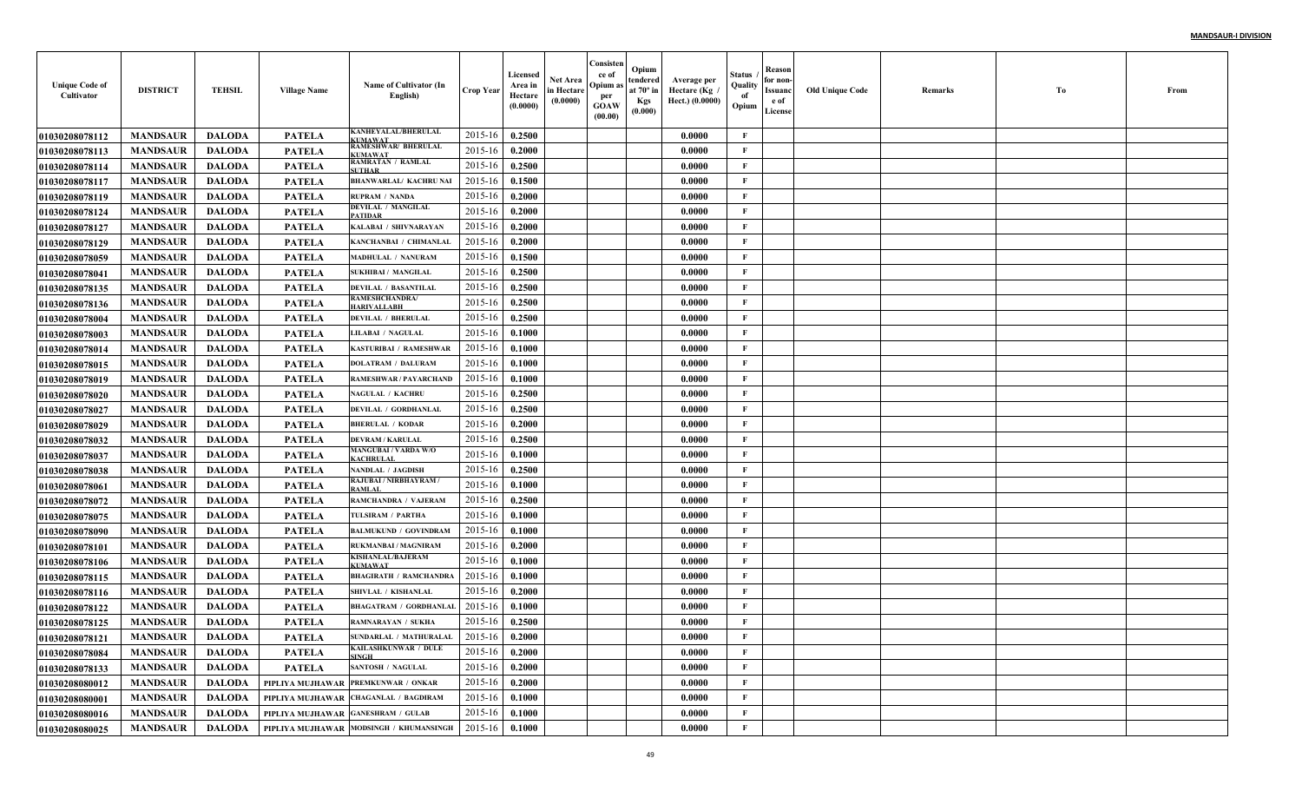| <b>Unique Code of</b><br>Cultivator | <b>DISTRICT</b> | <b>TEHSIL</b> | <b>Village Name</b>                | Name of Cultivator (In<br>English)             | <b>Crop Year</b> | Licensed<br>Area in<br>Hectare<br>(0.0000) | Net Area<br>in Hectare<br>(0.0000) | Consisten<br>ce of<br>Opium as<br>per<br><b>GOAW</b><br>(00.00) | Opium<br>tendered<br>at $70^\circ$ in<br><b>Kgs</b><br>(0.000) | Average per<br>، Hectare (Kg<br>Hect.) (0.0000) | Status<br>Quality<br>of<br>Opium | Reason<br>for non-<br>Issuanc<br>e of<br>License | <b>Old Unique Code</b> | Remarks | Тo | From |
|-------------------------------------|-----------------|---------------|------------------------------------|------------------------------------------------|------------------|--------------------------------------------|------------------------------------|-----------------------------------------------------------------|----------------------------------------------------------------|-------------------------------------------------|----------------------------------|--------------------------------------------------|------------------------|---------|----|------|
| <b>01030208078112</b>               | <b>MANDSAUR</b> | <b>DALODA</b> | <b>PATELA</b>                      | KANHEYALAL/BHERULAL<br><b>UMAWAT</b>           | 2015-16          | 0.2500                                     |                                    |                                                                 |                                                                | 0.0000                                          | $\mathbf{F}$                     |                                                  |                        |         |    |      |
| 01030208078113                      | <b>MANDSAUR</b> | <b>DALODA</b> | PATELA                             | RAMESHWAR/ BHERULAL<br><b>TIMAWAT</b>          | 2015-16          | 0.2000                                     |                                    |                                                                 |                                                                | 0.0000                                          | F                                |                                                  |                        |         |    |      |
| 01030208078114                      | <b>MANDSAUR</b> | <b>DALODA</b> | <b>PATELA</b>                      | <b>RAMRATAN / RAMLAL</b><br><b>SUTHAR</b>      | 2015-16          | 0.2500                                     |                                    |                                                                 |                                                                | 0.0000                                          | $\mathbf{F}$                     |                                                  |                        |         |    |      |
| <b>01030208078117</b>               | <b>MANDSAUR</b> | <b>DALODA</b> | <b>PATELA</b>                      | <b>BHANWARLAL/ KACHRU NAI</b>                  | 2015-16          | 0.1500                                     |                                    |                                                                 |                                                                | 0.0000                                          | $\mathbf{F}$                     |                                                  |                        |         |    |      |
| 01030208078119                      | <b>MANDSAUR</b> | <b>DALODA</b> | <b>PATELA</b>                      | <b>RUPRAM / NANDA</b>                          | 2015-16          | 0.2000                                     |                                    |                                                                 |                                                                | 0.0000                                          | $\mathbf{F}$                     |                                                  |                        |         |    |      |
| 01030208078124                      | <b>MANDSAUR</b> | <b>DALODA</b> | <b>PATELA</b>                      | <b>DEVILAL / MANGILAL</b><br><b>PATIDAR</b>    | 2015-16          | 0.2000                                     |                                    |                                                                 |                                                                | 0.0000                                          | F                                |                                                  |                        |         |    |      |
| <b>01030208078127</b>               | <b>MANDSAUR</b> | <b>DALODA</b> | PATELA                             | KALABAI / SHIVNARAYAN                          | 2015-16          | 0.2000                                     |                                    |                                                                 |                                                                | 0.0000                                          | F                                |                                                  |                        |         |    |      |
| <b>01030208078129</b>               | <b>MANDSAUR</b> | <b>DALODA</b> | PATELA                             | KANCHANBAI / CHIMANLAL                         | 2015-16          | 0.2000                                     |                                    |                                                                 |                                                                | 0.0000                                          | $\mathbf{F}$                     |                                                  |                        |         |    |      |
| <b>01030208078059</b>               | <b>MANDSAUR</b> | <b>DALODA</b> | PATELA                             | MADHULAL / NANURAM                             | 2015-16          | 0.1500                                     |                                    |                                                                 |                                                                | 0.0000                                          | $\mathbf{F}$                     |                                                  |                        |         |    |      |
| <b>01030208078041</b>               | <b>MANDSAUR</b> | <b>DALODA</b> | PATELA                             | <b>SUKHIBAI / MANGILAL</b>                     | 2015-16          | 0.2500                                     |                                    |                                                                 |                                                                | 0.0000                                          | $\mathbf{F}$                     |                                                  |                        |         |    |      |
| <b>01030208078135</b>               | <b>MANDSAUR</b> | <b>DALODA</b> | PATELA                             | <b>DEVILAL / BASANTILAL</b>                    | 2015-16          | 0.2500                                     |                                    |                                                                 |                                                                | 0.0000                                          | $\mathbf{F}$                     |                                                  |                        |         |    |      |
| <b>01030208078136</b>               | <b>MANDSAUR</b> | <b>DALODA</b> | <b>PATELA</b>                      | <b>RAMESHCHANDRA/</b><br><b>IARIVALLABH</b>    | 2015-16          | 0.2500                                     |                                    |                                                                 |                                                                | 0.0000                                          | $\mathbf{F}$                     |                                                  |                        |         |    |      |
| <b>01030208078004</b>               | <b>MANDSAUR</b> | <b>DALODA</b> | <b>PATELA</b>                      | <b>DEVILAL / BHERULAL</b>                      | 2015-16          | 0.2500                                     |                                    |                                                                 |                                                                | 0.0000                                          | $\mathbf{F}$                     |                                                  |                        |         |    |      |
| <b>01030208078003</b>               | <b>MANDSAUR</b> | <b>DALODA</b> | <b>PATELA</b>                      | <b>LILABAI / NAGULAL</b>                       | 2015-16          | 0.1000                                     |                                    |                                                                 |                                                                | 0.0000                                          | $\mathbf{F}$                     |                                                  |                        |         |    |      |
| <b>01030208078014</b>               | <b>MANDSAUR</b> | <b>DALODA</b> | <b>PATELA</b>                      | <b>KASTURIBAI / RAMESHWAR</b>                  | 2015-16          | 0.1000                                     |                                    |                                                                 |                                                                | 0.0000                                          | $\mathbf{F}$                     |                                                  |                        |         |    |      |
| <b>01030208078015</b>               | <b>MANDSAUR</b> | <b>DALODA</b> | <b>PATELA</b>                      | <b>DOLATRAM / DALURAM</b>                      | 2015-16          | 0.1000                                     |                                    |                                                                 |                                                                | 0.0000                                          | $\mathbf{F}$                     |                                                  |                        |         |    |      |
| <b>01030208078019</b>               | <b>MANDSAUR</b> | <b>DALODA</b> | <b>PATELA</b>                      | <b>RAMESHWAR / PAYARCHAND</b>                  | 2015-16          | 0.1000                                     |                                    |                                                                 |                                                                | 0.0000                                          | $\mathbf{F}$                     |                                                  |                        |         |    |      |
| <b>01030208078020</b>               | <b>MANDSAUR</b> | <b>DALODA</b> | <b>PATELA</b>                      | <b>NAGULAL / KACHRU</b>                        | 2015-16          | 0.2500                                     |                                    |                                                                 |                                                                | 0.0000                                          | $\mathbf{F}$                     |                                                  |                        |         |    |      |
| <b>01030208078027</b>               | <b>MANDSAUR</b> | <b>DALODA</b> | <b>PATELA</b>                      | <b>DEVILAL / GORDHANLAL</b>                    | 2015-16          | 0.2500                                     |                                    |                                                                 |                                                                | 0.0000                                          | $\mathbf{F}$                     |                                                  |                        |         |    |      |
| 01030208078029                      | <b>MANDSAUR</b> | <b>DALODA</b> | <b>PATELA</b>                      | <b>BHERULAL / KODAR</b>                        | 2015-16          | 0.2000                                     |                                    |                                                                 |                                                                | 0.0000                                          | $\mathbf{F}$                     |                                                  |                        |         |    |      |
| <b>01030208078032</b>               | <b>MANDSAUR</b> | <b>DALODA</b> | <b>PATELA</b>                      | <b>DEVRAM / KARULAL</b>                        | 2015-16          | 0.2500                                     |                                    |                                                                 |                                                                | 0.0000                                          | $\mathbf{F}$                     |                                                  |                        |         |    |      |
| <b>01030208078037</b>               | <b>MANDSAUR</b> | <b>DALODA</b> | <b>PATELA</b>                      | <b>MANGUBAI / VARDA W/O</b><br><b>ACHRULAI</b> | 2015-16          | 0.1000                                     |                                    |                                                                 |                                                                | 0.0000                                          | $\mathbf F$                      |                                                  |                        |         |    |      |
| 01030208078038                      | <b>MANDSAUR</b> | <b>DALODA</b> | <b>PATELA</b>                      | <b>NANDLAL / JAGDISH</b>                       | 2015-16          | 0.2500                                     |                                    |                                                                 |                                                                | 0.0000                                          | $\mathbf{F}$                     |                                                  |                        |         |    |      |
| <b>01030208078061</b>               | <b>MANDSAUR</b> | <b>DALODA</b> | <b>PATELA</b>                      | RAJUBAI / NIRBHAYRAM<br>RAMLAL                 | 2015-16          | 0.1000                                     |                                    |                                                                 |                                                                | 0.0000                                          | $\mathbf{F}$                     |                                                  |                        |         |    |      |
| <b>01030208078072</b>               | <b>MANDSAUR</b> | <b>DALODA</b> | <b>PATELA</b>                      | RAMCHANDRA / VAJERAM                           | 2015-16          | 0.2500                                     |                                    |                                                                 |                                                                | 0.0000                                          | $\mathbf{F}$                     |                                                  |                        |         |    |      |
| <b>01030208078075</b>               | <b>MANDSAUR</b> | <b>DALODA</b> | <b>PATELA</b>                      | TULSIRAM / PARTHA                              | 2015-16          | 0.1000                                     |                                    |                                                                 |                                                                | 0.0000                                          | $\mathbf{F}$                     |                                                  |                        |         |    |      |
| <b>01030208078090</b>               | <b>MANDSAUR</b> | <b>DALODA</b> | <b>PATELA</b>                      | <b>BALMUKUND / GOVINDRAM</b>                   | 2015-16          | 0.1000                                     |                                    |                                                                 |                                                                | 0.0000                                          | $\mathbf{F}$                     |                                                  |                        |         |    |      |
| 01030208078101                      | <b>MANDSAUR</b> | <b>DALODA</b> | <b>PATELA</b>                      | RUKMANBAI / MAGNIRAM                           | 2015-16          | 0.2000                                     |                                    |                                                                 |                                                                | 0.0000                                          | $\mathbf{F}$                     |                                                  |                        |         |    |      |
| <b>01030208078106</b>               | <b>MANDSAUR</b> | <b>DALODA</b> | <b>PATELA</b>                      | <b>KISHANLAL/BAJERAM</b><br><b>CUMAWAT</b>     | 2015-16          | 0.1000                                     |                                    |                                                                 |                                                                | 0.0000                                          | $\mathbf{F}$                     |                                                  |                        |         |    |      |
| 01030208078115                      | <b>MANDSAUR</b> | <b>DALODA</b> | <b>PATELA</b>                      | <b>BHAGIRATH / RAMCHANDRA</b>                  | 2015-16          | 0.1000                                     |                                    |                                                                 |                                                                | 0.0000                                          | $\mathbf{F}$                     |                                                  |                        |         |    |      |
| 01030208078116                      | <b>MANDSAUR</b> | <b>DALODA</b> | <b>PATELA</b>                      | SHIVLAL / KISHANLAL                            | 2015-16          | 0.2000                                     |                                    |                                                                 |                                                                | 0.0000                                          | F                                |                                                  |                        |         |    |      |
| <b>01030208078122</b>               | <b>MANDSAUR</b> | <b>DALODA</b> | PATELA                             | <b>BHAGATRAM / GORDHANLAI</b>                  | 2015-16          | 0.1000                                     |                                    |                                                                 |                                                                | 0.0000                                          | $\mathbf{F}$                     |                                                  |                        |         |    |      |
| <b>01030208078125</b>               | <b>MANDSAUR</b> | <b>DALODA</b> | PATELA                             | <b>RAMNARAYAN / SUKHA</b>                      | 2015-16          | 0.2500                                     |                                    |                                                                 |                                                                | 0.0000                                          | F                                |                                                  |                        |         |    |      |
| <b>01030208078121</b>               | <b>MANDSAUR</b> | DALODA        | PATELA                             | SUNDARLAL / MATHURALAL                         | $2015-16$ 0.2000 |                                            |                                    |                                                                 |                                                                | 0.0000                                          | F                                |                                                  |                        |         |    |      |
| <b>01030208078084</b>               | <b>MANDSAUR</b> | <b>DALODA</b> | PATELA                             | <b>KAILASHKUNWAR / DULE</b><br><b>SINGH</b>    | 2015-16          | 0.2000                                     |                                    |                                                                 |                                                                | 0.0000                                          | $\mathbf F$                      |                                                  |                        |         |    |      |
| 01030208078133                      | <b>MANDSAUR</b> | <b>DALODA</b> | <b>PATELA</b>                      | <b>SANTOSH / NAGULAL</b>                       | 2015-16          | 0.2000                                     |                                    |                                                                 |                                                                | 0.0000                                          | $\mathbf{F}$                     |                                                  |                        |         |    |      |
| 01030208080012                      | <b>MANDSAUR</b> | <b>DALODA</b> |                                    | PIPLIYA MUJHAWAR PREMKUNWAR / ONKAR            | 2015-16          | 0.2000                                     |                                    |                                                                 |                                                                | 0.0000                                          | $\mathbf{F}$                     |                                                  |                        |         |    |      |
| <b>01030208080001</b>               | <b>MANDSAUR</b> | <b>DALODA</b> |                                    | PIPLIYA MUJHAWAR CHAGANLAL / BAGDIRAM          | 2015-16          | 0.1000                                     |                                    |                                                                 |                                                                | 0.0000                                          | $\mathbf{F}$                     |                                                  |                        |         |    |      |
| 01030208080016                      | <b>MANDSAUR</b> | <b>DALODA</b> | PIPLIYA MUJHAWAR GANESHRAM / GULAB |                                                | 2015-16          | 0.1000                                     |                                    |                                                                 |                                                                | 0.0000                                          | $\mathbf{F}$                     |                                                  |                        |         |    |      |
| 01030208080025                      | <b>MANDSAUR</b> | <b>DALODA</b> |                                    | PIPLIYA MUJHAWAR MODSINGH / KHUMANSINGH        | 2015-16          | 0.1000                                     |                                    |                                                                 |                                                                | 0.0000                                          | $\mathbf{F}$                     |                                                  |                        |         |    |      |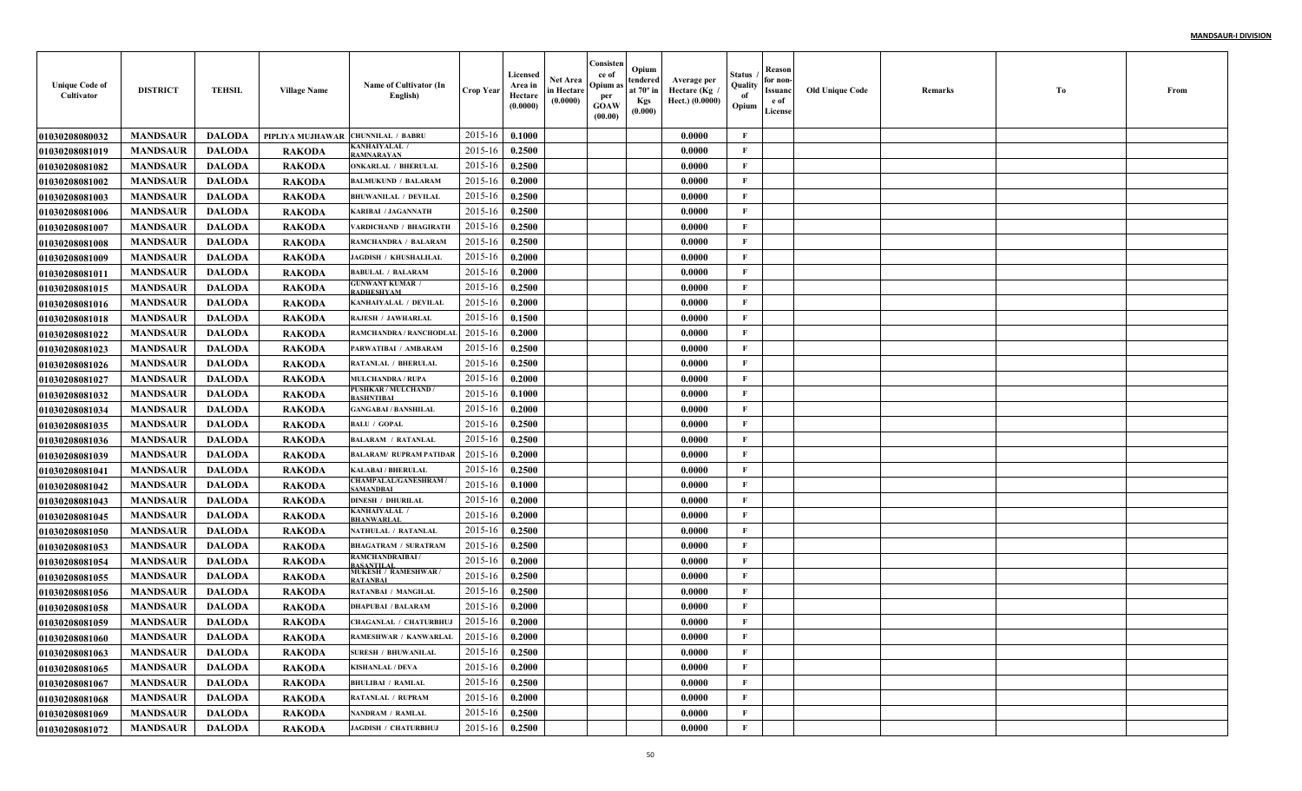| <b>Unique Code of</b><br>Cultivator | <b>DISTRICT</b> | <b>TEHSIL</b> | <b>Village Name</b> | Name of Cultivator (In<br>English)               | <b>Crop Year</b> | Licensed<br>Area in<br>Hectare<br>(0.0000) | Net Area<br>in Hectare<br>(0.0000) | Consisten<br>ce of<br>Opium as<br>per<br><b>GOAW</b><br>(00.00) | Opium<br>tendered<br>at $70^\circ$ in<br><b>Kgs</b><br>(0.000) | Average per<br>، Hectare (Kg<br>Hect.) (0.0000) | Status<br>Quality<br>of<br>Opium | Reason<br>for non-<br>Issuanc<br>e of<br>License | <b>Old Unique Code</b> | Remarks | Тo | From |
|-------------------------------------|-----------------|---------------|---------------------|--------------------------------------------------|------------------|--------------------------------------------|------------------------------------|-----------------------------------------------------------------|----------------------------------------------------------------|-------------------------------------------------|----------------------------------|--------------------------------------------------|------------------------|---------|----|------|
| <b>01030208080032</b>               | <b>MANDSAUR</b> | <b>DALODA</b> | PIPLIYA MUJHAWAR    | <b>CHUNNILAL / BABRU</b>                         | 2015-16          | 0.1000                                     |                                    |                                                                 |                                                                | 0.0000                                          | $\mathbf{F}$                     |                                                  |                        |         |    |      |
| 01030208081019                      | <b>MANDSAUR</b> | <b>DALODA</b> | <b>RAKODA</b>       | KANHAIYALAL /<br><b>AMNARAYAN</b>                | 2015-16          | 0.2500                                     |                                    |                                                                 |                                                                | 0.0000                                          | F                                |                                                  |                        |         |    |      |
| 01030208081082                      | <b>MANDSAUR</b> | <b>DALODA</b> | <b>RAKODA</b>       | <b>ONKARLAL / BHERULAL</b>                       | 2015-16          | 0.2500                                     |                                    |                                                                 |                                                                | 0.0000                                          | $\mathbf{F}$                     |                                                  |                        |         |    |      |
| <b>01030208081002</b>               | <b>MANDSAUR</b> | <b>DALODA</b> | <b>RAKODA</b>       | <b>BALMUKUND / BALARAM</b>                       | 2015-16          | 0.2000                                     |                                    |                                                                 |                                                                | 0.0000                                          | $\mathbf{F}$                     |                                                  |                        |         |    |      |
| <b>01030208081003</b>               | <b>MANDSAUR</b> | <b>DALODA</b> | <b>RAKODA</b>       | <b>BHUWANILAL / DEVILAI</b>                      | 2015-16          | 0.2500                                     |                                    |                                                                 |                                                                | 0.0000                                          | $\mathbf{F}$                     |                                                  |                        |         |    |      |
| <b>01030208081006</b>               | <b>MANDSAUR</b> | <b>DALODA</b> | <b>RAKODA</b>       | <b>KARIBAI / JAGANNATH</b>                       | 2015-16          | 0.2500                                     |                                    |                                                                 |                                                                | 0.0000                                          | F                                |                                                  |                        |         |    |      |
| <b>01030208081007</b>               | <b>MANDSAUR</b> | <b>DALODA</b> | <b>RAKODA</b>       | <b>/ARDICHAND / BHAGIRATH</b>                    | 2015-16          | 0.2500                                     |                                    |                                                                 |                                                                | 0.0000                                          | F                                |                                                  |                        |         |    |      |
| <b>01030208081008</b>               | <b>MANDSAUR</b> | <b>DALODA</b> | <b>RAKODA</b>       | RAMCHANDRA / BALARAM                             | 2015-16          | 0.2500                                     |                                    |                                                                 |                                                                | 0.0000                                          | $\mathbf{F}$                     |                                                  |                        |         |    |      |
| 01030208081009                      | <b>MANDSAUR</b> | <b>DALODA</b> | <b>RAKODA</b>       | <b>JAGDISH / KHUSHALILAL</b>                     | 2015-16          | 0.2000                                     |                                    |                                                                 |                                                                | 0.0000                                          | $\mathbf{F}$                     |                                                  |                        |         |    |      |
| <b>0103020808101</b>                | <b>MANDSAUR</b> | <b>DALODA</b> | <b>RAKODA</b>       | <b>BABULAL / BALARAM</b>                         | 2015-16          | 0.2000                                     |                                    |                                                                 |                                                                | 0.0000                                          | $\mathbf{F}$                     |                                                  |                        |         |    |      |
| <b>01030208081015</b>               | <b>MANDSAUR</b> | <b>DALODA</b> | <b>RAKODA</b>       | <b>GUNWANT KUMAR /</b><br>RADHESHYAM             | 2015-16          | 0.2500                                     |                                    |                                                                 |                                                                | 0.0000                                          | $\mathbf{F}$                     |                                                  |                        |         |    |      |
| <b>01030208081016</b>               | <b>MANDSAUR</b> | <b>DALODA</b> | <b>RAKODA</b>       | <b>KANHAIYALAL / DEVILAL</b>                     | 2015-16          | 0.2000                                     |                                    |                                                                 |                                                                | 0.0000                                          | $\mathbf{F}$                     |                                                  |                        |         |    |      |
| 01030208081018                      | <b>MANDSAUR</b> | <b>DALODA</b> | <b>RAKODA</b>       | <b>RAJESH / JAWHARLAL</b>                        | 2015-16          | 0.1500                                     |                                    |                                                                 |                                                                | 0.0000                                          | $\mathbf{F}$                     |                                                  |                        |         |    |      |
| <b>01030208081022</b>               | <b>MANDSAUR</b> | <b>DALODA</b> | <b>RAKODA</b>       | RAMCHANDRA / RANCHODLAI                          | 2015-16          | 0.2000                                     |                                    |                                                                 |                                                                | 0.0000                                          | $\mathbf{F}$                     |                                                  |                        |         |    |      |
| <b>01030208081023</b>               | <b>MANDSAUR</b> | <b>DALODA</b> | <b>RAKODA</b>       | PARWATIBAI / AMBARAM                             | 2015-16          | 0.2500                                     |                                    |                                                                 |                                                                | 0.0000                                          | $\mathbf{F}$                     |                                                  |                        |         |    |      |
| <b>01030208081026</b>               | <b>MANDSAUR</b> | <b>DALODA</b> | <b>RAKODA</b>       | <b>RATANLAL / BHERULAL</b>                       | 2015-16          | 0.2500                                     |                                    |                                                                 |                                                                | 0.0000                                          | $\mathbf{F}$                     |                                                  |                        |         |    |      |
| <b>01030208081027</b>               | <b>MANDSAUR</b> | <b>DALODA</b> | <b>RAKODA</b>       | <b>MULCHANDRA / RUPA</b>                         | 2015-16          | 0.2000                                     |                                    |                                                                 |                                                                | 0.0000                                          | $\mathbf{F}$                     |                                                  |                        |         |    |      |
| <b>01030208081032</b>               | <b>MANDSAUR</b> | <b>DALODA</b> | <b>RAKODA</b>       | <b>PUSHKAR / MULCHAND /</b><br><b>BASHNTIBAI</b> | 2015-16          | 0.1000                                     |                                    |                                                                 |                                                                | 0.0000                                          | $\mathbf{F}$                     |                                                  |                        |         |    |      |
| 01030208081034                      | <b>MANDSAUR</b> | <b>DALODA</b> | <b>RAKODA</b>       | <b>GANGABAI / BANSHILAL</b>                      | 2015-16          | 0.2000                                     |                                    |                                                                 |                                                                | 0.0000                                          | $\mathbf{F}$                     |                                                  |                        |         |    |      |
| <b>01030208081035</b>               | <b>MANDSAUR</b> | <b>DALODA</b> | <b>RAKODA</b>       | <b>BALU / GOPAL</b>                              | 2015-16          | 0.2500                                     |                                    |                                                                 |                                                                | 0.0000                                          | $\mathbf{F}$                     |                                                  |                        |         |    |      |
| 01030208081036                      | <b>MANDSAUR</b> | <b>DALODA</b> | RAKODA              | <b>BALARAM / RATANLAL</b>                        | 2015-16          | 0.2500                                     |                                    |                                                                 |                                                                | 0.0000                                          | $\mathbf{F}$                     |                                                  |                        |         |    |      |
| 01030208081039                      | <b>MANDSAUR</b> | <b>DALODA</b> | <b>RAKODA</b>       | <b>BALARAM/ RUPRAM PATIDAR</b>                   | 2015-16          | 0.2000                                     |                                    |                                                                 |                                                                | 0.0000                                          | $\mathbf F$                      |                                                  |                        |         |    |      |
| 01030208081041                      | <b>MANDSAUR</b> | <b>DALODA</b> | <b>RAKODA</b>       | <b>KALABAI/BHERULAL</b>                          | 2015-16          | 0.2500                                     |                                    |                                                                 |                                                                | 0.0000                                          | $\mathbf{F}$                     |                                                  |                        |         |    |      |
| <b>01030208081042</b>               | <b>MANDSAUR</b> | <b>DALODA</b> | <b>RAKODA</b>       | <b>CHAMPALAL/GANESHRAM</b><br>SAMANDBAI          | 2015-16          | 0.1000                                     |                                    |                                                                 |                                                                | 0.0000                                          | $\mathbf{F}$                     |                                                  |                        |         |    |      |
| 01030208081043                      | <b>MANDSAUR</b> | <b>DALODA</b> | <b>RAKODA</b>       | <b>DINESH / DHURILAL</b>                         | 2015-16          | 0.2000                                     |                                    |                                                                 |                                                                | 0.0000                                          | $\mathbf{F}$                     |                                                  |                        |         |    |      |
| 01030208081045                      | <b>MANDSAUR</b> | <b>DALODA</b> | <b>RAKODA</b>       | KANHAIYALAL <i> </i><br><b>BHANWARLAL</b>        | 2015-16          | 0.2000                                     |                                    |                                                                 |                                                                | 0.0000                                          | $\mathbf{F}$                     |                                                  |                        |         |    |      |
| <b>01030208081050</b>               | <b>MANDSAUR</b> | <b>DALODA</b> | <b>RAKODA</b>       | NATHULAL / RATANLAL                              | 2015-16          | 0.2500                                     |                                    |                                                                 |                                                                | 0.0000                                          | $\mathbf{F}$                     |                                                  |                        |         |    |      |
| <b>01030208081053</b>               | <b>MANDSAUR</b> | <b>DALODA</b> | <b>RAKODA</b>       | <b>BHAGATRAM / SURATRAM</b>                      | 2015-16          | 0.2500                                     |                                    |                                                                 |                                                                | 0.0000                                          | $\mathbf{F}$                     |                                                  |                        |         |    |      |
| 01030208081054                      | <b>MANDSAUR</b> | <b>DALODA</b> | <b>RAKODA</b>       | <b>RAMCHANDRAIBAI/</b><br><b>ASANTILAL</b>       | 2015-16          | 0.2000                                     |                                    |                                                                 |                                                                | 0.0000                                          | $\mathbf{F}$                     |                                                  |                        |         |    |      |
| 01030208081055                      | <b>MANDSAUR</b> | <b>DALODA</b> | <b>RAKODA</b>       | <b>MUKESH / RAMESHWAR</b><br>RATANBAI            | 2015-16          | 0.2500                                     |                                    |                                                                 |                                                                | 0.0000                                          | $\mathbf{F}$                     |                                                  |                        |         |    |      |
| <b>01030208081056</b>               | <b>MANDSAUR</b> | <b>DALODA</b> | <b>RAKODA</b>       | <b>RATANBAI / MANGILAL</b>                       | 2015-16          | 0.2500                                     |                                    |                                                                 |                                                                | 0.0000                                          | F                                |                                                  |                        |         |    |      |
| <b>01030208081058</b>               | <b>MANDSAUR</b> | <b>DALODA</b> | <b>RAKODA</b>       | <b>DHAPUBAI / BALARAM</b>                        | 2015-16          | 0.2000                                     |                                    |                                                                 |                                                                | 0.0000                                          | $\mathbf{F}$                     |                                                  |                        |         |    |      |
| <b>01030208081059</b>               | <b>MANDSAUR</b> | <b>DALODA</b> | <b>RAKODA</b>       | <b>CHAGANLAL / CHATURBHUJ</b>                    | 2015-16          | 0.2000                                     |                                    |                                                                 |                                                                | 0.0000                                          | F                                |                                                  |                        |         |    |      |
| 01030208081060                      | <b>MANDSAUR</b> | DALODA        | <b>RAKODA</b>       | RAMESHWAR / KANWARLAL 2015-16 0.2000             |                  |                                            |                                    |                                                                 |                                                                | 0.0000                                          | F                                |                                                  |                        |         |    |      |
| 01030208081063                      | <b>MANDSAUR</b> | <b>DALODA</b> | <b>RAKODA</b>       | <b>SURESH / BHUWANILAL</b>                       | 2015-16          | 0.2500                                     |                                    |                                                                 |                                                                | 0.0000                                          | $\mathbf{F}$                     |                                                  |                        |         |    |      |
| <b>01030208081065</b>               | <b>MANDSAUR</b> | <b>DALODA</b> | <b>RAKODA</b>       | <b>KISHANLAL / DEVA</b>                          | 2015-16          | 0.2000                                     |                                    |                                                                 |                                                                | 0.0000                                          | $\mathbf{F}$                     |                                                  |                        |         |    |      |
| 01030208081067                      | <b>MANDSAUR</b> | <b>DALODA</b> | <b>RAKODA</b>       | <b>BHULIBAI / RAMLAL</b>                         | 2015-16          | 0.2500                                     |                                    |                                                                 |                                                                | 0.0000                                          | $\mathbf{F}$                     |                                                  |                        |         |    |      |
| 01030208081068                      | <b>MANDSAUR</b> | <b>DALODA</b> | <b>RAKODA</b>       | <b>RATANLAL / RUPRAM</b>                         | 2015-16          | 0.2000                                     |                                    |                                                                 |                                                                | 0.0000                                          | $\mathbf{F}$                     |                                                  |                        |         |    |      |
| 01030208081069                      | <b>MANDSAUR</b> | <b>DALODA</b> | <b>RAKODA</b>       | NANDRAM / RAMLAL                                 | 2015-16          | 0.2500                                     |                                    |                                                                 |                                                                | 0.0000                                          | $\mathbf{F}$                     |                                                  |                        |         |    |      |
| 01030208081072                      | <b>MANDSAUR</b> | <b>DALODA</b> | <b>RAKODA</b>       | <b>JAGDISH / CHATURBHUJ</b>                      | $2015 - 16$      | 0.2500                                     |                                    |                                                                 |                                                                | 0.0000                                          | $\mathbf{F}$                     |                                                  |                        |         |    |      |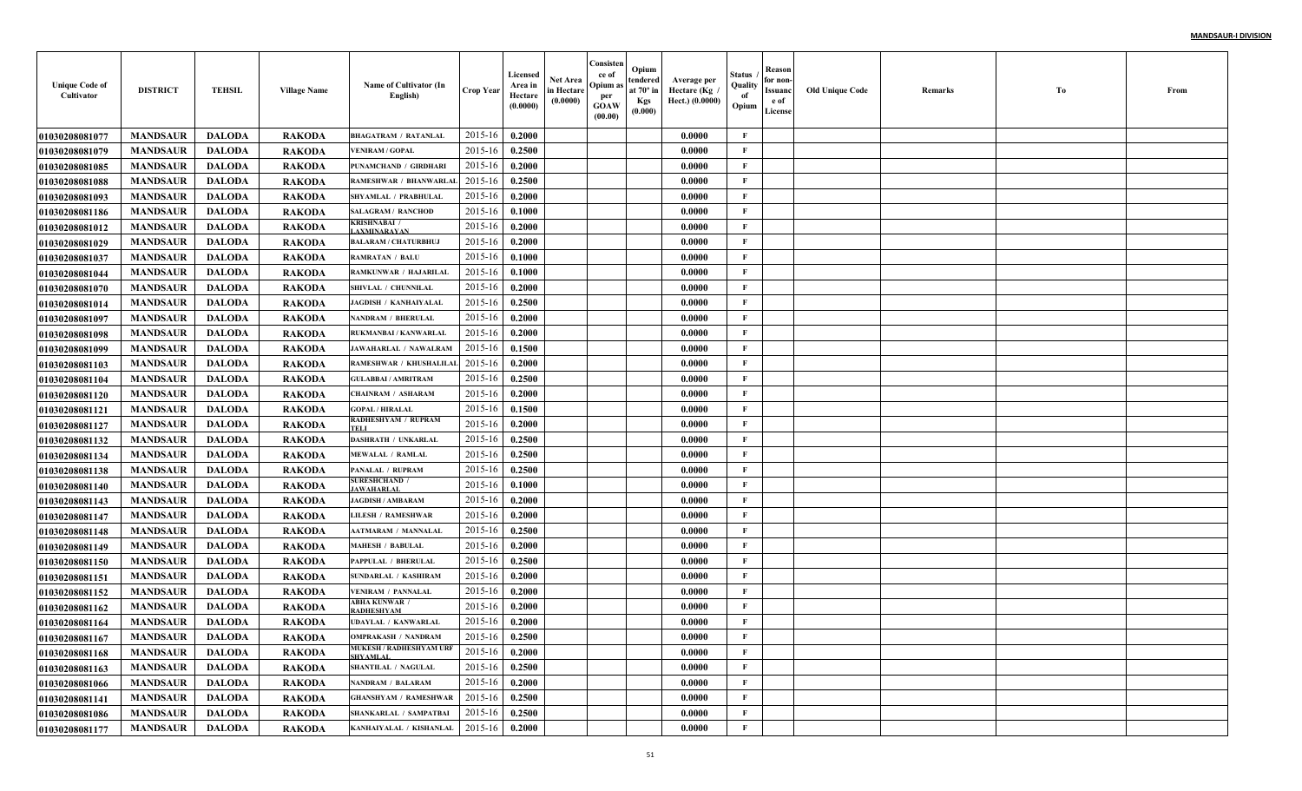| <b>Unique Code of</b><br>Cultivator | <b>DISTRICT</b> | <b>TEHSIL</b> | <b>Village Name</b> | Name of Cultivator (In<br>English)                | <b>Crop Year</b> | Licensed<br>Area in<br>Hectare<br>(0.0000) | Net Area<br>in Hectare<br>(0.0000) | Consisten<br>ce of<br>Opium a<br>per<br><b>GOAW</b><br>(00.00) | Opium<br>tendered<br>at $70^\circ$ in<br><b>Kgs</b><br>(0.000) | Average per<br>Hectare (Kg /<br>Hect.) (0.0000) | Status<br>Quality<br>of<br>Opium | Reason<br>for non-<br>Issuanc<br>e of<br>License | <b>Old Unique Code</b> | Remarks | Тo | From |
|-------------------------------------|-----------------|---------------|---------------------|---------------------------------------------------|------------------|--------------------------------------------|------------------------------------|----------------------------------------------------------------|----------------------------------------------------------------|-------------------------------------------------|----------------------------------|--------------------------------------------------|------------------------|---------|----|------|
| <b>01030208081077</b>               | <b>MANDSAUR</b> | <b>DALODA</b> | <b>RAKODA</b>       | <b>BHAGATRAM / RATANLAL</b>                       | 2015-16          | 0.2000                                     |                                    |                                                                |                                                                | 0.0000                                          | F                                |                                                  |                        |         |    |      |
| <b>01030208081079</b>               | <b>MANDSAUR</b> | <b>DALODA</b> | <b>RAKODA</b>       | <b>VENIRAM / GOPAL</b>                            | 2015-16          | 0.2500                                     |                                    |                                                                |                                                                | 0.0000                                          | $\mathbf{F}$                     |                                                  |                        |         |    |      |
| 01030208081085                      | <b>MANDSAUR</b> | <b>DALODA</b> | <b>RAKODA</b>       | PUNAMCHAND / GIRDHARI                             | 2015-16          | 0.2000                                     |                                    |                                                                |                                                                | 0.0000                                          | $\mathbf{F}$                     |                                                  |                        |         |    |      |
| 01030208081088                      | <b>MANDSAUR</b> | <b>DALODA</b> | <b>RAKODA</b>       | RAMESHWAR / BHANWARLA                             | 2015-16          | 0.2500                                     |                                    |                                                                |                                                                | 0.0000                                          | $\mathbf{F}$                     |                                                  |                        |         |    |      |
| 01030208081093                      | <b>MANDSAUR</b> | <b>DALODA</b> | <b>RAKODA</b>       | SHYAMLAL / PRABHULAI                              | 2015-16          | 0.2000                                     |                                    |                                                                |                                                                | 0.0000                                          | $\mathbf{F}$                     |                                                  |                        |         |    |      |
| 01030208081186                      | <b>MANDSAUR</b> | <b>DALODA</b> | <b>RAKODA</b>       | <b>SALAGRAM / RANCHOD</b>                         | 2015-16          | 0.1000                                     |                                    |                                                                |                                                                | 0.0000                                          | $\mathbf{F}$                     |                                                  |                        |         |    |      |
| 01030208081012                      | <b>MANDSAUR</b> | <b>DALODA</b> | <b>RAKODA</b>       | <b>KRISHNABAI</b> /<br><b>AXMINARAYAN</b>         | 2015-16          | 0.2000                                     |                                    |                                                                |                                                                | 0.0000                                          | $\mathbf{F}$                     |                                                  |                        |         |    |      |
| <b>01030208081029</b>               | <b>MANDSAUR</b> | <b>DALODA</b> | <b>RAKODA</b>       | <b>BALARAM / CHATURBHUJ</b>                       | 2015-16          | 0.2000                                     |                                    |                                                                |                                                                | 0.0000                                          | $\mathbf{F}$                     |                                                  |                        |         |    |      |
| <b>01030208081037</b>               | <b>MANDSAUR</b> | <b>DALODA</b> | <b>RAKODA</b>       | <b>RAMRATAN / BALU</b>                            | 2015-16          | 0.1000                                     |                                    |                                                                |                                                                | 0.0000                                          | $\mathbf{F}$                     |                                                  |                        |         |    |      |
| 01030208081044                      | <b>MANDSAUR</b> | <b>DALODA</b> | <b>RAKODA</b>       | RAMKUNWAR / HAJARILAL                             | 2015-16          | 0.1000                                     |                                    |                                                                |                                                                | 0.0000                                          | $\mathbf{F}$                     |                                                  |                        |         |    |      |
| <b>01030208081070</b>               | <b>MANDSAUR</b> | <b>DALODA</b> | <b>RAKODA</b>       | SHIVLAL / CHUNNILAL                               | 2015-16          | 0.2000                                     |                                    |                                                                |                                                                | 0.0000                                          | $\mathbf{F}$                     |                                                  |                        |         |    |      |
| 01030208081014                      | <b>MANDSAUR</b> | <b>DALODA</b> | <b>RAKODA</b>       | <b>JAGDISH / KANHAIYALAI</b>                      | 2015-16          | 0.2500                                     |                                    |                                                                |                                                                | 0.0000                                          | $\mathbf{F}$                     |                                                  |                        |         |    |      |
| <b>01030208081097</b>               | <b>MANDSAUR</b> | <b>DALODA</b> | <b>RAKODA</b>       | <b>NANDRAM / BHERULAL</b>                         | 2015-16          | 0.2000                                     |                                    |                                                                |                                                                | 0.0000                                          | $\mathbf{F}$                     |                                                  |                        |         |    |      |
| 01030208081098                      | <b>MANDSAUR</b> | <b>DALODA</b> | <b>RAKODA</b>       | RUKMANBAI / KANWARLAI                             | 2015-16          | 0.2000                                     |                                    |                                                                |                                                                | 0.0000                                          | $\mathbf{F}$                     |                                                  |                        |         |    |      |
| 01030208081099                      | <b>MANDSAUR</b> | <b>DALODA</b> | <b>RAKODA</b>       | <b>JAWAHARLAL / NAWALRAM</b>                      | 2015-16          | 0.1500                                     |                                    |                                                                |                                                                | 0.0000                                          | $\mathbf{F}$                     |                                                  |                        |         |    |      |
| <b>01030208081103</b>               | <b>MANDSAUR</b> | <b>DALODA</b> | <b>RAKODA</b>       | RAMESHWAR / KHUSHALILAI                           | 2015-16          | 0.2000                                     |                                    |                                                                |                                                                | 0.0000                                          | $\mathbf{F}$                     |                                                  |                        |         |    |      |
| <b>01030208081104</b>               | <b>MANDSAUR</b> | <b>DALODA</b> | <b>RAKODA</b>       | <b>GULABBAI / AMRITRAM</b>                        | 2015-16          | 0.2500                                     |                                    |                                                                |                                                                | 0.0000                                          | $\mathbf{F}$                     |                                                  |                        |         |    |      |
| 01030208081120                      | <b>MANDSAUR</b> | <b>DALODA</b> | <b>RAKODA</b>       | <b>CHAINRAM / ASHARAM</b>                         | 2015-16          | 0.2000                                     |                                    |                                                                |                                                                | 0.0000                                          | $\mathbf{F}$                     |                                                  |                        |         |    |      |
| <b>01030208081121</b>               | <b>MANDSAUR</b> | <b>DALODA</b> | <b>RAKODA</b>       | <b>GOPAL / HIRALAL</b>                            | 2015-16          | 0.1500                                     |                                    |                                                                |                                                                | 0.0000                                          | $\mathbf{F}$                     |                                                  |                        |         |    |      |
| <b>01030208081127</b>               | <b>MANDSAUR</b> | <b>DALODA</b> | <b>RAKODA</b>       | RADHESHYAM / RUPRAM                               | 2015-16          | 0.2000                                     |                                    |                                                                |                                                                | 0.0000                                          | $\mathbf{F}$                     |                                                  |                        |         |    |      |
| 01030208081132                      | <b>MANDSAUR</b> | <b>DALODA</b> | <b>RAKODA</b>       | <b>DASHRATH / UNKARLAL</b>                        | 2015-16          | 0.2500                                     |                                    |                                                                |                                                                | 0.0000                                          | $\mathbf{F}$                     |                                                  |                        |         |    |      |
| 01030208081134                      | <b>MANDSAUR</b> | <b>DALODA</b> | <b>RAKODA</b>       | <b>MEWALAL / RAMLAL</b>                           | 2015-16          | 0.2500                                     |                                    |                                                                |                                                                | 0.0000                                          | F                                |                                                  |                        |         |    |      |
| 01030208081138                      | <b>MANDSAUR</b> | <b>DALODA</b> | <b>RAKODA</b>       | PANALAL / RUPRAM                                  | 2015-16          | 0.2500                                     |                                    |                                                                |                                                                | 0.0000                                          | $\mathbf{F}$                     |                                                  |                        |         |    |      |
| <b>01030208081140</b>               | <b>MANDSAUR</b> | <b>DALODA</b> | <b>RAKODA</b>       | <b>SURESHCHAND /</b><br><b>JAWAHARLAL</b>         | 2015-16          | 0.1000                                     |                                    |                                                                |                                                                | 0.0000                                          | $\mathbf{F}$                     |                                                  |                        |         |    |      |
| <b>01030208081143</b>               | <b>MANDSAUR</b> | <b>DALODA</b> | <b>RAKODA</b>       | <b>JAGDISH / AMBARAM</b>                          | 2015-16          | 0.2000                                     |                                    |                                                                |                                                                | 0.0000                                          | $\mathbf{F}$                     |                                                  |                        |         |    |      |
| <b>01030208081147</b>               | <b>MANDSAUR</b> | <b>DALODA</b> | <b>RAKODA</b>       | <b>LILESH / RAMESHWAR</b>                         | 2015-16          | 0.2000                                     |                                    |                                                                |                                                                | 0.0000                                          | $\mathbf{F}$                     |                                                  |                        |         |    |      |
| 01030208081148                      | <b>MANDSAUR</b> | <b>DALODA</b> | <b>RAKODA</b>       | <b>AATMARAM / MANNALAI</b>                        | 2015-16          | 0.2500                                     |                                    |                                                                |                                                                | 0.0000                                          | $\mathbf F$                      |                                                  |                        |         |    |      |
| 01030208081149                      | <b>MANDSAUR</b> | <b>DALODA</b> | <b>RAKODA</b>       | <b>MAHESH / BABULAL</b>                           | 2015-16          | 0.2000                                     |                                    |                                                                |                                                                | 0.0000                                          | $\mathbf{F}$                     |                                                  |                        |         |    |      |
| 01030208081150                      | <b>MANDSAUR</b> | <b>DALODA</b> | <b>RAKODA</b>       | PAPPULAL / BHERULAI                               | 2015-16          | 0.2500                                     |                                    |                                                                |                                                                | 0.0000                                          | $\mathbf{F}$                     |                                                  |                        |         |    |      |
| 01030208081151                      | <b>MANDSAUR</b> | <b>DALODA</b> | <b>RAKODA</b>       | SUNDARLAL / KASHIRAM                              | 2015-16          | 0.2000                                     |                                    |                                                                |                                                                | 0.0000                                          | $\mathbf{F}$                     |                                                  |                        |         |    |      |
| 01030208081152                      | <b>MANDSAUR</b> | <b>DALODA</b> | <b>RAKODA</b>       | <b>VENIRAM / PANNALAL</b>                         | 2015-16          | 0.2000                                     |                                    |                                                                |                                                                | 0.0000                                          | $\mathbf{F}$                     |                                                  |                        |         |    |      |
| 01030208081162                      | <b>MANDSAUR</b> | <b>DALODA</b> | <b>RAKODA</b>       | <b>ABHA KUNWAR</b><br>RADHESHYAM                  | 2015-16          | 0.2000                                     |                                    |                                                                |                                                                | 0.0000                                          | F                                |                                                  |                        |         |    |      |
| 01030208081164                      | <b>MANDSAUR</b> | <b>DALODA</b> | <b>RAKODA</b>       | UDAYLAL / KANWARLAL                               | 2015-16          | 0.2000                                     |                                    |                                                                |                                                                | 0.0000                                          | $\mathbf{F}$                     |                                                  |                        |         |    |      |
| 01030208081167                      | <b>MANDSAUR</b> | DALODA        | <b>RAKODA</b>       | <b>OMPRAKASH / NANDRAM</b>                        | $2015-16$ 0.2500 |                                            |                                    |                                                                |                                                                | 0.0000                                          | F                                |                                                  |                        |         |    |      |
| 01030208081168                      | <b>MANDSAUR</b> | DALODA        | <b>RAKODA</b>       | <b>MUKESH / RADHESHYAM URF</b><br><b>SHYAMLAL</b> | 2015-16          | 0.2000                                     |                                    |                                                                |                                                                | 0.0000                                          | $\mathbf{F}$                     |                                                  |                        |         |    |      |
| 01030208081163                      | <b>MANDSAUR</b> | <b>DALODA</b> | <b>RAKODA</b>       | <b>SHANTILAL / NAGULAL</b>                        | 2015-16          | 0.2500                                     |                                    |                                                                |                                                                | 0.0000                                          | $\mathbf{F}$                     |                                                  |                        |         |    |      |
| <b>01030208081066</b>               | <b>MANDSAUR</b> | <b>DALODA</b> | <b>RAKODA</b>       | <b>NANDRAM / BALARAM</b>                          | 2015-16          | 0.2000                                     |                                    |                                                                |                                                                | 0.0000                                          | $\mathbf{F}$                     |                                                  |                        |         |    |      |
| 01030208081141                      | <b>MANDSAUR</b> | <b>DALODA</b> | <b>RAKODA</b>       | <b>GHANSHYAM / RAMESHWAR</b>                      | 2015-16          | 0.2500                                     |                                    |                                                                |                                                                | 0.0000                                          | $\mathbf{F}$                     |                                                  |                        |         |    |      |
| 01030208081086                      | <b>MANDSAUR</b> | <b>DALODA</b> | <b>RAKODA</b>       | <b>SHANKARLAL / SAMPATBAI</b>                     | 2015-16          | 0.2500                                     |                                    |                                                                |                                                                | 0.0000                                          | $\mathbf{F}$                     |                                                  |                        |         |    |      |
| 01030208081177                      | <b>MANDSAUR</b> | <b>DALODA</b> | <b>RAKODA</b>       | KANHAIYALAL / KISHANLAL 2015-16                   |                  | 0.2000                                     |                                    |                                                                |                                                                | 0.0000                                          | $\mathbf F$                      |                                                  |                        |         |    |      |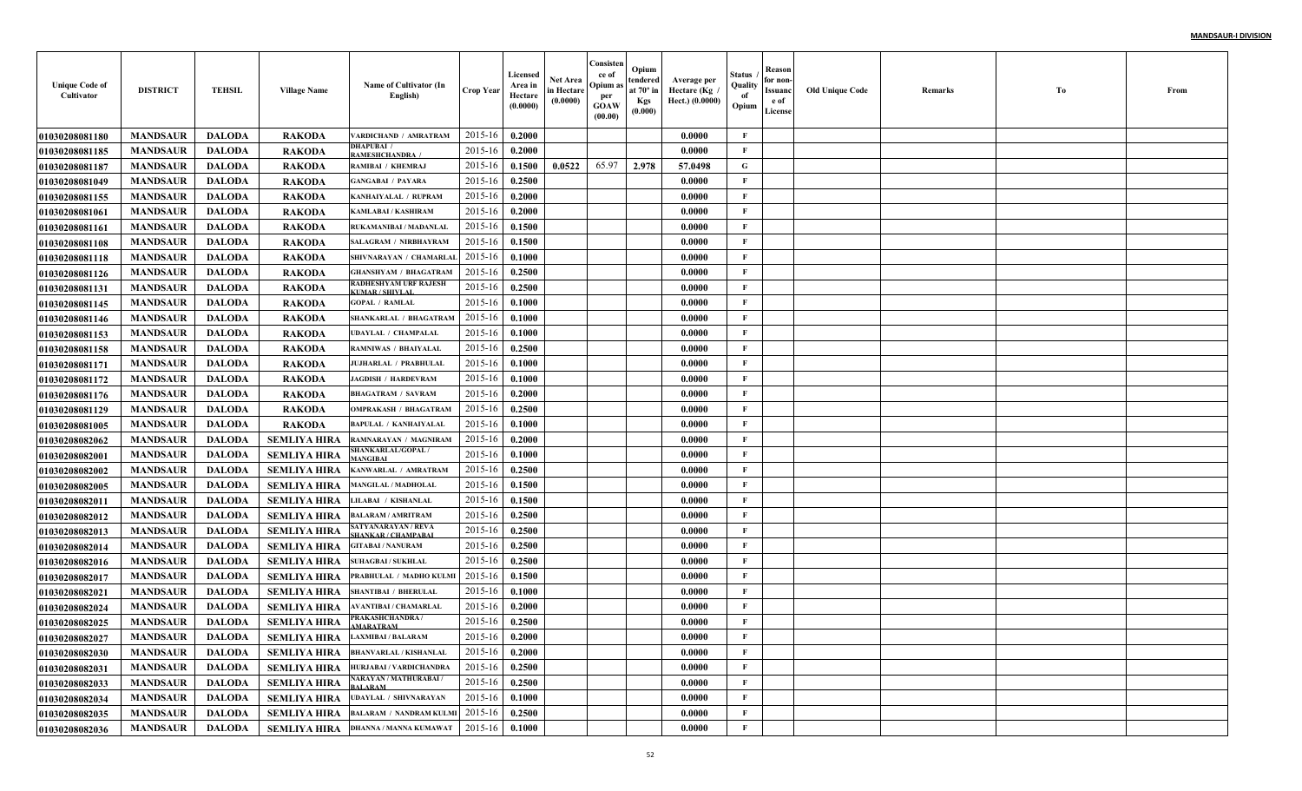| <b>Unique Code of</b><br>Cultivator | <b>DISTRICT</b> | <b>TEHSIL</b> | <b>Village Name</b>                    | Name of Cultivator (In<br>English)               | <b>Crop Year</b> | Licensed<br>Area in<br>Hectare<br>(0.0000) | Net Area<br>in Hectare<br>(0.0000) | Consisten<br>ce of<br>Opium as<br>per<br><b>GOAW</b><br>(00.00) | Opium<br>tendered<br>at $70^\circ$ in<br><b>Kgs</b><br>(0.000) | Average per<br>Hectare (Kg)<br>Hect.) (0.0000) | Status<br>Quality<br>of<br>Opium | Reason<br>for non-<br>Issuanc<br>e of<br>License | <b>Old Unique Code</b> | Remarks | Тo | From |
|-------------------------------------|-----------------|---------------|----------------------------------------|--------------------------------------------------|------------------|--------------------------------------------|------------------------------------|-----------------------------------------------------------------|----------------------------------------------------------------|------------------------------------------------|----------------------------------|--------------------------------------------------|------------------------|---------|----|------|
| 01030208081180                      | <b>MANDSAUR</b> | <b>DALODA</b> | <b>RAKODA</b>                          | ARDICHAND / AMRATRAM                             | 2015-16          | 0.2000                                     |                                    |                                                                 |                                                                | 0.0000                                         | $\mathbf{F}$                     |                                                  |                        |         |    |      |
| 01030208081185                      | <b>MANDSAUR</b> | <b>DALODA</b> | <b>RAKODA</b>                          | DHAPUBAI /<br><b>AMESHCHANDRA</b> /              | 2015-16          | 0.2000                                     |                                    |                                                                 |                                                                | 0.0000                                         | F                                |                                                  |                        |         |    |      |
| 01030208081187                      | <b>MANDSAUR</b> | <b>DALODA</b> | <b>RAKODA</b>                          | RAMIBAI / KHEMRAJ                                | 2015-16          | 0.1500                                     | 0.0522                             | 65.97                                                           | 2.978                                                          | 57.0498                                        | G                                |                                                  |                        |         |    |      |
| 01030208081049                      | <b>MANDSAUR</b> | <b>DALODA</b> | <b>RAKODA</b>                          | <b>GANGABAI / PAYARA</b>                         | 2015-16          | 0.2500                                     |                                    |                                                                 |                                                                | 0.0000                                         | $\mathbf{F}$                     |                                                  |                        |         |    |      |
| 01030208081155                      | <b>MANDSAUR</b> | <b>DALODA</b> | <b>RAKODA</b>                          | KANHAIYALAL / RUPRAM                             | 2015-16          | 0.2000                                     |                                    |                                                                 |                                                                | 0.0000                                         | $\mathbf{F}$                     |                                                  |                        |         |    |      |
| 01030208081061                      | <b>MANDSAUR</b> | <b>DALODA</b> | <b>RAKODA</b>                          | <b>KAMLABAI / KASHIRAM</b>                       | 2015-16          | 0.2000                                     |                                    |                                                                 |                                                                | 0.0000                                         | $\mathbf{F}$                     |                                                  |                        |         |    |      |
| 01030208081161                      | <b>MANDSAUR</b> | <b>DALODA</b> | <b>RAKODA</b>                          | RUKAMANIBAI / MADANLAL                           | 2015-16          | 0.1500                                     |                                    |                                                                 |                                                                | 0.0000                                         | $\mathbf{F}$                     |                                                  |                        |         |    |      |
| <b>01030208081108</b>               | <b>MANDSAUR</b> | <b>DALODA</b> | <b>RAKODA</b>                          | <b>SALAGRAM / NIRBHAYRAM</b>                     | 2015-16          | 0.1500                                     |                                    |                                                                 |                                                                | 0.0000                                         | $\mathbf{F}$                     |                                                  |                        |         |    |      |
| 01030208081118                      | <b>MANDSAUR</b> | <b>DALODA</b> | <b>RAKODA</b>                          | SHIVNARAYAN / CHAMARLAL                          | 2015-16          | 0.1000                                     |                                    |                                                                 |                                                                | 0.0000                                         | $\mathbf{F}$                     |                                                  |                        |         |    |      |
| <b>01030208081126</b>               | <b>MANDSAUR</b> | <b>DALODA</b> | <b>RAKODA</b>                          | <b>GHANSHYAM / BHAGATRAM</b>                     | 2015-16          | 0.2500                                     |                                    |                                                                 |                                                                | 0.0000                                         | $\mathbf{F}$                     |                                                  |                        |         |    |      |
| <b>01030208081131</b>               | <b>MANDSAUR</b> | <b>DALODA</b> | <b>RAKODA</b>                          | <b>RADHESHYAM URF RAJESH</b><br>KUMAR / SHIVLAI  | 2015-16          | 0.2500                                     |                                    |                                                                 |                                                                | 0.0000                                         | $\mathbf{F}$                     |                                                  |                        |         |    |      |
| 01030208081145                      | <b>MANDSAUR</b> | <b>DALODA</b> | <b>RAKODA</b>                          | <b>GOPAL / RAMLAL</b>                            | 2015-16          | 0.1000                                     |                                    |                                                                 |                                                                | 0.0000                                         | $\mathbf{F}$                     |                                                  |                        |         |    |      |
| 01030208081146                      | <b>MANDSAUR</b> | <b>DALODA</b> | <b>RAKODA</b>                          | SHANKARLAL / BHAGATRAM                           | 2015-16          | 0.1000                                     |                                    |                                                                 |                                                                | 0.0000                                         | $\mathbf{F}$                     |                                                  |                        |         |    |      |
| 01030208081153                      | <b>MANDSAUR</b> | <b>DALODA</b> | <b>RAKODA</b>                          | <b>UDAYLAL / CHAMPALAL</b>                       | 2015-16          | 0.1000                                     |                                    |                                                                 |                                                                | 0.0000                                         | $\mathbf{F}$                     |                                                  |                        |         |    |      |
| 01030208081158                      | <b>MANDSAUR</b> | <b>DALODA</b> | <b>RAKODA</b>                          | <b>RAMNIWAS / BHAIYALAL</b>                      | 2015-16          | 0.2500                                     |                                    |                                                                 |                                                                | 0.0000                                         | $\mathbf{F}$                     |                                                  |                        |         |    |      |
| <b>01030208081171</b>               | <b>MANDSAUR</b> | <b>DALODA</b> | <b>RAKODA</b>                          | <b>JUJHARLAL / PRABHULAL</b>                     | 2015-16          | 0.1000                                     |                                    |                                                                 |                                                                | 0.0000                                         | $\mathbf{F}$                     |                                                  |                        |         |    |      |
| 01030208081172                      | <b>MANDSAUR</b> | <b>DALODA</b> | <b>RAKODA</b>                          | <b>JAGDISH / HARDEVRAM</b>                       | 2015-16          | 0.1000                                     |                                    |                                                                 |                                                                | 0.0000                                         | $\mathbf{F}$                     |                                                  |                        |         |    |      |
| <b>01030208081176</b>               | <b>MANDSAUR</b> | <b>DALODA</b> | <b>RAKODA</b>                          | <b>BHAGATRAM / SAVRAM</b>                        | 2015-16          | 0.2000                                     |                                    |                                                                 |                                                                | 0.0000                                         | $\mathbf{F}$                     |                                                  |                        |         |    |      |
| <b>01030208081129</b>               | <b>MANDSAUR</b> | <b>DALODA</b> | <b>RAKODA</b>                          | <b>OMPRAKASH / BHAGATRAM</b>                     | 2015-16          | 0.2500                                     |                                    |                                                                 |                                                                | 0.0000                                         | $\mathbf{F}$                     |                                                  |                        |         |    |      |
| 01030208081005                      | <b>MANDSAUR</b> | <b>DALODA</b> | <b>RAKODA</b>                          | <b>BAPULAL / KANHAIYALAL</b>                     | 2015-16          | 0.1000                                     |                                    |                                                                 |                                                                | 0.0000                                         | $\mathbf{F}$                     |                                                  |                        |         |    |      |
| 01030208082062                      | <b>MANDSAUR</b> | <b>DALODA</b> | <b>SEMLIYA HIRA</b>                    | RAMNARAYAN / MAGNIRAM                            | 2015-16          | 0.2000                                     |                                    |                                                                 |                                                                | 0.0000                                         | $\mathbf{F}$                     |                                                  |                        |         |    |      |
| <b>01030208082001</b>               | <b>MANDSAUR</b> | <b>DALODA</b> | SEMLIYA HIRA                           | <b>SHANKARLAL/GOPAL /</b><br><b>JANGIRAI</b>     | 2015-16          | 0.1000                                     |                                    |                                                                 |                                                                | 0.0000                                         | $\mathbf F$                      |                                                  |                        |         |    |      |
| <b>01030208082002</b>               | <b>MANDSAUR</b> | <b>DALODA</b> | SEMLIYA HIRA                           | KANWARLAL / AMRATRAM                             | 2015-16          | 0.2500                                     |                                    |                                                                 |                                                                | 0.0000                                         | $\mathbf{F}$                     |                                                  |                        |         |    |      |
| <b>01030208082005</b>               | <b>MANDSAUR</b> | <b>DALODA</b> | <b>SEMLIYA HIRA</b>                    | <b>MANGILAL / MADHOLAL</b>                       | 2015-16          | 0.1500                                     |                                    |                                                                 |                                                                | 0.0000                                         | $\mathbf{F}$                     |                                                  |                        |         |    |      |
| <b>0103020808201</b>                | <b>MANDSAUR</b> | <b>DALODA</b> | <b>SEMLIYA HIRA</b>                    | LILABAI / KISHANLAL                              | 2015-16          | 0.1500                                     |                                    |                                                                 |                                                                | 0.0000                                         | $\mathbf{F}$                     |                                                  |                        |         |    |      |
| <b>01030208082012</b>               | <b>MANDSAUR</b> | <b>DALODA</b> | <b>SEMLIYA HIRA</b>                    | <b>BALARAM / AMRITRAM</b>                        | 2015-16          | 0.2500                                     |                                    |                                                                 |                                                                | 0.0000                                         | $\mathbf{F}$                     |                                                  |                        |         |    |      |
| <b>01030208082013</b>               | <b>MANDSAUR</b> | <b>DALODA</b> | <b>SEMLIYA HIRA</b>                    | SATYANARAYAN / REVA<br><b>SHANKAR / CHAMPABA</b> | 2015-16          | 0.2500                                     |                                    |                                                                 |                                                                | 0.0000                                         | $\mathbf{F}$                     |                                                  |                        |         |    |      |
| 01030208082014                      | <b>MANDSAUR</b> | <b>DALODA</b> | <b>SEMLIYA HIRA</b>                    | <b>GITABAI / NANURAM</b>                         | 2015-16          | 0.2500                                     |                                    |                                                                 |                                                                | 0.0000                                         | $\mathbf{F}$                     |                                                  |                        |         |    |      |
| 01030208082016                      | <b>MANDSAUR</b> | <b>DALODA</b> | <b>SEMLIYA HIRA</b>                    | <b>SUHAGBAI / SUKHLAL</b>                        | 2015-16          | 0.2500                                     |                                    |                                                                 |                                                                | 0.0000                                         | $\mathbf{F}$                     |                                                  |                        |         |    |      |
| <b>01030208082017</b>               | <b>MANDSAUR</b> | <b>DALODA</b> | <b>SEMLIYA HIRA</b>                    | PRABHULAL / MADHO KULM                           | 2015-16          | 0.1500                                     |                                    |                                                                 |                                                                | 0.0000                                         | $\mathbf{F}$                     |                                                  |                        |         |    |      |
| 01030208082021                      | <b>MANDSAUR</b> | <b>DALODA</b> | <b>SEMLIYA HIRA</b>                    | <b>SHANTIBAI / BHERULAL</b>                      | 2015-16          | 0.1000                                     |                                    |                                                                 |                                                                | 0.0000                                         | F                                |                                                  |                        |         |    |      |
| 01030208082024                      | <b>MANDSAUR</b> | <b>DALODA</b> | <b>SEMLIYA HIRA</b>                    | AVANTIBAI / CHAMARLAL                            | 2015-16          | 0.2000                                     |                                    |                                                                 |                                                                | 0.0000                                         | $\mathbf{F}$                     |                                                  |                        |         |    |      |
| 01030208082025                      | <b>MANDSAUR</b> | <b>DALODA</b> | <b>SEMLIYA HIRA</b>                    | PRAKASHCHANDRA/<br><b>AMARATRAM</b>              | 2015-16          | 0.2500                                     |                                    |                                                                 |                                                                | 0.0000                                         | $\mathbf{F}$                     |                                                  |                        |         |    |      |
| <b>01030208082027</b>               | <b>MANDSAUR</b> | DALODA        | <b>SEMLIYA HIRA</b> LAXMIBAI / BALARAM |                                                  | 2015-16 0.2000   |                                            |                                    |                                                                 |                                                                | 0.0000                                         | F                                |                                                  |                        |         |    |      |
| 01030208082030                      | <b>MANDSAUR</b> | <b>DALODA</b> | <b>SEMLIYA HIRA</b>                    | <b>BHANVARLAL / KISHANLAL</b>                    | 2015-16          | 0.2000                                     |                                    |                                                                 |                                                                | 0.0000                                         | $\mathbf F$                      |                                                  |                        |         |    |      |
| 01030208082031                      | <b>MANDSAUR</b> | <b>DALODA</b> | <b>SEMLIYA HIRA</b>                    | HURJABAI / VARDICHANDRA                          | 2015-16          | 0.2500                                     |                                    |                                                                 |                                                                | 0.0000                                         | $\mathbf{F}$                     |                                                  |                        |         |    |      |
| 01030208082033                      | <b>MANDSAUR</b> | <b>DALODA</b> | <b>SEMLIYA HIRA</b>                    | NARAYAN / MATHURABAI /<br><b>BALARAM</b>         | 2015-16          | 0.2500                                     |                                    |                                                                 |                                                                | 0.0000                                         | $\mathbf{F}$                     |                                                  |                        |         |    |      |
| 01030208082034                      | <b>MANDSAUR</b> | <b>DALODA</b> | <b>SEMLIYA HIRA</b>                    | <b>UDAYLAL / SHIVNARAYAN</b>                     | 2015-16          | 0.1000                                     |                                    |                                                                 |                                                                | 0.0000                                         | $\mathbf{F}$                     |                                                  |                        |         |    |      |
| 01030208082035                      | <b>MANDSAUR</b> | <b>DALODA</b> | <b>SEMLIYA HIRA</b>                    | <b>BALARAM / NANDRAM KULMI</b>                   | 2015-16          | 0.2500                                     |                                    |                                                                 |                                                                | 0.0000                                         | $\mathbf{F}$                     |                                                  |                        |         |    |      |
| 01030208082036                      | <b>MANDSAUR</b> | <b>DALODA</b> |                                        | <b>SEMLIYA HIRA</b> DHANNA / MANNA KUMAWAT       | 2015-16          | 0.1000                                     |                                    |                                                                 |                                                                | 0.0000                                         | $\mathbf{F}$                     |                                                  |                        |         |    |      |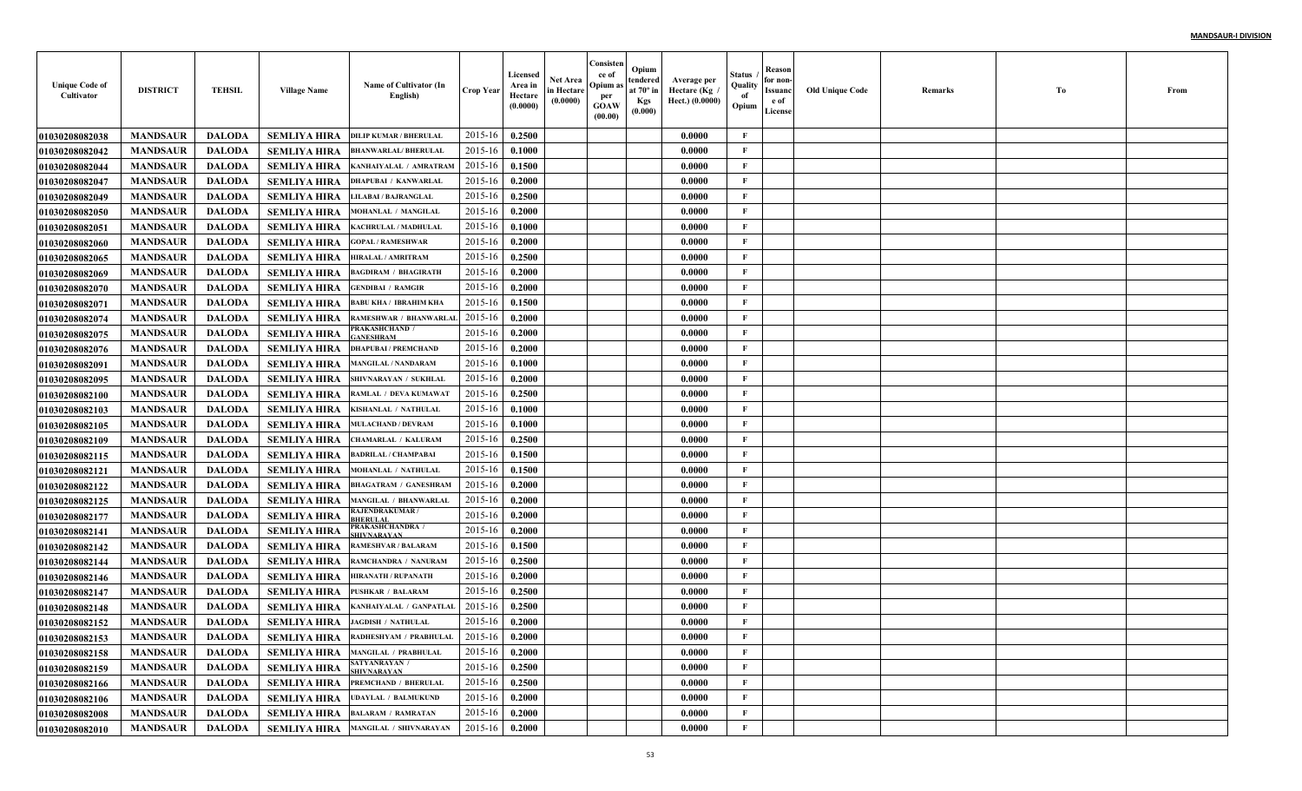| <b>Unique Code of</b><br>Cultivator | <b>DISTRICT</b> | <b>TEHSIL</b> | <b>Village Name</b> | Name of Cultivator (In<br>English)                     | Crop Year   | Licensed<br>Area in<br>Hectare<br>(0.0000) | Net Area<br>in Hectare<br>(0.0000) | Consisten<br>ce of<br>Opium a<br>per<br><b>GOAW</b><br>(00.00) | Opium<br>tendered<br>at 70° in<br><b>Kgs</b><br>(0.000) | Average per<br>Hectare (Kg /<br>Hect.) (0.0000) | Status<br>Quality<br>of<br>Opium | Reason<br>for non-<br>Issuanc<br>e of<br>License | Old Unique Code | Remarks | To | From |
|-------------------------------------|-----------------|---------------|---------------------|--------------------------------------------------------|-------------|--------------------------------------------|------------------------------------|----------------------------------------------------------------|---------------------------------------------------------|-------------------------------------------------|----------------------------------|--------------------------------------------------|-----------------|---------|----|------|
| 01030208082038                      | <b>MANDSAUR</b> | <b>DALODA</b> | <b>SEMLIYA HIRA</b> | <b>DILIP KUMAR / BHERULAL</b>                          | 2015-16     | 0.2500                                     |                                    |                                                                |                                                         | 0.0000                                          | F                                |                                                  |                 |         |    |      |
| <b>01030208082042</b>               | <b>MANDSAUR</b> | <b>DALODA</b> | <b>SEMLIYA HIRA</b> | <b>BHANWARLAL/BHERULAL</b>                             | 2015-16     | 0.1000                                     |                                    |                                                                |                                                         | 0.0000                                          | F                                |                                                  |                 |         |    |      |
| 01030208082044                      | <b>MANDSAUR</b> | <b>DALODA</b> | <b>SEMLIYA HIRA</b> | KANHAIYALAL / AMRATRAM                                 | 2015-16     | 0.1500                                     |                                    |                                                                |                                                         | 0.0000                                          | $\mathbf{F}$                     |                                                  |                 |         |    |      |
| <b>01030208082047</b>               | <b>MANDSAUR</b> | <b>DALODA</b> | <b>SEMLIYA HIRA</b> | DHAPUBAI / KANWARLAI                                   | 2015-16     | 0.2000                                     |                                    |                                                                |                                                         | 0.0000                                          | F                                |                                                  |                 |         |    |      |
| <b>01030208082049</b>               | <b>MANDSAUR</b> | <b>DALODA</b> | <b>SEMLIYA HIRA</b> | LILABAI / BAJRANGLAL                                   | 2015-16     | 0.2500                                     |                                    |                                                                |                                                         | 0.0000                                          | $\mathbf{F}$                     |                                                  |                 |         |    |      |
| <b>01030208082050</b>               | <b>MANDSAUR</b> | <b>DALODA</b> | <b>SEMLIYA HIRA</b> | MOHANLAL / MANGILAI                                    | 2015-16     | 0.2000                                     |                                    |                                                                |                                                         | 0.0000                                          | F                                |                                                  |                 |         |    |      |
| <b>01030208082051</b>               | <b>MANDSAUR</b> | <b>DALODA</b> | <b>SEMLIYA HIRA</b> | KACHRULAL / MADHULAI                                   | 2015-16     | 0.1000                                     |                                    |                                                                |                                                         | 0.0000                                          | F                                |                                                  |                 |         |    |      |
| 01030208082060                      | <b>MANDSAUR</b> | <b>DALODA</b> | <b>SEMLIYA HIRA</b> | <b>GOPAL / RAMESHWAR</b>                               | 2015-16     | 0.2000                                     |                                    |                                                                |                                                         | 0.0000                                          | $\mathbf{F}$                     |                                                  |                 |         |    |      |
| <b>01030208082065</b>               | <b>MANDSAUR</b> | <b>DALODA</b> | SEMLIYA HIRA        | <b>HIRALAL / AMRITRAM</b>                              | 2015-16     | 0.2500                                     |                                    |                                                                |                                                         | 0.0000                                          | $\mathbf{F}$                     |                                                  |                 |         |    |      |
| <b>01030208082069</b>               | <b>MANDSAUR</b> | <b>DALODA</b> | <b>SEMLIYA HIRA</b> | <b>BAGDIRAM / BHAGIRATH</b>                            | 2015-16     | 0.2000                                     |                                    |                                                                |                                                         | 0.0000                                          | $\mathbf{F}$                     |                                                  |                 |         |    |      |
| <b>01030208082070</b>               | <b>MANDSAUR</b> | <b>DALODA</b> | <b>SEMLIYA HIRA</b> | <b>GENDIBAI / RAMGIR</b>                               | 2015-16     | 0.2000                                     |                                    |                                                                |                                                         | 0.0000                                          | $\mathbf{F}$                     |                                                  |                 |         |    |      |
| <b>01030208082071</b>               | <b>MANDSAUR</b> | <b>DALODA</b> | <b>SEMLIYA HIRA</b> | <b>BABU KHA / IBRAHIM KHA</b>                          | 2015-16     | 0.1500                                     |                                    |                                                                |                                                         | 0.0000                                          | F                                |                                                  |                 |         |    |      |
| <b>01030208082074</b>               | <b>MANDSAUR</b> | <b>DALODA</b> | <b>SEMLIYA HIRA</b> | RAMESHWAR / BHANWARLAL                                 | 2015-16     | 0.2000                                     |                                    |                                                                |                                                         | 0.0000                                          | F                                |                                                  |                 |         |    |      |
| <b>01030208082075</b>               | <b>MANDSAUR</b> | <b>DALODA</b> | <b>SEMLIYA HIRA</b> | PRAKASHCHAND /<br><b>ANESHRAM</b>                      | 2015-16     | 0.2000                                     |                                    |                                                                |                                                         | 0.0000                                          | F                                |                                                  |                 |         |    |      |
| 01030208082076                      | <b>MANDSAUR</b> | <b>DALODA</b> | <b>SEMLIYA HIRA</b> | <b>DHAPUBAI / PREMCHAND</b>                            | 2015-16     | 0.2000                                     |                                    |                                                                |                                                         | 0.0000                                          | $\mathbf{F}$                     |                                                  |                 |         |    |      |
| <b>01030208082091</b>               | <b>MANDSAUR</b> | <b>DALODA</b> | <b>SEMLIYA HIRA</b> | <b>MANGILAL / NANDARAM</b>                             | 2015-16     | 0.1000                                     |                                    |                                                                |                                                         | 0.0000                                          | $\mathbf{F}$                     |                                                  |                 |         |    |      |
| <b>01030208082095</b>               | <b>MANDSAUR</b> | <b>DALODA</b> | <b>SEMLIYA HIRA</b> | <b>SHIVNARAYAN / SUKHLAI</b>                           | 2015-16     | 0.2000                                     |                                    |                                                                |                                                         | 0.0000                                          | $\mathbf{F}$                     |                                                  |                 |         |    |      |
| <b>01030208082100</b>               | <b>MANDSAUR</b> | <b>DALODA</b> | <b>SEMLIYA HIRA</b> | RAMLAL / DEVA KUMAWAT                                  | 2015-16     | 0.2500                                     |                                    |                                                                |                                                         | 0.0000                                          | $\mathbf{F}$                     |                                                  |                 |         |    |      |
| <b>01030208082103</b>               | <b>MANDSAUR</b> | <b>DALODA</b> | <b>SEMLIYA HIRA</b> | KISHANLAL / NATHULAL                                   | 2015-16     | 0.1000                                     |                                    |                                                                |                                                         | 0.0000                                          | $\mathbf{F}$                     |                                                  |                 |         |    |      |
| 01030208082105                      | <b>MANDSAUR</b> | <b>DALODA</b> | <b>SEMLIYA HIRA</b> | <b>MULACHAND / DEVRAM</b>                              | 2015-16     | 0.1000                                     |                                    |                                                                |                                                         | 0.0000                                          | $\mathbf{F}$                     |                                                  |                 |         |    |      |
| 01030208082109                      | <b>MANDSAUR</b> | <b>DALODA</b> | <b>SEMLIYA HIRA</b> | CHAMARLAL / KALURAM                                    | 2015-16     | 0.2500                                     |                                    |                                                                |                                                         | 0.0000                                          | $\mathbf{F}$                     |                                                  |                 |         |    |      |
| <b>01030208082115</b>               | <b>MANDSAUR</b> | <b>DALODA</b> | <b>SEMLIYA HIRA</b> | <b>BADRILAL / CHAMPABAI</b>                            | 2015-16     | 0.1500                                     |                                    |                                                                |                                                         | 0.0000                                          | $\mathbf{F}$                     |                                                  |                 |         |    |      |
| <b>01030208082121</b>               | <b>MANDSAUR</b> | <b>DALODA</b> | <b>SEMLIYA HIRA</b> | MOHANLAL / NATHULAI                                    | 2015-16     | 0.1500                                     |                                    |                                                                |                                                         | 0.0000                                          | $\mathbf{F}$                     |                                                  |                 |         |    |      |
| <b>01030208082122</b>               | <b>MANDSAUR</b> | <b>DALODA</b> | <b>SEMLIYA HIRA</b> | <b>BHAGATRAM / GANESHRAM</b>                           | 2015-16     | 0.2000                                     |                                    |                                                                |                                                         | 0.0000                                          | $\mathbf{F}$                     |                                                  |                 |         |    |      |
| <b>01030208082125</b>               | <b>MANDSAUR</b> | <b>DALODA</b> | <b>SEMLIYA HIRA</b> | <b>MANGILAL / BHANWARLAL</b>                           | 2015-16     | 0.2000                                     |                                    |                                                                |                                                         | 0.0000                                          | $\mathbf{F}$                     |                                                  |                 |         |    |      |
| <b>01030208082177</b>               | <b>MANDSAUR</b> | <b>DALODA</b> | <b>SEMLIYA HIRA</b> | <b>RAJENDRAKUMAR/</b><br><b>RHERIT A</b>               | 2015-16     | 0.2000                                     |                                    |                                                                |                                                         | 0.0000                                          | $\mathbf{F}$                     |                                                  |                 |         |    |      |
| 01030208082141                      | <b>MANDSAUR</b> | <b>DALODA</b> | <b>SEMLIYA HIRA</b> | PRAKASHCHANDRA /<br><b>HIVNARAYAN</b>                  | 2015-16     | 0.2000                                     |                                    |                                                                |                                                         | 0.0000                                          | F                                |                                                  |                 |         |    |      |
| 01030208082142                      | <b>MANDSAUR</b> | <b>DALODA</b> | <b>SEMLIYA HIRA</b> | <b>RAMESHVAR / BALARAM</b>                             | 2015-16     | 0.1500                                     |                                    |                                                                |                                                         | 0.0000                                          | $\mathbf{F}$                     |                                                  |                 |         |    |      |
| 01030208082144                      | <b>MANDSAUR</b> | <b>DALODA</b> | <b>SEMLIYA HIRA</b> | RAMCHANDRA / NANURAM                                   | 2015-16     | 0.2500                                     |                                    |                                                                |                                                         | 0.0000                                          | $\mathbf{F}$                     |                                                  |                 |         |    |      |
| <b>01030208082146</b>               | <b>MANDSAUR</b> | <b>DALODA</b> | <b>SEMLIYA HIRA</b> | <b>HIRANATH / RUPANATH</b>                             | 2015-16     | 0.2000                                     |                                    |                                                                |                                                         | 0.0000                                          | $\mathbf{F}$                     |                                                  |                 |         |    |      |
| <b>01030208082147</b>               | <b>MANDSAUR</b> | <b>DALODA</b> | <b>SEMLIYA HIRA</b> | <b>PUSHKAR / BALARAM</b>                               | 2015-16     | 0.2500                                     |                                    |                                                                |                                                         | 0.0000                                          | F                                |                                                  |                 |         |    |      |
| 01030208082148                      | <b>MANDSAUR</b> | <b>DALODA</b> | <b>SEMLIYA HIRA</b> | KANHAIYALAL / GANPATLAI                                | 2015-16     | 0.2500                                     |                                    |                                                                |                                                         | 0.0000                                          | F                                |                                                  |                 |         |    |      |
| <b>01030208082152</b>               | <b>MANDSAUR</b> | <b>DALODA</b> | <b>SEMLIYA HIRA</b> | <b>JAGDISH / NATHULAL</b>                              | 2015-16     | 0.2000                                     |                                    |                                                                |                                                         | 0.0000                                          | $\mathbf{F}$                     |                                                  |                 |         |    |      |
| <b>01030208082153</b>               | <b>MANDSAUR</b> | DALODA        |                     | SEMLIYA HIRA RADHESHYAM / PRABHULAL   2015-16   0.2000 |             |                                            |                                    |                                                                |                                                         | 0.0000                                          | F                                |                                                  |                 |         |    |      |
| 01030208082158                      | <b>MANDSAUR</b> | <b>DALODA</b> |                     | SEMLIYA HIRA   MANGILAL / PRABHULAL                    | 2015-16     | 0.2000                                     |                                    |                                                                |                                                         | 0.0000                                          | $\mathbf{F}$                     |                                                  |                 |         |    |      |
| <b>01030208082159</b>               | <b>MANDSAUR</b> | <b>DALODA</b> | <b>SEMLIYA HIRA</b> | <b>SATYANRAYAN /</b><br><b>SHIVNARAYAN</b>             | 2015-16     | 0.2500                                     |                                    |                                                                |                                                         | 0.0000                                          | $\mathbf{F}$                     |                                                  |                 |         |    |      |
| 01030208082166                      | <b>MANDSAUR</b> | <b>DALODA</b> | <b>SEMLIYA HIRA</b> | PREMCHAND / BHERULAL                                   | 2015-16     | 0.2500                                     |                                    |                                                                |                                                         | 0.0000                                          | $\mathbf{F}$                     |                                                  |                 |         |    |      |
| 01030208082106                      | <b>MANDSAUR</b> | <b>DALODA</b> |                     | SEMLIYA HIRA UDAYLAL / BALMUKUND                       | 2015-16     | 0.2000                                     |                                    |                                                                |                                                         | 0.0000                                          | $\mathbf{F}$                     |                                                  |                 |         |    |      |
| 01030208082008                      | <b>MANDSAUR</b> | <b>DALODA</b> |                     | SEMLIYA HIRA BALARAM / RAMRATAN                        | 2015-16     | 0.2000                                     |                                    |                                                                |                                                         | 0.0000                                          | $\mathbf{F}$                     |                                                  |                 |         |    |      |
| 01030208082010                      | <b>MANDSAUR</b> | <b>DALODA</b> |                     | SEMLIYA HIRA MANGILAL / SHIVNARAYAN                    | $2015 - 16$ | 0.2000                                     |                                    |                                                                |                                                         | 0.0000                                          | $\mathbf{F}$                     |                                                  |                 |         |    |      |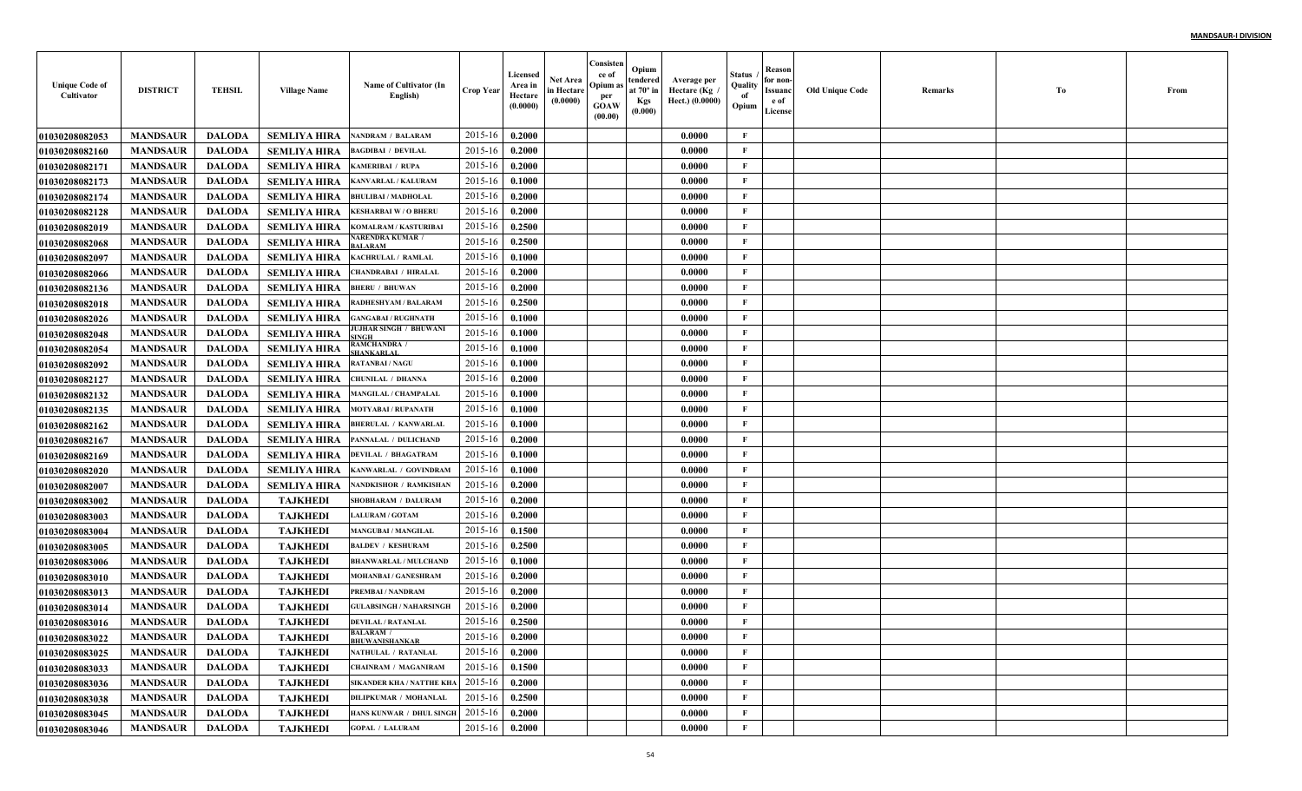| <b>Unique Code of</b><br>Cultivator | <b>DISTRICT</b> | <b>TEHSIL</b> | <b>Village Name</b> | Name of Cultivator (In<br>English)        | <b>Crop Year</b> | Licensed<br>Area in<br>Hectare<br>(0.0000) | <b>Net Area</b><br>in Hectare<br>(0.0000) | Consisten<br>ce of<br>Opium as<br>per<br><b>GOAW</b><br>(00.00) | Opium<br>tendered<br>at $70^\circ$ in<br><b>Kgs</b><br>(0.000) | Average per<br>Hectare (Kg<br>Hect.) (0.0000) | Status<br>Quality<br>of<br>Opium | Reason<br>for non-<br>Issuanc<br>e of<br>License | <b>Old Unique Code</b> | Remarks | Тo | From |
|-------------------------------------|-----------------|---------------|---------------------|-------------------------------------------|------------------|--------------------------------------------|-------------------------------------------|-----------------------------------------------------------------|----------------------------------------------------------------|-----------------------------------------------|----------------------------------|--------------------------------------------------|------------------------|---------|----|------|
| <b>01030208082053</b>               | <b>MANDSAUR</b> | <b>DALODA</b> | <b>SEMLIYA HIRA</b> | <b>NANDRAM / BALARAM</b>                  | 2015-16          | 0.2000                                     |                                           |                                                                 |                                                                | 0.0000                                        | $\mathbf{F}$                     |                                                  |                        |         |    |      |
| <b>01030208082160</b>               | <b>MANDSAUR</b> | <b>DALODA</b> | <b>SEMLIYA HIRA</b> | <b>BAGDIBAI / DEVILAL</b>                 | 2015-16          | 0.2000                                     |                                           |                                                                 |                                                                | 0.0000                                        | F                                |                                                  |                        |         |    |      |
| 01030208082171                      | <b>MANDSAUR</b> | <b>DALODA</b> | <b>SEMLIYA HIRA</b> | KAMERIBAI / RUPA                          | 2015-16          | 0.2000                                     |                                           |                                                                 |                                                                | 0.0000                                        | $\mathbf{F}$                     |                                                  |                        |         |    |      |
| 01030208082173                      | <b>MANDSAUR</b> | <b>DALODA</b> | <b>SEMLIYA HIRA</b> | KANVARLAL / KALURAM                       | 2015-16          | 0.1000                                     |                                           |                                                                 |                                                                | 0.0000                                        | $\mathbf{F}$                     |                                                  |                        |         |    |      |
| 01030208082174                      | <b>MANDSAUR</b> | <b>DALODA</b> | <b>SEMLIYA HIRA</b> | <b>BHULIBAI / MADHOLAL</b>                | 2015-16          | 0.2000                                     |                                           |                                                                 |                                                                | 0.0000                                        | $\mathbf{F}$                     |                                                  |                        |         |    |      |
| 01030208082128                      | <b>MANDSAUR</b> | <b>DALODA</b> | <b>SEMLIYA HIRA</b> | <b>KESHARBAI W/O BHERI</b>                | 2015-16          | 0.2000                                     |                                           |                                                                 |                                                                | 0.0000                                        | $\mathbf{F}$                     |                                                  |                        |         |    |      |
| <b>01030208082019</b>               | <b>MANDSAUR</b> | <b>DALODA</b> | <b>SEMLIYA HIRA</b> | KOMALRAM / KASTURIBAI                     | 2015-16          | 0.2500                                     |                                           |                                                                 |                                                                | 0.0000                                        | $\mathbf{F}$                     |                                                  |                        |         |    |      |
| <b>01030208082068</b>               | <b>MANDSAUR</b> | <b>DALODA</b> | <b>SEMLIYA HIRA</b> | <b>ARENDRA KUMAR</b><br><b>ALARAM</b>     | 2015-16          | 0.2500                                     |                                           |                                                                 |                                                                | 0.0000                                        | $\mathbf{F}$                     |                                                  |                        |         |    |      |
| <b>01030208082097</b>               | <b>MANDSAUR</b> | <b>DALODA</b> | <b>SEMLIYA HIRA</b> | KACHRULAL / RAMLAL                        | 2015-16          | 0.1000                                     |                                           |                                                                 |                                                                | 0.0000                                        | $\mathbf{F}$                     |                                                  |                        |         |    |      |
| <b>01030208082066</b>               | <b>MANDSAUR</b> | <b>DALODA</b> | <b>SEMLIYA HIRA</b> | CHANDRABAI / HIRALAI                      | 2015-16          | 0.2000                                     |                                           |                                                                 |                                                                | 0.0000                                        | $\mathbf{F}$                     |                                                  |                        |         |    |      |
| <b>01030208082136</b>               | <b>MANDSAUR</b> | <b>DALODA</b> | <b>SEMLIYA HIRA</b> | <b>BHERU / BHUWAN</b>                     | 2015-16          | 0.2000                                     |                                           |                                                                 |                                                                | 0.0000                                        | $\mathbf{F}$                     |                                                  |                        |         |    |      |
| <b>01030208082018</b>               | <b>MANDSAUR</b> | <b>DALODA</b> | <b>SEMLIYA HIRA</b> | <b>RADHESHYAM / BALARAM</b>               | 2015-16          | 0.2500                                     |                                           |                                                                 |                                                                | 0.0000                                        | $\mathbf{F}$                     |                                                  |                        |         |    |      |
| 01030208082026                      | <b>MANDSAUR</b> | <b>DALODA</b> | <b>SEMLIYA HIRA</b> | <b>GANGABAI / RUGHNATH</b>                | 2015-16          | 0.1000                                     |                                           |                                                                 |                                                                | 0.0000                                        | $\mathbf{F}$                     |                                                  |                        |         |    |      |
| 01030208082048                      | <b>MANDSAUR</b> | <b>DALODA</b> | <b>SEMLIYA HIRA</b> | JUJHAR SINGH / BHUWANI                    | 2015-16          | 0.1000                                     |                                           |                                                                 |                                                                | 0.0000                                        | $\mathbf{F}$                     |                                                  |                        |         |    |      |
| <b>01030208082054</b>               | <b>MANDSAUR</b> | <b>DALODA</b> | <b>SEMLIYA HIRA</b> | AMCHANDRA /                               | 2015-16          | 0.1000                                     |                                           |                                                                 |                                                                | 0.0000                                        | $\mathbf{F}$                     |                                                  |                        |         |    |      |
| <b>01030208082092</b>               | <b>MANDSAUR</b> | <b>DALODA</b> | <b>SEMLIYA HIRA</b> | <b>RATANBAI/NAGU</b>                      | 2015-16          | 0.1000                                     |                                           |                                                                 |                                                                | 0.0000                                        | $\mathbf F$                      |                                                  |                        |         |    |      |
| <b>01030208082127</b>               | <b>MANDSAUR</b> | <b>DALODA</b> | <b>SEMLIYA HIRA</b> | <b>CHUNILAL / DHANNA</b>                  | 2015-16          | 0.2000                                     |                                           |                                                                 |                                                                | 0.0000                                        | $\mathbf{F}$                     |                                                  |                        |         |    |      |
| 01030208082132                      | <b>MANDSAUR</b> | <b>DALODA</b> | <b>SEMLIYA HIRA</b> | <b>MANGILAL / CHAMPALAI</b>               | 2015-16          | 0.1000                                     |                                           |                                                                 |                                                                | 0.0000                                        | $\mathbf{F}$                     |                                                  |                        |         |    |      |
| 01030208082135                      | <b>MANDSAUR</b> | <b>DALODA</b> | <b>SEMLIYA HIRA</b> | <b>MOTYABAI/RUPANATH</b>                  | 2015-16          | 0.1000                                     |                                           |                                                                 |                                                                | 0.0000                                        | $\mathbf{F}$                     |                                                  |                        |         |    |      |
| 01030208082162                      | <b>MANDSAUR</b> | <b>DALODA</b> | <b>SEMLIYA HIRA</b> | <b>BHERULAL / KANWARLAI</b>               | 2015-16          | 0.1000                                     |                                           |                                                                 |                                                                | 0.0000                                        | $\mathbf{F}$                     |                                                  |                        |         |    |      |
| 01030208082167                      | <b>MANDSAUR</b> | <b>DALODA</b> | <b>SEMLIYA HIRA</b> | PANNALAL / DULICHAND                      | 2015-16          | 0.2000                                     |                                           |                                                                 |                                                                | 0.0000                                        | $\mathbf{F}$                     |                                                  |                        |         |    |      |
| <b>01030208082169</b>               | <b>MANDSAUR</b> | <b>DALODA</b> | <b>SEMLIYA HIRA</b> | <b>DEVILAL / BHAGATRAM</b>                | 2015-16          | 0.1000                                     |                                           |                                                                 |                                                                | 0.0000                                        | $\mathbf F$                      |                                                  |                        |         |    |      |
| <b>01030208082020</b>               | <b>MANDSAUR</b> | <b>DALODA</b> | <b>SEMLIYA HIRA</b> | KANWARLAL / GOVINDRAM                     | 2015-16          | 0.1000                                     |                                           |                                                                 |                                                                | 0.0000                                        | $\mathbf{F}$                     |                                                  |                        |         |    |      |
| <b>01030208082007</b>               | <b>MANDSAUR</b> | <b>DALODA</b> | <b>SEMLIYA HIRA</b> | NANDKISHOR / RAMKISHAN                    | 2015-16          | 0.2000                                     |                                           |                                                                 |                                                                | 0.0000                                        | $\mathbf{F}$                     |                                                  |                        |         |    |      |
| <b>01030208083002</b>               | <b>MANDSAUR</b> | <b>DALODA</b> | <b>TAJKHEDI</b>     | SHOBHARAM / DALURAM                       | 2015-16          | 0.2000                                     |                                           |                                                                 |                                                                | 0.0000                                        | $\mathbf{F}$                     |                                                  |                        |         |    |      |
| <b>01030208083003</b>               | <b>MANDSAUR</b> | <b>DALODA</b> | <b>TAJKHEDI</b>     | <b>LALURAM / GOTAM</b>                    | 2015-16          | 0.2000                                     |                                           |                                                                 |                                                                | 0.0000                                        | $\mathbf{F}$                     |                                                  |                        |         |    |      |
| 01030208083004                      | <b>MANDSAUR</b> | <b>DALODA</b> | <b>TAJKHEDI</b>     | <b>MANGUBAI / MANGILAL</b>                | 2015-16          | 0.1500                                     |                                           |                                                                 |                                                                | 0.0000                                        | $\mathbf{F}$                     |                                                  |                        |         |    |      |
| <b>01030208083005</b>               | <b>MANDSAUR</b> | <b>DALODA</b> | <b>TAJKHEDI</b>     | <b>BALDEV / KESHURAM</b>                  | 2015-16          | 0.2500                                     |                                           |                                                                 |                                                                | 0.0000                                        | $\mathbf{F}$                     |                                                  |                        |         |    |      |
| <b>01030208083006</b>               | <b>MANDSAUR</b> | <b>DALODA</b> | <b>TAJKHEDI</b>     | <b>BHANWARLAL / MULCHAND</b>              | 2015-16          | 0.1000                                     |                                           |                                                                 |                                                                | 0.0000                                        | $\mathbf{F}$                     |                                                  |                        |         |    |      |
| 01030208083010                      | <b>MANDSAUR</b> | <b>DALODA</b> | <b>TAJKHEDI</b>     | MOHANBAI / GANESHRAM                      | 2015-16          | 0.2000                                     |                                           |                                                                 |                                                                | 0.0000                                        | $\mathbf{F}$                     |                                                  |                        |         |    |      |
| 01030208083013                      | <b>MANDSAUR</b> | <b>DALODA</b> | <b>TAJKHEDI</b>     | PREMBAI / NANDRAM                         | 2015-16          | 0.2000                                     |                                           |                                                                 |                                                                | 0.0000                                        | F                                |                                                  |                        |         |    |      |
| 01030208083014                      | <b>MANDSAUR</b> | <b>DALODA</b> | <b>TAJKHEDI</b>     | <b>GULABSINGH / NAHARSINGH</b>            | 2015-16          | 0.2000                                     |                                           |                                                                 |                                                                | 0.0000                                        | $\mathbf{F}$                     |                                                  |                        |         |    |      |
| 01030208083016                      | <b>MANDSAUR</b> | <b>DALODA</b> | <b>TAJKHEDI</b>     | <b>DEVILAL / RATANLAL</b>                 | 2015-16          | 0.2500                                     |                                           |                                                                 |                                                                | 0.0000                                        | $\mathbf{F}$                     |                                                  |                        |         |    |      |
| <b>01030208083022</b>               | <b>MANDSAUR</b> | <b>DALODA</b> | <b>TAJKHEDI</b>     | <b>BALARAM</b> /<br><b>BHUWANISHANKAR</b> | 2015-16 0.2000   |                                            |                                           |                                                                 |                                                                | 0.0000                                        | F                                |                                                  |                        |         |    |      |
| 01030208083025                      | <b>MANDSAUR</b> | <b>DALODA</b> | <b>TAJKHEDI</b>     | NATHULAL / RATANLAL                       | 2015-16          | 0.2000                                     |                                           |                                                                 |                                                                | 0.0000                                        | $\mathbf{F}$                     |                                                  |                        |         |    |      |
| 01030208083033                      | <b>MANDSAUR</b> | <b>DALODA</b> | <b>TAJKHEDI</b>     | <b>CHAINRAM / MAGANIRAM</b>               | 2015-16          | 0.1500                                     |                                           |                                                                 |                                                                | 0.0000                                        | $\mathbf{F}$                     |                                                  |                        |         |    |      |
| 01030208083036                      | <b>MANDSAUR</b> | <b>DALODA</b> | <b>TAJKHEDI</b>     | SIKANDER KHA / NATTHE KHA                 | 2015-16          | 0.2000                                     |                                           |                                                                 |                                                                | 0.0000                                        | $\mathbf{F}$                     |                                                  |                        |         |    |      |
| 01030208083038                      | <b>MANDSAUR</b> | <b>DALODA</b> | <b>TAJKHEDI</b>     | <b>DILIPKUMAR / MOHANLAL</b>              | 2015-16          | 0.2500                                     |                                           |                                                                 |                                                                | 0.0000                                        | $\mathbf{F}$                     |                                                  |                        |         |    |      |
| 01030208083045                      | <b>MANDSAUR</b> | <b>DALODA</b> | <b>TAJKHEDI</b>     | HANS KUNWAR / DHUL SINGH                  | 2015-16          | 0.2000                                     |                                           |                                                                 |                                                                | 0.0000                                        | $\mathbf{F}$                     |                                                  |                        |         |    |      |
| 01030208083046                      | <b>MANDSAUR</b> | <b>DALODA</b> | <b>TAJKHEDI</b>     | <b>GOPAL / LALURAM</b>                    | $2015 - 16$      | 0.2000                                     |                                           |                                                                 |                                                                | 0.0000                                        | $\mathbf{F}$                     |                                                  |                        |         |    |      |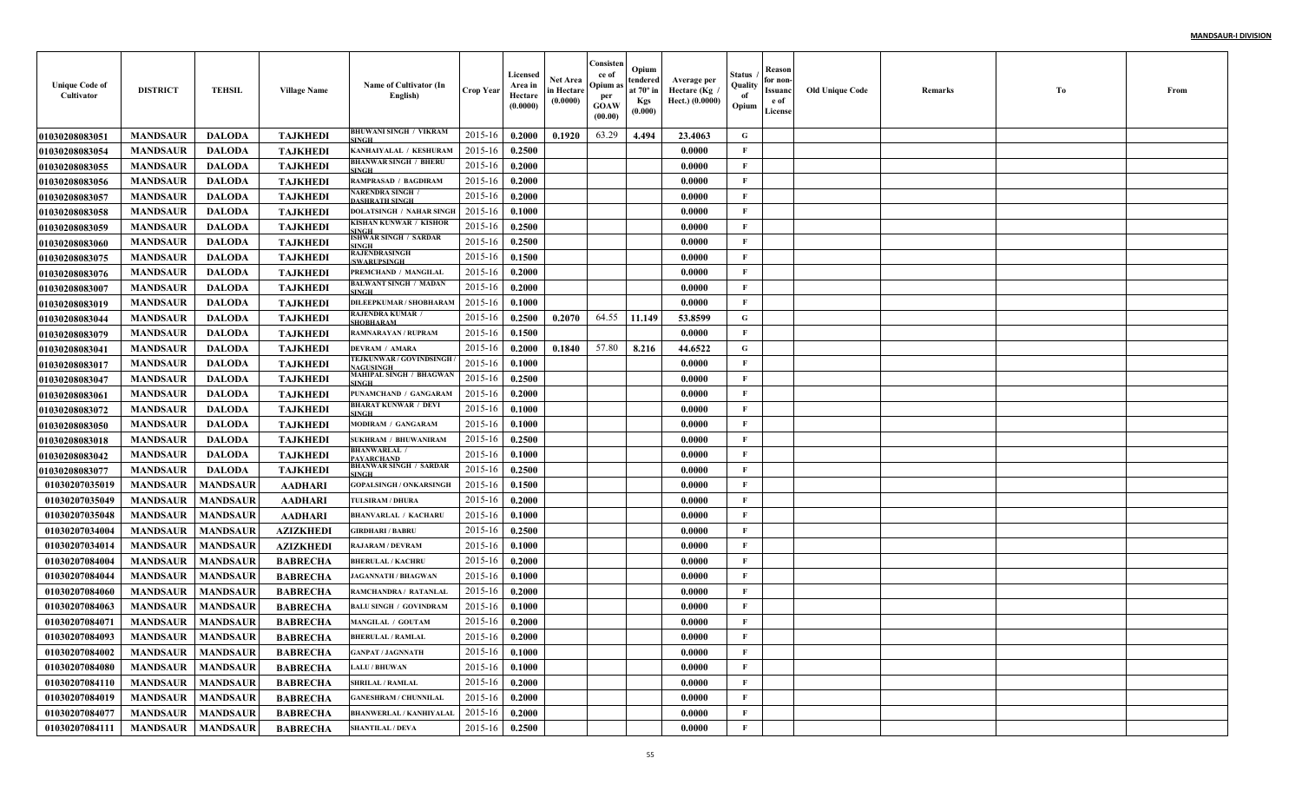| <b>Unique Code of</b><br>Cultivator | <b>DISTRICT</b>          | <b>TEHSIL</b>   | <b>Village Name</b> | Name of Cultivator (In<br>English)                 | <b>Crop Year</b> | Licensed<br>Area in<br>Hectare<br>(0.0000) | <b>Net Area</b><br>in Hectare<br>(0.0000) | Consisten<br>ce of<br>Opium as<br>per<br><b>GOAW</b><br>(00.00) | Opium<br>tendered<br>at $70^\circ$ in<br><b>Kgs</b><br>(0.000) | Average per<br>Hectare (Kg)<br>Hect.) (0.0000) | Status<br>Quality<br>of<br>Opium | Reason<br>for non-<br>Issuanc<br>e of<br>License | <b>Old Unique Code</b> | Remarks | Тo | From |
|-------------------------------------|--------------------------|-----------------|---------------------|----------------------------------------------------|------------------|--------------------------------------------|-------------------------------------------|-----------------------------------------------------------------|----------------------------------------------------------------|------------------------------------------------|----------------------------------|--------------------------------------------------|------------------------|---------|----|------|
| <b>01030208083051</b>               | <b>MANDSAUR</b>          | <b>DALODA</b>   | <b>TAJKHEDI</b>     | BHUWANI SINGH / VIKRAM<br>SINGH                    | 2015-16          | 0.2000                                     | 0.1920                                    | 63.29                                                           | 4.494                                                          | 23.4063                                        | G                                |                                                  |                        |         |    |      |
| 01030208083054                      | <b>MANDSAUR</b>          | <b>DALODA</b>   | <b>TAJKHEDI</b>     | KANHAIYALAL / KESHURAM                             | 2015-16          | 0.2500                                     |                                           |                                                                 |                                                                | 0.0000                                         | F                                |                                                  |                        |         |    |      |
| <b>01030208083055</b>               | <b>MANDSAUR</b>          | <b>DALODA</b>   | <b>TAJKHEDI</b>     | <b>BHANWAR SINGH / BHERU</b><br><b>INGH</b>        | 2015-16          | 0.2000                                     |                                           |                                                                 |                                                                | 0.0000                                         | $\mathbf{F}$                     |                                                  |                        |         |    |      |
| <b>01030208083056</b>               | <b>MANDSAUR</b>          | <b>DALODA</b>   | <b>TAJKHEDI</b>     | <b>RAMPRASAD / BAGDIRAM</b>                        | 2015-16          | 0.2000                                     |                                           |                                                                 |                                                                | 0.0000                                         | $\mathbf{F}$                     |                                                  |                        |         |    |      |
| 01030208083057                      | <b>MANDSAUR</b>          | <b>DALODA</b>   | <b>TAJKHEDI</b>     | <b>NARENDRA SINGH</b><br><b>DASHRATH SINGH</b>     | 2015-16          | 0.2000                                     |                                           |                                                                 |                                                                | 0.0000                                         | $\mathbf{F}$                     |                                                  |                        |         |    |      |
| <b>01030208083058</b>               | <b>MANDSAUR</b>          | <b>DALODA</b>   | <b>TAJKHEDI</b>     | <b>DOLATSINGH / NAHAR SINGH</b>                    | 2015-16          | 0.1000                                     |                                           |                                                                 |                                                                | 0.0000                                         | F                                |                                                  |                        |         |    |      |
| <b>01030208083059</b>               | <b>MANDSAUR</b>          | <b>DALODA</b>   | <b>TAJKHEDI</b>     | KISHAN KUNWAR / KISHOR<br><b>SINGH</b>             | 2015-16          | 0.2500                                     |                                           |                                                                 |                                                                | 0.0000                                         | F                                |                                                  |                        |         |    |      |
| 01030208083060                      | <b>MANDSAUR</b>          | <b>DALODA</b>   | <b>TAJKHEDI</b>     | <b>ISHWAR SINGH / SARDAR</b><br>SINGH              | 2015-16          | 0.2500                                     |                                           |                                                                 |                                                                | 0.0000                                         | $\mathbf{F}$                     |                                                  |                        |         |    |      |
| <b>01030208083075</b>               | <b>MANDSAUR</b>          | <b>DALODA</b>   | <b>TAJKHEDI</b>     | RAJENDRASINGH<br><b>SWARUPSINGH</b>                | 2015-16          | 0.1500                                     |                                           |                                                                 |                                                                | 0.0000                                         | $\mathbf{F}$                     |                                                  |                        |         |    |      |
| <b>01030208083076</b>               | <b>MANDSAUR</b>          | <b>DALODA</b>   | <b>TAJKHEDI</b>     | PREMCHAND / MANGILAI                               | 2015-16          | 0.2000                                     |                                           |                                                                 |                                                                | 0.0000                                         | $\mathbf{F}$                     |                                                  |                        |         |    |      |
| <b>01030208083007</b>               | <b>MANDSAUR</b>          | <b>DALODA</b>   | <b>TAJKHEDI</b>     | <b>BALWANT SINGH / MADAN</b><br>SINGH              | 2015-16          | 0.2000                                     |                                           |                                                                 |                                                                | 0.0000                                         | $\mathbf{F}$                     |                                                  |                        |         |    |      |
| <b>01030208083019</b>               | <b>MANDSAUR</b>          | <b>DALODA</b>   | <b>TAJKHEDI</b>     | DILEEPKUMAR / SHOBHARAM                            | 2015-16          | 0.1000                                     |                                           |                                                                 |                                                                | 0.0000                                         | $\mathbf{F}$                     |                                                  |                        |         |    |      |
| 01030208083044                      | <b>MANDSAUR</b>          | <b>DALODA</b>   | <b>TAJKHEDI</b>     | RAJENDRA KUMAR /<br><b>SHOBHARAM</b>               | 2015-16          | 0.2500                                     | 0.2070                                    | 64.55                                                           | 11.149                                                         | 53.8599                                        | G                                |                                                  |                        |         |    |      |
| <b>01030208083079</b>               | <b>MANDSAUR</b>          | <b>DALODA</b>   | <b>TAJKHEDI</b>     | <b>RAMNARAYAN / RUPRAM</b>                         | 2015-16          | 0.1500                                     |                                           |                                                                 |                                                                | 0.0000                                         | $\mathbf{F}$                     |                                                  |                        |         |    |      |
| <b>01030208083041</b>               | <b>MANDSAUR</b>          | <b>DALODA</b>   | <b>TAJKHEDI</b>     | <b>DEVRAM / AMARA</b>                              | 2015-16          | 0.2000                                     | 0.1840                                    | 57.80                                                           | 8.216                                                          | 44.6522                                        | G                                |                                                  |                        |         |    |      |
| <b>01030208083017</b>               | <b>MANDSAUR</b>          | <b>DALODA</b>   | <b>TAJKHEDI</b>     | <b>FEJKUNWAR / GOVINDSINGH</b><br><b>NAGUSINGH</b> | 2015-16          | 0.1000                                     |                                           |                                                                 |                                                                | 0.0000                                         | $\mathbf{F}$                     |                                                  |                        |         |    |      |
| <b>01030208083047</b>               | <b>MANDSAUR</b>          | <b>DALODA</b>   | <b>TAJKHEDI</b>     | MAHIPAL SINGH / BHAGWAN<br>SINGH                   | 2015-16          | 0.2500                                     |                                           |                                                                 |                                                                | 0.0000                                         | $\mathbf{F}$                     |                                                  |                        |         |    |      |
| <b>01030208083061</b>               | <b>MANDSAUR</b>          | <b>DALODA</b>   | <b>TAJKHEDI</b>     | PUNAMCHAND / GANGARAM                              | 2015-16          | 0.2000                                     |                                           |                                                                 |                                                                | 0.0000                                         | $\mathbf{F}$                     |                                                  |                        |         |    |      |
| <b>01030208083072</b>               | <b>MANDSAUR</b>          | <b>DALODA</b>   | <b>TAJKHEDI</b>     | <b>BHARAT KUNWAR / DEVI</b><br><b>SINGH</b>        | 2015-16          | 0.1000                                     |                                           |                                                                 |                                                                | 0.0000                                         | $\mathbf{F}$                     |                                                  |                        |         |    |      |
| <b>01030208083050</b>               | <b>MANDSAUR</b>          | <b>DALODA</b>   | <b>TAJKHEDI</b>     | <b>MODIRAM / GANGARAM</b>                          | 2015-16          | 0.1000                                     |                                           |                                                                 |                                                                | 0.0000                                         | $\mathbf{F}$                     |                                                  |                        |         |    |      |
| 01030208083018                      | <b>MANDSAUR</b>          | <b>DALODA</b>   | <b>TAJKHEDI</b>     | <b>SUKHRAM / BHUWANIRAM</b>                        | 2015-16          | 0.2500                                     |                                           |                                                                 |                                                                | 0.0000                                         | $\mathbf{F}$                     |                                                  |                        |         |    |      |
| <b>01030208083042</b>               | <b>MANDSAUR</b>          | <b>DALODA</b>   | <b>TAJKHEDI</b>     | <b>BHANWARLAL</b> /<br><b>PAYARCHAND</b>           | 2015-16          | 0.1000                                     |                                           |                                                                 |                                                                | 0.0000                                         | $\mathbf{F}$                     |                                                  |                        |         |    |      |
| <b>01030208083077</b>               | <b>MANDSAUR</b>          | <b>DALODA</b>   | <b>TAJKHEDI</b>     | <b>BHANWAR SINGH / SARDAR</b><br><b>SINGH</b>      | 2015-16          | 0.2500                                     |                                           |                                                                 |                                                                | 0.0000                                         | $\mathbf{F}$                     |                                                  |                        |         |    |      |
| 01030207035019                      | <b>MANDSAUR</b>          | <b>MANDSAUR</b> | <b>AADHARI</b>      | <b>GOPALSINGH / ONKARSINGH</b>                     | 2015-16          | 0.1500                                     |                                           |                                                                 |                                                                | 0.0000                                         | $\mathbf{F}$                     |                                                  |                        |         |    |      |
| 01030207035049                      | <b>MANDSAUR</b>          | <b>MANDSAUR</b> | <b>AADHARI</b>      | TULSIRAM / DHURA                                   | 2015-16          | 0.2000                                     |                                           |                                                                 |                                                                | 0.0000                                         | $\mathbf{F}$                     |                                                  |                        |         |    |      |
| 01030207035048                      | <b>MANDSAUR</b>          | <b>MANDSAUR</b> | <b>AADHARI</b>      | <b>BHANVARLAL / KACHARI</b>                        | 2015-16          | 0.1000                                     |                                           |                                                                 |                                                                | 0.0000                                         | $\mathbf{F}$                     |                                                  |                        |         |    |      |
| 01030207034004                      | <b>MANDSAUR</b>          | <b>MANDSAUR</b> | <b>AZIZKHEDI</b>    | <b>GIRDHARI / BABRU</b>                            | 2015-16          | 0.2500                                     |                                           |                                                                 |                                                                | 0.0000                                         | F                                |                                                  |                        |         |    |      |
| 01030207034014                      | <b>MANDSAUR</b>          | <b>MANDSAUR</b> | <b>AZIZKHEDI</b>    | <b>RAJARAM / DEVRAM</b>                            | 2015-16          | 0.1000                                     |                                           |                                                                 |                                                                | 0.0000                                         | $\mathbf{F}$                     |                                                  |                        |         |    |      |
| 01030207084004                      | <b>MANDSAUR</b>          | <b>MANDSAUR</b> | <b>BABRECHA</b>     | <b>BHERULAL / KACHRU</b>                           | 2015-16          | 0.2000                                     |                                           |                                                                 |                                                                | 0.0000                                         | $\mathbf{F}$                     |                                                  |                        |         |    |      |
| 01030207084044                      | <b>MANDSAUR</b>          | <b>MANDSAUR</b> | <b>BABRECHA</b>     | <b>JAGANNATH / BHAGWAN</b>                         | 2015-16          | 0.1000                                     |                                           |                                                                 |                                                                | 0.0000                                         | $\mathbf{F}$                     |                                                  |                        |         |    |      |
| 01030207084060                      | <b>MANDSAUR</b>          | <b>MANDSAUR</b> | <b>BABRECHA</b>     | RAMCHANDRA / RATANLAI                              | 2015-16          | 0.2000                                     |                                           |                                                                 |                                                                | 0.0000                                         | F                                |                                                  |                        |         |    |      |
| 01030207084063                      | <b>MANDSAUR</b>          | <b>MANDSAUR</b> | <b>BABRECHA</b>     | <b>BALU SINGH / GOVINDRAM</b>                      | 2015-16          | 0.1000                                     |                                           |                                                                 |                                                                | 0.0000                                         | $\mathbf{F}$                     |                                                  |                        |         |    |      |
| 01030207084071                      | <b>MANDSAUR</b>          | <b>MANDSAUR</b> | <b>BABRECHA</b>     | MANGILAL / GOUTAM                                  | 2015-16          | 0.2000                                     |                                           |                                                                 |                                                                | 0.0000                                         | $\mathbf{F}$                     |                                                  |                        |         |    |      |
| 01030207084093                      | <b>MANDSAUR MANDSAUR</b> |                 | <b>BABRECHA</b>     | <b>BHERULAL / RAMLAL</b>                           | 2015-16 0.2000   |                                            |                                           |                                                                 |                                                                | 0.0000                                         | F                                |                                                  |                        |         |    |      |
| 01030207084002                      | <b>MANDSAUR</b>          | <b>MANDSAUR</b> | <b>BABRECHA</b>     | <b>GANPAT / JAGNNATH</b>                           | 2015-16          | 0.1000                                     |                                           |                                                                 |                                                                | 0.0000                                         | $\mathbf{F}$                     |                                                  |                        |         |    |      |
| 01030207084080                      | <b>MANDSAUR</b>          | <b>MANDSAUR</b> | <b>BABRECHA</b>     | <b>LALU / BHUWAN</b>                               | 2015-16          | 0.1000                                     |                                           |                                                                 |                                                                | 0.0000                                         | $\mathbf{F}$                     |                                                  |                        |         |    |      |
| 01030207084110                      | <b>MANDSAUR</b>          | <b>MANDSAUR</b> | <b>BABRECHA</b>     | <b>SHRILAL / RAMLAL</b>                            | 2015-16          | 0.2000                                     |                                           |                                                                 |                                                                | 0.0000                                         | $\mathbf{F}$                     |                                                  |                        |         |    |      |
| 01030207084019                      | <b>MANDSAUR</b>          | <b>MANDSAUR</b> | <b>BABRECHA</b>     | <b>GANESHRAM / CHUNNILAL</b>                       | 2015-16          | 0.2000                                     |                                           |                                                                 |                                                                | 0.0000                                         | $\mathbf{F}$                     |                                                  |                        |         |    |      |
| 01030207084077                      | <b>MANDSAUR</b>          | <b>MANDSAUR</b> | <b>BABRECHA</b>     | <b>BHANWERLAL / KANHIYALAL</b>                     | 2015-16          | 0.2000                                     |                                           |                                                                 |                                                                | 0.0000                                         | $\mathbf{F}$                     |                                                  |                        |         |    |      |
| 01030207084111                      | <b>MANDSAUR</b>          | <b>MANDSAUR</b> | <b>BABRECHA</b>     | <b>SHANTILAL / DEVA</b>                            | 2015-16          | 0.2500                                     |                                           |                                                                 |                                                                | 0.0000                                         | $\mathbf{F}$                     |                                                  |                        |         |    |      |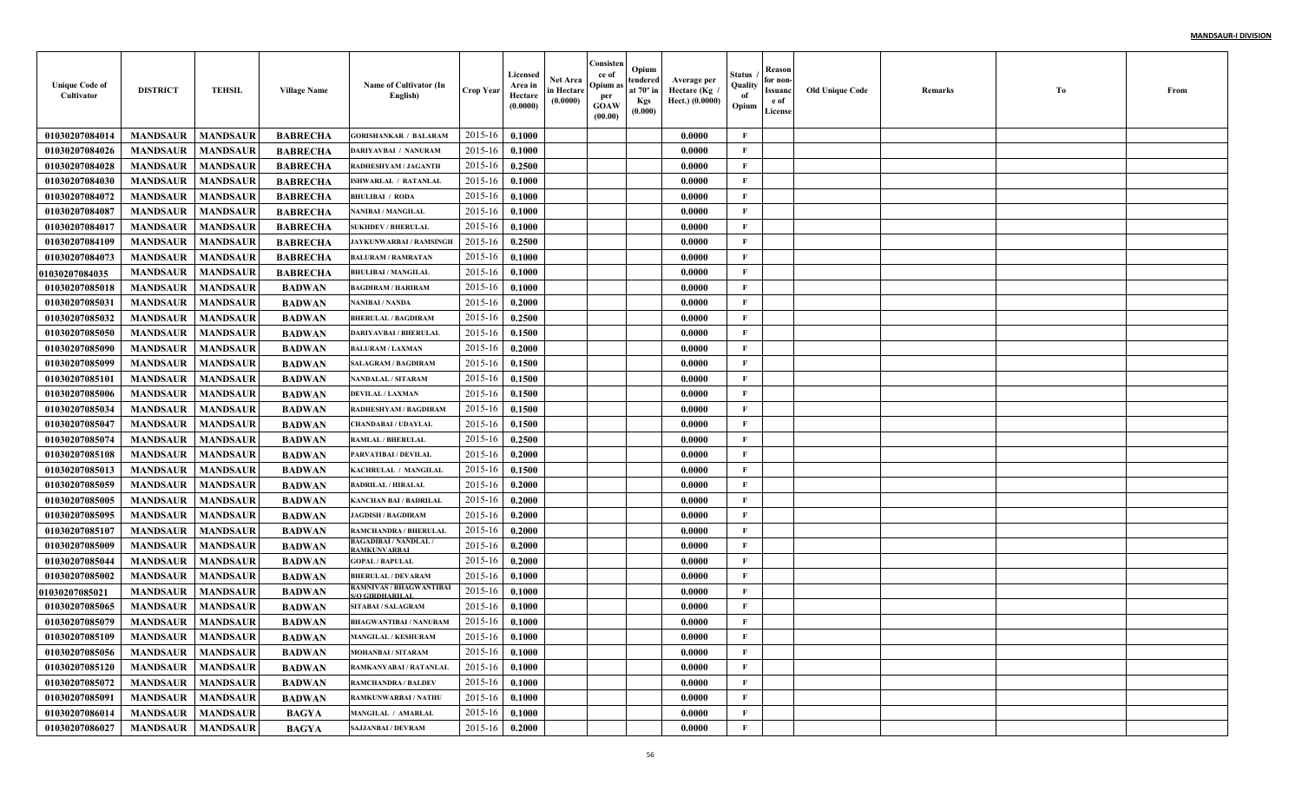| <b>Unique Code of</b><br>Cultivator | <b>DISTRICT</b>            | <b>TEHSIL</b>   | <b>Village Name</b> | Name of Cultivator (In<br>English)                | <b>Crop Year</b> | Licensed<br>Area in<br>Hectare<br>(0.0000) | Net Area<br>in Hectare<br>(0.0000) | Consisten<br>ce of<br>Opium :<br>per<br><b>GOAW</b><br>(00.00) | Opium<br>tendered<br>at $70^\circ$ in<br><b>Kgs</b><br>(0.000) | Average per<br>Hectare (Kg<br>Hect.) (0.0000) | Status<br>Quality<br>of<br>Opium | Reason<br>for non-<br>Issuanc<br>e of<br>License | <b>Old Unique Code</b> | Remarks | Тo | From |
|-------------------------------------|----------------------------|-----------------|---------------------|---------------------------------------------------|------------------|--------------------------------------------|------------------------------------|----------------------------------------------------------------|----------------------------------------------------------------|-----------------------------------------------|----------------------------------|--------------------------------------------------|------------------------|---------|----|------|
| 01030207084014                      | <b>MANDSAUR</b>            | <b>MANDSAUR</b> | <b>BABRECHA</b>     | <b>GORISHANKAR / BALARAM</b>                      | 2015-16          | 0.1000                                     |                                    |                                                                |                                                                | 0.0000                                        | F                                |                                                  |                        |         |    |      |
| 01030207084026                      | <b>MANDSAUR</b>            | <b>MANDSAUR</b> | <b>BABRECHA</b>     | DARIYAVBAI / NANURAM                              | 2015-16          | 0.1000                                     |                                    |                                                                |                                                                | 0.0000                                        | $\mathbf{F}$                     |                                                  |                        |         |    |      |
| 01030207084028                      | <b>MANDSAUR</b>            | <b>MANDSAUR</b> | <b>BABRECHA</b>     | <b>RADHESHYAM / JAGANTI</b>                       | 2015-16          | 0.2500                                     |                                    |                                                                |                                                                | 0.0000                                        | $\mathbf{F}$                     |                                                  |                        |         |    |      |
| 01030207084030                      | <b>MANDSAUR</b>            | <b>MANDSAUR</b> | <b>BABRECHA</b>     | <b>ISHWARLAL / RATANLAI</b>                       | 2015-16          | 0.1000                                     |                                    |                                                                |                                                                | 0.0000                                        | $\mathbf{F}$                     |                                                  |                        |         |    |      |
| 01030207084072                      | <b>MANDSAUR</b>            | <b>MANDSAUR</b> | <b>BABRECHA</b>     | <b>BHULIBAI / RODA</b>                            | 2015-16          | 0.1000                                     |                                    |                                                                |                                                                | 0.0000                                        | $\mathbf{F}$                     |                                                  |                        |         |    |      |
| 01030207084087                      | <b>MANDSAUR</b>            | <b>MANDSAUR</b> | <b>BABRECHA</b>     | NANIBAI / MANGILAL                                | 2015-16          | 0.1000                                     |                                    |                                                                |                                                                | 0.0000                                        | $\mathbf{F}$                     |                                                  |                        |         |    |      |
| 01030207084017                      | <b>MANDSAUR</b>            | <b>MANDSAUR</b> | <b>BABRECHA</b>     | <b>SUKHDEV / BHERULAL</b>                         | 2015-16          | 0.1000                                     |                                    |                                                                |                                                                | 0.0000                                        | $\mathbf{F}$                     |                                                  |                        |         |    |      |
| 01030207084109                      | <b>MANDSAUR</b>            | <b>MANDSAUR</b> | <b>BABRECHA</b>     | JAYKUNWARBAI / RAMSINGH                           | 2015-16          | 0.2500                                     |                                    |                                                                |                                                                | 0.0000                                        | $\mathbf{F}$                     |                                                  |                        |         |    |      |
| 01030207084073                      | <b>MANDSAUR</b>            | <b>MANDSAUR</b> | <b>BABRECHA</b>     | <b>BALURAM / RAMRATAN</b>                         | 2015-16          | 0.1000                                     |                                    |                                                                |                                                                | 0.0000                                        | $\mathbf{F}$                     |                                                  |                        |         |    |      |
| <b>01030207084035</b>               | <b>MANDSAUR</b>            | <b>MANDSAUR</b> | <b>BABRECHA</b>     | <b>BHULIBAI / MANGILAL</b>                        | 2015-16          | 0.1000                                     |                                    |                                                                |                                                                | 0.0000                                        | $\mathbf{F}$                     |                                                  |                        |         |    |      |
| 01030207085018                      | <b>MANDSAUR</b>            | <b>MANDSAUR</b> | <b>BADWAN</b>       | <b>BAGDIRAM / HARIRAM</b>                         | 2015-16          | 0.1000                                     |                                    |                                                                |                                                                | 0.0000                                        | $\mathbf{F}$                     |                                                  |                        |         |    |      |
| 01030207085031                      | <b>MANDSAUR</b>            | <b>MANDSAUR</b> | <b>BADWAN</b>       | <b>NANIBAI / NANDA</b>                            | 2015-16          | 0.2000                                     |                                    |                                                                |                                                                | 0.0000                                        | $\mathbf{F}$                     |                                                  |                        |         |    |      |
| 01030207085032                      | <b>MANDSAUR</b>            | <b>MANDSAUR</b> | <b>BADWAN</b>       | <b>BHERULAL / BAGDIRAM</b>                        | 2015-16          | 0.2500                                     |                                    |                                                                |                                                                | 0.0000                                        | $\mathbf{F}$                     |                                                  |                        |         |    |      |
| 01030207085050                      | <b>MANDSAUR</b>            | <b>MANDSAUR</b> | <b>BADWAN</b>       | <b>DARIYAVBAI / BHERULAI</b>                      | 2015-16          | 0.1500                                     |                                    |                                                                |                                                                | 0.0000                                        | $\mathbf{F}$                     |                                                  |                        |         |    |      |
| 01030207085090                      | <b>MANDSAUR</b>            | <b>MANDSAUR</b> | <b>BADWAN</b>       | <b>BALURAM / LAXMAN</b>                           | 2015-16          | 0.2000                                     |                                    |                                                                |                                                                | 0.0000                                        | $\mathbf{F}$                     |                                                  |                        |         |    |      |
| 01030207085099                      | <b>MANDSAUR</b>            | <b>MANDSAUR</b> | <b>BADWAN</b>       | <b>SALAGRAM / BAGDIRAM</b>                        | 2015-16          | 0.1500                                     |                                    |                                                                |                                                                | 0.0000                                        | $\mathbf{F}$                     |                                                  |                        |         |    |      |
| 01030207085101                      | <b>MANDSAUR</b>            | <b>MANDSAUR</b> | <b>BADWAN</b>       | <b>NANDALAL / SITARAM</b>                         | 2015-16          | 0.1500                                     |                                    |                                                                |                                                                | 0.0000                                        | $\mathbf{F}$                     |                                                  |                        |         |    |      |
| 01030207085006                      | <b>MANDSAUR</b>            | <b>MANDSAUR</b> | <b>BADWAN</b>       | <b>DEVILAL / LAXMAN</b>                           | 2015-16          | 0.1500                                     |                                    |                                                                |                                                                | 0.0000                                        | $\mathbf{F}$                     |                                                  |                        |         |    |      |
| 01030207085034                      | <b>MANDSAUR</b>            | <b>MANDSAUR</b> | <b>BADWAN</b>       | <b>RADHESHYAM / BAGDIRAM</b>                      | 2015-16          | 0.1500                                     |                                    |                                                                |                                                                | 0.0000                                        | $\mathbf{F}$                     |                                                  |                        |         |    |      |
| 01030207085047                      | <b>MANDSAUR</b>            | <b>MANDSAUR</b> | <b>BADWAN</b>       | <b>CHANDABAI / UDAYLAL</b>                        | 2015-16          | 0.1500                                     |                                    |                                                                |                                                                | 0.0000                                        | $\mathbf{F}$                     |                                                  |                        |         |    |      |
| 01030207085074                      | <b>MANDSAUR</b>            | <b>MANDSAUR</b> | <b>BADWAN</b>       | <b>RAMLAL / BHERULAL</b>                          | 2015-16          | 0.2500                                     |                                    |                                                                |                                                                | 0.0000                                        | $\mathbf{F}$                     |                                                  |                        |         |    |      |
| 01030207085108                      | <b>MANDSAUR</b>            | <b>MANDSAUR</b> | <b>BADWAN</b>       | <b>PARVATIBAI / DEVILAL</b>                       | 2015-16          | 0.2000                                     |                                    |                                                                |                                                                | 0.0000                                        | F                                |                                                  |                        |         |    |      |
| 01030207085013                      | <b>MANDSAUR</b>            | <b>MANDSAUR</b> | <b>BADWAN</b>       | KACHRULAL / MANGILAI                              | 2015-16          | 0.1500                                     |                                    |                                                                |                                                                | 0.0000                                        | $\mathbf{F}$                     |                                                  |                        |         |    |      |
| 01030207085059                      | <b>MANDSAUR</b>            | <b>MANDSAUR</b> | <b>BADWAN</b>       | <b>BADRILAL / HIRALAL</b>                         | 2015-16          | 0.2000                                     |                                    |                                                                |                                                                | 0.0000                                        | $\mathbf{F}$                     |                                                  |                        |         |    |      |
| 01030207085005                      | <b>MANDSAUR</b>            | <b>MANDSAUR</b> | <b>BADWAN</b>       | <b>KANCHAN BAI / BADRILAI</b>                     | 2015-16          | 0.2000                                     |                                    |                                                                |                                                                | 0.0000                                        | $\mathbf{F}$                     |                                                  |                        |         |    |      |
| 01030207085095                      | <b>MANDSAUR</b>            | <b>MANDSAUR</b> | <b>BADWAN</b>       | <b>JAGDISH / BAGDIRAM</b>                         | 2015-16          | 0.2000                                     |                                    |                                                                |                                                                | 0.0000                                        | $\mathbf{F}$                     |                                                  |                        |         |    |      |
| 01030207085107                      | <b>MANDSAUR</b>            | <b>MANDSAUR</b> | <b>BADWAN</b>       | <b>RAMCHANDRA / BHERULAI</b>                      | 2015-16          | 0.2000                                     |                                    |                                                                |                                                                | 0.0000                                        | $\mathbf{F}$                     |                                                  |                        |         |    |      |
| 01030207085009                      | <b>MANDSAUR</b>            | <b>MANDSAUR</b> | <b>BADWAN</b>       | <b>BAGADIBAI / NANDLAL .</b><br>RAMKUNVARBAI      | 2015-16          | 0.2000                                     |                                    |                                                                |                                                                | 0.0000                                        | $\mathbf{F}$                     |                                                  |                        |         |    |      |
| 01030207085044                      | <b>MANDSAUR</b>            | <b>MANDSAUR</b> | <b>BADWAN</b>       | <b>GOPAL / BAPULAL</b>                            | 2015-16          | 0.2000                                     |                                    |                                                                |                                                                | 0.0000                                        | $\mathbf{F}$                     |                                                  |                        |         |    |      |
| 01030207085002                      | <b>MANDSAUR</b>            | <b>MANDSAUR</b> | <b>BADWAN</b>       | <b>BHERULAL / DEVARAM</b>                         | 2015-16          | 0.1000                                     |                                    |                                                                |                                                                | 0.0000                                        | $\mathbf{F}$                     |                                                  |                        |         |    |      |
| 01030207085021                      | <b>MANDSAUR</b>            | <b>MANDSAUR</b> | <b>BADWAN</b>       | RAMNIVAS / BHAGWANTIBAI<br><b>S/O GIRDHARILAL</b> | 2015-16          | 0.1000                                     |                                    |                                                                |                                                                | 0.0000                                        | $\mathbf{F}$                     |                                                  |                        |         |    |      |
| 01030207085065                      | <b>MANDSAUR</b>            | <b>MANDSAUR</b> | <b>BADWAN</b>       | <b>SITABAI/SALAGRAM</b>                           | 2015-16          | 0.1000                                     |                                    |                                                                |                                                                | 0.0000                                        | F                                |                                                  |                        |         |    |      |
| 01030207085079                      | <b>MANDSAUR</b>            | <b>MANDSAUR</b> | <b>BADWAN</b>       | <b>BHAGWANTIBAI / NANURAM</b>                     | 2015-16          | 0.1000                                     |                                    |                                                                |                                                                | 0.0000                                        | $\mathbf{F}$                     |                                                  |                        |         |    |      |
| 01030207085109                      | <b>MANDSAUR</b>   MANDSAUR |                 | BADWAN              | <b>MANGILAL / KESHURAM</b>                        | $2015-16$ 0.1000 |                                            |                                    |                                                                |                                                                | 0.0000                                        | F                                |                                                  |                        |         |    |      |
| 01030207085056                      | <b>MANDSAUR</b>            | <b>MANDSAUR</b> | <b>BADWAN</b>       | <b>MOHANBAI/SITARAM</b>                           | 2015-16          | 0.1000                                     |                                    |                                                                |                                                                | 0.0000                                        | $\mathbf{F}$                     |                                                  |                        |         |    |      |
| 01030207085120                      | <b>MANDSAUR</b>            | <b>MANDSAUR</b> | <b>BADWAN</b>       | RAMKANYABAI / RATANLAL                            | 2015-16          | 0.1000                                     |                                    |                                                                |                                                                | 0.0000                                        | $\mathbf{F}$                     |                                                  |                        |         |    |      |
| 01030207085072                      | <b>MANDSAUR</b>            | <b>MANDSAUR</b> | <b>BADWAN</b>       | <b>RAMCHANDRA / BALDEV</b>                        | 2015-16          | 0.1000                                     |                                    |                                                                |                                                                | 0.0000                                        | $\mathbf{F}$                     |                                                  |                        |         |    |      |
| 01030207085091                      | <b>MANDSAUR</b>            | <b>MANDSAUR</b> | <b>BADWAN</b>       | <b>RAMKUNWARBAI / NATHU</b>                       | 2015-16          | 0.1000                                     |                                    |                                                                |                                                                | 0.0000                                        | $\mathbf{F}$                     |                                                  |                        |         |    |      |
| 01030207086014                      | <b>MANDSAUR</b>            | <b>MANDSAUR</b> | <b>BAGYA</b>        | MANGILAL / AMARLAL                                | 2015-16          | 0.1000                                     |                                    |                                                                |                                                                | 0.0000                                        | $\mathbf{F}$                     |                                                  |                        |         |    |      |
| 01030207086027                      | <b>MANDSAUR</b>            | <b>MANDSAUR</b> | <b>BAGYA</b>        | <b>SAJJANBAI / DEVRAM</b>                         | 2015-16          | 0.2000                                     |                                    |                                                                |                                                                | 0.0000                                        | $\mathbf F$                      |                                                  |                        |         |    |      |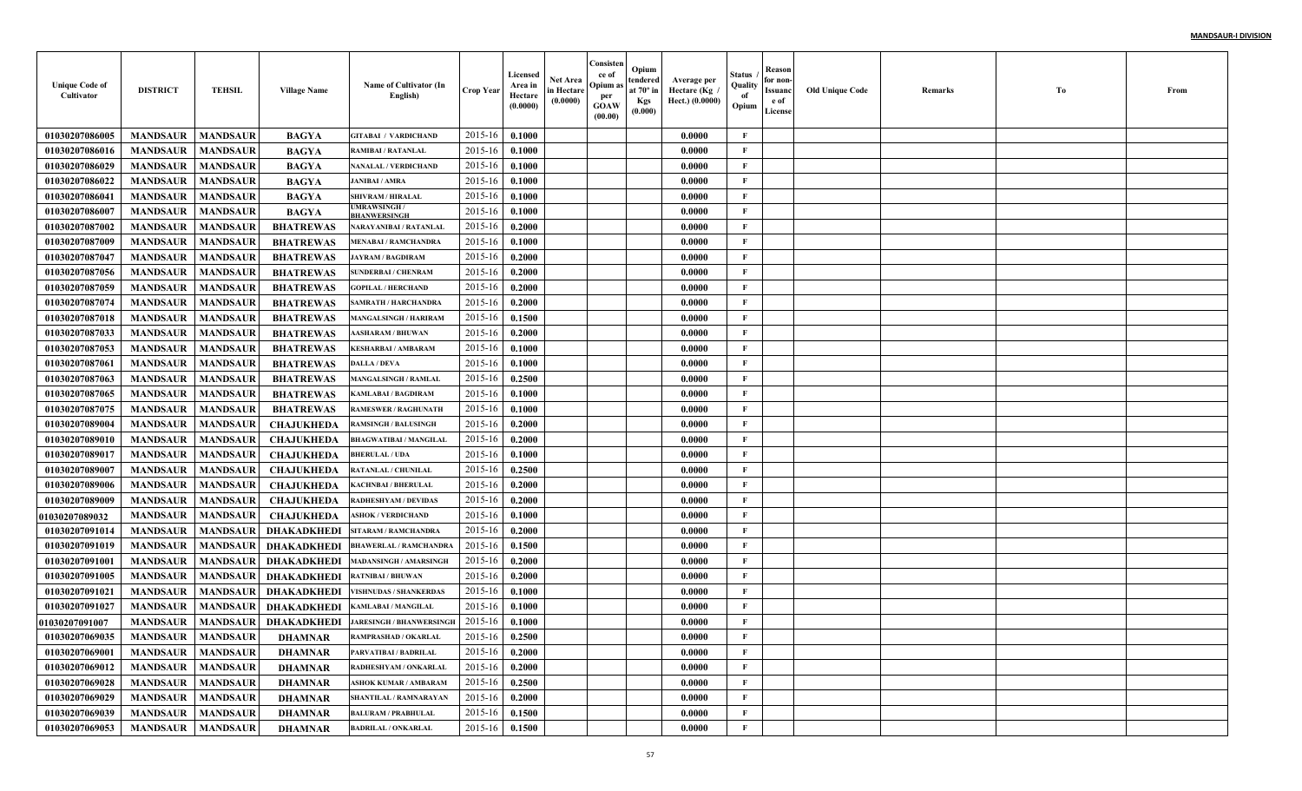| <b>Unique Code of</b><br>Cultivator | <b>DISTRICT</b>     | <b>TEHSIL</b>   | <b>Village Name</b> | Name of Cultivator (In<br>English)       | <b>Crop Year</b> | Licensed<br>Area in<br>Hectare<br>(0.0000) | <b>Net Area</b><br>in Hectare<br>(0.0000) | Consisten<br>ce of<br>Opium as<br>per<br><b>GOAW</b><br>(00.00) | Opium<br>tendered<br>at $70^\circ$ in<br><b>Kgs</b><br>(0.000) | Average per<br>، Hectare (Kg<br>Hect.) (0.0000) | Status<br>Quality<br>of<br>Opium | Reason<br>for non-<br>Issuanc<br>e of<br>License | <b>Old Unique Code</b> | Remarks | Tо | From |
|-------------------------------------|---------------------|-----------------|---------------------|------------------------------------------|------------------|--------------------------------------------|-------------------------------------------|-----------------------------------------------------------------|----------------------------------------------------------------|-------------------------------------------------|----------------------------------|--------------------------------------------------|------------------------|---------|----|------|
| 01030207086005                      | <b>MANDSAUR</b>     | <b>MANDSAUR</b> | <b>BAGYA</b>        | <b>GITABAI / VARDICHAND</b>              | 2015-16          | 0.1000                                     |                                           |                                                                 |                                                                | 0.0000                                          | $\mathbf{F}$                     |                                                  |                        |         |    |      |
| 01030207086016                      | <b>MANDSAUR</b>     | <b>MANDSAUR</b> | <b>BAGYA</b>        | <b>RAMIBAI / RATANLAL</b>                | 2015-16          | 0.1000                                     |                                           |                                                                 |                                                                | 0.0000                                          | F                                |                                                  |                        |         |    |      |
| 01030207086029                      | <b>MANDSAUR</b>     | <b>MANDSAUR</b> | <b>BAGYA</b>        | NANALAL / VERDICHAND                     | 2015-16          | 0.1000                                     |                                           |                                                                 |                                                                | 0.0000                                          | $\mathbf{F}$                     |                                                  |                        |         |    |      |
| 01030207086022                      | <b>MANDSAUR</b>     | <b>MANDSAUR</b> | <b>BAGYA</b>        | <b>JANIBAI / AMRA</b>                    | 2015-16          | 0.1000                                     |                                           |                                                                 |                                                                | 0.0000                                          | $\mathbf{F}$                     |                                                  |                        |         |    |      |
| 01030207086041                      | <b>MANDSAUR</b>     | <b>MANDSAUR</b> | <b>BAGYA</b>        | <b>SHIVRAM / HIRALAL</b>                 | 2015-16          | 0.1000                                     |                                           |                                                                 |                                                                | 0.0000                                          | $\mathbf{F}$                     |                                                  |                        |         |    |      |
| 01030207086007                      | <b>MANDSAUR</b>     | <b>MANDSAUR</b> | <b>BAGYA</b>        | <b>UMRAWSINGH</b><br><b>BHANWERSINGE</b> | 2015-16          | 0.1000                                     |                                           |                                                                 |                                                                | 0.0000                                          | $\mathbf{F}$                     |                                                  |                        |         |    |      |
| 01030207087002                      | <b>MANDSAUR</b>     | <b>MANDSAUR</b> | <b>BHATREWAS</b>    | NARAYANIBAI / RATANLAL                   | 2015-16          | 0.2000                                     |                                           |                                                                 |                                                                | 0.0000                                          | $\mathbf{F}$                     |                                                  |                        |         |    |      |
| 01030207087009                      | <b>MANDSAUR</b>     | <b>MANDSAUR</b> | <b>BHATREWAS</b>    | MENABAI / RAMCHANDRA                     | 2015-16          | 0.1000                                     |                                           |                                                                 |                                                                | 0.0000                                          | $\mathbf{F}$                     |                                                  |                        |         |    |      |
| 01030207087047                      | <b>MANDSAUR</b>     | <b>MANDSAUR</b> | <b>BHATREWAS</b>    | <b>JAYRAM / BAGDIRAM</b>                 | 2015-16          | 0.2000                                     |                                           |                                                                 |                                                                | 0.0000                                          | $\mathbf{F}$                     |                                                  |                        |         |    |      |
| 01030207087056                      | <b>MANDSAUR</b>     | <b>MANDSAUR</b> | <b>BHATREWAS</b>    | <b>SUNDERBAI / CHENRAM</b>               | 2015-16          | 0.2000                                     |                                           |                                                                 |                                                                | 0.0000                                          | $\mathbf{F}$                     |                                                  |                        |         |    |      |
| 01030207087059                      | <b>MANDSAUR</b>     | <b>MANDSAUR</b> | <b>BHATREWAS</b>    | <b>GOPILAL / HERCHAND</b>                | 2015-16          | 0.2000                                     |                                           |                                                                 |                                                                | 0.0000                                          | $\mathbf{F}$                     |                                                  |                        |         |    |      |
| 01030207087074                      | <b>MANDSAUR</b>     | <b>MANDSAUR</b> | <b>BHATREWAS</b>    | SAMRATH / HARCHANDRA                     | 2015-16          | 0.2000                                     |                                           |                                                                 |                                                                | 0.0000                                          | $\mathbf{F}$                     |                                                  |                        |         |    |      |
| 01030207087018                      | <b>MANDSAUR</b>     | <b>MANDSAUR</b> | <b>BHATREWAS</b>    | <b>MANGALSINGH / HARIRAM</b>             | 2015-16          | 0.1500                                     |                                           |                                                                 |                                                                | 0.0000                                          | $\mathbf{F}$                     |                                                  |                        |         |    |      |
| 01030207087033                      | <b>MANDSAUR</b>     | <b>MANDSAUR</b> | <b>BHATREWAS</b>    | <b>AASHARAM / BHUWAN</b>                 | 2015-16          | 0.2000                                     |                                           |                                                                 |                                                                | 0.0000                                          | $\mathbf{F}$                     |                                                  |                        |         |    |      |
| 01030207087053                      | <b>MANDSAUR</b>     | <b>MANDSAUR</b> | <b>BHATREWAS</b>    | KESHARBAI / AMBARAM                      | 2015-16          | 0.1000                                     |                                           |                                                                 |                                                                | 0.0000                                          | $\mathbf{F}$                     |                                                  |                        |         |    |      |
| 01030207087061                      | <b>MANDSAUR</b>     | <b>MANDSAUR</b> | <b>BHATREWAS</b>    | <b>DALLA / DEVA</b>                      | 2015-16          | 0.1000                                     |                                           |                                                                 |                                                                | 0.0000                                          | $\mathbf{F}$                     |                                                  |                        |         |    |      |
| 01030207087063                      | <b>MANDSAUR</b>     | <b>MANDSAUR</b> | <b>BHATREWAS</b>    | <b>MANGALSINGH / RAMLAI</b>              | 2015-16          | 0.2500                                     |                                           |                                                                 |                                                                | 0.0000                                          | $\mathbf{F}$                     |                                                  |                        |         |    |      |
| 01030207087065                      | <b>MANDSAUR</b>     | <b>MANDSAUR</b> | <b>BHATREWAS</b>    | <b>KAMLABAI / BAGDIRAM</b>               | 2015-16          | 0.1000                                     |                                           |                                                                 |                                                                | 0.0000                                          | $\mathbf{F}$                     |                                                  |                        |         |    |      |
| 01030207087075                      | <b>MANDSAUR</b>     | <b>MANDSAUR</b> | <b>BHATREWAS</b>    | <b>RAMESWER / RAGHUNATE</b>              | 2015-16          | 0.1000                                     |                                           |                                                                 |                                                                | 0.0000                                          | $\mathbf{F}$                     |                                                  |                        |         |    |      |
| 01030207089004                      | <b>MANDSAUR</b>     | <b>MANDSAUR</b> | <b>CHAJUKHEDA</b>   | <b>RAMSINGH / BALUSINGH</b>              | 2015-16          | 0.2000                                     |                                           |                                                                 |                                                                | 0.0000                                          | $\mathbf{F}$                     |                                                  |                        |         |    |      |
| 01030207089010                      | <b>MANDSAUR</b>     | <b>MANDSAUR</b> | <b>CHAJUKHEDA</b>   | <b>BHAGWATIBAI / MANGILAI</b>            | 2015-16          | 0.2000                                     |                                           |                                                                 |                                                                | 0.0000                                          | $\mathbf{F}$                     |                                                  |                        |         |    |      |
| 01030207089017                      | <b>MANDSAUR</b>     | <b>MANDSAUR</b> | <b>CHAJUKHEDA</b>   | <b>BHERULAL / UDA</b>                    | 2015-16          | 0.1000                                     |                                           |                                                                 |                                                                | 0.0000                                          | $\mathbf{F}$                     |                                                  |                        |         |    |      |
| 01030207089007                      | <b>MANDSAUR</b>     | <b>MANDSAUR</b> | <b>CHAJUKHEDA</b>   | RATANLAL / CHUNILAL                      | 2015-16          | 0.2500                                     |                                           |                                                                 |                                                                | 0.0000                                          | $\mathbf{F}$                     |                                                  |                        |         |    |      |
| 01030207089006                      | <b>MANDSAUR</b>     | <b>MANDSAUR</b> | <b>CHAJUKHEDA</b>   | KACHNBAI / BHERULAL                      | 2015-16          | 0.2000                                     |                                           |                                                                 |                                                                | 0.0000                                          | $\mathbf{F}$                     |                                                  |                        |         |    |      |
| 01030207089009                      | <b>MANDSAUR</b>     | <b>MANDSAUR</b> | <b>CHAJUKHEDA</b>   | <b>RADHESHYAM / DEVIDAS</b>              | 2015-16          | 0.2000                                     |                                           |                                                                 |                                                                | 0.0000                                          | $\mathbf{F}$                     |                                                  |                        |         |    |      |
| <b>01030207089032</b>               | <b>MANDSAUR</b>     | <b>MANDSAUR</b> | <b>CHAJUKHEDA</b>   | <b>ASHOK / VERDICHAND</b>                | 2015-16          | 0.1000                                     |                                           |                                                                 |                                                                | 0.0000                                          | $\mathbf{F}$                     |                                                  |                        |         |    |      |
| 01030207091014                      | <b>MANDSAUR</b>     | <b>MANDSAUR</b> | <b>DHAKADKHEDI</b>  | SITARAM / RAMCHANDRA                     | 2015-16          | 0.2000                                     |                                           |                                                                 |                                                                | 0.0000                                          | $\mathbf{F}$                     |                                                  |                        |         |    |      |
| 01030207091019                      | <b>MANDSAUR</b>     | <b>MANDSAUR</b> | <b>DHAKADKHEDI</b>  | BHAWERLAL / RAMCHANDRA                   | 2015-16          | 0.1500                                     |                                           |                                                                 |                                                                | 0.0000                                          | $\mathbf{F}$                     |                                                  |                        |         |    |      |
| 01030207091001                      | <b>MANDSAUR</b>     | <b>MANDSAUR</b> | <b>DHAKADKHEDI</b>  | <b>MADANSINGH / AMARSINGH</b>            | 2015-16          | 0.2000                                     |                                           |                                                                 |                                                                | 0.0000                                          | $\mathbf{F}$                     |                                                  |                        |         |    |      |
| 01030207091005                      | <b>MANDSAUR</b>     | <b>MANDSAUR</b> | <b>DHAKADKHEDI</b>  | <b>RATNIBAI / BHUWAN</b>                 | 2015-16          | 0.2000                                     |                                           |                                                                 |                                                                | 0.0000                                          | $\mathbf{F}$                     |                                                  |                        |         |    |      |
| 01030207091021                      | <b>MANDSAUR</b>     | <b>MANDSAUR</b> | <b>DHAKADKHEDI</b>  | <b>VISHNUDAS / SHANKERDAS</b>            | 2015-16          | 0.1000                                     |                                           |                                                                 |                                                                | 0.0000                                          | $\mathbf{F}$                     |                                                  |                        |         |    |      |
| 01030207091027                      | <b>MANDSAUR</b>     | <b>MANDSAUR</b> | <b>DHAKADKHEDI</b>  | KAMLABAI / MANGILAL                      | 2015-16          | 0.1000                                     |                                           |                                                                 |                                                                | 0.0000                                          | $\mathbf{F}$                     |                                                  |                        |         |    |      |
| <b>01030207091007</b>               | <b>MANDSAUR</b>     | <b>MANDSAUR</b> | DHAKADKHEDI         | <b>JARESINGH / BHANWERSINGH</b>          | 2015-16          | 0.1000                                     |                                           |                                                                 |                                                                | 0.0000                                          | $\mathbf{F}$                     |                                                  |                        |         |    |      |
| 01030207069035                      | MANDSAUR   MANDSAUR |                 | DHAMNAR             | <b>RAMPRASHAD / OKARLAL</b>              | 2015-16 0.2500   |                                            |                                           |                                                                 |                                                                | 0.0000                                          | F                                |                                                  |                        |         |    |      |
| 01030207069001                      | <b>MANDSAUR</b>     | <b>MANDSAUR</b> | <b>DHAMNAR</b>      | PARVATIBAI / BADRILAL                    | 2015-16          | 0.2000                                     |                                           |                                                                 |                                                                | 0.0000                                          | $\mathbf{F}$                     |                                                  |                        |         |    |      |
| 01030207069012                      | <b>MANDSAUR</b>     | <b>MANDSAUR</b> | <b>DHAMNAR</b>      | RADHESHYAM / ONKARLAL                    | 2015-16          | 0.2000                                     |                                           |                                                                 |                                                                | 0.0000                                          | $\mathbf{F}$                     |                                                  |                        |         |    |      |
| 01030207069028                      | <b>MANDSAUR</b>     | <b>MANDSAUR</b> | <b>DHAMNAR</b>      | <b>ASHOK KUMAR / AMBARAM</b>             | 2015-16          | 0.2500                                     |                                           |                                                                 |                                                                | 0.0000                                          | $\mathbf{F}$                     |                                                  |                        |         |    |      |
| 01030207069029                      | <b>MANDSAUR</b>     | <b>MANDSAUR</b> | <b>DHAMNAR</b>      | SHANTILAL / RAMNARAYAN                   | 2015-16          | 0.2000                                     |                                           |                                                                 |                                                                | 0.0000                                          | $\mathbf{F}$                     |                                                  |                        |         |    |      |
| 01030207069039                      | <b>MANDSAUR</b>     | <b>MANDSAUR</b> | <b>DHAMNAR</b>      | <b>BALURAM / PRABHULAL</b>               | 2015-16          | 0.1500                                     |                                           |                                                                 |                                                                | 0.0000                                          | $\mathbf{F}$                     |                                                  |                        |         |    |      |
| 01030207069053                      | <b>MANDSAUR</b>     | <b>MANDSAUR</b> | <b>DHAMNAR</b>      | <b>BADRILAL / ONKARLAL</b>               | $2015 - 16$      | 0.1500                                     |                                           |                                                                 |                                                                | 0.0000                                          | $\mathbf{F}$                     |                                                  |                        |         |    |      |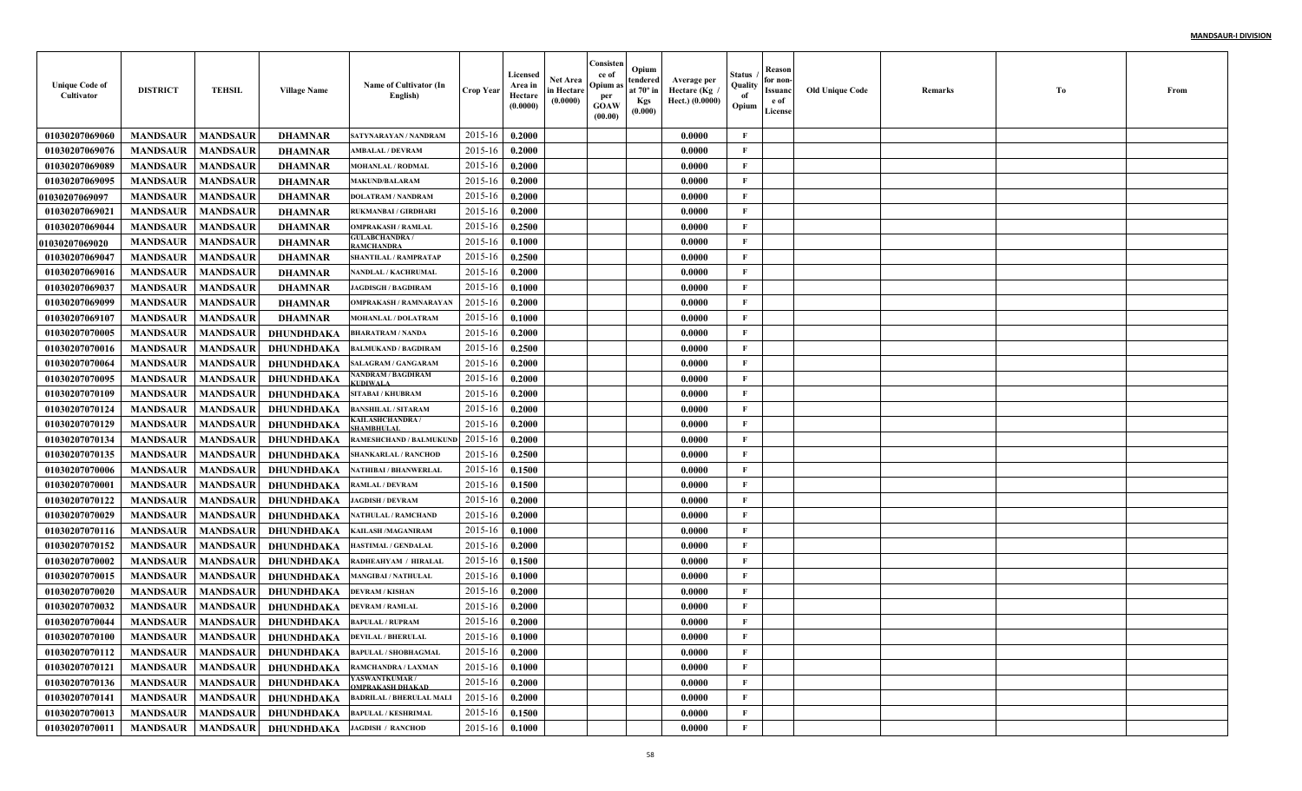| <b>Unique Code of</b><br>Cultivator | <b>DISTRICT</b> | <b>TEHSIL</b>   | <b>Village Name</b>                   | Name of Cultivator (In<br>English)          | <b>Crop Year</b> | Licensed<br>Area in<br>Hectare<br>(0.0000) | <b>Net Area</b><br>in Hectare<br>(0.0000) | Consisten<br>ce of<br>Opium as<br>per<br><b>GOAW</b><br>(00.00) | Opium<br>tendered<br>at $70^\circ$ in<br><b>Kgs</b><br>(0.000) | Average per<br>Hectare (Kg)<br>Hect.) (0.0000) | Status<br>Quality<br>of<br>Opium | Reason<br>for non-<br>Issuanc<br>e of<br>License | <b>Old Unique Code</b> | Remarks | Тo | From |
|-------------------------------------|-----------------|-----------------|---------------------------------------|---------------------------------------------|------------------|--------------------------------------------|-------------------------------------------|-----------------------------------------------------------------|----------------------------------------------------------------|------------------------------------------------|----------------------------------|--------------------------------------------------|------------------------|---------|----|------|
| 01030207069060                      | <b>MANDSAUR</b> | <b>MANDSAUR</b> | <b>DHAMNAR</b>                        | SATYNARAYAN / NANDRAM                       | 2015-16          | 0.2000                                     |                                           |                                                                 |                                                                | 0.0000                                         | $\mathbf{F}$                     |                                                  |                        |         |    |      |
| 01030207069076                      | <b>MANDSAUR</b> | <b>MANDSAUR</b> | <b>DHAMNAR</b>                        | <b>MBALAL / DEVRAM</b>                      | 2015-16          | 0.2000                                     |                                           |                                                                 |                                                                | 0.0000                                         | F                                |                                                  |                        |         |    |      |
| 01030207069089                      | <b>MANDSAUR</b> | <b>MANDSAUR</b> | <b>DHAMNAR</b>                        | <b>MOHANLAL / RODMAL</b>                    | 2015-16          | 0.2000                                     |                                           |                                                                 |                                                                | 0.0000                                         | $\mathbf{F}$                     |                                                  |                        |         |    |      |
| 01030207069095                      | <b>MANDSAUR</b> | <b>MANDSAUR</b> | <b>DHAMNAR</b>                        | <b>MAKUND/BALARAM</b>                       | 2015-16          | 0.2000                                     |                                           |                                                                 |                                                                | 0.0000                                         | $\mathbf{F}$                     |                                                  |                        |         |    |      |
| <b>01030207069097</b>               | <b>MANDSAUR</b> | <b>MANDSAUR</b> | <b>DHAMNAR</b>                        | <b>DOLATRAM / NANDRAM</b>                   | 2015-16          | 0.2000                                     |                                           |                                                                 |                                                                | 0.0000                                         | $\mathbf{F}$                     |                                                  |                        |         |    |      |
| 01030207069021                      | <b>MANDSAUR</b> | <b>MANDSAUR</b> | <b>DHAMNAR</b>                        | <b>RUKMANBAI/GIRDHARI</b>                   | 2015-16          | 0.2000                                     |                                           |                                                                 |                                                                | 0.0000                                         | $\mathbf{F}$                     |                                                  |                        |         |    |      |
| 01030207069044                      | <b>MANDSAUR</b> | <b>MANDSAUR</b> | <b>DHAMNAR</b>                        | <b>OMPRAKASH / RAMLAL</b>                   | 2015-16          | 0.2500                                     |                                           |                                                                 |                                                                | 0.0000                                         | $\mathbf{F}$                     |                                                  |                        |         |    |      |
| <b>01030207069020</b>               | <b>MANDSAUR</b> | <b>MANDSAUR</b> | <b>DHAMNAR</b>                        | <b>GULABCHANDRA</b><br><b>AMCHANDRA</b>     | 2015-16          | 0.1000                                     |                                           |                                                                 |                                                                | 0.0000                                         | $\mathbf{F}$                     |                                                  |                        |         |    |      |
| 01030207069047                      | <b>MANDSAUR</b> | <b>MANDSAUR</b> | <b>DHAMNAR</b>                        | <b>SHANTILAL / RAMPRATAF</b>                | 2015-16          | 0.2500                                     |                                           |                                                                 |                                                                | 0.0000                                         | $\mathbf{F}$                     |                                                  |                        |         |    |      |
| 01030207069016                      | <b>MANDSAUR</b> | <b>MANDSAUR</b> | <b>DHAMNAR</b>                        | NANDLAL / KACHRUMAL                         | 2015-16          | 0.2000                                     |                                           |                                                                 |                                                                | 0.0000                                         | $\mathbf{F}$                     |                                                  |                        |         |    |      |
| 01030207069037                      | <b>MANDSAUR</b> | <b>MANDSAUR</b> | <b>DHAMNAR</b>                        | <b>JAGDISGH / BAGDIRAM</b>                  | 2015-16          | 0.1000                                     |                                           |                                                                 |                                                                | 0.0000                                         | $\mathbf{F}$                     |                                                  |                        |         |    |      |
| 01030207069099                      | <b>MANDSAUR</b> | <b>MANDSAUR</b> | <b>DHAMNAR</b>                        | <b>OMPRAKASH / RAMNARAYAN</b>               | 2015-16          | 0.2000                                     |                                           |                                                                 |                                                                | 0.0000                                         | $\mathbf{F}$                     |                                                  |                        |         |    |      |
| 01030207069107                      | <b>MANDSAUR</b> | <b>MANDSAUR</b> | <b>DHAMNAR</b>                        | <b>MOHANLAL / DOLATRAM</b>                  | 2015-16          | 0.1000                                     |                                           |                                                                 |                                                                | 0.0000                                         | $\mathbf{F}$                     |                                                  |                        |         |    |      |
| 01030207070005                      | <b>MANDSAUR</b> | <b>MANDSAUR</b> | DHUNDHDAKA                            | <b>BHARATRAM / NANDA</b>                    | 2015-16          | 0.2000                                     |                                           |                                                                 |                                                                | 0.0000                                         | $\mathbf{F}$                     |                                                  |                        |         |    |      |
| 01030207070016                      | <b>MANDSAUR</b> | <b>MANDSAUR</b> | DHUNDHDAKA                            | <b>BALMUKAND / BAGDIRAM</b>                 | 2015-16          | 0.2500                                     |                                           |                                                                 |                                                                | 0.0000                                         | $\mathbf{F}$                     |                                                  |                        |         |    |      |
| 01030207070064                      | <b>MANDSAUR</b> | <b>MANDSAUR</b> | DHUNDHDAKA                            | <b>SALAGRAM / GANGARAM</b>                  | 2015-16          | 0.2000                                     |                                           |                                                                 |                                                                | 0.0000                                         | $\mathbf{F}$                     |                                                  |                        |         |    |      |
| 01030207070095                      | <b>MANDSAUR</b> | <b>MANDSAUR</b> | <b>DHUNDHDAKA</b>                     | ANDRAM / BAGDIRAM<br><b>CUDIWALA</b>        | 2015-16          | 0.2000                                     |                                           |                                                                 |                                                                | 0.0000                                         | $\mathbf{F}$                     |                                                  |                        |         |    |      |
| 01030207070109                      | <b>MANDSAUR</b> | <b>MANDSAUR</b> | DHUNDHDAKA                            | <b>SITABAI/KHUBRAM</b>                      | 2015-16          | 0.2000                                     |                                           |                                                                 |                                                                | 0.0000                                         | $\mathbf{F}$                     |                                                  |                        |         |    |      |
| 01030207070124                      | <b>MANDSAUR</b> | <b>MANDSAUR</b> | DHUNDHDAKA                            | <b>BANSHILAL / SITARAM</b>                  | 2015-16          | 0.2000                                     |                                           |                                                                 |                                                                | 0.0000                                         | $\mathbf{F}$                     |                                                  |                        |         |    |      |
| 01030207070129                      | <b>MANDSAUR</b> | <b>MANDSAUR</b> | DHUNDHDAKA                            | <b>ZAILASHCHANDRA /</b><br><b>HAMBHULAI</b> | 2015-16          | 0.2000                                     |                                           |                                                                 |                                                                | 0.0000                                         | $\mathbf{F}$                     |                                                  |                        |         |    |      |
| 01030207070134                      | <b>MANDSAUR</b> | <b>MANDSAUR</b> | DHUNDHDAKA                            | RAMESHCHAND / BALMUKUNI                     | 2015-16          | 0.2000                                     |                                           |                                                                 |                                                                | 0.0000                                         | $\mathbf{F}$                     |                                                  |                        |         |    |      |
| 01030207070135                      | <b>MANDSAUR</b> | <b>MANDSAUR</b> | DHUNDHDAKA                            | <b>SHANKARLAL / RANCHOD</b>                 | 2015-16          | 0.2500                                     |                                           |                                                                 |                                                                | 0.0000                                         | $\mathbf{F}$                     |                                                  |                        |         |    |      |
| 01030207070006                      | <b>MANDSAUR</b> | <b>MANDSAUR</b> | DHUNDHDAKA                            | NATHIBAI / BHANWERLAI                       | 2015-16          | 0.1500                                     |                                           |                                                                 |                                                                | 0.0000                                         | $\mathbf{F}$                     |                                                  |                        |         |    |      |
| 01030207070001                      | <b>MANDSAUR</b> | <b>MANDSAUR</b> | DHUNDHDAKA                            | RAMLAL / DEVRAM                             | 2015-16          | 0.1500                                     |                                           |                                                                 |                                                                | 0.0000                                         | $\mathbf{F}$                     |                                                  |                        |         |    |      |
| 01030207070122                      | <b>MANDSAUR</b> | <b>MANDSAUR</b> | DHUNDHDAKA                            | <b>JAGDISH / DEVRAM</b>                     | 2015-16          | 0.2000                                     |                                           |                                                                 |                                                                | 0.0000                                         | $\mathbf{F}$                     |                                                  |                        |         |    |      |
| 01030207070029                      | <b>MANDSAUR</b> | <b>MANDSAUR</b> | <b>DHUNDHDAKA</b>                     | NATHULAL / RAMCHAND                         | 2015-16          | 0.2000                                     |                                           |                                                                 |                                                                | 0.0000                                         | $\mathbf{F}$                     |                                                  |                        |         |    |      |
| 01030207070116                      | <b>MANDSAUR</b> | <b>MANDSAUR</b> | DHUNDHDAKA                            | KAILASH /MAGANIRAM                          | 2015-16          | 0.1000                                     |                                           |                                                                 |                                                                | 0.0000                                         | F                                |                                                  |                        |         |    |      |
| 01030207070152                      | <b>MANDSAUR</b> | <b>MANDSAUR</b> | DHUNDHDAKA                            | HASTIMAL / GENDALAL                         | 2015-16          | 0.2000                                     |                                           |                                                                 |                                                                | 0.0000                                         | $\mathbf{F}$                     |                                                  |                        |         |    |      |
| 01030207070002                      | <b>MANDSAUR</b> | <b>MANDSAUR</b> | DHUNDHDAKA                            | RADHEAHYAM / HIRALA                         | 2015-16          | 0.1500                                     |                                           |                                                                 |                                                                | 0.0000                                         | $\mathbf{F}$                     |                                                  |                        |         |    |      |
| 01030207070015                      | <b>MANDSAUR</b> | <b>MANDSAUR</b> | DHUNDHDAKA                            | <b>MANGIBAI / NATHULAL</b>                  | 2015-16          | 0.1000                                     |                                           |                                                                 |                                                                | 0.0000                                         | $\mathbf{F}$                     |                                                  |                        |         |    |      |
| 01030207070020                      | <b>MANDSAUR</b> | <b>MANDSAUR</b> | DHUNDHDAKA                            | <b>DEVRAM / KISHAN</b>                      | 2015-16          | 0.2000                                     |                                           |                                                                 |                                                                | 0.0000                                         | $\mathbf{F}$                     |                                                  |                        |         |    |      |
| 01030207070032                      | <b>MANDSAUR</b> | <b>MANDSAUR</b> | DHUNDHDAKA                            | <b>DEVRAM / RAMLAL</b>                      | 2015-16          | 0.2000                                     |                                           |                                                                 |                                                                | 0.0000                                         | $\mathbf{F}$                     |                                                  |                        |         |    |      |
| 01030207070044                      | <b>MANDSAUR</b> | <b>MANDSAUR</b> | DHUNDHDAKA                            | <b>BAPULAL / RUPRAM</b>                     | 2015-16          | 0.2000                                     |                                           |                                                                 |                                                                | 0.0000                                         | $\mathbf{F}$                     |                                                  |                        |         |    |      |
| 01030207070100                      |                 |                 | MANDSAUR   MANDSAUR   DHUNDHDAKA      | <b>DEVILAL / BHERULAL</b>                   | 2015-16 0.1000   |                                            |                                           |                                                                 |                                                                | 0.0000                                         | F                                |                                                  |                        |         |    |      |
| 01030207070112                      | <b>MANDSAUR</b> | <b>MANDSAUR</b> | DHUNDHDAKA                            | <b>BAPULAL / SHOBHAGMAL</b>                 | 2015-16          | 0.2000                                     |                                           |                                                                 |                                                                | 0.0000                                         | $\mathbf F$                      |                                                  |                        |         |    |      |
| 01030207070121                      | <b>MANDSAUR</b> | <b>MANDSAUR</b> | <b>DHUNDHDAKA</b>                     | <b>RAMCHANDRA / LAXMAN</b>                  | 2015-16          | 0.1000                                     |                                           |                                                                 |                                                                | 0.0000                                         | $\mathbf{F}$                     |                                                  |                        |         |    |      |
| 01030207070136                      | <b>MANDSAUR</b> | <b>MANDSAUR</b> | DHUNDHDAKA                            | YASWANTKUMAR /<br><b>OMPRAKASH DHAKAD</b>   | 2015-16          | 0.2000                                     |                                           |                                                                 |                                                                | 0.0000                                         | $\mathbf{F}$                     |                                                  |                        |         |    |      |
| 01030207070141                      | <b>MANDSAUR</b> | <b>MANDSAUR</b> | <b>DHUNDHDAKA</b>                     | <b>BADRILAL / BHERULAL MALI</b>             | 2015-16          | 0.2000                                     |                                           |                                                                 |                                                                | 0.0000                                         | $\mathbf{F}$                     |                                                  |                        |         |    |      |
| 01030207070013                      | <b>MANDSAUR</b> | <b>MANDSAUR</b> | DHUNDHDAKA                            | <b>BAPULAL / KESHRIMAL</b>                  | 2015-16          | 0.1500                                     |                                           |                                                                 |                                                                | 0.0000                                         | $\mathbf{F}$                     |                                                  |                        |         |    |      |
| 01030207070011                      | <b>MANDSAUR</b> |                 | MANDSAUR DHUNDHDAKA JAGDISH / RANCHOD |                                             | $2015 - 16$      | 0.1000                                     |                                           |                                                                 |                                                                | 0.0000                                         | $\mathbf{F}$                     |                                                  |                        |         |    |      |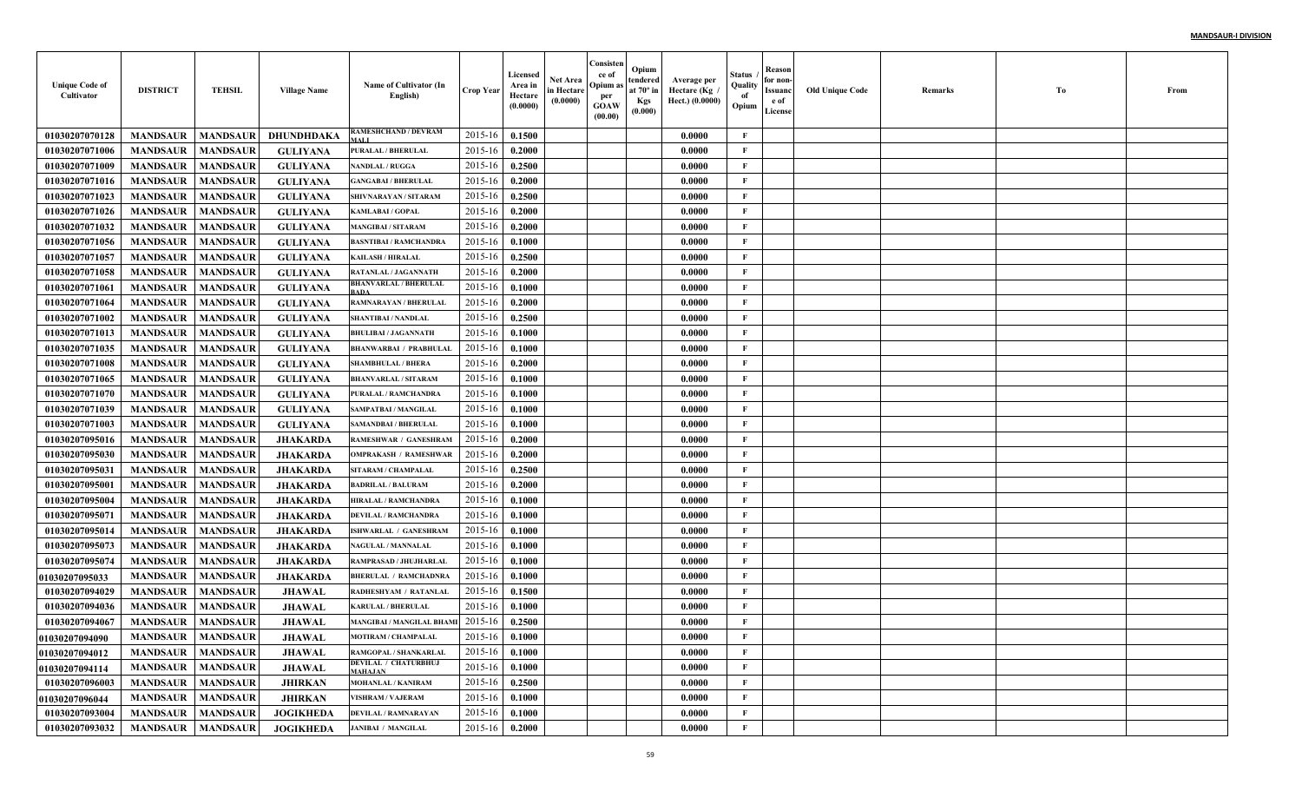| <b>Unique Code of</b><br>Cultivator | <b>DISTRICT</b>            | <b>TEHSIL</b>   | <b>Village Name</b> | Name of Cultivator (In<br>English)            | Crop Year        | Licensed<br>Area in<br>Hectare<br>(0.0000) | Net Area<br>in Hectare<br>(0.0000) | Consisten<br>ce of<br>Opium:<br>per<br>GOAW<br>(00.00) | Opium<br>tendered<br>at $70^\circ$ in<br><b>Kgs</b><br>(0.000) | Average per<br>Hectare (Kg<br>Hect.) (0.0000) | Status<br>Quality<br>of<br>Opium | Reason<br>for non-<br>Issuanc<br>e of<br>License | <b>Old Unique Code</b> | Remarks | Тo | From |
|-------------------------------------|----------------------------|-----------------|---------------------|-----------------------------------------------|------------------|--------------------------------------------|------------------------------------|--------------------------------------------------------|----------------------------------------------------------------|-----------------------------------------------|----------------------------------|--------------------------------------------------|------------------------|---------|----|------|
| 01030207070128                      | <b>MANDSAUR</b>            | <b>MANDSAUR</b> | DHUNDHDAKA          | RAMESHCHAND / DEVRAM<br>MALI                  | 2015-16          | 0.1500                                     |                                    |                                                        |                                                                | 0.0000                                        | F                                |                                                  |                        |         |    |      |
| 01030207071006                      | <b>MANDSAUR</b>            | <b>MANDSAUR</b> | <b>GULIYANA</b>     | <b>PURALAL / BHERULAL</b>                     | 2015-16          | 0.2000                                     |                                    |                                                        |                                                                | 0.0000                                        | $\mathbf{F}$                     |                                                  |                        |         |    |      |
| 01030207071009                      | <b>MANDSAUR</b>            | <b>MANDSAUR</b> | <b>GULIYANA</b>     | <b>NANDLAL / RUGGA</b>                        | 2015-16          | 0.2500                                     |                                    |                                                        |                                                                | 0.0000                                        | $\mathbf{F}$                     |                                                  |                        |         |    |      |
| 01030207071016                      | <b>MANDSAUR</b>            | <b>MANDSAUR</b> | <b>GULIYANA</b>     | <b>GANGABAI/BHERULAL</b>                      | 2015-16          | 0.2000                                     |                                    |                                                        |                                                                | 0.0000                                        | $\mathbf{F}$                     |                                                  |                        |         |    |      |
| 01030207071023                      | <b>MANDSAUR</b>            | <b>MANDSAUR</b> | <b>GULIYANA</b>     | SHIVNARAYAN / SITARAM                         | 2015-16          | 0.2500                                     |                                    |                                                        |                                                                | 0.0000                                        | $\mathbf{F}$                     |                                                  |                        |         |    |      |
| 01030207071026                      | <b>MANDSAUR</b>            | <b>MANDSAUR</b> | <b>GULIYANA</b>     | <b>KAMLABAI / GOPAL</b>                       | 2015-16          | 0.2000                                     |                                    |                                                        |                                                                | 0.0000                                        | $\mathbf{F}$                     |                                                  |                        |         |    |      |
| 01030207071032                      | <b>MANDSAUR</b>            | <b>MANDSAUR</b> | <b>GULIYANA</b>     | <b>MANGIBAI / SITARAM</b>                     | 2015-16          | 0.2000                                     |                                    |                                                        |                                                                | 0.0000                                        | $\mathbf{F}$                     |                                                  |                        |         |    |      |
| 01030207071056                      | <b>MANDSAUR</b>            | <b>MANDSAUR</b> | <b>GULIYANA</b>     | <b>BASNTIBAI / RAMCHANDRA</b>                 | 2015-16          | 0.1000                                     |                                    |                                                        |                                                                | 0.0000                                        | $\mathbf{F}$                     |                                                  |                        |         |    |      |
| 01030207071057                      | <b>MANDSAUR</b>            | <b>MANDSAUR</b> | <b>GULIYANA</b>     | <b>KAILASH / HIRALAL</b>                      | 2015-16          | 0.2500                                     |                                    |                                                        |                                                                | 0.0000                                        | $\mathbf{F}$                     |                                                  |                        |         |    |      |
| 01030207071058                      | <b>MANDSAUR</b>            | <b>MANDSAUR</b> | <b>GULIYANA</b>     | RATANLAL / JAGANNATH                          | 2015-16          | 0.2000                                     |                                    |                                                        |                                                                | 0.0000                                        | $\mathbf{F}$                     |                                                  |                        |         |    |      |
| 01030207071061                      | <b>MANDSAUR</b>            | <b>MANDSAUR</b> | <b>GULIYANA</b>     | <b>BHANVARLAL / BHERULAI</b><br><b>ADA</b>    | 2015-16          | 0.1000                                     |                                    |                                                        |                                                                | 0.0000                                        | $\mathbf{F}$                     |                                                  |                        |         |    |      |
| 01030207071064                      | <b>MANDSAUR</b>            | <b>MANDSAUR</b> | <b>GULIYANA</b>     | RAMNARAYAN / BHERULAI                         | 2015-16          | 0.2000                                     |                                    |                                                        |                                                                | 0.0000                                        | $\mathbf{F}$                     |                                                  |                        |         |    |      |
| 01030207071002                      | <b>MANDSAUR</b>            | <b>MANDSAUR</b> | <b>GULIYANA</b>     | <b>SHANTIBAI / NANDLAL</b>                    | 2015-16          | 0.2500                                     |                                    |                                                        |                                                                | 0.0000                                        | $\mathbf{F}$                     |                                                  |                        |         |    |      |
| 01030207071013                      | <b>MANDSAUR</b>            | <b>MANDSAUR</b> | <b>GULIYANA</b>     | <b>BHULIBAI / JAGANNATH</b>                   | 2015-16          | 0.1000                                     |                                    |                                                        |                                                                | 0.0000                                        | $\mathbf{F}$                     |                                                  |                        |         |    |      |
| 01030207071035                      | <b>MANDSAUR</b>            | <b>MANDSAUR</b> | <b>GULIYANA</b>     | <b>BHANWARBAI / PRABHULAL</b>                 | 2015-16          | 0.1000                                     |                                    |                                                        |                                                                | 0.0000                                        | $\mathbf{F}$                     |                                                  |                        |         |    |      |
| 01030207071008                      | <b>MANDSAUR</b>            | <b>MANDSAUR</b> | <b>GULIYANA</b>     | <b>SHAMBHULAL / BHERA</b>                     | 2015-16          | 0.2000                                     |                                    |                                                        |                                                                | 0.0000                                        | $\mathbf{F}$                     |                                                  |                        |         |    |      |
| 01030207071065                      | <b>MANDSAUR</b>            | <b>MANDSAUR</b> | <b>GULIYANA</b>     | <b>BHANVARLAL / SITARAM</b>                   | 2015-16          | 0.1000                                     |                                    |                                                        |                                                                | 0.0000                                        | $\mathbf{F}$                     |                                                  |                        |         |    |      |
| 01030207071070                      | <b>MANDSAUR</b>            | <b>MANDSAUR</b> | <b>GULIYANA</b>     | PURALAL / RAMCHANDRA                          | 2015-16          | 0.1000                                     |                                    |                                                        |                                                                | 0.0000                                        | $\mathbf{F}$                     |                                                  |                        |         |    |      |
| 01030207071039                      | <b>MANDSAUR</b>            | <b>MANDSAUR</b> | <b>GULIYANA</b>     | SAMPATBAI / MANGILAL                          | 2015-16          | 0.1000                                     |                                    |                                                        |                                                                | 0.0000                                        | $\mathbf{F}$                     |                                                  |                        |         |    |      |
| 01030207071003                      | <b>MANDSAUR</b>            | <b>MANDSAUR</b> | <b>GULIYANA</b>     | <b>SAMANDBAI / BHERULAL</b>                   | 2015-16          | 0.1000                                     |                                    |                                                        |                                                                | 0.0000                                        | $\mathbf{F}$                     |                                                  |                        |         |    |      |
| 01030207095016                      | <b>MANDSAUR</b>            | <b>MANDSAUR</b> | <b>JHAKARDA</b>     | RAMESHWAR / GANESHRAM                         | 2015-16          | 0.2000                                     |                                    |                                                        |                                                                | 0.0000                                        | $\mathbf{F}$                     |                                                  |                        |         |    |      |
| 01030207095030                      | <b>MANDSAUR</b>            | <b>MANDSAUR</b> | <b>JHAKARDA</b>     | <b>OMPRAKASH / RAMESHWAR</b>                  | 2015-16          | 0.2000                                     |                                    |                                                        |                                                                | 0.0000                                        | F                                |                                                  |                        |         |    |      |
| 01030207095031                      | <b>MANDSAUR</b>            | <b>MANDSAUR</b> | <b>JHAKARDA</b>     | SITARAM / CHAMPALAL                           | 2015-16          | 0.2500                                     |                                    |                                                        |                                                                | 0.0000                                        | $\mathbf{F}$                     |                                                  |                        |         |    |      |
| 01030207095001                      | <b>MANDSAUR</b>            | <b>MANDSAUR</b> | <b>JHAKARDA</b>     | <b>BADRILAL / BALURAM</b>                     | 2015-16          | 0.2000                                     |                                    |                                                        |                                                                | 0.0000                                        | $\mathbf{F}$                     |                                                  |                        |         |    |      |
| 01030207095004                      | <b>MANDSAUR</b>            | <b>MANDSAUR</b> | <b>JHAKARDA</b>     | <b>HIRALAL / RAMCHANDR/</b>                   | 2015-16          | 0.1000                                     |                                    |                                                        |                                                                | 0.0000                                        | $\mathbf{F}$                     |                                                  |                        |         |    |      |
| 01030207095071                      | <b>MANDSAUR</b>            | <b>MANDSAUR</b> | <b>JHAKARDA</b>     | <b>DEVILAL / RAMCHANDRA</b>                   | 2015-16          | 0.1000                                     |                                    |                                                        |                                                                | 0.0000                                        | $\mathbf{F}$                     |                                                  |                        |         |    |      |
| 01030207095014                      | <b>MANDSAUR</b>            | <b>MANDSAUR</b> | <b>JHAKARDA</b>     | ISHWARLAL / GANESHRAM                         | 2015-16          | 0.1000                                     |                                    |                                                        |                                                                | 0.0000                                        | $\mathbf{F}$                     |                                                  |                        |         |    |      |
| 01030207095073                      | <b>MANDSAUR</b>            | <b>MANDSAUR</b> | <b>JHAKARDA</b>     | <b>NAGULAL / MANNALAL</b>                     | 2015-16          | 0.1000                                     |                                    |                                                        |                                                                | 0.0000                                        | $\mathbf{F}$                     |                                                  |                        |         |    |      |
| 01030207095074                      | <b>MANDSAUR</b>            | <b>MANDSAUR</b> | <b>JHAKARD</b>      | RAMPRASAD / JHUJHARLAI                        | 2015-16          | 0.1000                                     |                                    |                                                        |                                                                | 0.0000                                        | $\mathbf{F}$                     |                                                  |                        |         |    |      |
| <b>01030207095033</b>               | <b>MANDSAUR</b>            | <b>MANDSAUR</b> | <b>JHAKARD</b>      | <b>BHERULAL / RAMCHADNR</b>                   | 2015-16          | 0.1000                                     |                                    |                                                        |                                                                | 0.0000                                        | $\mathbf{F}$                     |                                                  |                        |         |    |      |
| 01030207094029                      | <b>MANDSAUR</b>            | <b>MANDSAUR</b> | <b>JHAWAL</b>       | RADHESHYAM / RATANLAL                         | 2015-16          | 0.1500                                     |                                    |                                                        |                                                                | 0.0000                                        | $\mathbf{F}$                     |                                                  |                        |         |    |      |
| 01030207094036                      | <b>MANDSAUR</b>            | <b>MANDSAUR</b> | <b>JHAWAL</b>       | <b>KARULAL / BHERULAL</b>                     | 2015-16          | 0.1000                                     |                                    |                                                        |                                                                | 0.0000                                        | F                                |                                                  |                        |         |    |      |
| 01030207094067                      | <b>MANDSAUR</b>            | <b>MANDSAUR</b> | <b>JHAWAL</b>       | <b>MANGIBAI / MANGILAL BHAM</b>               | 2015-16          | 0.2500                                     |                                    |                                                        |                                                                | 0.0000                                        | $\mathbf{F}$                     |                                                  |                        |         |    |      |
| 01030207094090                      | <b>MANDSAUR   MANDSAUR</b> |                 | <b>JHAWAL</b>       | <b>MOTIRAM / CHAMPALAL</b>                    | $2015-16$ 0.1000 |                                            |                                    |                                                        |                                                                | 0.0000                                        | F                                |                                                  |                        |         |    |      |
| 01030207094012                      | <b>MANDSAUR</b>            | <b>MANDSAUR</b> | <b>JHAWAL</b>       | RAMGOPAL / SHANKARLAL                         | 2015-16          | 0.1000                                     |                                    |                                                        |                                                                | 0.0000                                        | $\mathbf{F}$                     |                                                  |                        |         |    |      |
| 01030207094114                      | <b>MANDSAUR</b>            | <b>MANDSAUR</b> | <b>JHAWAL</b>       | <b>DEVILAL / CHATURBHUJ</b><br><b>MAHAJAN</b> | 2015-16          | 0.1000                                     |                                    |                                                        |                                                                | 0.0000                                        | $\mathbf{F}$                     |                                                  |                        |         |    |      |
| 01030207096003                      | <b>MANDSAUR</b>            | <b>MANDSAUR</b> | <b>JHIRKAN</b>      | <b>MOHANLAL / KANIRAM</b>                     | 2015-16          | 0.2500                                     |                                    |                                                        |                                                                | 0.0000                                        | $\mathbf{F}$                     |                                                  |                        |         |    |      |
| 01030207096044                      | <b>MANDSAUR</b>            | <b>MANDSAUR</b> | <b>JHIRKAN</b>      | VISHRAM / VAJERAM                             | 2015-16          | 0.1000                                     |                                    |                                                        |                                                                | 0.0000                                        | $\mathbf{F}$                     |                                                  |                        |         |    |      |
| 01030207093004                      | <b>MANDSAUR</b>            | <b>MANDSAUR</b> | <b>JOGIKHEDA</b>    | <b>DEVILAL / RAMNARAYAN</b>                   | 2015-16          | 0.1000                                     |                                    |                                                        |                                                                | 0.0000                                        | $\mathbf{F}$                     |                                                  |                        |         |    |      |
| 01030207093032                      | <b>MANDSAUR</b>            | <b>MANDSAUR</b> | <b>JOGIKHEDA</b>    | <b>JANIBAI / MANGILAL</b>                     | 2015-16          | 0.2000                                     |                                    |                                                        |                                                                | 0.0000                                        | $\mathbf F$                      |                                                  |                        |         |    |      |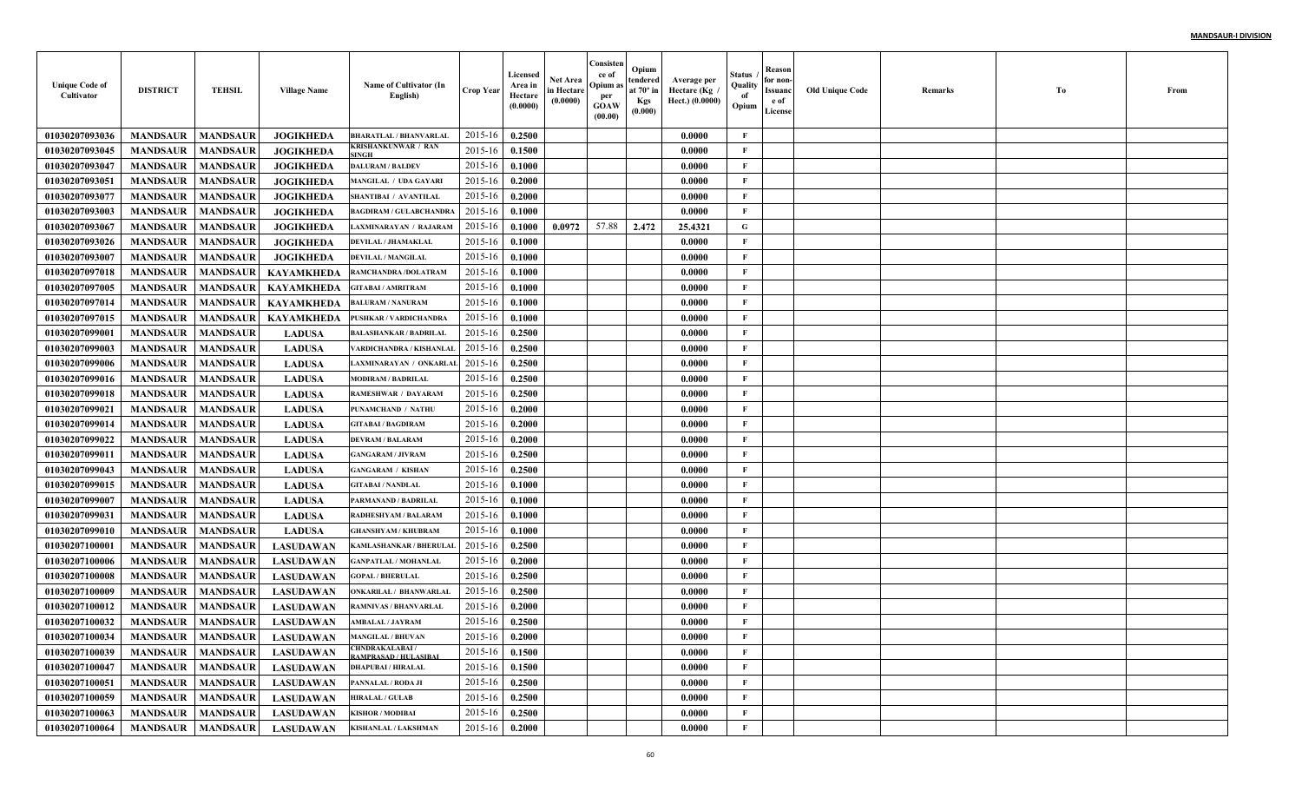| <b>Unique Code of</b><br>Cultivator | <b>DISTRICT</b>            | <b>TEHSIL</b>   | <b>Village Name</b> | Name of Cultivator (In<br>English)             | Crop Year      | Licensed<br>Area in<br>Hectare<br>(0.0000) | <b>Net Area</b><br>in Hectare<br>(0.0000) | Consisten<br>ce of<br>Opium a<br>per<br><b>GOAW</b><br>(00.00) | Opium<br>tendered<br>at $70^\circ$ in<br><b>Kgs</b><br>(0.000) | Average per<br>Hectare (Kg<br>Hect.) (0.0000) | Status<br>Quality<br>of<br>Opium | <b>Reason</b><br>for non<br><b>Issuanc</b><br>e of<br>License | <b>Old Unique Code</b> | Remarks | To | From |
|-------------------------------------|----------------------------|-----------------|---------------------|------------------------------------------------|----------------|--------------------------------------------|-------------------------------------------|----------------------------------------------------------------|----------------------------------------------------------------|-----------------------------------------------|----------------------------------|---------------------------------------------------------------|------------------------|---------|----|------|
| 01030207093036                      | <b>MANDSAUR</b>            | <b>MANDSAUR</b> | <b>JOGIKHEDA</b>    | <b>BHARATLAL / BHANVARLAL</b>                  | 2015-16        | 0.2500                                     |                                           |                                                                |                                                                | 0.0000                                        | F                                |                                                               |                        |         |    |      |
| 01030207093045                      | <b>MANDSAUR</b>            | <b>MANDSAUR</b> | <b>JOGIKHEDA</b>    | <b>KRISHANKUNWAR / RAN</b><br><b>INGH</b>      | $2015 - 16$    | 0.1500                                     |                                           |                                                                |                                                                | 0.0000                                        | F                                |                                                               |                        |         |    |      |
| 01030207093047                      | <b>MANDSAUR</b>            | <b>MANDSAUR</b> | <b>JOGIKHEDA</b>    | <b>DALURAM / BALDEV</b>                        | $2015 - 16$    | 0.1000                                     |                                           |                                                                |                                                                | 0.0000                                        | $\mathbf{F}$                     |                                                               |                        |         |    |      |
| 01030207093051                      | <b>MANDSAUR</b>            | <b>MANDSAUR</b> | <b>JOGIKHEDA</b>    | MANGILAL / UDA GAYARI                          | 2015-16        | 0.2000                                     |                                           |                                                                |                                                                | 0.0000                                        | $\mathbf{F}$                     |                                                               |                        |         |    |      |
| 01030207093077                      | <b>MANDSAUR</b>            | <b>MANDSAUR</b> | <b>JOGIKHEDA</b>    | SHANTIBAI / AVANTILAI                          | $2015 - 16$    | 0.2000                                     |                                           |                                                                |                                                                | 0.0000                                        | $\mathbf{F}$                     |                                                               |                        |         |    |      |
| 01030207093003                      | <b>MANDSAUR</b>            | <b>MANDSAUR</b> | <b>JOGIKHEDA</b>    | <b>BAGDIRAM / GULABCHANDRA</b>                 | $2015 - 16$    | 0.1000                                     |                                           |                                                                |                                                                | 0.0000                                        | F                                |                                                               |                        |         |    |      |
| 01030207093067                      | <b>MANDSAUR</b>            | <b>MANDSAUR</b> | <b>JOGIKHEDA</b>    | LAXMINARAYAN / RAJARAM                         | 2015-16        | 0.1000                                     | 0.0972                                    | 57.88                                                          | 2.472                                                          | 25.4321                                       | $\mathbf G$                      |                                                               |                        |         |    |      |
| 01030207093026                      | <b>MANDSAUR</b>            | <b>MANDSAUR</b> | <b>JOGIKHEDA</b>    | DEVILAL / JHAMAKLAL                            | 2015-16        | 0.1000                                     |                                           |                                                                |                                                                | 0.0000                                        | F                                |                                                               |                        |         |    |      |
| 01030207093007                      | <b>MANDSAUR</b>            | <b>MANDSAUR</b> | <b>JOGIKHEDA</b>    | <b>DEVILAL / MANGILAL</b>                      | $2015 - 16$    | 0.1000                                     |                                           |                                                                |                                                                | 0.0000                                        | $\mathbf{F}$                     |                                                               |                        |         |    |      |
| 01030207097018                      | <b>MANDSAUR</b>            | <b>MANDSAUR</b> | <b>KAYAMKHEDA</b>   | RAMCHANDRA /DOLATRAM                           | 2015-16        | 0.1000                                     |                                           |                                                                |                                                                | 0.0000                                        | $\mathbf{F}$                     |                                                               |                        |         |    |      |
| 01030207097005                      | <b>MANDSAUR</b>            | <b>MANDSAUR</b> | KAYAMKHEDA          | <b>GITABAI / AMRITRAM</b>                      | 2015-16        | 0.1000                                     |                                           |                                                                |                                                                | 0.0000                                        | $\mathbf{F}$                     |                                                               |                        |         |    |      |
| 0103020709701                       | <b>MANDSAUR</b>            | <b>MANDSAUR</b> | <b>KAYAMKHEDA</b>   | <b>BALURAM / NANURAM</b>                       | 2015-16        | 0.1000                                     |                                           |                                                                |                                                                | 0.0000                                        | F                                |                                                               |                        |         |    |      |
| 01030207097015                      | <b>MANDSAUR</b>            | <b>MANDSAUR</b> | <b>KAYAMKHEDA</b>   | PUSHKAR / VARDICHANDRA                         | 2015-16        | 0.1000                                     |                                           |                                                                |                                                                | 0.0000                                        | $\mathbf{F}$                     |                                                               |                        |         |    |      |
| 01030207099001                      | <b>MANDSAUR</b>            | <b>MANDSAUR</b> | <b>LADUSA</b>       | <b>BALASHANKAR / BADRILAL</b>                  | 2015-16        | 0.2500                                     |                                           |                                                                |                                                                | 0.0000                                        | F                                |                                                               |                        |         |    |      |
| 01030207099003                      | <b>MANDSAUR</b>            | <b>MANDSAUR</b> | <b>LADUSA</b>       | VARDICHANDRA / KISHANLAI                       | 2015-16        | 0.2500                                     |                                           |                                                                |                                                                | 0.0000                                        | F                                |                                                               |                        |         |    |      |
| 01030207099006                      | <b>MANDSAUR</b>            | <b>MANDSAUR</b> | <b>LADUSA</b>       | LAXMINARAYAN / ONKARLAI                        | 2015-16        | 0.2500                                     |                                           |                                                                |                                                                | 0.0000                                        | $\mathbf{F}$                     |                                                               |                        |         |    |      |
| 01030207099016                      | <b>MANDSAUR</b>            | <b>MANDSAUR</b> | <b>LADUSA</b>       | <b>MODIRAM / BADRILAL</b>                      | $2015 - 16$    | 0.2500                                     |                                           |                                                                |                                                                | 0.0000                                        | $\mathbf{F}$                     |                                                               |                        |         |    |      |
| 01030207099018                      | <b>MANDSAUR</b>            | <b>MANDSAUR</b> | <b>LADUSA</b>       | RAMESHWAR / DAYARAM                            | 2015-16        | 0.2500                                     |                                           |                                                                |                                                                | 0.0000                                        | F                                |                                                               |                        |         |    |      |
| 01030207099021                      | <b>MANDSAUR</b>            | <b>MANDSAUR</b> | <b>LADUSA</b>       | PUNAMCHAND / NATHU                             | 2015-16        | 0.2000                                     |                                           |                                                                |                                                                | 0.0000                                        | $\mathbf{F}$                     |                                                               |                        |         |    |      |
| 0103020709901                       | <b>MANDSAUR</b>            | <b>MANDSAUR</b> | <b>LADUSA</b>       | <b>GITABAI / BAGDIRAM</b>                      | 2015-16        | 0.2000                                     |                                           |                                                                |                                                                | 0.0000                                        | $\mathbf{F}$                     |                                                               |                        |         |    |      |
| 01030207099022                      | <b>MANDSAUR</b>            | <b>MANDSAUR</b> | <b>LADUSA</b>       | <b>DEVRAM / BALARAM</b>                        | 2015-16        | 0.2000                                     |                                           |                                                                |                                                                | 0.0000                                        | F                                |                                                               |                        |         |    |      |
| 0103020709901                       | <b>MANDSAUR</b>            | <b>MANDSAUR</b> | <b>LADUSA</b>       | <b>GANGARAM / JIVRAM</b>                       | 2015-16        | 0.2500                                     |                                           |                                                                |                                                                | 0.0000                                        | $\mathbf{F}$                     |                                                               |                        |         |    |      |
| 01030207099043                      | <b>MANDSAUR</b>            | <b>MANDSAUR</b> | <b>LADUSA</b>       | <b>GANGARAM / KISHAN</b>                       | $2015 - 16$    | 0.2500                                     |                                           |                                                                |                                                                | 0.0000                                        | $\mathbf{F}$                     |                                                               |                        |         |    |      |
| 01030207099015                      | <b>MANDSAUR</b>            | <b>MANDSAUR</b> | <b>LADUSA</b>       | <b>GITABAI / NANDLAL</b>                       | $2015 - 16$    | 0.1000                                     |                                           |                                                                |                                                                | 0.0000                                        | $\mathbf{F}$                     |                                                               |                        |         |    |      |
| 01030207099007                      | <b>MANDSAUR</b>            | <b>MANDSAUR</b> | <b>LADUSA</b>       | PARMANAND / BADRILAL                           | $2015 - 1$     | 0.1000                                     |                                           |                                                                |                                                                | 0.0000                                        | $\mathbf{F}$                     |                                                               |                        |         |    |      |
| 01030207099031                      | <b>MANDSAUR</b>            | <b>MANDSAUR</b> | <b>LADUSA</b>       | RADHESHYAM / BALARAM                           | $2015 - 16$    | 0.1000                                     |                                           |                                                                |                                                                | 0.0000                                        | $\mathbf{F}$                     |                                                               |                        |         |    |      |
| 01030207099010                      | <b>MANDSAUR</b>            | <b>MANDSAUR</b> | <b>LADUSA</b>       | <b>GHANSHYAM / KHUBRAM</b>                     | $2015 - 16$    | 0.1000                                     |                                           |                                                                |                                                                | 0.0000                                        | F                                |                                                               |                        |         |    |      |
| 01030207100001                      | <b>MANDSAUR</b>            | <b>MANDSAUR</b> | <b>LASUDAWAN</b>    | KAMLASHANKAR / BHERULAI                        | $2015 - 16$    | 0.2500                                     |                                           |                                                                |                                                                | 0.0000                                        | F                                |                                                               |                        |         |    |      |
| 01030207100006                      | <b>MANDSAUR</b>            | <b>MANDSAUR</b> | <b>LASUDAWAN</b>    | <b>GANPATLAL / MOHANLAI</b>                    | 2015-16        | 0.2000                                     |                                           |                                                                |                                                                | 0.0000                                        | $\mathbf{F}$                     |                                                               |                        |         |    |      |
| 01030207100008                      | <b>MANDSAUR</b>            | <b>MANDSAUR</b> | <b>LASUDAWAN</b>    | <b>GOPAL/BHERULAL</b>                          | $2015 - 16$    | 0.2500                                     |                                           |                                                                |                                                                | 0.0000                                        | $\mathbf{F}$                     |                                                               |                        |         |    |      |
| 01030207100009                      | <b>MANDSAUR</b>            | <b>MANDSAUR</b> | <b>LASUDAWAN</b>    | ONKARILAL / BHANWARLAL                         | 2015-16        | 0.2500                                     |                                           |                                                                |                                                                | 0.0000                                        | $\mathbf{F}$                     |                                                               |                        |         |    |      |
| 01030207100012                      | <b>MANDSAUR</b>            | MANDSAUR        | <b>LASUDAWAN</b>    | RAMNIVAS / BHANVARLAI                          | 2015-16        | 0.2000                                     |                                           |                                                                |                                                                | 0.0000                                        | $\mathbf{F}$                     |                                                               |                        |         |    |      |
| 01030207100032                      | <b>MANDSAUR</b>            | <b>MANDSAUR</b> | <b>LASUDAWAN</b>    | <b>AMBALAL / JAYRAM</b>                        | 2015-16        | 0.2500                                     |                                           |                                                                |                                                                | 0.0000                                        | $\mathbf{F}$                     |                                                               |                        |         |    |      |
| 01030207100034                      | <b>MANDSAUR</b>   MANDSAUR |                 | LASUDAWAN           | <b>MANGILAL / BHUVAN</b>                       | 2015-16 0.2000 |                                            |                                           |                                                                |                                                                | 0.0000                                        | -F                               |                                                               |                        |         |    |      |
| 01030207100039                      | <b>MANDSAUR</b>            | <b>MANDSAUR</b> | <b>LASUDAWAN</b>    | <b>CHNDRAKALABAI/</b><br>RAMPRASAD / HULASIBAI | 2015-16        | 0.1500                                     |                                           |                                                                |                                                                | 0.0000                                        | $\mathbf{F}$                     |                                                               |                        |         |    |      |
| 01030207100047                      | <b>MANDSAUR</b>            | <b>MANDSAUR</b> | <b>LASUDAWAN</b>    | <b>DHAPUBAI / HIRALAL</b>                      | 2015-16        | 0.1500                                     |                                           |                                                                |                                                                | 0.0000                                        | $\mathbf{F}$                     |                                                               |                        |         |    |      |
| 01030207100051                      | <b>MANDSAUR</b>            | <b>MANDSAUR</b> | <b>LASUDAWAN</b>    | PANNALAL / RODA JI                             | 2015-16        | 0.2500                                     |                                           |                                                                |                                                                | 0.0000                                        | $\mathbf{F}$                     |                                                               |                        |         |    |      |
| 01030207100059                      | <b>MANDSAUR</b>            | <b>MANDSAUR</b> | <b>LASUDAWAN</b>    | <b>HIRALAL/GULAB</b>                           | 2015-16        | 0.2500                                     |                                           |                                                                |                                                                | 0.0000                                        | $\mathbf{F}$                     |                                                               |                        |         |    |      |
| 01030207100063                      | <b>MANDSAUR</b>            | <b>MANDSAUR</b> | <b>LASUDAWAN</b>    | <b>KISHOR / MODIBAI</b>                        | 2015-16        | 0.2500                                     |                                           |                                                                |                                                                | 0.0000                                        | $\mathbf{F}$                     |                                                               |                        |         |    |      |
| 01030207100064                      | MANDSAUR   MANDSAUR        |                 | <b>LASUDAWAN</b>    | KISHANLAL / LAKSHMAN                           | 2015-16        | 0.2000                                     |                                           |                                                                |                                                                | 0.0000                                        | $\mathbf{F}$                     |                                                               |                        |         |    |      |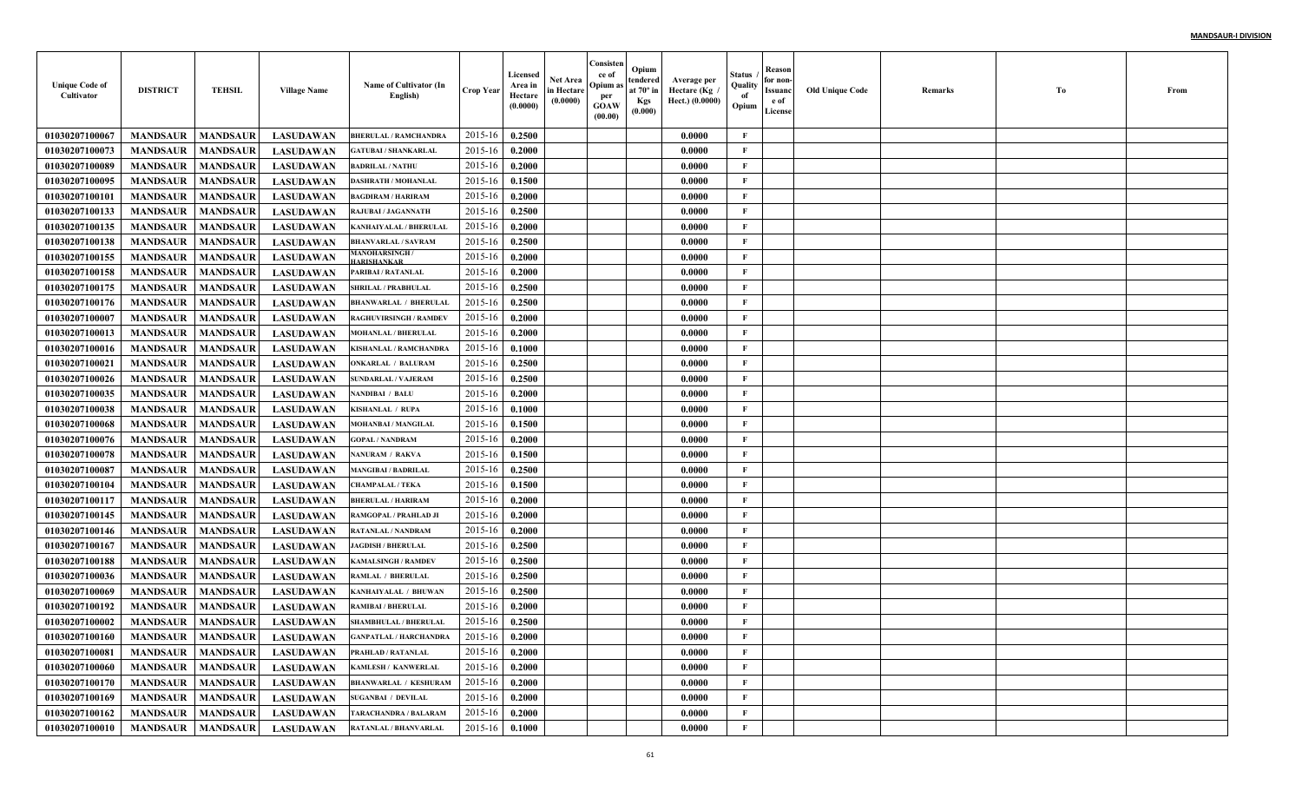| <b>Unique Code of</b><br>Cultivator | <b>DISTRICT</b>                   | <b>TEHSIL</b>   | <b>Village Name</b> | Name of Cultivator (In<br>English) | Crop Year        | Licensed<br>Area in<br>Hectare<br>(0.0000) | <b>Net Area</b><br>in Hectare<br>(0.0000) | Consisten<br>ce of<br>Opium a<br>per<br><b>GOAW</b><br>(00.00) | Opium<br>tendered<br>at $70^\circ$ in<br><b>Kgs</b><br>(0.000) | Average per<br>Hectare (Kg<br>Hect.) (0.0000) | Status<br>Quality<br>of<br>Opium | <b>Reason</b><br>for non-<br><b>Issuanc</b><br>e of<br>License | <b>Old Unique Code</b> | Remarks | To | From |
|-------------------------------------|-----------------------------------|-----------------|---------------------|------------------------------------|------------------|--------------------------------------------|-------------------------------------------|----------------------------------------------------------------|----------------------------------------------------------------|-----------------------------------------------|----------------------------------|----------------------------------------------------------------|------------------------|---------|----|------|
| 0103020710006                       | <b>MANDSAUR</b>                   | <b>MANDSAUR</b> | <b>LASUDAWAN</b>    | <b>BHERULAL / RAMCHANDRA</b>       | $2015-16$        | 0.2500                                     |                                           |                                                                |                                                                | 0.0000                                        | F                                |                                                                |                        |         |    |      |
| 01030207100073                      | <b>MANDSAUR</b>                   | <b>MANDSAUR</b> | <b>LASUDAWAN</b>    | <b>GATUBAI / SHANKARLAL</b>        | 2015-16          | 0.2000                                     |                                           |                                                                |                                                                | 0.0000                                        | $\mathbf{F}$                     |                                                                |                        |         |    |      |
| 01030207100089                      | <b>MANDSAUR</b>                   | <b>MANDSAUR</b> | <b>LASUDAWAN</b>    | <b>BADRILAL / NATHU</b>            | 2015-16          | 0.2000                                     |                                           |                                                                |                                                                | 0.0000                                        | F                                |                                                                |                        |         |    |      |
| 01030207100095                      | <b>MANDSAUR</b>                   | <b>MANDSAUR</b> | <b>LASUDAWAN</b>    | DASHRATH / MOHANLAI                | $2015 - 16$      | 0.1500                                     |                                           |                                                                |                                                                | 0.0000                                        | F                                |                                                                |                        |         |    |      |
| 01030207100101                      | <b>MANDSAUR</b>                   | <b>MANDSAUR</b> | <b>LASUDAWAN</b>    | <b>BAGDIRAM / HARIRAM</b>          | 2015-16          | 0.2000                                     |                                           |                                                                |                                                                | 0.0000                                        | F                                |                                                                |                        |         |    |      |
| 01030207100133                      | <b>MANDSAUR</b>                   | <b>MANDSAUR</b> | <b>LASUDAWAN</b>    | RAJUBAI / JAGANNATH                | $2015 - 16$      | 0.2500                                     |                                           |                                                                |                                                                | 0.0000                                        | $\mathbf{F}$                     |                                                                |                        |         |    |      |
| 01030207100135                      | <b>MANDSAUR</b>                   | <b>MANDSAUR</b> | <b>LASUDAWAN</b>    | KANHAIYALAL / BHERULAI             | $2015 - 16$      | 0.2000                                     |                                           |                                                                |                                                                | 0.0000                                        | $\mathbf{F}$                     |                                                                |                        |         |    |      |
| 01030207100138                      | <b>MANDSAUR</b>                   | <b>MANDSAUR</b> | <b>LASUDAWAN</b>    | <b>BHANVARLAL / SAVRAM</b>         | 2015-16          | 0.2500                                     |                                           |                                                                |                                                                | 0.0000                                        | $\mathbf{F}$                     |                                                                |                        |         |    |      |
| 01030207100155                      | <b>MANDSAUR</b>                   | <b>MANDSAUR</b> | <b>LASUDAWAN</b>    | MANOHARSINGH<br><b>JARISHANKAR</b> | 2015-16          | 0.2000                                     |                                           |                                                                |                                                                | 0.0000                                        | $\mathbf{F}$                     |                                                                |                        |         |    |      |
| 01030207100158                      | <b>MANDSAUR</b>                   | <b>MANDSAUR</b> | <b>LASUDAWAN</b>    | PARIBAI / RATANLAL                 | 2015-16          | 0.2000                                     |                                           |                                                                |                                                                | 0.0000                                        | $\mathbf{F}$                     |                                                                |                        |         |    |      |
| 01030207100175                      | <b>MANDSAUR</b>                   | <b>MANDSAUR</b> | <b>LASUDAWAN</b>    | <b>SHRILAL / PRABHULAL</b>         | 2015-16          | 0.2500                                     |                                           |                                                                |                                                                | 0.0000                                        | $\mathbf{F}$                     |                                                                |                        |         |    |      |
| 01030207100176                      | <b>MANDSAUR</b>                   | <b>MANDSAUR</b> | <b>LASUDAWAN</b>    | <b>BHANWARLAL / BHERULAI</b>       | 2015-16          | 0.2500                                     |                                           |                                                                |                                                                | 0.0000                                        | $\mathbf{F}$                     |                                                                |                        |         |    |      |
| 01030207100007                      | <b>MANDSAUR</b>                   | <b>MANDSAUR</b> | <b>LASUDAWAN</b>    | RAGHUVIRSINGH / RAMDEV             | 2015-16          | 0.2000                                     |                                           |                                                                |                                                                | 0.0000                                        | $\mathbf{F}$                     |                                                                |                        |         |    |      |
| 01030207100013                      | <b>MANDSAUR</b>                   | <b>MANDSAUR</b> | <b>LASUDAWAN</b>    | <b>MOHANLAL / BHERULAL</b>         | 2015-16          | 0.2000                                     |                                           |                                                                |                                                                | 0.0000                                        | F                                |                                                                |                        |         |    |      |
| 01030207100016                      | <b>MANDSAUR</b>                   | <b>MANDSAUR</b> | <b>LASUDAWAN</b>    | KISHANLAL / RAMCHANDRA             | 2015-16          | 0.1000                                     |                                           |                                                                |                                                                | 0.0000                                        | $\mathbf{F}$                     |                                                                |                        |         |    |      |
| 01030207100021                      | <b>MANDSAUR</b>                   | <b>MANDSAUR</b> | <b>LASUDAWAN</b>    | ONKARLAL / BALURAM                 | 2015-16          | 0.2500                                     |                                           |                                                                |                                                                | 0.0000                                        | F                                |                                                                |                        |         |    |      |
| 01030207100026                      | <b>MANDSAUR</b>                   | <b>MANDSAUR</b> | <b>LASUDAWAN</b>    | <b>SUNDARLAL / VAJERAM</b>         | 2015-16          | 0.2500                                     |                                           |                                                                |                                                                | 0.0000                                        | F                                |                                                                |                        |         |    |      |
| 01030207100035                      | <b>MANDSAUR</b>                   | <b>MANDSAUR</b> | <b>LASUDAWAN</b>    | NANDIBAI / BALU                    | 2015-16          | 0.2000                                     |                                           |                                                                |                                                                | 0.0000                                        | $\mathbf{F}$                     |                                                                |                        |         |    |      |
| 01030207100038                      | <b>MANDSAUR</b>                   | <b>MANDSAUR</b> | <b>LASUDAWAN</b>    | KISHANLAL / RUPA                   | 2015-16          | 0.1000                                     |                                           |                                                                |                                                                | 0.0000                                        | $\mathbf{F}$                     |                                                                |                        |         |    |      |
| 01030207100068                      | <b>MANDSAUR</b>                   | <b>MANDSAUR</b> | <b>LASUDAWAN</b>    | <b>MOHANBAI/MANGILAL</b>           | 2015-16          | 0.1500                                     |                                           |                                                                |                                                                | 0.0000                                        | F                                |                                                                |                        |         |    |      |
| 01030207100076                      | <b>MANDSAUR</b>                   | <b>MANDSAUR</b> | <b>LASUDAWAN</b>    | <b>GOPAL / NANDRAM</b>             | 2015-16          | 0.2000                                     |                                           |                                                                |                                                                | 0.0000                                        | $\mathbf{F}$                     |                                                                |                        |         |    |      |
| 01030207100078                      | <b>MANDSAUR</b>                   | <b>MANDSAUR</b> | <b>LASUDAWAN</b>    | NANURAM / RAKVA                    | 2015-16          | 0.1500                                     |                                           |                                                                |                                                                | 0.0000                                        | F                                |                                                                |                        |         |    |      |
| 01030207100087                      | <b>MANDSAUR</b>                   | <b>MANDSAUR</b> | <b>LASUDAWAN</b>    | <b>MANGIBAI / BADRILAL</b>         | 2015-16          | 0.2500                                     |                                           |                                                                |                                                                | 0.0000                                        | F                                |                                                                |                        |         |    |      |
| 01030207100104                      | <b>MANDSAUR</b>                   | <b>MANDSAUR</b> | <b>LASUDAWAN</b>    | <b>CHAMPALAL / TEKA</b>            | $2015 - 16$      | 0.1500                                     |                                           |                                                                |                                                                | 0.0000                                        | $\mathbf{F}$                     |                                                                |                        |         |    |      |
| 0103020710011                       | <b>MANDSAUR</b>                   | <b>MANDSAUR</b> | <b>LASUDAWAN</b>    | <b>BHERULAL / HARIRAM</b>          | $2015 - 1$       | 0.2000                                     |                                           |                                                                |                                                                | 0.0000                                        | $\mathbf{F}$                     |                                                                |                        |         |    |      |
| 01030207100145                      | <b>MANDSAUR</b>                   | <b>MANDSAUR</b> | <b>LASUDAWAN</b>    | RAMGOPAL / PRAHLAD JI              | $2015 - 1$       | 0.2000                                     |                                           |                                                                |                                                                | 0.0000                                        | F                                |                                                                |                        |         |    |      |
| 01030207100146                      | <b>MANDSAUR</b>                   | <b>MANDSAUR</b> | <b>LASUDAWAN</b>    | RATANLAL / NANDRAM                 | $2015 - 16$      | 0.2000                                     |                                           |                                                                |                                                                | 0.0000                                        | $\mathbf{F}$                     |                                                                |                        |         |    |      |
| 01030207100167                      | <b>MANDSAUR</b>                   | <b>MANDSAUR</b> | <b>LASUDAWAN</b>    | <b>JAGDISH / BHERULAL</b>          | 2015-16          | 0.2500                                     |                                           |                                                                |                                                                | 0.0000                                        | $\mathbf{F}$                     |                                                                |                        |         |    |      |
| 01030207100188                      | <b>MANDSAUR</b>                   | <b>MANDSAUR</b> | <b>LASUDAWAN</b>    | <b>CAMALSINGH / RAMDEV</b>         | $2015 - 16$      | 0.2500                                     |                                           |                                                                |                                                                | 0.0000                                        | $\mathbf{F}$                     |                                                                |                        |         |    |      |
| 01030207100036                      | <b>MANDSAUR</b>                   | <b>MANDSAUR</b> | <b>LASUDAWAN</b>    | RAMLAL / BHERULAL                  | $2015 - 16$      | 0.2500                                     |                                           |                                                                |                                                                | 0.0000                                        | $\mathbf{F}$                     |                                                                |                        |         |    |      |
| 01030207100069                      | <b>MANDSAUR</b>                   | <b>MANDSAUR</b> | <b>LASUDAWAN</b>    | KANHAIYALAL / BHUWAN               | $2015 - 16$      | 0.2500                                     |                                           |                                                                |                                                                | 0.0000                                        | $\mathbf{F}$                     |                                                                |                        |         |    |      |
| 01030207100192                      | <b>MANDSAUR</b>                   | <b>MANDSAUR</b> | <b>LASUDAWAN</b>    | RAMIBAI / BHERULAL                 | $2015 - 16$      | 0.2000                                     |                                           |                                                                |                                                                | 0.0000                                        | $\mathbf{F}$                     |                                                                |                        |         |    |      |
| 01030207100002                      | <b>MANDSAUR</b>                   | <b>MANDSAUR</b> | <b>LASUDAWAN</b>    | <b>SHAMBHULAL / BHERULAI</b>       | 2015-16          | 0.2500                                     |                                           |                                                                |                                                                | 0.0000                                        | $\mathbf{F}$                     |                                                                |                        |         |    |      |
| 01030207100160                      | <b>MANDSAUR</b>   <b>MANDSAUR</b> |                 | LASUDAWAN           | <b>GANPATLAL / HARCHANDRA</b>      | $2015-16$ 0.2000 |                                            |                                           |                                                                |                                                                | 0.0000                                        | F                                |                                                                |                        |         |    |      |
| 01030207100081                      | <b>MANDSAUR</b>                   | <b>MANDSAUR</b> | LASUDAWAN           | PRAHLAD / RATANLAL                 | 2015-16          | 0.2000                                     |                                           |                                                                |                                                                | 0.0000                                        | F                                |                                                                |                        |         |    |      |
| 01030207100060                      | <b>MANDSAUR</b>                   | <b>MANDSAUR</b> | LASUDAWAN           | KAMLESH / KANWERLAL                | 2015-16          | 0.2000                                     |                                           |                                                                |                                                                | 0.0000                                        | F                                |                                                                |                        |         |    |      |
| 01030207100170                      | <b>MANDSAUR</b>                   | <b>MANDSAUR</b> | <b>LASUDAWAN</b>    | <b>BHANWARLAL / KESHURAM</b>       | 2015-16          | 0.2000                                     |                                           |                                                                |                                                                | 0.0000                                        | $\mathbf{F}$                     |                                                                |                        |         |    |      |
| 01030207100169                      | <b>MANDSAUR</b>                   | <b>MANDSAUR</b> | <b>LASUDAWAN</b>    | <b>SUGANBAI / DEVILAL</b>          | 2015-16          | 0.2000                                     |                                           |                                                                |                                                                | 0.0000                                        | $\mathbf{F}$                     |                                                                |                        |         |    |      |
| 01030207100162                      | <b>MANDSAUR</b>                   | <b>MANDSAUR</b> | <b>LASUDAWAN</b>    | TARACHANDRA / BALARAM              | 2015-16          | 0.2000                                     |                                           |                                                                |                                                                | 0.0000                                        | $\mathbf{F}$                     |                                                                |                        |         |    |      |
| 01030207100010                      | <b>MANDSAUR   MANDSAUR</b>        |                 | <b>LASUDAWAN</b>    | RATANLAL / BHANVARLAL              | 2015-16          | 0.1000                                     |                                           |                                                                |                                                                | 0.0000                                        | $\mathbf{F}$                     |                                                                |                        |         |    |      |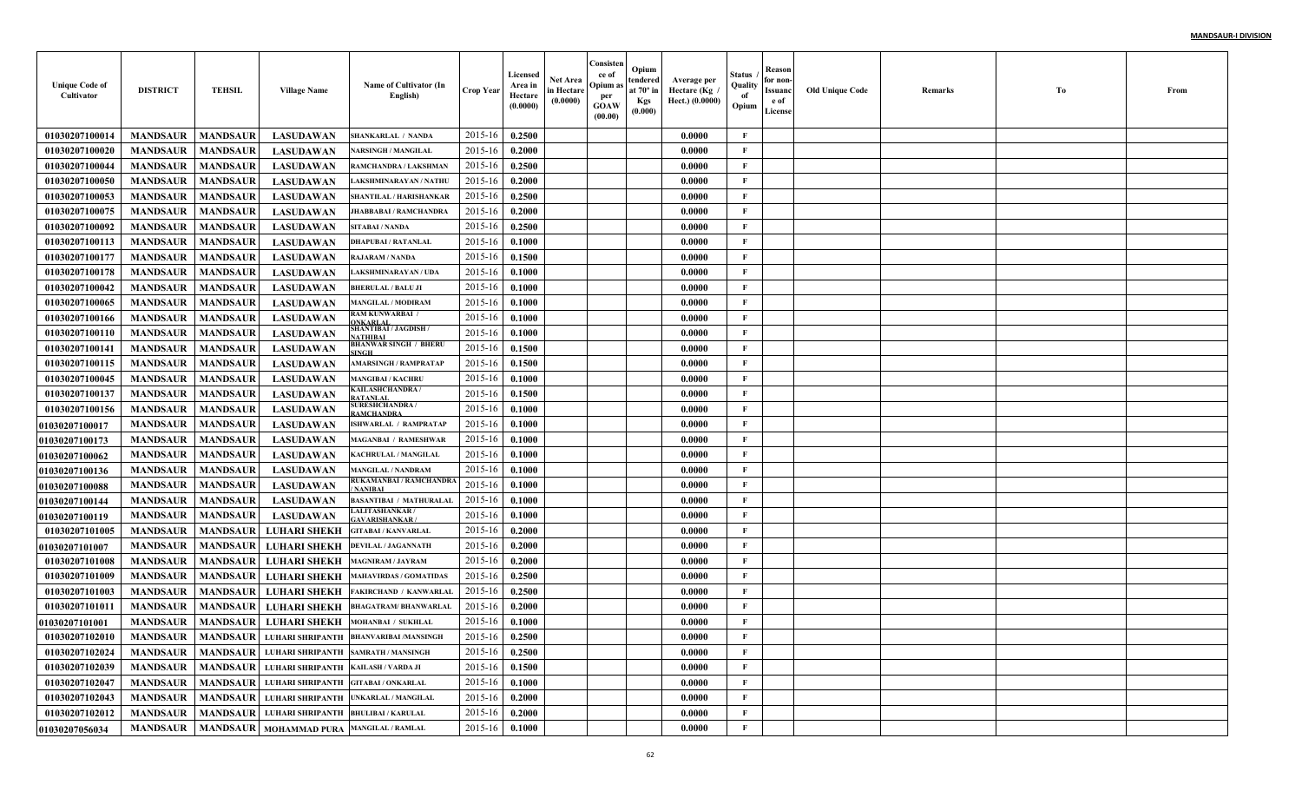| <b>Unique Code of</b><br>Cultivator | <b>DISTRICT</b> | <b>TEHSIL</b>   | <b>Village Name</b>                              | Name of Cultivator (In<br>English)                                   | <b>Crop Year</b> | Licensed<br>Area in<br>Hectare<br>(0.0000) | Net Area<br>in Hectare<br>(0.0000) | Consisten<br>ce of<br>Opium :<br>per<br>GOAW<br>(00.00) | Opium<br>tendered<br>at $70^\circ$ in<br><b>Kgs</b><br>(0.000) | Average per<br>Hectare (Kg<br>Hect.) (0.0000) | Status<br>Quality<br>of<br>Opium | Reason<br>for non-<br>Issuanc<br>e of<br>License | <b>Old Unique Code</b> | Remarks | Тo | From |
|-------------------------------------|-----------------|-----------------|--------------------------------------------------|----------------------------------------------------------------------|------------------|--------------------------------------------|------------------------------------|---------------------------------------------------------|----------------------------------------------------------------|-----------------------------------------------|----------------------------------|--------------------------------------------------|------------------------|---------|----|------|
| 01030207100014                      | <b>MANDSAUR</b> | <b>MANDSAUR</b> | <b>LASUDAWAN</b>                                 | <b>SHANKARLAL / NANDA</b>                                            | 2015-16          | 0.2500                                     |                                    |                                                         |                                                                | 0.0000                                        | F                                |                                                  |                        |         |    |      |
| 01030207100020                      | <b>MANDSAUR</b> | <b>MANDSAUR</b> | <b>LASUDAWAN</b>                                 | <b>NARSINGH / MANGILAL</b>                                           | 2015-16          | 0.2000                                     |                                    |                                                         |                                                                | 0.0000                                        | $\mathbf{F}$                     |                                                  |                        |         |    |      |
| 01030207100044                      | <b>MANDSAUR</b> | <b>MANDSAUR</b> | <b>LASUDAWAN</b>                                 | RAMCHANDRA / LAKSHMAN                                                | 2015-16          | 0.2500                                     |                                    |                                                         |                                                                | 0.0000                                        | $\mathbf{F}$                     |                                                  |                        |         |    |      |
| 01030207100050                      | <b>MANDSAUR</b> | <b>MANDSAUR</b> | <b>LASUDAWAN</b>                                 | AKSHMINARAYAN / NATHU                                                | 2015-16          | 0.2000                                     |                                    |                                                         |                                                                | 0.0000                                        | $\mathbf{F}$                     |                                                  |                        |         |    |      |
| 01030207100053                      | <b>MANDSAUR</b> | <b>MANDSAUR</b> | <b>LASUDAWAN</b>                                 | SHANTILAL / HARISHANKAR                                              | 2015-16          | 0.2500                                     |                                    |                                                         |                                                                | 0.0000                                        | $\mathbf{F}$                     |                                                  |                        |         |    |      |
| 01030207100075                      | <b>MANDSAUR</b> | <b>MANDSAUR</b> | <b>LASUDAWAN</b>                                 | <b>JHABBABAI / RAMCHANDR</b>                                         | 2015-16          | 0.2000                                     |                                    |                                                         |                                                                | 0.0000                                        | $\mathbf{F}$                     |                                                  |                        |         |    |      |
| 01030207100092                      | <b>MANDSAUR</b> | <b>MANDSAUR</b> | <b>LASUDAWAN</b>                                 | SITABAI / NANDA                                                      | 2015-16          | 0.2500                                     |                                    |                                                         |                                                                | 0.0000                                        | $\mathbf{F}$                     |                                                  |                        |         |    |      |
| 01030207100113                      | <b>MANDSAUR</b> | <b>MANDSAUR</b> | <b>LASUDAWAN</b>                                 | <b>DHAPUBAI / RATANLAL</b>                                           | 2015-16          | 0.1000                                     |                                    |                                                         |                                                                | 0.0000                                        | $\mathbf{F}$                     |                                                  |                        |         |    |      |
| 01030207100177                      | <b>MANDSAUR</b> | <b>MANDSAUR</b> | <b>LASUDAWAN</b>                                 | <b>RAJARAM / NANDA</b>                                               | 2015-16          | 0.1500                                     |                                    |                                                         |                                                                | 0.0000                                        | $\mathbf{F}$                     |                                                  |                        |         |    |      |
| 01030207100178                      | <b>MANDSAUR</b> | <b>MANDSAUR</b> | <b>LASUDAWAN</b>                                 | AKSHMINARAYAN / UDA                                                  | 2015-16          | 0.1000                                     |                                    |                                                         |                                                                | 0.0000                                        | $\mathbf{F}$                     |                                                  |                        |         |    |      |
| 01030207100042                      | <b>MANDSAUR</b> | <b>MANDSAUR</b> | <b>LASUDAWAN</b>                                 | <b>BHERULAL / BALU JI</b>                                            | 2015-16          | 0.1000                                     |                                    |                                                         |                                                                | 0.0000                                        | $\mathbf{F}$                     |                                                  |                        |         |    |      |
| 01030207100065                      | <b>MANDSAUR</b> | <b>MANDSAUR</b> | <b>LASUDAWAN</b>                                 | <b>MANGILAL / MODIRAM</b>                                            | 2015-16          | 0.1000                                     |                                    |                                                         |                                                                | 0.0000                                        | $\mathbf{F}$                     |                                                  |                        |         |    |      |
| 01030207100166                      | <b>MANDSAUR</b> | <b>MANDSAUR</b> | <b>LASUDAWAN</b>                                 | <b>RAM KUNWARBAI /</b><br><b>NKARLAI</b>                             | 2015-16          | 0.1000                                     |                                    |                                                         |                                                                | 0.0000                                        | $\mathbf{F}$                     |                                                  |                        |         |    |      |
| 01030207100110                      | <b>MANDSAUR</b> | <b>MANDSAUR</b> | <b>LASUDAWAN</b>                                 | <b>SHANTIBAI / JAGDISH /</b><br>ATHIBA                               | 2015-16          | 0.1000                                     |                                    |                                                         |                                                                | 0.0000                                        | $\mathbf{F}$                     |                                                  |                        |         |    |      |
| 01030207100141                      | <b>MANDSAUR</b> | <b>MANDSAUR</b> | <b>LASUDAWAN</b>                                 | <b>BHANWAR SINGH / BHERU</b><br>INGH                                 | 2015-16          | 0.1500                                     |                                    |                                                         |                                                                | 0.0000                                        | $\mathbf{F}$                     |                                                  |                        |         |    |      |
| 01030207100115                      | <b>MANDSAUR</b> | <b>MANDSAUR</b> | <b>LASUDAWAN</b>                                 | AMARSINGH / RAMPRATAP                                                | 2015-16          | 0.1500                                     |                                    |                                                         |                                                                | 0.0000                                        | $\mathbf{F}$                     |                                                  |                        |         |    |      |
| 01030207100045                      | <b>MANDSAUR</b> | <b>MANDSAUR</b> | <b>LASUDAWAN</b>                                 | <b>MANGIBAI / KACHRU</b>                                             | 2015-16          | 0.1000                                     |                                    |                                                         |                                                                | 0.0000                                        | $\mathbf{F}$                     |                                                  |                        |         |    |      |
| 01030207100137                      | <b>MANDSAUR</b> | <b>MANDSAUR</b> | <b>LASUDAWAN</b>                                 | KAILASHCHANDRA /<br><b>ATANLAI</b>                                   | 2015-16          | 0.1500                                     |                                    |                                                         |                                                                | 0.0000                                        | $\mathbf{F}$                     |                                                  |                        |         |    |      |
| 01030207100156                      | <b>MANDSAUR</b> | <b>MANDSAUR</b> | <b>LASUDAWAN</b>                                 | <b>SURESHCHANDRA /</b><br>RAMCHANDRA                                 | 2015-16          | 0.1000                                     |                                    |                                                         |                                                                | 0.0000                                        | $\mathbf{F}$                     |                                                  |                        |         |    |      |
| <b>01030207100017</b>               | <b>MANDSAUR</b> | <b>MANDSAUR</b> | <b>LASUDAWAN</b>                                 | <b>ISHWARLAL / RAMPRATAP</b>                                         | 2015-16          | 0.1000                                     |                                    |                                                         |                                                                | 0.0000                                        | $\mathbf{F}$                     |                                                  |                        |         |    |      |
| <b>01030207100173</b>               | <b>MANDSAUR</b> | <b>MANDSAUR</b> | <b>LASUDAWAN</b>                                 | <b>MAGANBAI / RAMESHWAR</b>                                          | 2015-16          | 0.1000                                     |                                    |                                                         |                                                                | 0.0000                                        | $\mathbf{F}$                     |                                                  |                        |         |    |      |
| <b>01030207100062</b>               | <b>MANDSAUR</b> | <b>MANDSAUR</b> | <b>LASUDAWAN</b>                                 | <b>KACHRULAL / MANGILAI</b>                                          | 2015-16          | 0.1000                                     |                                    |                                                         |                                                                | 0.0000                                        | F                                |                                                  |                        |         |    |      |
| <b>01030207100136</b>               | <b>MANDSAUR</b> | <b>MANDSAUR</b> | <b>LASUDAWAN</b>                                 | <b>MANGILAL / NANDRAM</b>                                            | 2015-16          | 0.1000                                     |                                    |                                                         |                                                                | 0.0000                                        | $\mathbf{F}$                     |                                                  |                        |         |    |      |
| <b>01030207100088</b>               | <b>MANDSAUR</b> | <b>MANDSAUR</b> | <b>LASUDAWAN</b>                                 | RUKAMANBAI / RAMCHANDRA<br>NANIBAI                                   | 2015-16          | 0.1000                                     |                                    |                                                         |                                                                | 0.0000                                        | $\mathbf{F}$                     |                                                  |                        |         |    |      |
| <b>01030207100144</b>               | <b>MANDSAUR</b> | <b>MANDSAUR</b> | <b>LASUDAWAN</b>                                 | BASANTIBAI / MATHURALAL                                              | 2015-16          | 0.1000                                     |                                    |                                                         |                                                                | 0.0000                                        | $\mathbf{F}$                     |                                                  |                        |         |    |      |
| <b>01030207100119</b>               | <b>MANDSAUR</b> | <b>MANDSAUR</b> | <b>LASUDAWAN</b>                                 | <b>LALITASHANKAR /</b><br><b>AVARISHANKAR</b>                        | 2015-16          | 0.1000                                     |                                    |                                                         |                                                                | 0.0000                                        | $\mathbf{F}$                     |                                                  |                        |         |    |      |
| 01030207101005                      | <b>MANDSAUR</b> | <b>MANDSAUR</b> | <b>LUHARI SHEKH</b>                              | GITABAI / KANVARLAL                                                  | 2015-16          | 0.2000                                     |                                    |                                                         |                                                                | 0.0000                                        | $\mathbf{F}$                     |                                                  |                        |         |    |      |
| <b>01030207101007</b>               | <b>MANDSAUR</b> | <b>MANDSAUR</b> | <b>LUHARI SHEKH</b>                              | <b>DEVILAL / JAGANNATH</b>                                           | 2015-16          | 0.2000                                     |                                    |                                                         |                                                                | 0.0000                                        | $\mathbf{F}$                     |                                                  |                        |         |    |      |
| 01030207101008                      | <b>MANDSAUR</b> | <b>MANDSAUR</b> | <b>LUHARI SHEKH</b>                              | <b>MAGNIRAM / JAYRAM</b>                                             | 2015-16          | 0.2000                                     |                                    |                                                         |                                                                | 0.0000                                        | $\mathbf{F}$                     |                                                  |                        |         |    |      |
| 01030207101009                      | <b>MANDSAUR</b> | <b>MANDSAUR</b> | <b>LUHARI SHEKH</b>                              | <b>MAHAVIRDAS / GOMATIDAS</b>                                        | 2015-16          | 0.2500                                     |                                    |                                                         |                                                                | 0.0000                                        | $\mathbf{F}$                     |                                                  |                        |         |    |      |
| 01030207101003                      | <b>MANDSAUR</b> | <b>MANDSAUR</b> | <b>LUHARI SHEKH</b>                              | <b>FAKIRCHAND / KANWARLAL</b>                                        | 2015-16          | 0.2500                                     |                                    |                                                         |                                                                | 0.0000                                        | $\mathbf{F}$                     |                                                  |                        |         |    |      |
| 01030207101011                      | <b>MANDSAUR</b> | <b>MANDSAUR</b> | <b>LUHARI SHEKH</b>                              | <b>BHAGATRAM/ BHANWARLAI</b>                                         | 2015-16          | 0.2000                                     |                                    |                                                         |                                                                | 0.0000                                        | F                                |                                                  |                        |         |    |      |
| <b>01030207101001</b>               | <b>MANDSAUR</b> | <b>MANDSAUR</b> | <b>LUHARI SHEKH</b>                              | MOHANBAI / SUKHLAL                                                   | 2015-16          | 0.1000                                     |                                    |                                                         |                                                                | 0.0000                                        | $\mathbf{F}$                     |                                                  |                        |         |    |      |
| 01030207102010                      |                 |                 |                                                  | <b>MANDSAUR   MANDSAUR   LUHARI SHRIPANTH  BHANVARIBAI /MANSINGH</b> | $2015-16$ 0.2500 |                                            |                                    |                                                         |                                                                | 0.0000                                        | F                                |                                                  |                        |         |    |      |
| 01030207102024                      | <b>MANDSAUR</b> |                 | MANDSAUR   LUHARI SHRIPANTH   SAMRATH / MANSINGH |                                                                      | 2015-16          | 0.2500                                     |                                    |                                                         |                                                                | 0.0000                                        | $\mathbf{F}$                     |                                                  |                        |         |    |      |
| 01030207102039                      | <b>MANDSAUR</b> |                 | MANDSAUR LUHARI SHRIPANTH KAILASH / VARDA JI     |                                                                      | 2015-16          | 0.1500                                     |                                    |                                                         |                                                                | 0.0000                                        | $\mathbf{F}$                     |                                                  |                        |         |    |      |
| 01030207102047                      | <b>MANDSAUR</b> |                 | MANDSAUR LUHARI SHRIPANTH GITABAI / ONKARLAL     |                                                                      | 2015-16          | 0.1000                                     |                                    |                                                         |                                                                | 0.0000                                        | $\mathbf{F}$                     |                                                  |                        |         |    |      |
| 01030207102043                      | <b>MANDSAUR</b> |                 |                                                  | MANDSAUR LUHARI SHRIPANTH UNKARLAL / MANGILAL                        | 2015-16          | 0.2000                                     |                                    |                                                         |                                                                | 0.0000                                        | $\mathbf{F}$                     |                                                  |                        |         |    |      |
| 01030207102012                      | <b>MANDSAUR</b> |                 | MANDSAUR LUHARI SHRIPANTH BHULIBAI / KARULAL     |                                                                      | 2015-16          | 0.2000                                     |                                    |                                                         |                                                                | 0.0000                                        | $\mathbf{F}$                     |                                                  |                        |         |    |      |
| 01030207056034                      | <b>MANDSAUR</b> |                 | MANDSAUR   MOHAMMAD PURA   MANGILAL / RAMLAL     |                                                                      | 2015-16          | 0.1000                                     |                                    |                                                         |                                                                | 0.0000                                        | $\mathbf{F}$                     |                                                  |                        |         |    |      |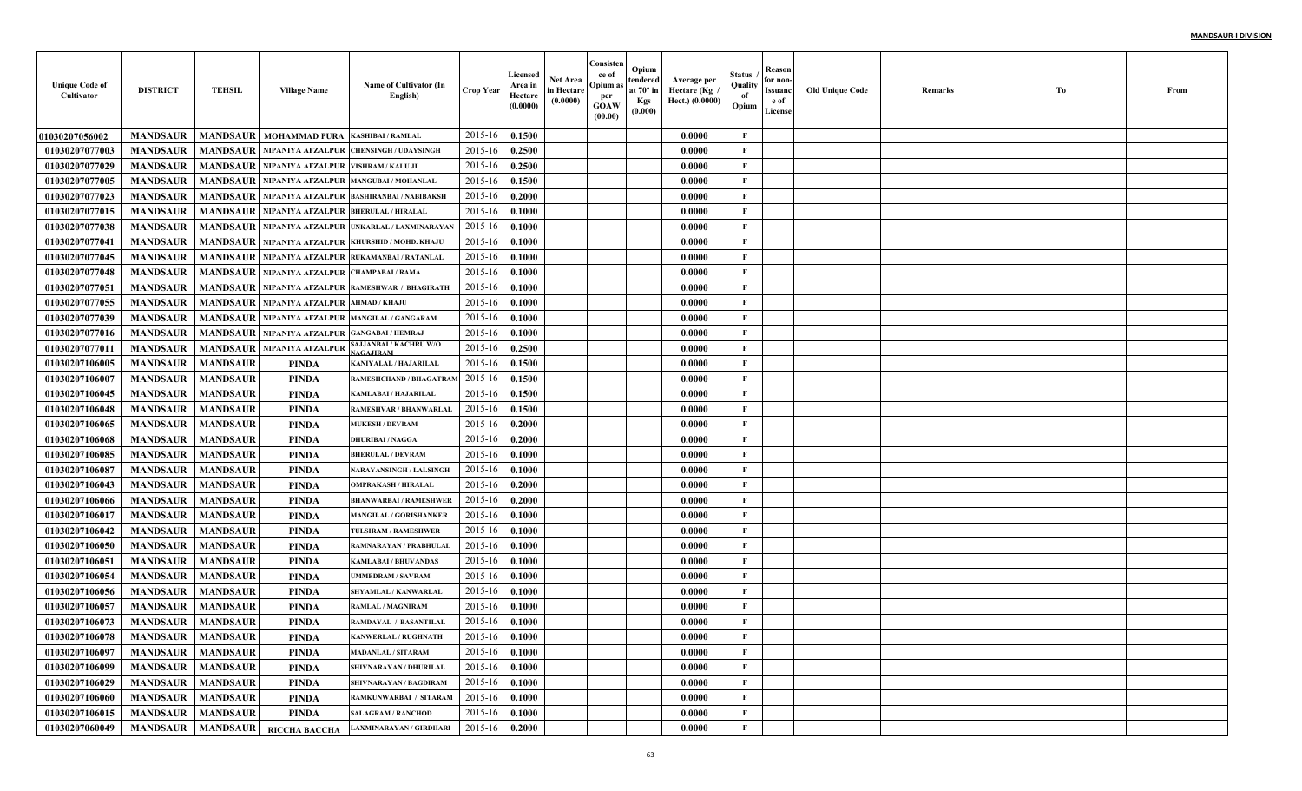| <b>Unique Code of</b><br>Cultivator | <b>DISTRICT</b>     | <b>TEHSIL</b>   | <b>Village Name</b>                              | Name of Cultivator (In<br>English)             | <b>Crop Year</b> | Licensed<br>Area in<br>Hectare<br>(0.0000) | <b>Net Area</b><br>in Hectare<br>(0.0000) | Consisten<br>ce of<br>Opium as<br>per<br><b>GOAW</b><br>(00.00) | Opium<br>tendered<br>at $70^\circ$ in<br><b>Kgs</b><br>(0.000) | Average per<br>، Hectare (Kg<br>Hect.) (0.0000) | Status<br>Quality<br>of<br>Opium | Reason<br>for non-<br>Issuanc<br>e of<br>License | <b>Old Unique Code</b> | Remarks | Тo | From |
|-------------------------------------|---------------------|-----------------|--------------------------------------------------|------------------------------------------------|------------------|--------------------------------------------|-------------------------------------------|-----------------------------------------------------------------|----------------------------------------------------------------|-------------------------------------------------|----------------------------------|--------------------------------------------------|------------------------|---------|----|------|
| <b>01030207056002</b>               | <b>MANDSAUR</b>     |                 | <b>MANDSAUR   MOHAMMAD PURA</b>                  | <b>KASHIBAI / RAMLAL</b>                       | 2015-16          | 0.1500                                     |                                           |                                                                 |                                                                | 0.0000                                          | $\mathbf{F}$                     |                                                  |                        |         |    |      |
| 01030207077003                      | <b>MANDSAUR</b>     | <b>MANDSAUR</b> |                                                  | NIPANIYA AFZALPUR CHENSINGH / UDAYSINGI        | 2015-16          | 0.2500                                     |                                           |                                                                 |                                                                | 0.0000                                          | F                                |                                                  |                        |         |    |      |
| 01030207077029                      | <b>MANDSAUR</b>     |                 | MANDSAUR   NIPANIYA AFZALPUR   VISHRAM / KALU JI |                                                | 2015-16          | 0.2500                                     |                                           |                                                                 |                                                                | 0.0000                                          | $\mathbf{F}$                     |                                                  |                        |         |    |      |
| 01030207077005                      | <b>MANDSAUR</b>     | <b>MANDSAUR</b> |                                                  | NIPANIYA AFZALPUR MANGUBAI / MOHANLAI          | 2015-16          | 0.1500                                     |                                           |                                                                 |                                                                | 0.0000                                          | $\mathbf{F}$                     |                                                  |                        |         |    |      |
| 01030207077023                      | <b>MANDSAUR</b>     | <b>MANDSAUR</b> |                                                  | NIPANIYA AFZALPUR BASHIRANBAI / NABIBAKSI      | 2015-16          | 0.2000                                     |                                           |                                                                 |                                                                | 0.0000                                          | $\mathbf{F}$                     |                                                  |                        |         |    |      |
| 01030207077015                      | <b>MANDSAUR</b>     | <b>MANDSAUR</b> | NIPANIYA AFZALPUR BHERULAL / HIRALAI             |                                                | 2015-16          | 0.1000                                     |                                           |                                                                 |                                                                | 0.0000                                          | $\mathbf{F}$                     |                                                  |                        |         |    |      |
| 01030207077038                      | <b>MANDSAUR</b>     | <b>MANDSAUR</b> |                                                  | NIPANIYA AFZALPUR UNKARLAL / LAXMINARAYAN      | 2015-16          | 0.1000                                     |                                           |                                                                 |                                                                | 0.0000                                          | $\mathbf{F}$                     |                                                  |                        |         |    |      |
| 01030207077041                      | <b>MANDSAUR</b>     | <b>MANDSAUR</b> |                                                  | NIPANIYA AFZALPUR KHURSHID / MOHD, KHAJI       | 2015-16          | 0.1000                                     |                                           |                                                                 |                                                                | 0.0000                                          | $\mathbf{F}$                     |                                                  |                        |         |    |      |
| 01030207077045                      | <b>MANDSAUR</b>     | <b>MANDSAUR</b> |                                                  | NIPANIYA AFZALPUR RUKAMANBAI / RATANLAI        | 2015-16          | 0.1000                                     |                                           |                                                                 |                                                                | 0.0000                                          | $\mathbf{F}$                     |                                                  |                        |         |    |      |
| 01030207077048                      | <b>MANDSAUR</b>     | <b>MANDSAUR</b> | NIPANIYA AFZALPUR CHAMPABAI / RAMA               |                                                | 2015-16          | 0.1000                                     |                                           |                                                                 |                                                                | 0.0000                                          | $\mathbf{F}$                     |                                                  |                        |         |    |      |
| 01030207077051                      | <b>MANDSAUR</b>     | <b>MANDSAUR</b> |                                                  | NIPANIYA AFZALPUR RAMESHWAR / BHAGIRATH        | 2015-16          | 0.1000                                     |                                           |                                                                 |                                                                | 0.0000                                          | $\mathbf{F}$                     |                                                  |                        |         |    |      |
| 01030207077055                      | <b>MANDSAUR</b>     | <b>MANDSAUR</b> | NIPANIYA AFZALPUR AHMAD / KHAJU                  |                                                | 2015-16          | 0.1000                                     |                                           |                                                                 |                                                                | 0.0000                                          | $\mathbf{F}$                     |                                                  |                        |         |    |      |
| 01030207077039                      | <b>MANDSAUR</b>     |                 |                                                  | MANDSAUR NIPANIYA AFZALPUR MANGILAL / GANGARAM | 2015-16          | 0.1000                                     |                                           |                                                                 |                                                                | 0.0000                                          | $\mathbf{F}$                     |                                                  |                        |         |    |      |
| 01030207077016                      | <b>MANDSAUR</b>     |                 | MANDSAUR   NIPANIYA AFZALPUR GANGABAI / HEMRAJ   |                                                | 2015-16          | 0.1000                                     |                                           |                                                                 |                                                                | 0.0000                                          | $\mathbf{F}$                     |                                                  |                        |         |    |      |
| 01030207077011                      | <b>MANDSAUR</b>     | <b>MANDSAUR</b> | <b>NIPANIYA AFZALPUR</b>                         | AJJANBAI / KACHRU W/O<br><b>AGAJIRAM</b>       | 2015-16          | 0.2500                                     |                                           |                                                                 |                                                                | 0.0000                                          | $\mathbf{F}$                     |                                                  |                        |         |    |      |
| 01030207106005                      | <b>MANDSAUR</b>     | <b>MANDSAUR</b> | PINDA                                            | <b>KANIYALAL / HAJARILAI</b>                   | 2015-16          | 0.1500                                     |                                           |                                                                 |                                                                | 0.0000                                          | $\mathbf{F}$                     |                                                  |                        |         |    |      |
| 01030207106007                      | <b>MANDSAUR</b>     | <b>MANDSAUR</b> | <b>PINDA</b>                                     | RAMESHCHAND / BHAGATRAI                        | 2015-16          | 0.1500                                     |                                           |                                                                 |                                                                | 0.0000                                          | $\mathbf{F}$                     |                                                  |                        |         |    |      |
| 01030207106045                      | <b>MANDSAUR</b>     | <b>MANDSAUR</b> | <b>PINDA</b>                                     | <b>KAMLABAI / HAJARILAL</b>                    | 2015-16          | 0.1500                                     |                                           |                                                                 |                                                                | 0.0000                                          | $\mathbf{F}$                     |                                                  |                        |         |    |      |
| 01030207106048                      | <b>MANDSAUR</b>     | <b>MANDSAUR</b> | <b>PINDA</b>                                     | RAMESHVAR / BHANWARLAL                         | 2015-16          | 0.1500                                     |                                           |                                                                 |                                                                | 0.0000                                          | $\mathbf{F}$                     |                                                  |                        |         |    |      |
| 01030207106065                      | <b>MANDSAUR</b>     | <b>MANDSAUR</b> | <b>PINDA</b>                                     | <b>MUKESH / DEVRAM</b>                         | 2015-16          | 0.2000                                     |                                           |                                                                 |                                                                | 0.0000                                          | $\mathbf{F}$                     |                                                  |                        |         |    |      |
| 01030207106068                      | <b>MANDSAUR</b>     | <b>MANDSAUR</b> | <b>PINDA</b>                                     | <b>DHURIBAI / NAGGA</b>                        | 2015-16          | 0.2000                                     |                                           |                                                                 |                                                                | 0.0000                                          | $\mathbf{F}$                     |                                                  |                        |         |    |      |
| 01030207106085                      | <b>MANDSAUR</b>     | <b>MANDSAUR</b> | PINDA                                            | <b>BHERULAL / DEVRAM</b>                       | 2015-16          | 0.1000                                     |                                           |                                                                 |                                                                | 0.0000                                          | $\mathbf F$                      |                                                  |                        |         |    |      |
| 01030207106087                      | <b>MANDSAUR</b>     | <b>MANDSAUR</b> | PINDA                                            | NARAYANSINGH / LALSINGH                        | 2015-16          | 0.1000                                     |                                           |                                                                 |                                                                | 0.0000                                          | $\mathbf{F}$                     |                                                  |                        |         |    |      |
| 01030207106043                      | <b>MANDSAUR</b>     | <b>MANDSAUR</b> | <b>PINDA</b>                                     | <b>OMPRAKASH / HIRALAL</b>                     | 2015-16          | 0.2000                                     |                                           |                                                                 |                                                                | 0.0000                                          | $\mathbf{F}$                     |                                                  |                        |         |    |      |
| 01030207106066                      | <b>MANDSAUR</b>     | <b>MANDSAUR</b> | <b>PINDA</b>                                     | <b>BHANWARBAI / RAMESHWER</b>                  | 2015-16          | 0.2000                                     |                                           |                                                                 |                                                                | 0.0000                                          | $\mathbf{F}$                     |                                                  |                        |         |    |      |
| 01030207106017                      | <b>MANDSAUR</b>     | <b>MANDSAUR</b> | PINDA                                            | <b>MANGILAL / GORISHANKEI</b>                  | 2015-16          | 0.1000                                     |                                           |                                                                 |                                                                | 0.0000                                          | $\mathbf{F}$                     |                                                  |                        |         |    |      |
| 01030207106042                      | <b>MANDSAUR</b>     | <b>MANDSAUR</b> | <b>PINDA</b>                                     | TULSIRAM / RAMESHWEF                           | 2015-16          | 0.1000                                     |                                           |                                                                 |                                                                | 0.0000                                          | $\mathbf{F}$                     |                                                  |                        |         |    |      |
| 01030207106050                      | <b>MANDSAUR</b>     | <b>MANDSAUR</b> | PINDA                                            | RAMNARAYAN / PRABHULAI                         | 2015-16          | 0.1000                                     |                                           |                                                                 |                                                                | 0.0000                                          | $\mathbf{F}$                     |                                                  |                        |         |    |      |
| 01030207106051                      | <b>MANDSAUR</b>     | <b>MANDSAUR</b> | PINDA                                            | <b>KAMLABAI / BHUVANDAS</b>                    | 2015-16          | 0.1000                                     |                                           |                                                                 |                                                                | 0.0000                                          | $\mathbf{F}$                     |                                                  |                        |         |    |      |
| 01030207106054                      | <b>MANDSAUR</b>     | <b>MANDSAUR</b> | PINDA                                            | UMMEDRAM / SAVRAM                              | 2015-16          | 0.1000                                     |                                           |                                                                 |                                                                | 0.0000                                          | $\mathbf{F}$                     |                                                  |                        |         |    |      |
| 01030207106056                      | <b>MANDSAUR</b>     | <b>MANDSAUR</b> | <b>PINDA</b>                                     | SHYAMLAL / KANWARLAI                           | 2015-16          | 0.1000                                     |                                           |                                                                 |                                                                | 0.0000                                          | $\mathbf{F}$                     |                                                  |                        |         |    |      |
| 01030207106057                      | <b>MANDSAUR</b>     | <b>MANDSAUR</b> | PINDA                                            | RAMLAL / MAGNIRAM                              | 2015-16          | 0.1000                                     |                                           |                                                                 |                                                                | 0.0000                                          | $\mathbf{F}$                     |                                                  |                        |         |    |      |
| 01030207106073                      | <b>MANDSAUR</b>     | <b>MANDSAUR</b> | <b>PINDA</b>                                     | RAMDAYAL / BASANTILAL                          | 2015-16          | 0.1000                                     |                                           |                                                                 |                                                                | 0.0000                                          | F                                |                                                  |                        |         |    |      |
| 01030207106078                      | MANDSAUR   MANDSAUR |                 | PINDA                                            | <b>KANWERLAL / RUGHNATH</b>                    | 2015-16 0.1000   |                                            |                                           |                                                                 |                                                                | 0.0000                                          | F                                |                                                  |                        |         |    |      |
| 01030207106097                      | <b>MANDSAUR</b>     | <b>MANDSAUR</b> | PINDA                                            | <b>MADANLAL / SITARAM</b>                      | 2015-16          | 0.1000                                     |                                           |                                                                 |                                                                | 0.0000                                          | $\mathbf{F}$                     |                                                  |                        |         |    |      |
| 01030207106099                      | <b>MANDSAUR</b>     | <b>MANDSAUR</b> | PINDA                                            | SHIVNARAYAN / DHURILAL                         | 2015-16          | 0.1000                                     |                                           |                                                                 |                                                                | 0.0000                                          | $\mathbf{F}$                     |                                                  |                        |         |    |      |
| 01030207106029                      | <b>MANDSAUR</b>     | <b>MANDSAUR</b> | PINDA                                            | SHIVNARAYAN / BAGDIRAM                         | 2015-16          | 0.1000                                     |                                           |                                                                 |                                                                | 0.0000                                          | $\mathbf{F}$                     |                                                  |                        |         |    |      |
| 01030207106060                      | <b>MANDSAUR</b>     | <b>MANDSAUR</b> | PINDA                                            | RAMKUNWARBAI / SITARAM                         | 2015-16          | 0.1000                                     |                                           |                                                                 |                                                                | 0.0000                                          | $\mathbf{F}$                     |                                                  |                        |         |    |      |
| 01030207106015                      | <b>MANDSAUR</b>     | <b>MANDSAUR</b> | PINDA                                            | <b>SALAGRAM / RANCHOD</b>                      | 2015-16          | 0.1000                                     |                                           |                                                                 |                                                                | 0.0000                                          | $\mathbf{F}$                     |                                                  |                        |         |    |      |
| 01030207060049                      | <b>MANDSAUR</b>     |                 | MANDSAUR RICCHA BACCHA                           | <b>LAXMINARAYAN / GIRDHARI</b>                 | 2015-16          | 0.2000                                     |                                           |                                                                 |                                                                | 0.0000                                          | $\mathbf{F}$                     |                                                  |                        |         |    |      |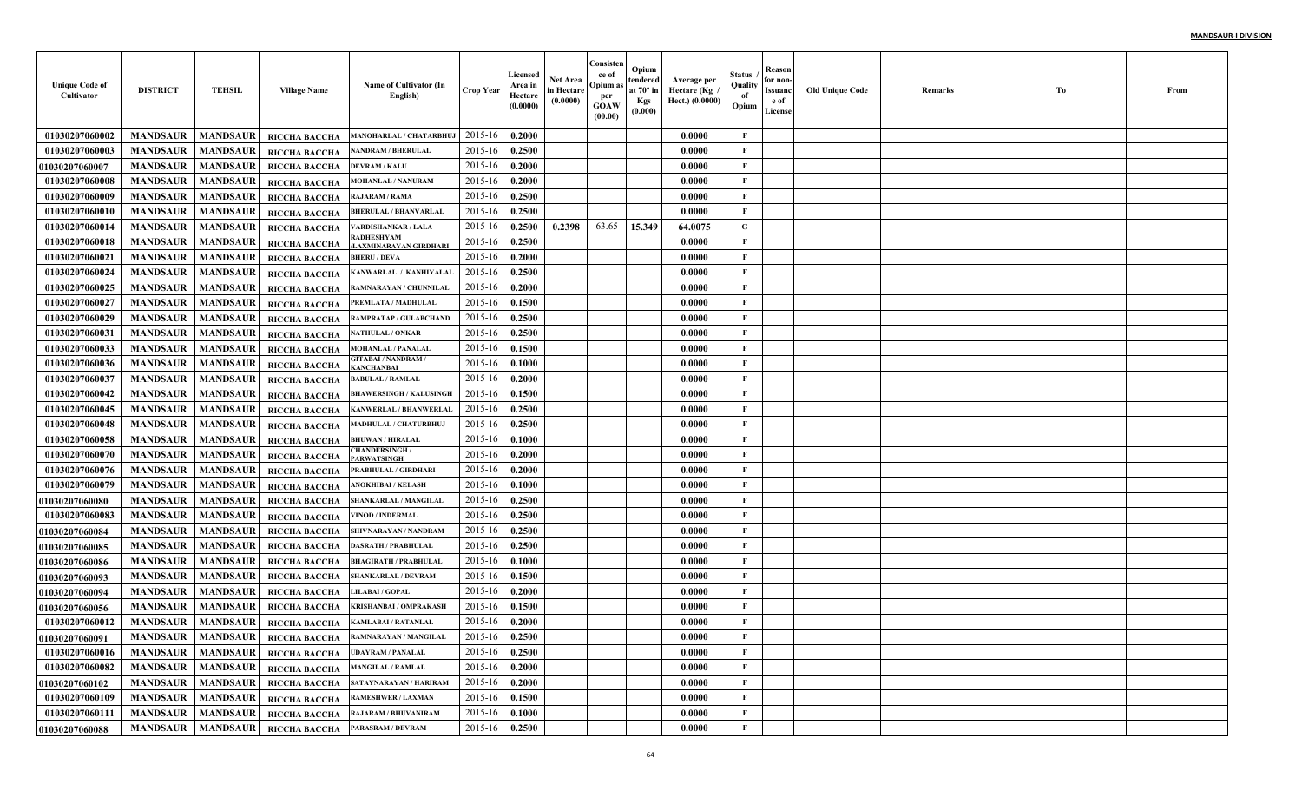| <b>Unique Code of</b><br>Cultivator | <b>DISTRICT</b> | <b>TEHSIL</b>   | <b>Village Name</b>                    | Name of Cultivator (In<br>English)                          | <b>Crop Year</b> | Licensed<br>Area in<br>Hectare<br>(0.0000) | Net Area<br>in Hectare<br>(0.0000) | Consisten<br>ce of<br>Opium :<br>per<br>GOAW<br>(00.00) | Opium<br>tendered<br>at $70^\circ$ in<br><b>Kgs</b><br>(0.000) | Average per<br>Hectare (Kg<br>Hect.) (0.0000) | Status<br>Quality<br>of<br>Opium | Reason<br>for non-<br>Issuanc<br>e of<br>License | <b>Old Unique Code</b> | Remarks | Тo | From |
|-------------------------------------|-----------------|-----------------|----------------------------------------|-------------------------------------------------------------|------------------|--------------------------------------------|------------------------------------|---------------------------------------------------------|----------------------------------------------------------------|-----------------------------------------------|----------------------------------|--------------------------------------------------|------------------------|---------|----|------|
| 01030207060002                      | <b>MANDSAUR</b> | <b>MANDSAUR</b> | RICCHA BACCHA                          | MANOHARLAL / CHATARBHUJ                                     | 2015-16          | 0.2000                                     |                                    |                                                         |                                                                | 0.0000                                        | F                                |                                                  |                        |         |    |      |
| 01030207060003                      | <b>MANDSAUR</b> | <b>MANDSAUR</b> | RICCHA BACCHA                          | <b>NANDRAM / BHERULAL</b>                                   | 2015-16          | 0.2500                                     |                                    |                                                         |                                                                | 0.0000                                        | $\mathbf{F}$                     |                                                  |                        |         |    |      |
| <b>01030207060007</b>               | <b>MANDSAUR</b> | <b>MANDSAUR</b> | RICCHA BACCHA                          | <b>DEVRAM / KALU</b>                                        | 2015-16          | 0.2000                                     |                                    |                                                         |                                                                | 0.0000                                        | F                                |                                                  |                        |         |    |      |
| 01030207060008                      | <b>MANDSAUR</b> | <b>MANDSAUR</b> | RICCHA BACCHA                          | <b>MOHANLAL / NANURAM</b>                                   | 2015-16          | 0.2000                                     |                                    |                                                         |                                                                | 0.0000                                        | $\mathbf{F}$                     |                                                  |                        |         |    |      |
| 01030207060009                      | <b>MANDSAUR</b> | <b>MANDSAUR</b> | RICCHA BACCHA                          | <b>RAJARAM / RAMA</b>                                       | 2015-16          | 0.2500                                     |                                    |                                                         |                                                                | 0.0000                                        | $\mathbf{F}$                     |                                                  |                        |         |    |      |
| 01030207060010                      | <b>MANDSAUR</b> | <b>MANDSAUR</b> | RICCHA BACCHA                          | <b>BHERULAL / BHANVARLAI</b>                                | 2015-16          | 0.2500                                     |                                    |                                                         |                                                                | 0.0000                                        | $\mathbf{F}$                     |                                                  |                        |         |    |      |
| 01030207060014                      | <b>MANDSAUR</b> | <b>MANDSAUR</b> | RICCHA BACCHA                          | VARDISHANKAR / LALA                                         | 2015-16          | 0.2500                                     | 0.2398                             | 63.65                                                   | 15.349                                                         | 64.0075                                       | G                                |                                                  |                        |         |    |      |
| 01030207060018                      | <b>MANDSAUR</b> | <b>MANDSAUR</b> | RICCHA BACCHA                          | RADHESHYAM<br>LAXMINARAYAN GIRDHARI                         | 2015-16          | 0.2500                                     |                                    |                                                         |                                                                | 0.0000                                        | F                                |                                                  |                        |         |    |      |
| 01030207060021                      | <b>MANDSAUR</b> | <b>MANDSAUR</b> | RICCHA BACCHA                          | <b>BHERU / DEVA</b>                                         | 2015-16          | 0.2000                                     |                                    |                                                         |                                                                | 0.0000                                        | F                                |                                                  |                        |         |    |      |
| 01030207060024                      | <b>MANDSAUR</b> | <b>MANDSAUR</b> | RICCHA BACCHA                          | KANWARLAL / KANHIYALAL                                      | 2015-16          | 0.2500                                     |                                    |                                                         |                                                                | 0.0000                                        | $\mathbf{F}$                     |                                                  |                        |         |    |      |
| 01030207060025                      | <b>MANDSAUR</b> | <b>MANDSAUR</b> | RICCHA BACCHA                          | RAMNARAYAN / CHUNNILAL                                      | 2015-16          | 0.2000                                     |                                    |                                                         |                                                                | 0.0000                                        | $\mathbf{F}$                     |                                                  |                        |         |    |      |
| 01030207060027                      | <b>MANDSAUR</b> | <b>MANDSAUR</b> | RICCHA BACCHA                          | PREMLATA / MADHULAL                                         | 2015-16          | 0.1500                                     |                                    |                                                         |                                                                | 0.0000                                        | $\mathbf{F}$                     |                                                  |                        |         |    |      |
| 01030207060029                      | <b>MANDSAUR</b> | <b>MANDSAUR</b> | RICCHA BACCHA                          | RAMPRATAP / GULABCHAND                                      | 2015-16          | 0.2500                                     |                                    |                                                         |                                                                | 0.0000                                        | $\mathbf{F}$                     |                                                  |                        |         |    |      |
| 01030207060031                      | <b>MANDSAUR</b> | <b>MANDSAUR</b> | RICCHA BACCHA                          | <b>NATHULAL / ONKAR</b>                                     | 2015-16          | 0.2500                                     |                                    |                                                         |                                                                | 0.0000                                        | $\mathbf{F}$                     |                                                  |                        |         |    |      |
| 01030207060033                      | <b>MANDSAUR</b> | <b>MANDSAUR</b> | RICCHA BACCHA                          | <b>MOHANLAL / PANALAI</b>                                   | 2015-16          | 0.1500                                     |                                    |                                                         |                                                                | 0.0000                                        | $\mathbf{F}$                     |                                                  |                        |         |    |      |
| 01030207060036                      | <b>MANDSAUR</b> | <b>MANDSAUR</b> | RICCHA BACCHA                          | <b>GITABAI / NANDRAM /</b><br><b>ANCHANBAI</b>              | 2015-16          | 0.1000                                     |                                    |                                                         |                                                                | 0.0000                                        | $\mathbf{F}$                     |                                                  |                        |         |    |      |
| 01030207060037                      | <b>MANDSAUR</b> | <b>MANDSAUR</b> | <b>RICCHA BACCHA</b>                   | <b>BABULAL / RAMLAL</b>                                     | 2015-16          | 0.2000                                     |                                    |                                                         |                                                                | 0.0000                                        | $\mathbf{F}$                     |                                                  |                        |         |    |      |
| 01030207060042                      | <b>MANDSAUR</b> | <b>MANDSAUR</b> | RICCHA BACCHA                          | <b>BHAWERSINGH / KALUSINGH</b>                              | 2015-16          | 0.1500                                     |                                    |                                                         |                                                                | 0.0000                                        | $\mathbf{F}$                     |                                                  |                        |         |    |      |
| 01030207060045                      | <b>MANDSAUR</b> | <b>MANDSAUR</b> | RICCHA BACCHA                          | <b>KANWERLAL / BHANWERLAL</b>                               | 2015-16          | 0.2500                                     |                                    |                                                         |                                                                | 0.0000                                        | $\mathbf{F}$                     |                                                  |                        |         |    |      |
| 01030207060048                      | <b>MANDSAUR</b> | <b>MANDSAUR</b> | RICCHA BACCHA                          | MADHULAL / CHATURBHUJ                                       | 2015-16          | 0.2500                                     |                                    |                                                         |                                                                | 0.0000                                        | $\mathbf{F}$                     |                                                  |                        |         |    |      |
| 01030207060058                      | <b>MANDSAUR</b> | <b>MANDSAUR</b> | RICCHA BACCHA                          | <b>BHUWAN / HIRALAL</b>                                     | 2015-16          | 0.1000                                     |                                    |                                                         |                                                                | 0.0000                                        | $\mathbf{F}$                     |                                                  |                        |         |    |      |
| 01030207060070                      | <b>MANDSAUR</b> | <b>MANDSAUR</b> | RICCHA BACCHA                          | <b>CHANDERSINGH/</b><br><b>PARWATSINGH</b>                  | 2015-16          | 0.2000                                     |                                    |                                                         |                                                                | 0.0000                                        | F                                |                                                  |                        |         |    |      |
| 01030207060076                      | <b>MANDSAUR</b> | <b>MANDSAUR</b> | RICCHA BACCHA                          | PRABHULAL / GIRDHARI                                        | 2015-16          | 0.2000                                     |                                    |                                                         |                                                                | 0.0000                                        | $\mathbf{F}$                     |                                                  |                        |         |    |      |
| 01030207060079                      | <b>MANDSAUR</b> | <b>MANDSAUR</b> | RICCHA BACCHA                          | <b>ANOKHIBAI / KELASH</b>                                   | 2015-16          | 0.1000                                     |                                    |                                                         |                                                                | 0.0000                                        | $\mathbf{F}$                     |                                                  |                        |         |    |      |
| <b>01030207060080</b>               | <b>MANDSAUR</b> | <b>MANDSAUR</b> | RICCHA BACCHA                          | SHANKARLAL / MANGILA                                        | 2015-16          | 0.2500                                     |                                    |                                                         |                                                                | 0.0000                                        | $\mathbf{F}$                     |                                                  |                        |         |    |      |
| 01030207060083                      | <b>MANDSAUR</b> | <b>MANDSAUR</b> | RICCHA BACCHA                          | <b>VINOD / INDERMAL</b>                                     | 2015-16          | 0.2500                                     |                                    |                                                         |                                                                | 0.0000                                        | $\mathbf{F}$                     |                                                  |                        |         |    |      |
| <b>0103020706008</b> 4              | <b>MANDSAUR</b> | <b>MANDSAUR</b> | RICCHA BACCHA                          | SHIVNARAYAN / NANDRAM                                       | 2015-16          | 0.2500                                     |                                    |                                                         |                                                                | 0.0000                                        | $\mathbf{F}$                     |                                                  |                        |         |    |      |
| <b>01030207060085</b>               | <b>MANDSAUR</b> | <b>MANDSAUR</b> | RICCHA BACCHA                          | <b>DASRATH / PRABHULAL</b>                                  | 2015-16          | 0.2500                                     |                                    |                                                         |                                                                | 0.0000                                        | $\mathbf{F}$                     |                                                  |                        |         |    |      |
| <b>01030207060086</b>               | <b>MANDSAUR</b> | <b>MANDSAUR</b> | RICCHA BACCHA                          | <b>BHAGIRATH / PRABHULAI</b>                                | 2015-16          | 0.1000                                     |                                    |                                                         |                                                                | 0.0000                                        | $\mathbf{F}$                     |                                                  |                        |         |    |      |
| <b>01030207060093</b>               | <b>MANDSAUR</b> | <b>MANDSAUR</b> | RICCHA BACCHA                          | <b>SHANKARLAL / DEVRAM</b>                                  | 2015-16          | 0.1500                                     |                                    |                                                         |                                                                | 0.0000                                        | $\mathbf{F}$                     |                                                  |                        |         |    |      |
| <b>01030207060094</b>               | <b>MANDSAUR</b> | <b>MANDSAUR</b> | RICCHA BACCHA                          | <b>LILABAI / GOPAL</b>                                      | 2015-16          | 0.2000                                     |                                    |                                                         |                                                                | 0.0000                                        | $\mathbf{F}$                     |                                                  |                        |         |    |      |
| <b>01030207060056</b>               | <b>MANDSAUR</b> | <b>MANDSAUR</b> | RICCHA BACCHA                          | <b>KRISHANBAI / OMPRAKASH</b>                               | 2015-16          | 0.1500                                     |                                    |                                                         |                                                                | 0.0000                                        | F                                |                                                  |                        |         |    |      |
| 01030207060012                      | <b>MANDSAUR</b> | <b>MANDSAUR</b> | RICCHA BACCHA                          | <b>KAMLABAI / RATANLAL</b>                                  | 2015-16          | 0.2000                                     |                                    |                                                         |                                                                | 0.0000                                        | F                                |                                                  |                        |         |    |      |
| 01030207060091                      |                 |                 |                                        | MANDSAUR   MANDSAUR   RICCHA BACCHA   RAMNARAYAN / MANGILAL | $2015-16$ 0.2500 |                                            |                                    |                                                         |                                                                | 0.0000                                        | F                                |                                                  |                        |         |    |      |
| 01030207060016                      | <b>MANDSAUR</b> | <b>MANDSAUR</b> | <b>RICCHA BACCHA</b>                   | <b>UDAYRAM / PANALAL</b>                                    | 2015-16          | 0.2500                                     |                                    |                                                         |                                                                | 0.0000                                        | $\mathbf{F}$                     |                                                  |                        |         |    |      |
| 01030207060082                      | <b>MANDSAUR</b> | <b>MANDSAUR</b> | RICCHA BACCHA                          | <b>MANGILAL / RAMLAL</b>                                    | 2015-16          | 0.2000                                     |                                    |                                                         |                                                                | 0.0000                                        | $\mathbf{F}$                     |                                                  |                        |         |    |      |
| 01030207060102                      | <b>MANDSAUR</b> | <b>MANDSAUR</b> |                                        | RICCHA BACCHA SATAYNARAYAN / HARIRAM                        | 2015-16          | 0.2000                                     |                                    |                                                         |                                                                | 0.0000                                        | $\mathbf F$                      |                                                  |                        |         |    |      |
| 01030207060109                      | <b>MANDSAUR</b> | <b>MANDSAUR</b> | RICCHA BACCHA                          | <b>RAMESHWER / LAXMAN</b>                                   | 2015-16          | 0.1500                                     |                                    |                                                         |                                                                | 0.0000                                        | $\mathbf{F}$                     |                                                  |                        |         |    |      |
| 01030207060111                      | <b>MANDSAUR</b> | <b>MANDSAUR</b> | RICCHA BACCHA                          | <b>RAJARAM / BHUVANIRAM</b>                                 | 2015-16          | 0.1000                                     |                                    |                                                         |                                                                | 0.0000                                        | $\mathbf{F}$                     |                                                  |                        |         |    |      |
| 01030207060088                      | <b>MANDSAUR</b> |                 | MANDSAUR RICCHA BACCHA PARASRAM/DEVRAM |                                                             | 2015-16          | 0.2500                                     |                                    |                                                         |                                                                | 0.0000                                        | $\mathbf F$                      |                                                  |                        |         |    |      |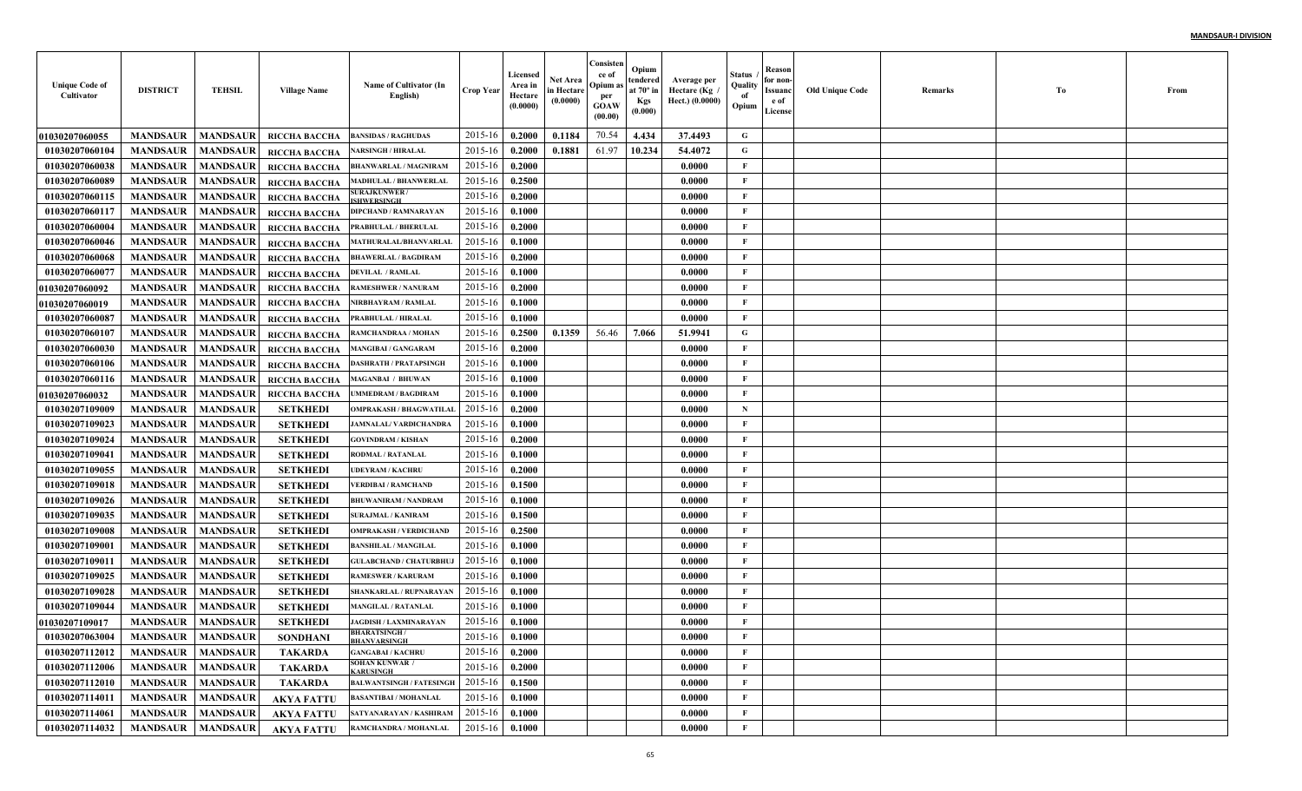| <b>Unique Code of</b><br>Cultivator | <b>DISTRICT</b>     | <b>TEHSIL</b>   | <b>Village Name</b> | Name of Cultivator (In<br>English)         | <b>Crop Year</b> | Licensed<br>Area in<br>Hectare<br>(0.0000) | Net Area<br>in Hectare<br>(0.0000) | Consisten<br>ce of<br>Opium as<br>per<br><b>GOAW</b><br>(00.00) | Opium<br>tendered<br>at $70^\circ$ in<br><b>Kgs</b><br>(0.000) | Average per<br>، Hectare (Kg<br>Hect.) (0.0000) | Status<br>Quality<br>of<br>Opium | Reason<br>for non-<br>Issuanc<br>e of<br>License | <b>Old Unique Code</b> | Remarks | Тo | From |
|-------------------------------------|---------------------|-----------------|---------------------|--------------------------------------------|------------------|--------------------------------------------|------------------------------------|-----------------------------------------------------------------|----------------------------------------------------------------|-------------------------------------------------|----------------------------------|--------------------------------------------------|------------------------|---------|----|------|
| <b>01030207060055</b>               | <b>MANDSAUR</b>     | <b>MANDSAUR</b> | RICCHA BACCHA       | <b>BANSIDAS / RAGHUDAS</b>                 | 2015-16          | 0.2000                                     | 0.1184                             | 70.54                                                           | 4.434                                                          | 37.4493                                         | G                                |                                                  |                        |         |    |      |
| 01030207060104                      | <b>MANDSAUR</b>     | <b>MANDSAUR</b> | RICCHA BACCHA       | <b>NARSINGH / HIRALAL</b>                  | 2015-16          | 0.2000                                     | 0.1881                             | 61.97                                                           | 10.234                                                         | 54,4072                                         | G                                |                                                  |                        |         |    |      |
| 01030207060038                      | <b>MANDSAUR</b>     | <b>MANDSAUR</b> | RICCHA BACCHA       | <b>BHANWARLAL / MAGNIRAM</b>               | 2015-16          | 0.2000                                     |                                    |                                                                 |                                                                | 0.0000                                          | $\mathbf{F}$                     |                                                  |                        |         |    |      |
| 01030207060089                      | <b>MANDSAUR</b>     | <b>MANDSAUR</b> | RICCHA BACCHA       | <b>MADHULAL / BHANWERLAI</b>               | 2015-16          | 0.2500                                     |                                    |                                                                 |                                                                | 0.0000                                          | $\mathbf{F}$                     |                                                  |                        |         |    |      |
| 01030207060115                      | <b>MANDSAUR</b>     | <b>MANDSAUR</b> | RICCHA BACCHA       | <b>SURAJKUNWER /</b><br><b>SHWERSINGH</b>  | 2015-16          | 0.2000                                     |                                    |                                                                 |                                                                | 0.0000                                          | $\mathbf{F}$                     |                                                  |                        |         |    |      |
| 01030207060117                      | <b>MANDSAUR</b>     | <b>MANDSAUR</b> | RICCHA BACCHA       | <b>DIPCHAND / RAMNARAYAN</b>               | 2015-16          | 0.1000                                     |                                    |                                                                 |                                                                | 0.0000                                          | $\mathbf{F}$                     |                                                  |                        |         |    |      |
| 01030207060004                      | <b>MANDSAUR</b>     | <b>MANDSAUR</b> | RICCHA BACCHA       | PRABHULAL / BHERULAL                       | 2015-16          | 0.2000                                     |                                    |                                                                 |                                                                | 0.0000                                          | F                                |                                                  |                        |         |    |      |
| 01030207060046                      | <b>MANDSAUR</b>     | <b>MANDSAUR</b> | RICCHA BACCHA       | MATHURALAL/BHANVARLAL                      | 2015-16          | 0.1000                                     |                                    |                                                                 |                                                                | 0.0000                                          | $\mathbf{F}$                     |                                                  |                        |         |    |      |
| 01030207060068                      | <b>MANDSAUR</b>     | <b>MANDSAUR</b> | RICCHA BACCHA       | <b>BHAWERLAL / BAGDIRAM</b>                | 2015-16          | 0.2000                                     |                                    |                                                                 |                                                                | 0.0000                                          | $\mathbf{F}$                     |                                                  |                        |         |    |      |
| 01030207060077                      | <b>MANDSAUR</b>     | <b>MANDSAUR</b> | RICCHA BACCHA       | <b>DEVILAL / RAMLAL</b>                    | 2015-16          | 0.1000                                     |                                    |                                                                 |                                                                | 0.0000                                          | $\mathbf{F}$                     |                                                  |                        |         |    |      |
| <b>01030207060092</b>               | <b>MANDSAUR</b>     | <b>MANDSAUR</b> | RICCHA BACCHA       | <b>RAMESHWER / NANURAM</b>                 | 2015-16          | 0.2000                                     |                                    |                                                                 |                                                                | 0.0000                                          | $\mathbf{F}$                     |                                                  |                        |         |    |      |
| <b>01030207060019</b>               | <b>MANDSAUR</b>     | <b>MANDSAUR</b> | RICCHA BACCHA       | NIRBHAYRAM / RAMLAL                        | 2015-16          | 0.1000                                     |                                    |                                                                 |                                                                | 0.0000                                          | $\mathbf{F}$                     |                                                  |                        |         |    |      |
| 01030207060087                      | <b>MANDSAUR</b>     | <b>MANDSAUR</b> | RICCHA BACCHA       | PRABHULAL / HIRALAL                        | 2015-16          | 0.1000                                     |                                    |                                                                 |                                                                | 0.0000                                          | $\mathbf{F}$                     |                                                  |                        |         |    |      |
| 01030207060107                      | <b>MANDSAUR</b>     | <b>MANDSAUR</b> | RICCHA BACCHA       | RAMCHANDRAA / MOHAN                        | 2015-16          | 0.2500                                     | 0.1359                             | 56.46                                                           | 7.066                                                          | 51.9941                                         | G                                |                                                  |                        |         |    |      |
| 01030207060030                      | <b>MANDSAUR</b>     | <b>MANDSAUR</b> | RICCHA BACCHA       | <b>MANGIBAI / GANGARAM</b>                 | 2015-16          | 0.2000                                     |                                    |                                                                 |                                                                | 0.0000                                          | $\mathbf{F}$                     |                                                  |                        |         |    |      |
| 01030207060106                      | <b>MANDSAUR</b>     | <b>MANDSAUR</b> | RICCHA BACCHA       | <b>DASHRATH / PRATAPSINGE</b>              | 2015-16          | 0.1000                                     |                                    |                                                                 |                                                                | 0.0000                                          | $\mathbf{F}$                     |                                                  |                        |         |    |      |
| 01030207060116                      | <b>MANDSAUR</b>     | <b>MANDSAUR</b> | RICCHA BACCHA       | <b>MAGANBAI / BHUWAN</b>                   | 2015-16          | 0.1000                                     |                                    |                                                                 |                                                                | 0.0000                                          | $\mathbf{F}$                     |                                                  |                        |         |    |      |
| <b>01030207060032</b>               | <b>MANDSAUR</b>     | <b>MANDSAUR</b> | RICCHA BACCHA       | <b>UMMEDRAM / BAGDIRAM</b>                 | 2015-16          | 0.1000                                     |                                    |                                                                 |                                                                | 0.0000                                          | $\mathbf{F}$                     |                                                  |                        |         |    |      |
| 01030207109009                      | <b>MANDSAUR</b>     | <b>MANDSAUR</b> | <b>SETKHEDI</b>     | <b>OMPRAKASH / BHAGWATILAI</b>             | 2015-16          | 0.2000                                     |                                    |                                                                 |                                                                | 0.0000                                          | $\mathbf N$                      |                                                  |                        |         |    |      |
| 01030207109023                      | <b>MANDSAUR</b>     | <b>MANDSAUR</b> | <b>SETKHEDI</b>     | <b>JAMNALAL/VARDICHANDRA</b>               | 2015-16          | 0.1000                                     |                                    |                                                                 |                                                                | 0.0000                                          | $\mathbf{F}$                     |                                                  |                        |         |    |      |
| 01030207109024                      | <b>MANDSAUR</b>     | <b>MANDSAUR</b> | <b>SETKHEDI</b>     | <b>GOVINDRAM / KISHAN</b>                  | 2015-16          | 0.2000                                     |                                    |                                                                 |                                                                | 0.0000                                          | $\mathbf{F}$                     |                                                  |                        |         |    |      |
| 01030207109041                      | <b>MANDSAUR</b>     | <b>MANDSAUR</b> | <b>SETKHEDI</b>     | <b>RODMAL / RATANLAL</b>                   | 2015-16          | 0.1000                                     |                                    |                                                                 |                                                                | 0.0000                                          | $\mathbf{F}$                     |                                                  |                        |         |    |      |
| 01030207109055                      | <b>MANDSAUR</b>     | <b>MANDSAUR</b> | <b>SETKHEDI</b>     | <b>UDEYRAM / KACHRU</b>                    | 2015-16          | 0.2000                                     |                                    |                                                                 |                                                                | 0.0000                                          | $\mathbf{F}$                     |                                                  |                        |         |    |      |
| 01030207109018                      | <b>MANDSAUR</b>     | <b>MANDSAUR</b> | <b>SETKHEDI</b>     | <b>VERDIBAI / RAMCHAND</b>                 | 2015-16          | 0.1500                                     |                                    |                                                                 |                                                                | 0.0000                                          | $\mathbf{F}$                     |                                                  |                        |         |    |      |
| 01030207109026                      | <b>MANDSAUR</b>     | <b>MANDSAUR</b> | <b>SETKHEDI</b>     | <b>BHUWANIRAM / NANDRAM</b>                | 2015-16          | 0.1000                                     |                                    |                                                                 |                                                                | 0.0000                                          | $\mathbf{F}$                     |                                                  |                        |         |    |      |
| 01030207109035                      | <b>MANDSAUR</b>     | <b>MANDSAUR</b> | <b>SETKHEDI</b>     | <b>SURAJMAL / KANIRAM</b>                  | 2015-16          | 0.1500                                     |                                    |                                                                 |                                                                | 0.0000                                          | $\mathbf{F}$                     |                                                  |                        |         |    |      |
| 01030207109008                      | <b>MANDSAUR</b>     | <b>MANDSAUR</b> | <b>SETKHEDI</b>     | <b>OMPRAKASH / VERDICHAND</b>              | 2015-16          | 0.2500                                     |                                    |                                                                 |                                                                | 0.0000                                          | F                                |                                                  |                        |         |    |      |
| 01030207109001                      | <b>MANDSAUR</b>     | <b>MANDSAUR</b> | <b>SETKHEDI</b>     | <b>BANSHILAL / MANGILAI</b>                | 2015-16          | 0.1000                                     |                                    |                                                                 |                                                                | 0.0000                                          | $\mathbf{F}$                     |                                                  |                        |         |    |      |
| 01030207109011                      | <b>MANDSAUR</b>     | <b>MANDSAUR</b> | <b>SETKHEDI</b>     | <b>GULABCHAND / CHATURBHU</b>              | 2015-16          | 0.1000                                     |                                    |                                                                 |                                                                | 0.0000                                          | $\mathbf{F}$                     |                                                  |                        |         |    |      |
| 01030207109025                      | <b>MANDSAUR</b>     | <b>MANDSAUR</b> | <b>SETKHEDI</b>     | <b>RAMESWER / KARURAM</b>                  | 2015-16          | 0.1000                                     |                                    |                                                                 |                                                                | 0.0000                                          | $\mathbf{F}$                     |                                                  |                        |         |    |      |
| 01030207109028                      | <b>MANDSAUR</b>     | <b>MANDSAUR</b> | <b>SETKHEDI</b>     | SHANKARLAL / RUPNARAYAN                    | 2015-16          | 0.1000                                     |                                    |                                                                 |                                                                | 0.0000                                          | F                                |                                                  |                        |         |    |      |
| 01030207109044                      | <b>MANDSAUR</b>     | <b>MANDSAUR</b> | <b>SETKHED</b>      | <b>MANGILAL / RATANLAL</b>                 | 2015-16          | 0.1000                                     |                                    |                                                                 |                                                                | 0.0000                                          | F                                |                                                  |                        |         |    |      |
| <b>01030207109017</b>               | <b>MANDSAUR</b>     | <b>MANDSAUR</b> | <b>SETKHEDI</b>     | <b>JAGDISH / LAXMINARAYAN</b>              | 2015-16          | 0.1000                                     |                                    |                                                                 |                                                                | 0.0000                                          | F                                |                                                  |                        |         |    |      |
| 01030207063004                      | MANDSAUR   MANDSAUR |                 | <b>SONDHANI</b>     | <b>BHARATSINGH/</b><br><b>BHANVARSINGH</b> | $2015-16$ 0.1000 |                                            |                                    |                                                                 |                                                                | 0.0000                                          | F                                |                                                  |                        |         |    |      |
| 01030207112012                      | <b>MANDSAUR</b>     | <b>MANDSAUR</b> | <b>TAKARDA</b>      | <b>GANGABAI / KACHRU</b>                   | 2015-16          | 0.2000                                     |                                    |                                                                 |                                                                | 0.0000                                          | $\mathbf F$                      |                                                  |                        |         |    |      |
| 01030207112006                      | <b>MANDSAUR</b>     | <b>MANDSAUR</b> | <b>TAKARDA</b>      | <b>SOHAN KUNWAR /</b><br><b>KARUSINGH</b>  | 2015-16          | 0.2000                                     |                                    |                                                                 |                                                                | 0.0000                                          | $\mathbf{F}$                     |                                                  |                        |         |    |      |
| 01030207112010                      | <b>MANDSAUR</b>     | <b>MANDSAUR</b> | <b>TAKARDA</b>      | <b>BALWANTSINGH / FATESINGH</b>            | 2015-16          | 0.1500                                     |                                    |                                                                 |                                                                | 0.0000                                          | $\mathbf{F}$                     |                                                  |                        |         |    |      |
| 01030207114011                      | <b>MANDSAUR</b>     | <b>MANDSAUR</b> | <b>AKYA FATTU</b>   | <b>BASANTIBAI / MOHANLAL</b>               | 2015-16          | 0.1000                                     |                                    |                                                                 |                                                                | 0.0000                                          | $\mathbf{F}$                     |                                                  |                        |         |    |      |
| 01030207114061                      | <b>MANDSAUR</b>     | <b>MANDSAUR</b> | <b>AKYA FATTU</b>   | SATYANARAYAN / KASHIRAM                    | 2015-16          | 0.1000                                     |                                    |                                                                 |                                                                | 0.0000                                          | $\mathbf{F}$                     |                                                  |                        |         |    |      |
| 01030207114032                      | <b>MANDSAUR</b>     | <b>MANDSAUR</b> | <b>AKYA FATTU</b>   | RAMCHANDRA / MOHANLAL                      | 2015-16          | 0.1000                                     |                                    |                                                                 |                                                                | 0.0000                                          | $\mathbf{F}$                     |                                                  |                        |         |    |      |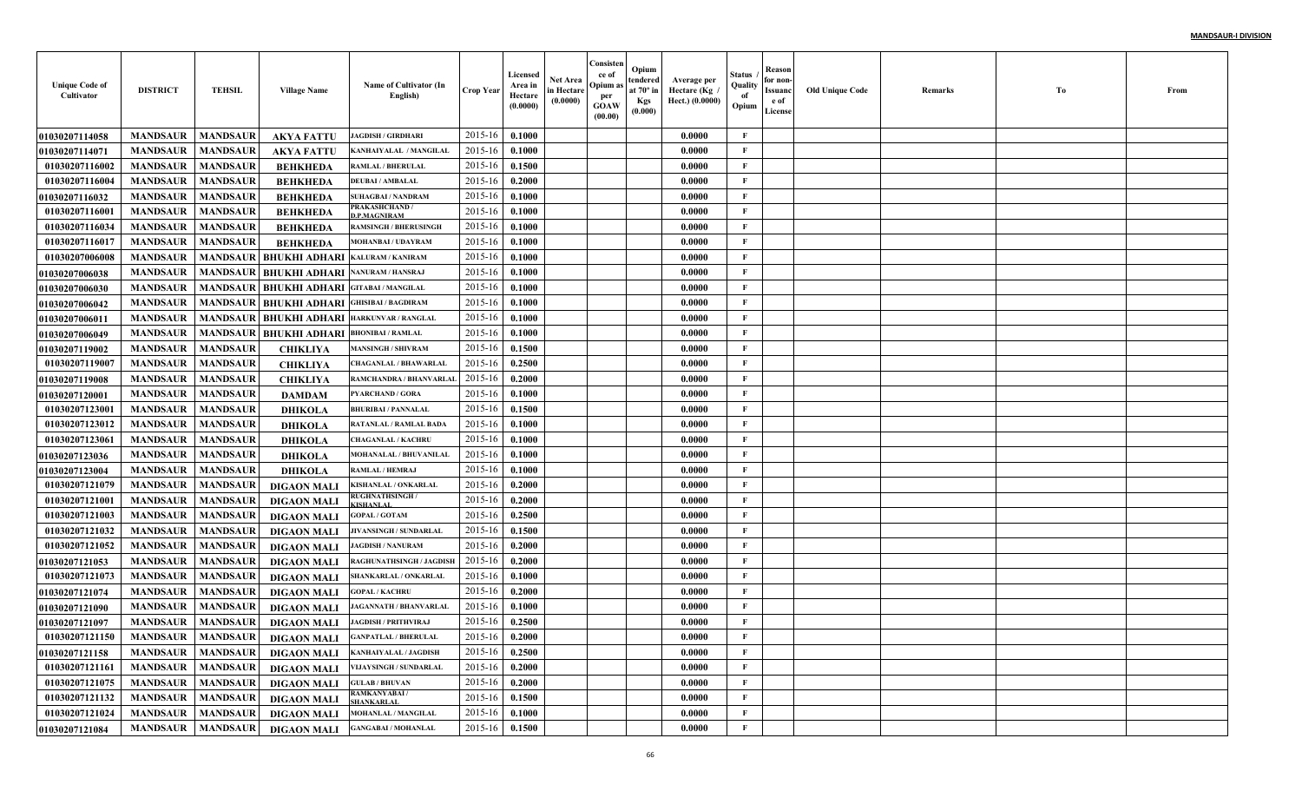| <b>Unique Code of</b><br>Cultivator | <b>DISTRICT</b>                   | <b>TEHSIL</b>   | <b>Village Name</b>                      | Name of Cultivator (In<br>English)        | <b>Crop Year</b> | Licensed<br>Area in<br>Hectare<br>(0.0000) | Net Area<br>in Hectare<br>(0.0000) | Consisten<br>ce of<br>Opium a<br>per<br><b>GOAW</b><br>(00.00) | Opium<br>tendered<br>at $70^\circ$ in<br><b>Kgs</b><br>(0.000) | Average per<br>Hectare (Kg<br>Hect.) (0.0000) | Status<br>Quality<br>of<br>Opium | Reason<br>for non-<br>Issuanc<br>e of<br>License | <b>Old Unique Code</b> | Remarks | Тo | From |
|-------------------------------------|-----------------------------------|-----------------|------------------------------------------|-------------------------------------------|------------------|--------------------------------------------|------------------------------------|----------------------------------------------------------------|----------------------------------------------------------------|-----------------------------------------------|----------------------------------|--------------------------------------------------|------------------------|---------|----|------|
| <b>01030207114058</b>               | <b>MANDSAUR</b>                   | <b>MANDSAUR</b> | <b>AKYA FATTU</b>                        | <b>JAGDISH / GIRDHARI</b>                 | 2015-16          | 0.1000                                     |                                    |                                                                |                                                                | 0.0000                                        | F                                |                                                  |                        |         |    |      |
| <b>01030207114071</b>               | <b>MANDSAUR</b>                   | <b>MANDSAUR</b> | AKYA FATTU                               | KANHAIYALAL / MANGILAL                    | 2015-16          | 0.1000                                     |                                    |                                                                |                                                                | 0.0000                                        | $\mathbf{F}$                     |                                                  |                        |         |    |      |
| 01030207116002                      | <b>MANDSAUR</b>                   | <b>MANDSAUR</b> | <b>BEHKHEDA</b>                          | <b>RAMLAL / BHERULAL</b>                  | 2015-16          | 0.1500                                     |                                    |                                                                |                                                                | 0.0000                                        | $\mathbf{F}$                     |                                                  |                        |         |    |      |
| 01030207116004                      | <b>MANDSAUR</b>                   | <b>MANDSAUR</b> | <b>BEHKHEDA</b>                          | <b>DEUBAI / AMBALAL</b>                   | 2015-16          | 0.2000                                     |                                    |                                                                |                                                                | 0.0000                                        | $\mathbf{F}$                     |                                                  |                        |         |    |      |
| <b>01030207116032</b>               | <b>MANDSAUR</b>                   | <b>MANDSAUR</b> | <b>BEHKHEDA</b>                          | <b>SUHAGBAI / NANDRAM</b>                 | 2015-16          | 0.1000                                     |                                    |                                                                |                                                                | 0.0000                                        | $\mathbf{F}$                     |                                                  |                        |         |    |      |
| 01030207116001                      | <b>MANDSAUR</b>                   | <b>MANDSAUR</b> | <b>BEHKHEDA</b>                          | PRAKASHCHAND /<br><b>D.P.MAGNIRAM</b>     | 2015-16          | 0.1000                                     |                                    |                                                                |                                                                | 0.0000                                        | $\mathbf{F}$                     |                                                  |                        |         |    |      |
| 01030207116034                      | <b>MANDSAUR</b>                   | <b>MANDSAUR</b> | <b>BEHKHEDA</b>                          | <b>RAMSINGH / BHERUSINGE</b>              | 2015-16          | 0.1000                                     |                                    |                                                                |                                                                | 0.0000                                        | $\mathbf{F}$                     |                                                  |                        |         |    |      |
| 01030207116017                      | <b>MANDSAUR</b>                   | <b>MANDSAUR</b> | <b>BEHKHEDA</b>                          | <b>MOHANBAI/UDAYRAM</b>                   | 2015-16          | 0.1000                                     |                                    |                                                                |                                                                | 0.0000                                        | $\mathbf{F}$                     |                                                  |                        |         |    |      |
| 01030207006008                      | <b>MANDSAUR</b>                   | <b>MANDSAUR</b> | <b>BHUKHI ADHARI</b>                     | <b>KALURAM / KANIRAM</b>                  | 2015-16          | 0.1000                                     |                                    |                                                                |                                                                | 0.0000                                        | F                                |                                                  |                        |         |    |      |
| <b>01030207006038</b>               | <b>MANDSAUR</b>                   | <b>MANDSAUR</b> | <b>BHUKHI ADHARI NANURAM/HANSRAJ</b>     |                                           | 2015-16          | 0.1000                                     |                                    |                                                                |                                                                | 0.0000                                        | $\mathbf{F}$                     |                                                  |                        |         |    |      |
| <b>01030207006030</b>               | <b>MANDSAUR</b>                   | <b>MANDSAUR</b> | <b>BHUKHI ADHARI GITABAI/MANGILAL</b>    |                                           | 2015-16          | 0.1000                                     |                                    |                                                                |                                                                | 0.0000                                        | $\mathbf{F}$                     |                                                  |                        |         |    |      |
| <b>01030207006042</b>               | <b>MANDSAUR</b>                   | <b>MANDSAUR</b> | <b>BHUKHI ADHARI GHISIBAI / BAGDIRAM</b> |                                           | 2015-16          | 0.1000                                     |                                    |                                                                |                                                                | 0.0000                                        | $\mathbf{F}$                     |                                                  |                        |         |    |      |
| 01030207006011                      | <b>MANDSAUR</b>                   | <b>MANDSAUR</b> | <b>BHUKHI ADHARI HARKUNVAR / RANGLAI</b> |                                           | 2015-16          | 0.1000                                     |                                    |                                                                |                                                                | 0.0000                                        | $\mathbf{F}$                     |                                                  |                        |         |    |      |
| <b>01030207006049</b>               | <b>MANDSAUR</b>                   | <b>MANDSAUR</b> | <b>BHUKHI ADHARI BHONIBAI/RAMLAL</b>     |                                           | 2015-16          | 0.1000                                     |                                    |                                                                |                                                                | 0.0000                                        | $\mathbf{F}$                     |                                                  |                        |         |    |      |
| <b>01030207119002</b>               | <b>MANDSAUR</b>                   | <b>MANDSAUR</b> | <b>CHIKLIYA</b>                          | <b>MANSINGH / SHIVRAM</b>                 | 2015-16          | 0.1500                                     |                                    |                                                                |                                                                | 0.0000                                        | $\mathbf{F}$                     |                                                  |                        |         |    |      |
| 01030207119007                      | <b>MANDSAUR</b>                   | <b>MANDSAUR</b> | <b>CHIKLIYA</b>                          | <b>CHAGANLAL / BHAWARLAI</b>              | 2015-16          | 0.2500                                     |                                    |                                                                |                                                                | 0.0000                                        | $\mathbf{F}$                     |                                                  |                        |         |    |      |
| <b>01030207119008</b>               | <b>MANDSAUR</b>                   | <b>MANDSAUR</b> | <b>CHIKLIYA</b>                          | RAMCHANDRA / BHANVARLAI                   | 2015-16          | 0.2000                                     |                                    |                                                                |                                                                | 0.0000                                        | $\mathbf{F}$                     |                                                  |                        |         |    |      |
| <b>01030207120001</b>               | <b>MANDSAUR</b>                   | <b>MANDSAUR</b> | <b>DAMDAM</b>                            | <b>PYARCHAND / GORA</b>                   | 2015-16          | 0.1000                                     |                                    |                                                                |                                                                | 0.0000                                        | $\mathbf{F}$                     |                                                  |                        |         |    |      |
| 01030207123001                      | <b>MANDSAUR</b>                   | <b>MANDSAUR</b> | <b>DHIKOLA</b>                           | <b>BHURIBAI / PANNALAL</b>                | 2015-16          | 0.1500                                     |                                    |                                                                |                                                                | 0.0000                                        | $\mathbf{F}$                     |                                                  |                        |         |    |      |
| 01030207123012                      | <b>MANDSAUR</b>                   | <b>MANDSAUR</b> | <b>DHIKOLA</b>                           | <b>RATANLAL / RAMLAL BAD/</b>             | 2015-16          | 0.1000                                     |                                    |                                                                |                                                                | 0.0000                                        | $\mathbf{F}$                     |                                                  |                        |         |    |      |
| 01030207123061                      | <b>MANDSAUR</b>                   | <b>MANDSAUR</b> | <b>DHIKOLA</b>                           | <b>CHAGANLAL / KACHRU</b>                 | 2015-16          | 0.1000                                     |                                    |                                                                |                                                                | 0.0000                                        | $\mathbf{F}$                     |                                                  |                        |         |    |      |
| 01030207123036                      | <b>MANDSAUR</b>                   | <b>MANDSAUR</b> | <b>DHIKOLA</b>                           | MOHANALAL / BHUVANILAL                    | 2015-16          | 0.1000                                     |                                    |                                                                |                                                                | 0.0000                                        | F                                |                                                  |                        |         |    |      |
| <b>01030207123004</b>               | <b>MANDSAUR</b>                   | <b>MANDSAUR</b> | DHIKOLA                                  | <b>RAMLAL / HEMRAJ</b>                    | 2015-16          | 0.1000                                     |                                    |                                                                |                                                                | 0.0000                                        | $\mathbf{F}$                     |                                                  |                        |         |    |      |
| 01030207121079                      | <b>MANDSAUR</b>                   | <b>MANDSAUR</b> | <b>DIGAON MALI</b>                       | KISHANLAL / ONKARLAI                      | 2015-16          | 0.2000                                     |                                    |                                                                |                                                                | 0.0000                                        | $\mathbf{F}$                     |                                                  |                        |         |    |      |
| 01030207121001                      | <b>MANDSAUR</b>                   | <b>MANDSAUR</b> | <b>DIGAON MALI</b>                       | <b>RUGHNATHSINGH/</b><br><b>GISHANLAI</b> | 2015-16          | 0.2000                                     |                                    |                                                                |                                                                | 0.0000                                        | $\mathbf{F}$                     |                                                  |                        |         |    |      |
| 01030207121003                      | <b>MANDSAUR</b>                   | <b>MANDSAUR</b> | <b>DIGAON MALI</b>                       | <b>GOPAL / GOTAM</b>                      | 2015-16          | 0.2500                                     |                                    |                                                                |                                                                | 0.0000                                        | $\mathbf{F}$                     |                                                  |                        |         |    |      |
| 01030207121032                      | <b>MANDSAUR</b>                   | <b>MANDSAUR</b> | <b>DIGAON MALI</b>                       | JIVANSINGH / SUNDARLAI                    | 2015-16          | 0.1500                                     |                                    |                                                                |                                                                | 0.0000                                        | $\mathbf{F}$                     |                                                  |                        |         |    |      |
| 01030207121052                      | <b>MANDSAUR</b>                   | <b>MANDSAUR</b> | <b>DIGAON MALI</b>                       | <b>JAGDISH / NANURAM</b>                  | 2015-16          | 0.2000                                     |                                    |                                                                |                                                                | 0.0000                                        | $\mathbf{F}$                     |                                                  |                        |         |    |      |
| <b>01030207121053</b>               | <b>MANDSAUR</b>                   | <b>MANDSAUR</b> | <b>DIGAON MALI</b>                       | <b>RAGHUNATHSINGH / JAGDISE</b>           | 2015-16          | 0.2000                                     |                                    |                                                                |                                                                | 0.0000                                        | $\mathbf{F}$                     |                                                  |                        |         |    |      |
| 01030207121073                      | <b>MANDSAUR</b>                   | <b>MANDSAUR</b> | <b>DIGAON MALI</b>                       | SHANKARLAL / ONKARLAI                     | 2015-16          | 0.1000                                     |                                    |                                                                |                                                                | 0.0000                                        | $\mathbf{F}$                     |                                                  |                        |         |    |      |
| 01030207121074                      | <b>MANDSAUR</b>                   | <b>MANDSAUR</b> | <b>DIGAON MALI</b>                       | <b>GOPAL / KACHRU</b>                     | 2015-16          | 0.2000                                     |                                    |                                                                |                                                                | 0.0000                                        | $\mathbf{F}$                     |                                                  |                        |         |    |      |
| <b>01030207121090</b>               | <b>MANDSAUR</b>                   | <b>MANDSAUR</b> | <b>DIGAON MALI</b>                       | <b>JAGANNATH / BHANVARLAL</b>             | 2015-16          | 0.1000                                     |                                    |                                                                |                                                                | 0.0000                                        | F                                |                                                  |                        |         |    |      |
| <b>01030207121097</b>               | <b>MANDSAUR</b>                   | <b>MANDSAUR</b> | <b>DIGAON MALI</b>                       | <b>JAGDISH / PRITHVIRAJ</b>               | 2015-16          | 0.2500                                     |                                    |                                                                |                                                                | 0.0000                                        | F                                |                                                  |                        |         |    |      |
| 01030207121150                      | <b>MANDSAUR</b>   <b>MANDSAUR</b> |                 | DIGAON MALI                              | <b>GANPATLAL / BHERULAL</b>               | $2015-16$ 0.2000 |                                            |                                    |                                                                |                                                                | 0.0000                                        | F                                |                                                  |                        |         |    |      |
| 01030207121158                      | <b>MANDSAUR</b>                   | <b>MANDSAUR</b> | DIGAON MALI                              | <b>KANHAIYALAL / JAGDISH</b>              | 2015-16          | 0.2500                                     |                                    |                                                                |                                                                | 0.0000                                        | $\mathbf{F}$                     |                                                  |                        |         |    |      |
| 01030207121161                      | <b>MANDSAUR</b>                   | <b>MANDSAUR</b> | <b>DIGAON MALI</b>                       | VIJAYSINGH / SUNDARLAL                    | 2015-16          | 0.2000                                     |                                    |                                                                |                                                                | 0.0000                                        | $\mathbf{F}$                     |                                                  |                        |         |    |      |
| 01030207121075                      | <b>MANDSAUR</b>                   | <b>MANDSAUR</b> | DIGAON MALI                              | <b>GULAB / BHUVAN</b>                     | 2015-16          | 0.2000                                     |                                    |                                                                |                                                                | 0.0000                                        | $\mathbf F$                      |                                                  |                        |         |    |      |
| 01030207121132                      | <b>MANDSAUR</b>                   | <b>MANDSAUR</b> | <b>DIGAON MALI</b>                       | <b>RAMKANYABAI/</b><br><b>SHANKARLAL</b>  | 2015-16          | 0.1500                                     |                                    |                                                                |                                                                | 0.0000                                        | $\mathbf{F}$                     |                                                  |                        |         |    |      |
| 01030207121024                      | <b>MANDSAUR</b>                   | <b>MANDSAUR</b> | <b>DIGAON MALI</b>                       | MOHANLAL / MANGILAL                       | 2015-16          | 0.1000                                     |                                    |                                                                |                                                                | 0.0000                                        | $\mathbf{F}$                     |                                                  |                        |         |    |      |
| 01030207121084                      | <b>MANDSAUR</b>                   | <b>MANDSAUR</b> | <b>DIGAON MALI</b>                       | <b>GANGABAI / MOHANLAL</b>                | 2015-16          | 0.1500                                     |                                    |                                                                |                                                                | 0.0000                                        | $\mathbf F$                      |                                                  |                        |         |    |      |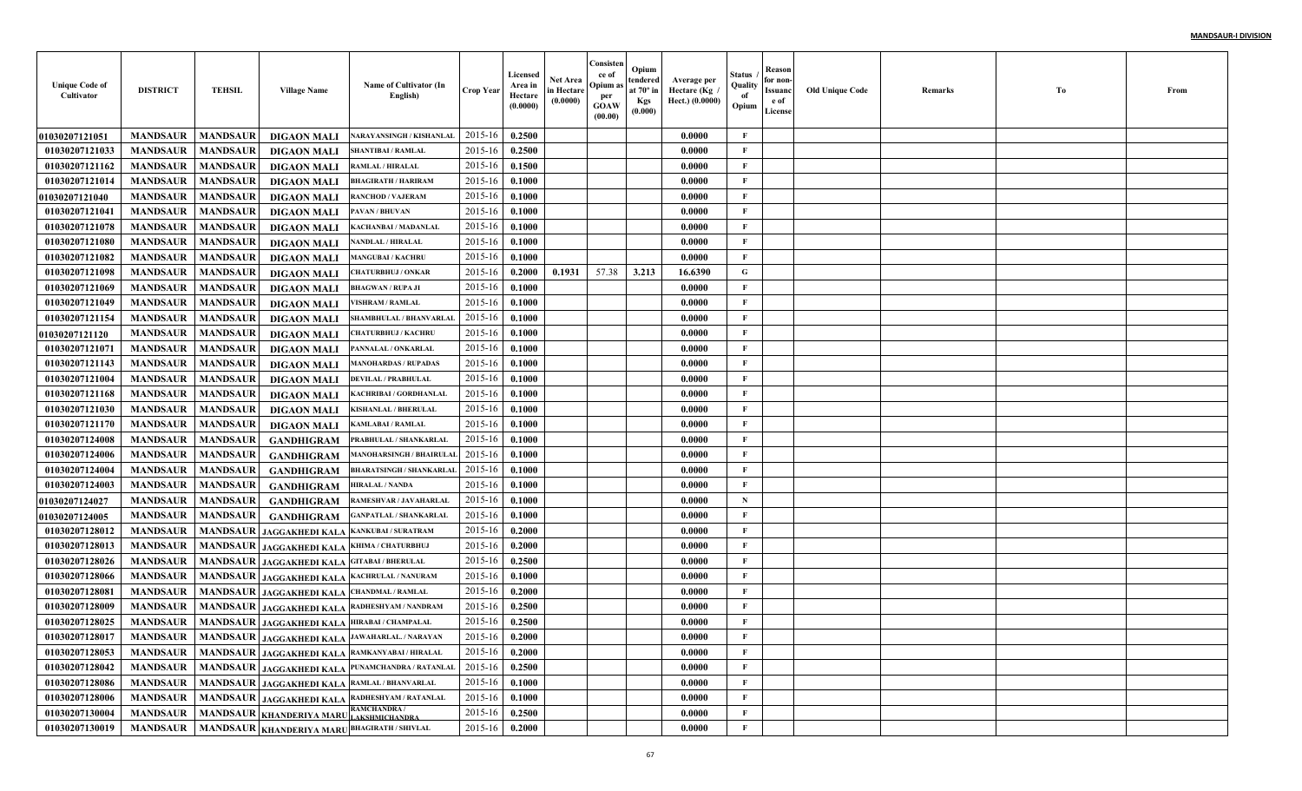| <b>Unique Code of</b><br>Cultivator | <b>DISTRICT</b> | <b>TEHSIL</b>   | <b>Village Name</b>                     | Name of Cultivator (In<br>English)                                   | <b>Crop Year</b> | Licensed<br>Area in<br>Hectare<br>(0.0000) | <b>Net Area</b><br>in Hectare<br>(0.0000) | Consisten<br>ce of<br>Opium as<br>per<br><b>GOAW</b><br>(00.00) | Opium<br>tendered<br>at $70^\circ$ in<br><b>Kgs</b><br>(0.000) | Average per<br>Hectare (Kg)<br>Hect.) (0.0000) | Status<br>Quality<br>of<br>Opium | Reason<br>for non-<br>Issuanc<br>e of<br>License | <b>Old Unique Code</b> | Remarks | Тo | From |
|-------------------------------------|-----------------|-----------------|-----------------------------------------|----------------------------------------------------------------------|------------------|--------------------------------------------|-------------------------------------------|-----------------------------------------------------------------|----------------------------------------------------------------|------------------------------------------------|----------------------------------|--------------------------------------------------|------------------------|---------|----|------|
| 01030207121051                      | <b>MANDSAUR</b> | <b>MANDSAUR</b> | <b>DIGAON MALI</b>                      | <b>NARAYANSINGH / KISHANLAL</b>                                      | 2015-16          | 0.2500                                     |                                           |                                                                 |                                                                | 0.0000                                         | F                                |                                                  |                        |         |    |      |
| 01030207121033                      | <b>MANDSAUR</b> | <b>MANDSAUR</b> | <b>DIGAON MALI</b>                      | SHANTIBAI / RAMLAL                                                   | 2015-16          | 0.2500                                     |                                           |                                                                 |                                                                | 0.0000                                         | F                                |                                                  |                        |         |    |      |
| 01030207121162                      | <b>MANDSAUR</b> | <b>MANDSAUR</b> | <b>DIGAON MALI</b>                      | RAMLAL / HIRALAL                                                     | 2015-16          | 0.1500                                     |                                           |                                                                 |                                                                | 0.0000                                         | $\mathbf{F}$                     |                                                  |                        |         |    |      |
| 01030207121014                      | <b>MANDSAUR</b> | <b>MANDSAUR</b> | <b>DIGAON MALI</b>                      | <b>BHAGIRATH / HARIRAM</b>                                           | 2015-16          | 0.1000                                     |                                           |                                                                 |                                                                | 0.0000                                         | $\mathbf{F}$                     |                                                  |                        |         |    |      |
| <b>01030207121040</b>               | <b>MANDSAUR</b> | <b>MANDSAUR</b> | <b>DIGAON MALI</b>                      | <b>RANCHOD / VAJERAM</b>                                             | 2015-16          | 0.1000                                     |                                           |                                                                 |                                                                | 0.0000                                         | $\mathbf{F}$                     |                                                  |                        |         |    |      |
| 01030207121041                      | <b>MANDSAUR</b> | <b>MANDSAUR</b> | <b>DIGAON MALI</b>                      | PAVAN / BHUVAN                                                       | 2015-16          | 0.1000                                     |                                           |                                                                 |                                                                | 0.0000                                         | $\mathbf{F}$                     |                                                  |                        |         |    |      |
| 01030207121078                      | <b>MANDSAUR</b> | <b>MANDSAUR</b> | <b>DIGAON MALI</b>                      | KACHANBAI / MADANLAI                                                 | 2015-16          | 0.1000                                     |                                           |                                                                 |                                                                | 0.0000                                         | $\mathbf{F}$                     |                                                  |                        |         |    |      |
| 01030207121080                      | <b>MANDSAUR</b> | <b>MANDSAUR</b> | <b>DIGAON MALI</b>                      | NANDLAL / HIRALAL                                                    | 2015-16          | 0.1000                                     |                                           |                                                                 |                                                                | 0.0000                                         | $\mathbf{F}$                     |                                                  |                        |         |    |      |
| 01030207121082                      | <b>MANDSAUR</b> | <b>MANDSAUR</b> | <b>DIGAON MALI</b>                      | <b>MANGUBAI / KACHRU</b>                                             | 2015-16          | 0.1000                                     |                                           |                                                                 |                                                                | 0.0000                                         | $\mathbf{F}$                     |                                                  |                        |         |    |      |
| 01030207121098                      | <b>MANDSAUR</b> | <b>MANDSAUR</b> | <b>DIGAON MALI</b>                      | <b>CHATURBHUJ / ONKAR</b>                                            | 2015-16          | 0.2000                                     | 0.1931                                    | 57.38                                                           | 3.213                                                          | 16.6390                                        | G                                |                                                  |                        |         |    |      |
| 01030207121069                      | <b>MANDSAUR</b> | <b>MANDSAUR</b> | <b>DIGAON MALI</b>                      | <b>BHAGWAN / RUPA JI</b>                                             | 2015-16          | 0.1000                                     |                                           |                                                                 |                                                                | 0.0000                                         | $\mathbf{F}$                     |                                                  |                        |         |    |      |
| 01030207121049                      | <b>MANDSAUR</b> | <b>MANDSAUR</b> | <b>DIGAON MALI</b>                      | <b>VISHRAM / RAMLAL</b>                                              | 2015-16          | 0.1000                                     |                                           |                                                                 |                                                                | 0.0000                                         | $\mathbf{F}$                     |                                                  |                        |         |    |      |
| 01030207121154                      | <b>MANDSAUR</b> | <b>MANDSAUR</b> | <b>DIGAON MALI</b>                      | SHAMBHULAL / BHANVARLAI                                              | 2015-16          | 0.1000                                     |                                           |                                                                 |                                                                | 0.0000                                         | $\mathbf{F}$                     |                                                  |                        |         |    |      |
| 01030207121120                      | <b>MANDSAUR</b> | <b>MANDSAUR</b> | <b>DIGAON MALI</b>                      | <b>CHATURBHUJ / KACHRU</b>                                           | 2015-16          | 0.1000                                     |                                           |                                                                 |                                                                | 0.0000                                         | $\mathbf{F}$                     |                                                  |                        |         |    |      |
| 01030207121071                      | <b>MANDSAUR</b> | <b>MANDSAUR</b> | <b>DIGAON MALI</b>                      | PANNALAL / ONKARLAL                                                  | 2015-16          | 0.1000                                     |                                           |                                                                 |                                                                | 0.0000                                         | $\mathbf{F}$                     |                                                  |                        |         |    |      |
| 01030207121143                      | <b>MANDSAUR</b> | <b>MANDSAUR</b> | <b>DIGAON MALI</b>                      | <b>MANOHARDAS / RUPADAS</b>                                          | 2015-16          | 0.1000                                     |                                           |                                                                 |                                                                | 0.0000                                         | $\mathbf{F}$                     |                                                  |                        |         |    |      |
| 01030207121004                      | <b>MANDSAUR</b> | <b>MANDSAUR</b> | <b>DIGAON MALI</b>                      | <b>DEVILAL / PRABHULAL</b>                                           | 2015-16          | 0.1000                                     |                                           |                                                                 |                                                                | 0.0000                                         | $\mathbf{F}$                     |                                                  |                        |         |    |      |
| 01030207121168                      | <b>MANDSAUR</b> | <b>MANDSAUR</b> | <b>DIGAON MALI</b>                      | KACHRIBAI / GORDHANLAI                                               | 2015-16          | 0.1000                                     |                                           |                                                                 |                                                                | 0.0000                                         | $\mathbf{F}$                     |                                                  |                        |         |    |      |
| 01030207121030                      | <b>MANDSAUR</b> | <b>MANDSAUR</b> | <b>DIGAON MALI</b>                      | <b>KISHANLAL / BHERULAL</b>                                          | 2015-16          | 0.1000                                     |                                           |                                                                 |                                                                | 0.0000                                         | $\mathbf{F}$                     |                                                  |                        |         |    |      |
| 01030207121170                      | <b>MANDSAUR</b> | <b>MANDSAUR</b> | <b>DIGAON MALI</b>                      | <b>KAMLABAI / RAMLAL</b>                                             | 2015-16          | 0.1000                                     |                                           |                                                                 |                                                                | 0.0000                                         | F                                |                                                  |                        |         |    |      |
| 01030207124008                      | <b>MANDSAUR</b> | <b>MANDSAUR</b> | <b>GANDHIGRAM</b>                       | PRABHULAL / SHANKARLAI                                               | 2015-16          | 0.1000                                     |                                           |                                                                 |                                                                | 0.0000                                         | F                                |                                                  |                        |         |    |      |
| 01030207124006                      | <b>MANDSAUR</b> | <b>MANDSAUR</b> | <b>GANDHIGRAM</b>                       | <b>MANOHARSINGH / BHAIRULA</b>                                       | 2015-16          | 0.1000                                     |                                           |                                                                 |                                                                | 0.0000                                         | $\mathbf{F}$                     |                                                  |                        |         |    |      |
| 01030207124004                      | <b>MANDSAUR</b> | <b>MANDSAUR</b> | <b>GANDHIGRAM</b>                       | <b>BHARATSINGH / SHANKARLAI</b>                                      | 2015-16          | 0.1000                                     |                                           |                                                                 |                                                                | 0.0000                                         | $\mathbf{F}$                     |                                                  |                        |         |    |      |
| 01030207124003                      | <b>MANDSAUR</b> | <b>MANDSAUR</b> | <b>GANDHIGRAM</b>                       | <b>HIRALAL / NANDA</b>                                               | 2015-16          | 0.1000                                     |                                           |                                                                 |                                                                | 0.0000                                         | $\mathbf{F}$                     |                                                  |                        |         |    |      |
| <b>01030207124027</b>               | <b>MANDSAUR</b> | <b>MANDSAUR</b> | <b>GANDHIGRAM</b>                       | RAMESHVAR / JAVAHARLAL                                               | 2015-16          | 0.1000                                     |                                           |                                                                 |                                                                | 0.0000                                         | $\mathbf N$                      |                                                  |                        |         |    |      |
| <b>01030207124005</b>               | <b>MANDSAUR</b> | <b>MANDSAUR</b> | <b>GANDHIGRAM</b>                       | <b>GANPATLAL / SHANKARLAI</b>                                        | 2015-16          | 0.1000                                     |                                           |                                                                 |                                                                | 0.0000                                         | $\mathbf{F}$                     |                                                  |                        |         |    |      |
| 01030207128012                      | <b>MANDSAUR</b> | <b>MANDSAUR</b> | JAGGAKHEDI KALA                         | <b>KANKUBAI / SURATRAM</b>                                           | 2015-16          | 0.2000                                     |                                           |                                                                 |                                                                | 0.0000                                         | $\mathbf{F}$                     |                                                  |                        |         |    |      |
| 01030207128013                      | <b>MANDSAUR</b> | <b>MANDSAUR</b> | JAGGAKHEDI KALA                         | KHIMA / CHATURBHUJ                                                   | 2015-16          | 0.2000                                     |                                           |                                                                 |                                                                | 0.0000                                         | $\mathbf{F}$                     |                                                  |                        |         |    |      |
| 01030207128026                      | <b>MANDSAUR</b> | <b>MANDSAUR</b> | <b>JAGGAKHEDI KALA</b>                  | <b>GITABAI / BHERULAL</b>                                            | 2015-16          | 0.2500                                     |                                           |                                                                 |                                                                | 0.0000                                         | $\mathbf{F}$                     |                                                  |                        |         |    |      |
| 01030207128066                      | <b>MANDSAUR</b> | <b>MANDSAUR</b> | <b>JAGGAKHEDI KALA</b>                  | <b>KACHRULAL / NANURAM</b>                                           | 2015-16          | 0.1000                                     |                                           |                                                                 |                                                                | 0.0000                                         | $\mathbf{F}$                     |                                                  |                        |         |    |      |
| 01030207128081                      | <b>MANDSAUR</b> | <b>MANDSAUR</b> | <b>JAGGAKHEDI KALA</b>                  | <b>CHANDMAL / RAMLAL</b>                                             | 2015-16          | 0.2000                                     |                                           |                                                                 |                                                                | 0.0000                                         | F                                |                                                  |                        |         |    |      |
| 01030207128009                      | <b>MANDSAUR</b> | <b>MANDSAUR</b> | <b>JAGGAKHEDI KALA</b>                  | RADHESHYAM / NANDRAM                                                 | 2015-16          | 0.2500                                     |                                           |                                                                 |                                                                | 0.0000                                         | F                                |                                                  |                        |         |    |      |
| 01030207128025                      | <b>MANDSAUR</b> | <b>MANDSAUR</b> |                                         | JAGGAKHEDI KALA HIRABAI / CHAMPALAL                                  | 2015-16          | 0.2500                                     |                                           |                                                                 |                                                                | 0.0000                                         | F                                |                                                  |                        |         |    |      |
| 01030207128017                      |                 |                 |                                         | MANDSAUR   MANDSAUR   JAGGAKHEDI KALA <sup>JAWAHARLAL</sup> /NARAYAN | 2015-16 0.2000   |                                            |                                           |                                                                 |                                                                | 0.0000                                         | F                                |                                                  |                        |         |    |      |
| 01030207128053                      | <b>MANDSAUR</b> |                 |                                         | MANDSAUR JAGGAKHEDI KALA RAMKANYABAI / HIRALAL                       | 2015-16          | 0.2000                                     |                                           |                                                                 |                                                                | 0.0000                                         | $\mathbf F$                      |                                                  |                        |         |    |      |
| 01030207128042                      | <b>MANDSAUR</b> |                 |                                         | MANDSAUR JAGGAKHEDI KALA PUNAMCHANDRA/RATANLAL                       | 2015-16          | 0.2500                                     |                                           |                                                                 |                                                                | 0.0000                                         | $\mathbf{F}$                     |                                                  |                        |         |    |      |
| 01030207128086                      | <b>MANDSAUR</b> |                 |                                         | MANDSAUR JAGGAKHEDI KALA RAMLAL / BHANVARLAL                         | 2015-16          | 0.1000                                     |                                           |                                                                 |                                                                | 0.0000                                         | $\mathbf{F}$                     |                                                  |                        |         |    |      |
| 01030207128006                      | <b>MANDSAUR</b> |                 |                                         | MANDSAUR JAGGAKHEDI KALA RADHESHYAM / RATANLAL                       | 2015-16          | 0.1000                                     |                                           |                                                                 |                                                                | 0.0000                                         | $\mathbf F$                      |                                                  |                        |         |    |      |
| 01030207130004                      | <b>MANDSAUR</b> |                 | MANDSAUR KHANDERIYA MARU LAKSHMICHANDRA | <b>RAMCHANDRA/</b>                                                   | 2015-16          | 0.2500                                     |                                           |                                                                 |                                                                | 0.0000                                         | $\mathbf F$                      |                                                  |                        |         |    |      |
| 01030207130019                      | <b>MANDSAUR</b> |                 |                                         | MANDSAUR KHANDERIYA MARUBHAGIRATH / SHIVLAL                          | $2015 - 16$      | 0.2000                                     |                                           |                                                                 |                                                                | 0.0000                                         | $\mathbf{F}$                     |                                                  |                        |         |    |      |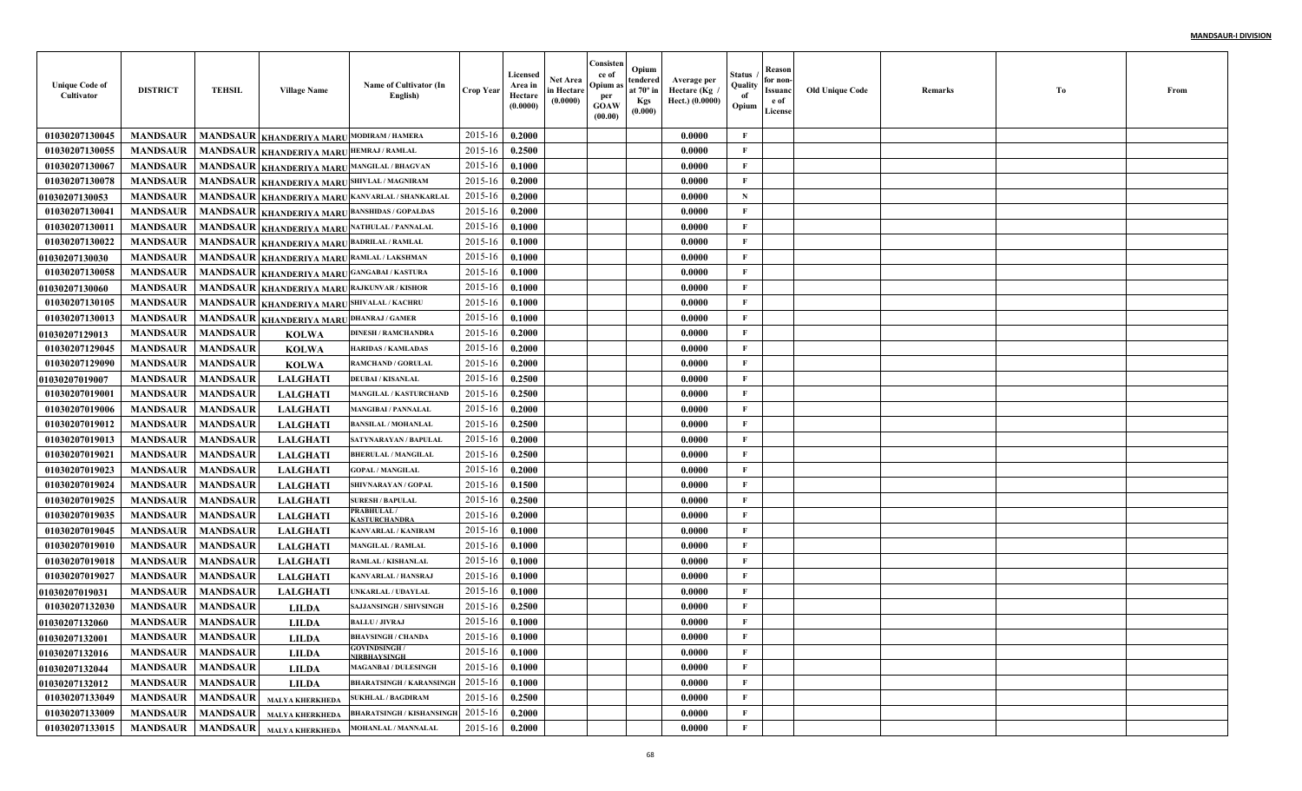| <b>Unique Code of</b><br>Cultivator | <b>DISTRICT</b>          | <b>TEHSIL</b>   | <b>Village Name</b>                        | Name of Cultivator (In<br>English)               | <b>Crop Year</b> | Licensed<br>Area in<br>Hectare<br>(0.0000) | <b>Net Area</b><br>in Hectare<br>(0.0000) | Consisten<br>ce of<br>Opium as<br>per<br><b>GOAW</b><br>(00.00) | Opium<br>tendered<br>at $70^\circ$ in<br><b>Kgs</b><br>(0.000) | Average per<br>Hectare (Kg /<br>Hect.) (0.0000) | Status<br>Quality<br>of<br>Opium | Reason<br>for non-<br>Issuanc<br>e of<br>License | <b>Old Unique Code</b> | Remarks | Tо | From |
|-------------------------------------|--------------------------|-----------------|--------------------------------------------|--------------------------------------------------|------------------|--------------------------------------------|-------------------------------------------|-----------------------------------------------------------------|----------------------------------------------------------------|-------------------------------------------------|----------------------------------|--------------------------------------------------|------------------------|---------|----|------|
| 01030207130045                      | <b>MANDSAUR</b>          |                 | MANDSAUR KHANDERIYA MARU                   | <b>MODIRAM / HAMERA</b>                          | 2015-16          | 0.2000                                     |                                           |                                                                 |                                                                | 0.0000                                          | $\mathbf{F}$                     |                                                  |                        |         |    |      |
| 01030207130055                      | <b>MANDSAUR</b>          | <b>MANDSAUR</b> | KHANDERIYA MARU HEMRAJ / RAMLAL            |                                                  | 2015-16          | 0.2500                                     |                                           |                                                                 |                                                                | 0.0000                                          | F                                |                                                  |                        |         |    |      |
| 01030207130067                      | <b>MANDSAUR</b>          | <b>MANDSAUR</b> | KHANDERIYA MARU MANGILAL / BHAGVAN         |                                                  | 2015-16          | 0.1000                                     |                                           |                                                                 |                                                                | 0.0000                                          | $\mathbf{F}$                     |                                                  |                        |         |    |      |
| 01030207130078                      | <b>MANDSAUR</b>          | <b>MANDSAUR</b> | KHANDERIYA MARUSHIVLAL / MAGNIRAM          |                                                  | 2015-16          | 0.2000                                     |                                           |                                                                 |                                                                | 0.0000                                          | $\mathbf{F}$                     |                                                  |                        |         |    |      |
| <b>01030207130053</b>               | <b>MANDSAUR</b>          | <b>MANDSAUR</b> |                                            | KHANDERIYA MARU KANVARLAL / SHANKARLAL           | 2015-16          | 0.2000                                     |                                           |                                                                 |                                                                | 0.0000                                          | $\mathbf N$                      |                                                  |                        |         |    |      |
| 01030207130041                      | <b>MANDSAUR</b>          | <b>MANDSAUR</b> |                                            | <b>KHANDERIYA MARU BANSHIDAS / GOPALDAS</b>      | 2015-16          | 0.2000                                     |                                           |                                                                 |                                                                | 0.0000                                          | $\mathbf{F}$                     |                                                  |                        |         |    |      |
| 01030207130011                      | <b>MANDSAUR</b>          | <b>MANDSAUR</b> | KHANDERIYA MARU NATHULAL / PANNALAL        |                                                  | 2015-16          | 0.1000                                     |                                           |                                                                 |                                                                | 0.0000                                          | $\mathbf{F}$                     |                                                  |                        |         |    |      |
| 01030207130022                      | <b>MANDSAUR</b>          | <b>MANDSAUR</b> | KHANDERIYA MARU BADRILAL / RAMLAL          |                                                  | 2015-16          | 0.1000                                     |                                           |                                                                 |                                                                | 0.0000                                          | $\mathbf{F}$                     |                                                  |                        |         |    |      |
| <b>01030207130030</b>               | <b>MANDSAUR</b>          |                 | MANDSAUR KHANDERIYA MARU RAMLAL / LAKSHMAN |                                                  | 2015-16          | 0.1000                                     |                                           |                                                                 |                                                                | 0.0000                                          | $\mathbf{F}$                     |                                                  |                        |         |    |      |
| 01030207130058                      | <b>MANDSAUR</b>          | <b>MANDSAUR</b> | KHANDERIYA MARU GANGABAI / KASTURA         |                                                  | 2015-16          | 0.1000                                     |                                           |                                                                 |                                                                | 0.0000                                          | $\mathbf{F}$                     |                                                  |                        |         |    |      |
| <b>01030207130060</b>               | <b>MANDSAUR</b>          | <b>MANDSAUR</b> | KHANDERIYA MARU RAJKUNVAR / KISHOR         |                                                  | 2015-16          | 0.1000                                     |                                           |                                                                 |                                                                | 0.0000                                          | $\mathbf{F}$                     |                                                  |                        |         |    |      |
| 01030207130105                      | <b>MANDSAUR</b>          | <b>MANDSAUR</b> | KHANDERIYA MARU SHIVALAL / KACHRU          |                                                  | 2015-16          | 0.1000                                     |                                           |                                                                 |                                                                | 0.0000                                          | $\mathbf{F}$                     |                                                  |                        |         |    |      |
| 01030207130013                      | <b>MANDSAUR</b>          | <b>MANDSAUR</b> | <b>KHANDERIYA MARU DHANRAJ / GAMER</b>     |                                                  | 2015-16          | 0.1000                                     |                                           |                                                                 |                                                                | 0.0000                                          | $\mathbf{F}$                     |                                                  |                        |         |    |      |
| <b>01030207129013</b>               | <b>MANDSAUR</b>          | <b>MANDSAUR</b> | <b>KOLWA</b>                               | <b>DINESH / RAMCHANDRA</b>                       | 2015-16          | 0.2000                                     |                                           |                                                                 |                                                                | 0.0000                                          | $\mathbf{F}$                     |                                                  |                        |         |    |      |
| 01030207129045                      | <b>MANDSAUR</b>          | <b>MANDSAUR</b> | <b>KOLWA</b>                               | <b>HARIDAS / KAMLADAS</b>                        | 2015-16          | 0.2000                                     |                                           |                                                                 |                                                                | 0.0000                                          | $\mathbf{F}$                     |                                                  |                        |         |    |      |
| 01030207129090                      | <b>MANDSAUR</b>          | <b>MANDSAUR</b> | <b>KOLWA</b>                               | RAMCHAND / GORULAL                               | 2015-16          | 0.2000                                     |                                           |                                                                 |                                                                | 0.0000                                          | $\mathbf{F}$                     |                                                  |                        |         |    |      |
| <b>01030207019007</b>               | <b>MANDSAUR</b>          | <b>MANDSAUR</b> | <b>LALGHATI</b>                            | <b>DEUBAI / KISANLAL</b>                         | 2015-16          | 0.2500                                     |                                           |                                                                 |                                                                | 0.0000                                          | $\mathbf{F}$                     |                                                  |                        |         |    |      |
| 01030207019001                      | <b>MANDSAUR</b>          | <b>MANDSAUR</b> | <b>LALGHATI</b>                            | <b>MANGILAL / KASTURCHAND</b>                    | 2015-16          | 0.2500                                     |                                           |                                                                 |                                                                | 0.0000                                          | $\mathbf{F}$                     |                                                  |                        |         |    |      |
| 01030207019006                      | <b>MANDSAUR</b>          | <b>MANDSAUR</b> | <b>LALGHATI</b>                            | <b>MANGIBAI / PANNALAL</b>                       | 2015-16          | 0.2000                                     |                                           |                                                                 |                                                                | 0.0000                                          | $\mathbf{F}$                     |                                                  |                        |         |    |      |
| 01030207019012                      | <b>MANDSAUR</b>          | <b>MANDSAUR</b> | <b>LALGHATI</b>                            | <b>BANSILAL / MOHANLAL</b>                       | 2015-16          | 0.2500                                     |                                           |                                                                 |                                                                | 0.0000                                          | $\mathbf{F}$                     |                                                  |                        |         |    |      |
| 01030207019013                      | <b>MANDSAUR</b>          | <b>MANDSAUR</b> | <b>LALGHATI</b>                            | <b>SATYNARAYAN / BAPULAI</b>                     | 2015-16          | 0.2000                                     |                                           |                                                                 |                                                                | 0.0000                                          | $\mathbf{F}$                     |                                                  |                        |         |    |      |
| 01030207019021                      | <b>MANDSAUR</b>          | <b>MANDSAUR</b> | <b>LALGHATI</b>                            | <b>BHERULAL / MANGILAL</b>                       | 2015-16          | 0.2500                                     |                                           |                                                                 |                                                                | 0.0000                                          | $\mathbf{F}$                     |                                                  |                        |         |    |      |
| 01030207019023                      | <b>MANDSAUR</b>          | <b>MANDSAUR</b> | <b>LALGHAT</b>                             | <b>GOPAL / MANGILAL</b>                          | 2015-16          | 0.2000                                     |                                           |                                                                 |                                                                | 0.0000                                          | $\mathbf{F}$                     |                                                  |                        |         |    |      |
| 01030207019024                      | <b>MANDSAUR</b>          | <b>MANDSAUR</b> | <b>LALGHAT</b>                             | SHIVNARAYAN / GOPAL                              | 2015-16          | 0.1500                                     |                                           |                                                                 |                                                                | 0.0000                                          | $\mathbf{F}$                     |                                                  |                        |         |    |      |
| 01030207019025                      | <b>MANDSAUR</b>          | <b>MANDSAUR</b> | <b>LALGHATI</b>                            | <b>SURESH / BAPULAL</b>                          | 2015-16          | 0.2500                                     |                                           |                                                                 |                                                                | 0.0000                                          | $\mathbf{F}$                     |                                                  |                        |         |    |      |
| 01030207019035                      | <b>MANDSAUR</b>          | <b>MANDSAUR</b> | <b>LALGHATI</b>                            | PRABHULAL /<br><b>ASTURCHANDRA</b>               | 2015-16          | 0.2000                                     |                                           |                                                                 |                                                                | 0.0000                                          | $\mathbf{F}$                     |                                                  |                        |         |    |      |
| 01030207019045                      | <b>MANDSAUR</b>          | <b>MANDSAUR</b> | <b>LALGHATI</b>                            | KANVARLAL / KANIRAM                              | 2015-16          | 0.1000                                     |                                           |                                                                 |                                                                | 0.0000                                          | $\mathbf{F}$                     |                                                  |                        |         |    |      |
| 01030207019010                      | <b>MANDSAUR</b>          | <b>MANDSAUR</b> | <b>LALGHATI</b>                            | <b>MANGILAL / RAMLAL</b>                         | 2015-16          | 0.1000                                     |                                           |                                                                 |                                                                | 0.0000                                          | $\mathbf{F}$                     |                                                  |                        |         |    |      |
| 01030207019018                      | <b>MANDSAUR</b>          | <b>MANDSAUR</b> | <b>LALGHATI</b>                            | RAMLAL / KISHANLAL                               | 2015-16          | 0.1000                                     |                                           |                                                                 |                                                                | 0.0000                                          | $\mathbf{F}$                     |                                                  |                        |         |    |      |
| 01030207019027                      | <b>MANDSAUR</b>          | <b>MANDSAUR</b> | <b>LALGHAT</b>                             | KANVARLAL / HANSRAJ                              | 2015-16          | 0.1000                                     |                                           |                                                                 |                                                                | 0.0000                                          | $\mathbf{F}$                     |                                                  |                        |         |    |      |
| 01030207019031                      | <b>MANDSAUR</b>          | <b>MANDSAUR</b> | <b>LALGHAT</b>                             | UNKARLAL / UDAYLAL                               | 2015-16          | 0.1000                                     |                                           |                                                                 |                                                                | 0.0000                                          | $\mathbf{F}$                     |                                                  |                        |         |    |      |
| 01030207132030                      | <b>MANDSAUR</b>          | <b>MANDSAUR</b> | <b>LILDA</b>                               | <b>SAJJANSINGH / SHIVSINGE</b>                   | 2015-16          | 0.2500                                     |                                           |                                                                 |                                                                | 0.0000                                          | F                                |                                                  |                        |         |    |      |
| <b>01030207132060</b>               | <b>MANDSAUR</b>          | <b>MANDSAUR</b> | <b>LILDA</b>                               | <b>BALLU / JIVRAJ</b>                            | 2015-16          | 0.1000                                     |                                           |                                                                 |                                                                | 0.0000                                          | F                                |                                                  |                        |         |    |      |
| <b>01030207132001</b>               | <b>MANDSAUR MANDSAUR</b> |                 | <b>LILDA</b>                               | <b>BHAVSINGH / CHANDA</b>                        | $2015-16$ 0.1000 |                                            |                                           |                                                                 |                                                                | 0.0000                                          | F                                |                                                  |                        |         |    |      |
| 01030207132016                      | <b>MANDSAUR</b>          | <b>MANDSAUR</b> | <b>LILDA</b>                               | <b>GOVINDSINGH/</b><br><b>NIRBHAYSINGH</b>       | 2015-16          | 0.1000                                     |                                           |                                                                 |                                                                | 0.0000                                          | $\mathbf F$                      |                                                  |                        |         |    |      |
| 01030207132044                      | <b>MANDSAUR</b>          | <b>MANDSAUR</b> | <b>LILDA</b>                               | <b>MAGANBAI / DULESINGH</b>                      | 2015-16          | 0.1000                                     |                                           |                                                                 |                                                                | 0.0000                                          | $\mathbf{F}$                     |                                                  |                        |         |    |      |
| 01030207132012                      | <b>MANDSAUR</b>          | <b>MANDSAUR</b> | <b>LILDA</b>                               | <b>BHARATSINGH / KARANSINGH</b>                  | 2015-16          | 0.1000                                     |                                           |                                                                 |                                                                | 0.0000                                          | $\mathbf{F}$                     |                                                  |                        |         |    |      |
| 01030207133049                      | <b>MANDSAUR</b>          | <b>MANDSAUR</b> | MALYA KHERKHEDA                            | <b>SUKHLAL / BAGDIRAM</b>                        | 2015-16          | 0.2500                                     |                                           |                                                                 |                                                                | 0.0000                                          | $\mathbf{F}$                     |                                                  |                        |         |    |      |
| 01030207133009                      | <b>MANDSAUR</b>          | <b>MANDSAUR</b> |                                            | MALYA KHERKHEDA BHARATSINGH / KISHANSINGH        | 2015-16          | 0.2000                                     |                                           |                                                                 |                                                                | 0.0000                                          | $\mathbf{F}$                     |                                                  |                        |         |    |      |
| 01030207133015                      | <b>MANDSAUR</b>          |                 |                                            | MANDSAUR   MALYA KHERKHEDA   MOHANLAL / MANNALAL | 2015-16          | 0.2000                                     |                                           |                                                                 |                                                                | 0.0000                                          | $\mathbf{F}$                     |                                                  |                        |         |    |      |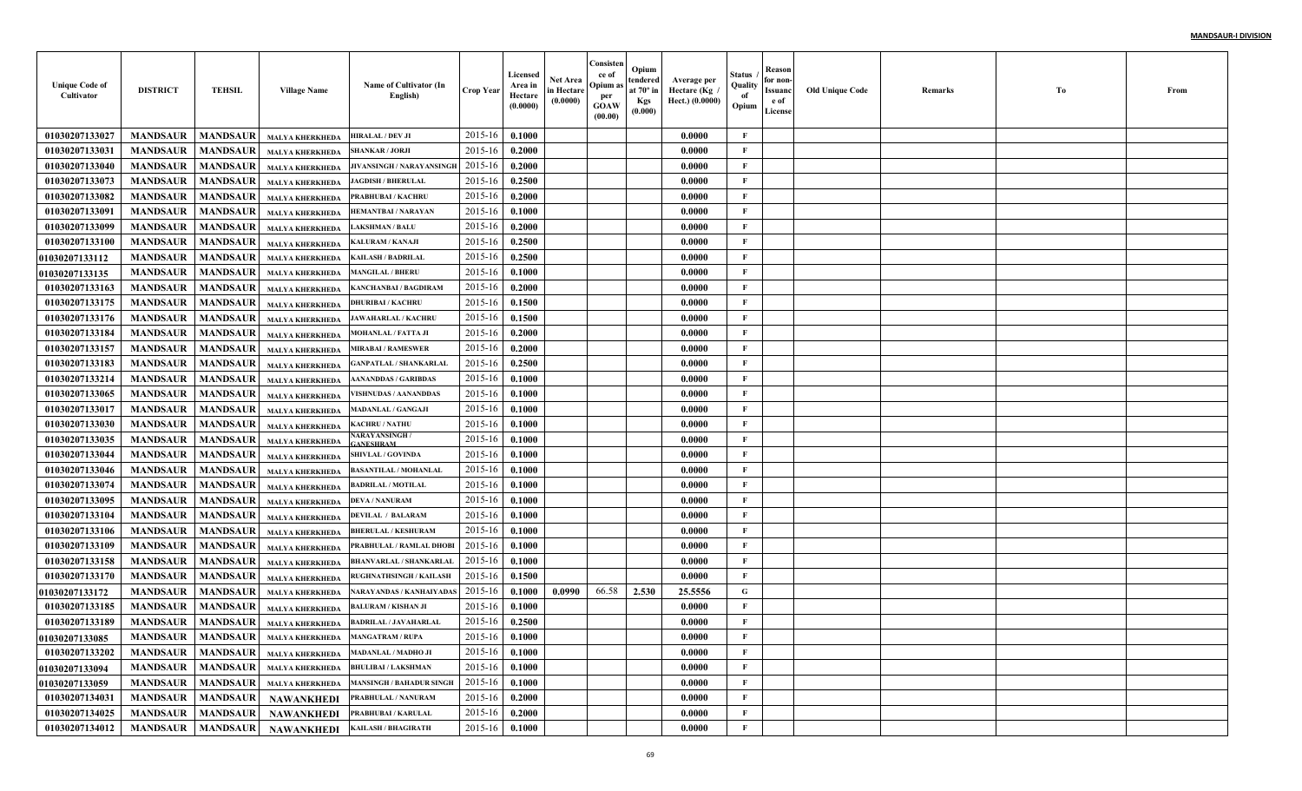| <b>Unique Code of</b><br>Cultivator | <b>DISTRICT</b> | <b>TEHSIL</b>   | <b>Village Name</b>                                    | Name of Cultivator (In<br>English)       | <b>Crop Year</b> | Licensed<br>Area in<br>Hectare<br>(0.0000) | <b>Net Area</b><br>in Hectare<br>(0.0000) | Consisten<br>ce of<br>Opium as<br>per<br><b>GOAW</b><br>(00.00) | Opium<br>tendered<br>at $70^\circ$ in<br><b>Kgs</b><br>(0.000) | Average per<br>Hectare (Kg)<br>Hect.) (0.0000) | Status<br>Quality<br>of<br>Opium | Reason<br>for non-<br>Issuanc<br>e of<br>License | <b>Old Unique Code</b> | Remarks | Tо | From |
|-------------------------------------|-----------------|-----------------|--------------------------------------------------------|------------------------------------------|------------------|--------------------------------------------|-------------------------------------------|-----------------------------------------------------------------|----------------------------------------------------------------|------------------------------------------------|----------------------------------|--------------------------------------------------|------------------------|---------|----|------|
| 01030207133027                      | <b>MANDSAUR</b> | <b>MANDSAUR</b> | <b>MALYA KHERKHEDA</b>                                 | HIRALAL / DEV JI                         | 2015-16          | 0.1000                                     |                                           |                                                                 |                                                                | 0.0000                                         | F                                |                                                  |                        |         |    |      |
| 01030207133031                      | <b>MANDSAUR</b> | <b>MANDSAUR</b> | <b>MALYA KHERKHEDA</b>                                 | <b>SHANKAR / JORJI</b>                   | 2015-16          | 0.2000                                     |                                           |                                                                 |                                                                | 0.0000                                         | F                                |                                                  |                        |         |    |      |
| 01030207133040                      | <b>MANDSAUR</b> | <b>MANDSAUR</b> | <b>MALYA KHERKHEDA</b>                                 | JIVANSINGH / NARAYANSINGI                | 2015-16          | 0.2000                                     |                                           |                                                                 |                                                                | 0.0000                                         | $\mathbf{F}$                     |                                                  |                        |         |    |      |
| 01030207133073                      | <b>MANDSAUR</b> | <b>MANDSAUR</b> | <b>MALYA KHERKHEDA</b>                                 | <b>JAGDISH / BHERULAL</b>                | 2015-16          | 0.2500                                     |                                           |                                                                 |                                                                | 0.0000                                         | $\mathbf{F}$                     |                                                  |                        |         |    |      |
| 01030207133082                      | <b>MANDSAUR</b> | <b>MANDSAUR</b> | <b>MALYA KHERKHEDA</b>                                 | PRABHUBAI / KACHRU                       | 2015-16          | 0.2000                                     |                                           |                                                                 |                                                                | 0.0000                                         | $\mathbf{F}$                     |                                                  |                        |         |    |      |
| 01030207133091                      | <b>MANDSAUR</b> | <b>MANDSAUR</b> | <b>MALYA KHERKHEDA</b>                                 | <b>HEMANTBAI/NARAYAN</b>                 | 2015-16          | 0.1000                                     |                                           |                                                                 |                                                                | 0.0000                                         | F                                |                                                  |                        |         |    |      |
| 01030207133099                      | <b>MANDSAUR</b> | <b>MANDSAUR</b> | <b>MALYA KHERKHEDA</b>                                 | <b>LAKSHMAN / BALU</b>                   | 2015-16          | 0.2000                                     |                                           |                                                                 |                                                                | 0.0000                                         | F                                |                                                  |                        |         |    |      |
| 01030207133100                      | <b>MANDSAUR</b> | <b>MANDSAUR</b> | <b>MALYA KHERKHEDA</b>                                 | <b>KALURAM / KANAJI</b>                  | 2015-16          | 0.2500                                     |                                           |                                                                 |                                                                | 0.0000                                         | $\mathbf{F}$                     |                                                  |                        |         |    |      |
| <b>01030207133112</b>               | <b>MANDSAUR</b> | <b>MANDSAUR</b> | <b>MALYA KHERKHEDA</b>                                 | <b>KAILASH / BADRILAL</b>                | 2015-16          | 0.2500                                     |                                           |                                                                 |                                                                | 0.0000                                         | $\mathbf{F}$                     |                                                  |                        |         |    |      |
| <b>01030207133135</b>               | <b>MANDSAUR</b> | <b>MANDSAUR</b> | <b>MALYA KHERKHEDA</b>                                 | <b>MANGILAL / BHERU</b>                  | 2015-16          | 0.1000                                     |                                           |                                                                 |                                                                | 0.0000                                         | $\mathbf{F}$                     |                                                  |                        |         |    |      |
| 01030207133163                      | <b>MANDSAUR</b> | <b>MANDSAUR</b> | <b>MALYA KHERKHEDA</b>                                 | KANCHANBAI / BAGDIRAM                    | 2015-16          | 0.2000                                     |                                           |                                                                 |                                                                | 0.0000                                         | $\mathbf{F}$                     |                                                  |                        |         |    |      |
| 01030207133175                      | <b>MANDSAUR</b> | <b>MANDSAUR</b> | <b>MALYA KHERKHEDA</b>                                 | <b>DHURIBAI / KACHRU</b>                 | 2015-16          | 0.1500                                     |                                           |                                                                 |                                                                | 0.0000                                         | $\mathbf{F}$                     |                                                  |                        |         |    |      |
| 01030207133176                      | <b>MANDSAUR</b> | <b>MANDSAUR</b> | <b>MALYA KHERKHEDA</b>                                 | <b>JAWAHARLAL / KACHRI</b>               | 2015-16          | 0.1500                                     |                                           |                                                                 |                                                                | 0.0000                                         | $\mathbf{F}$                     |                                                  |                        |         |    |      |
| 01030207133184                      | <b>MANDSAUR</b> | <b>MANDSAUR</b> | <b>MALYA KHERKHEDA</b>                                 | <b>MOHANLAL / FATTA JI</b>               | 2015-16          | 0.2000                                     |                                           |                                                                 |                                                                | 0.0000                                         | $\mathbf{F}$                     |                                                  |                        |         |    |      |
| 01030207133157                      | <b>MANDSAUR</b> | <b>MANDSAUR</b> | <b>MALYA KHERKHEDA</b>                                 | <b>MIRABAI/RAMESWER</b>                  | 2015-16          | 0.2000                                     |                                           |                                                                 |                                                                | 0.0000                                         | $\mathbf{F}$                     |                                                  |                        |         |    |      |
| 01030207133183                      | <b>MANDSAUR</b> | <b>MANDSAUR</b> | <b>MALYA KHERKHEDA</b>                                 | <b>GANPATLAL / SHANKARLA</b> I           | 2015-16          | 0.2500                                     |                                           |                                                                 |                                                                | 0.0000                                         | $\mathbf{F}$                     |                                                  |                        |         |    |      |
| 01030207133214                      | <b>MANDSAUR</b> | <b>MANDSAUR</b> | <b>MALYA KHERKHEDA</b>                                 | <b>AANANDDAS / GARIBDAS</b>              | 2015-16          | 0.1000                                     |                                           |                                                                 |                                                                | 0.0000                                         | $\mathbf{F}$                     |                                                  |                        |         |    |      |
| 01030207133065                      | <b>MANDSAUR</b> | <b>MANDSAUR</b> | <b>MALYA KHERKHEDA</b>                                 | <b>VISHNUDAS / AANANDDAS</b>             | 2015-16          | 0.1000                                     |                                           |                                                                 |                                                                | 0.0000                                         | $\mathbf{F}$                     |                                                  |                        |         |    |      |
| 01030207133017                      | <b>MANDSAUR</b> | <b>MANDSAUR</b> | <b>MALYA KHERKHEDA</b>                                 | <b>MADANLAL / GANGAJI</b>                | 2015-16          | 0.1000                                     |                                           |                                                                 |                                                                | 0.0000                                         | $\mathbf{F}$                     |                                                  |                        |         |    |      |
| 01030207133030                      | <b>MANDSAUR</b> | <b>MANDSAUR</b> | <b>MALYA KHERKHEDA</b>                                 | <b>KACHRU / NATHU</b>                    | 2015-16          | 0.1000                                     |                                           |                                                                 |                                                                | 0.0000                                         | $\mathbf{F}$                     |                                                  |                        |         |    |      |
| 01030207133035                      | <b>MANDSAUR</b> | <b>MANDSAUR</b> | <b>MALYA KHERKHEDA</b>                                 | <b>VARAYANSINGH/</b><br><b>ANESHRAM</b>  | 2015-16          | 0.1000                                     |                                           |                                                                 |                                                                | 0.0000                                         | $\mathbf{F}$                     |                                                  |                        |         |    |      |
| 01030207133044                      | <b>MANDSAUR</b> | <b>MANDSAUR</b> | <b>MALYA KHERKHEDA</b>                                 | <b>SHIVLAL / GOVINDA</b>                 | 2015-16          | 0.1000                                     |                                           |                                                                 |                                                                | 0.0000                                         | $\mathbf{F}$                     |                                                  |                        |         |    |      |
| 01030207133046                      | <b>MANDSAUR</b> | <b>MANDSAUR</b> | <b>MALYA KHERKHEDA</b>                                 | <b>BASANTILAL / MOHANLAI</b>             | 2015-16          | 0.1000                                     |                                           |                                                                 |                                                                | 0.0000                                         | $\mathbf{F}$                     |                                                  |                        |         |    |      |
| 01030207133074                      | <b>MANDSAUR</b> | <b>MANDSAUR</b> | <b>MALYA KHERKHEDA</b>                                 | <b>BADRILAL / MOTILAL</b>                | 2015-16          | 0.1000                                     |                                           |                                                                 |                                                                | 0.0000                                         | $\mathbf{F}$                     |                                                  |                        |         |    |      |
| 01030207133095                      | <b>MANDSAUR</b> | <b>MANDSAUR</b> | <b>MALYA KHERKHEDA</b>                                 | <b>DEVA / NANURAM</b>                    | 2015-16          | 0.1000                                     |                                           |                                                                 |                                                                | 0.0000                                         | $\mathbf{F}$                     |                                                  |                        |         |    |      |
| 01030207133104                      | <b>MANDSAUR</b> | <b>MANDSAUR</b> | <b>MALYA KHERKHEDA</b>                                 | <b>DEVILAL / BALARAM</b>                 | 2015-16          | 0.1000                                     |                                           |                                                                 |                                                                | 0.0000                                         | $\mathbf{F}$                     |                                                  |                        |         |    |      |
| 01030207133106                      | <b>MANDSAUR</b> | <b>MANDSAUR</b> | <b>MALYA KHERKHEDA</b>                                 | <b>BHERULAL / KESHURAM</b>               | 2015-16          | 0.1000                                     |                                           |                                                                 |                                                                | 0.0000                                         | F                                |                                                  |                        |         |    |      |
| 01030207133109                      | <b>MANDSAUR</b> | <b>MANDSAUR</b> | <b>MALYA KHERKHEDA</b>                                 | PRABHULAL / RAMLAL DHOB                  | 2015-16          | 0.1000                                     |                                           |                                                                 |                                                                | 0.0000                                         | $\mathbf{F}$                     |                                                  |                        |         |    |      |
| 01030207133158                      | <b>MANDSAUR</b> | <b>MANDSAUR</b> | <b>MALYA KHERKHEDA</b>                                 | <b>BHANVARLAL / SHANKARLAI</b>           | 2015-16          | 0.1000                                     |                                           |                                                                 |                                                                | 0.0000                                         | $\mathbf{F}$                     |                                                  |                        |         |    |      |
| 01030207133170                      | <b>MANDSAUR</b> | <b>MANDSAUR</b> | <b>MALYA KHERKHEDA</b>                                 | <b>RUGHNATHSINGH / KAILASH</b>           | 2015-16          | 0.1500                                     |                                           |                                                                 |                                                                | 0.0000                                         | $\mathbf{F}$                     |                                                  |                        |         |    |      |
| 01030207133172                      | <b>MANDSAUR</b> | <b>MANDSAUR</b> | <b>MALYA KHERKHEDA</b>                                 | <b>NARAYANDAS / KANHAIYADA</b>           | 2015-16          | 0.1000                                     | 0.0990                                    | 66.58                                                           | 2.530                                                          | 25.5556                                        | G                                |                                                  |                        |         |    |      |
| 01030207133185                      | <b>MANDSAUR</b> | <b>MANDSAUR</b> | <b>MALYA KHERKHEDA</b>                                 | <b>BALURAM / KISHAN JI</b>               | 2015-16          | 0.1000                                     |                                           |                                                                 |                                                                | 0.0000                                         | F                                |                                                  |                        |         |    |      |
| 01030207133189                      | <b>MANDSAUR</b> | <b>MANDSAUR</b> | <b>MALYA KHERKHEDA</b>                                 | <b>BADRILAL / JAVAHARLAL</b>             | 2015-16          | 0.2500                                     |                                           |                                                                 |                                                                | 0.0000                                         | F                                |                                                  |                        |         |    |      |
| <b>01030207133085</b>               |                 |                 | MANDSAUR   MANDSAUR   MALYA KHERKHEDA   MANGATRAM/RUPA |                                          | 2015-16 0.1000   |                                            |                                           |                                                                 |                                                                | 0.0000                                         | F                                |                                                  |                        |         |    |      |
| 01030207133202                      | <b>MANDSAUR</b> | <b>MANDSAUR</b> | <b>MALYA KHERKHEDA</b>                                 | <b>MADANLAL / MADHO JI</b>               | 2015-16          | 0.1000                                     |                                           |                                                                 |                                                                | 0.0000                                         | $\mathbf F$                      |                                                  |                        |         |    |      |
| 01030207133094                      | <b>MANDSAUR</b> | <b>MANDSAUR</b> |                                                        | MALYA KHERKHEDA BHULIBAI / LAKSHMAN      | 2015-16          | 0.1000                                     |                                           |                                                                 |                                                                | 0.0000                                         | $\mathbf{F}$                     |                                                  |                        |         |    |      |
| 01030207133059                      | <b>MANDSAUR</b> | <b>MANDSAUR</b> |                                                        | MALYA KHERKHEDA MANSINGH / BAHADUR SINGH | 2015-16          | 0.1000                                     |                                           |                                                                 |                                                                | 0.0000                                         | $\mathbf{F}$                     |                                                  |                        |         |    |      |
| 01030207134031                      | <b>MANDSAUR</b> | <b>MANDSAUR</b> | NAWANKHEDI                                             | PRABHULAL / NANURAM                      | 2015-16          | 0.2000                                     |                                           |                                                                 |                                                                | 0.0000                                         | $\mathbf{F}$                     |                                                  |                        |         |    |      |
| 01030207134025                      | <b>MANDSAUR</b> | <b>MANDSAUR</b> | NAWANKHEDI                                             | PRABHUBAI / KARULAL                      | 2015-16          | 0.2000                                     |                                           |                                                                 |                                                                | 0.0000                                         | $\mathbf{F}$                     |                                                  |                        |         |    |      |
| 01030207134012                      | <b>MANDSAUR</b> | <b>MANDSAUR</b> |                                                        | NAWANKHEDI KAILASH / BHAGIRATH           | 2015-16          | 0.1000                                     |                                           |                                                                 |                                                                | 0.0000                                         | $\mathbf{F}$                     |                                                  |                        |         |    |      |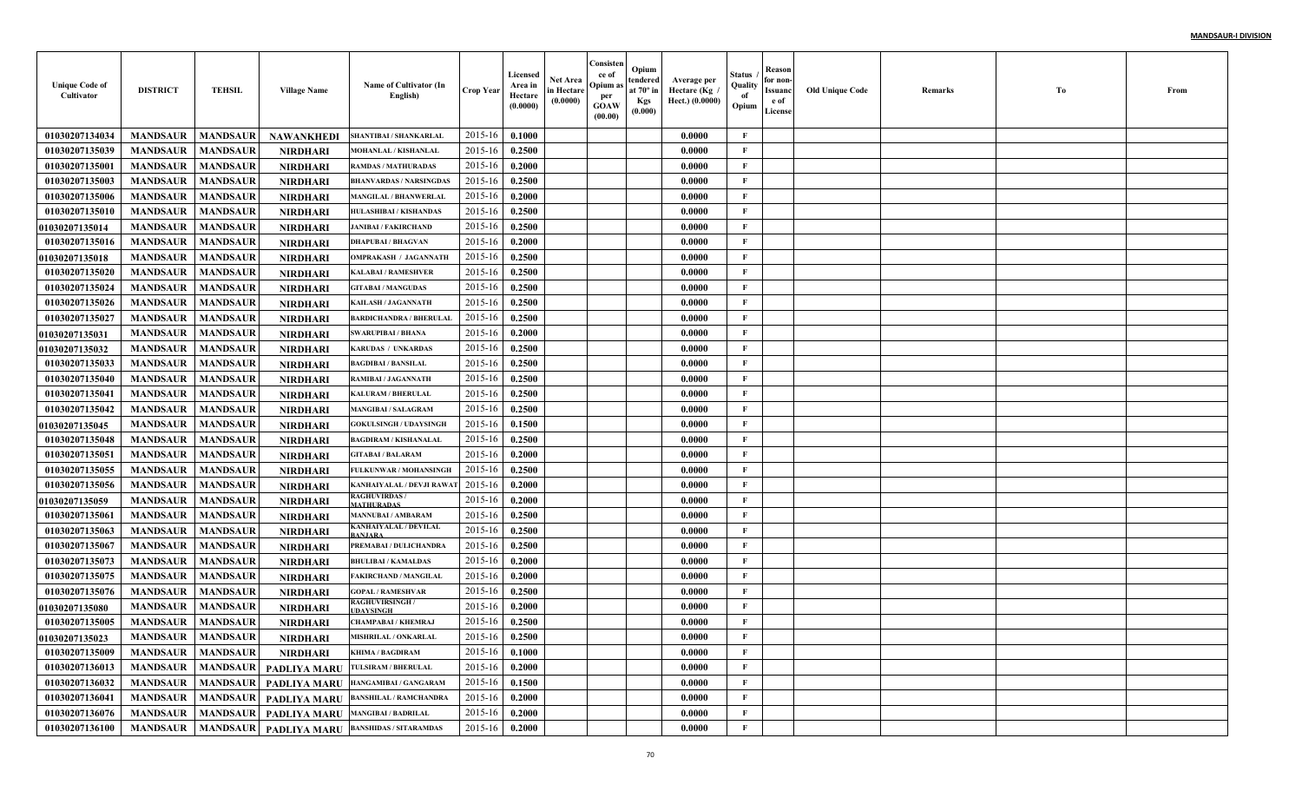| <b>Unique Code of</b><br>Cultivator | <b>DISTRICT</b>            | <b>TEHSIL</b>   | <b>Village Name</b>              | Name of Cultivator (In<br>English)              | <b>Crop Year</b> | Licensed<br>Area in<br>Hectare<br>(0.0000) | Net Area<br>in Hectare<br>(0.0000) | Consisten<br>ce of<br>Opium a<br>per<br><b>GOAW</b><br>(00.00) | Opium<br>tendered<br>at $70^\circ$ in<br><b>Kgs</b><br>(0.000) | Average per<br>Hectare (Kg<br>Hect.) (0.0000) | Status<br>Quality<br>of<br>Opium | Reason<br>for non-<br>Issuanc<br>e of<br>License | <b>Old Unique Code</b> | Remarks | Тo | From |
|-------------------------------------|----------------------------|-----------------|----------------------------------|-------------------------------------------------|------------------|--------------------------------------------|------------------------------------|----------------------------------------------------------------|----------------------------------------------------------------|-----------------------------------------------|----------------------------------|--------------------------------------------------|------------------------|---------|----|------|
| 01030207134034                      | <b>MANDSAUR</b>            | <b>MANDSAUR</b> | NAWANKHEDI                       | SHANTIBAI / SHANKARLAI                          | 2015-16          | 0.1000                                     |                                    |                                                                |                                                                | 0.0000                                        | F                                |                                                  |                        |         |    |      |
| 01030207135039                      | <b>MANDSAUR</b>            | <b>MANDSAUR</b> | <b>NIRDHARI</b>                  | <b>MOHANLAL / KISHANLAI</b>                     | 2015-16          | 0.2500                                     |                                    |                                                                |                                                                | 0.0000                                        | $\mathbf{F}$                     |                                                  |                        |         |    |      |
| 01030207135001                      | <b>MANDSAUR</b>            | <b>MANDSAUR</b> | <b>NIRDHARI</b>                  | <b>RAMDAS / MATHURADAS</b>                      | 2015-16          | 0.2000                                     |                                    |                                                                |                                                                | 0.0000                                        | F                                |                                                  |                        |         |    |      |
| 01030207135003                      | <b>MANDSAUR</b>            | <b>MANDSAUR</b> | <b>NIRDHARI</b>                  | <b>BHANVARDAS / NARSINGDAS</b>                  | 2015-16          | 0.2500                                     |                                    |                                                                |                                                                | 0.0000                                        | $\mathbf{F}$                     |                                                  |                        |         |    |      |
| 01030207135006                      | <b>MANDSAUR</b>            | <b>MANDSAUR</b> | <b>NIRDHARI</b>                  | <b>MANGILAL / BHANWERLAI</b>                    | 2015-16          | 0.2000                                     |                                    |                                                                |                                                                | 0.0000                                        | $\mathbf{F}$                     |                                                  |                        |         |    |      |
| 01030207135010                      | <b>MANDSAUR</b>            | <b>MANDSAUR</b> | <b>NIRDHARI</b>                  | HULASHIBAI / KISHANDAS                          | 2015-16          | 0.2500                                     |                                    |                                                                |                                                                | 0.0000                                        | $\mathbf{F}$                     |                                                  |                        |         |    |      |
| 01030207135014                      | <b>MANDSAUR</b>            | <b>MANDSAUR</b> | <b>NIRDHARI</b>                  | <b>JANIBAI / FAKIRCHAND</b>                     | 2015-16          | 0.2500                                     |                                    |                                                                |                                                                | 0.0000                                        | $\mathbf{F}$                     |                                                  |                        |         |    |      |
| 01030207135016                      | <b>MANDSAUR</b>            | <b>MANDSAUR</b> | <b>NIRDHARI</b>                  | <b>DHAPUBAI / BHAGVAN</b>                       | 2015-16          | 0.2000                                     |                                    |                                                                |                                                                | 0.0000                                        | F                                |                                                  |                        |         |    |      |
| <b>01030207135018</b>               | <b>MANDSAUR</b>            | <b>MANDSAUR</b> | <b>NIRDHARI</b>                  | <b>OMPRAKASH / JAGANNATH</b>                    | 2015-16          | 0.2500                                     |                                    |                                                                |                                                                | 0.0000                                        | F                                |                                                  |                        |         |    |      |
| 01030207135020                      | <b>MANDSAUR</b>            | <b>MANDSAUR</b> | <b>NIRDHARI</b>                  | <b>KALABAI/RAMESHVER</b>                        | 2015-16          | 0.2500                                     |                                    |                                                                |                                                                | 0.0000                                        | $\mathbf{F}$                     |                                                  |                        |         |    |      |
| 01030207135024                      | <b>MANDSAUR</b>            | <b>MANDSAUR</b> | <b>NIRDHARI</b>                  | <b>GITABAI / MANGUDAS</b>                       | 2015-16          | 0.2500                                     |                                    |                                                                |                                                                | 0.0000                                        | $\mathbf{F}$                     |                                                  |                        |         |    |      |
| 01030207135026                      | <b>MANDSAUR</b>            | <b>MANDSAUR</b> | NIRDHARI                         | KAILASH / JAGANNATH                             | 2015-16          | 0.2500                                     |                                    |                                                                |                                                                | 0.0000                                        | $\mathbf{F}$                     |                                                  |                        |         |    |      |
| 01030207135027                      | <b>MANDSAUR</b>            | <b>MANDSAUR</b> | <b>NIRDHARI</b>                  | <b>BARDICHANDRA / BHERULAL</b>                  | 2015-16          | 0.2500                                     |                                    |                                                                |                                                                | 0.0000                                        | $\mathbf{F}$                     |                                                  |                        |         |    |      |
| <b>01030207135031</b>               | <b>MANDSAUR</b>            | <b>MANDSAUR</b> | <b>NIRDHARI</b>                  | <b>SWARUPIBAI / BHANA</b>                       | 2015-16          | 0.2000                                     |                                    |                                                                |                                                                | 0.0000                                        | $\mathbf{F}$                     |                                                  |                        |         |    |      |
| <b>01030207135032</b>               | <b>MANDSAUR</b>            | <b>MANDSAUR</b> | <b>NIRDHARI</b>                  | <b>KARUDAS / UNKARDAS</b>                       | 2015-16          | 0.2500                                     |                                    |                                                                |                                                                | 0.0000                                        | $\mathbf{F}$                     |                                                  |                        |         |    |      |
| 01030207135033                      | <b>MANDSAUR</b>            | <b>MANDSAUR</b> | <b>NIRDHARI</b>                  | <b>BAGDIBAI / BANSILAL</b>                      | 2015-16          | 0.2500                                     |                                    |                                                                |                                                                | 0.0000                                        | $\mathbf{F}$                     |                                                  |                        |         |    |      |
| 01030207135040                      | <b>MANDSAUR</b>            | <b>MANDSAUR</b> | <b>NIRDHARI</b>                  | RAMIBAI / JAGANNATH                             | 2015-16          | 0.2500                                     |                                    |                                                                |                                                                | 0.0000                                        | $\mathbf{F}$                     |                                                  |                        |         |    |      |
| 01030207135041                      | <b>MANDSAUR</b>            | <b>MANDSAUR</b> | <b>NIRDHARI</b>                  | <b>KALURAM / BHERULAL</b>                       | 2015-16          | 0.2500                                     |                                    |                                                                |                                                                | 0.0000                                        | $\mathbf{F}$                     |                                                  |                        |         |    |      |
| 01030207135042                      | <b>MANDSAUR</b>            | <b>MANDSAUR</b> | <b>NIRDHARI</b>                  | <b>MANGIBAI / SALAGRAM</b>                      | 2015-16          | 0.2500                                     |                                    |                                                                |                                                                | 0.0000                                        | $\mathbf{F}$                     |                                                  |                        |         |    |      |
| 01030207135045                      | <b>MANDSAUR</b>            | <b>MANDSAUR</b> | <b>NIRDHARI</b>                  | <b>GOKULSINGH / UDAYSINGI</b>                   | 2015-16          | 0.1500                                     |                                    |                                                                |                                                                | 0.0000                                        | $\mathbf{F}$                     |                                                  |                        |         |    |      |
| 01030207135048                      | <b>MANDSAUR</b>            | <b>MANDSAUR</b> | <b>NIRDHARI</b>                  | <b>BAGDIRAM / KISHANALAI</b>                    | 2015-16          | 0.2500                                     |                                    |                                                                |                                                                | 0.0000                                        | $\mathbf{F}$                     |                                                  |                        |         |    |      |
| 01030207135051                      | <b>MANDSAUR</b>            | <b>MANDSAUR</b> | <b>NIRDHARI</b>                  | <b>GITABAI / BALARAM</b>                        | 2015-16          | 0.2000                                     |                                    |                                                                |                                                                | 0.0000                                        | F                                |                                                  |                        |         |    |      |
| 01030207135055                      | <b>MANDSAUR</b>            | <b>MANDSAUR</b> | <b>NIRDHARI</b>                  | FULKUNWAR / MOHANSINGH                          | 2015-16          | 0.2500                                     |                                    |                                                                |                                                                | 0.0000                                        | $\mathbf{F}$                     |                                                  |                        |         |    |      |
| 01030207135056                      | <b>MANDSAUR</b>            | <b>MANDSAUR</b> | <b>NIRDHARI</b>                  | KANHAIYALAL / DEVJI RAWA                        | 2015-16          | 0.2000                                     |                                    |                                                                |                                                                | 0.0000                                        | $\mathbf{F}$                     |                                                  |                        |         |    |      |
| <b>01030207135059</b>               | <b>MANDSAUR</b>            | <b>MANDSAUR</b> | <b>NIRDHARI</b>                  | <b>RAGHUVIRDAS/</b><br>MATHURADAS               | 2015-16          | 0.2000                                     |                                    |                                                                |                                                                | 0.0000                                        | $\mathbf{F}$                     |                                                  |                        |         |    |      |
| 01030207135061                      | <b>MANDSAUR</b>            | <b>MANDSAUR</b> | <b>NIRDHARI</b>                  | <b>MANNUBAI / AMBARAM</b>                       | 2015-16          | 0.2500                                     |                                    |                                                                |                                                                | 0.0000                                        | $\mathbf{F}$                     |                                                  |                        |         |    |      |
| 01030207135063                      | <b>MANDSAUR</b>            | <b>MANDSAUR</b> | <b>NIRDHARI</b>                  | KANHAIYALAL / DEVILAL<br><b>BANJARA</b>         | 2015-16          | 0.2500                                     |                                    |                                                                |                                                                | 0.0000                                        | $\mathbf{F}$                     |                                                  |                        |         |    |      |
| 01030207135067                      | <b>MANDSAUR</b>            | <b>MANDSAUR</b> | <b>NIRDHARI</b>                  | PREMABAI / DULICHANDR                           | 2015-16          | 0.2500                                     |                                    |                                                                |                                                                | 0.0000                                        | $\mathbf{F}$                     |                                                  |                        |         |    |      |
| 01030207135073                      | <b>MANDSAUR</b>            | <b>MANDSAUR</b> | <b>NIRDHARI</b>                  | <b>BHULIBAI / KAMALDAS</b>                      | 2015-16          | 0.2000                                     |                                    |                                                                |                                                                | 0.0000                                        | $\mathbf{F}$                     |                                                  |                        |         |    |      |
| 01030207135075                      | <b>MANDSAUR</b>            | <b>MANDSAUR</b> | <b>NIRDHARI</b>                  | <b>FAKIRCHAND / MANGILA</b>                     | 2015-16          | 0.2000                                     |                                    |                                                                |                                                                | 0.0000                                        | $\mathbf{F}$                     |                                                  |                        |         |    |      |
| 01030207135076                      | <b>MANDSAUR</b>            | <b>MANDSAUR</b> | <b>NIRDHARI</b>                  | <b>GOPAL / RAMESHVAR</b>                        | 2015-16          | 0.2500                                     |                                    |                                                                |                                                                | 0.0000                                        | $\mathbf{F}$                     |                                                  |                        |         |    |      |
| <b>01030207135080</b>               | <b>MANDSAUR</b>            | <b>MANDSAUR</b> | <b>NIRDHARI</b>                  | <b>RAGHUVIRSINGH/</b><br><b>IDAYSINGH</b>       | 2015-16          | 0.2000                                     |                                    |                                                                |                                                                | 0.0000                                        | F                                |                                                  |                        |         |    |      |
| 01030207135005                      | <b>MANDSAUR</b>            | <b>MANDSAUR</b> | <b>NIRDHARI</b>                  | CHAMPABAI / KHEMRAJ                             | 2015-16          | 0.2500                                     |                                    |                                                                |                                                                | 0.0000                                        | F                                |                                                  |                        |         |    |      |
| 01030207135023                      | <b>MANDSAUR   MANDSAUR</b> |                 | <b>NIRDHARI</b>                  | <b>MISHRILAL / ONKARLAL</b>                     | $2015-16$ 0.2500 |                                            |                                    |                                                                |                                                                | 0.0000                                        | F                                |                                                  |                        |         |    |      |
| 01030207135009                      | <b>MANDSAUR</b>            | <b>MANDSAUR</b> | <b>NIRDHARI</b>                  | <b>KHIMA / BAGDIRAM</b>                         | 2015-16          | 0.1000                                     |                                    |                                                                |                                                                | 0.0000                                        | $\mathbf{F}$                     |                                                  |                        |         |    |      |
| 01030207136013                      | <b>MANDSAUR</b>            |                 |                                  | MANDSAUR PADLIYA MARU TULSIRAM/BHERULAL         | 2015-16          | 0.2000                                     |                                    |                                                                |                                                                | 0.0000                                        | $\mathbf{F}$                     |                                                  |                        |         |    |      |
| 01030207136032                      | <b>MANDSAUR</b>            |                 |                                  | MANDSAUR   PADLIYA MARU HANGAMIBAI/GANGARAM     | 2015-16          | 0.1500                                     |                                    |                                                                |                                                                | 0.0000                                        | $\mathbf F$                      |                                                  |                        |         |    |      |
| 01030207136041                      | <b>MANDSAUR</b>            | <b>MANDSAUR</b> |                                  | PADLIYA MARU BANSHILAL / RAMCHANDRA             | 2015-16          | 0.2000                                     |                                    |                                                                |                                                                | 0.0000                                        | $\mathbf{F}$                     |                                                  |                        |         |    |      |
| 01030207136076                      | <b>MANDSAUR</b>            | <b>MANDSAUR</b> | PADLIYA MARU MANGIBAI / BADRILAL |                                                 | 2015-16          | 0.2000                                     |                                    |                                                                |                                                                | 0.0000                                        | $\mathbf{F}$                     |                                                  |                        |         |    |      |
| 01030207136100                      | <b>MANDSAUR</b>            |                 |                                  | MANDSAUR   PADLIYA MARU  BANSHIDAS / SITARAMDAS | 2015-16          | 0.2000                                     |                                    |                                                                |                                                                | 0.0000                                        | $\mathbf F$                      |                                                  |                        |         |    |      |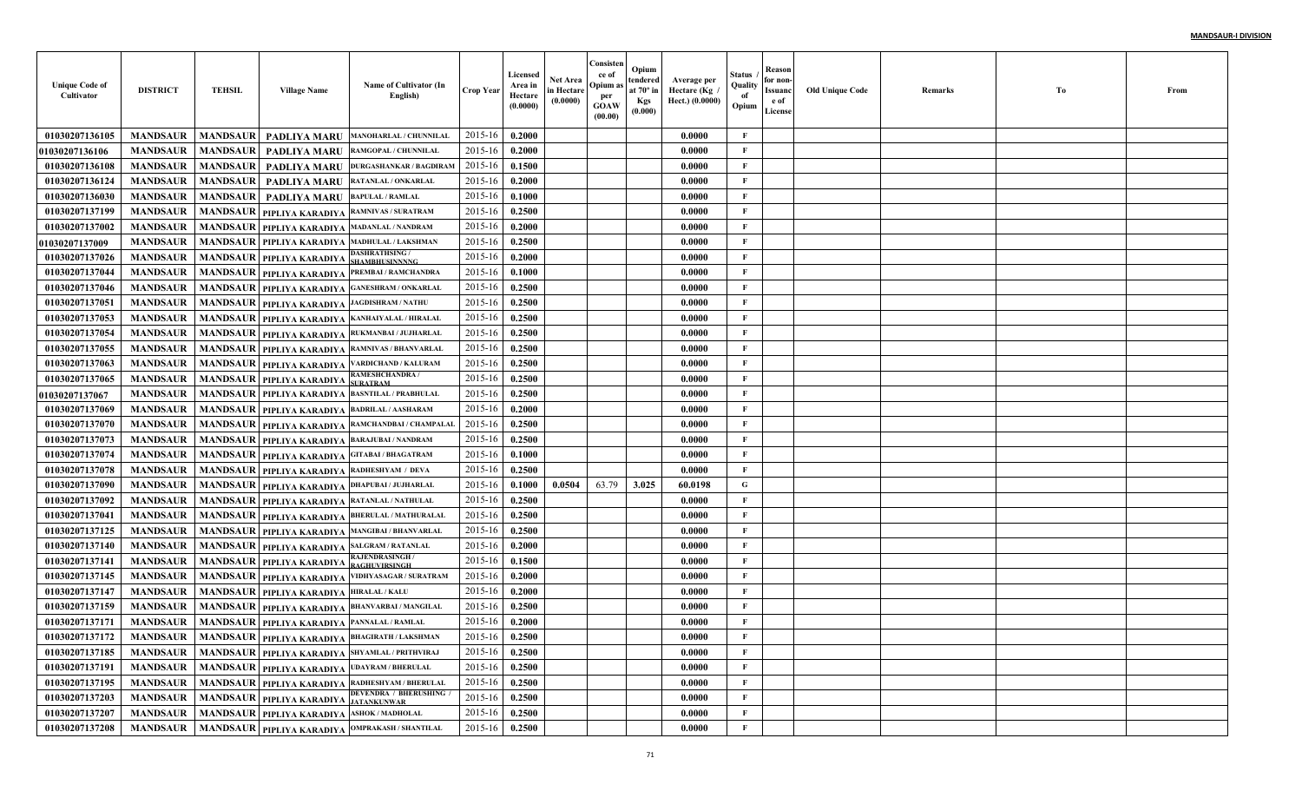| <b>Unique Code of</b><br>Cultivator | <b>DISTRICT</b> | <b>TEHSIL</b>   | <b>Village Name</b>                                | Name of Cultivator (In<br>English)                          | <b>Crop Year</b> | Licensed<br>Area in<br>Hectare<br>(0.0000) | <b>Net Area</b><br>in Hectare<br>(0.0000) | Consisten<br>ce of<br>Opium as<br>per<br><b>GOAW</b><br>(00.00) | Opium<br>tendered<br>at $70^\circ$ in<br><b>Kgs</b><br>(0.000) | Average per<br>، Hectare (Kg<br>Hect.) (0.0000) | Status<br>Quality<br>of<br>Opium | Reason<br>for non-<br>Issuanc<br>e of<br>License | Old Unique Code | Remarks | Тo | From |
|-------------------------------------|-----------------|-----------------|----------------------------------------------------|-------------------------------------------------------------|------------------|--------------------------------------------|-------------------------------------------|-----------------------------------------------------------------|----------------------------------------------------------------|-------------------------------------------------|----------------------------------|--------------------------------------------------|-----------------|---------|----|------|
| 01030207136105                      | <b>MANDSAUR</b> | <b>MANDSAUR</b> | <b>PADLIYA MARU</b>                                | MANOHARLAL / CHUNNILAL                                      | 2015-16          | 0.2000                                     |                                           |                                                                 |                                                                | 0.0000                                          | F                                |                                                  |                 |         |    |      |
| <b>01030207136106</b>               | <b>MANDSAUR</b> | <b>MANDSAUR</b> | <b>PADLIYA MARU</b>                                | RAMGOPAL / CHUNNILAI                                        | 2015-16          | 0.2000                                     |                                           |                                                                 |                                                                | 0.0000                                          | F                                |                                                  |                 |         |    |      |
| 01030207136108                      | <b>MANDSAUR</b> | <b>MANDSAUR</b> | <b>PADLIYA MARU</b>                                | <b>DURGASHANKAR / BAGDIRAM</b>                              | 2015-16          | 0.1500                                     |                                           |                                                                 |                                                                | 0.0000                                          | $\mathbf{F}$                     |                                                  |                 |         |    |      |
| 01030207136124                      | <b>MANDSAUR</b> | <b>MANDSAUR</b> | <b>PADLIYA MARU</b>                                | RATANLAL / ONKARLAI                                         | 2015-16          | 0.2000                                     |                                           |                                                                 |                                                                | 0.0000                                          | $\mathbf{F}$                     |                                                  |                 |         |    |      |
| 01030207136030                      | <b>MANDSAUR</b> | <b>MANDSAUR</b> | PADLIYA MARU                                       | <b>BAPULAL / RAMLAL</b>                                     | 2015-16          | 0.1000                                     |                                           |                                                                 |                                                                | 0.0000                                          | $\mathbf{F}$                     |                                                  |                 |         |    |      |
| 01030207137199                      | <b>MANDSAUR</b> | <b>MANDSAUR</b> | PIPLIYA KARADIYA                                   | <b>RAMNIVAS / SURATRAM</b>                                  | 2015-16          | 0.2500                                     |                                           |                                                                 |                                                                | 0.0000                                          | $\mathbf{F}$                     |                                                  |                 |         |    |      |
| 01030207137002                      | <b>MANDSAUR</b> |                 | MANDSAUR   PIPLIYA KARADIYA MADANLAL / NANDRAM     |                                                             | 2015-16          | 0.2000                                     |                                           |                                                                 |                                                                | 0.0000                                          | $\mathbf{F}$                     |                                                  |                 |         |    |      |
| <b>01030207137009</b>               | <b>MANDSAUR</b> |                 |                                                    | MANDSAUR   PIPLIYA KARADIYA   MADHULAL / LAKSHMAN           | 2015-16          | 0.2500                                     |                                           |                                                                 |                                                                | 0.0000                                          | $\mathbf{F}$                     |                                                  |                 |         |    |      |
| 01030207137026                      | <b>MANDSAUR</b> | <b>MANDSAUR</b> | PIPLIYA KARADIYA SHAMBHUSINNNNG                    | <b>DASHRATHSING</b>                                         | 2015-16          | 0.2000                                     |                                           |                                                                 |                                                                | 0.0000                                          | $\mathbf{F}$                     |                                                  |                 |         |    |      |
| 01030207137044                      | <b>MANDSAUR</b> | <b>MANDSAUR</b> | PIPLIYA KARADIYA                                   | PREMBAI / RAMCHANDRA                                        | 2015-16          | 0.1000                                     |                                           |                                                                 |                                                                | 0.0000                                          | $\mathbf{F}$                     |                                                  |                 |         |    |      |
| 01030207137046                      | <b>MANDSAUR</b> | <b>MANDSAUR</b> |                                                    | PIPLIYA KARADIYA GANESHRAM / ONKARLAL                       | 2015-16          | 0.2500                                     |                                           |                                                                 |                                                                | 0.0000                                          | $\mathbf{F}$                     |                                                  |                 |         |    |      |
| 01030207137051                      | <b>MANDSAUR</b> | <b>MANDSAUR</b> | PIPLIYA KARADIYA JAGDISHRAM / NATHU                |                                                             | 2015-16          | 0.2500                                     |                                           |                                                                 |                                                                | 0.0000                                          | $\mathbf{F}$                     |                                                  |                 |         |    |      |
| 01030207137053                      | <b>MANDSAUR</b> |                 |                                                    | MANDSAUR   PIPLIYA KARADIYA KANHAIYALAL / HIRALAL           | 2015-16          | 0.2500                                     |                                           |                                                                 |                                                                | 0.0000                                          | $\mathbf{F}$                     |                                                  |                 |         |    |      |
| 01030207137054                      | <b>MANDSAUR</b> |                 |                                                    | MANDSAUR   PIPLIYA KARADIYA   RUKMANBAI / JUJHARLAI         | 2015-16          | 0.2500                                     |                                           |                                                                 |                                                                | 0.0000                                          | $\mathbf{F}$                     |                                                  |                 |         |    |      |
| 01030207137055                      | <b>MANDSAUR</b> |                 |                                                    | MANDSAUR   PIPLIYA KARADIYA   RAMNIVAS / BHANVARLAL         | 2015-16          | 0.2500                                     |                                           |                                                                 |                                                                | 0.0000                                          | $\mathbf{F}$                     |                                                  |                 |         |    |      |
| 01030207137063                      | <b>MANDSAUR</b> |                 |                                                    | MANDSAUR   PIPLIYA KARADIYA VARDICHAND / KALURAM            | 2015-16          | 0.2500                                     |                                           |                                                                 |                                                                | 0.0000                                          | $\mathbf{F}$                     |                                                  |                 |         |    |      |
| 01030207137065                      | <b>MANDSAUR</b> |                 | MANDSAUR   PIPLIYA KARADIYA SURATRAM               | RAMESHCHANDRA/                                              | 2015-16          | 0.2500                                     |                                           |                                                                 |                                                                | 0.0000                                          | $\mathbf{F}$                     |                                                  |                 |         |    |      |
| <b>01030207137067</b>               | <b>MANDSAUR</b> |                 |                                                    | MANDSAUR PIPLIYA KARADIYA BASNTILAL / PRABHULAL             | 2015-16          | 0.2500                                     |                                           |                                                                 |                                                                | 0.0000                                          | $\mathbf{F}$                     |                                                  |                 |         |    |      |
| 01030207137069                      | <b>MANDSAUR</b> |                 | MANDSAUR   PIPLIYA KARADIYA  BADRILAL / AASHARAM   |                                                             | 2015-16          | 0.2000                                     |                                           |                                                                 |                                                                | 0.0000                                          | F                                |                                                  |                 |         |    |      |
| 01030207137070                      | <b>MANDSAUR</b> |                 |                                                    | MANDSAUR   PIPLIYA KARADIYA  RAMCHANDBAI / CHAMPALAI        | 2015-16          | 0.2500                                     |                                           |                                                                 |                                                                | 0.0000                                          | F                                |                                                  |                 |         |    |      |
| 01030207137073                      | <b>MANDSAUR</b> |                 | MANDSAUR   PIPLIYA KARADIYA  BARAJUBAI / NANDRAM   |                                                             | 2015-16          | 0.2500                                     |                                           |                                                                 |                                                                | 0.0000                                          | F                                |                                                  |                 |         |    |      |
| 01030207137074                      | <b>MANDSAUR</b> |                 | MANDSAUR   PIPLIYA KARADIYA GITABAI / BHAGATRAM    |                                                             | 2015-16          | 0.1000                                     |                                           |                                                                 |                                                                | 0.0000                                          | $\mathbf{F}$                     |                                                  |                 |         |    |      |
| 01030207137078                      | <b>MANDSAUR</b> |                 | MANDSAUR   PIPLIYA KARADIYA RADHESHYAM / DEVA      |                                                             | 2015-16          | 0.2500                                     |                                           |                                                                 |                                                                | 0.0000                                          | $\mathbf{F}$                     |                                                  |                 |         |    |      |
| 01030207137090                      | <b>MANDSAUR</b> |                 | MANDSAUR   PIPLIYA KARADIYA   DHAPUBAI / JUJHARLAL |                                                             | 2015-16          | 0.1000                                     | 0.0504                                    | 63.79                                                           | 3.025                                                          | 60.0198                                         | G                                |                                                  |                 |         |    |      |
| 01030207137092                      | <b>MANDSAUR</b> |                 | MANDSAUR   PIPLIYA KARADIYA   RATANLAL / NATHULAL  |                                                             | 2015-16          | 0.2500                                     |                                           |                                                                 |                                                                | 0.0000                                          | $\mathbf{F}$                     |                                                  |                 |         |    |      |
| 01030207137041                      | <b>MANDSAUR</b> |                 |                                                    | MANDSAUR   PIPLIYA KARADIYA  BHERULAL / MATHURALAI          | 2015-16          | 0.2500                                     |                                           |                                                                 |                                                                | 0.0000                                          | $\mathbf{F}$                     |                                                  |                 |         |    |      |
| 01030207137125                      | <b>MANDSAUR</b> |                 |                                                    | MANDSAUR   PIPLIYA KARADIYA   MANGIBAI / BHANVARLAI         | 2015-16          | 0.2500                                     |                                           |                                                                 |                                                                | 0.0000                                          | $\mathbf{F}$                     |                                                  |                 |         |    |      |
| 01030207137140                      | <b>MANDSAUR</b> | <b>MANDSAUR</b> | PIPLIYA KARADIYA SALGRAM / RATANLAL                |                                                             | 2015-16          | 0.2000                                     |                                           |                                                                 |                                                                | 0.0000                                          | $\mathbf{F}$                     |                                                  |                 |         |    |      |
| 01030207137141                      | <b>MANDSAUR</b> |                 | MANDSAUR   PIPLIYA KARADIYA RAGHUVIRSINGH          | <b>RAJENDRASINGH/</b>                                       | 2015-16          | 0.1500                                     |                                           |                                                                 |                                                                | 0.0000                                          | $\mathbf{F}$                     |                                                  |                 |         |    |      |
| 01030207137145                      | <b>MANDSAUR</b> | <b>MANDSAUR</b> | PIPLIYA KARADIYA                                   | VIDHYASAGAR / SURATRAM                                      | 2015-16          | 0.2000                                     |                                           |                                                                 |                                                                | 0.0000                                          | $\mathbf{F}$                     |                                                  |                 |         |    |      |
| 01030207137147                      | <b>MANDSAUR</b> | <b>MANDSAUR</b> | PIPLIYA KARADIYA HIRALAL / KALU                    |                                                             | 2015-16          | 0.2000                                     |                                           |                                                                 |                                                                | 0.0000                                          | $\mathbf{F}$                     |                                                  |                 |         |    |      |
| 01030207137159                      | <b>MANDSAUR</b> | <b>MANDSAUR</b> | PIPLIYA KARADIYA                                   | <b>BHANVARBAI / MANGILAI</b>                                | 2015-16          | 0.2500                                     |                                           |                                                                 |                                                                | 0.0000                                          | F                                |                                                  |                 |         |    |      |
| 01030207137171                      | <b>MANDSAUR</b> |                 | MANDSAUR   PIPLIYA KARADIYA PANNALAL / RAMLAL      |                                                             | 2015-16          | 0.2000                                     |                                           |                                                                 |                                                                | 0.0000                                          | F                                |                                                  |                 |         |    |      |
| 01030207137172                      |                 |                 |                                                    | MANDSAUR   MANDSAUR   PIPLIYA KARADIYA BHAGIRATH / LAKSHMAN | 2015-16 0.2500   |                                            |                                           |                                                                 |                                                                | 0.0000                                          | F                                |                                                  |                 |         |    |      |
| 01030207137185                      | <b>MANDSAUR</b> |                 |                                                    | MANDSAUR   PIPLIYA KARADIYA SHYAMLAL / PRITHVIRAJ           | 2015-16          | 0.2500                                     |                                           |                                                                 |                                                                | 0.0000                                          | $\mathbf F$                      |                                                  |                 |         |    |      |
| 01030207137191                      | <b>MANDSAUR</b> |                 | MANDSAUR PIPLIYA KARADIYA UDAYRAM / BHERULAL       |                                                             | 2015-16          | 0.2500                                     |                                           |                                                                 |                                                                | 0.0000                                          | $\mathbf F$                      |                                                  |                 |         |    |      |
| 01030207137195                      | <b>MANDSAUR</b> |                 |                                                    | MANDSAUR PIPLIYA KARADIYA RADHESHYAM / BHERULAL             | 2015-16          | 0.2500                                     |                                           |                                                                 |                                                                | 0.0000                                          | $\mathbf{F}$                     |                                                  |                 |         |    |      |
| 01030207137203                      | <b>MANDSAUR</b> |                 | MANDSAUR   PIPLIYA KARADIYA   JATANKUNWAR          | <b>DEVENDRA / BHERUSHING /</b>                              | 2015-16          | 0.2500                                     |                                           |                                                                 |                                                                | 0.0000                                          | $\mathbf F$                      |                                                  |                 |         |    |      |
| 01030207137207                      | <b>MANDSAUR</b> |                 | MANDSAUR   PIPLIYA KARADIYA  ASHOK/MADHOLAL        |                                                             | 2015-16          | 0.2500                                     |                                           |                                                                 |                                                                | 0.0000                                          | $\mathbf F$                      |                                                  |                 |         |    |      |
| 01030207137208                      | <b>MANDSAUR</b> |                 |                                                    | MANDSAUR   PIPLIYA KARADIYA   OMPRAKASH / SHANTILAL         | $2015 - 16$      | 0.2500                                     |                                           |                                                                 |                                                                | 0.0000                                          | $\mathbf{F}$                     |                                                  |                 |         |    |      |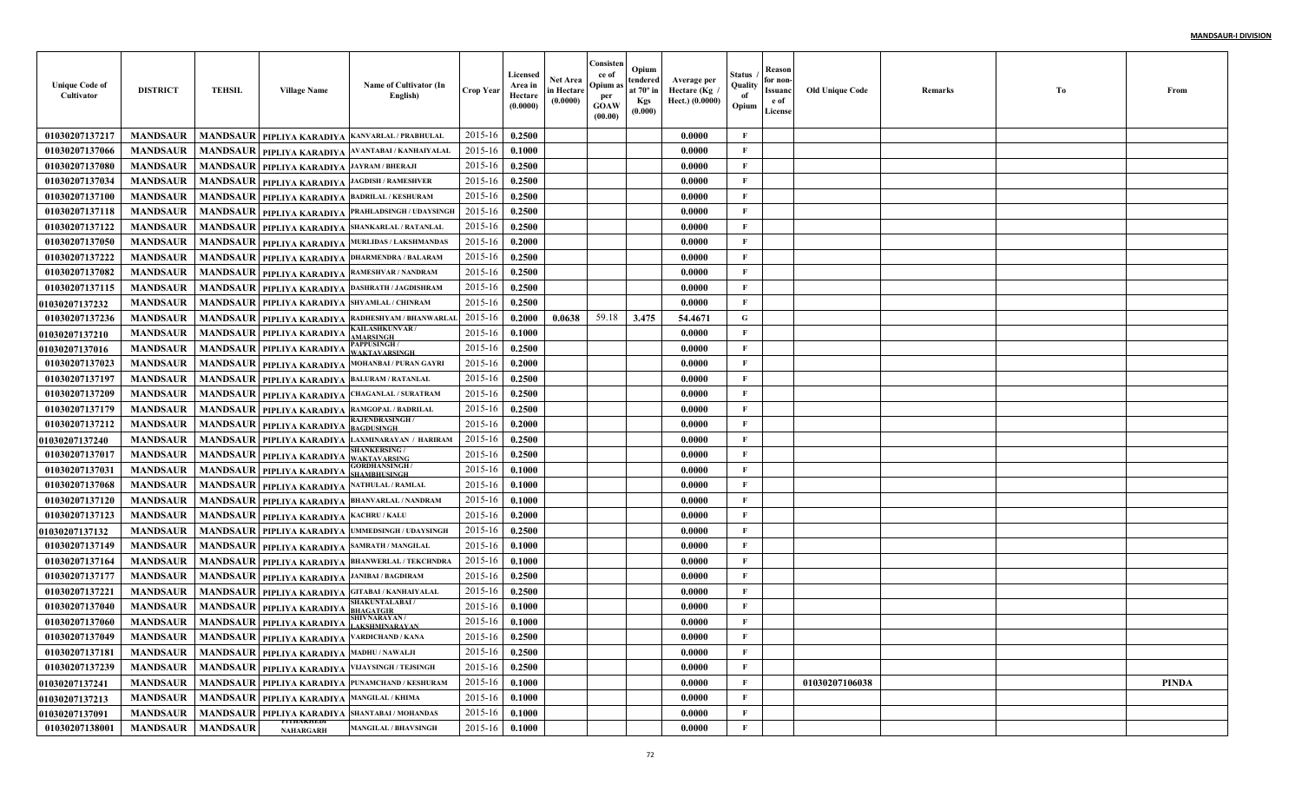| <b>Unique Code of</b><br>Cultivator | <b>DISTRICT</b> | <b>TEHSIL</b>   | <b>Village Name</b>                                      | Name of Cultivator (In<br>English)                    | <b>Crop Year</b> | <b>Licensed</b><br>Area in<br>Hectare<br>(0.0000) | <b>Net Area</b><br>in Hectare<br>(0.0000) | Consisten<br>ce of<br>Opium as<br>per<br><b>GOAW</b><br>(00.00) | Opium<br>tendered<br>at $70^\circ$ in<br><b>Kgs</b><br>(0.000) | Average per<br>، Hectare (Kg<br>Hect.) (0.0000) | Status<br>Quality<br>of<br>Opium | Reason<br>for non-<br>Issuanc<br>e of<br>License | Old Unique Code | Remarks | Tо | From         |
|-------------------------------------|-----------------|-----------------|----------------------------------------------------------|-------------------------------------------------------|------------------|---------------------------------------------------|-------------------------------------------|-----------------------------------------------------------------|----------------------------------------------------------------|-------------------------------------------------|----------------------------------|--------------------------------------------------|-----------------|---------|----|--------------|
| 01030207137217                      | <b>MANDSAUR</b> |                 | MANDSAUR   PIPLIYA KARADIYA                              | KANVARLAL / PRABHULAL                                 | 2015-16          | 0.2500                                            |                                           |                                                                 |                                                                | 0.0000                                          | F                                |                                                  |                 |         |    |              |
| 01030207137066                      | <b>MANDSAUR</b> |                 |                                                          | MANDSAUR PIPLIYA KARADIYA AVANTABAI / KANHAIYALAI     | 2015-16          | 0.1000                                            |                                           |                                                                 |                                                                | 0.0000                                          | F                                |                                                  |                 |         |    |              |
| 01030207137080                      | <b>MANDSAUR</b> |                 | MANDSAUR   PIPLIYA KARADIYA JAYRAM / BHERAJI             |                                                       | 2015-16          | 0.2500                                            |                                           |                                                                 |                                                                | 0.0000                                          | $\mathbf{F}$                     |                                                  |                 |         |    |              |
| 01030207137034                      | <b>MANDSAUR</b> |                 | MANDSAUR PIPLIYA KARADIYA JAGDISH / RAMESHVER            |                                                       | 2015-16          | 0.2500                                            |                                           |                                                                 |                                                                | 0.0000                                          | $\mathbf{F}$                     |                                                  |                 |         |    |              |
| 01030207137100                      | <b>MANDSAUR</b> | <b>MANDSAUR</b> | PIPLIYA KARADIYA BADRILAL / KESHURAM                     |                                                       | 2015-16          | 0.2500                                            |                                           |                                                                 |                                                                | 0.0000                                          | $\mathbf{F}$                     |                                                  |                 |         |    |              |
| 01030207137118                      | <b>MANDSAUR</b> | <b>MANDSAUR</b> | PIPLIYA KARADIYA                                         | PRAHLADSINGH / UDAYSINGH                              | 2015-16          | 0.2500                                            |                                           |                                                                 |                                                                | 0.0000                                          | $\mathbf{F}$                     |                                                  |                 |         |    |              |
| 01030207137122                      | <b>MANDSAUR</b> |                 |                                                          | MANDSAUR   PIPLIYA KARADIYA  SHANKARLAL / RATANLAL    | 2015-16          | 0.2500                                            |                                           |                                                                 |                                                                | 0.0000                                          | $\mathbf{F}$                     |                                                  |                 |         |    |              |
| 01030207137050                      | <b>MANDSAUR</b> | <b>MANDSAUR</b> |                                                          | PIPLIYA KARADIYA MURLIDAS / LAKSHMANDAS               | 2015-16          | 0.2000                                            |                                           |                                                                 |                                                                | 0.0000                                          | $\mathbf{F}$                     |                                                  |                 |         |    |              |
| 01030207137222                      | <b>MANDSAUR</b> | <b>MANDSAUR</b> | PIPLIYA KARADIYA                                         | <b>DHARMENDRA / BALARAM</b>                           | 2015-16          | 0.2500                                            |                                           |                                                                 |                                                                | 0.0000                                          | $\mathbf{F}$                     |                                                  |                 |         |    |              |
| 01030207137082                      | <b>MANDSAUR</b> | <b>MANDSAUR</b> |                                                          | PIPLIYA KARADIYA RAMESHVAR / NANDRAM                  | 2015-16          | 0.2500                                            |                                           |                                                                 |                                                                | 0.0000                                          | $\mathbf{F}$                     |                                                  |                 |         |    |              |
| 01030207137115                      | <b>MANDSAUR</b> | <b>MANDSAUR</b> |                                                          | PIPLIYA KARADIYA  DASHRATH / JAGDISHRAM               | 2015-16          | 0.2500                                            |                                           |                                                                 |                                                                | 0.0000                                          | $\mathbf{F}$                     |                                                  |                 |         |    |              |
| <b>01030207137232</b>               | <b>MANDSAUR</b> |                 | MANDSAUR   PIPLIYA KARADIYA  SHYAMLAL / CHINRAM          |                                                       | 2015-16          | 0.2500                                            |                                           |                                                                 |                                                                | 0.0000                                          | $\mathbf{F}$                     |                                                  |                 |         |    |              |
| 01030207137236                      | <b>MANDSAUR</b> |                 |                                                          | MANDSAUR   PIPLIYA KARADIYA   RADHESHYAM / BHANWARLAI | 2015-16          | 0.2000                                            | 0.0638                                    | 59.18                                                           | 3.475                                                          | 54,4671                                         | G                                |                                                  |                 |         |    |              |
| <b>01030207137210</b>               | <b>MANDSAUR</b> |                 | MANDSAUR PIPLIYA KARADIYA                                | <b>KAILASHKUNVAR/</b><br><b>MARSINGI</b>              | 2015-16          | 0.1000                                            |                                           |                                                                 |                                                                | 0.0000                                          | $\mathbf{F}$                     |                                                  |                 |         |    |              |
| <b>01030207137016</b>               | <b>MANDSAUR</b> |                 | MANDSAUR   PIPLIYA KARADIYA                              | ?APPUSINGH /<br><b>WAKTAVARSINGH</b>                  | 2015-16          | 0.2500                                            |                                           |                                                                 |                                                                | 0.0000                                          | $\mathbf{F}$                     |                                                  |                 |         |    |              |
| 01030207137023                      | <b>MANDSAUR</b> |                 |                                                          | MANDSAUR   PIPLIYA KARADIYA MOHANBAI / PURAN GAYRI    | 2015-16          | 0.2000                                            |                                           |                                                                 |                                                                | 0.0000                                          | $\mathbf{F}$                     |                                                  |                 |         |    |              |
| 01030207137197                      | <b>MANDSAUR</b> |                 | MANDSAUR   PIPLIYA KARADIYA BALURAM / RATANLAL           |                                                       | 2015-16          | 0.2500                                            |                                           |                                                                 |                                                                | 0.0000                                          | $\mathbf{F}$                     |                                                  |                 |         |    |              |
| 01030207137209                      | <b>MANDSAUR</b> | <b>MANDSAUR</b> |                                                          | PIPLIYA KARADIYA CHAGANLAL / SURATRAM                 | 2015-16          | 0.2500                                            |                                           |                                                                 |                                                                | 0.0000                                          | $\mathbf{F}$                     |                                                  |                 |         |    |              |
| 01030207137179                      | <b>MANDSAUR</b> | <b>MANDSAUR</b> | PIPLIYA KARADIYA RAMGOPAL / BADRILAL                     |                                                       | 2015-16          | 0.2500                                            |                                           |                                                                 |                                                                | 0.0000                                          | F                                |                                                  |                 |         |    |              |
| 01030207137212                      | <b>MANDSAUR</b> |                 | MANDSAUR PIPLIYA KARADIYA BAGDUSINGH                     | <b>RAJENDRASINGH/</b>                                 | 2015-16          | 0.2000                                            |                                           |                                                                 |                                                                | 0.0000                                          | F                                |                                                  |                 |         |    |              |
| 01030207137240                      | <b>MANDSAUR</b> |                 | <b>MANDSAUR   PIPLIYA KARADIYA</b>                       | LAXMINARAYAN / HARIRAM                                | 2015-16          | 0.2500                                            |                                           |                                                                 |                                                                | 0.0000                                          | F                                |                                                  |                 |         |    |              |
| 01030207137017                      | <b>MANDSAUR</b> | <b>MANDSAUR</b> | PIPLIYA KARADIYA   WAKTAVARSING                          | <b>SHANKERSING /</b>                                  | 2015-16          | 0.2500                                            |                                           |                                                                 |                                                                | 0.0000                                          | $\mathbf{F}$                     |                                                  |                 |         |    |              |
| 01030207137031                      | <b>MANDSAUR</b> |                 | MANDSAUR   PIPLIYA KARADIYA SHAMBHUSINGH                 | <b>GORDHANSINGH</b>                                   | 2015-16          | 0.1000                                            |                                           |                                                                 |                                                                | 0.0000                                          | $\mathbf{F}$                     |                                                  |                 |         |    |              |
| 01030207137068                      | <b>MANDSAUR</b> |                 | MANDSAUR   PIPLIYA KARADIYA NATHULAL / RAMLAL            |                                                       | 2015-16          | 0.1000                                            |                                           |                                                                 |                                                                | 0.0000                                          | $\mathbf{F}$                     |                                                  |                 |         |    |              |
| 01030207137120                      | <b>MANDSAUR</b> | <b>MANDSAUR</b> |                                                          | PIPLIYA KARADIYA BHANVARLAL / NANDRAM                 | 2015-16          | 0.1000                                            |                                           |                                                                 |                                                                | 0.0000                                          | $\mathbf{F}$                     |                                                  |                 |         |    |              |
| 01030207137123                      | <b>MANDSAUR</b> |                 | MANDSAUR PIPLIYA KARADIYA KACHRU/KALU                    |                                                       | 2015-16          | 0.2000                                            |                                           |                                                                 |                                                                | 0.0000                                          | $\mathbf{F}$                     |                                                  |                 |         |    |              |
| 01030207137132                      | <b>MANDSAUR</b> |                 |                                                          | MANDSAUR   PIPLIYA KARADIYA   UMMEDSINGH / UDAYSINGH  | 2015-16          | 0.2500                                            |                                           |                                                                 |                                                                | 0.0000                                          | $\mathbf{F}$                     |                                                  |                 |         |    |              |
| 01030207137149                      | <b>MANDSAUR</b> | <b>MANDSAUR</b> | PIPLIYA KARADIYA                                         | <b>SAMRATH / MANGILAI</b>                             | 2015-16          | 0.1000                                            |                                           |                                                                 |                                                                | 0.0000                                          | $\mathbf{F}$                     |                                                  |                 |         |    |              |
| 01030207137164                      | <b>MANDSAUR</b> |                 |                                                          | MANDSAUR PIPLIYA KARADIYA BHANWERLAL / TEKCHNDRA      | 2015-16          | 0.1000                                            |                                           |                                                                 |                                                                | 0.0000                                          | $\mathbf{F}$                     |                                                  |                 |         |    |              |
| 01030207137177                      | <b>MANDSAUR</b> | <b>MANDSAUR</b> | PIPLIYA KARADIYA                                         | <b>JANIBAI / BAGDIRAM</b>                             | 2015-16          | 0.2500                                            |                                           |                                                                 |                                                                | 0.0000                                          | $\mathbf{F}$                     |                                                  |                 |         |    |              |
| 01030207137221                      | <b>MANDSAUR</b> | <b>MANDSAUR</b> |                                                          | PIPLIYA KARADIYA GITABAI / KANHAIYALAL                | 2015-16          | 0.2500                                            |                                           |                                                                 |                                                                | 0.0000                                          | $\mathbf{F}$                     |                                                  |                 |         |    |              |
| 01030207137040                      | <b>MANDSAUR</b> | <b>MANDSAUR</b> | PIPLIYA KARADIYA                                         | <b>SHAKUNTALABAI /</b><br><b>BHAGATGIR</b>            | 2015-16          | 0.1000                                            |                                           |                                                                 |                                                                | 0.0000                                          | $\mathbf{F}$                     |                                                  |                 |         |    |              |
| 01030207137060                      | <b>MANDSAUR</b> |                 | MANDSAUR   PIPLIYA KARADIYA LAKSHMINARAYAN               | <b>SHIVNARAYAN/</b>                                   | 2015-16          | 0.1000                                            |                                           |                                                                 |                                                                | 0.0000                                          | $\mathbf{F}$                     |                                                  |                 |         |    |              |
| 01030207137049                      |                 |                 | MANDSAUR   MANDSAUR   PIPLIYA KARADIYA VARDICHAND / KANA |                                                       | 2015-16 0.2500   |                                                   |                                           |                                                                 |                                                                | 0.0000                                          | F                                |                                                  |                 |         |    |              |
| 01030207137181                      | <b>MANDSAUR</b> |                 | MANDSAUR   PIPLIYA KARADIYA MADHU/NAWALJI                |                                                       | 2015-16          | 0.2500                                            |                                           |                                                                 |                                                                | 0.0000                                          | $\mathbf{F}$                     |                                                  |                 |         |    |              |
| 01030207137239                      | <b>MANDSAUR</b> |                 |                                                          | MANDSAUR   PIPLIYA KARADIYA VIJAYSINGH / TEJSINGH     | 2015-16          | 0.2500                                            |                                           |                                                                 |                                                                | 0.0000                                          | $\mathbf{F}$                     |                                                  |                 |         |    |              |
| 01030207137241                      | <b>MANDSAUR</b> |                 |                                                          | MANDSAUR PIPLIYA KARADIYA PUNAMCHAND / KESHURAM       | 2015-16          | 0.1000                                            |                                           |                                                                 |                                                                | 0.0000                                          | $\mathbf{F}$                     |                                                  | 01030207106038  |         |    | <b>PINDA</b> |
| 01030207137213                      | <b>MANDSAUR</b> |                 | MANDSAUR   PIPLIYA KARADIYA MANGILAL / KHIMA             |                                                       | 2015-16          | 0.1000                                            |                                           |                                                                 |                                                                | 0.0000                                          | $\mathbf F$                      |                                                  |                 |         |    |              |
| 01030207137091                      | <b>MANDSAUR</b> |                 | ri i hakhedi                                             | MANDSAUR PIPLIYA KARADIYA SHANTABAI/MOHANDAS          | 2015-16          | 0.1000                                            |                                           |                                                                 |                                                                | 0.0000                                          | $\mathbf F$                      |                                                  |                 |         |    |              |
| 01030207138001                      | <b>MANDSAUR</b> | <b>MANDSAUR</b> | <b>NAHARGARH</b>                                         | <b>MANGILAL / BHAVSINGH</b>                           | $2015 - 16$      | 0.1000                                            |                                           |                                                                 |                                                                | 0.0000                                          | $\mathbf{F}$                     |                                                  |                 |         |    |              |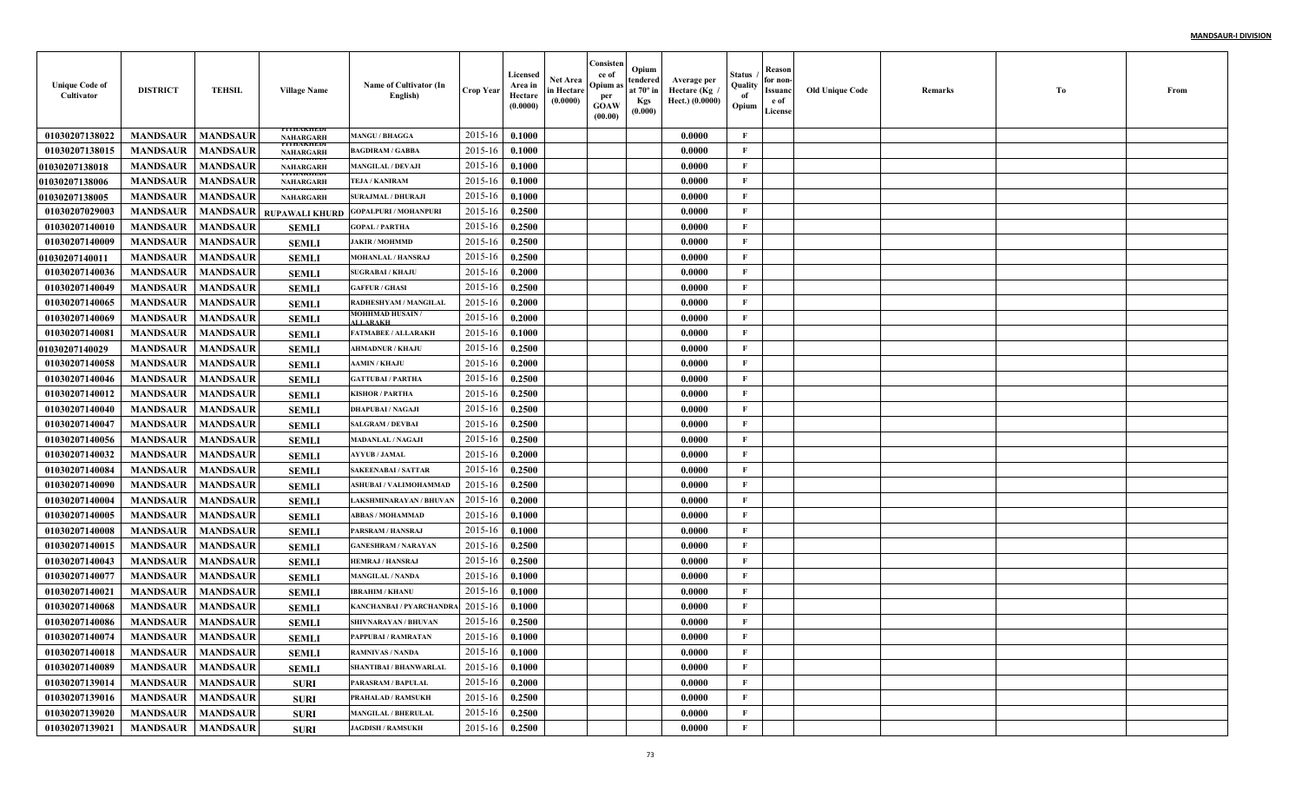| <b>Unique Code of</b><br>Cultivator | <b>DISTRICT</b>            | <b>TEHSIL</b>   | <b>Village Name</b>                   | Name of Cultivator (In<br>English)        | <b>Crop Year</b> | Licensed<br>Area in<br>Hectare<br>(0.0000) | Net Area<br>in Hectare<br>(0.0000) | Consisten<br>ce of<br>Opium:<br>per<br>GOAW<br>(00.00) | Opium<br>tendered<br>at $70^\circ$ in<br><b>Kgs</b><br>(0.000) | Average per<br>Hectare (Kg<br>Hect.) (0.0000) | Status<br>Quality<br>of<br>Opium | Reason<br>for non-<br>Issuanc<br>e of<br>License | <b>Old Unique Code</b> | Remarks | Tо | From |
|-------------------------------------|----------------------------|-----------------|---------------------------------------|-------------------------------------------|------------------|--------------------------------------------|------------------------------------|--------------------------------------------------------|----------------------------------------------------------------|-----------------------------------------------|----------------------------------|--------------------------------------------------|------------------------|---------|----|------|
| 01030207138022                      | <b>MANDSAUR</b>            | <b>MANDSAUR</b> | THANHED<br><b>NAHARGARH</b>           | <b>MANGU / BHAGGA</b>                     | 2015-16          | 0.1000                                     |                                    |                                                        |                                                                | 0.0000                                        | F                                |                                                  |                        |         |    |      |
| 01030207138015                      | <b>MANDSAUR</b>            | <b>MANDSAUR</b> | ri i hakhedi<br>NAHARGARH             | <b>BAGDIRAM / GABBA</b>                   | 2015-16          | 0.1000                                     |                                    |                                                        |                                                                | 0.0000                                        | $\mathbf{F}$                     |                                                  |                        |         |    |      |
| <b>01030207138018</b>               | <b>MANDSAUR</b>            | <b>MANDSAUR</b> | <b>THEORYMOUS</b><br><b>NAHARGARH</b> | <b>MANGILAL / DEVAJI</b>                  | 2015-16          | 0.1000                                     |                                    |                                                        |                                                                | 0.0000                                        | $\mathbf{F}$                     |                                                  |                        |         |    |      |
| <b>01030207138006</b>               | <b>MANDSAUR</b>            | <b>MANDSAUR</b> | пиваацыя<br><b>NAHARGARH</b>          | TEJA / KANIRAM                            | 2015-16          | 0.1000                                     |                                    |                                                        |                                                                | 0.0000                                        | $\mathbf{F}$                     |                                                  |                        |         |    |      |
| 01030207138005                      | <b>MANDSAUR</b>            | <b>MANDSAUR</b> | I I I IIANIIED.<br><b>NAHARGARH</b>   | <b>SURAJMAL / DHURAJI</b>                 | 2015-16          | 0.1000                                     |                                    |                                                        |                                                                | 0.0000                                        | $\mathbf{F}$                     |                                                  |                        |         |    |      |
| 01030207029003                      | <b>MANDSAUR</b>            | <b>MANDSAUR</b> | RUPAWALI KHURD                        | <b>GOPALPURI / MOHANPURI</b>              | 2015-16          | 0.2500                                     |                                    |                                                        |                                                                | 0.0000                                        | $\mathbf{F}$                     |                                                  |                        |         |    |      |
| 01030207140010                      | <b>MANDSAUR</b>            | <b>MANDSAUR</b> | <b>SEMLI</b>                          | <b>GOPAL / PARTHA</b>                     | 2015-16          | 0.2500                                     |                                    |                                                        |                                                                | 0.0000                                        | $\mathbf{F}$                     |                                                  |                        |         |    |      |
| 01030207140009                      | <b>MANDSAUR</b>            | <b>MANDSAUR</b> | <b>SEMLI</b>                          | <b>JAKIR / MOHMMD</b>                     | 2015-16          | 0.2500                                     |                                    |                                                        |                                                                | 0.0000                                        | $\mathbf{F}$                     |                                                  |                        |         |    |      |
| 01030207140011                      | <b>MANDSAUR</b>            | <b>MANDSAUR</b> | <b>SEMLI</b>                          | MOHANLAL / HANSRAJ                        | 2015-16          | 0.2500                                     |                                    |                                                        |                                                                | 0.0000                                        | $\mathbf{F}$                     |                                                  |                        |         |    |      |
| 01030207140036                      | <b>MANDSAUR</b>            | <b>MANDSAUR</b> | <b>SEMLI</b>                          | <b>SUGRABAI / KHAJU</b>                   | 2015-16          | 0.2000                                     |                                    |                                                        |                                                                | 0.0000                                        | $\mathbf{F}$                     |                                                  |                        |         |    |      |
| 01030207140049                      | <b>MANDSAUR</b>            | <b>MANDSAUR</b> | <b>SEMLI</b>                          | <b>GAFFUR / GHASI</b>                     | 2015-16          | 0.2500                                     |                                    |                                                        |                                                                | 0.0000                                        | $\mathbf{F}$                     |                                                  |                        |         |    |      |
| 01030207140065                      | <b>MANDSAUR</b>            | <b>MANDSAUR</b> | <b>SEMLI</b>                          | RADHESHYAM / MANGILAL                     | 2015-16          | 0.2000                                     |                                    |                                                        |                                                                | 0.0000                                        | $\mathbf{F}$                     |                                                  |                        |         |    |      |
| 01030207140069                      | <b>MANDSAUR</b>            | <b>MANDSAUR</b> | <b>SEMLI</b>                          | <b>MOHHMAD HUSAIN/</b><br><b>ALLARAKH</b> | 2015-16          | 0.2000                                     |                                    |                                                        |                                                                | 0.0000                                        | $\mathbf{F}$                     |                                                  |                        |         |    |      |
| 01030207140081                      | <b>MANDSAUR</b>            | <b>MANDSAUR</b> | <b>SEMLI</b>                          | <b>FATMABEE / ALLARAKH</b>                | 2015-16          | 0.1000                                     |                                    |                                                        |                                                                | 0.0000                                        | $\mathbf{F}$                     |                                                  |                        |         |    |      |
| 01030207140029                      | <b>MANDSAUR</b>            | <b>MANDSAUR</b> | <b>SEMLI</b>                          | <b>AHMADNUR / KHAJU</b>                   | 2015-16          | 0.2500                                     |                                    |                                                        |                                                                | 0.0000                                        | $\mathbf{F}$                     |                                                  |                        |         |    |      |
| 01030207140058                      | <b>MANDSAUR</b>            | <b>MANDSAUR</b> | <b>SEMLI</b>                          | <b>AAMIN / KHAJU</b>                      | 2015-16          | 0.2000                                     |                                    |                                                        |                                                                | 0.0000                                        | $\mathbf{F}$                     |                                                  |                        |         |    |      |
| 01030207140046                      | <b>MANDSAUR</b>            | <b>MANDSAUR</b> | <b>SEMLI</b>                          | <b>GATTUBAI / PARTHA</b>                  | 2015-16          | 0.2500                                     |                                    |                                                        |                                                                | 0.0000                                        | $\mathbf{F}$                     |                                                  |                        |         |    |      |
| 01030207140012                      | <b>MANDSAUR</b>            | <b>MANDSAUR</b> | <b>SEMLI</b>                          | <b>KISHOR / PARTHA</b>                    | 2015-16          | 0.2500                                     |                                    |                                                        |                                                                | 0.0000                                        | $\mathbf{F}$                     |                                                  |                        |         |    |      |
| 01030207140040                      | <b>MANDSAUR</b>            | <b>MANDSAUR</b> | <b>SEMLI</b>                          | <b>DHAPUBAI / NAGAJI</b>                  | 2015-16          | 0.2500                                     |                                    |                                                        |                                                                | 0.0000                                        | $\mathbf{F}$                     |                                                  |                        |         |    |      |
| 01030207140047                      | <b>MANDSAUR</b>            | <b>MANDSAUR</b> | <b>SEMLI</b>                          | <b>SALGRAM / DEVBAI</b>                   | 2015-16          | 0.2500                                     |                                    |                                                        |                                                                | 0.0000                                        | $\mathbf{F}$                     |                                                  |                        |         |    |      |
| 01030207140056                      | <b>MANDSAUR</b>            | <b>MANDSAUR</b> | <b>SEMLI</b>                          | <b>MADANLAL / NAGAJI</b>                  | 2015-16          | 0.2500                                     |                                    |                                                        |                                                                | 0.0000                                        | $\mathbf{F}$                     |                                                  |                        |         |    |      |
| 01030207140032                      | <b>MANDSAUR</b>            | <b>MANDSAUR</b> | <b>SEMLI</b>                          | <b>AYYUB / JAMAL</b>                      | $2015 - 16$      | 0.2000                                     |                                    |                                                        |                                                                | 0.0000                                        | F                                |                                                  |                        |         |    |      |
| 01030207140084                      | <b>MANDSAUR</b>            | <b>MANDSAUR</b> | <b>SEMLI</b>                          | <b>SAKEENABAI/SATTAR</b>                  | 2015-16          | 0.2500                                     |                                    |                                                        |                                                                | 0.0000                                        | $\mathbf{F}$                     |                                                  |                        |         |    |      |
| 01030207140090                      | <b>MANDSAUR</b>            | <b>MANDSAUR</b> | <b>SEMLI</b>                          | ASHUBAI / VALIMOHAMMAD                    | 2015-16          | 0.2500                                     |                                    |                                                        |                                                                | 0.0000                                        | $\mathbf{F}$                     |                                                  |                        |         |    |      |
| 01030207140004                      | <b>MANDSAUR</b>            | <b>MANDSAUR</b> | <b>SEMLI</b>                          | LAKSHMINARAYAN / BHUVAN                   | 2015-16          | 0.2000                                     |                                    |                                                        |                                                                | 0.0000                                        | $\mathbf{F}$                     |                                                  |                        |         |    |      |
| 01030207140005                      | <b>MANDSAUR</b>            | <b>MANDSAUR</b> | <b>SEMLI</b>                          | <b>ABBAS / MOHAMMAD</b>                   | 2015-16          | 0.1000                                     |                                    |                                                        |                                                                | 0.0000                                        | $\mathbf{F}$                     |                                                  |                        |         |    |      |
| 01030207140008                      | <b>MANDSAUR</b>            | <b>MANDSAUR</b> | <b>SEMLI</b>                          | PARSRAM / HANSRAJ                         | 2015-16          | 0.1000                                     |                                    |                                                        |                                                                | 0.0000                                        | $\mathbf{F}$                     |                                                  |                        |         |    |      |
| 01030207140015                      | <b>MANDSAUR</b>            | <b>MANDSAUR</b> | <b>SEMLI</b>                          | <b>GANESHRAM / NARAYAN</b>                | 2015-16          | 0.2500                                     |                                    |                                                        |                                                                | 0.0000                                        | $\mathbf{F}$                     |                                                  |                        |         |    |      |
| 01030207140043                      | <b>MANDSAUR</b>            | <b>MANDSAUR</b> | <b>SEMLI</b>                          | <b>HEMRAJ / HANSRAJ</b>                   | 2015-16          | 0.2500                                     |                                    |                                                        |                                                                | 0.0000                                        | $\mathbf{F}$                     |                                                  |                        |         |    |      |
| 01030207140077                      | <b>MANDSAUR</b>            | <b>MANDSAUR</b> | <b>SEMLI</b>                          | <b>MANGILAL / NANDA</b>                   | 2015-16          | 0.1000                                     |                                    |                                                        |                                                                | 0.0000                                        | $\mathbf{F}$                     |                                                  |                        |         |    |      |
| 01030207140021                      | <b>MANDSAUR</b>            | <b>MANDSAUR</b> | <b>SEMLI</b>                          | <b>IBRAHIM / KHANU</b>                    | 2015-16          | 0.1000                                     |                                    |                                                        |                                                                | 0.0000                                        | $\mathbf{F}$                     |                                                  |                        |         |    |      |
| 01030207140068                      | <b>MANDSAUR</b>            | <b>MANDSAUR</b> | <b>SEMLI</b>                          | <b>KANCHANBAI / PYARCHANDR</b>            | 2015-16          | 0.1000                                     |                                    |                                                        |                                                                | 0.0000                                        | $\mathbf{F}$                     |                                                  |                        |         |    |      |
| 01030207140086                      | <b>MANDSAUR</b>            | <b>MANDSAUR</b> | <b>SEMLI</b>                          | <b>SHIVNARAYAN / BHUVAN</b>               | 2015-16          | 0.2500                                     |                                    |                                                        |                                                                | 0.0000                                        | $\mathbf{F}$                     |                                                  |                        |         |    |      |
| 01030207140074                      | <b>MANDSAUR</b>   MANDSAUR |                 | <b>SEMLI</b>                          | PAPPUBAI / RAMRATAN                       | $2015-16$ 0.1000 |                                            |                                    |                                                        |                                                                | 0.0000                                        | F                                |                                                  |                        |         |    |      |
| 01030207140018                      | <b>MANDSAUR</b>            | <b>MANDSAUR</b> | <b>SEMLI</b>                          | <b>RAMNIVAS / NANDA</b>                   | 2015-16          | 0.1000                                     |                                    |                                                        |                                                                | 0.0000                                        | $\mathbf{F}$                     |                                                  |                        |         |    |      |
| 01030207140089                      | <b>MANDSAUR</b>            | <b>MANDSAUR</b> | <b>SEMLI</b>                          | <b>SHANTIBAI / BHANWARLAL</b>             | 2015-16          | 0.1000                                     |                                    |                                                        |                                                                | 0.0000                                        | $\mathbf{F}$                     |                                                  |                        |         |    |      |
| 01030207139014                      | <b>MANDSAUR</b>            | <b>MANDSAUR</b> | <b>SURI</b>                           | PARASRAM / BAPULAL                        | 2015-16          | 0.2000                                     |                                    |                                                        |                                                                | 0.0000                                        | $\mathbf{F}$                     |                                                  |                        |         |    |      |
| 01030207139016                      | <b>MANDSAUR</b>            | <b>MANDSAUR</b> | <b>SURI</b>                           | PRAHALAD / RAMSUKH                        | 2015-16          | 0.2500                                     |                                    |                                                        |                                                                | 0.0000                                        | $\mathbf{F}$                     |                                                  |                        |         |    |      |
| 01030207139020                      | <b>MANDSAUR</b>            | <b>MANDSAUR</b> | <b>SURI</b>                           | <b>MANGILAL / BHERULAL</b>                | 2015-16          | 0.2500                                     |                                    |                                                        |                                                                | 0.0000                                        | $\mathbf{F}$                     |                                                  |                        |         |    |      |
| 01030207139021                      | <b>MANDSAUR</b>            | <b>MANDSAUR</b> | <b>SURI</b>                           | <b>JAGDISH / RAMSUKH</b>                  | 2015-16          | 0.2500                                     |                                    |                                                        |                                                                | 0.0000                                        | $\mathbf F$                      |                                                  |                        |         |    |      |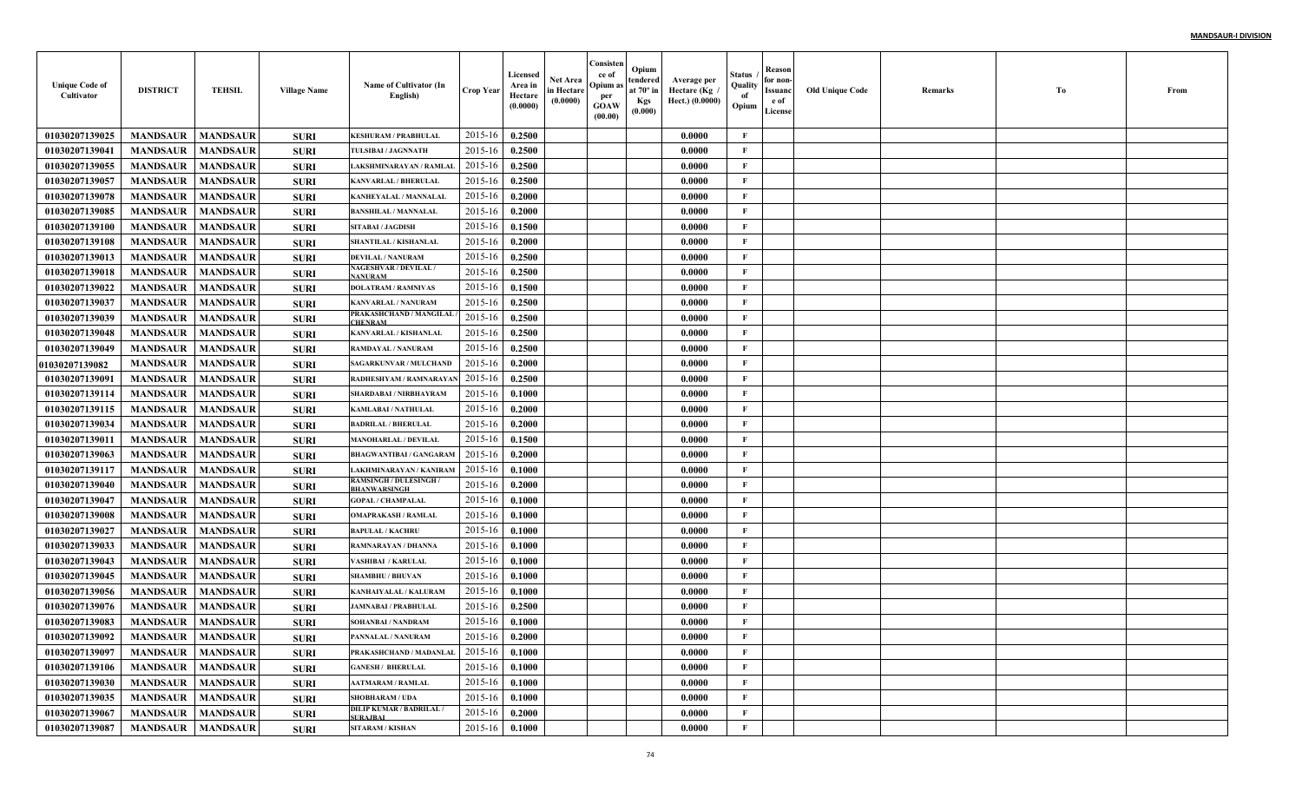| <b>Unique Code of</b><br>Cultivator | <b>DISTRICT</b>     | <b>TEHSIL</b>   | <b>Village Name</b> | Name of Cultivator (In<br>English)                 | <b>Crop Year</b> | Licensed<br>Area in<br>Hectare<br>(0.0000) | <b>Net Area</b><br>in Hectare<br>(0.0000) | Consisten<br>ce of<br>Opium as<br>per<br><b>GOAW</b><br>(00.00) | Opium<br>tendered<br>at $70^\circ$ in<br><b>Kgs</b><br>(0.000) | Average per<br>Hectare (Kg /<br>Hect.) (0.0000) | Status<br>Quality<br>of<br>Opium | Reason<br>for non-<br>Issuanc<br>e of<br>License | Old Unique Code | Remarks | Tо | From |
|-------------------------------------|---------------------|-----------------|---------------------|----------------------------------------------------|------------------|--------------------------------------------|-------------------------------------------|-----------------------------------------------------------------|----------------------------------------------------------------|-------------------------------------------------|----------------------------------|--------------------------------------------------|-----------------|---------|----|------|
| 01030207139025                      | <b>MANDSAUR</b>     | <b>MANDSAUR</b> | <b>SURI</b>         | <b>KESHURAM / PRABHULAL</b>                        | 2015-16          | 0.2500                                     |                                           |                                                                 |                                                                | 0.0000                                          | $\mathbf{F}$                     |                                                  |                 |         |    |      |
| 01030207139041                      | <b>MANDSAUR</b>     | <b>MANDSAUR</b> | <b>SURI</b>         | <b>TULSIBAI / JAGNNATH</b>                         | 2015-16          | 0.2500                                     |                                           |                                                                 |                                                                | 0.0000                                          | F                                |                                                  |                 |         |    |      |
| 01030207139055                      | <b>MANDSAUR</b>     | <b>MANDSAUR</b> | <b>SURI</b>         | LAKSHMINARAYAN / RAMLAI                            | 2015-16          | 0.2500                                     |                                           |                                                                 |                                                                | 0.0000                                          | $\mathbf{F}$                     |                                                  |                 |         |    |      |
| 01030207139057                      | <b>MANDSAUR</b>     | <b>MANDSAUR</b> | <b>SURI</b>         | <b>KANVARLAL / BHERULAI</b>                        | 2015-16          | 0.2500                                     |                                           |                                                                 |                                                                | 0.0000                                          | $\mathbf{F}$                     |                                                  |                 |         |    |      |
| 01030207139078                      | <b>MANDSAUR</b>     | <b>MANDSAUR</b> | <b>SURI</b>         | KANHEYALAL / MANNALAI                              | 2015-16          | 0.2000                                     |                                           |                                                                 |                                                                | 0.0000                                          | $\mathbf{F}$                     |                                                  |                 |         |    |      |
| 01030207139085                      | <b>MANDSAUR</b>     | <b>MANDSAUR</b> | <b>SURI</b>         | <b>BANSHILAL / MANNALAL</b>                        | 2015-16          | 0.2000                                     |                                           |                                                                 |                                                                | 0.0000                                          | $\mathbf{F}$                     |                                                  |                 |         |    |      |
| 01030207139100                      | <b>MANDSAUR</b>     | <b>MANDSAUR</b> | <b>SURI</b>         | SITABAI / JAGDISH                                  | 2015-16          | 0.1500                                     |                                           |                                                                 |                                                                | 0.0000                                          | F                                |                                                  |                 |         |    |      |
| 01030207139108                      | <b>MANDSAUR</b>     | <b>MANDSAUR</b> | <b>SURI</b>         | SHANTILAL / KISHANLAI                              | 2015-16          | 0.2000                                     |                                           |                                                                 |                                                                | 0.0000                                          | $\mathbf{F}$                     |                                                  |                 |         |    |      |
| 01030207139013                      | <b>MANDSAUR</b>     | <b>MANDSAUR</b> | <b>SURI</b>         | <b>DEVILAL / NANURAM</b>                           | 2015-16          | 0.2500                                     |                                           |                                                                 |                                                                | 0.0000                                          | $\mathbf{F}$                     |                                                  |                 |         |    |      |
| 01030207139018                      | <b>MANDSAUR</b>     | <b>MANDSAUR</b> | <b>SURI</b>         | <b>NAGESHVAR / DEVILAL /</b><br><b>NANURAM</b>     | 2015-16          | 0.2500                                     |                                           |                                                                 |                                                                | 0.0000                                          | $\mathbf{F}$                     |                                                  |                 |         |    |      |
| 01030207139022                      | <b>MANDSAUR</b>     | <b>MANDSAUR</b> | <b>SURI</b>         | <b>DOLATRAM / RAMNIVAS</b>                         | 2015-16          | 0.1500                                     |                                           |                                                                 |                                                                | 0.0000                                          | $\mathbf{F}$                     |                                                  |                 |         |    |      |
| 01030207139037                      | <b>MANDSAUR</b>     | <b>MANDSAUR</b> | <b>SURI</b>         | <b>KANVARLAL / NANURAM</b>                         | 2015-16          | 0.2500                                     |                                           |                                                                 |                                                                | 0.0000                                          | $\mathbf{F}$                     |                                                  |                 |         |    |      |
| 01030207139039                      | <b>MANDSAUR</b>     | <b>MANDSAUR</b> | <b>SURI</b>         | PRAKASHCHAND / MANGILAL<br><b>CHENRAM</b>          | 2015-16          | 0.2500                                     |                                           |                                                                 |                                                                | 0.0000                                          | $\mathbf{F}$                     |                                                  |                 |         |    |      |
| 01030207139048                      | <b>MANDSAUR</b>     | <b>MANDSAUR</b> | <b>SURI</b>         | KANVARLAL / KISHANLAI                              | 2015-16          | 0.2500                                     |                                           |                                                                 |                                                                | 0.0000                                          | $\mathbf{F}$                     |                                                  |                 |         |    |      |
| 01030207139049                      | <b>MANDSAUR</b>     | <b>MANDSAUR</b> | <b>SURI</b>         | RAMDAYAL / NANURAM                                 | 2015-16          | 0.2500                                     |                                           |                                                                 |                                                                | 0.0000                                          | $\mathbf{F}$                     |                                                  |                 |         |    |      |
| 01030207139082                      | <b>MANDSAUR</b>     | <b>MANDSAUR</b> | <b>SURI</b>         | SAGARKUNVAR / MULCHAND                             | 2015-16          | 0.2000                                     |                                           |                                                                 |                                                                | 0.0000                                          | $\mathbf{F}$                     |                                                  |                 |         |    |      |
| 01030207139091                      | <b>MANDSAUR</b>     | <b>MANDSAUR</b> | <b>SURI</b>         | RADHESHYAM / RAMNARAYA                             | 2015-16          | 0.2500                                     |                                           |                                                                 |                                                                | 0.0000                                          | $\mathbf{F}$                     |                                                  |                 |         |    |      |
| 01030207139114                      | <b>MANDSAUR</b>     | <b>MANDSAUR</b> | <b>SURI</b>         | SHARDABAI / NIRBHAYRAM                             | 2015-16          | 0.1000                                     |                                           |                                                                 |                                                                | 0.0000                                          | $\mathbf{F}$                     |                                                  |                 |         |    |      |
| 01030207139115                      | <b>MANDSAUR</b>     | <b>MANDSAUR</b> | <b>SURI</b>         | <b>KAMLABAI / NATHULAL</b>                         | 2015-16          | 0.2000                                     |                                           |                                                                 |                                                                | 0.0000                                          | $\mathbf{F}$                     |                                                  |                 |         |    |      |
| 01030207139034                      | <b>MANDSAUR</b>     | <b>MANDSAUR</b> | <b>SURI</b>         | <b>BADRILAL / BHERULAL</b>                         | 2015-16          | 0.2000                                     |                                           |                                                                 |                                                                | 0.0000                                          | $\mathbf{F}$                     |                                                  |                 |         |    |      |
| 01030207139011                      | <b>MANDSAUR</b>     | <b>MANDSAUR</b> | <b>SURI</b>         | <b>MANOHARLAL / DEVILAI</b>                        | 2015-16          | 0.1500                                     |                                           |                                                                 |                                                                | 0.0000                                          | $\mathbf{F}$                     |                                                  |                 |         |    |      |
| 01030207139063                      | <b>MANDSAUR</b>     | <b>MANDSAUR</b> | <b>SURI</b>         | <b>BHAGWANTIBAI / GANGARAM</b>                     | 2015-16          | 0.2000                                     |                                           |                                                                 |                                                                | 0.0000                                          | $\mathbf{F}$                     |                                                  |                 |         |    |      |
| 01030207139117                      | <b>MANDSAUR</b>     | <b>MANDSAUR</b> | <b>SURI</b>         | LAKHMINARAYAN / KANIRAM                            | 2015-16          | 0.1000                                     |                                           |                                                                 |                                                                | 0.0000                                          | $\mathbf{F}$                     |                                                  |                 |         |    |      |
| 01030207139040                      | <b>MANDSAUR</b>     | <b>MANDSAUR</b> | <b>SURI</b>         | <b>RAMSINGH / DULESINGH</b><br>BHANWARSINGH        | 2015-16          | 0.2000                                     |                                           |                                                                 |                                                                | 0.0000                                          | $\mathbf{F}$                     |                                                  |                 |         |    |      |
| 01030207139047                      | <b>MANDSAUR</b>     | <b>MANDSAUR</b> | <b>SURI</b>         | <b>GOPAL / CHAMPALAL</b>                           | 2015-16          | 0.1000                                     |                                           |                                                                 |                                                                | 0.0000                                          | $\mathbf{F}$                     |                                                  |                 |         |    |      |
| 01030207139008                      | <b>MANDSAUR</b>     | <b>MANDSAUR</b> | <b>SURI</b>         | <b>OMAPRAKASH / RAMLAL</b>                         | 2015-16          | 0.1000                                     |                                           |                                                                 |                                                                | 0.0000                                          | $\mathbf{F}$                     |                                                  |                 |         |    |      |
| 01030207139027                      | <b>MANDSAUR</b>     | <b>MANDSAUR</b> | <b>SURI</b>         | <b>BAPULAL / KACHRU</b>                            | 2015-16          | 0.1000                                     |                                           |                                                                 |                                                                | 0.0000                                          | F                                |                                                  |                 |         |    |      |
| 01030207139033                      | <b>MANDSAUR</b>     | <b>MANDSAUR</b> | <b>SURI</b>         | <b>RAMNARAYAN / DHANNA</b>                         | 2015-16          | 0.1000                                     |                                           |                                                                 |                                                                | 0.0000                                          | $\mathbf{F}$                     |                                                  |                 |         |    |      |
| 01030207139043                      | <b>MANDSAUR</b>     | <b>MANDSAUR</b> | <b>SURI</b>         | VASHIBAI / KARULAL                                 | 2015-16          | 0.1000                                     |                                           |                                                                 |                                                                | 0.0000                                          | $\mathbf{F}$                     |                                                  |                 |         |    |      |
| 01030207139045                      | <b>MANDSAUR</b>     | <b>MANDSAUR</b> | <b>SURI</b>         | <b>SHAMBHU / BHUVAN</b>                            | 2015-16          | 0.1000                                     |                                           |                                                                 |                                                                | 0.0000                                          | $\mathbf{F}$                     |                                                  |                 |         |    |      |
| 01030207139056                      | <b>MANDSAUR</b>     | <b>MANDSAUR</b> | <b>SURI</b>         | KANHAIYALAL / KALURAM                              | 2015-16          | 0.1000                                     |                                           |                                                                 |                                                                | 0.0000                                          | F                                |                                                  |                 |         |    |      |
| 01030207139076                      | <b>MANDSAUR</b>     | <b>MANDSAUR</b> | <b>SURI</b>         | <b>JAMNABAI / PRABHULAL</b>                        | 2015-16          | 0.2500                                     |                                           |                                                                 |                                                                | 0.0000                                          | $\mathbf{F}$                     |                                                  |                 |         |    |      |
| 01030207139083                      | <b>MANDSAUR</b>     | <b>MANDSAUR</b> | <b>SURI</b>         | SOHANBAI / NANDRAM                                 | 2015-16          | 0.1000                                     |                                           |                                                                 |                                                                | 0.0000                                          | $\mathbf{F}$                     |                                                  |                 |         |    |      |
| 01030207139092                      | MANDSAUR   MANDSAUR |                 | <b>SURI</b>         | PANNALAL / NANURAM                                 | 2015-16 0.2000   |                                            |                                           |                                                                 |                                                                | 0.0000                                          | F                                |                                                  |                 |         |    |      |
| 01030207139097                      | <b>MANDSAUR</b>     | <b>MANDSAUR</b> | <b>SURI</b>         | PRAKASHCHAND / MADANLAL                            | 2015-16          | 0.1000                                     |                                           |                                                                 |                                                                | 0.0000                                          | $\mathbf{F}$                     |                                                  |                 |         |    |      |
| 01030207139106                      | <b>MANDSAUR</b>     | <b>MANDSAUR</b> | <b>SURI</b>         | <b>GANESH / BHERULAL</b>                           | 2015-16          | 0.1000                                     |                                           |                                                                 |                                                                | 0.0000                                          | $\mathbf{F}$                     |                                                  |                 |         |    |      |
| 01030207139030                      | <b>MANDSAUR</b>     | <b>MANDSAUR</b> | <b>SURI</b>         | <b>AATMARAM / RAMLAL</b>                           | 2015-16          | 0.1000                                     |                                           |                                                                 |                                                                | 0.0000                                          | $\mathbf{F}$                     |                                                  |                 |         |    |      |
| 01030207139035                      | <b>MANDSAUR</b>     | <b>MANDSAUR</b> | <b>SURI</b>         | <b>SHOBHARAM / UDA</b>                             | $2015 - 16$      | 0.1000                                     |                                           |                                                                 |                                                                | 0.0000                                          | $\mathbf{F}$                     |                                                  |                 |         |    |      |
| 01030207139067                      | <b>MANDSAUR</b>     | <b>MANDSAUR</b> | <b>SURI</b>         | <b>DILIP KUMAR / BADRILAL /</b><br><b>SURAJBAI</b> | $2015 - 16$      | 0.2000                                     |                                           |                                                                 |                                                                | 0.0000                                          | $\mathbf{F}$                     |                                                  |                 |         |    |      |
| 01030207139087                      | <b>MANDSAUR</b>     | <b>MANDSAUR</b> | <b>SURI</b>         | SITARAM / KISHAN                                   | 2015-16          | 0.1000                                     |                                           |                                                                 |                                                                | 0.0000                                          | $\mathbf{F}$                     |                                                  |                 |         |    |      |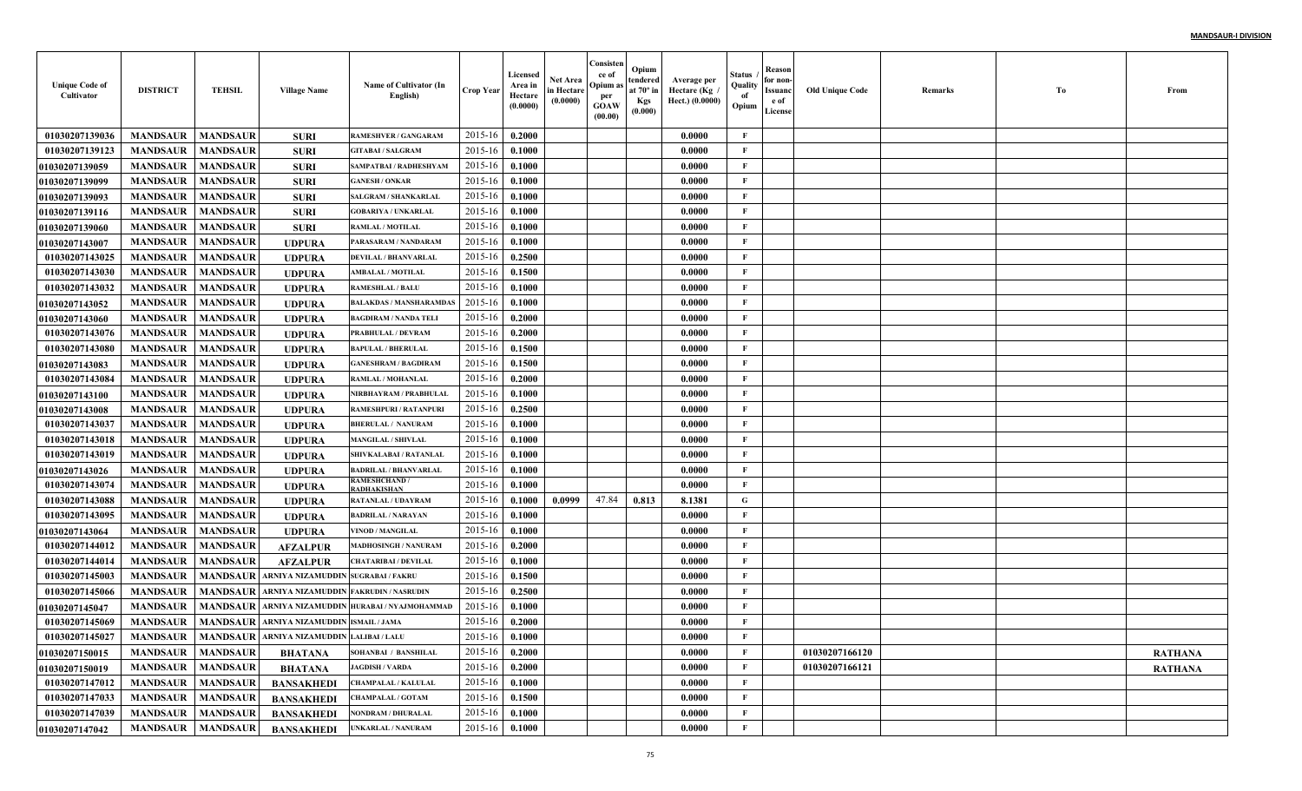| <b>Unique Code of</b><br>Cultivator | <b>DISTRICT</b> | <b>TEHSIL</b>   | <b>Village Name</b>                                    | Name of Cultivator (In<br>English)       | <b>Crop Year</b> | Licensed<br>Area in<br>Hectare<br>(0.0000) | Net Area<br>in Hectare<br>(0.0000) | Consisten<br>ce of<br>Opium:<br>per<br><b>GOAW</b><br>(00.00) | Opium<br>tendered<br>at $70^\circ$ in<br><b>Kgs</b><br>(0.000) | Average per<br>Hectare (Kg<br>Hect.) (0.0000) | Status<br>Quality<br>of<br>Opium | Reason<br>for non-<br>Issuanc<br>e of<br>License | <b>Old Unique Code</b> | Remarks | Тo | From           |
|-------------------------------------|-----------------|-----------------|--------------------------------------------------------|------------------------------------------|------------------|--------------------------------------------|------------------------------------|---------------------------------------------------------------|----------------------------------------------------------------|-----------------------------------------------|----------------------------------|--------------------------------------------------|------------------------|---------|----|----------------|
| 01030207139036                      | <b>MANDSAUR</b> | <b>MANDSAUR</b> | <b>SURI</b>                                            | <b>RAMESHVER / GANGARAM</b>              | 2015-16          | 0.2000                                     |                                    |                                                               |                                                                | 0.0000                                        | F                                |                                                  |                        |         |    |                |
| 01030207139123                      | <b>MANDSAUR</b> | <b>MANDSAUR</b> | <b>SURI</b>                                            | <b>GITABAI/SALGRAM</b>                   | 2015-16          | 0.1000                                     |                                    |                                                               |                                                                | 0.0000                                        | $\mathbf{F}$                     |                                                  |                        |         |    |                |
| 01030207139059                      | <b>MANDSAUR</b> | <b>MANDSAUR</b> | <b>SURI</b>                                            | SAMPATBAI / RADHESHYAM                   | 2015-16          | 0.1000                                     |                                    |                                                               |                                                                | 0.0000                                        | $\mathbf{F}$                     |                                                  |                        |         |    |                |
| 01030207139099                      | <b>MANDSAUR</b> | <b>MANDSAUR</b> | <b>SURI</b>                                            | <b>GANESH / ONKAR</b>                    | 2015-16          | 0.1000                                     |                                    |                                                               |                                                                | 0.0000                                        | $\mathbf{F}$                     |                                                  |                        |         |    |                |
| 01030207139093                      | <b>MANDSAUR</b> | <b>MANDSAUR</b> | <b>SURI</b>                                            | SALGRAM / SHANKARLAI                     | 2015-16          | 0.1000                                     |                                    |                                                               |                                                                | 0.0000                                        | $\mathbf{F}$                     |                                                  |                        |         |    |                |
| 01030207139116                      | <b>MANDSAUR</b> | <b>MANDSAUR</b> | <b>SURI</b>                                            | <b>GOBARIYA / UNKARLAL</b>               | 2015-16          | 0.1000                                     |                                    |                                                               |                                                                | 0.0000                                        | $\mathbf{F}$                     |                                                  |                        |         |    |                |
| <b>01030207139060</b>               | <b>MANDSAUR</b> | <b>MANDSAUR</b> | <b>SURI</b>                                            | RAMLAL / MOTILAL                         | 2015-16          | 0.1000                                     |                                    |                                                               |                                                                | 0.0000                                        | $\mathbf{F}$                     |                                                  |                        |         |    |                |
| 01030207143007                      | <b>MANDSAUR</b> | <b>MANDSAUR</b> | <b>UDPURA</b>                                          | PARASARAM / NANDARAM                     | 2015-16          | 0.1000                                     |                                    |                                                               |                                                                | 0.0000                                        | $\mathbf{F}$                     |                                                  |                        |         |    |                |
| 01030207143025                      | <b>MANDSAUR</b> | <b>MANDSAUR</b> | <b>UDPURA</b>                                          | <b>DEVILAL / BHANVARLAL</b>              | 2015-16          | 0.2500                                     |                                    |                                                               |                                                                | 0.0000                                        | $\mathbf{F}$                     |                                                  |                        |         |    |                |
| 01030207143030                      | <b>MANDSAUR</b> | <b>MANDSAUR</b> | <b>UDPURA</b>                                          | <b>AMBALAL / MOTILAL</b>                 | 2015-16          | 0.1500                                     |                                    |                                                               |                                                                | 0.0000                                        | $\mathbf{F}$                     |                                                  |                        |         |    |                |
| 01030207143032                      | <b>MANDSAUR</b> | <b>MANDSAUR</b> | <b>UDPURA</b>                                          | <b>RAMESHLAL / BALU</b>                  | 2015-16          | 0.1000                                     |                                    |                                                               |                                                                | 0.0000                                        | $\mathbf{F}$                     |                                                  |                        |         |    |                |
| <b>01030207143052</b>               | <b>MANDSAUR</b> | <b>MANDSAUR</b> | <b>UDPURA</b>                                          | <b>BALAKDAS / MANSHARAMDAS</b>           | 2015-16          | 0.1000                                     |                                    |                                                               |                                                                | 0.0000                                        | $\mathbf{F}$                     |                                                  |                        |         |    |                |
| <b>01030207143060</b>               | <b>MANDSAUR</b> | <b>MANDSAUR</b> | <b>UDPURA</b>                                          | <b>BAGDIRAM / NANDA TELI</b>             | 2015-16          | 0.2000                                     |                                    |                                                               |                                                                | 0.0000                                        | $\mathbf{F}$                     |                                                  |                        |         |    |                |
| 01030207143076                      | <b>MANDSAUR</b> | <b>MANDSAUR</b> | UDPURA                                                 | PRABHULAL / DEVRAM                       | 2015-16          | 0.2000                                     |                                    |                                                               |                                                                | 0.0000                                        | $\mathbf{F}$                     |                                                  |                        |         |    |                |
| 01030207143080                      | <b>MANDSAUR</b> | <b>MANDSAUR</b> | <b>UDPURA</b>                                          | <b>BAPULAL / BHERULAL</b>                | 2015-16          | 0.1500                                     |                                    |                                                               |                                                                | 0.0000                                        | $\mathbf{F}$                     |                                                  |                        |         |    |                |
| <b>01030207143083</b>               | <b>MANDSAUR</b> | <b>MANDSAUR</b> | <b>UDPURA</b>                                          | <b>GANESHRAM / BAGDIRAM</b>              | 2015-16          | 0.1500                                     |                                    |                                                               |                                                                | 0.0000                                        | $\mathbf{F}$                     |                                                  |                        |         |    |                |
| 01030207143084                      | <b>MANDSAUR</b> | <b>MANDSAUR</b> | <b>UDPURA</b>                                          | RAMLAL / MOHANLAL                        | 2015-16          | 0.2000                                     |                                    |                                                               |                                                                | 0.0000                                        | $\mathbf{F}$                     |                                                  |                        |         |    |                |
| <b>01030207143100</b>               | <b>MANDSAUR</b> | <b>MANDSAUR</b> | <b>UDPURA</b>                                          | NIRBHAYRAM / PRABHULAL                   | 2015-16          | 0.1000                                     |                                    |                                                               |                                                                | 0.0000                                        | $\mathbf{F}$                     |                                                  |                        |         |    |                |
| 01030207143008                      | <b>MANDSAUR</b> | <b>MANDSAUR</b> | <b>UDPURA</b>                                          | <b>RAMESHPURI / RATANPURI</b>            | 2015-16          | 0.2500                                     |                                    |                                                               |                                                                | 0.0000                                        | $\mathbf{F}$                     |                                                  |                        |         |    |                |
| 01030207143037                      | <b>MANDSAUR</b> | <b>MANDSAUR</b> | <b>UDPURA</b>                                          | <b>BHERULAL / NANURAM</b>                | 2015-16          | 0.1000                                     |                                    |                                                               |                                                                | 0.0000                                        | $\mathbf{F}$                     |                                                  |                        |         |    |                |
| 01030207143018                      | <b>MANDSAUR</b> | <b>MANDSAUR</b> | <b>UDPURA</b>                                          | <b>MANGILAL / SHIVLAL</b>                | 2015-16          | 0.1000                                     |                                    |                                                               |                                                                | 0.0000                                        | $\mathbf{F}$                     |                                                  |                        |         |    |                |
| 01030207143019                      | <b>MANDSAUR</b> | <b>MANDSAUR</b> | <b>UDPURA</b>                                          | <b>SHIVKALABAI / RATANLAI</b>            | 2015-16          | 0.1000                                     |                                    |                                                               |                                                                | 0.0000                                        | F                                |                                                  |                        |         |    |                |
| <b>01030207143026</b>               | <b>MANDSAUR</b> | <b>MANDSAUR</b> | <b>UDPURA</b>                                          | <b>BADRILAL / BHANVARLAI</b>             | 2015-16          | 0.1000                                     |                                    |                                                               |                                                                | 0.0000                                        | $\mathbf{F}$                     |                                                  |                        |         |    |                |
| 01030207143074                      | <b>MANDSAUR</b> | <b>MANDSAUR</b> | <b>UDPURA</b>                                          | <b>RAMESHCHAND /</b><br>RADHAKISHAN      | 2015-16          | 0.1000                                     |                                    |                                                               |                                                                | 0.0000                                        | $\mathbf{F}$                     |                                                  |                        |         |    |                |
| 01030207143088                      | <b>MANDSAUR</b> | <b>MANDSAUR</b> | <b>UDPURA</b>                                          | <b>RATANLAL / UDAYRAM</b>                | 2015-16          | 0.1000                                     | 0.0999                             | 47.84                                                         | 0.813                                                          | 8.1381                                        | G                                |                                                  |                        |         |    |                |
| 01030207143095                      | <b>MANDSAUR</b> | <b>MANDSAUR</b> | <b>UDPURA</b>                                          | <b>BADRILAL / NARAYAN</b>                | 2015-16          | 0.1000                                     |                                    |                                                               |                                                                | 0.0000                                        | $\mathbf{F}$                     |                                                  |                        |         |    |                |
| 01030207143064                      | <b>MANDSAUR</b> | <b>MANDSAUR</b> | <b>UDPURA</b>                                          | VINOD / MANGILAL                         | 2015-16          | 0.1000                                     |                                    |                                                               |                                                                | 0.0000                                        | $\mathbf F$                      |                                                  |                        |         |    |                |
| 01030207144012                      | <b>MANDSAUR</b> | <b>MANDSAUR</b> | <b>AFZALPUR</b>                                        | MADHOSINGH / NANURAM                     | 2015-16          | 0.2000                                     |                                    |                                                               |                                                                | 0.0000                                        | $\mathbf{F}$                     |                                                  |                        |         |    |                |
| 01030207144014                      | <b>MANDSAUR</b> | <b>MANDSAUR</b> | <b>AFZALPUR</b>                                        | CHATARIBAI / DEVILAL                     | 2015-16          | 0.1000                                     |                                    |                                                               |                                                                | 0.0000                                        | $\mathbf{F}$                     |                                                  |                        |         |    |                |
| 01030207145003                      | <b>MANDSAUR</b> | <b>MANDSAUR</b> | ARNIYA NIZAMUDDIN SUGRABAI / FAKRU                     |                                          | 2015-16          | 0.1500                                     |                                    |                                                               |                                                                | 0.0000                                        | $\mathbf{F}$                     |                                                  |                        |         |    |                |
| 01030207145066                      | <b>MANDSAUR</b> | <b>MANDSAUR</b> | ARNIYA NIZAMUDDIN FAKRUDIN / NASRUDIN                  |                                          | 2015-16          | 0.2500                                     |                                    |                                                               |                                                                | 0.0000                                        | $\mathbf{F}$                     |                                                  |                        |         |    |                |
| 01030207145047                      | <b>MANDSAUR</b> | <b>MANDSAUR</b> |                                                        | ARNIYA NIZAMUDDIN HURABAI / NYAJMOHAMMAD | 2015-16          | 0.1000                                     |                                    |                                                               |                                                                | 0.0000                                        | F                                |                                                  |                        |         |    |                |
| 01030207145069                      | <b>MANDSAUR</b> | <b>MANDSAUR</b> | ARNIYA NIZAMUDDIN ISMAIL / JAMA                        |                                          | 2015-16          | 0.2000                                     |                                    |                                                               |                                                                | 0.0000                                        | $\mathbf{F}$                     |                                                  |                        |         |    |                |
| 01030207145027                      |                 |                 | MANDSAUR   MANDSAUR   ARNIYA NIZAMUDDIN LALIBAI / LALU |                                          | $2015-16$ 0.1000 |                                            |                                    |                                                               |                                                                | 0.0000                                        | F                                |                                                  |                        |         |    |                |
| 01030207150015                      | <b>MANDSAUR</b> | <b>MANDSAUR</b> | <b>BHATANA</b>                                         | <b>SOHANBAI / BANSHILAL</b>              | 2015-16          | 0.2000                                     |                                    |                                                               |                                                                | 0.0000                                        | $\mathbf{F}$                     |                                                  | 01030207166120         |         |    | <b>RATHANA</b> |
| 01030207150019                      | <b>MANDSAUR</b> | <b>MANDSAUR</b> | <b>BHATANA</b>                                         | <b>JAGDISH / VARDA</b>                   | 2015-16          | 0.2000                                     |                                    |                                                               |                                                                | 0.0000                                        | $\mathbf{F}$                     |                                                  | 01030207166121         |         |    | <b>RATHANA</b> |
| 01030207147012                      | <b>MANDSAUR</b> | <b>MANDSAUR</b> | <b>BANSAKHEDI</b>                                      | <b>CHAMPALAL / KALULAL</b>               | 2015-16          | 0.1000                                     |                                    |                                                               |                                                                | 0.0000                                        | $\mathbf{F}$                     |                                                  |                        |         |    |                |
| 01030207147033                      | <b>MANDSAUR</b> | <b>MANDSAUR</b> | <b>BANSAKHEDI</b>                                      | <b>CHAMPALAL / GOTAM</b>                 | 2015-16          | 0.1500                                     |                                    |                                                               |                                                                | 0.0000                                        | $\mathbf{F}$                     |                                                  |                        |         |    |                |
| 01030207147039                      | <b>MANDSAUR</b> | <b>MANDSAUR</b> | <b>BANSAKHEDI</b>                                      | NONDRAM / DHURALAL                       | 2015-16          | 0.1000                                     |                                    |                                                               |                                                                | 0.0000                                        | $\mathbf{F}$                     |                                                  |                        |         |    |                |
| 01030207147042                      | <b>MANDSAUR</b> | <b>MANDSAUR</b> | <b>BANSAKHEDI</b>                                      | UNKARLAL / NANURAM                       | 2015-16          | 0.1000                                     |                                    |                                                               |                                                                | 0.0000                                        | $\mathbf F$                      |                                                  |                        |         |    |                |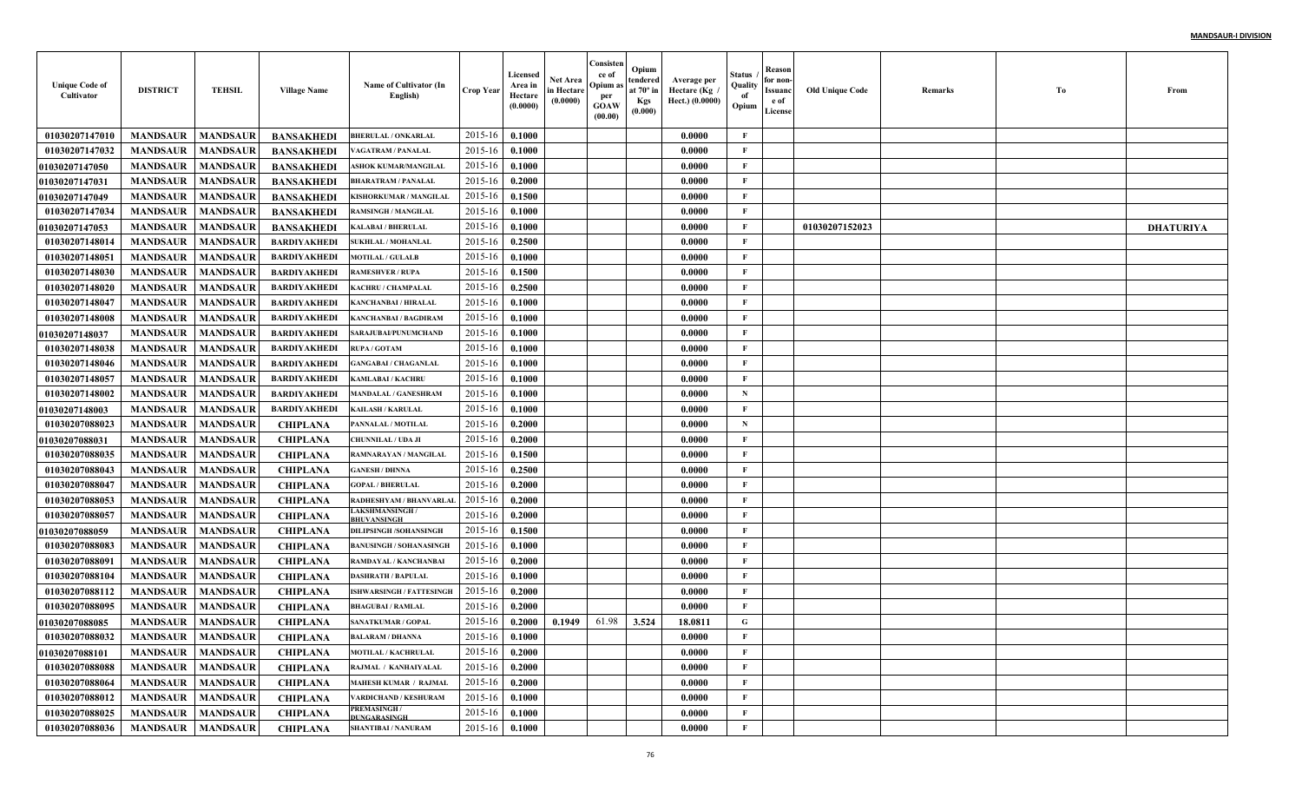| <b>Unique Code of</b><br>Cultivator | <b>DISTRICT</b>     | <b>TEHSIL</b>   | <b>Village Name</b> | Name of Cultivator (In<br>English)          | <b>Crop Year</b> | Licensed<br>Area in<br>Hectare<br>(0.0000) | <b>Net Area</b><br>in Hectare<br>(0.0000) | Consister<br>ce of<br>Opium a<br>per<br><b>GOAW</b><br>(00.00) | Opium<br>tendered<br>at 70° iı<br><b>Kgs</b><br>(0.000) | Average per<br>Hectare (Kg<br>Hect.) (0.0000) | Status<br>Quality<br>of<br>Opium | <b>Reason</b><br>for non<br><b>Issuanc</b><br>e of<br>License | <b>Old Unique Code</b> | Remarks | To | From             |
|-------------------------------------|---------------------|-----------------|---------------------|---------------------------------------------|------------------|--------------------------------------------|-------------------------------------------|----------------------------------------------------------------|---------------------------------------------------------|-----------------------------------------------|----------------------------------|---------------------------------------------------------------|------------------------|---------|----|------------------|
| 01030207147010                      | <b>MANDSAUR</b>     | <b>MANDSAUR</b> | <b>BANSAKHEDI</b>   | <b>BHERULAL / ONKARLAL</b>                  | 2015-16          | 0.1000                                     |                                           |                                                                |                                                         | 0.0000                                        | F                                |                                                               |                        |         |    |                  |
| 01030207147032                      | <b>MANDSAUR</b>     | <b>MANDSAUR</b> | <b>BANSAKHEDI</b>   | AGATRAM / PANALAL                           | $2015 - 16$      | 0.1000                                     |                                           |                                                                |                                                         | 0.0000                                        | F                                |                                                               |                        |         |    |                  |
| <b>01030207147050</b>               | <b>MANDSAUR</b>     | <b>MANDSAUR</b> | <b>BANSAKHEDI</b>   | <b>SHOK KUMAR/MANGILA</b>                   | $2015 - 16$      | 0.1000                                     |                                           |                                                                |                                                         | 0.0000                                        | F                                |                                                               |                        |         |    |                  |
| 01030207147031                      | <b>MANDSAUR</b>     | <b>MANDSAUR</b> | <b>BANSAKHEDI</b>   | BHARATRAM / PANALAI                         | $2015 - 16$      | 0.2000                                     |                                           |                                                                |                                                         | 0.0000                                        | F                                |                                                               |                        |         |    |                  |
| 01030207147049                      | <b>MANDSAUR</b>     | <b>MANDSAUR</b> | <b>BANSAKHEDI</b>   | <b>KISHORKUMAR / MANGILAL</b>               | $2015-16$        | 0.1500                                     |                                           |                                                                |                                                         | 0.0000                                        | $\mathbf{F}$                     |                                                               |                        |         |    |                  |
| 01030207147034                      | <b>MANDSAUR</b>     | <b>MANDSAUR</b> | <b>BANSAKHEDI</b>   | RAMSINGH / MANGILAL                         | 2015-16          | 0.1000                                     |                                           |                                                                |                                                         | 0.0000                                        | $\mathbf{F}$                     |                                                               |                        |         |    |                  |
| <b>01030207147053</b>               | <b>MANDSAUR</b>     | <b>MANDSAUR</b> | <b>BANSAKHEDI</b>   | KALABAI / BHERULAL                          | 2015-16          | 0.1000                                     |                                           |                                                                |                                                         | 0.0000                                        | F                                |                                                               | 01030207152023         |         |    | <b>DHATURIYA</b> |
| 01030207148014                      | <b>MANDSAUR</b>     | <b>MANDSAUR</b> | <b>BARDIYAKHEDI</b> | <b>SUKHLAL / MOHANLAL</b>                   | 2015-16          | 0.2500                                     |                                           |                                                                |                                                         | 0.0000                                        | F                                |                                                               |                        |         |    |                  |
| 01030207148051                      | <b>MANDSAUR</b>     | <b>MANDSAUR</b> | <b>BARDIYAKHEDI</b> | <b>MOTILAL / GULALB</b>                     | 2015-16          | 0.1000                                     |                                           |                                                                |                                                         | 0.0000                                        | $\mathbf{F}$                     |                                                               |                        |         |    |                  |
| 01030207148030                      | <b>MANDSAUR</b>     | <b>MANDSAUR</b> | <b>BARDIYAKHEDI</b> | <b>RAMESHVER / RUPA</b>                     | 2015-16          | 0.1500                                     |                                           |                                                                |                                                         | 0.0000                                        | $\mathbf{F}$                     |                                                               |                        |         |    |                  |
| 01030207148020                      | <b>MANDSAUR</b>     | <b>MANDSAUR</b> | <b>BARDIYAKHEDI</b> | KACHRU / CHAMPALAL                          | 2015-16          | 0.2500                                     |                                           |                                                                |                                                         | 0.0000                                        | F                                |                                                               |                        |         |    |                  |
| 01030207148047                      | <b>MANDSAUR</b>     | <b>MANDSAUR</b> | <b>BARDIYAKHEDI</b> | KANCHANBAI / HIRALAI                        | 2015-16          | 0.1000                                     |                                           |                                                                |                                                         | 0.0000                                        | F                                |                                                               |                        |         |    |                  |
| 01030207148008                      | <b>MANDSAUR</b>     | <b>MANDSAUR</b> | <b>BARDIYAKHEDI</b> | KANCHANBAI / BAGDIRAM                       | 2015-16          | 0.1000                                     |                                           |                                                                |                                                         | 0.0000                                        | $\mathbf{F}$                     |                                                               |                        |         |    |                  |
| 01030207148037                      | <b>MANDSAUR</b>     | <b>MANDSAUR</b> | <b>BARDIYAKHEDI</b> | SARAJUBAI/PUNUMCHAND                        | 2015-16          | 0.1000                                     |                                           |                                                                |                                                         | 0.0000                                        | F                                |                                                               |                        |         |    |                  |
| 01030207148038                      | <b>MANDSAUR</b>     | <b>MANDSAUR</b> | <b>BARDIYAKHEDI</b> | <b>RUPA/GOTAM</b>                           | 2015-16          | 0.1000                                     |                                           |                                                                |                                                         | 0.0000                                        | $\mathbf{F}$                     |                                                               |                        |         |    |                  |
| 01030207148046                      | <b>MANDSAUR</b>     | <b>MANDSAUR</b> | <b>BARDIYAKHEDI</b> | <b>GANGABAI / CHAGANLAL</b>                 | 2015-16          | 0.1000                                     |                                           |                                                                |                                                         | 0.0000                                        | $\mathbf{F}$                     |                                                               |                        |         |    |                  |
| 01030207148057                      | <b>MANDSAUR</b>     | <b>MANDSAUR</b> | <b>BARDIYAKHED</b>  | <b><i>KAMLABAI / KACHRU</i></b>             | 2015-16          | 0.1000                                     |                                           |                                                                |                                                         | 0.0000                                        | $\mathbf{F}$                     |                                                               |                        |         |    |                  |
| 01030207148002                      | <b>MANDSAUR</b>     | <b>MANDSAUR</b> | <b>BARDIYAKHEDI</b> | <b>MANDALAL / GANESHRAM</b>                 | 2015-16          | 0.1000                                     |                                           |                                                                |                                                         | 0.0000                                        | $\mathbf N$                      |                                                               |                        |         |    |                  |
| <b>01030207148003</b>               | <b>MANDSAUR</b>     | <b>MANDSAUR</b> | <b>BARDIYAKHED</b>  | <b>KAILASH / KARULAL</b>                    | 2015-16          | 0.1000                                     |                                           |                                                                |                                                         | 0.0000                                        | F                                |                                                               |                        |         |    |                  |
| 01030207088023                      | <b>MANDSAUR</b>     | <b>MANDSAUR</b> | <b>CHIPLANA</b>     | PANNALAL / MOTILAL                          | 2015-16          | 0.2000                                     |                                           |                                                                |                                                         | 0.0000                                        | $\mathbf N$                      |                                                               |                        |         |    |                  |
| 01030207088031                      | <b>MANDSAUR</b>     | <b>MANDSAUR</b> | <b>CHIPLANA</b>     | <b>CHUNNILAL / UDA JI</b>                   | $2015 - 16$      | 0.2000                                     |                                           |                                                                |                                                         | 0.0000                                        | F                                |                                                               |                        |         |    |                  |
| 01030207088035                      | <b>MANDSAUR</b>     | <b>MANDSAUR</b> | <b>CHIPLANA</b>     | RAMNARAYAN / MANGILAI                       | $2015 - 16$      | 0.1500                                     |                                           |                                                                |                                                         | 0.0000                                        | $\mathbf{F}$                     |                                                               |                        |         |    |                  |
| 01030207088043                      | <b>MANDSAUR</b>     | <b>MANDSAUR</b> | <b>CHIPLANA</b>     | <b>GANESH / DHNNA</b>                       | $2015 - 16$      | 0.2500                                     |                                           |                                                                |                                                         | 0.0000                                        | $\mathbf{F}$                     |                                                               |                        |         |    |                  |
| 01030207088047                      | <b>MANDSAUR</b>     | <b>MANDSAUR</b> | <b>CHIPLANA</b>     | <b>GOPAL / BHERULAL</b>                     | $2015 - 16$      | 0.2000                                     |                                           |                                                                |                                                         | 0.0000                                        | $\mathbf{F}$                     |                                                               |                        |         |    |                  |
| 01030207088053                      | <b>MANDSAUR</b>     | <b>MANDSAUR</b> | <b>CHIPLANA</b>     | RADHESHYAM / BHANVARLAI                     | $2015 - 16$      | 0.2000                                     |                                           |                                                                |                                                         | 0.0000                                        | F                                |                                                               |                        |         |    |                  |
| 01030207088057                      | <b>MANDSAUR</b>     | <b>MANDSAUR</b> | <b>CHIPLANA</b>     | <b>LAKSHMANSINGH</b><br><b>BHIJVANSINGH</b> | $2015 - 16$      | 0.2000                                     |                                           |                                                                |                                                         | 0.0000                                        | $\mathbf{F}$                     |                                                               |                        |         |    |                  |
| <b>01030207088059</b>               | <b>MANDSAUR</b>     | <b>MANDSAUR</b> | <b>CHIPLANA</b>     | <b>DILIPSINGH/SOHANSINGH</b>                | $2015 - 16$      | 0.1500                                     |                                           |                                                                |                                                         | 0.0000                                        | $\mathbf{F}$                     |                                                               |                        |         |    |                  |
| 01030207088083                      | <b>MANDSAUR</b>     | <b>MANDSAUR</b> | <b>CHIPLANA</b>     | <b>BANUSINGH / SOHANASINGE</b>              | $2015 - 16$      | 0.1000                                     |                                           |                                                                |                                                         | 0.0000                                        | $\mathbf{F}$                     |                                                               |                        |         |    |                  |
| 01030207088091                      | <b>MANDSAUR</b>     | <b>MANDSAUR</b> | <b>CHIPLANA</b>     | RAMDAYAL / KANCHANBAI                       | $2015 - 16$      | 0.2000                                     |                                           |                                                                |                                                         | 0.0000                                        | $\mathbf{F}$                     |                                                               |                        |         |    |                  |
| 01030207088104                      | <b>MANDSAUR</b>     | <b>MANDSAUR</b> | <b>CHIPLANA</b>     | <b>DASHRATH / BAPULAL</b>                   | $2015 - 1$       | 0.1000                                     |                                           |                                                                |                                                         | 0.0000                                        | $\mathbf{F}$                     |                                                               |                        |         |    |                  |
| 01030207088112                      | <b>MANDSAUR</b>     | <b>MANDSAUR</b> | <b>CHIPLANA</b>     | ISHWARSINGH / FATTESINGH                    | $2015 - 16$      | 0.2000                                     |                                           |                                                                |                                                         | 0.0000                                        | F                                |                                                               |                        |         |    |                  |
| 01030207088095                      | <b>MANDSAUR</b>     | <b>MANDSAUR</b> | <b>CHIPLANA</b>     | <b>BHAGUBAI / RAMLAL</b>                    | $2015 - 16$      | 0.2000                                     |                                           |                                                                |                                                         | 0.0000                                        | F                                |                                                               |                        |         |    |                  |
| 01030207088085                      | <b>MANDSAUR</b>     | <b>MANDSAUR</b> | <b>CHIPLANA</b>     | <b>SANATKUMAR / GOPAL</b>                   | 2015-16          | 0.2000                                     | 0.1949                                    | 61.98                                                          | 3.524                                                   | 18.0811                                       | G                                |                                                               |                        |         |    |                  |
| 01030207088032                      | MANDSAUR   MANDSAUR |                 | <b>CHIPLANA</b>     | <b>BALARAM / DHANNA</b>                     | 2015-16 0.1000   |                                            |                                           |                                                                |                                                         | 0.0000                                        | -F                               |                                                               |                        |         |    |                  |
| <b>01030207088101</b>               | <b>MANDSAUR</b>     | <b>MANDSAUR</b> | <b>CHIPLANA</b>     | <b>MOTILAL / KACHRULAL</b>                  | 2015-16          | 0.2000                                     |                                           |                                                                |                                                         | 0.0000                                        | $\mathbf{F}$                     |                                                               |                        |         |    |                  |
| 01030207088088                      | <b>MANDSAUR</b>     | <b>MANDSAUR</b> | <b>CHIPLANA</b>     | RAJMAL / KANHAIYALAL                        | 2015-16          | 0.2000                                     |                                           |                                                                |                                                         | 0.0000                                        | $\mathbf{F}$                     |                                                               |                        |         |    |                  |
| 01030207088064                      | <b>MANDSAUR</b>     | <b>MANDSAUR</b> | <b>CHIPLANA</b>     | <b>MAHESH KUMAR / RAJMAL</b>                | 2015-16          | 0.2000                                     |                                           |                                                                |                                                         | 0.0000                                        | $\mathbf{F}$                     |                                                               |                        |         |    |                  |
| 01030207088012                      | <b>MANDSAUR</b>     | <b>MANDSAUR</b> | <b>CHIPLANA</b>     | VARDICHAND / KESHURAM                       | 2015-16          | 0.1000                                     |                                           |                                                                |                                                         | 0.0000                                        | $\mathbf{F}$                     |                                                               |                        |         |    |                  |
| 01030207088025                      | <b>MANDSAUR</b>     | <b>MANDSAUR</b> | <b>CHIPLANA</b>     | PREMASINGH /<br>DUNGARASINGH                | 2015-16          | 0.1000                                     |                                           |                                                                |                                                         | 0.0000                                        | $\mathbf{F}$                     |                                                               |                        |         |    |                  |
| 01030207088036                      | <b>MANDSAUR</b>     | <b>MANDSAUR</b> | <b>CHIPLANA</b>     | <b>SHANTIBAI / NANURAM</b>                  | $2015 - 16$      | 0.1000                                     |                                           |                                                                |                                                         | 0.0000                                        | $\mathbf{F}$                     |                                                               |                        |         |    |                  |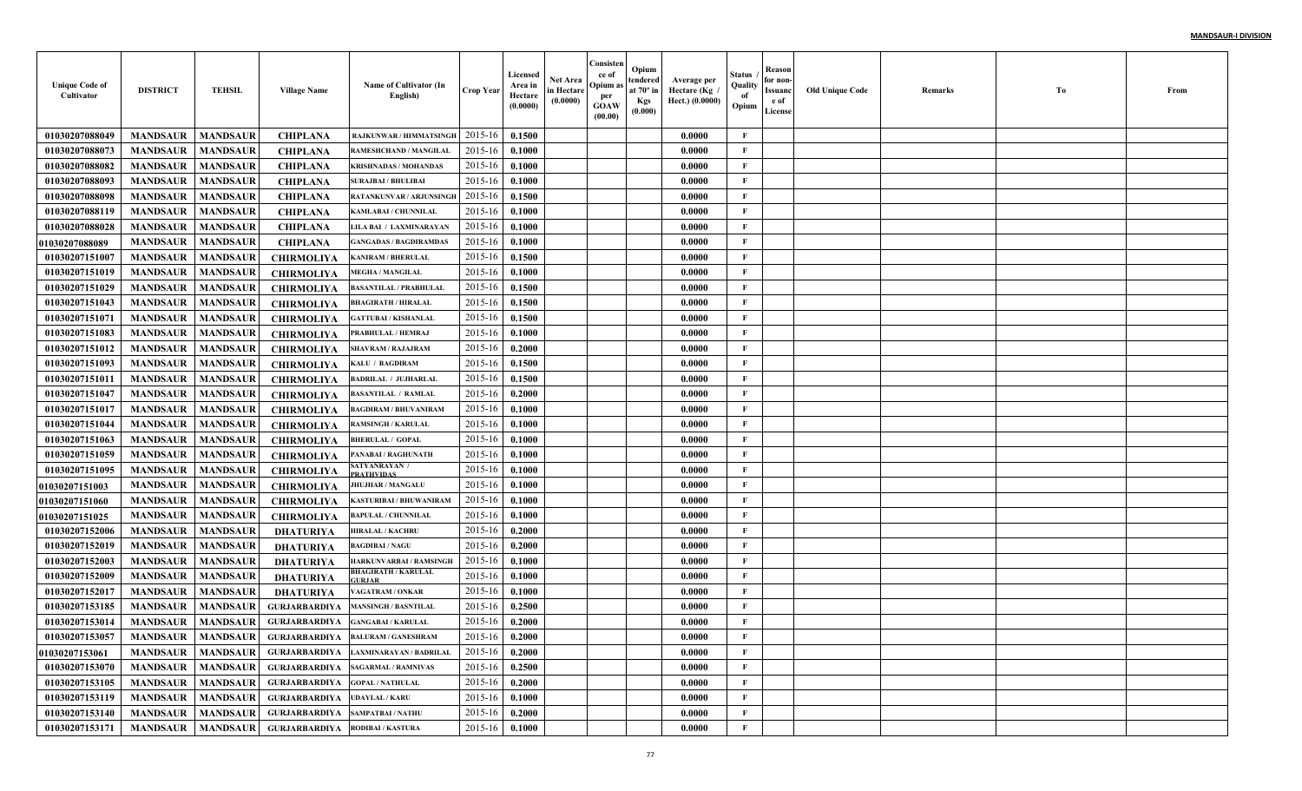| <b>Unique Code of</b><br>Cultivator | <b>DISTRICT</b> | <b>TEHSIL</b>   | <b>Village Name</b>                    | Name of Cultivator (In<br>English)                    | <b>Crop Year</b> | Licensed<br>Area in<br>Hectare<br>(0.0000) | <b>Net Area</b><br>in Hectare<br>(0.0000) | Consisten<br>ce of<br>Opium as<br>per<br><b>GOAW</b><br>(00.00) | Opium<br>tendered<br>at $70^\circ$ in<br><b>Kgs</b><br>(0.000) | Average per<br>، Hectare (Kg<br>Hect.) (0.0000) | Status<br>Quality<br>of<br>Opium | Reason<br>for non-<br>Issuanc<br>e of<br>License | <b>Old Unique Code</b> | Remarks | Тo | From |
|-------------------------------------|-----------------|-----------------|----------------------------------------|-------------------------------------------------------|------------------|--------------------------------------------|-------------------------------------------|-----------------------------------------------------------------|----------------------------------------------------------------|-------------------------------------------------|----------------------------------|--------------------------------------------------|------------------------|---------|----|------|
| 01030207088049                      | <b>MANDSAUR</b> | <b>MANDSAUR</b> | <b>CHIPLANA</b>                        | RAJKUNWAR / HIMMATSINGH                               | 2015-16          | 0.1500                                     |                                           |                                                                 |                                                                | 0.0000                                          | $\mathbf{F}$                     |                                                  |                        |         |    |      |
| 01030207088073                      | <b>MANDSAUR</b> | <b>MANDSAUR</b> | <b>CHIPLANA</b>                        | RAMESHCHAND / MANGILAI                                | 2015-16          | 0.1000                                     |                                           |                                                                 |                                                                | 0.0000                                          | F                                |                                                  |                        |         |    |      |
| 01030207088082                      | <b>MANDSAUR</b> | <b>MANDSAUR</b> | <b>CHIPLANA</b>                        | <b>KRISHNADAS / MOHANDAS</b>                          | 2015-16          | 0.1000                                     |                                           |                                                                 |                                                                | 0.0000                                          | $\mathbf{F}$                     |                                                  |                        |         |    |      |
| 01030207088093                      | <b>MANDSAUR</b> | <b>MANDSAUR</b> | <b>CHIPLANA</b>                        | <b>SURAJBAI / BHULIBAI</b>                            | 2015-16          | 0.1000                                     |                                           |                                                                 |                                                                | 0.0000                                          | $\mathbf{F}$                     |                                                  |                        |         |    |      |
| 01030207088098                      | <b>MANDSAUR</b> | <b>MANDSAUR</b> | <b>CHIPLANA</b>                        | <b>RATANKUNVAR / ARJUNSINGI</b>                       | 2015-16          | 0.1500                                     |                                           |                                                                 |                                                                | 0.0000                                          | $\mathbf{F}$                     |                                                  |                        |         |    |      |
| 01030207088119                      | <b>MANDSAUR</b> | <b>MANDSAUR</b> | <b>CHIPLANA</b>                        | <b>KAMLABAI / CHUNNILAL</b>                           | 2015-16          | 0.1000                                     |                                           |                                                                 |                                                                | 0.0000                                          | F                                |                                                  |                        |         |    |      |
| 01030207088028                      | <b>MANDSAUR</b> | <b>MANDSAUR</b> | <b>CHIPLANA</b>                        | LILA BAI / LAXMINARAYAN                               | 2015-16          | 0.1000                                     |                                           |                                                                 |                                                                | 0.0000                                          | F                                |                                                  |                        |         |    |      |
| <b>01030207088089</b>               | <b>MANDSAUR</b> | <b>MANDSAUR</b> | <b>CHIPLANA</b>                        | <b>GANGADAS / BAGDIRAMDAS</b>                         | 2015-16          | 0.1000                                     |                                           |                                                                 |                                                                | 0.0000                                          | $\mathbf{F}$                     |                                                  |                        |         |    |      |
| 01030207151007                      | <b>MANDSAUR</b> | <b>MANDSAUR</b> | <b>CHIRMOLIYA</b>                      | KANIRAM / BHERULAL                                    | 2015-16          | 0.1500                                     |                                           |                                                                 |                                                                | 0.0000                                          | $\mathbf{F}$                     |                                                  |                        |         |    |      |
| 01030207151019                      | <b>MANDSAUR</b> | <b>MANDSAUR</b> | <b>CHIRMOLIYA</b>                      | <b>MEGHA / MANGILAL</b>                               | 2015-16          | 0.1000                                     |                                           |                                                                 |                                                                | 0.0000                                          | $\mathbf{F}$                     |                                                  |                        |         |    |      |
| 01030207151029                      | <b>MANDSAUR</b> | <b>MANDSAUR</b> | <b>CHIRMOLIYA</b>                      | <b>BASANTILAL / PRABHULAI</b>                         | 2015-16          | 0.1500                                     |                                           |                                                                 |                                                                | 0.0000                                          | $\mathbf{F}$                     |                                                  |                        |         |    |      |
| 01030207151043                      | <b>MANDSAUR</b> | <b>MANDSAUR</b> | <b>CHIRMOLIYA</b>                      | <b>BHAGIRATH / HIRALAL</b>                            | 2015-16          | 0.1500                                     |                                           |                                                                 |                                                                | 0.0000                                          | $\mathbf{F}$                     |                                                  |                        |         |    |      |
| 01030207151071                      | <b>MANDSAUR</b> | <b>MANDSAUR</b> | <b>CHIRMOLIYA</b>                      | <b>GATTUBAI / KISHANLAI</b>                           | 2015-16          | 0.1500                                     |                                           |                                                                 |                                                                | 0.0000                                          | $\mathbf{F}$                     |                                                  |                        |         |    |      |
| 01030207151083                      | <b>MANDSAUR</b> | <b>MANDSAUR</b> | <b>CHIRMOLIYA</b>                      | PRABHULAL / HEMRAJ                                    | 2015-16          | 0.1000                                     |                                           |                                                                 |                                                                | 0.0000                                          | $\mathbf{F}$                     |                                                  |                        |         |    |      |
| 01030207151012                      | <b>MANDSAUR</b> | <b>MANDSAUR</b> | <b>CHIRMOLIYA</b>                      | <b>SHAVRAM / RAJAJRAM</b>                             | 2015-16          | 0.2000                                     |                                           |                                                                 |                                                                | 0.0000                                          | $\mathbf{F}$                     |                                                  |                        |         |    |      |
| 01030207151093                      | <b>MANDSAUR</b> | <b>MANDSAUR</b> | <b>CHIRMOLIYA</b>                      | KALU / BAGDIRAM                                       | 2015-16          | 0.1500                                     |                                           |                                                                 |                                                                | 0.0000                                          | $\mathbf{F}$                     |                                                  |                        |         |    |      |
| 01030207151011                      | <b>MANDSAUR</b> | <b>MANDSAUR</b> | <b>CHIRMOLIYA</b>                      | <b>BADRILAL / JUJHARLAI</b>                           | 2015-16          | 0.1500                                     |                                           |                                                                 |                                                                | 0.0000                                          | $\mathbf{F}$                     |                                                  |                        |         |    |      |
| 01030207151047                      | <b>MANDSAUR</b> | <b>MANDSAUR</b> | <b>CHIRMOLIYA</b>                      | <b>BASANTILAL / RAMLAL</b>                            | 2015-16          | 0.2000                                     |                                           |                                                                 |                                                                | 0.0000                                          | $\mathbf{F}$                     |                                                  |                        |         |    |      |
| 01030207151017                      | <b>MANDSAUR</b> | <b>MANDSAUR</b> | <b>CHIRMOLIYA</b>                      | <b>BAGDIRAM / BHUVANIRAM</b>                          | 2015-16          | 0.1000                                     |                                           |                                                                 |                                                                | 0.0000                                          | $\mathbf{F}$                     |                                                  |                        |         |    |      |
| 01030207151044                      | <b>MANDSAUR</b> | <b>MANDSAUR</b> | <b>CHIRMOLIYA</b>                      | <b>RAMSINGH / KARULAL</b>                             | 2015-16          | 0.1000                                     |                                           |                                                                 |                                                                | 0.0000                                          | $\mathbf{F}$                     |                                                  |                        |         |    |      |
| 01030207151063                      | <b>MANDSAUR</b> | <b>MANDSAUR</b> | <b>CHIRMOLIYA</b>                      | <b>BHERULAL / GOPAL</b>                               | 2015-16          | 0.1000                                     |                                           |                                                                 |                                                                | 0.0000                                          | $\mathbf{F}$                     |                                                  |                        |         |    |      |
| 01030207151059                      | <b>MANDSAUR</b> | <b>MANDSAUR</b> | <b>CHIRMOLIYA</b>                      | PANABAI / RAGHUNATH                                   | 2015-16          | 0.1000                                     |                                           |                                                                 |                                                                | 0.0000                                          | $\mathbf{F}$                     |                                                  |                        |         |    |      |
| 01030207151095                      | <b>MANDSAUR</b> | <b>MANDSAUR</b> | <b>CHIRMOLIYA</b>                      | SATYANRAYAN /<br><b>PRATHVIDAS</b>                    | 2015-16          | 0.1000                                     |                                           |                                                                 |                                                                | 0.0000                                          | $\mathbf{F}$                     |                                                  |                        |         |    |      |
| <b>01030207151003</b>               | <b>MANDSAUR</b> | <b>MANDSAUR</b> | <b>CHIRMOLIYA</b>                      | JHUJHAR / MANGALU                                     | 2015-16          | 0.1000                                     |                                           |                                                                 |                                                                | 0.0000                                          | $\mathbf{F}$                     |                                                  |                        |         |    |      |
| <b>01030207151060</b>               | <b>MANDSAUR</b> | <b>MANDSAUR</b> | <b>CHIRMOLIYA</b>                      | KASTURIBAI / BHUWANIRAM                               | 2015-16          | 0.1000                                     |                                           |                                                                 |                                                                | 0.0000                                          | $\mathbf{F}$                     |                                                  |                        |         |    |      |
| <b>01030207151025</b>               | <b>MANDSAUR</b> | <b>MANDSAUR</b> | <b>CHIRMOLIYA</b>                      | <b>BAPULAL / CHUNNILAL</b>                            | 2015-16          | 0.1000                                     |                                           |                                                                 |                                                                | 0.0000                                          | $\mathbf{F}$                     |                                                  |                        |         |    |      |
| 01030207152006                      | <b>MANDSAUR</b> | <b>MANDSAUR</b> | <b>DHATURIYA</b>                       | <b>HIRALAL / KACHRU</b>                               | 2015-16          | 0.2000                                     |                                           |                                                                 |                                                                | 0.0000                                          | F                                |                                                  |                        |         |    |      |
| 01030207152019                      | <b>MANDSAUR</b> | <b>MANDSAUR</b> | <b>DHATURIYA</b>                       | <b>BAGDIBAI / NAGU</b>                                | 2015-16          | 0.2000                                     |                                           |                                                                 |                                                                | 0.0000                                          | $\mathbf{F}$                     |                                                  |                        |         |    |      |
| 01030207152003                      | <b>MANDSAUR</b> | <b>MANDSAUR</b> | <b>DHATURIYA</b>                       | HARKUNVARBAI / RAMSINGH                               | 2015-16          | 0.1000                                     |                                           |                                                                 |                                                                | 0.0000                                          | $\mathbf{F}$                     |                                                  |                        |         |    |      |
| 01030207152009                      | <b>MANDSAUR</b> | <b>MANDSAUR</b> | <b>DHATURIYA</b>                       | <b>BHAGIRATH / KARULAL</b><br>URJAR <sup>:</sup>      | 2015-16          | 0.1000                                     |                                           |                                                                 |                                                                | 0.0000                                          | $\mathbf{F}$                     |                                                  |                        |         |    |      |
| 01030207152017                      | <b>MANDSAUR</b> | <b>MANDSAUR</b> | <b>DHATURIYA</b>                       | <b>/AGATRAM / ONKAR</b>                               | 2015-16          | 0.1000                                     |                                           |                                                                 |                                                                | 0.0000                                          | F                                |                                                  |                        |         |    |      |
| 01030207153185                      | <b>MANDSAUR</b> | <b>MANDSAUR</b> | <b>GURJARBARDIYA</b>                   | <b>MANSINGH / BASNTILAI</b>                           | 2015-16          | 0.2500                                     |                                           |                                                                 |                                                                | 0.0000                                          | F                                |                                                  |                        |         |    |      |
| 01030207153014                      | <b>MANDSAUR</b> | <b>MANDSAUR</b> | <b>GURJARBARDIYA</b>                   | <b>GANGABAI / KARULAL</b>                             | 2015-16          | 0.2000                                     |                                           |                                                                 |                                                                | 0.0000                                          | F                                |                                                  |                        |         |    |      |
| 01030207153057                      |                 |                 |                                        | MANDSAUR   MANDSAUR   GURJARBARDIYA BALURAM/GANESHRAM | 2015-16 0.2000   |                                            |                                           |                                                                 |                                                                | 0.0000                                          | F                                |                                                  |                        |         |    |      |
| 01030207153061                      | <b>MANDSAUR</b> | <b>MANDSAUR</b> |                                        | GURJARBARDIYA LAXMINARAYAN / BADRILAL                 | 2015-16          | 0.2000                                     |                                           |                                                                 |                                                                | 0.0000                                          | $\mathbf{F}$                     |                                                  |                        |         |    |      |
| 01030207153070                      | <b>MANDSAUR</b> | <b>MANDSAUR</b> |                                        | GURJARBARDIYA SAGARMAL / RAMNIVAS                     | 2015-16          | 0.2500                                     |                                           |                                                                 |                                                                | 0.0000                                          | $\mathbf{F}$                     |                                                  |                        |         |    |      |
| 01030207153105                      | <b>MANDSAUR</b> | <b>MANDSAUR</b> | GURJARBARDIYA GOPAL/NATHULAL           |                                                       | 2015-16          | 0.2000                                     |                                           |                                                                 |                                                                | 0.0000                                          | $\mathbf{F}$                     |                                                  |                        |         |    |      |
| 01030207153119                      | <b>MANDSAUR</b> |                 | MANDSAUR GURJARBARDIYA UDAYLAL/KARU    |                                                       | 2015-16          | 0.1000                                     |                                           |                                                                 |                                                                | 0.0000                                          | $\mathbf F$                      |                                                  |                        |         |    |      |
| 01030207153140                      | <b>MANDSAUR</b> |                 | MANDSAUR GURJARBARDIYA SAMPATBAI/NATHU |                                                       | $2015 - 16$      | 0.2000                                     |                                           |                                                                 |                                                                | 0.0000                                          | $\mathbf F$                      |                                                  |                        |         |    |      |
| 01030207153171                      | <b>MANDSAUR</b> |                 | MANDSAUR GURJARBARDIYA RODIBAI/KASTURA |                                                       | $2015 - 16$      | 0.1000                                     |                                           |                                                                 |                                                                | 0.0000                                          | $\mathbf{F}$                     |                                                  |                        |         |    |      |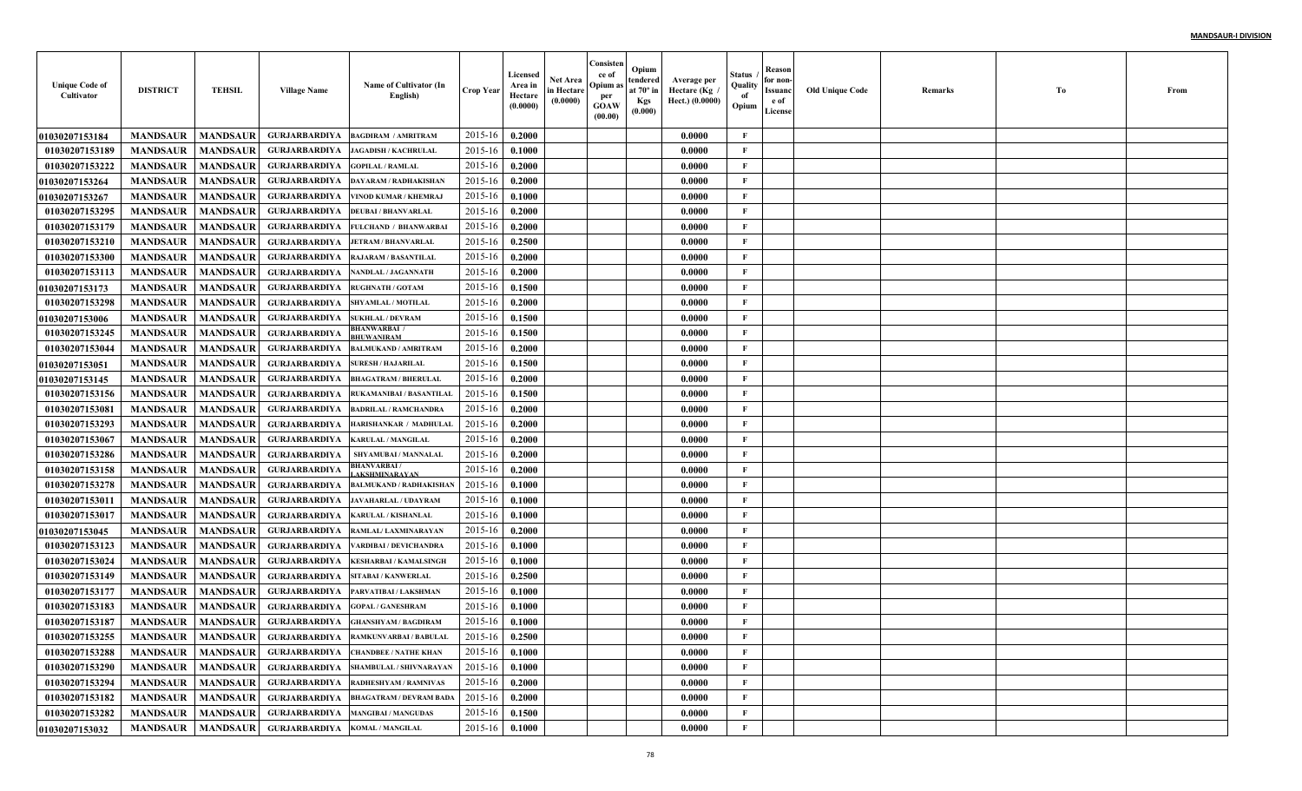| <b>Unique Code of</b><br>Cultivator | <b>DISTRICT</b> | <b>TEHSIL</b>   | <b>Village Name</b>                   | Name of Cultivator (In<br>English)                       | <b>Crop Year</b> | Licensed<br>Area in<br>Hectare<br>(0.0000) | <b>Net Area</b><br>in Hectare<br>(0.0000) | Consisten<br>ce of<br>Opium as<br>per<br><b>GOAW</b><br>(00.00) | Opium<br>tendered<br>at $70^\circ$ in<br><b>Kgs</b><br>(0.000) | Average per<br>Hectare (Kg<br>Hect.) (0.0000) | Status<br>Quality<br>of<br>Opium | Reason<br>for non-<br>Issuanc<br>e of<br>License | <b>Old Unique Code</b> | Remarks | Тo | From |
|-------------------------------------|-----------------|-----------------|---------------------------------------|----------------------------------------------------------|------------------|--------------------------------------------|-------------------------------------------|-----------------------------------------------------------------|----------------------------------------------------------------|-----------------------------------------------|----------------------------------|--------------------------------------------------|------------------------|---------|----|------|
| 01030207153184                      | <b>MANDSAUR</b> | <b>MANDSAUR</b> | <b>GURJARBARDIYA</b>                  | <b>BAGDIRAM / AMRITRAM</b>                               | 2015-16          | 0.2000                                     |                                           |                                                                 |                                                                | 0.0000                                        | $\mathbf{F}$                     |                                                  |                        |         |    |      |
| 01030207153189                      | <b>MANDSAUR</b> | <b>MANDSAUR</b> | <b>GURJARBARDIYA</b>                  | <b>JAGADISH / KACHRULAL</b>                              | 2015-16          | 0.1000                                     |                                           |                                                                 |                                                                | 0.0000                                        | F                                |                                                  |                        |         |    |      |
| 01030207153222                      | <b>MANDSAUR</b> | <b>MANDSAUR</b> | <b>GURJARBARDIYA</b>                  | <b>GOPILAL / RAMLAL</b>                                  | 2015-16          | 0.2000                                     |                                           |                                                                 |                                                                | 0.0000                                        | $\mathbf{F}$                     |                                                  |                        |         |    |      |
| 01030207153264                      | <b>MANDSAUR</b> | <b>MANDSAUR</b> | <b>GURJARBARDIYA</b>                  | DAYARAM / RADHAKISHAN                                    | 2015-16          | 0.2000                                     |                                           |                                                                 |                                                                | 0.0000                                        | $\mathbf{F}$                     |                                                  |                        |         |    |      |
| <b>01030207153267</b>               | <b>MANDSAUR</b> | <b>MANDSAUR</b> | <b>GURJARBARDIYA</b>                  | VINOD KUMAR / KHEMRAJ                                    | 2015-16          | 0.1000                                     |                                           |                                                                 |                                                                | 0.0000                                        | $\mathbf{F}$                     |                                                  |                        |         |    |      |
| 01030207153295                      | <b>MANDSAUR</b> | <b>MANDSAUR</b> | <b>GURJARBARDIYA</b>                  | <b>DEUBAI / BHANVARLAL</b>                               | 2015-16          | 0.2000                                     |                                           |                                                                 |                                                                | 0.0000                                        | $\mathbf{F}$                     |                                                  |                        |         |    |      |
| 01030207153179                      | <b>MANDSAUR</b> | <b>MANDSAUR</b> | <b>GURJARBARDIYA</b>                  | <b>FULCHAND / BHANWARBAI</b>                             | 2015-16          | 0.2000                                     |                                           |                                                                 |                                                                | 0.0000                                        | $\mathbf{F}$                     |                                                  |                        |         |    |      |
| 01030207153210                      | <b>MANDSAUR</b> | <b>MANDSAUR</b> | <b>GURJARBARDIYA</b>                  | <b>JETRAM / BHANVARLAL</b>                               | 2015-16          | 0.2500                                     |                                           |                                                                 |                                                                | 0.0000                                        | $\mathbf{F}$                     |                                                  |                        |         |    |      |
| 01030207153300                      | <b>MANDSAUR</b> | <b>MANDSAUR</b> | <b>GURJARBARDIYA</b>                  | <b>RAJARAM / BASANTILAI</b>                              | 2015-16          | 0.2000                                     |                                           |                                                                 |                                                                | 0.0000                                        | $\mathbf{F}$                     |                                                  |                        |         |    |      |
| 01030207153113                      | <b>MANDSAUR</b> | <b>MANDSAUR</b> | <b>GURJARBARDIYA</b>                  | <b>NANDLAL / JAGANNATH</b>                               | 2015-16          | 0.2000                                     |                                           |                                                                 |                                                                | 0.0000                                        | $\mathbf{F}$                     |                                                  |                        |         |    |      |
| <b>01030207153173</b>               | <b>MANDSAUR</b> | <b>MANDSAUR</b> | <b>GURJARBARDIYA</b>                  | <b>RUGHNATH / GOTAM</b>                                  | 2015-16          | 0.1500                                     |                                           |                                                                 |                                                                | 0.0000                                        | $\mathbf{F}$                     |                                                  |                        |         |    |      |
| 01030207153298                      | <b>MANDSAUR</b> | <b>MANDSAUR</b> | <b>GURJARBARDIYA</b>                  | SHYAMLAL / MOTILAL                                       | 2015-16          | 0.2000                                     |                                           |                                                                 |                                                                | 0.0000                                        | $\mathbf{F}$                     |                                                  |                        |         |    |      |
| <b>01030207153006</b>               | <b>MANDSAUR</b> | <b>MANDSAUR</b> | <b>GURJARBARDIYA</b>                  | <b>SUKHLAL / DEVRAM</b>                                  | 2015-16          | 0.1500                                     |                                           |                                                                 |                                                                | 0.0000                                        | $\mathbf{F}$                     |                                                  |                        |         |    |      |
| 01030207153245                      | <b>MANDSAUR</b> | <b>MANDSAUR</b> | <b>GURJARBARDIYA</b>                  | HANWARBAI /<br><b>HUWANIRAM</b>                          | 2015-16          | 0.1500                                     |                                           |                                                                 |                                                                | 0.0000                                        | $\mathbf{F}$                     |                                                  |                        |         |    |      |
| 01030207153044                      | <b>MANDSAUR</b> | <b>MANDSAUR</b> | <b>GURJARBARDIYA</b>                  | <b>BALMUKAND / AMRITRAM</b>                              | 2015-16          | 0.2000                                     |                                           |                                                                 |                                                                | 0.0000                                        | $\mathbf{F}$                     |                                                  |                        |         |    |      |
| <b>01030207153051</b>               | <b>MANDSAUR</b> | <b>MANDSAUR</b> | <b>GURJARBARDIYA</b>                  | <b>SURESH / HAJARILAL</b>                                | 2015-16          | 0.1500                                     |                                           |                                                                 |                                                                | 0.0000                                        | $\mathbf{F}$                     |                                                  |                        |         |    |      |
| <b>01030207153145</b>               | <b>MANDSAUR</b> | <b>MANDSAUR</b> | <b>GURJARBARDIYA</b>                  | <b>BHAGATRAM / BHERULAL</b>                              | 2015-16          | 0.2000                                     |                                           |                                                                 |                                                                | 0.0000                                        | $\mathbf{F}$                     |                                                  |                        |         |    |      |
| 01030207153156                      | <b>MANDSAUR</b> | <b>MANDSAUR</b> | <b>GURJARBARDIYA</b>                  | <b>RUKAMANIBAI / BASANTILAL</b>                          | 2015-16          | 0.1500                                     |                                           |                                                                 |                                                                | 0.0000                                        | $\mathbf{F}$                     |                                                  |                        |         |    |      |
| 01030207153081                      | <b>MANDSAUR</b> | <b>MANDSAUR</b> | <b>GURJARBARDIYA</b>                  | <b>BADRILAL / RAMCHANDRA</b>                             | 2015-16          | 0.2000                                     |                                           |                                                                 |                                                                | 0.0000                                        | $\mathbf{F}$                     |                                                  |                        |         |    |      |
| 01030207153293                      | <b>MANDSAUR</b> | <b>MANDSAUR</b> | <b>GURJARBARDIYA</b>                  | HARISHANKAR / MADHULAL                                   | 2015-16          | 0.2000                                     |                                           |                                                                 |                                                                | 0.0000                                        | $\mathbf{F}$                     |                                                  |                        |         |    |      |
| 01030207153067                      | <b>MANDSAUR</b> | <b>MANDSAUR</b> | <b>GURJARBARDIYA</b>                  | <b>KARULAL / MANGILAL</b>                                | 2015-16          | 0.2000                                     |                                           |                                                                 |                                                                | 0.0000                                        | $\mathbf{F}$                     |                                                  |                        |         |    |      |
| 01030207153286                      | <b>MANDSAUR</b> | <b>MANDSAUR</b> | <b>GURJARBARDIYA</b>                  | SHYAMUBAI / MANNALAI                                     | 2015-16          | 0.2000                                     |                                           |                                                                 |                                                                | 0.0000                                        | $\mathbf{F}$                     |                                                  |                        |         |    |      |
| 01030207153158                      | <b>MANDSAUR</b> | <b>MANDSAUR</b> | <b>GURJARBARDIYA</b>                  | <b>HANVARBAI/</b><br><b>AKSHMINARAYAN</b>                | 2015-16          | 0.2000                                     |                                           |                                                                 |                                                                | 0.0000                                        | $\mathbf{F}$                     |                                                  |                        |         |    |      |
| 01030207153278                      | <b>MANDSAUR</b> | <b>MANDSAUR</b> | <b>GURJARBARDIYA</b>                  | <b>BALMUKAND / RADHAKISHAN</b>                           | 2015-16          | 0.1000                                     |                                           |                                                                 |                                                                | 0.0000                                        | $\mathbf{F}$                     |                                                  |                        |         |    |      |
| 01030207153011                      | <b>MANDSAUR</b> | <b>MANDSAUR</b> | <b>GURJARBARDIYA</b>                  | <b>JAVAHARLAL / UDAYRAM</b>                              | 2015-16          | 0.1000                                     |                                           |                                                                 |                                                                | 0.0000                                        | $\mathbf{F}$                     |                                                  |                        |         |    |      |
| 01030207153017                      | <b>MANDSAUR</b> | <b>MANDSAUR</b> | <b>GURJARBARDIYA</b>                  | <b>KARULAL / KISHANLAL</b>                               | 2015-16          | 0.1000                                     |                                           |                                                                 |                                                                | 0.0000                                        | $\mathbf{F}$                     |                                                  |                        |         |    |      |
| 01030207153045                      | <b>MANDSAUR</b> | <b>MANDSAUR</b> | <b>GURJARBARDIYA</b>                  | RAMLAL/LAXMINARAYAN                                      | 2015-16          | 0.2000                                     |                                           |                                                                 |                                                                | 0.0000                                        | $\mathbf{F}$                     |                                                  |                        |         |    |      |
| 01030207153123                      | <b>MANDSAUR</b> | <b>MANDSAUR</b> | <b>GURJARBARDIYA</b>                  | ARDIBAI / DEVICHANDRA                                    | 2015-16          | 0.1000                                     |                                           |                                                                 |                                                                | 0.0000                                        | $\mathbf{F}$                     |                                                  |                        |         |    |      |
| 01030207153024                      | <b>MANDSAUR</b> | <b>MANDSAUR</b> | <b>GURJARBARDIYA</b>                  | <b>KESHARBAI / KAMALSINGI</b>                            | 2015-16          | 0.1000                                     |                                           |                                                                 |                                                                | 0.0000                                        | $\mathbf{F}$                     |                                                  |                        |         |    |      |
| 01030207153149                      | <b>MANDSAUR</b> | <b>MANDSAUR</b> | <b>GURJARBARDIYA</b>                  | SITABAI / KANWERLAL                                      | 2015-16          | 0.2500                                     |                                           |                                                                 |                                                                | 0.0000                                        | $\mathbf{F}$                     |                                                  |                        |         |    |      |
| 01030207153177                      | <b>MANDSAUR</b> | <b>MANDSAUR</b> | <b>GURJARBARDIYA</b>                  | PARVATIBAI / LAKSHMAN                                    | 2015-16          | 0.1000                                     |                                           |                                                                 |                                                                | 0.0000                                        | F                                |                                                  |                        |         |    |      |
| 01030207153183                      | <b>MANDSAUR</b> | <b>MANDSAUR</b> | <b>GURJARBARDIYA</b>                  | <b>GOPAL / GANESHRAM</b>                                 | 2015-16          | 0.1000                                     |                                           |                                                                 |                                                                | 0.0000                                        | F                                |                                                  |                        |         |    |      |
| 01030207153187                      | <b>MANDSAUR</b> | <b>MANDSAUR</b> | <b>GURJARBARDIYA</b>                  | <b>GHANSHYAM / BAGDIRAM</b>                              | 2015-16          | 0.1000                                     |                                           |                                                                 |                                                                | 0.0000                                        | F                                |                                                  |                        |         |    |      |
| 01030207153255                      |                 |                 |                                       | MANDSAUR   MANDSAUR   GURJARBARDIYA RAMKUNVARBAI/BABULAL | 2015-16 0.2500   |                                            |                                           |                                                                 |                                                                | 0.0000                                        | F                                |                                                  |                        |         |    |      |
| 01030207153288                      | <b>MANDSAUR</b> | <b>MANDSAUR</b> |                                       | <b>GURJARBARDIYA CHANDBEE / NATHE KHAN</b>               | 2015-16          | 0.1000                                     |                                           |                                                                 |                                                                | 0.0000                                        | $\mathbf{F}$                     |                                                  |                        |         |    |      |
| 01030207153290                      | <b>MANDSAUR</b> |                 |                                       | MANDSAUR GURJARBARDIYA SHAMBULAL/SHIVNARAYAN             | 2015-16          | 0.1000                                     |                                           |                                                                 |                                                                | 0.0000                                        | $\mathbf{F}$                     |                                                  |                        |         |    |      |
| 01030207153294                      | <b>MANDSAUR</b> |                 |                                       | MANDSAUR GURJARBARDIYA RADHESHYAM / RAMNIVAS             | 2015-16          | 0.2000                                     |                                           |                                                                 |                                                                | 0.0000                                        | $\mathbf{F}$                     |                                                  |                        |         |    |      |
| 01030207153182                      | <b>MANDSAUR</b> |                 |                                       | MANDSAUR GURJARBARDIYA BHAGATRAM / DEVRAM BADA           | 2015-16          | 0.2000                                     |                                           |                                                                 |                                                                | 0.0000                                        | $\mathbf F$                      |                                                  |                        |         |    |      |
| 01030207153282                      | <b>MANDSAUR</b> |                 |                                       | MANDSAUR GURJARBARDIYA MANGIBAI / MANGUDAS               | 2015-16          | 0.1500                                     |                                           |                                                                 |                                                                | 0.0000                                        | $\mathbf F$                      |                                                  |                        |         |    |      |
| 01030207153032                      | <b>MANDSAUR</b> |                 | MANDSAUR GURJARBARDIYA KOMAL/MANGILAL |                                                          | $2015 - 16$      | 0.1000                                     |                                           |                                                                 |                                                                | 0.0000                                        | $\mathbf{F}$                     |                                                  |                        |         |    |      |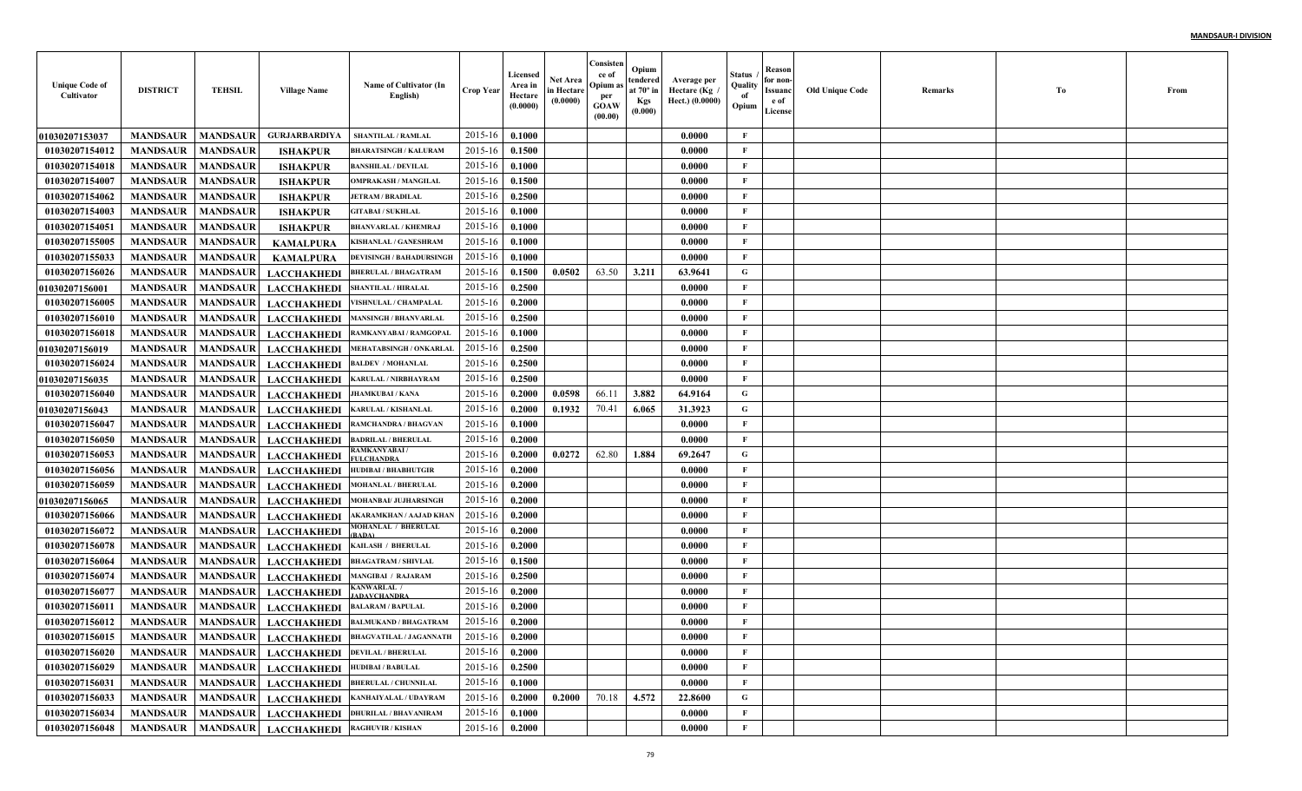| <b>Unique Code of</b><br>Cultivator | <b>DISTRICT</b> | <b>TEHSIL</b>   | <b>Village Name</b>                                 | Name of Cultivator (In<br>English)                          | <b>Crop Year</b> | <b>Licensed</b><br>Area in<br>Hectare<br>(0.0000) | <b>Net Area</b><br>in Hectare<br>(0.0000) | Consisten<br>ce of<br>Opium a:<br>per<br><b>GOAW</b><br>(00.00) | Opium<br>tendered<br>at $70^\circ$ in<br><b>Kgs</b><br>(0.000) | Average per<br>، Hectare (Kg<br>Hect.) (0.0000) | Status<br>Quality<br>of<br>Opium | Reason<br>for non-<br>Issuanc<br>e of<br>License | <b>Old Unique Code</b> | Remarks | Тo | From |
|-------------------------------------|-----------------|-----------------|-----------------------------------------------------|-------------------------------------------------------------|------------------|---------------------------------------------------|-------------------------------------------|-----------------------------------------------------------------|----------------------------------------------------------------|-------------------------------------------------|----------------------------------|--------------------------------------------------|------------------------|---------|----|------|
| 01030207153037                      | <b>MANDSAUR</b> | <b>MANDSAUR</b> | <b>GURJARBARDIYA</b>                                | <b>SHANTILAL / RAMLAL</b>                                   | 2015-16          | 0.1000                                            |                                           |                                                                 |                                                                | 0.0000                                          | F                                |                                                  |                        |         |    |      |
| 01030207154012                      | <b>MANDSAUR</b> | <b>MANDSAUR</b> | <b>ISHAKPUR</b>                                     | <b>BHARATSINGH / KALURAM</b>                                | 2015-16          | 0.1500                                            |                                           |                                                                 |                                                                | 0.0000                                          | F                                |                                                  |                        |         |    |      |
| 01030207154018                      | <b>MANDSAUR</b> | <b>MANDSAUR</b> | <b>ISHAKPUR</b>                                     | <b>BANSHILAL / DEVILAL</b>                                  | 2015-16          | 0.1000                                            |                                           |                                                                 |                                                                | 0.0000                                          | $\mathbf{F}$                     |                                                  |                        |         |    |      |
| 01030207154007                      | <b>MANDSAUR</b> | <b>MANDSAUR</b> | <b>ISHAKPUR</b>                                     | <b>OMPRAKASH / MANGILAI</b>                                 | 2015-16          | 0.1500                                            |                                           |                                                                 |                                                                | 0.0000                                          | $\mathbf{F}$                     |                                                  |                        |         |    |      |
| 01030207154062                      | <b>MANDSAUR</b> | <b>MANDSAUR</b> | <b>ISHAKPUR</b>                                     | <b>JETRAM / BRADILAL</b>                                    | 2015-16          | 0.2500                                            |                                           |                                                                 |                                                                | 0.0000                                          | $\mathbf{F}$                     |                                                  |                        |         |    |      |
| 01030207154003                      | <b>MANDSAUR</b> | <b>MANDSAUR</b> | <b>ISHAKPUR</b>                                     | <b>GITABAI / SUKHLAL</b>                                    | 2015-16          | 0.1000                                            |                                           |                                                                 |                                                                | 0.0000                                          | $\mathbf{F}$                     |                                                  |                        |         |    |      |
| 01030207154051                      | <b>MANDSAUR</b> | <b>MANDSAUR</b> | <b>ISHAKPUR</b>                                     | <b>BHANVARLAL / KHEMRAJ</b>                                 | 2015-16          | 0.1000                                            |                                           |                                                                 |                                                                | 0.0000                                          | $\mathbf{F}$                     |                                                  |                        |         |    |      |
| 01030207155005                      | <b>MANDSAUR</b> | <b>MANDSAUR</b> | <b>KAMALPURA</b>                                    | KISHANLAL / GANESHRAM                                       | 2015-16          | 0.1000                                            |                                           |                                                                 |                                                                | 0.0000                                          | $\mathbf{F}$                     |                                                  |                        |         |    |      |
| 01030207155033                      | <b>MANDSAUR</b> | <b>MANDSAUR</b> | <b>KAMALPURA</b>                                    | <b>DEVISINGH / BAHADURSINGH</b>                             | 2015-16          | 0.1000                                            |                                           |                                                                 |                                                                | 0.0000                                          | $\mathbf{F}$                     |                                                  |                        |         |    |      |
| 01030207156026                      | <b>MANDSAUR</b> | <b>MANDSAUR</b> | <b>LACCHAKHEDI</b>                                  | <b>BHERULAL / BHAGATRAM</b>                                 | 2015-16          | 0.1500                                            | 0.0502                                    | 63.50                                                           | 3.211                                                          | 63.9641                                         | G                                |                                                  |                        |         |    |      |
| <b>01030207156001</b>               | <b>MANDSAUR</b> | <b>MANDSAUR</b> | <b>LACCHAKHEDI</b>                                  | <b>SHANTILAL / HIRALAL</b>                                  | 2015-16          | 0.2500                                            |                                           |                                                                 |                                                                | 0.0000                                          | $\mathbf{F}$                     |                                                  |                        |         |    |      |
| 01030207156005                      | <b>MANDSAUR</b> | <b>MANDSAUR</b> | <b>LACCHAKHEDI</b>                                  | VISHNULAL / CHAMPALAI                                       | 2015-16          | 0.2000                                            |                                           |                                                                 |                                                                | 0.0000                                          | $\mathbf{F}$                     |                                                  |                        |         |    |      |
| 01030207156010                      | <b>MANDSAUR</b> | <b>MANDSAUR</b> | <b>LACCHAKHEDI</b>                                  | <b>MANSINGH / BHANVARLAI</b>                                | 2015-16          | 0.2500                                            |                                           |                                                                 |                                                                | 0.0000                                          | $\mathbf{F}$                     |                                                  |                        |         |    |      |
| 01030207156018                      | <b>MANDSAUR</b> | <b>MANDSAUR</b> | <b>LACCHAKHEDI</b>                                  | RAMKANYABAI / RAMGOPAL                                      | 2015-16          | 0.1000                                            |                                           |                                                                 |                                                                | 0.0000                                          | $\mathbf{F}$                     |                                                  |                        |         |    |      |
| <b>01030207156019</b>               | <b>MANDSAUR</b> | <b>MANDSAUR</b> | <b>LACCHAKHEDI</b>                                  | MEHATABSINGH / ONKARLAL                                     | 2015-16          | 0.2500                                            |                                           |                                                                 |                                                                | 0.0000                                          | $\mathbf{F}$                     |                                                  |                        |         |    |      |
| 01030207156024                      | <b>MANDSAUR</b> | <b>MANDSAUR</b> | <b>LACCHAKHEDI</b>                                  | <b>BALDEV / MOHANLAL</b>                                    | 2015-16          | 0.2500                                            |                                           |                                                                 |                                                                | 0.0000                                          | $\mathbf{F}$                     |                                                  |                        |         |    |      |
| <b>01030207156035</b>               | <b>MANDSAUR</b> | <b>MANDSAUR</b> | <b>LACCHAKHEDI</b>                                  | <b>KARULAL / NIRBHAYRAM</b>                                 | 2015-16          | 0.2500                                            |                                           |                                                                 |                                                                | 0.0000                                          | $\mathbf{F}$                     |                                                  |                        |         |    |      |
| 01030207156040                      | <b>MANDSAUR</b> | <b>MANDSAUR</b> | <b>LACCHAKHEDI</b>                                  | <b>JHAMKUBAI / KANA</b>                                     | 2015-16          | 0.2000                                            | 0.0598                                    | 66.11                                                           | 3.882                                                          | 64.9164                                         | G                                |                                                  |                        |         |    |      |
| 01030207156043                      | <b>MANDSAUR</b> | <b>MANDSAUR</b> | <b>LACCHAKHEDI</b>                                  | <b>KARULAL / KISHANLAL</b>                                  | 2015-16          | 0.2000                                            | 0.1932                                    | 70.41                                                           | 6.065                                                          | 31.3923                                         | G                                |                                                  |                        |         |    |      |
| 01030207156047                      | <b>MANDSAUR</b> | <b>MANDSAUR</b> | <b>LACCHAKHEDI</b>                                  | RAMCHANDRA / BHAGVAN                                        | 2015-16          | 0.1000                                            |                                           |                                                                 |                                                                | 0.0000                                          | F                                |                                                  |                        |         |    |      |
| 01030207156050                      | <b>MANDSAUR</b> | <b>MANDSAUR</b> | <b>LACCHAKHEDI</b>                                  | <b>BADRILAL / BHERULAL</b>                                  | 2015-16          | 0.2000                                            |                                           |                                                                 |                                                                | 0.0000                                          | $\mathbf{F}$                     |                                                  |                        |         |    |      |
| 01030207156053                      | <b>MANDSAUR</b> | <b>MANDSAUR</b> | <b>LACCHAKHEDI</b>                                  | RAMKANYABAI /<br><b><i>FULCHANDRA</i></b>                   | 2015-16          | 0.2000                                            | 0.0272                                    | 62.80                                                           | 1.884                                                          | 69.2647                                         | G                                |                                                  |                        |         |    |      |
| 01030207156056                      | <b>MANDSAUR</b> | <b>MANDSAUR</b> | <b>LACCHAKHEDI</b>                                  | <b>HUDIBAI / BHABHUTGIR</b>                                 | 2015-16          | 0.2000                                            |                                           |                                                                 |                                                                | 0.0000                                          | $\mathbf{F}$                     |                                                  |                        |         |    |      |
| 01030207156059                      | <b>MANDSAUR</b> | <b>MANDSAUR</b> | <b>LACCHAKHEDI</b>                                  | <b>MOHANLAL / BHERULAL</b>                                  | 2015-16          | 0.2000                                            |                                           |                                                                 |                                                                | 0.0000                                          | $\mathbf{F}$                     |                                                  |                        |         |    |      |
| <b>01030207156065</b>               | <b>MANDSAUR</b> | <b>MANDSAUR</b> | <b>LACCHAKHEDI</b>                                  | <b>MOHANBAI/ JUJHARSINGE</b>                                | 2015-16          | 0.2000                                            |                                           |                                                                 |                                                                | 0.0000                                          | $\mathbf{F}$                     |                                                  |                        |         |    |      |
| 01030207156066                      | <b>MANDSAUR</b> | <b>MANDSAUR</b> | <b>LACCHAKHEDI</b>                                  | AKARAMKHAN / AAJAD KHAN                                     | 2015-16          | 0.2000                                            |                                           |                                                                 |                                                                | 0.0000                                          | $\mathbf{F}$                     |                                                  |                        |         |    |      |
| 01030207156072                      | <b>MANDSAUR</b> | <b>MANDSAUR</b> | <b>LACCHAKHEDI</b>                                  | <b>MOHANLAL / BHERULAL</b><br>3ADA)                         | 2015-16          | 0.2000                                            |                                           |                                                                 |                                                                | 0.0000                                          | $\mathbf{F}$                     |                                                  |                        |         |    |      |
| 01030207156078                      | <b>MANDSAUR</b> | <b>MANDSAUR</b> | <b>LACCHAKHEDI</b>                                  | <b>KAILASH / BHERULAL</b>                                   | 2015-16          | 0.2000                                            |                                           |                                                                 |                                                                | 0.0000                                          | $\mathbf{F}$                     |                                                  |                        |         |    |      |
| 01030207156064                      | <b>MANDSAUR</b> | <b>MANDSAUR</b> | <b>LACCHAKHEDI</b>                                  | <b>BHAGATRAM / SHIVLAL</b>                                  | 2015-16          | 0.1500                                            |                                           |                                                                 |                                                                | 0.0000                                          | $\mathbf{F}$                     |                                                  |                        |         |    |      |
| 01030207156074                      | <b>MANDSAUR</b> | <b>MANDSAUR</b> | <b>LACCHAKHEDI</b>                                  | MANGIBAI / RAJARAM                                          | 2015-16          | 0.2500                                            |                                           |                                                                 |                                                                | 0.0000                                          | $\mathbf{F}$                     |                                                  |                        |         |    |      |
| 01030207156077                      | <b>MANDSAUR</b> | <b>MANDSAUR</b> | <b>LACCHAKHEDI</b>                                  | <b>ADAVCHANDRA</b>                                          | 2015-16          | 0.2000                                            |                                           |                                                                 |                                                                | 0.0000                                          | F                                |                                                  |                        |         |    |      |
| 01030207156011                      | <b>MANDSAUR</b> | <b>MANDSAUR</b> | <b>LACCHAKHEDI</b>                                  | <b>BALARAM / BAPULAL</b>                                    | 2015-16          | 0.2000                                            |                                           |                                                                 |                                                                | 0.0000                                          | F                                |                                                  |                        |         |    |      |
| 01030207156012                      | <b>MANDSAUR</b> | <b>MANDSAUR</b> | <b>LACCHAKHEDI</b>                                  | <b>BALMUKAND / BHAGATRAM</b>                                | 2015-16          | 0.2000                                            |                                           |                                                                 |                                                                | 0.0000                                          | F                                |                                                  |                        |         |    |      |
| 01030207156015                      |                 |                 |                                                     | MANDSAUR   MANDSAUR   LACCHAKHEDI   BHAGVATILAL / JAGANNATH | 2015-16 0.2000   |                                                   |                                           |                                                                 |                                                                | 0.0000                                          | F                                |                                                  |                        |         |    |      |
| 01030207156020                      | <b>MANDSAUR</b> |                 | MANDSAUR LACCHAKHEDI DEVILAL/BHERULAL               |                                                             | 2015-16          | 0.2000                                            |                                           |                                                                 |                                                                | 0.0000                                          | $\mathbf{F}$                     |                                                  |                        |         |    |      |
| 01030207156029                      | <b>MANDSAUR</b> |                 | MANDSAUR LACCHAKHEDI HUDIBAI/BABULAL                |                                                             | 2015-16          | 0.2500                                            |                                           |                                                                 |                                                                | 0.0000                                          | $\mathbf{F}$                     |                                                  |                        |         |    |      |
| 01030207156031                      | <b>MANDSAUR</b> |                 |                                                     | MANDSAUR LACCHAKHEDI BHERULAL / CHUNNILAL                   | 2015-16          | 0.1000                                            |                                           |                                                                 |                                                                | 0.0000                                          | $\mathbf{F}$                     |                                                  |                        |         |    |      |
| 01030207156033                      | <b>MANDSAUR</b> | <b>MANDSAUR</b> |                                                     | LACCHAKHEDI KANHAIYALAL/UDAYRAM                             | 2015-16          | 0.2000                                            | 0.2000                                    | 70.18                                                           | 4.572                                                          | 22.8600                                         | $\mathbf G$                      |                                                  |                        |         |    |      |
| 01030207156034                      | <b>MANDSAUR</b> |                 |                                                     | MANDSAUR LACCHAKHEDI DHURILAL / BHAVANIRAM                  | 2015-16          | 0.1000                                            |                                           |                                                                 |                                                                | 0.0000                                          | $\mathbf F$                      |                                                  |                        |         |    |      |
| 01030207156048                      |                 |                 | MANDSAUR   MANDSAUR   LACCHAKHEDI   RAGHUVIR/KISHAN |                                                             | $2015 - 16$      | 0.2000                                            |                                           |                                                                 |                                                                | 0.0000                                          | $\mathbf{F}$                     |                                                  |                        |         |    |      |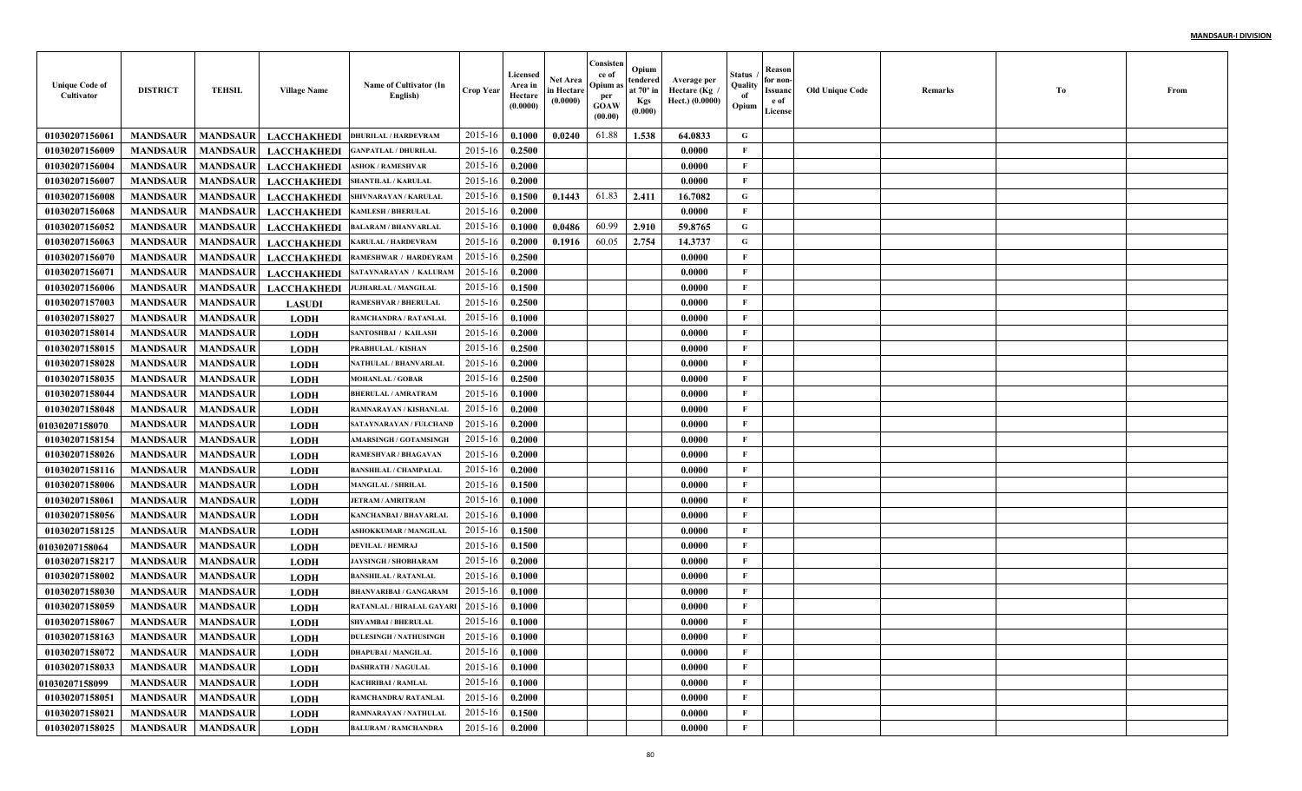| <b>Unique Code of</b><br>Cultivator | <b>DISTRICT</b>     | <b>TEHSIL</b>   | <b>Village Name</b> | Name of Cultivator (In<br>English) | <b>Crop Year</b> | Licensed<br>Area in<br>Hectare<br>(0.0000) | <b>Net Area</b><br>in Hectare<br>(0.0000) | Consisten<br>ce of<br>Opium as<br>per<br><b>GOAW</b><br>(00.00) | Opium<br>tendered<br>at $70^\circ$ in<br><b>Kgs</b><br>(0.000) | Average per<br>، Hectare (Kg<br>Hect.) (0.0000) | Status<br>Quality<br>of<br>Opium | Reason<br>for non-<br>Issuanc<br>e of<br>License | <b>Old Unique Code</b> | Remarks | Tо | From |
|-------------------------------------|---------------------|-----------------|---------------------|------------------------------------|------------------|--------------------------------------------|-------------------------------------------|-----------------------------------------------------------------|----------------------------------------------------------------|-------------------------------------------------|----------------------------------|--------------------------------------------------|------------------------|---------|----|------|
| 01030207156061                      | <b>MANDSAUR</b>     | <b>MANDSAUR</b> | <b>LACCHAKHEDI</b>  | <b>DHURILAL / HARDEVRAM</b>        | 2015-16          | 0.1000                                     | 0.0240                                    | 61.88                                                           | 1.538                                                          | 64.0833                                         | G                                |                                                  |                        |         |    |      |
| 01030207156009                      | <b>MANDSAUR</b>     | <b>MANDSAUR</b> | <b>LACCHAKHEDI</b>  | <b>GANPATLAL / DHURILAI</b>        | 2015-16          | 0.2500                                     |                                           |                                                                 |                                                                | 0.0000                                          | F                                |                                                  |                        |         |    |      |
| 01030207156004                      | <b>MANDSAUR</b>     | <b>MANDSAUR</b> | <b>LACCHAKHEDI</b>  | <b>ASHOK / RAMESHVAR</b>           | 2015-16          | 0.2000                                     |                                           |                                                                 |                                                                | 0.0000                                          | $\mathbf{F}$                     |                                                  |                        |         |    |      |
| 01030207156007                      | <b>MANDSAUR</b>     | <b>MANDSAUR</b> | <b>LACCHAKHEDI</b>  | SHANTILAL / KARULAL                | 2015-16          | 0.2000                                     |                                           |                                                                 |                                                                | 0.0000                                          | $\mathbf{F}$                     |                                                  |                        |         |    |      |
| 01030207156008                      | <b>MANDSAUR</b>     | <b>MANDSAUR</b> | <b>LACCHAKHEDI</b>  | SHIVNARAYAN / KARULAI              | 2015-16          | 0.1500                                     | 0.1443                                    | 61.83                                                           | 2.411                                                          | 16.7082                                         | G                                |                                                  |                        |         |    |      |
| 01030207156068                      | <b>MANDSAUR</b>     | <b>MANDSAUR</b> | <b>LACCHAKHEDI</b>  | <b>KAMLESH / BHERULAL</b>          | 2015-16          | 0.2000                                     |                                           |                                                                 |                                                                | 0.0000                                          | F                                |                                                  |                        |         |    |      |
| 01030207156052                      | <b>MANDSAUR</b>     | <b>MANDSAUR</b> | <b>LACCHAKHEDI</b>  | <b>BALARAM / BHANVARLAI</b>        | 2015-16          | 0.1000                                     | 0.0486                                    | 60.99                                                           | 2.910                                                          | 59.8765                                         | G                                |                                                  |                        |         |    |      |
| 01030207156063                      | <b>MANDSAUR</b>     | <b>MANDSAUR</b> | <b>LACCHAKHEDI</b>  | <b>KARULAL / HARDEVRAM</b>         | 2015-16          | 0.2000                                     | 0.1916                                    | 60.05                                                           | 2.754                                                          | 14.3737                                         | G                                |                                                  |                        |         |    |      |
| 01030207156070                      | <b>MANDSAUR</b>     | <b>MANDSAUR</b> | <b>LACCHAKHEDI</b>  | RAMESHWAR / HARDEYRAM              | 2015-16          | 0.2500                                     |                                           |                                                                 |                                                                | 0.0000                                          | $\mathbf{F}$                     |                                                  |                        |         |    |      |
| 01030207156071                      | <b>MANDSAUR</b>     | <b>MANDSAUR</b> | <b>LACCHAKHEDI</b>  | SATAYNARAYAN / KALURAM             | 2015-16          | 0.2000                                     |                                           |                                                                 |                                                                | 0.0000                                          | $\mathbf{F}$                     |                                                  |                        |         |    |      |
| 01030207156006                      | <b>MANDSAUR</b>     | <b>MANDSAUR</b> | <b>LACCHAKHEDI</b>  | JUJHARLAL / MANGILAL               | 2015-16          | 0.1500                                     |                                           |                                                                 |                                                                | 0.0000                                          | $\mathbf{F}$                     |                                                  |                        |         |    |      |
| 01030207157003                      | <b>MANDSAUR</b>     | <b>MANDSAUR</b> | <b>LASUDI</b>       | <b>RAMESHVAR / BHERULAL</b>        | 2015-16          | 0.2500                                     |                                           |                                                                 |                                                                | 0.0000                                          | $\mathbf{F}$                     |                                                  |                        |         |    |      |
| 01030207158027                      | <b>MANDSAUR</b>     | <b>MANDSAUR</b> | <b>LODH</b>         | RAMCHANDRA / RATANLAI              | 2015-16          | 0.1000                                     |                                           |                                                                 |                                                                | 0.0000                                          | $\mathbf{F}$                     |                                                  |                        |         |    |      |
| 01030207158014                      | <b>MANDSAUR</b>     | <b>MANDSAUR</b> | <b>LODH</b>         | SANTOSHBAI / KAILASH               | 2015-16          | 0.2000                                     |                                           |                                                                 |                                                                | 0.0000                                          | $\mathbf{F}$                     |                                                  |                        |         |    |      |
| 01030207158015                      | <b>MANDSAUR</b>     | <b>MANDSAUR</b> | <b>LODH</b>         | PRABHULAL / KISHAN                 | 2015-16          | 0.2500                                     |                                           |                                                                 |                                                                | 0.0000                                          | $\mathbf{F}$                     |                                                  |                        |         |    |      |
| 01030207158028                      | <b>MANDSAUR</b>     | <b>MANDSAUR</b> | <b>LODH</b>         | <b>NATHULAL / BHANVARLAI</b>       | 2015-16          | 0.2000                                     |                                           |                                                                 |                                                                | 0.0000                                          | $\mathbf{F}$                     |                                                  |                        |         |    |      |
| 01030207158035                      | <b>MANDSAUR</b>     | <b>MANDSAUR</b> | <b>LODH</b>         | <b>MOHANLAL / GOBAR</b>            | 2015-16          | 0.2500                                     |                                           |                                                                 |                                                                | 0.0000                                          | $\mathbf{F}$                     |                                                  |                        |         |    |      |
| 01030207158044                      | <b>MANDSAUR</b>     | <b>MANDSAUR</b> | <b>LODH</b>         | <b>BHERULAL / AMRATRAM</b>         | 2015-16          | 0.1000                                     |                                           |                                                                 |                                                                | 0.0000                                          | $\mathbf{F}$                     |                                                  |                        |         |    |      |
| 01030207158048                      | <b>MANDSAUR</b>     | <b>MANDSAUR</b> | <b>LODH</b>         | RAMNARAYAN / KISHANLAL             | 2015-16          | 0.2000                                     |                                           |                                                                 |                                                                | 0.0000                                          | $\mathbf{F}$                     |                                                  |                        |         |    |      |
| <b>01030207158070</b>               | <b>MANDSAUR</b>     | <b>MANDSAUR</b> | <b>LODH</b>         | SATAYNARAYAN / FULCHAND            | 2015-16          | 0.2000                                     |                                           |                                                                 |                                                                | 0.0000                                          | $\mathbf{F}$                     |                                                  |                        |         |    |      |
| 01030207158154                      | <b>MANDSAUR</b>     | <b>MANDSAUR</b> | <b>LODH</b>         | <b>AMARSINGH / GOTAMSINGH</b>      | 2015-16          | 0.2000                                     |                                           |                                                                 |                                                                | 0.0000                                          | $\mathbf{F}$                     |                                                  |                        |         |    |      |
| 01030207158026                      | <b>MANDSAUR</b>     | <b>MANDSAUR</b> | <b>LODH</b>         | <b>RAMESHVAR / BHAGAVAN</b>        | 2015-16          | 0.2000                                     |                                           |                                                                 |                                                                | 0.0000                                          | $\mathbf{F}$                     |                                                  |                        |         |    |      |
| 01030207158116                      | <b>MANDSAUR</b>     | <b>MANDSAUR</b> | <b>LODH</b>         | <b>BANSHILAL / CHAMPALAI</b>       | 2015-16          | 0.2000                                     |                                           |                                                                 |                                                                | 0.0000                                          | $\mathbf{F}$                     |                                                  |                        |         |    |      |
| 01030207158006                      | <b>MANDSAUR</b>     | <b>MANDSAUR</b> | <b>LODH</b>         | <b>MANGILAL / SHRILAL</b>          | 2015-16          | 0.1500                                     |                                           |                                                                 |                                                                | 0.0000                                          | $\mathbf{F}$                     |                                                  |                        |         |    |      |
| 01030207158061                      | <b>MANDSAUR</b>     | <b>MANDSAUR</b> | <b>LODH</b>         | <b>JETRAM / AMRITRAM</b>           | 2015-16          | 0.1000                                     |                                           |                                                                 |                                                                | 0.0000                                          | $\mathbf{F}$                     |                                                  |                        |         |    |      |
| 01030207158056                      | <b>MANDSAUR</b>     | <b>MANDSAUR</b> | <b>LODH</b>         | <b>KANCHANBAI / BHAVARLAI</b>      | 2015-16          | 0.1000                                     |                                           |                                                                 |                                                                | 0.0000                                          | $\mathbf{F}$                     |                                                  |                        |         |    |      |
| 01030207158125                      | <b>MANDSAUR</b>     | <b>MANDSAUR</b> | <b>LODH</b>         | <b>ASHOKKUMAR / MANGILAI</b>       | 2015-16          | 0.1500                                     |                                           |                                                                 |                                                                | 0.0000                                          | $\mathbf{F}$                     |                                                  |                        |         |    |      |
| 01030207158064                      | <b>MANDSAUR</b>     | <b>MANDSAUR</b> | <b>LODH</b>         | <b>DEVILAL / HEMRAJ</b>            | 2015-16          | 0.1500                                     |                                           |                                                                 |                                                                | 0.0000                                          | $\mathbf{F}$                     |                                                  |                        |         |    |      |
| 01030207158217                      | <b>MANDSAUR</b>     | <b>MANDSAUR</b> | <b>LODH</b>         | <b>JAYSINGH / SHOBHARAM</b>        | 2015-16          | 0.2000                                     |                                           |                                                                 |                                                                | 0.0000                                          | $\mathbf{F}$                     |                                                  |                        |         |    |      |
| 01030207158002                      | <b>MANDSAUR</b>     | <b>MANDSAUR</b> | <b>LODH</b>         | <b>BANSHILAL / RATANLAL</b>        | 2015-16          | 0.1000                                     |                                           |                                                                 |                                                                | 0.0000                                          | $\mathbf{F}$                     |                                                  |                        |         |    |      |
| 01030207158030                      | <b>MANDSAUR</b>     | <b>MANDSAUR</b> | <b>LODH</b>         | <b>BHANVARIBAI / GANGARAM</b>      | 2015-16          | 0.1000                                     |                                           |                                                                 |                                                                | 0.0000                                          | $\mathbf{F}$                     |                                                  |                        |         |    |      |
| 01030207158059                      | <b>MANDSAUR</b>     | <b>MANDSAUR</b> | LODH                | <b>RATANLAL / HIRALAL GAYAR</b>    | 2015-16          | 0.1000                                     |                                           |                                                                 |                                                                | 0.0000                                          | F                                |                                                  |                        |         |    |      |
| 01030207158067                      | <b>MANDSAUR</b>     | <b>MANDSAUR</b> | <b>LODH</b>         | <b>SHYAMBAI / BHERULAL</b>         | 2015-16          | 0.1000                                     |                                           |                                                                 |                                                                | 0.0000                                          | F                                |                                                  |                        |         |    |      |
| 01030207158163                      | MANDSAUR   MANDSAUR |                 | <b>LODH</b>         | <b>DULESINGH / NATHUSINGH</b>      | 2015-16 0.1000   |                                            |                                           |                                                                 |                                                                | 0.0000                                          | F                                |                                                  |                        |         |    |      |
| 01030207158072                      | <b>MANDSAUR</b>     | <b>MANDSAUR</b> | <b>LODH</b>         | <b>DHAPUBAI / MANGILAL</b>         | 2015-16          | 0.1000                                     |                                           |                                                                 |                                                                | 0.0000                                          | $\mathbf{F}$                     |                                                  |                        |         |    |      |
| 01030207158033                      | <b>MANDSAUR</b>     | <b>MANDSAUR</b> | <b>LODH</b>         | <b>DASHRATH / NAGULAL</b>          | 2015-16          | 0.1000                                     |                                           |                                                                 |                                                                | 0.0000                                          | $\mathbf{F}$                     |                                                  |                        |         |    |      |
| 01030207158099                      | <b>MANDSAUR</b>     | <b>MANDSAUR</b> | <b>LODH</b>         | <b>KACHRIBAI / RAMLAL</b>          | 2015-16          | 0.1000                                     |                                           |                                                                 |                                                                | 0.0000                                          | $\mathbf{F}$                     |                                                  |                        |         |    |      |
| 01030207158051                      | <b>MANDSAUR</b>     | <b>MANDSAUR</b> | <b>LODH</b>         | RAMCHANDRA/ RATANLAL               | 2015-16          | 0.2000                                     |                                           |                                                                 |                                                                | 0.0000                                          | $\mathbf F$                      |                                                  |                        |         |    |      |
| 01030207158021                      | <b>MANDSAUR</b>     | <b>MANDSAUR</b> | <b>LODH</b>         | RAMNARAYAN / NATHULAL              | 2015-16          | 0.1500                                     |                                           |                                                                 |                                                                | 0.0000                                          | $\mathbf{F}$                     |                                                  |                        |         |    |      |
| 01030207158025                      | <b>MANDSAUR</b>     | <b>MANDSAUR</b> | <b>LODH</b>         | <b>BALURAM / RAMCHANDRA</b>        | 2015-16          | 0.2000                                     |                                           |                                                                 |                                                                | 0.0000                                          | $\mathbf{F}$                     |                                                  |                        |         |    |      |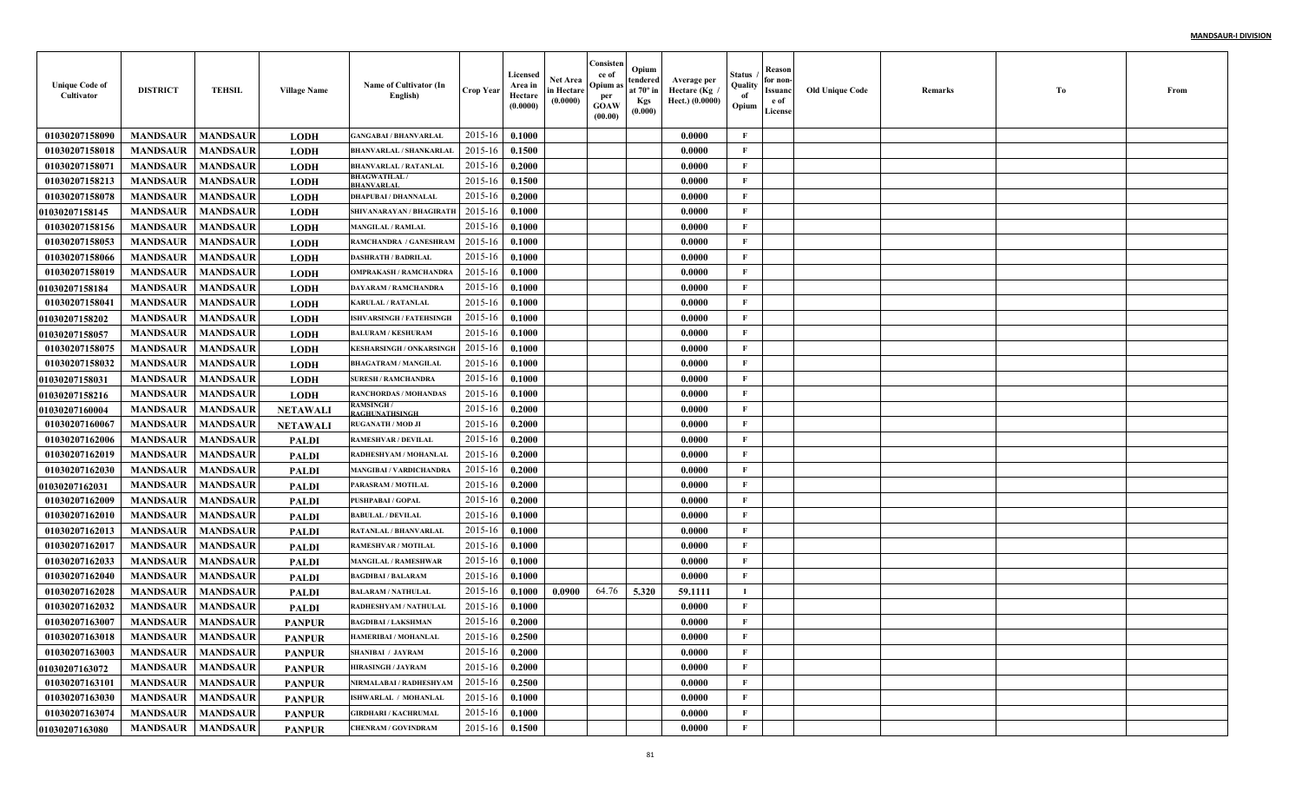| <b>Unique Code of</b><br>Cultivator | <b>DISTRICT</b>            | <b>TEHSIL</b>   | <b>Village Name</b> | Name of Cultivator (In<br>English)        | <b>Crop Year</b> | Licensed<br>Area in<br>Hectare<br>(0.0000) | Net Area<br>in Hectare<br>(0.0000) | Consisten<br>ce of<br>Opium:<br>per<br><b>GOAW</b><br>(00.00) | Opium<br>tendered<br>at $70^\circ$ in<br><b>Kgs</b><br>(0.000) | Average per<br>Hectare (Kg<br>Hect.) (0.0000) | Status<br>Quality<br>of<br>Opium | Reason<br>for non-<br>Issuanc<br>e of<br>License | <b>Old Unique Code</b> | Remarks | Тo | From |
|-------------------------------------|----------------------------|-----------------|---------------------|-------------------------------------------|------------------|--------------------------------------------|------------------------------------|---------------------------------------------------------------|----------------------------------------------------------------|-----------------------------------------------|----------------------------------|--------------------------------------------------|------------------------|---------|----|------|
| 01030207158090                      | <b>MANDSAUR</b>            | <b>MANDSAUR</b> | <b>LODH</b>         | <b>GANGABAI / BHANVARLAL</b>              | 2015-16          | 0.1000                                     |                                    |                                                               |                                                                | 0.0000                                        | F                                |                                                  |                        |         |    |      |
| 01030207158018                      | <b>MANDSAUR</b>            | <b>MANDSAUR</b> | <b>LODH</b>         | <b>BHANVARLAL / SHANKARLAL</b>            | 2015-16          | 0.1500                                     |                                    |                                                               |                                                                | 0.0000                                        | $\mathbf{F}$                     |                                                  |                        |         |    |      |
| 01030207158071                      | <b>MANDSAUR</b>            | <b>MANDSAUR</b> | <b>LODH</b>         | <b>BHANVARLAL / RATANLAL</b>              | 2015-16          | 0.2000                                     |                                    |                                                               |                                                                | 0.0000                                        | $\mathbf{F}$                     |                                                  |                        |         |    |      |
| 01030207158213                      | <b>MANDSAUR</b>            | <b>MANDSAUR</b> | <b>LODH</b>         | <b>BHAGWATILAL /</b><br><b>BHANVARLAL</b> | 2015-16          | 0.1500                                     |                                    |                                                               |                                                                | 0.0000                                        | $\mathbf{F}$                     |                                                  |                        |         |    |      |
| 01030207158078                      | <b>MANDSAUR</b>            | <b>MANDSAUR</b> | <b>LODH</b>         | <b>DHAPUBAI / DHANNALAL</b>               | 2015-16          | 0.2000                                     |                                    |                                                               |                                                                | 0.0000                                        | $\mathbf{F}$                     |                                                  |                        |         |    |      |
| 01030207158145                      | <b>MANDSAUR</b>            | <b>MANDSAUR</b> | <b>LODH</b>         | SHIVANARAYAN / BHAGIRATI                  | 2015-16          | 0.1000                                     |                                    |                                                               |                                                                | 0.0000                                        | $\mathbf{F}$                     |                                                  |                        |         |    |      |
| 01030207158156                      | <b>MANDSAUR</b>            | <b>MANDSAUR</b> | <b>LODH</b>         | <b>MANGILAL / RAMLAL</b>                  | 2015-16          | 0.1000                                     |                                    |                                                               |                                                                | 0.0000                                        | $\mathbf{F}$                     |                                                  |                        |         |    |      |
| 01030207158053                      | <b>MANDSAUR</b>            | <b>MANDSAUR</b> | <b>LODH</b>         | RAMCHANDRA / GANESHRAM                    | 2015-16          | 0.1000                                     |                                    |                                                               |                                                                | 0.0000                                        | $\mathbf{F}$                     |                                                  |                        |         |    |      |
| 01030207158066                      | <b>MANDSAUR</b>            | <b>MANDSAUR</b> | <b>LODH</b>         | <b>DASHRATH / BADRILAL</b>                | 2015-16          | 0.1000                                     |                                    |                                                               |                                                                | 0.0000                                        | $\mathbf{F}$                     |                                                  |                        |         |    |      |
| 01030207158019                      | <b>MANDSAUR</b>            | <b>MANDSAUR</b> | <b>LODH</b>         | <b>OMPRAKASH / RAMCHANDRA</b>             | 2015-16          | 0.1000                                     |                                    |                                                               |                                                                | 0.0000                                        | $\mathbf{F}$                     |                                                  |                        |         |    |      |
| <b>0103020715818</b> 4              | <b>MANDSAUR</b>            | <b>MANDSAUR</b> | <b>LODH</b>         | <b>DAYARAM / RAMCHANDRA</b>               | 2015-16          | 0.1000                                     |                                    |                                                               |                                                                | 0.0000                                        | $\mathbf{F}$                     |                                                  |                        |         |    |      |
| 01030207158041                      | <b>MANDSAUR</b>            | <b>MANDSAUR</b> | <b>LODH</b>         | <b>KARULAL / RATANLAL</b>                 | 2015-16          | 0.1000                                     |                                    |                                                               |                                                                | 0.0000                                        | $\mathbf{F}$                     |                                                  |                        |         |    |      |
| <b>01030207158202</b>               | <b>MANDSAUR</b>            | <b>MANDSAUR</b> | <b>LODH</b>         | <b>ISHVARSINGH / FATEHSINGH</b>           | 2015-16          | 0.1000                                     |                                    |                                                               |                                                                | 0.0000                                        | $\mathbf{F}$                     |                                                  |                        |         |    |      |
| <b>01030207158057</b>               | <b>MANDSAUR</b>            | <b>MANDSAUR</b> | <b>LODH</b>         | <b>BALURAM / KESHURAM</b>                 | 2015-16          | 0.1000                                     |                                    |                                                               |                                                                | 0.0000                                        | $\mathbf{F}$                     |                                                  |                        |         |    |      |
| 01030207158075                      | <b>MANDSAUR</b>            | <b>MANDSAUR</b> | <b>LODH</b>         | <b>KESHARSINGH / ONKARSINGE</b>           | 2015-16          | 0.1000                                     |                                    |                                                               |                                                                | 0.0000                                        | $\mathbf{F}$                     |                                                  |                        |         |    |      |
| 01030207158032                      | <b>MANDSAUR</b>            | <b>MANDSAUR</b> | <b>LODH</b>         | <b>BHAGATRAM / MANGILAL</b>               | 2015-16          | 0.1000                                     |                                    |                                                               |                                                                | 0.0000                                        | $\mathbf{F}$                     |                                                  |                        |         |    |      |
| 01030207158031                      | <b>MANDSAUR</b>            | <b>MANDSAUR</b> | <b>LODH</b>         | <b>SURESH / RAMCHANDRA</b>                | 2015-16          | 0.1000                                     |                                    |                                                               |                                                                | 0.0000                                        | $\mathbf{F}$                     |                                                  |                        |         |    |      |
| <b>01030207158216</b>               | <b>MANDSAUR</b>            | <b>MANDSAUR</b> | <b>LODH</b>         | <b>RANCHORDAS / MOHANDAS</b>              | 2015-16          | 0.1000                                     |                                    |                                                               |                                                                | 0.0000                                        | $\mathbf{F}$                     |                                                  |                        |         |    |      |
| <b>01030207160004</b>               | <b>MANDSAUR</b>            | <b>MANDSAUR</b> | <b>NETAWALI</b>     | <b>RAMSINGH</b> /<br>RAGHUNATHSINGH       | 2015-16          | 0.2000                                     |                                    |                                                               |                                                                | 0.0000                                        | $\mathbf{F}$                     |                                                  |                        |         |    |      |
| 01030207160067                      | <b>MANDSAUR</b>            | <b>MANDSAUR</b> | <b>NETAWAL</b>      | <b>RUGANATH / MOD JI</b>                  | 2015-16          | 0.2000                                     |                                    |                                                               |                                                                | 0.0000                                        | $\mathbf{F}$                     |                                                  |                        |         |    |      |
| 01030207162006                      | <b>MANDSAUR</b>            | <b>MANDSAUR</b> | <b>PALDI</b>        | <b>RAMESHVAR / DEVILAL</b>                | 2015-16          | 0.2000                                     |                                    |                                                               |                                                                | 0.0000                                        | $\mathbf{F}$                     |                                                  |                        |         |    |      |
| 01030207162019                      | <b>MANDSAUR</b>            | <b>MANDSAUR</b> | <b>PALDI</b>        | RADHESHYAM / MOHANLAI                     | 2015-16          | 0.2000                                     |                                    |                                                               |                                                                | 0.0000                                        | F                                |                                                  |                        |         |    |      |
| 01030207162030                      | <b>MANDSAUR</b>            | <b>MANDSAUR</b> | <b>PALDI</b>        | <b>MANGIBAI / VARDICHANDRA</b>            | 2015-16          | 0.2000                                     |                                    |                                                               |                                                                | 0.0000                                        | $\mathbf{F}$                     |                                                  |                        |         |    |      |
| <b>01030207162031</b>               | <b>MANDSAUR</b>            | <b>MANDSAUR</b> | <b>PALDI</b>        | PARASRAM / MOTILAL                        | 2015-16          | 0.2000                                     |                                    |                                                               |                                                                | 0.0000                                        | $\mathbf{F}$                     |                                                  |                        |         |    |      |
| 01030207162009                      | <b>MANDSAUR</b>            | <b>MANDSAUR</b> | <b>PALDI</b>        | PUSHPABAI / GOPAL                         | 2015-16          | 0.2000                                     |                                    |                                                               |                                                                | 0.0000                                        | $\mathbf{F}$                     |                                                  |                        |         |    |      |
| 01030207162010                      | <b>MANDSAUR</b>            | <b>MANDSAUR</b> | <b>PALDI</b>        | <b>BABULAL / DEVILAL</b>                  | 2015-16          | 0.1000                                     |                                    |                                                               |                                                                | 0.0000                                        | $\mathbf{F}$                     |                                                  |                        |         |    |      |
| 01030207162013                      | <b>MANDSAUR</b>            | <b>MANDSAUR</b> | <b>PALDI</b>        | <b>RATANLAL / BHANVARLAI</b>              | 2015-16          | 0.1000                                     |                                    |                                                               |                                                                | 0.0000                                        | $\mathbf F$                      |                                                  |                        |         |    |      |
| 01030207162017                      | <b>MANDSAUR</b>            | <b>MANDSAUR</b> | <b>PALDI</b>        | <b>RAMESHVAR / MOTILAL</b>                | 2015-16          | 0.1000                                     |                                    |                                                               |                                                                | 0.0000                                        | $\mathbf{F}$                     |                                                  |                        |         |    |      |
| 01030207162033                      | <b>MANDSAUR</b>            | <b>MANDSAUR</b> | <b>PALDI</b>        | <b>MANGILAL / RAMESHWAF</b>               | 2015-16          | 0.1000                                     |                                    |                                                               |                                                                | 0.0000                                        | $\mathbf{F}$                     |                                                  |                        |         |    |      |
| 01030207162040                      | <b>MANDSAUR</b>            | <b>MANDSAUR</b> | <b>PALDI</b>        | <b>BAGDIBAI / BALARAM</b>                 | 2015-16          | 0.1000                                     |                                    |                                                               |                                                                | 0.0000                                        | $\mathbf{F}$                     |                                                  |                        |         |    |      |
| 01030207162028                      | <b>MANDSAUR</b>            | <b>MANDSAUR</b> | <b>PALDI</b>        | <b>BALARAM / NATHULAL</b>                 | 2015-16          | 0.1000                                     | 0.0900                             | 64.76                                                         | 5.320                                                          | 59.1111                                       | $\bf{I}$                         |                                                  |                        |         |    |      |
| 01030207162032                      | <b>MANDSAUR</b>            | <b>MANDSAUR</b> | <b>PALDI</b>        | <b>RADHESHYAM / NATHULAI</b>              | 2015-16          | 0.1000                                     |                                    |                                                               |                                                                | 0.0000                                        | $\mathbf{F}$                     |                                                  |                        |         |    |      |
| 01030207163007                      | <b>MANDSAUR</b>            | <b>MANDSAUR</b> | <b>PANPUR</b>       | <b>BAGDIBAI / LAKSHMAN</b>                | 2015-16          | 0.2000                                     |                                    |                                                               |                                                                | 0.0000                                        | F                                |                                                  |                        |         |    |      |
| 01030207163018                      | <b>MANDSAUR</b>   MANDSAUR |                 | <b>PANPUR</b>       | <b>HAMERIBAI / MOHANLAL</b>               | $2015-16$ 0.2500 |                                            |                                    |                                                               |                                                                | 0.0000                                        | F                                |                                                  |                        |         |    |      |
| 01030207163003                      | <b>MANDSAUR</b>            | <b>MANDSAUR</b> | <b>PANPUR</b>       | <b>SHANIBAI / JAYRAM</b>                  | 2015-16          | 0.2000                                     |                                    |                                                               |                                                                | 0.0000                                        | $\mathbf{F}$                     |                                                  |                        |         |    |      |
| 01030207163072                      | <b>MANDSAUR</b>            | <b>MANDSAUR</b> | <b>PANPUR</b>       | <b>HIRASINGH / JAYRAM</b>                 | 2015-16          | 0.2000                                     |                                    |                                                               |                                                                | 0.0000                                        | $\mathbf{F}$                     |                                                  |                        |         |    |      |
| 01030207163101                      | <b>MANDSAUR</b>            | <b>MANDSAUR</b> | <b>PANPUR</b>       | NIRMALABAI / RADHESHYAM                   | 2015-16          | 0.2500                                     |                                    |                                                               |                                                                | 0.0000                                        | $\mathbf{F}$                     |                                                  |                        |         |    |      |
| 01030207163030                      | <b>MANDSAUR</b>            | <b>MANDSAUR</b> | <b>PANPUR</b>       | ISHWARLAL / MOHANLAL                      | 2015-16          | 0.1000                                     |                                    |                                                               |                                                                | 0.0000                                        | $\mathbf{F}$                     |                                                  |                        |         |    |      |
| 01030207163074                      | <b>MANDSAUR</b>            | <b>MANDSAUR</b> | <b>PANPUR</b>       | <b>GIRDHARI / KACHRUMAL</b>               | 2015-16          | 0.1000                                     |                                    |                                                               |                                                                | 0.0000                                        | $\mathbf{F}$                     |                                                  |                        |         |    |      |
| 01030207163080                      | <b>MANDSAUR</b>            | <b>MANDSAUR</b> | <b>PANPUR</b>       | <b>CHENRAM / GOVINDRAM</b>                | 2015-16          | 0.1500                                     |                                    |                                                               |                                                                | 0.0000                                        | $\mathbf F$                      |                                                  |                        |         |    |      |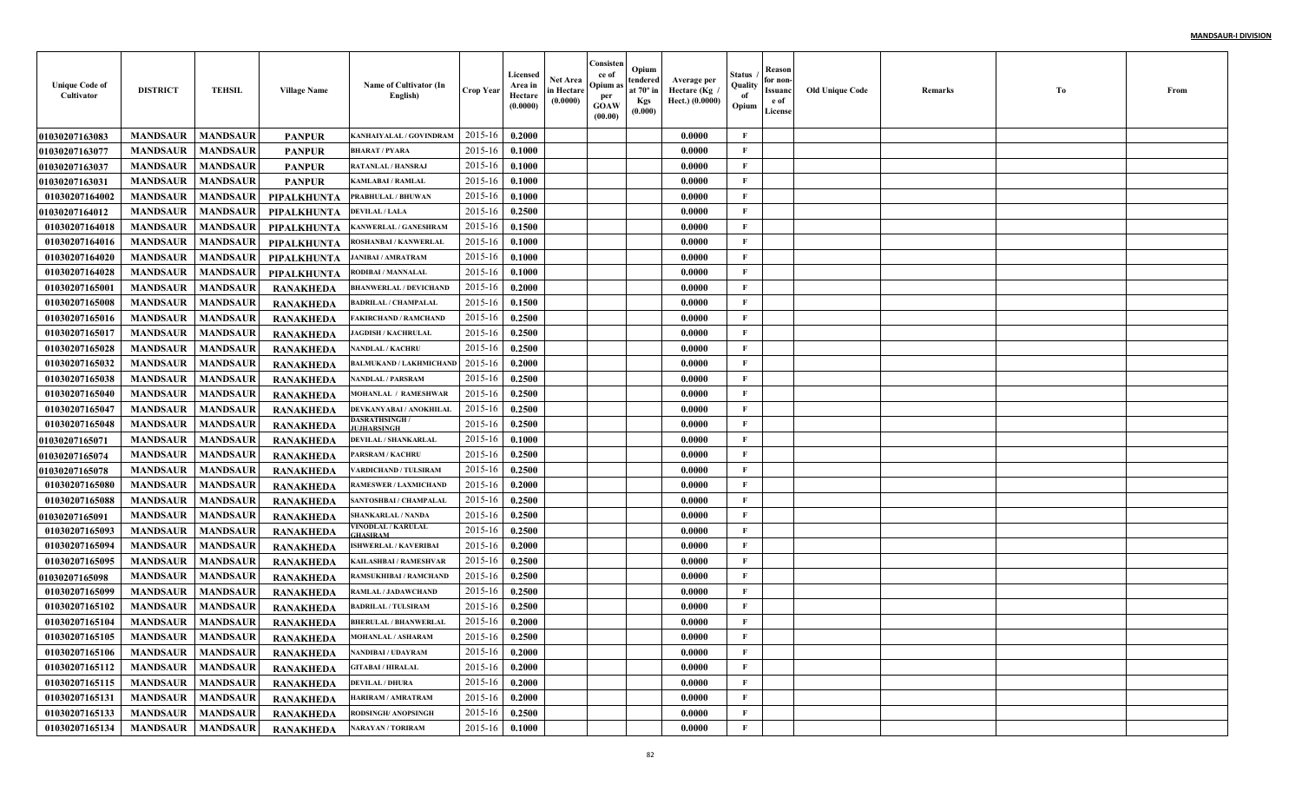| <b>Unique Code of</b><br>Cultivator | <b>DISTRICT</b>   | <b>TEHSIL</b>   | <b>Village Name</b> | Name of Cultivator (In<br>English)         | <b>Crop Year</b> | Licensed<br>Area in<br>Hectare<br>(0.0000) | <b>Net Area</b><br>in Hectare<br>(0.0000) | Consisten<br>ce of<br>Opium as<br>per<br><b>GOAW</b><br>(00.00) | Opium<br>tendered<br>at $70^\circ$ in<br><b>Kgs</b><br>(0.000) | Average per<br>، Hectare (Kg<br>Hect.) (0.0000) | Status<br>Quality<br>of<br>Opium | Reason<br>for non-<br>Issuanc<br>e of<br>License | <b>Old Unique Code</b> | Remarks | Тo | From |
|-------------------------------------|-------------------|-----------------|---------------------|--------------------------------------------|------------------|--------------------------------------------|-------------------------------------------|-----------------------------------------------------------------|----------------------------------------------------------------|-------------------------------------------------|----------------------------------|--------------------------------------------------|------------------------|---------|----|------|
| 01030207163083                      | <b>MANDSAUR</b>   | <b>MANDSAUR</b> | <b>PANPUR</b>       | KANHAIYALAL / GOVINDRAM                    | 2015-16          | 0.2000                                     |                                           |                                                                 |                                                                | 0.0000                                          | $\mathbf{F}$                     |                                                  |                        |         |    |      |
| <b>01030207163077</b>               | <b>MANDSAUR</b>   | <b>MANDSAUR</b> | <b>PANPUR</b>       | <b>BHARAT / PYARA</b>                      | 2015-16          | 0.1000                                     |                                           |                                                                 |                                                                | 0.0000                                          | F                                |                                                  |                        |         |    |      |
| <b>01030207163037</b>               | <b>MANDSAUR</b>   | <b>MANDSAUR</b> | <b>PANPUR</b>       | <b>RATANLAL / HANSRAJ</b>                  | 2015-16          | 0.1000                                     |                                           |                                                                 |                                                                | 0.0000                                          | $\mathbf{F}$                     |                                                  |                        |         |    |      |
| <b>01030207163031</b>               | <b>MANDSAUR</b>   | <b>MANDSAUR</b> | <b>PANPUR</b>       | KAMLABAI / RAMLAL                          | 2015-16          | 0.1000                                     |                                           |                                                                 |                                                                | 0.0000                                          | $\mathbf{F}$                     |                                                  |                        |         |    |      |
| 01030207164002                      | <b>MANDSAUR</b>   | <b>MANDSAUR</b> | PIPALKHUNTA         | PRABHULAL / BHUWAN                         | 2015-16          | 0.1000                                     |                                           |                                                                 |                                                                | 0.0000                                          | $\mathbf{F}$                     |                                                  |                        |         |    |      |
| 01030207164012                      | <b>MANDSAUR</b>   | <b>MANDSAUR</b> | <b>PIPALKHUNTA</b>  | <b>DEVILAL / LALA</b>                      | 2015-16          | 0.2500                                     |                                           |                                                                 |                                                                | 0.0000                                          | $\mathbf{F}$                     |                                                  |                        |         |    |      |
| 01030207164018                      | <b>MANDSAUR</b>   | <b>MANDSAUR</b> | <b>PIPALKHUNTA</b>  | <b>KANWERLAL / GANESHRAM</b>               | 2015-16          | 0.1500                                     |                                           |                                                                 |                                                                | 0.0000                                          | $\mathbf{F}$                     |                                                  |                        |         |    |      |
| 01030207164016                      | <b>MANDSAUR</b>   | <b>MANDSAUR</b> | <b>PIPALKHUNTA</b>  | <b>ROSHANBAI / KANWERLAI</b>               | 2015-16          | 0.1000                                     |                                           |                                                                 |                                                                | 0.0000                                          | $\mathbf{F}$                     |                                                  |                        |         |    |      |
| 01030207164020                      | <b>MANDSAUR</b>   | <b>MANDSAUR</b> | PIPALKHUNTA         | <b>JANIBAI / AMRATRAM</b>                  | 2015-16          | 0.1000                                     |                                           |                                                                 |                                                                | 0.0000                                          | $\mathbf{F}$                     |                                                  |                        |         |    |      |
| 01030207164028                      | <b>MANDSAUR</b>   | <b>MANDSAUR</b> | PIPALKHUNTA         | RODIBAI / MANNALAL                         | 2015-16          | 0.1000                                     |                                           |                                                                 |                                                                | 0.0000                                          | $\mathbf{F}$                     |                                                  |                        |         |    |      |
| 01030207165001                      | <b>MANDSAUR</b>   | <b>MANDSAUR</b> | <b>RANAKHEDA</b>    | <b>BHANWERLAL / DEVICHAND</b>              | 2015-16          | 0.2000                                     |                                           |                                                                 |                                                                | 0.0000                                          | $\mathbf{F}$                     |                                                  |                        |         |    |      |
| 01030207165008                      | <b>MANDSAUR</b>   | <b>MANDSAUR</b> | <b>RANAKHEDA</b>    | <b>BADRILAL / CHAMPALAL</b>                | 2015-16          | 0.1500                                     |                                           |                                                                 |                                                                | 0.0000                                          | $\mathbf{F}$                     |                                                  |                        |         |    |      |
| 01030207165016                      | <b>MANDSAUR</b>   | <b>MANDSAUR</b> | <b>RANAKHEDA</b>    | <b>FAKIRCHAND / RAMCHAND</b>               | 2015-16          | 0.2500                                     |                                           |                                                                 |                                                                | 0.0000                                          | $\mathbf{F}$                     |                                                  |                        |         |    |      |
| 01030207165017                      | <b>MANDSAUR</b>   | <b>MANDSAUR</b> | <b>RANAKHEDA</b>    | <b>JAGDISH / KACHRULAL</b>                 | 2015-16          | 0.2500                                     |                                           |                                                                 |                                                                | 0.0000                                          | $\mathbf{F}$                     |                                                  |                        |         |    |      |
| 01030207165028                      | <b>MANDSAUR</b>   | <b>MANDSAUR</b> | <b>RANAKHEDA</b>    | <b>NANDLAL / KACHRU</b>                    | 2015-16          | 0.2500                                     |                                           |                                                                 |                                                                | 0.0000                                          | $\mathbf{F}$                     |                                                  |                        |         |    |      |
| 01030207165032                      | <b>MANDSAUR</b>   | <b>MANDSAUR</b> | <b>RANAKHEDA</b>    | <b>BALMUKAND / LAKHMICHANI</b>             | 2015-16          | 0.2000                                     |                                           |                                                                 |                                                                | 0.0000                                          | $\mathbf{F}$                     |                                                  |                        |         |    |      |
| 01030207165038                      | <b>MANDSAUR</b>   | <b>MANDSAUR</b> | <b>RANAKHEDA</b>    | <b>NANDLAL / PARSRAM</b>                   | 2015-16          | 0.2500                                     |                                           |                                                                 |                                                                | 0.0000                                          | $\mathbf{F}$                     |                                                  |                        |         |    |      |
| 01030207165040                      | <b>MANDSAUR</b>   | <b>MANDSAUR</b> | <b>RANAKHEDA</b>    | <b>MOHANLAL / RAMESHWAR</b>                | 2015-16          | 0.2500                                     |                                           |                                                                 |                                                                | 0.0000                                          | $\mathbf{F}$                     |                                                  |                        |         |    |      |
| 01030207165047                      | <b>MANDSAUR</b>   | <b>MANDSAUR</b> | <b>RANAKHEDA</b>    | DEVKANYABAI / ANOKHILAI                    | 2015-16          | 0.2500                                     |                                           |                                                                 |                                                                | 0.0000                                          | $\mathbf{F}$                     |                                                  |                        |         |    |      |
| 01030207165048                      | <b>MANDSAUR</b>   | <b>MANDSAUR</b> | <b>RANAKHEDA</b>    | <b>)ASRATHSINGH /</b><br><b>UJHARSINGH</b> | 2015-16          | 0.2500                                     |                                           |                                                                 |                                                                | 0.0000                                          | F                                |                                                  |                        |         |    |      |
| <b>01030207165071</b>               | <b>MANDSAUR</b>   | <b>MANDSAUR</b> | <b>RANAKHEDA</b>    | DEVILAL / SHANKARLAL                       | 2015-16          | 0.1000                                     |                                           |                                                                 |                                                                | 0.0000                                          | $\mathbf{F}$                     |                                                  |                        |         |    |      |
| <b>0103020716507</b> 4              | <b>MANDSAUR</b>   | <b>MANDSAUR</b> | <b>RANAKHEDA</b>    | PARSRAM / KACHRU                           | 2015-16          | 0.2500                                     |                                           |                                                                 |                                                                | 0.0000                                          | $\mathbf{F}$                     |                                                  |                        |         |    |      |
| <b>01030207165078</b>               | <b>MANDSAUR</b>   | <b>MANDSAUR</b> | <b>RANAKHEDA</b>    | ARDICHAND / TULSIRAM                       | 2015-16          | 0.2500                                     |                                           |                                                                 |                                                                | 0.0000                                          | $\mathbf{F}$                     |                                                  |                        |         |    |      |
| 01030207165080                      | <b>MANDSAUR</b>   | <b>MANDSAUR</b> | <b>RANAKHEDA</b>    | RAMESWER / LAXMICHANI                      | 2015-16          | 0.2000                                     |                                           |                                                                 |                                                                | 0.0000                                          | $\mathbf{F}$                     |                                                  |                        |         |    |      |
| 01030207165088                      | <b>MANDSAUR</b>   | <b>MANDSAUR</b> | <b>RANAKHEDA</b>    | SANTOSHBAI / CHAMPALAI                     | 2015-16          | 0.2500                                     |                                           |                                                                 |                                                                | 0.0000                                          | $\mathbf{F}$                     |                                                  |                        |         |    |      |
| 01030207165091                      | <b>MANDSAUR</b>   | <b>MANDSAUR</b> | <b>RANAKHEDA</b>    | <b>SHANKARLAL / NANDA</b>                  | 2015-16          | 0.2500                                     |                                           |                                                                 |                                                                | 0.0000                                          | $\mathbf{F}$                     |                                                  |                        |         |    |      |
| 01030207165093                      | <b>MANDSAUR</b>   | <b>MANDSAUR</b> | <b>RANAKHEDA</b>    | <b>/INODLAL / KARULAL</b><br>HASIRAM       | 2015-16          | 0.2500                                     |                                           |                                                                 |                                                                | 0.0000                                          | $\mathbf{F}$                     |                                                  |                        |         |    |      |
| 01030207165094                      | <b>MANDSAUR</b>   | <b>MANDSAUR</b> | <b>RANAKHEDA</b>    | <b>SHWERLAL / KAVERIBAI</b>                | 2015-16          | 0.2000                                     |                                           |                                                                 |                                                                | 0.0000                                          | $\mathbf{F}$                     |                                                  |                        |         |    |      |
| 01030207165095                      | <b>MANDSAUR</b>   | <b>MANDSAUR</b> | <b>RANAKHEDA</b>    | KAILASHBAI / RAMESHVAI                     | 2015-16          | 0.2500                                     |                                           |                                                                 |                                                                | 0.0000                                          | $\mathbf{F}$                     |                                                  |                        |         |    |      |
| <b>01030207165098</b>               | <b>MANDSAUR</b>   | <b>MANDSAUR</b> | <b>RANAKHEDA</b>    | RAMSUKHIBAI / RAMCHAND                     | 2015-16          | 0.2500                                     |                                           |                                                                 |                                                                | 0.0000                                          | $\mathbf{F}$                     |                                                  |                        |         |    |      |
| 01030207165099                      | <b>MANDSAUR</b>   | <b>MANDSAUR</b> | <b>RANAKHEDA</b>    | RAMLAL / JADAWCHAND                        | 2015-16          | 0.2500                                     |                                           |                                                                 |                                                                | 0.0000                                          | F                                |                                                  |                        |         |    |      |
| 01030207165102                      | <b>MANDSAUR</b>   | <b>MANDSAUR</b> | <b>RANAKHEDA</b>    | <b>BADRILAL / TULSIRAM</b>                 | 2015-16          | 0.2500                                     |                                           |                                                                 |                                                                | 0.0000                                          | F                                |                                                  |                        |         |    |      |
| 01030207165104                      | <b>MANDSAUR</b>   | <b>MANDSAUR</b> | <b>RANAKHEDA</b>    | <b>BHERULAL / BHANWERLAI</b>               | 2015-16          | 0.2000                                     |                                           |                                                                 |                                                                | 0.0000                                          | F                                |                                                  |                        |         |    |      |
| 01030207165105                      | MANDSAUR MANDSAUR |                 | <b>RANAKHEDA</b>    | <b>MOHANLAL / ASHARAM</b>                  | 2015-16 0.2500   |                                            |                                           |                                                                 |                                                                | 0.0000                                          | F                                |                                                  |                        |         |    |      |
| 01030207165106                      | <b>MANDSAUR</b>   | <b>MANDSAUR</b> | <b>RANAKHEDA</b>    | NANDIBAI / UDAYRAM                         | 2015-16          | 0.2000                                     |                                           |                                                                 |                                                                | 0.0000                                          | $\mathbf{F}$                     |                                                  |                        |         |    |      |
| 01030207165112                      | <b>MANDSAUR</b>   | <b>MANDSAUR</b> | RANAKHEDA           | <b>GITABAI / HIRALAL</b>                   | 2015-16          | 0.2000                                     |                                           |                                                                 |                                                                | 0.0000                                          | $\mathbf{F}$                     |                                                  |                        |         |    |      |
| 01030207165115                      | <b>MANDSAUR</b>   | <b>MANDSAUR</b> | <b>RANAKHEDA</b>    | <b>DEVILAL / DHURA</b>                     | 2015-16          | 0.2000                                     |                                           |                                                                 |                                                                | 0.0000                                          | $\mathbf{F}$                     |                                                  |                        |         |    |      |
| 01030207165131                      | <b>MANDSAUR</b>   | <b>MANDSAUR</b> | <b>RANAKHEDA</b>    | HARIRAM / AMRATRAM                         | 2015-16          | 0.2000                                     |                                           |                                                                 |                                                                | 0.0000                                          | $\mathbf{F}$                     |                                                  |                        |         |    |      |
| 01030207165133                      | <b>MANDSAUR</b>   | <b>MANDSAUR</b> | <b>RANAKHEDA</b>    | RODSINGH/ ANOPSINGH                        | 2015-16          | 0.2500                                     |                                           |                                                                 |                                                                | 0.0000                                          | $\mathbf{F}$                     |                                                  |                        |         |    |      |
| 01030207165134                      | <b>MANDSAUR</b>   | <b>MANDSAUR</b> | RANAKHEDA           | <b>NARAYAN / TORIRAM</b>                   | $2015 - 16$      | 0.1000                                     |                                           |                                                                 |                                                                | 0.0000                                          | $\mathbf{F}$                     |                                                  |                        |         |    |      |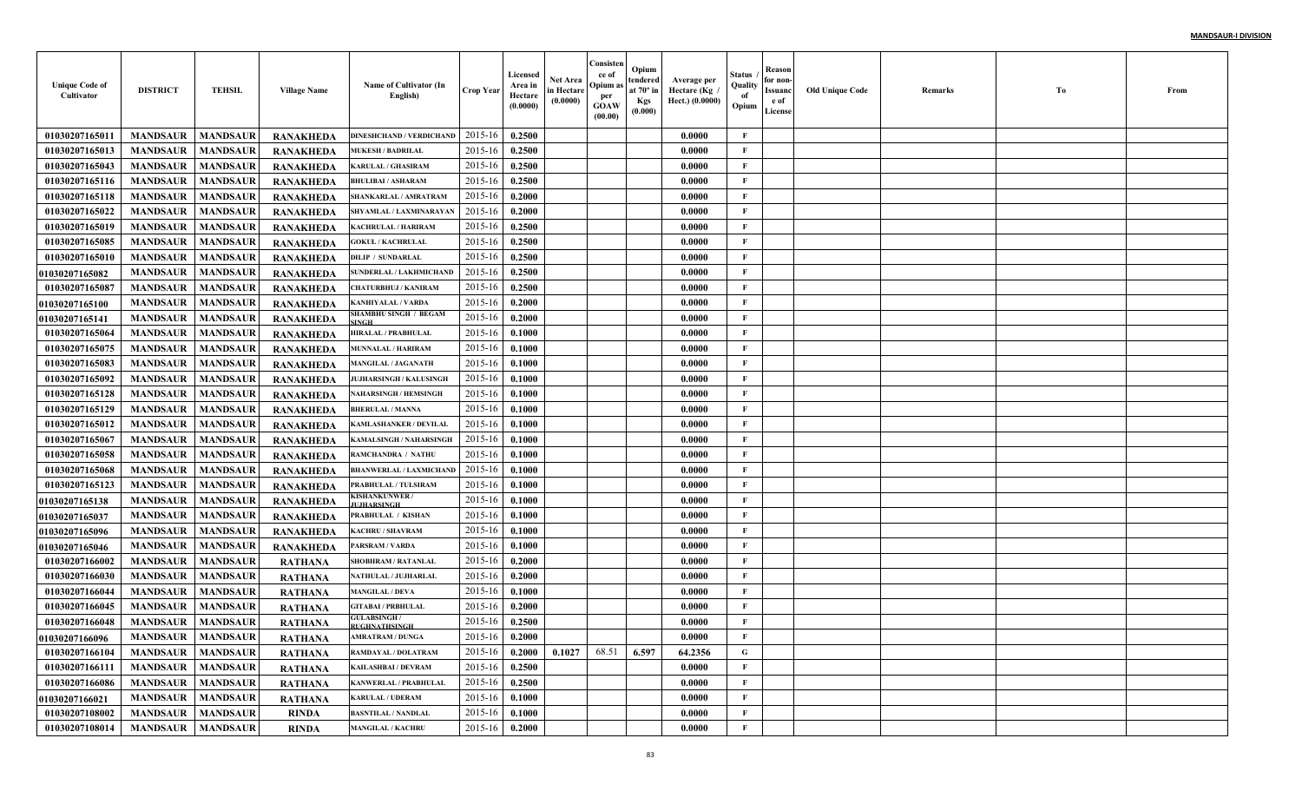| <b>Unique Code of</b><br>Cultivator | <b>DISTRICT</b>            | <b>TEHSIL</b>   | <b>Village Name</b> | Name of Cultivator (In<br>English)           | <b>Crop Year</b> | Licensed<br>Area in<br>Hectare<br>(0.0000) | Net Area<br>in Hectare<br>(0.0000) | Consisten<br>ce of<br>Opium:<br>per<br>GOAW<br>(00.00) | Opium<br>tendered<br>at $70^\circ$ in<br><b>Kgs</b><br>(0.000) | Average per<br>Hectare (Kg<br>Hect.) (0.0000) | Status<br>Quality<br>of<br>Opium | Reason<br>for non-<br>Issuanc<br>e of<br>License | <b>Old Unique Code</b> | Remarks | Тo | From |
|-------------------------------------|----------------------------|-----------------|---------------------|----------------------------------------------|------------------|--------------------------------------------|------------------------------------|--------------------------------------------------------|----------------------------------------------------------------|-----------------------------------------------|----------------------------------|--------------------------------------------------|------------------------|---------|----|------|
| 01030207165011                      | <b>MANDSAUR</b>            | <b>MANDSAUR</b> | <b>RANAKHEDA</b>    | <b>DINESHCHAND / VERDICHAND</b>              | 2015-16          | 0.2500                                     |                                    |                                                        |                                                                | 0.0000                                        | F                                |                                                  |                        |         |    |      |
| 01030207165013                      | <b>MANDSAUR</b>            | <b>MANDSAUR</b> | <b>RANAKHEDA</b>    | <b>MUKESH / BADRILAL</b>                     | 2015-16          | 0.2500                                     |                                    |                                                        |                                                                | 0.0000                                        | $\mathbf{F}$                     |                                                  |                        |         |    |      |
| 01030207165043                      | <b>MANDSAUR</b>            | <b>MANDSAUR</b> | <b>RANAKHEDA</b>    | <b>KARULAL / GHASIRAM</b>                    | 2015-16          | 0.2500                                     |                                    |                                                        |                                                                | 0.0000                                        | $\mathbf{F}$                     |                                                  |                        |         |    |      |
| 01030207165116                      | <b>MANDSAUR</b>            | <b>MANDSAUR</b> | <b>RANAKHEDA</b>    | <b>BHULIBAI / ASHARAM</b>                    | 2015-16          | 0.2500                                     |                                    |                                                        |                                                                | 0.0000                                        | $\mathbf{F}$                     |                                                  |                        |         |    |      |
| 01030207165118                      | <b>MANDSAUR</b>            | <b>MANDSAUR</b> | <b>RANAKHEDA</b>    | SHANKARLAL / AMRATRAM                        | 2015-16          | 0.2000                                     |                                    |                                                        |                                                                | 0.0000                                        | $\mathbf{F}$                     |                                                  |                        |         |    |      |
| 01030207165022                      | <b>MANDSAUR</b>            | <b>MANDSAUR</b> | <b>RANAKHEDA</b>    | SHYAMLAL / LAXMINARAYAN                      | 2015-16          | 0.2000                                     |                                    |                                                        |                                                                | 0.0000                                        | $\mathbf{F}$                     |                                                  |                        |         |    |      |
| 01030207165019                      | <b>MANDSAUR</b>            | <b>MANDSAUR</b> | <b>RANAKHEDA</b>    | KACHRULAL / HARIRAM                          | 2015-16          | 0.2500                                     |                                    |                                                        |                                                                | 0.0000                                        | $\mathbf{F}$                     |                                                  |                        |         |    |      |
| 01030207165085                      | <b>MANDSAUR</b>            | <b>MANDSAUR</b> | <b>RANAKHEDA</b>    | <b>GOKUL / KACHRULAL</b>                     | 2015-16          | 0.2500                                     |                                    |                                                        |                                                                | 0.0000                                        | $\mathbf{F}$                     |                                                  |                        |         |    |      |
| 01030207165010                      | <b>MANDSAUR</b>            | <b>MANDSAUR</b> | <b>RANAKHEDA</b>    | <b>DILIP / SUNDARLAL</b>                     | 2015-16          | 0.2500                                     |                                    |                                                        |                                                                | 0.0000                                        | F                                |                                                  |                        |         |    |      |
| <b>01030207165082</b>               | <b>MANDSAUR</b>            | <b>MANDSAUR</b> | <b>RANAKHEDA</b>    | <b>SUNDERLAL / LAKHMICHAND</b>               | 2015-16          | 0.2500                                     |                                    |                                                        |                                                                | 0.0000                                        | $\mathbf{F}$                     |                                                  |                        |         |    |      |
| 01030207165087                      | <b>MANDSAUR</b>            | <b>MANDSAUR</b> | RANAKHEDA           | <b>CHATURBHUJ / KANIRAM</b>                  | 2015-16          | 0.2500                                     |                                    |                                                        |                                                                | 0.0000                                        | $\mathbf{F}$                     |                                                  |                        |         |    |      |
| <b>01030207165100</b>               | <b>MANDSAUR</b>            | <b>MANDSAUR</b> | <b>RANAKHEDA</b>    | KANHIYALAL / VARDA                           | 2015-16          | 0.2000                                     |                                    |                                                        |                                                                | 0.0000                                        | $\mathbf{F}$                     |                                                  |                        |         |    |      |
| <b>01030207165141</b>               | <b>MANDSAUR</b>            | <b>MANDSAUR</b> | <b>RANAKHEDA</b>    | <b>SHAMBHU SINGH / BEGAM</b><br><b>SINGH</b> | 2015-16          | 0.2000                                     |                                    |                                                        |                                                                | 0.0000                                        | $\mathbf{F}$                     |                                                  |                        |         |    |      |
| 01030207165064                      | <b>MANDSAUR</b>            | <b>MANDSAUR</b> | <b>RANAKHEDA</b>    | <b>HIRALAL / PRABHULAL</b>                   | 2015-16          | 0.1000                                     |                                    |                                                        |                                                                | 0.0000                                        | $\mathbf{F}$                     |                                                  |                        |         |    |      |
| 01030207165075                      | <b>MANDSAUR</b>            | <b>MANDSAUR</b> | <b>RANAKHEDA</b>    | <b>MUNNALAL / HARIRAM</b>                    | 2015-16          | 0.1000                                     |                                    |                                                        |                                                                | 0.0000                                        | $\mathbf{F}$                     |                                                  |                        |         |    |      |
| 01030207165083                      | <b>MANDSAUR</b>            | <b>MANDSAUR</b> | <b>RANAKHEDA</b>    | <b>MANGILAL / JAGANATH</b>                   | 2015-16          | 0.1000                                     |                                    |                                                        |                                                                | 0.0000                                        | $\mathbf{F}$                     |                                                  |                        |         |    |      |
| 01030207165092                      | <b>MANDSAUR</b>            | <b>MANDSAUR</b> | <b>RANAKHEDA</b>    | <b>JUJHARSINGH / KALUSINGH</b>               | 2015-16          | 0.1000                                     |                                    |                                                        |                                                                | 0.0000                                        | $\mathbf{F}$                     |                                                  |                        |         |    |      |
| 01030207165128                      | <b>MANDSAUR</b>            | <b>MANDSAUR</b> | <b>RANAKHEDA</b>    | <b>NAHARSINGH / HEMSINGH</b>                 | 2015-16          | 0.1000                                     |                                    |                                                        |                                                                | 0.0000                                        | $\mathbf{F}$                     |                                                  |                        |         |    |      |
| 01030207165129                      | <b>MANDSAUR</b>            | <b>MANDSAUR</b> | <b>RANAKHEDA</b>    | <b>BHERULAL / MANNA</b>                      | 2015-16          | 0.1000                                     |                                    |                                                        |                                                                | 0.0000                                        | $\mathbf{F}$                     |                                                  |                        |         |    |      |
| 01030207165012                      | <b>MANDSAUR</b>            | <b>MANDSAUR</b> | <b>RANAKHEDA</b>    | <b>KAMLASHANKER / DEVILAL</b>                | 2015-16          | 0.1000                                     |                                    |                                                        |                                                                | 0.0000                                        | $\mathbf{F}$                     |                                                  |                        |         |    |      |
| 01030207165067                      | <b>MANDSAUR</b>            | <b>MANDSAUR</b> | <b>RANAKHEDA</b>    | <b>KAMALSINGH / NAHARSINGH</b>               | 2015-16          | 0.1000                                     |                                    |                                                        |                                                                | 0.0000                                        | $\mathbf{F}$                     |                                                  |                        |         |    |      |
| 01030207165058                      | <b>MANDSAUR</b>            | <b>MANDSAUR</b> | <b>RANAKHEDA</b>    | RAMCHANDRA / NATHU                           | 2015-16          | 0.1000                                     |                                    |                                                        |                                                                | 0.0000                                        | F                                |                                                  |                        |         |    |      |
| 01030207165068                      | <b>MANDSAUR</b>            | <b>MANDSAUR</b> | <b>RANAKHEDA</b>    | <b>BHANWERLAL / LAXMICHAND</b>               | 2015-16          | 0.1000                                     |                                    |                                                        |                                                                | 0.0000                                        | $\mathbf{F}$                     |                                                  |                        |         |    |      |
| 01030207165123                      | <b>MANDSAUR</b>            | <b>MANDSAUR</b> | RANAKHEDA           | PRABHULAL / TULSIRAM                         | 2015-16          | 0.1000                                     |                                    |                                                        |                                                                | 0.0000                                        | $\mathbf{F}$                     |                                                  |                        |         |    |      |
| <b>01030207165138</b>               | <b>MANDSAUR</b>            | <b>MANDSAUR</b> | <b>RANAKHEDA</b>    | KISHANKUNWER/<br><b>UJHARSINGH</b>           | 2015-16          | 0.1000                                     |                                    |                                                        |                                                                | 0.0000                                        | $\mathbf{F}$                     |                                                  |                        |         |    |      |
| <b>01030207165037</b>               | <b>MANDSAUR</b>            | <b>MANDSAUR</b> | RANAKHEDA           | PRABHULAL / KISHAN                           | 2015-16          | 0.1000                                     |                                    |                                                        |                                                                | 0.0000                                        | $\mathbf{F}$                     |                                                  |                        |         |    |      |
| <b>01030207165096</b>               | <b>MANDSAUR</b>            | <b>MANDSAUR</b> | <b>RANAKHEDA</b>    | <b>KACHRU / SHAVRAM</b>                      | 2015-16          | 0.1000                                     |                                    |                                                        |                                                                | 0.0000                                        | $\mathbf{F}$                     |                                                  |                        |         |    |      |
| 01030207165046                      | <b>MANDSAUR</b>            | <b>MANDSAUR</b> | <b>RANAKHEDA</b>    | PARSRAM / VARDA                              | 2015-16          | 0.1000                                     |                                    |                                                        |                                                                | 0.0000                                        | $\mathbf{F}$                     |                                                  |                        |         |    |      |
| 01030207166002                      | <b>MANDSAUR</b>            | <b>MANDSAUR</b> | <b>RATHANA</b>      | SHOBHRAM / RATANLAI                          | 2015-16          | 0.2000                                     |                                    |                                                        |                                                                | 0.0000                                        | $\mathbf{F}$                     |                                                  |                        |         |    |      |
| 01030207166030                      | <b>MANDSAUR</b>            | <b>MANDSAUR</b> | <b>RATHANA</b>      | NATHULAL / JUJHARLAI                         | 2015-16          | 0.2000                                     |                                    |                                                        |                                                                | 0.0000                                        | $\mathbf{F}$                     |                                                  |                        |         |    |      |
| 01030207166044                      | <b>MANDSAUR</b>            | <b>MANDSAUR</b> | <b>RATHANA</b>      | <b>MANGILAL / DEVA</b>                       | 2015-16          | 0.1000                                     |                                    |                                                        |                                                                | 0.0000                                        | $\mathbf{F}$                     |                                                  |                        |         |    |      |
| 01030207166045                      | <b>MANDSAUR</b>            | <b>MANDSAUR</b> | RATHANA             | <b>GITABAI / PRBHULAL</b>                    | 2015-16          | 0.2000                                     |                                    |                                                        |                                                                | 0.0000                                        | F                                |                                                  |                        |         |    |      |
| 01030207166048                      | <b>MANDSAUR</b>            | <b>MANDSAUR</b> | RATHANA             | <b>GULABSINGH</b> /<br>RUGHNATHSINGH         | 2015-16          | 0.2500                                     |                                    |                                                        |                                                                | 0.0000                                        | F                                |                                                  |                        |         |    |      |
| <b>01030207166096</b>               | <b>MANDSAUR</b>   MANDSAUR |                 | RATHANA             | <b>AMRATRAM / DUNGA</b>                      | $2015-16$ 0.2000 |                                            |                                    |                                                        |                                                                | 0.0000                                        | F                                |                                                  |                        |         |    |      |
| 01030207166104                      | <b>MANDSAUR</b>            | <b>MANDSAUR</b> | <b>RATHANA</b>      | RAMDAYAL / DOLATRAM                          | 2015-16          | 0.2000                                     | 0.1027                             | 68.51                                                  | 6.597                                                          | 64.2356                                       | $\mathbf G$                      |                                                  |                        |         |    |      |
| 01030207166111                      | <b>MANDSAUR</b>            | <b>MANDSAUR</b> | <b>RATHANA</b>      | <b>KAILASHBAI / DEVRAM</b>                   | 2015-16          | 0.2500                                     |                                    |                                                        |                                                                | 0.0000                                        | $\mathbf{F}$                     |                                                  |                        |         |    |      |
| 01030207166086                      | <b>MANDSAUR</b>            | <b>MANDSAUR</b> | <b>RATHANA</b>      | <b>KANWERLAL / PRABHULAL</b>                 | 2015-16          | 0.2500                                     |                                    |                                                        |                                                                | 0.0000                                        | $\mathbf{F}$                     |                                                  |                        |         |    |      |
| <b>01030207166021</b>               | <b>MANDSAUR</b>            | <b>MANDSAUR</b> | <b>RATHANA</b>      | <b>KARULAL / UDERAM</b>                      | 2015-16          | 0.1000                                     |                                    |                                                        |                                                                | 0.0000                                        | $\mathbf{F}$                     |                                                  |                        |         |    |      |
| 01030207108002                      | <b>MANDSAUR</b>            | <b>MANDSAUR</b> | <b>RINDA</b>        | <b>BASNTILAL / NANDLAL</b>                   | 2015-16          | 0.1000                                     |                                    |                                                        |                                                                | 0.0000                                        | $\mathbf{F}$                     |                                                  |                        |         |    |      |
| 01030207108014                      | <b>MANDSAUR</b>            | <b>MANDSAUR</b> | <b>RINDA</b>        | <b>MANGILAL / KACHRU</b>                     | 2015-16          | 0.2000                                     |                                    |                                                        |                                                                | 0.0000                                        | $\mathbf F$                      |                                                  |                        |         |    |      |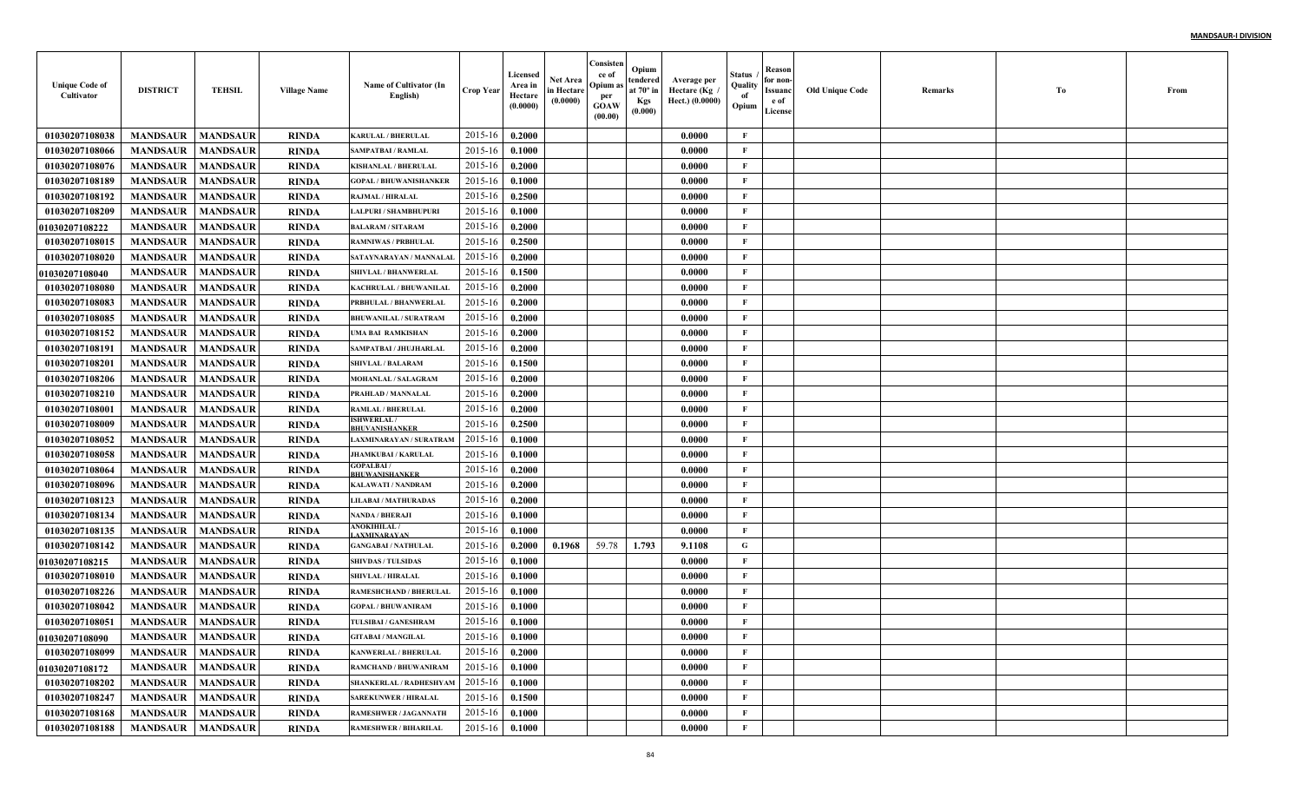| <b>Unique Code of</b><br>Cultivator | <b>DISTRICT</b>            | <b>TEHSIL</b>   | <b>Village Name</b> | Name of Cultivator (In<br>English)        | <b>Crop Year</b> | Licensed<br>Area in<br>Hectare<br>(0.0000) | <b>Net Area</b><br>in Hectare<br>(0.0000) | Consisten<br>ce of<br>Opium as<br>per<br>GOAW<br>(00.00) | Opium<br>tendered<br>at $70^\circ$ in<br><b>Kgs</b><br>(0.000) | Average per<br>، Hectare (Kg<br>Hect.) (0.0000) | Status<br>Quality<br>of<br>Opium | Reason<br>for non-<br>Issuanc<br>e of<br>License | <b>Old Unique Code</b> | Remarks | Tо | From |
|-------------------------------------|----------------------------|-----------------|---------------------|-------------------------------------------|------------------|--------------------------------------------|-------------------------------------------|----------------------------------------------------------|----------------------------------------------------------------|-------------------------------------------------|----------------------------------|--------------------------------------------------|------------------------|---------|----|------|
| 01030207108038                      | <b>MANDSAUR</b>            | <b>MANDSAUR</b> | RINDA               | <b>KARULAL / BHERULAL</b>                 | 2015-16          | 0.2000                                     |                                           |                                                          |                                                                | 0.0000                                          | $\mathbf{F}$                     |                                                  |                        |         |    |      |
| 01030207108066                      | <b>MANDSAUR</b>            | <b>MANDSAUR</b> | RINDA               | <b>SAMPATBAI / RAMLAL</b>                 | 2015-16          | 0.1000                                     |                                           |                                                          |                                                                | 0.0000                                          | F                                |                                                  |                        |         |    |      |
| 01030207108076                      | <b>MANDSAUR</b>            | <b>MANDSAUR</b> | <b>RINDA</b>        | KISHANLAL / BHERULAL                      | 2015-16          | 0.2000                                     |                                           |                                                          |                                                                | 0.0000                                          | $\mathbf{F}$                     |                                                  |                        |         |    |      |
| 01030207108189                      | <b>MANDSAUR</b>            | <b>MANDSAUR</b> | RINDA               | <b>GOPAL / BHUWANISHANKEF</b>             | 2015-16          | 0.1000                                     |                                           |                                                          |                                                                | 0.0000                                          | $\mathbf{F}$                     |                                                  |                        |         |    |      |
| 01030207108192                      | <b>MANDSAUR</b>            | <b>MANDSAUR</b> | RINDA               | RAJMAL / HIRALAL                          | 2015-16          | 0.2500                                     |                                           |                                                          |                                                                | 0.0000                                          | $\mathbf{F}$                     |                                                  |                        |         |    |      |
| 01030207108209                      | <b>MANDSAUR</b>            | <b>MANDSAUR</b> | <b>RINDA</b>        | <b>LALPURI / SHAMBHUPURI</b>              | 2015-16          | 0.1000                                     |                                           |                                                          |                                                                | 0.0000                                          | $\mathbf{F}$                     |                                                  |                        |         |    |      |
| <b>01030207108222</b>               | <b>MANDSAUR</b>            | <b>MANDSAUR</b> | <b>RINDA</b>        | <b>BALARAM / SITARAM</b>                  | 2015-16          | 0.2000                                     |                                           |                                                          |                                                                | 0.0000                                          | $\mathbf{F}$                     |                                                  |                        |         |    |      |
| 01030207108015                      | <b>MANDSAUR</b>            | <b>MANDSAUR</b> | <b>RINDA</b>        | <b>RAMNIWAS / PRBHULAL</b>                | 2015-16          | 0.2500                                     |                                           |                                                          |                                                                | 0.0000                                          | $\mathbf{F}$                     |                                                  |                        |         |    |      |
| 01030207108020                      | <b>MANDSAUR</b>            | <b>MANDSAUR</b> | <b>RINDA</b>        | SATAYNARAYAN / MANNALAI                   | 2015-16          | 0.2000                                     |                                           |                                                          |                                                                | 0.0000                                          | $\mathbf{F}$                     |                                                  |                        |         |    |      |
| <b>01030207108040</b>               | <b>MANDSAUR</b>            | <b>MANDSAUR</b> | RINDA               | <b>SHIVLAL / BHANWERLAL</b>               | 2015-16          | 0.1500                                     |                                           |                                                          |                                                                | 0.0000                                          | $\mathbf{F}$                     |                                                  |                        |         |    |      |
| 01030207108080                      | <b>MANDSAUR</b>            | <b>MANDSAUR</b> | RINDA               | KACHRULAL / BHUWANILAL                    | 2015-16          | 0.2000                                     |                                           |                                                          |                                                                | 0.0000                                          | $\mathbf{F}$                     |                                                  |                        |         |    |      |
| 01030207108083                      | <b>MANDSAUR</b>            | <b>MANDSAUR</b> | RINDA               | PRBHULAL / BHANWERLAL                     | 2015-16          | 0.2000                                     |                                           |                                                          |                                                                | 0.0000                                          | $\mathbf{F}$                     |                                                  |                        |         |    |      |
| 01030207108085                      | <b>MANDSAUR</b>            | <b>MANDSAUR</b> | RINDA               | <b>BHUWANILAL / SURATRAM</b>              | 2015-16          | 0.2000                                     |                                           |                                                          |                                                                | 0.0000                                          | $\mathbf{F}$                     |                                                  |                        |         |    |      |
| 01030207108152                      | <b>MANDSAUR</b>            | <b>MANDSAUR</b> | RINDA               | UMA BAI RAMKISHAN                         | 2015-16          | 0.2000                                     |                                           |                                                          |                                                                | 0.0000                                          | $\mathbf{F}$                     |                                                  |                        |         |    |      |
| 01030207108191                      | <b>MANDSAUR</b>            | <b>MANDSAUR</b> | <b>RINDA</b>        | SAMPATBAI / JHUJHARLAL                    | 2015-16          | 0.2000                                     |                                           |                                                          |                                                                | 0.0000                                          | $\mathbf{F}$                     |                                                  |                        |         |    |      |
| 01030207108201                      | <b>MANDSAUR</b>            | <b>MANDSAUR</b> | <b>RINDA</b>        | <b>SHIVLAL / BALARAM</b>                  | 2015-16          | 0.1500                                     |                                           |                                                          |                                                                | 0.0000                                          | $\mathbf{F}$                     |                                                  |                        |         |    |      |
| 01030207108206                      | <b>MANDSAUR</b>            | <b>MANDSAUR</b> | RINDA               | <b>MOHANLAL / SALAGRAM</b>                | 2015-16          | 0.2000                                     |                                           |                                                          |                                                                | 0.0000                                          | $\mathbf{F}$                     |                                                  |                        |         |    |      |
| 01030207108210                      | <b>MANDSAUR</b>            | <b>MANDSAUR</b> | <b>RINDA</b>        | PRAHLAD / MANNALAL                        | 2015-16          | 0.2000                                     |                                           |                                                          |                                                                | 0.0000                                          | $\mathbf{F}$                     |                                                  |                        |         |    |      |
| 01030207108001                      | <b>MANDSAUR</b>            | <b>MANDSAUR</b> | <b>RINDA</b>        | <b>RAMLAL / BHERULAL</b>                  | 2015-16          | 0.2000                                     |                                           |                                                          |                                                                | 0.0000                                          | $\mathbf{F}$                     |                                                  |                        |         |    |      |
| 01030207108009                      | <b>MANDSAUR</b>            | <b>MANDSAUR</b> | <b>RINDA</b>        | <b>ISHWERLAL/</b><br>BHUVANISHANKER       | 2015-16          | 0.2500                                     |                                           |                                                          |                                                                | 0.0000                                          | $\mathbf{F}$                     |                                                  |                        |         |    |      |
| 01030207108052                      | <b>MANDSAUR</b>            | <b>MANDSAUR</b> | <b>RINDA</b>        | LAXMINARAYAN / SURATRAM                   | 2015-16          | 0.1000                                     |                                           |                                                          |                                                                | 0.0000                                          | $\mathbf{F}$                     |                                                  |                        |         |    |      |
| 01030207108058                      | <b>MANDSAUR</b>            | <b>MANDSAUR</b> | <b>RINDA</b>        | <b>JHAMKUBAI / KARULAL</b>                | 2015-16          | 0.1000                                     |                                           |                                                          |                                                                | 0.0000                                          | $\mathbf{F}$                     |                                                  |                        |         |    |      |
| 01030207108064                      | <b>MANDSAUR</b>            | <b>MANDSAUR</b> | RINDA               | <b>GOPALBAI/</b><br><b>BHUWANISHANKER</b> | 2015-16          | 0.2000                                     |                                           |                                                          |                                                                | 0.0000                                          | $\mathbf{F}$                     |                                                  |                        |         |    |      |
| 01030207108096                      | <b>MANDSAUR</b>            | <b>MANDSAUR</b> | <b>RINDA</b>        | KALAWATI / NANDRAM                        | 2015-16          | 0.2000                                     |                                           |                                                          |                                                                | 0.0000                                          | $\mathbf{F}$                     |                                                  |                        |         |    |      |
| 01030207108123                      | <b>MANDSAUR</b>            | <b>MANDSAUR</b> | RINDA               | <b>LILABAI / MATHURADAS</b>               | 2015-16          | 0.2000                                     |                                           |                                                          |                                                                | 0.0000                                          | $\mathbf{F}$                     |                                                  |                        |         |    |      |
| 01030207108134                      | <b>MANDSAUR</b>            | <b>MANDSAUR</b> | <b>RINDA</b>        | <b>NANDA / BHERAJI</b>                    | 2015-16          | 0.1000                                     |                                           |                                                          |                                                                | 0.0000                                          | $\mathbf{F}$                     |                                                  |                        |         |    |      |
| 01030207108135                      | <b>MANDSAUR</b>            | <b>MANDSAUR</b> | <b>RINDA</b>        | <b>ANOKIHILAL /</b><br><b>AXMINARAYAN</b> | 2015-16          | 0.1000                                     |                                           |                                                          |                                                                | 0.0000                                          | F                                |                                                  |                        |         |    |      |
| 01030207108142                      | <b>MANDSAUR</b>            | <b>MANDSAUR</b> | RINDA               | <b>GANGABAI / NATHULAL</b>                | 2015-16          | 0.2000                                     | 0.1968                                    | 59.78                                                    | 1.793                                                          | 9.1108                                          | G                                |                                                  |                        |         |    |      |
| 01030207108215                      | <b>MANDSAUR</b>            | <b>MANDSAUR</b> | RINDA               | <b>SHIVDAS / TULSIDAS</b>                 | 2015-16          | 0.1000                                     |                                           |                                                          |                                                                | 0.0000                                          | $\mathbf{F}$                     |                                                  |                        |         |    |      |
| 01030207108010                      | <b>MANDSAUR</b>            | <b>MANDSAUR</b> | RINDA               | <b>SHIVLAL / HIRALAL</b>                  | 2015-16          | 0.1000                                     |                                           |                                                          |                                                                | 0.0000                                          | $\mathbf{F}$                     |                                                  |                        |         |    |      |
| 01030207108226                      | <b>MANDSAUR</b>            | <b>MANDSAUR</b> | RINDA               | <b>RAMESHCHAND / BHERULAI</b>             | 2015-16          | 0.1000                                     |                                           |                                                          |                                                                | 0.0000                                          | $\mathbf{F}$                     |                                                  |                        |         |    |      |
| 01030207108042                      | <b>MANDSAUR</b>            | <b>MANDSAUR</b> | RINDA               | <b>GOPAL / BHUWANIRAM</b>                 | 2015-16          | 0.1000                                     |                                           |                                                          |                                                                | 0.0000                                          | $\mathbf{F}$                     |                                                  |                        |         |    |      |
| 01030207108051                      | <b>MANDSAUR</b>            | <b>MANDSAUR</b> | RINDA               | TULSIBAI / GANESHRAM                      | 2015-16          | 0.1000                                     |                                           |                                                          |                                                                | 0.0000                                          | F                                |                                                  |                        |         |    |      |
| 01030207108090                      | <b>MANDSAUR   MANDSAUR</b> |                 | <b>RINDA</b>        | <b>GITABAI / MANGILAL</b>                 | 2015-16 0.1000   |                                            |                                           |                                                          |                                                                | 0.0000                                          | F                                |                                                  |                        |         |    |      |
| 01030207108099                      | <b>MANDSAUR</b>            | <b>MANDSAUR</b> | <b>RINDA</b>        | <b>KANWERLAL / BHERULAL</b>               | 2015-16          | 0.2000                                     |                                           |                                                          |                                                                | 0.0000                                          | $\mathbf{F}$                     |                                                  |                        |         |    |      |
| 01030207108172                      | <b>MANDSAUR</b>            | <b>MANDSAUR</b> | <b>RINDA</b>        | RAMCHAND / BHUWANIRAM                     | 2015-16          | 0.1000                                     |                                           |                                                          |                                                                | 0.0000                                          | $\mathbf{F}$                     |                                                  |                        |         |    |      |
| 01030207108202                      | <b>MANDSAUR</b>            | <b>MANDSAUR</b> | <b>RINDA</b>        | SHANKERLAL / RADHESHYAM                   | 2015-16          | 0.1000                                     |                                           |                                                          |                                                                | 0.0000                                          | $\mathbf{F}$                     |                                                  |                        |         |    |      |
| 01030207108247                      | <b>MANDSAUR</b>            | <b>MANDSAUR</b> | <b>RINDA</b>        | <b>SAREKUNWER / HIRALAL</b>               | 2015-16          | 0.1500                                     |                                           |                                                          |                                                                | 0.0000                                          | $\mathbf F$                      |                                                  |                        |         |    |      |
| 01030207108168                      | <b>MANDSAUR</b>            | <b>MANDSAUR</b> | <b>RINDA</b>        | <b>RAMESHWER / JAGANNATH</b>              | 2015-16          | $\boldsymbol{0.1000}$                      |                                           |                                                          |                                                                | 0.0000                                          | $\mathbf{F}$                     |                                                  |                        |         |    |      |
| 01030207108188                      | <b>MANDSAUR</b>            | <b>MANDSAUR</b> | <b>RINDA</b>        | <b>RAMESHWER / BIHARILAL</b>              | $2015 - 16$      | 0.1000                                     |                                           |                                                          |                                                                | 0.0000                                          | $\mathbf{F}$                     |                                                  |                        |         |    |      |